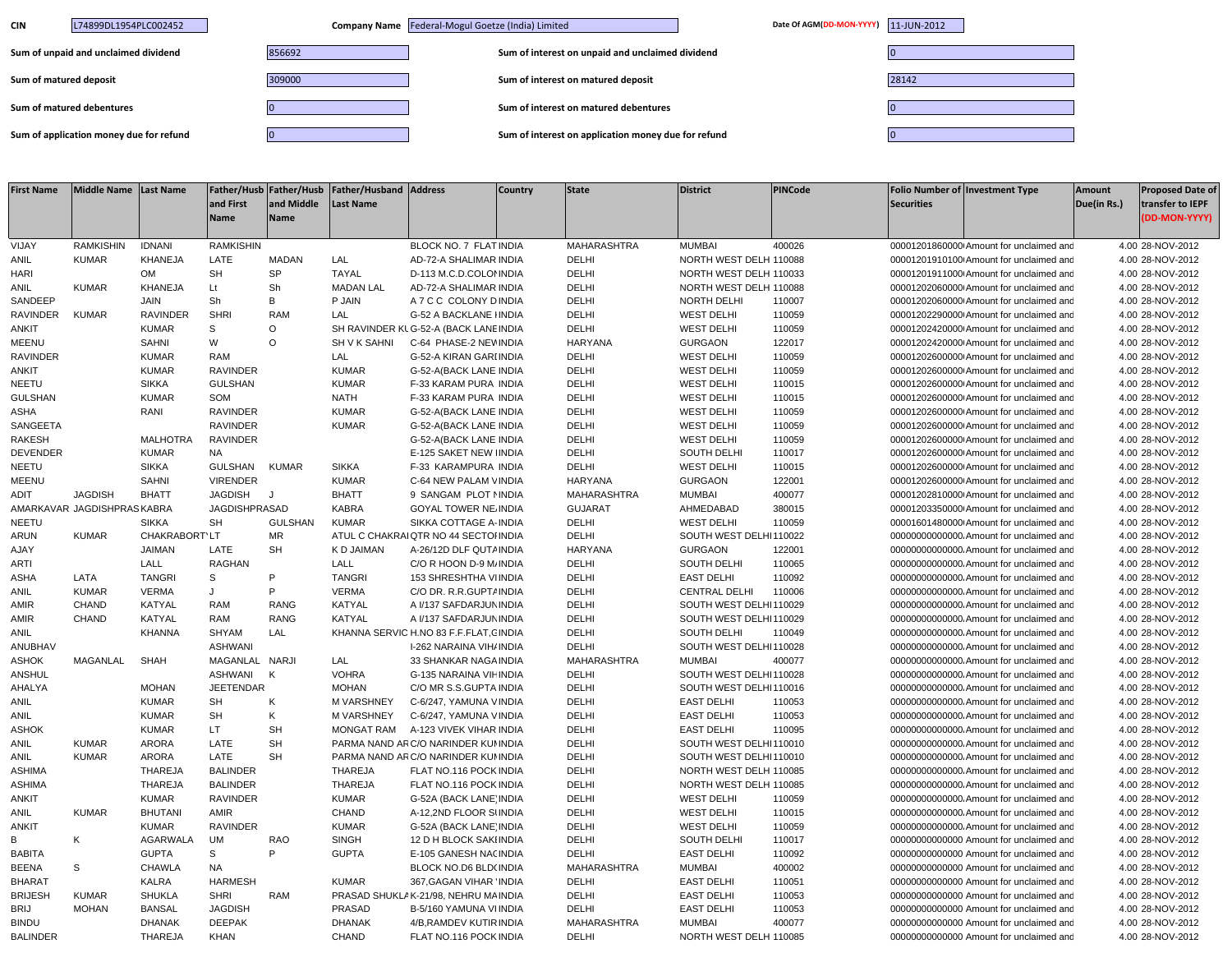| L74899DL1954PLC002452<br><b>CIN</b>     | Company Name Federal-Mogul Goetze (India) Limited |                                                     | Date Of AGM(DD-MON-YYYY) 11-JUN-2012 |       |
|-----------------------------------------|---------------------------------------------------|-----------------------------------------------------|--------------------------------------|-------|
| Sum of unpaid and unclaimed dividend    | 856692                                            | Sum of interest on unpaid and unclaimed dividend    |                                      |       |
| Sum of matured deposit                  | 309000                                            | Sum of interest on matured deposit                  |                                      | 28142 |
| Sum of matured debentures               |                                                   | Sum of interest on matured debentures               |                                      |       |
| Sum of application money due for refund |                                                   | Sum of interest on application money due for refund |                                      |       |

| <b>First Name</b> | Middle Name Last Name      |                 | and First<br><b>Name</b> | and Middle<br><b>Name</b> | Father/Husb Father/Husb Father/Husband Address<br><b>Last Name</b> |                                        | <b>Country</b> | <b>State</b>   | <b>District</b>        | <b>PINCode</b> | <b>Securities</b> | <b>Folio Number of Investment Type</b>    | <b>Amount</b><br>Due(in Rs.) | <b>Proposed Date of</b><br>transfer to IEPF<br>(DD-MON-YYYY) |
|-------------------|----------------------------|-----------------|--------------------------|---------------------------|--------------------------------------------------------------------|----------------------------------------|----------------|----------------|------------------------|----------------|-------------------|-------------------------------------------|------------------------------|--------------------------------------------------------------|
| VIJAY             | <b>RAMKISHIN</b>           | <b>IDNANI</b>   | <b>RAMKISHIN</b>         |                           |                                                                    | BLOCK NO. 7 FLAT INDIA                 |                | MAHARASHTRA    | <b>MUMBAI</b>          | 400026         |                   | 00001201860000 Amount for unclaimed and   |                              | 4.00 28-NOV-2012                                             |
| ANIL              | <b>KUMAR</b>               | KHANEJA         | LATE                     | <b>MADAN</b>              | LAL                                                                | AD-72-A SHALIMAR INDIA                 |                | DELHI          | NORTH WEST DELH 110088 |                |                   | 00001201910100 Amount for unclaimed and   |                              | 4.00 28-NOV-2012                                             |
| <b>HARI</b>       |                            | <b>OM</b>       | <b>SH</b>                | <b>SP</b>                 | <b>TAYAL</b>                                                       | D-113 M.C.D.COLOMNDIA                  |                | DELHI          | NORTH WEST DELH 110033 |                |                   | 00001201911000 Amount for unclaimed and   |                              | 4.00 28-NOV-2012                                             |
| ANIL              | <b>KUMAR</b>               | <b>KHANEJA</b>  | Lt                       | Sh                        | <b>MADAN LAL</b>                                                   | AD-72-A SHALIMAR INDIA                 |                | DELHI          | NORTH WEST DELH 110088 |                |                   | 00001202060000 Amount for unclaimed and   |                              | 4.00 28-NOV-2012                                             |
| SANDEEP           |                            | <b>JAIN</b>     | Sh                       | B                         | P JAIN                                                             | A 7 C C COLONY D INDIA                 |                | DELHI          | NORTH DELHI            | 110007         |                   | 00001202060000 Amount for unclaimed and   |                              | 4.00 28-NOV-2012                                             |
| <b>RAVINDER</b>   | <b>KUMAR</b>               | RAVINDER        | <b>SHRI</b>              | <b>RAM</b>                | LAL                                                                | <b>G-52 A BACKLANE IINDIA</b>          |                | DELHI          | <b>WEST DELHI</b>      | 110059         |                   | 00001202290000 Amount for unclaimed and   |                              | 4.00 28-NOV-2012                                             |
| <b>ANKIT</b>      |                            | <b>KUMAR</b>    | s                        | $\circ$                   |                                                                    | SH RAVINDER KL G-52-A (BACK LANE INDIA |                | DELHI          | <b>WEST DELHI</b>      | 110059         |                   | 00001202420000 Amount for unclaimed and   |                              | 4.00 28-NOV-2012                                             |
| <b>MEENU</b>      |                            | SAHNI           | W                        | $\circ$                   | SH V K SAHNI                                                       | C-64 PHASE-2 NEV INDIA                 |                | HARYANA        | <b>GURGAON</b>         | 122017         |                   | 00001202420000 Amount for unclaimed and   |                              | 4.00 28-NOV-2012                                             |
| RAVINDER          |                            | <b>KUMAR</b>    | <b>RAM</b>               |                           | LAL                                                                | G-52-A KIRAN GARI INDIA                |                | DELHI          | <b>WEST DELHI</b>      | 110059         |                   | 00001202600000 Amount for unclaimed and   |                              | 4.00 28-NOV-2012                                             |
| ANKIT             |                            | <b>KUMAR</b>    | <b>RAVINDER</b>          |                           | <b>KUMAR</b>                                                       | G-52-A(BACK LANE INDIA                 |                | DELHI          | <b>WEST DELHI</b>      | 110059         |                   | 00001202600000 Amount for unclaimed and   |                              | 4.00 28-NOV-2012                                             |
| NEETU             |                            | <b>SIKKA</b>    | <b>GULSHAN</b>           |                           | <b>KUMAR</b>                                                       | F-33 KARAM PURA INDIA                  |                | DELHI          | <b>WEST DELHI</b>      | 110015         |                   | 00001202600000 Amount for unclaimed and   |                              | 4.00 28-NOV-2012                                             |
| <b>GULSHAN</b>    |                            | <b>KUMAR</b>    | SOM                      |                           | <b>NATH</b>                                                        | F-33 KARAM PURA INDIA                  |                | DELHI          | <b>WEST DELHI</b>      | 110015         |                   | 00001202600000 Amount for unclaimed and   |                              | 4.00 28-NOV-2012                                             |
| ASHA              |                            | RANI            | <b>RAVINDER</b>          |                           | <b>KUMAR</b>                                                       | G-52-A(BACK LANE INDIA                 |                | DELHI          | <b>WEST DELHI</b>      | 110059         |                   | 00001202600000 Amount for unclaimed and   |                              | 4.00 28-NOV-2012                                             |
| SANGEETA          |                            |                 | <b>RAVINDER</b>          |                           | <b>KUMAR</b>                                                       | G-52-A(BACK LANE INDIA                 |                | DELHI          | <b>WEST DELHI</b>      | 110059         |                   | 00001202600000 Amount for unclaimed and   |                              | 4.00 28-NOV-2012                                             |
| <b>RAKESH</b>     |                            | <b>MALHOTRA</b> | <b>RAVINDER</b>          |                           |                                                                    | G-52-A(BACK LANE INDIA                 |                | DELHI          | <b>WEST DELHI</b>      | 110059         |                   | 00001202600000 Amount for unclaimed and   |                              | 4.00 28-NOV-2012                                             |
| <b>DEVENDER</b>   |                            | <b>KUMAR</b>    | <b>NA</b>                |                           |                                                                    | E-125 SAKET NEW IINDIA                 |                | DELHI          | SOUTH DELHI            | 110017         |                   | 00001202600000 Amount for unclaimed and   |                              | 4.00 28-NOV-2012                                             |
| NEETU             |                            | <b>SIKKA</b>    | <b>GULSHAN</b>           | <b>KUMAR</b>              | <b>SIKKA</b>                                                       | F-33 KARAMPURA INDIA                   |                | DELHI          | <b>WEST DELHI</b>      | 110015         |                   | 00001202600000 Amount for unclaimed and   |                              | 4.00 28-NOV-2012                                             |
| <b>MEENU</b>      |                            | <b>SAHNI</b>    | <b>VIRENDER</b>          |                           | <b>KUMAR</b>                                                       | C-64 NEW PALAM VINDIA                  |                | <b>HARYANA</b> | <b>GURGAON</b>         | 122001         |                   | 00001202600000 Amount for unclaimed and   |                              | 4.00 28-NOV-2012                                             |
| ADIT              | <b>JAGDISH</b>             | <b>BHATT</b>    | <b>JAGDISH</b>           | J                         | <b>BHATT</b>                                                       | 9 SANGAM PLOT NINDIA                   |                | MAHARASHTRA    | <b>MUMBAI</b>          | 400077         |                   | 00001202810000 Amount for unclaimed and   |                              | 4.00 28-NOV-2012                                             |
|                   | AMARKAVAR JAGDISHPRASKABRA |                 | <b>JAGDISHPRASAD</b>     |                           | <b>KABRA</b>                                                       | <b>GOYAL TOWER NE INDIA</b>            |                | <b>GUJARAT</b> | AHMEDABAD              | 380015         |                   | 00001203350000 Amount for unclaimed and   |                              | 4.00 28-NOV-2012                                             |
| <b>NEETU</b>      |                            | <b>SIKKA</b>    | <b>SH</b>                | <b>GULSHAN</b>            | <b>KUMAR</b>                                                       | SIKKA COTTAGE A-INDIA                  |                | DELHI          | <b>WEST DELHI</b>      | 110059         |                   | 00001601480000 Amount for unclaimed and   |                              | 4.00 28-NOV-2012                                             |
| <b>ARUN</b>       | <b>KUMAR</b>               | CHAKRABORT'LT   |                          | <b>MR</b>                 |                                                                    | ATUL C CHAKRAI QTR NO 44 SECTOI INDIA  |                | DELHI          | SOUTH WEST DELHI110022 |                |                   | 00000000000000. Amount for unclaimed and  |                              | 4.00 28-NOV-2012                                             |
| AJAY              |                            | <b>JAIMAN</b>   | LATE                     | <b>SH</b>                 | K D JAIMAN                                                         | A-26/12D DLF QUTAINDIA                 |                | <b>HARYANA</b> | <b>GURGAON</b>         | 122001         |                   | 000000000000000. Amount for unclaimed and |                              | 4.00 28-NOV-2012                                             |
| <b>ARTI</b>       |                            | LALL            | <b>RAGHAN</b>            |                           | LALL                                                               | C/O R HOON D-9 M/ INDIA                |                | DELHI          | SOUTH DELHI            | 110065         |                   | 00000000000000. Amount for unclaimed and  |                              | 4.00 28-NOV-2012                                             |
| ASHA              | LATA                       | <b>TANGRI</b>   | $\mathbf S$              | P                         | <b>TANGRI</b>                                                      | 153 SHRESHTHA VIINDIA                  |                | DELHI          | <b>EAST DELHI</b>      | 110092         |                   | 00000000000000. Amount for unclaimed and  |                              | 4.00 28-NOV-2012                                             |
| ANIL              | <b>KUMAR</b>               | <b>VERMA</b>    | $\cdot$                  | P                         | <b>VERMA</b>                                                       | C/O DR. R.R.GUPT/ INDIA                |                | DELHI          | <b>CENTRAL DELHI</b>   | 110006         |                   | 00000000000000. Amount for unclaimed and  |                              | 4.00 28-NOV-2012                                             |
| AMIR              | CHAND                      | KATYAL          | <b>RAM</b>               | <b>RANG</b>               | <b>KATYAL</b>                                                      | A I/137 SAFDARJUN INDIA                |                | DELHI          | SOUTH WEST DELHI110029 |                |                   | 00000000000000. Amount for unclaimed and  |                              | 4.00 28-NOV-2012                                             |
| AMIR              | <b>CHAND</b>               | <b>KATYAL</b>   | <b>RAM</b>               | <b>RANG</b>               | KATYAL                                                             | A I/137 SAFDARJUN INDIA                |                | DELHI          | SOUTH WEST DELHI110029 |                |                   | 00000000000000. Amount for unclaimed and  |                              | 4.00 28-NOV-2012                                             |
| ANIL              |                            | <b>KHANNA</b>   | SHYAM                    | LAL                       |                                                                    | KHANNA SERVIC H.NO 83 F.F.FLAT, CINDIA |                | DELHI          | SOUTH DELHI            | 110049         |                   | 00000000000000. Amount for unclaimed and  |                              | 4.00 28-NOV-2012                                             |
| ANUBHAV           |                            |                 | <b>ASHWANI</b>           |                           |                                                                    | I-262 NARAINA VIH/INDIA                |                | DELHI          | SOUTH WEST DELHI110028 |                |                   | 00000000000000. Amount for unclaimed and  |                              | 4.00 28-NOV-2012                                             |
| ASHOK             | MAGANLAL                   | <b>SHAH</b>     | MAGANLAL NARJI           |                           | LAL                                                                | 33 SHANKAR NAGA INDIA                  |                | MAHARASHTRA    | <b>MUMBAI</b>          | 400077         |                   | 00000000000000. Amount for unclaimed and  |                              | 4.00 28-NOV-2012                                             |
| ANSHUL            |                            |                 | ASHWANI                  | K                         | <b>VOHRA</b>                                                       | G-135 NARAINA VII INDIA                |                | DELHI          | SOUTH WEST DELHI110028 |                |                   | 00000000000000. Amount for unclaimed and  |                              | 4.00 28-NOV-2012                                             |
| AHALYA            |                            | <b>MOHAN</b>    | <b>JEETENDAR</b>         |                           | <b>MOHAN</b>                                                       | C/O MR S.S.GUPTA INDIA                 |                | DELHI          | SOUTH WEST DELHI110016 |                |                   | 00000000000000. Amount for unclaimed and  |                              | 4.00 28-NOV-2012                                             |
| ANIL              |                            | <b>KUMAR</b>    | <b>SH</b>                | К                         | <b>M VARSHNEY</b>                                                  | C-6/247, YAMUNA VINDIA                 |                | DELHI          | <b>EAST DELHI</b>      | 110053         |                   | 00000000000000. Amount for unclaimed and  |                              | 4.00 28-NOV-2012                                             |
| <b>ANIL</b>       |                            | <b>KUMAR</b>    | <b>SH</b>                | K                         | <b>M VARSHNEY</b>                                                  | C-6/247, YAMUNA VINDIA                 |                | DELHI          | <b>EAST DELHI</b>      | 110053         |                   | 000000000000000. Amount for unclaimed and |                              | 4.00 28-NOV-2012                                             |
| ASHOK             |                            | <b>KUMAR</b>    | LT.                      | <b>SH</b>                 | <b>MONGAT RAM</b>                                                  | A-123 VIVEK VIHAR INDIA                |                | DELHI          | <b>EAST DELHI</b>      | 110095         |                   | 00000000000000. Amount for unclaimed and  |                              | 4.00 28-NOV-2012                                             |
| ANIL              | <b>KUMAR</b>               | <b>ARORA</b>    | LATE                     | <b>SH</b>                 |                                                                    | PARMA NAND ARC/O NARINDER KUNNDIA      |                | DELHI          | SOUTH WEST DELHI110010 |                |                   | 00000000000000. Amount for unclaimed and  |                              | 4.00 28-NOV-2012                                             |
| ANIL              | <b>KUMAR</b>               | <b>ARORA</b>    | LATE                     | <b>SH</b>                 |                                                                    | PARMA NAND ARC/O NARINDER KUI INDIA    |                | DELHI          | SOUTH WEST DELHI110010 |                |                   | 000000000000000. Amount for unclaimed and |                              | 4.00 28-NOV-2012                                             |
| <b>ASHIMA</b>     |                            | <b>THAREJA</b>  | <b>BALINDER</b>          |                           | <b>THAREJA</b>                                                     | FLAT NO.116 POCK INDIA                 |                | DELHI          | NORTH WEST DELH 110085 |                |                   | 00000000000000. Amount for unclaimed and  |                              | 4.00 28-NOV-2012                                             |
| <b>ASHIMA</b>     |                            | <b>THAREJA</b>  | <b>BALINDER</b>          |                           | <b>THAREJA</b>                                                     | FLAT NO.116 POCK INDIA                 |                | DELHI          | NORTH WEST DELH 110085 |                |                   | 000000000000000. Amount for unclaimed and |                              | 4.00 28-NOV-2012                                             |
| <b>ANKIT</b>      |                            | <b>KUMAR</b>    | <b>RAVINDER</b>          |                           | <b>KUMAR</b>                                                       | G-52A (BACK LANE INDIA                 |                | DELHI          | <b>WEST DELHI</b>      | 110059         |                   | 00000000000000. Amount for unclaimed and  |                              | 4.00 28-NOV-2012                                             |
| ANIL              | <b>KUMAR</b>               | <b>BHUTANI</b>  | AMIR                     |                           | CHAND                                                              | A-12,2ND FLOOR SIINDIA                 |                | DELHI          | <b>WEST DELHI</b>      | 110015         |                   | 00000000000000. Amount for unclaimed and  |                              | 4.00 28-NOV-2012                                             |
| <b>ANKIT</b>      |                            | <b>KUMAR</b>    | <b>RAVINDER</b>          |                           | <b>KUMAR</b>                                                       | G-52A (BACK LANE INDIA                 |                | DELHI          | <b>WEST DELHI</b>      | 110059         |                   | 00000000000000. Amount for unclaimed and  |                              | 4.00 28-NOV-2012                                             |
| В                 | Κ                          | <b>AGARWALA</b> | <b>UM</b>                | RAO                       | <b>SINGH</b>                                                       | 12 D H BLOCK SAKIINDIA                 |                | DELHI          | SOUTH DELHI            | 110017         |                   | 00000000000000 Amount for unclaimed and   |                              | 4.00 28-NOV-2012                                             |
| <b>BABITA</b>     |                            | <b>GUPTA</b>    | S                        | P                         | <b>GUPTA</b>                                                       | E-105 GANESH NACINDIA                  |                | DELHI          | <b>EAST DELHI</b>      | 110092         |                   | 00000000000000 Amount for unclaimed and   |                              | 4.00 28-NOV-2012                                             |
| <b>BEENA</b>      | S                          | CHAWLA          | <b>NA</b>                |                           |                                                                    | BLOCK NO.D6 BLD(INDIA                  |                | MAHARASHTRA    | <b>MUMBAI</b>          | 400002         |                   | 00000000000000 Amount for unclaimed and   |                              | 4.00 28-NOV-2012                                             |
| <b>BHARAT</b>     |                            | KALRA           | <b>HARMESH</b>           |                           | <b>KUMAR</b>                                                       | 367, GAGAN VIHAR INDIA                 |                | DELHI          | <b>EAST DELHI</b>      | 110051         |                   | 00000000000000 Amount for unclaimed and   |                              | 4.00 28-NOV-2012                                             |
| <b>BRIJESH</b>    | <b>KUMAR</b>               | <b>SHUKLA</b>   | <b>SHRI</b>              | <b>RAM</b>                |                                                                    | PRASAD SHUKLAK-21/98, NEHRU MAINDIA    |                | DELHI          | <b>EAST DELHI</b>      | 110053         |                   | 00000000000000 Amount for unclaimed and   |                              | 4.00 28-NOV-2012                                             |
| <b>BRIJ</b>       | <b>MOHAN</b>               | <b>BANSAL</b>   | <b>JAGDISH</b>           |                           | PRASAD                                                             | B-5/160 YAMUNA VIINDIA                 |                | DELHI          | <b>EAST DELHI</b>      | 110053         |                   | 00000000000000 Amount for unclaimed and   |                              | 4.00 28-NOV-2012                                             |
| <b>BINDU</b>      |                            | <b>DHANAK</b>   | <b>DEEPAK</b>            |                           | <b>DHANAK</b>                                                      | 4/B.RAMDEV KUTIR INDIA                 |                | MAHARASHTRA    | <b>MUMBAI</b>          | 400077         |                   | 00000000000000 Amount for unclaimed and   |                              | 4.00 28-NOV-2012                                             |
| <b>BALINDER</b>   |                            | <b>THAREJA</b>  | <b>KHAN</b>              |                           | CHAND                                                              | FLAT NO.116 POCK INDIA                 |                | DELHI          | NORTH WEST DELH 110085 |                |                   | 00000000000000 Amount for unclaimed and   |                              | 4.00 28-NOV-2012                                             |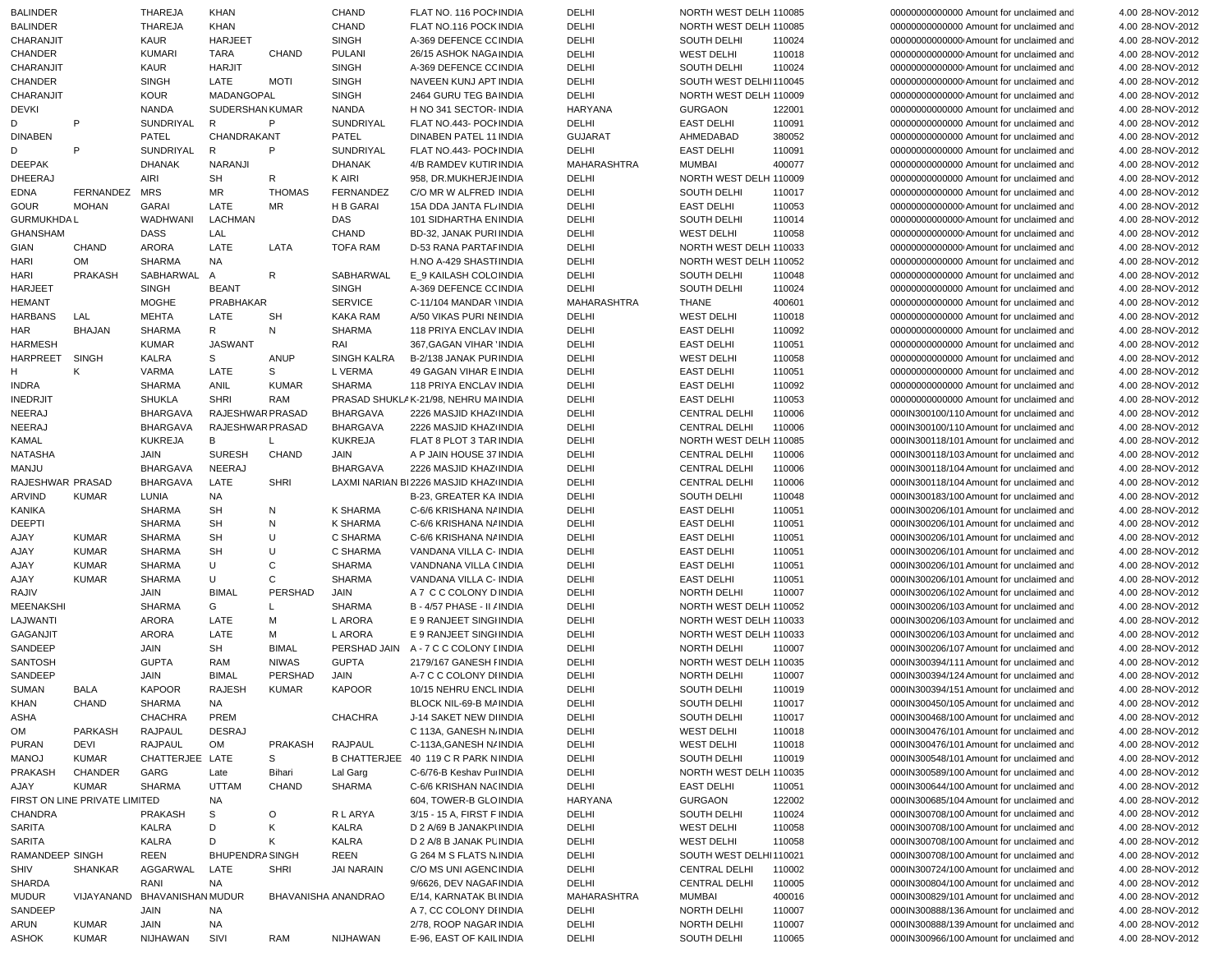| <b>BALINDER</b>   |                               | THAREJA           | <b>KHAN</b>            |                     | <b>CHAND</b>    | FLAT NO. 116 POCI INDIA                | DELHI          | NORTH WEST DELH 110085 |        | 00000000000000 Amount for unclaimed and  | 4.00 28-NOV-2012 |
|-------------------|-------------------------------|-------------------|------------------------|---------------------|-----------------|----------------------------------------|----------------|------------------------|--------|------------------------------------------|------------------|
| <b>BALINDER</b>   |                               | <b>THAREJA</b>    | <b>KHAN</b>            |                     | <b>CHAND</b>    | FLAT NO.116 POCK INDIA                 | DELHI          | NORTH WEST DELH 110085 |        | 00000000000000 Amount for unclaimed and  | 4.00 28-NOV-2012 |
| CHARANJIT         |                               | KAUR              | <b>HARJEET</b>         |                     | <b>SINGH</b>    | A-369 DEFENCE CCINDIA                  | DELHI          | SOUTH DELHI            | 110024 | 00000000000000 Amount for unclaimed and  | 4.00 28-NOV-2012 |
| CHANDER           |                               | <b>KUMARI</b>     | <b>TARA</b>            | <b>CHAND</b>        | <b>PULANI</b>   | 26/15 ASHOK NAGA INDIA                 | DELHI          | <b>WEST DELHI</b>      | 110018 | 00000000000000 Amount for unclaimed and  | 4.00 28-NOV-2012 |
| CHARANJIT         |                               | KAUR              | <b>HARJIT</b>          |                     | <b>SINGH</b>    | A-369 DEFENCE CCINDIA                  | DELHI          | SOUTH DELHI            | 110024 | 00000000000000 Amount for unclaimed and  | 4.00 28-NOV-2012 |
|                   |                               |                   |                        |                     |                 |                                        |                |                        |        |                                          |                  |
| CHANDER           |                               | <b>SINGH</b>      | LATE                   | <b>MOTI</b>         | <b>SINGH</b>    | NAVEEN KUNJ APT INDIA                  | DELHI          | SOUTH WEST DELHI110045 |        | 00000000000000 Amount for unclaimed and  | 4.00 28-NOV-2012 |
| CHARANJIT         |                               | <b>KOUR</b>       | MADANGOPAL             |                     | <b>SINGH</b>    | 2464 GURU TEG BAINDIA                  | DELHI          | NORTH WEST DELH 110009 |        | 00000000000000 Amount for unclaimed and  | 4.00 28-NOV-2012 |
| DEVKI             |                               | <b>NANDA</b>      | <b>SUDERSHAN KUMAR</b> |                     | <b>NANDA</b>    | H NO 341 SECTOR- INDIA                 | HARYANA        | <b>GURGAON</b>         | 122001 | 00000000000000 Amount for unclaimed and  | 4.00 28-NOV-2012 |
| D                 | P                             | SUNDRIYAL         | R                      | P                   | SUNDRIYAL       | FLAT NO.443- POCHNDIA                  | DELHI          | <b>EAST DELHI</b>      | 110091 | 00000000000000 Amount for unclaimed and  | 4.00 28-NOV-2012 |
|                   |                               |                   |                        |                     |                 |                                        |                |                        |        |                                          |                  |
| <b>DINABEN</b>    |                               | PATEL             | CHANDRAKANT            |                     | PATEL           | DINABEN PATEL 11 INDIA                 | <b>GUJARAT</b> | AHMEDABAD              | 380052 | 00000000000000 Amount for unclaimed and  | 4.00 28-NOV-2012 |
| D                 | P.                            | SUNDRIYAL         | R                      | P                   | SUNDRIYAL       | FLAT NO.443- POCHNDIA                  | DELHI          | <b>EAST DELHI</b>      | 110091 | 00000000000000 Amount for unclaimed and  | 4.00 28-NOV-2012 |
| <b>DEEPAK</b>     |                               | <b>DHANAK</b>     | <b>NARANJI</b>         |                     | <b>DHANAK</b>   | 4/B RAMDEV KUTIR INDIA                 | MAHARASHTRA    | <b>MUMBAI</b>          | 400077 | 00000000000000 Amount for unclaimed and  | 4.00 28-NOV-2012 |
| <b>DHEERAJ</b>    |                               | AIRI              | SH                     | R                   | K AIRI          | 958. DR.MUKHERJE INDIA                 | DELHI          | NORTH WEST DELH 110009 |        | 00000000000000 Amount for unclaimed and  | 4.00 28-NOV-2012 |
|                   |                               |                   |                        |                     |                 |                                        |                |                        |        |                                          |                  |
| <b>EDNA</b>       | FERNANDEZ                     | <b>MRS</b>        | MR                     | <b>THOMAS</b>       | FERNANDEZ       | C/O MR W ALFRED INDIA                  | DELHI          | SOUTH DELHI            | 110017 | 00000000000000 Amount for unclaimed and  | 4.00 28-NOV-2012 |
| <b>GOUR</b>       | <b>MOHAN</b>                  | <b>GARAI</b>      | LATE                   | MR                  | H B GARAI       | 15A DDA JANTA FL INDIA                 | DELHI          | <b>EAST DELHI</b>      | 110053 | 00000000000000 Amount for unclaimed and  | 4.00 28-NOV-2012 |
| <b>GURMUKHDAL</b> |                               | WADHWANI          | LACHMAN                |                     | DAS             | 101 SIDHARTHA EN INDIA                 | DELHI          | <b>SOUTH DELHI</b>     | 110014 | 00000000000000 Amount for unclaimed and  | 4.00 28-NOV-2012 |
| <b>GHANSHAM</b>   |                               | <b>DASS</b>       | LAL                    |                     | <b>CHAND</b>    | BD-32, JANAK PURI INDIA                | DELHI          | <b>WEST DELHI</b>      | 110058 | 00000000000000 Amount for unclaimed and  | 4.00 28-NOV-2012 |
|                   |                               |                   |                        |                     |                 |                                        |                |                        |        |                                          |                  |
| GIAN              | <b>CHAND</b>                  | <b>ARORA</b>      | LATE                   | LATA                | <b>TOFA RAM</b> | D-53 RANA PARTAFINDIA                  | DELHI          | NORTH WEST DELH 110033 |        | 00000000000000 Amount for unclaimed and  | 4.00 28-NOV-2012 |
| <b>HARI</b>       | OM                            | <b>SHARMA</b>     | <b>NA</b>              |                     |                 | H.NO A-429 SHASTIINDIA                 | DELHI          | NORTH WEST DELH 110052 |        | 00000000000000 Amount for unclaimed and  | 4.00 28-NOV-2012 |
| <b>HARI</b>       | <b>PRAKASH</b>                | SABHARWAL         | A                      | R                   | SABHARWAL       | E_9 KAILASH COLC INDIA                 | DELHI          | SOUTH DELHI            | 110048 | 00000000000000 Amount for unclaimed and  | 4.00 28-NOV-2012 |
| <b>HARJEET</b>    |                               | <b>SINGH</b>      | <b>BEANT</b>           |                     | <b>SINGH</b>    | A-369 DEFENCE CCINDIA                  | DELHI          | SOUTH DELHI            | 110024 | 00000000000000 Amount for unclaimed and  | 4.00 28-NOV-2012 |
|                   |                               |                   |                        |                     |                 |                                        |                |                        |        |                                          |                  |
| <b>HEMANT</b>     |                               | <b>MOGHE</b>      | PRABHAKAR              |                     | <b>SERVICE</b>  | C-11/104 MANDAR VINDIA                 | MAHARASHTRA    | THANE                  | 400601 | 00000000000000 Amount for unclaimed and  | 4.00 28-NOV-2012 |
| <b>HARBANS</b>    | LAL                           | <b>MEHTA</b>      | LATE                   | <b>SH</b>           | <b>KAKA RAM</b> | A/50 VIKAS PURI NEINDIA                | DELHI          | <b>WEST DELHI</b>      | 110018 | 00000000000000 Amount for unclaimed and  | 4.00 28-NOV-2012 |
| HAR               | <b>BHAJAN</b>                 | <b>SHARMA</b>     | R                      | N                   | <b>SHARMA</b>   | 118 PRIYA ENCLAV INDIA                 | DELHI          | <b>EAST DELHI</b>      | 110092 | 00000000000000 Amount for unclaimed and  | 4.00 28-NOV-2012 |
| <b>HARMESH</b>    |                               | <b>KUMAR</b>      | <b>JASWANT</b>         |                     | RAI             | 367.GAGAN VIHAR INDIA                  | DELHI          | <b>EAST DELHI</b>      | 110051 | 00000000000000 Amount for unclaimed and  | 4.00 28-NOV-2012 |
|                   |                               |                   |                        |                     |                 |                                        |                |                        |        |                                          |                  |
| HARPREET          | SINGH                         | KALRA             | s                      | ANUP                | SINGH KALRA     | B-2/138 JANAK PURINDIA                 | DELHI          | <b>WEST DELHI</b>      | 110058 | 00000000000000 Amount for unclaimed and  | 4.00 28-NOV-2012 |
| н                 | Κ                             | VARMA             | LATE                   | S                   | L VERMA         | 49 GAGAN VIHAR E INDIA                 | DELHI          | <b>EAST DELHI</b>      | 110051 | 00000000000000 Amount for unclaimed and  | 4.00 28-NOV-2012 |
| <b>INDRA</b>      |                               | <b>SHARMA</b>     | ANIL                   | <b>KUMAR</b>        | <b>SHARMA</b>   | 118 PRIYA ENCLAV INDIA                 | DELHI          | <b>EAST DELHI</b>      | 110092 | 00000000000000 Amount for unclaimed and  | 4.00 28-NOV-2012 |
| <b>INEDRJIT</b>   |                               | <b>SHUKLA</b>     | <b>SHRI</b>            | RAM                 |                 | PRASAD SHUKLAK-21/98. NEHRU MAINDIA    | DELHI          | <b>EAST DELHI</b>      | 110053 | 00000000000000 Amount for unclaimed and  | 4.00 28-NOV-2012 |
|                   |                               |                   |                        |                     |                 |                                        |                |                        |        |                                          |                  |
| NEERAJ            |                               | <b>BHARGAVA</b>   | RAJESHWAR PRASAD       |                     | <b>BHARGAVA</b> | 2226 MASJID KHAZ INDIA                 | DELHI          | <b>CENTRAL DELHI</b>   | 110006 | 000IN300100/110 Amount for unclaimed and | 4.00 28-NOV-2012 |
| NEERAJ            |                               | <b>BHARGAVA</b>   | RAJESHWAR PRASAD       |                     | <b>BHARGAVA</b> | 2226 MASJID KHAZ INDIA                 | DELHI          | <b>CENTRAL DELHI</b>   | 110006 | 000IN300100/110 Amount for unclaimed and | 4.00 28-NOV-2012 |
| <b>KAMAL</b>      |                               | <b>KUKREJA</b>    | В                      | L.                  | <b>KUKREJA</b>  | FLAT 8 PLOT 3 TAR INDIA                | DELHI          | NORTH WEST DELH 110085 |        | 000IN300118/101 Amount for unclaimed and | 4.00 28-NOV-2012 |
| <b>NATASHA</b>    |                               | JAIN              | <b>SURESH</b>          | <b>CHAND</b>        | JAIN            | A P JAIN HOUSE 37 INDIA                | DELHI          | <b>CENTRAL DELHI</b>   | 110006 | 000IN300118/103 Amount for unclaimed and | 4.00 28-NOV-2012 |
|                   |                               |                   |                        |                     |                 |                                        |                |                        |        |                                          |                  |
| MANJU             |                               | <b>BHARGAVA</b>   | NEERAJ                 |                     | <b>BHARGAVA</b> | 2226 MASJID KHAZ INDIA                 | DELHI          | <b>CENTRAL DELHI</b>   | 110006 | 000IN300118/104 Amount for unclaimed and | 4.00 28-NOV-2012 |
| RAJESHWAR PRASAD  |                               | <b>BHARGAVA</b>   | LATE                   | <b>SHRI</b>         |                 | LAXMI NARIAN BI 2226 MASJID KHAZ INDIA | DELHI          | <b>CENTRAL DELHI</b>   | 110006 | 000IN300118/104 Amount for unclaimed and | 4.00 28-NOV-2012 |
| ARVIND            | <b>KUMAR</b>                  | LUNIA             | <b>NA</b>              |                     |                 | B-23, GREATER KA INDIA                 | DELHI          | SOUTH DELHI            | 110048 | 000IN300183/100 Amount for unclaimed and | 4.00 28-NOV-2012 |
| <b>KANIKA</b>     |                               | <b>SHARMA</b>     | SH                     | N                   | K SHARMA        | C-6/6 KRISHANA N/ INDIA                | DELHI          | <b>EAST DELHI</b>      | 110051 | 000IN300206/101 Amount for unclaimed and | 4.00 28-NOV-2012 |
|                   |                               |                   |                        |                     |                 |                                        |                |                        |        |                                          |                  |
| <b>DEEPTI</b>     |                               | <b>SHARMA</b>     | <b>SH</b>              | N                   | K SHARMA        | C-6/6 KRISHANA N/ INDIA                | DELHI          | <b>EAST DELHI</b>      | 110051 | 000IN300206/101 Amount for unclaimed and | 4.00 28-NOV-2012 |
| AJAY              | <b>KUMAR</b>                  | <b>SHARMA</b>     | <b>SH</b>              | U                   | C SHARMA        | C-6/6 KRISHANA N/ INDIA                | DELHI          | <b>EAST DELHI</b>      | 110051 | 000IN300206/101 Amount for unclaimed and | 4.00 28-NOV-2012 |
| AJAY              | <b>KUMAR</b>                  | <b>SHARMA</b>     | <b>SH</b>              | U                   | C SHARMA        | VANDANA VILLA C- INDIA                 | DELHI          | <b>EAST DELHI</b>      | 110051 | 000IN300206/101 Amount for unclaimed and | 4.00 28-NOV-2012 |
| AJAY              | <b>KUMAR</b>                  | <b>SHARMA</b>     | U                      | C                   | <b>SHARMA</b>   | VANDNANA VILLA (INDIA                  | DELHI          | <b>EAST DELHI</b>      | 110051 | 000IN300206/101 Amount for unclaimed and | 4.00 28-NOV-2012 |
|                   |                               |                   |                        |                     |                 |                                        |                |                        |        |                                          |                  |
| AJAY              | <b>KUMAR</b>                  | <b>SHARMA</b>     | U                      | C                   | <b>SHARMA</b>   | VANDANA VILLA C- INDIA                 | DELHI          | <b>EAST DELHI</b>      | 110051 | 000IN300206/101 Amount for unclaimed and | 4.00 28-NOV-2012 |
| RAJIV             |                               | JAIN              | <b>BIMAL</b>           | PERSHAD             | JAIN            | A 7 C C COLONY D INDIA                 | DELHI          | NORTH DELHI            | 110007 | 000IN300206/102 Amount for unclaimed and | 4.00 28-NOV-2012 |
| <b>MEENAKSHI</b>  |                               | <b>SHARMA</b>     | G                      | L                   | <b>SHARMA</b>   | B - 4/57 PHASE - II / INDIA            | DELHI          | NORTH WEST DELH 110052 |        | 000IN300206/103 Amount for unclaimed and | 4.00 28-NOV-2012 |
| LAJWANTI          |                               | <b>ARORA</b>      | LATE                   | M                   | L ARORA         | E 9 RANJEET SINGHNDIA                  | DELHI          | NORTH WEST DELH 110033 |        | 000IN300206/103 Amount for unclaimed and | 4.00 28-NOV-2012 |
|                   |                               |                   |                        |                     |                 |                                        |                |                        |        |                                          |                  |
| GAGANJIT          |                               | <b>ARORA</b>      | LATE                   | М                   | L ARORA         | E 9 RANJEET SINGHNDIA                  | DELHI          | NORTH WEST DELH 110033 |        | 000IN300206/103 Amount for unclaimed and | 4.00 28-NOV-2012 |
| SANDEEP           |                               | JAIN              | SH                     | <b>BIMAL</b>        |                 | PERSHAD JAIN A - 7 C C COLONY LINDIA   | DELHI          | NORTH DELHI            | 110007 | 000IN300206/107 Amount for unclaimed and | 4.00 28-NOV-2012 |
| <b>SANTOSH</b>    |                               | <b>GUPTA</b>      | RAM                    | <b>NIWAS</b>        | <b>GUPTA</b>    | 2179/167 GANESH I INDIA                | DELHI          | NORTH WEST DELH 110035 |        | 000IN300394/111 Amount for unclaimed and | 4.00 28-NOV-2012 |
| SANDEEP           |                               | <b>JAIN</b>       | <b>BIMAL</b>           | <b>PERSHAD</b>      | JAIN            | A-7 C C COLONY DIINDIA                 | DELHI          | NORTH DELHI            | 110007 | 000IN300394/124 Amount for unclaimed and | 4.00 28-NOV-2012 |
|                   |                               |                   |                        |                     |                 |                                        |                |                        |        |                                          |                  |
| <b>SUMAN</b>      | <b>BALA</b>                   | <b>KAPOOR</b>     | <b>RAJESH</b>          | <b>KUMAR</b>        | <b>KAPOOR</b>   | 10/15 NEHRU ENCL INDIA                 | <b>DELHI</b>   | SOUTH DELHI            | 110019 | 000IN300394/151 Amount for unclaimed and | 4.00 28-NOV-2012 |
| KHAN              | CHAND                         | <b>SHARMA</b>     | NA                     |                     |                 | BLOCK NIL-69-B MAINDIA                 | DELHI          | SOUTH DELHI            | 110017 | 000IN300450/105 Amount for unclaimed and | 4.00 28-NOV-2012 |
| ASHA              |                               | CHACHRA           | PREM                   |                     | <b>CHACHRA</b>  | J-14 SAKET NEW DIINDIA                 | DELHI          | <b>SOUTH DELHI</b>     | 110017 | 000IN300468/100 Amount for unclaimed and | 4.00 28-NOV-2012 |
| OM                | PARKASH                       | RAJPAUL           | <b>DESRAJ</b>          |                     |                 | C 113A, GANESH N. INDIA                | DELHI          | <b>WEST DELHI</b>      | 110018 | 000IN300476/101 Amount for unclaimed and | 4.00 28-NOV-2012 |
|                   |                               |                   |                        |                     |                 |                                        |                |                        |        |                                          |                  |
| PURAN             | DEVI                          | <b>RAJPAUL</b>    | OM                     | <b>PRAKASH</b>      | RAJPAUL         | C-113A.GANESH N/INDIA                  | DELHI          | <b>WEST DELHI</b>      | 110018 | 000IN300476/101 Amount for unclaimed and | 4.00 28-NOV-2012 |
| <b>MANOJ</b>      | <b>KUMAR</b>                  | CHATTERJEE LATE   |                        | S                   |                 | B CHATTERJEE 40 119 C R PARK NINDIA    | DELHI          | SOUTH DELHI            | 110019 | 000IN300548/101 Amount for unclaimed and | 4.00 28-NOV-2012 |
| PRAKASH           | CHANDER                       | GARG              | Late                   | Bihari              | Lal Garg        | C-6/76-B Keshav Pu INDIA               | DELHI          | NORTH WEST DELH 110035 |        | 000IN300589/100 Amount for unclaimed and | 4.00 28-NOV-2012 |
| AJAY              | <b>KUMAR</b>                  | <b>SHARMA</b>     | <b>UTTAM</b>           | <b>CHAND</b>        | <b>SHARMA</b>   | C-6/6 KRISHAN NACINDIA                 | DELHI          | <b>EAST DELHI</b>      | 110051 | 000IN300644/100 Amount for unclaimed and | 4.00 28-NOV-2012 |
|                   |                               |                   |                        |                     |                 |                                        |                |                        |        |                                          |                  |
|                   | FIRST ON LINE PRIVATE LIMITED |                   | NA                     |                     |                 | 604, TOWER-B GLO INDIA                 | HARYANA        | <b>GURGAON</b>         | 122002 | 000IN300685/104 Amount for unclaimed and | 4.00 28-NOV-2012 |
| <b>CHANDRA</b>    |                               | PRAKASH           | S                      | $\circ$             | R L ARYA        | 3/15 - 15 A, FIRST F INDIA             | DELHI          | SOUTH DELHI            | 110024 | 000IN300708/100 Amount for unclaimed and | 4.00 28-NOV-2012 |
| SARITA            |                               | KALRA             | D                      | Κ                   | KALRA           | D 2 A/69 B JANAKPI INDIA               | DELHI          | <b>WEST DELHI</b>      | 110058 | 000IN300708/100 Amount for unclaimed and | 4.00 28-NOV-2012 |
| SARITA            |                               | KALRA             | D                      | Κ                   | KALRA           | D 2 A/8 B JANAK PL INDIA               | DELHI          | <b>WEST DELHI</b>      | 110058 | 000IN300708/100 Amount for unclaimed and | 4.00 28-NOV-2012 |
|                   |                               |                   |                        |                     |                 |                                        |                |                        |        |                                          |                  |
| RAMANDEEP SINGH   |                               | REEN              | <b>BHUPENDRA SINGH</b> |                     | <b>REEN</b>     | G 264 M S FLATS N. INDIA               | DELHI          | SOUTH WEST DELHI110021 |        | 000IN300708/100 Amount for unclaimed and | 4.00 28-NOV-2012 |
| SHIV              | SHANKAR                       | AGGARWAL          | LATE                   | <b>SHRI</b>         | JAI NARAIN      | C/O MS UNI AGENC INDIA                 | DELHI          | <b>CENTRAL DELHI</b>   | 110002 | 000IN300724/100 Amount for unclaimed and | 4.00 28-NOV-2012 |
| SHARDA            |                               | RANI              | NA.                    |                     |                 | 9/6626, DEV NAGAF INDIA                | DELHI          | <b>CENTRAL DELHI</b>   | 110005 | 000IN300804/100 Amount for unclaimed and | 4.00 28-NOV-2012 |
| <b>MUDUR</b>      | VIJAYANAND                    | BHAVANISHAN MUDUR |                        | BHAVANISHA ANANDRAO |                 | E/14, KARNATAK BUNDIA                  | MAHARASHTRA    | <b>MUMBAI</b>          | 400016 | 000IN300829/101 Amount for unclaimed and | 4.00 28-NOV-2012 |
|                   |                               |                   |                        |                     |                 |                                        |                |                        |        |                                          |                  |
| SANDEEP           |                               | <b>JAIN</b>       | NA                     |                     |                 | A 7, CC COLONY DHNDIA                  | DELHI          | NORTH DELHI            | 110007 | 000IN300888/136 Amount for unclaimed and | 4.00 28-NOV-2012 |
|                   |                               |                   |                        |                     |                 |                                        |                |                        |        |                                          |                  |
| ARUN              | <b>KUMAR</b>                  | JAIN              | NA                     |                     |                 | 2/78, ROOP NAGAR INDIA                 | DELHI          | NORTH DELHI            | 110007 | 000IN300888/139 Amount for unclaimed and | 4.00 28-NOV-2012 |
| <b>ASHOK</b>      | <b>KUMAR</b>                  | NIJHAWAN          | SIVI                   | RAM                 | NIJHAWAN        | E-96, EAST OF KAILINDIA                | DELHI          | SOUTH DELHI            | 110065 | 000IN300966/100 Amount for unclaimed and | 4.00 28-NOV-2012 |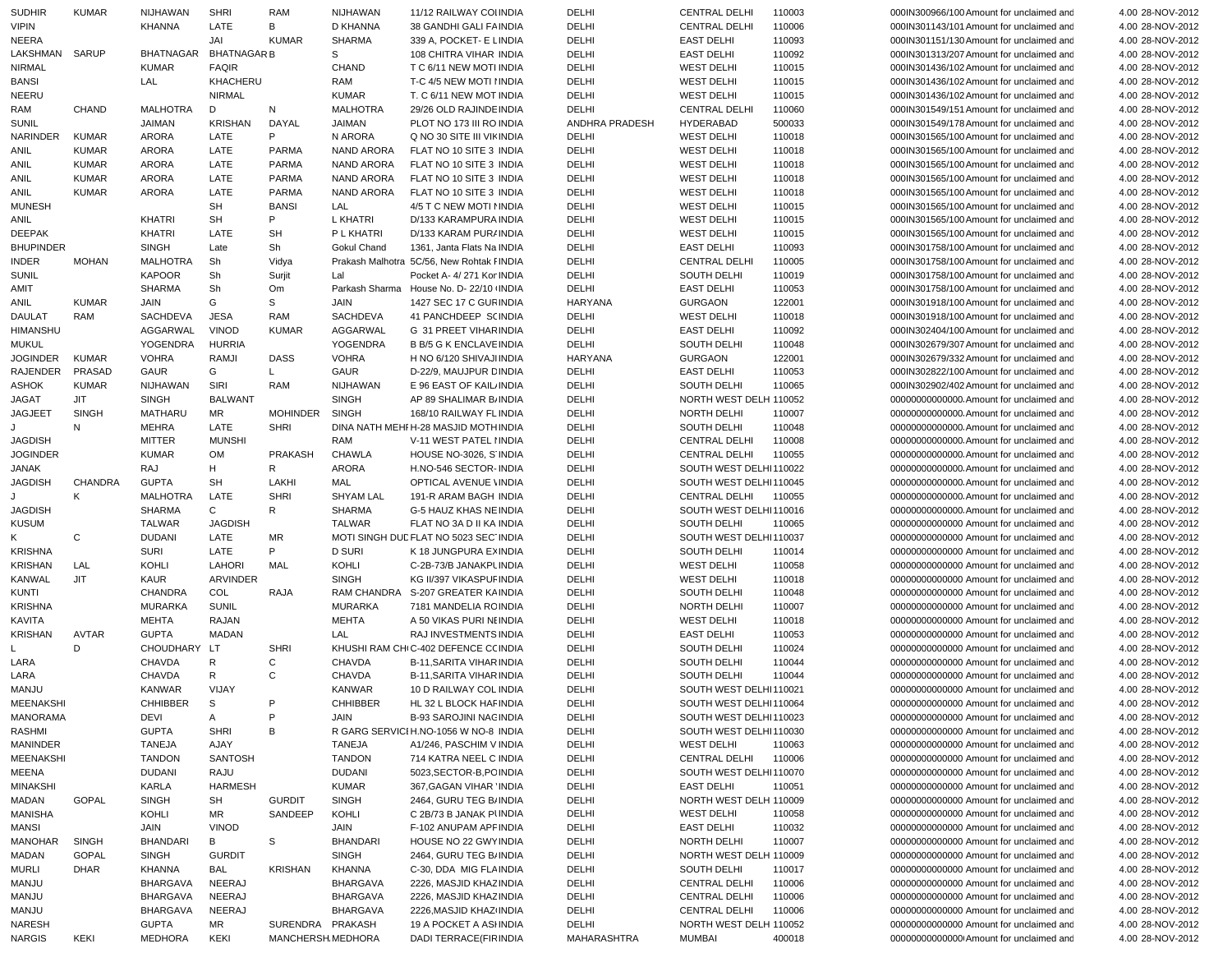| <b>SUDHIR</b>                  | <b>KUMAR</b> | <b>NIJHAWAN</b>                | <b>SHRI</b>        | RAM                                    | NIJHAWAN         | 11/12 RAILWAY COI INDIA                        | DELHI                | <b>CENTRAL DELHI</b>                    | 110003 | 000IN300966/100 Amount for unclaimed and                                            | 4.00 28-NOV-2012                     |
|--------------------------------|--------------|--------------------------------|--------------------|----------------------------------------|------------------|------------------------------------------------|----------------------|-----------------------------------------|--------|-------------------------------------------------------------------------------------|--------------------------------------|
| <b>VIPIN</b>                   |              | <b>KHANNA</b>                  | LATE               | В                                      | D KHANNA         | 38 GANDHI GALI FAINDIA                         | DELHI                | <b>CENTRAL DELHI</b>                    | 110006 | 000IN301143/101 Amount for unclaimed and                                            | 4.00 28-NOV-2012                     |
| <b>NEERA</b>                   |              |                                | JAI                | <b>KUMAR</b>                           | SHARMA           | 339 A, POCKET- E LINDIA                        | DELHI                | <b>EAST DELHI</b>                       | 110093 | 000IN301151/130 Amount for unclaimed and                                            | 4.00 28-NOV-2012                     |
| LAKSHMAN                       | <b>SARUP</b> | <b>BHATNAGAR</b>               | <b>BHATNAGAR B</b> |                                        | S                | 108 CHITRA VIHAR INDIA                         | DELHI                | <b>EAST DELHI</b>                       | 110092 | 000IN301313/207 Amount for unclaimed and                                            | 4.00 28-NOV-2012                     |
| <b>NIRMAL</b>                  |              | <b>KUMAR</b>                   | <b>FAQIR</b>       |                                        | CHAND            | T C 6/11 NEW MOTI INDIA                        | DELHI                | <b>WEST DELHI</b>                       | 110015 | 000IN301436/102 Amount for unclaimed and                                            | 4.00 28-NOV-2012                     |
| <b>BANSI</b>                   |              | LAL                            | KHACHERU           |                                        | RAM              | T-C 4/5 NEW MOTI I INDIA                       | DELHI                | <b>WEST DELHI</b>                       | 110015 | 000IN301436/102 Amount for unclaimed and                                            | 4.00 28-NOV-2012                     |
| NEERU                          |              |                                | <b>NIRMAL</b>      |                                        | <b>KUMAR</b>     | T. C 6/11 NEW MOT INDIA                        | DELHI                | <b>WEST DELHI</b>                       | 110015 | 000IN301436/102 Amount for unclaimed and                                            | 4.00 28-NOV-2012                     |
| RAM                            | CHAND        | <b>MALHOTRA</b>                | D                  | N                                      | <b>MALHOTRA</b>  | 29/26 OLD RAJINDE INDIA                        | DELHI                | <b>CENTRAL DELHI</b>                    | 110060 | 000IN301549/151 Amount for unclaimed and                                            | 4.00 28-NOV-2012                     |
|                                |              |                                |                    |                                        |                  |                                                |                      | <b>HYDERABAD</b>                        |        |                                                                                     |                                      |
| <b>SUNIL</b>                   |              | JAIMAN                         | <b>KRISHAN</b>     | DAYAL                                  | JAIMAN           | PLOT NO 173 III RO INDIA                       | ANDHRA PRADESH       |                                         | 500033 | 000IN301549/178 Amount for unclaimed and                                            | 4.00 28-NOV-2012                     |
| <b>NARINDER</b>                | <b>KUMAR</b> | <b>ARORA</b>                   | LATE               | P                                      | N ARORA          | Q NO 30 SITE III VII INDIA                     | DELHI                | <b>WEST DELHI</b>                       | 110018 | 000IN301565/100 Amount for unclaimed and                                            | 4.00 28-NOV-2012                     |
| ANIL                           | <b>KUMAR</b> | <b>ARORA</b>                   | LATE               | <b>PARMA</b>                           | NAND ARORA       | FLAT NO 10 SITE 3 INDIA                        | DELHI                | <b>WEST DELHI</b>                       | 110018 | 000IN301565/100 Amount for unclaimed and                                            | 4.00 28-NOV-2012                     |
| ANIL                           | <b>KUMAR</b> | <b>ARORA</b>                   | LATE               | <b>PARMA</b>                           | NAND ARORA       | FLAT NO 10 SITE 3 INDIA                        | DELHI                | <b>WEST DELHI</b>                       | 110018 | 000IN301565/100 Amount for unclaimed and                                            | 4.00 28-NOV-2012                     |
| <b>ANIL</b>                    | <b>KUMAR</b> | <b>ARORA</b>                   | LATE               | <b>PARMA</b>                           | NAND ARORA       | FLAT NO 10 SITE 3 INDIA                        | DELHI                | <b>WEST DELHI</b>                       | 110018 | 000IN301565/100 Amount for unclaimed and                                            | 4.00 28-NOV-2012                     |
| <b>ANIL</b>                    | <b>KUMAR</b> | <b>ARORA</b>                   | LATE               | <b>PARMA</b>                           | NAND ARORA       | FLAT NO 10 SITE 3 INDIA                        | DELHI                | <b>WEST DELHI</b>                       | 110018 | 000IN301565/100 Amount for unclaimed and                                            | 4.00 28-NOV-2012                     |
| <b>MUNESH</b>                  |              |                                | SH                 | <b>BANSI</b>                           | LAL              | 4/5 T C NEW MOTI NINDIA                        | DELHI                | <b>WEST DELHI</b>                       | 110015 | 000IN301565/100 Amount for unclaimed and                                            | 4.00 28-NOV-2012                     |
| <b>ANIL</b>                    |              | <b>KHATRI</b>                  | SH                 | P                                      | <b>L KHATRI</b>  | D/133 KARAMPURA INDIA                          | DELHI                | <b>WEST DELHI</b>                       | 110015 | 000IN301565/100 Amount for unclaimed and                                            | 4.00 28-NOV-2012                     |
| <b>DEEPAK</b>                  |              | <b>KHATRI</b>                  | LATE               | <b>SH</b>                              | P L KHATRI       | D/133 KARAM PUR/ INDIA                         | DELHI                | <b>WEST DELHI</b>                       | 110015 | 000IN301565/100 Amount for unclaimed and                                            | 4.00 28-NOV-2012                     |
| <b>BHUPINDER</b>               |              | <b>SINGH</b>                   | Late               | Sh                                     | Gokul Chand      | 1361, Janta Flats Na INDIA                     | DELHI                | <b>EAST DELHI</b>                       | 110093 | 000IN301758/100 Amount for unclaimed and                                            | 4.00 28-NOV-2012                     |
| <b>INDER</b>                   |              |                                |                    |                                        |                  |                                                |                      |                                         |        |                                                                                     |                                      |
|                                | <b>MOHAN</b> | <b>MALHOTRA</b>                | Sh                 | Vidya                                  |                  | Prakash Malhotra 5C/56, New Rohtak I INDIA     | DELHI                | <b>CENTRAL DELHI</b>                    | 110005 | 000IN301758/100 Amount for unclaimed and                                            | 4.00 28-NOV-2012                     |
| <b>SUNIL</b>                   |              | <b>KAPOOR</b>                  | Sh                 | Surjit                                 | Lal              | Pocket A- 4/271 Kor INDIA                      | DELHI                | SOUTH DELHI                             | 110019 | 000IN301758/100 Amount for unclaimed and                                            | 4.00 28-NOV-2012                     |
| AMIT                           |              | <b>SHARMA</b>                  | Sh                 | Om                                     |                  | Parkash Sharma House No. D-22/10 INDIA         | DELHI                | <b>EAST DELHI</b>                       | 110053 | 000IN301758/100 Amount for unclaimed and                                            | 4.00 28-NOV-2012                     |
| <b>ANIL</b>                    | <b>KUMAR</b> | <b>JAIN</b>                    | G                  | S                                      | JAIN             | 1427 SEC 17 C GURINDIA                         | HARYANA              | <b>GURGAON</b>                          | 122001 | 000IN301918/100 Amount for unclaimed and                                            | 4.00 28-NOV-2012                     |
| <b>DAULAT</b>                  | RAM          | SACHDEVA                       | <b>JESA</b>        | <b>RAM</b>                             | <b>SACHDEVA</b>  | 41 PANCHDEEP S(INDIA                           | DELHI                | <b>WEST DELHI</b>                       | 110018 | 000IN301918/100 Amount for unclaimed and                                            | 4.00 28-NOV-2012                     |
| <b>HIMANSHU</b>                |              | AGGARWAL                       | <b>VINOD</b>       | <b>KUMAR</b>                           | AGGARWAL         | G 31 PREET VIHAR INDIA                         | DELHI                | <b>EAST DELHI</b>                       | 110092 | 000IN302404/100 Amount for unclaimed and                                            | 4.00 28-NOV-2012                     |
| <b>MUKUL</b>                   |              | YOGENDRA                       | <b>HURRIA</b>      |                                        | <b>YOGENDRA</b>  | <b>B B/5 G K ENCLAVE INDIA</b>                 | DELHI                | SOUTH DELHI                             | 110048 | 000IN302679/307 Amount for unclaimed and                                            | 4.00 28-NOV-2012                     |
| <b>JOGINDER</b>                | <b>KUMAR</b> | <b>VOHRA</b>                   | RAMJI              | <b>DASS</b>                            | <b>VOHRA</b>     | H NO 6/120 SHIVAJI INDIA                       | HARYANA              | <b>GURGAON</b>                          | 122001 | 000IN302679/332 Amount for unclaimed and                                            | 4.00 28-NOV-2012                     |
| RAJENDER                       | PRASAD       | GAUR                           | G                  | L                                      | <b>GAUR</b>      | D-22/9, MAUJPUR DINDIA                         | DELHI                | <b>EAST DELHI</b>                       | 110053 | 000IN302822/100 Amount for unclaimed and                                            | 4.00 28-NOV-2012                     |
| <b>ASHOK</b>                   | <b>KUMAR</b> | NIJHAWAN                       | SIRI               | RAM                                    | NIJHAWAN         | E 96 EAST OF KAIL INDIA                        | DELHI                | SOUTH DELHI                             | 110065 | 000IN302902/402 Amount for unclaimed and                                            | 4.00 28-NOV-2012                     |
| <b>JAGAT</b>                   | <b>JIT</b>   |                                | <b>BALWANT</b>     |                                        | <b>SINGH</b>     |                                                | DELHI                | NORTH WEST DELH 110052                  |        |                                                                                     | 4.00 28-NOV-2012                     |
|                                |              | <b>SINGH</b>                   |                    |                                        |                  | AP 89 SHALIMAR B/INDIA                         |                      |                                         |        | 000000000000000. Amount for unclaimed and                                           |                                      |
| <b>JAGJEET</b>                 | <b>SINGH</b> | <b>MATHARU</b>                 | MR                 | <b>MOHINDER</b>                        | <b>SINGH</b>     | 168/10 RAILWAY FL INDIA                        | DELHI                | NORTH DELHI                             | 110007 | 000000000000000. Amount for unclaimed and                                           | 4.00 28-NOV-2012                     |
|                                | N            | <b>MEHRA</b>                   | LATE               | <b>SHRI</b>                            |                  | DINA NATH MEHI H-28 MASJID MOTH INDIA          | DELHI                | <b>SOUTH DELHI</b>                      | 110048 | 00000000000000. Amount for unclaimed and                                            | 4.00 28-NOV-2012                     |
| <b>JAGDISH</b>                 |              | <b>MITTER</b>                  | <b>MUNSHI</b>      |                                        | RAM              | V-11 WEST PATEL HNDIA                          | DELHI                | <b>CENTRAL DELHI</b>                    | 110008 |                                                                                     | 4.00 28-NOV-2012                     |
| <b>JOGINDER</b>                |              | <b>KUMAR</b>                   | <b>OM</b>          | <b>PRAKASH</b>                         | <b>CHAWLA</b>    | HOUSE NO-3026, S'INDIA                         | DELHI                | <b>CENTRAL DELHI</b>                    | 110055 | 00000000000000. Amount for unclaimed and                                            | 4.00 28-NOV-2012                     |
| <b>JANAK</b>                   |              | RAJ                            | н                  | R                                      | ARORA            | H.NO-546 SECTOR-INDIA                          | DELHI                | SOUTH WEST DELHI110022                  |        | 00000000000000. Amount for unclaimed and                                            | 4.00 28-NOV-2012                     |
| <b>JAGDISH</b>                 | CHANDRA      | <b>GUPTA</b>                   | SH                 | LAKHI                                  | MAL              | OPTICAL AVENUE \INDIA                          | DELHI                | SOUTH WEST DELHI110045                  |        | 00000000000000. Amount for unclaimed and                                            | 4.00 28-NOV-2012                     |
| J                              |              | <b>MALHOTRA</b>                | LATE               | <b>SHRI</b>                            | <b>SHYAM LAL</b> |                                                |                      |                                         |        |                                                                                     |                                      |
|                                | К            |                                |                    |                                        |                  | 191-R ARAM BAGH INDIA                          | DELHI                | CENTRAL DELHI                           | 110055 | 00000000000000. Amount for unclaimed and                                            | 4.00 28-NOV-2012                     |
|                                |              |                                |                    |                                        |                  |                                                |                      |                                         |        |                                                                                     |                                      |
| <b>JAGDISH</b>                 |              | <b>SHARMA</b>                  | C                  | R                                      | <b>SHARMA</b>    | G-5 HAUZ KHAS NE INDIA                         | DELHI                | SOUTH WEST DELHI110016                  |        | 00000000000000. Amount for unclaimed and                                            | 4.00 28-NOV-2012                     |
| <b>KUSUM</b>                   |              | <b>TALWAR</b>                  | <b>JAGDISH</b>     |                                        | <b>TALWAR</b>    | FLAT NO 3A D II KA INDIA                       | DELHI                | SOUTH DELHI                             | 110065 | 00000000000000 Amount for unclaimed and                                             | 4.00 28-NOV-2012                     |
| K                              | C            | <b>DUDANI</b>                  | LATE               | MR                                     |                  | MOTI SINGH DUL FLAT NO 5023 SEC INDIA          | DELHI                | SOUTH WEST DELHI110037                  |        | 00000000000000 Amount for unclaimed and                                             | 4.00 28-NOV-2012                     |
| <b>KRISHNA</b>                 |              | <b>SURI</b>                    | LATE               | P                                      | <b>D SURI</b>    | K 18 JUNGPURA EXINDIA                          | DELHI                | SOUTH DELHI                             | 110014 | 00000000000000 Amount for unclaimed and                                             | 4.00 28-NOV-2012                     |
| <b>KRISHAN</b>                 | LAL          | <b>KOHLI</b>                   | <b>LAHORI</b>      | MAL                                    | KOHLI            | C-2B-73/B JANAKPLINDIA                         | DELHI                | <b>WEST DELHI</b>                       | 110058 | 00000000000000 Amount for unclaimed and                                             | 4.00 28-NOV-2012                     |
| <b>KANWAL</b>                  | <b>JIT</b>   | KAUR                           | <b>ARVINDER</b>    |                                        | <b>SINGH</b>     | KG II/397 VIKASPUF INDIA                       | DELHI                | <b>WEST DELHI</b>                       | 110018 | 00000000000000 Amount for unclaimed and                                             | 4.00 28-NOV-2012                     |
| <b>KUNTI</b>                   |              | <b>CHANDRA</b>                 | COL                | RAJA                                   |                  | RAM CHANDRA S-207 GREATER KAINDIA              | DELHI                | SOUTH DELHI                             | 110048 | 00000000000000 Amount for unclaimed and                                             | 4.00 28-NOV-2012                     |
| <b>KRISHNA</b>                 |              | <b>MURARKA</b>                 | SUNIL              |                                        | <b>MURARKA</b>   | 7181 MANDELIA RCINDIA                          | DELHI                | NORTH DELHI                             | 110007 | 00000000000000 Amount for unclaimed and                                             | 4.00 28-NOV-2012                     |
| <b>KAVITA</b>                  |              | <b>MEHTA</b>                   | RAJAN              |                                        | <b>MEHTA</b>     | A 50 VIKAS PURI NEINDIA                        | DELHI                | <b>WEST DELHI</b>                       | 110018 | 00000000000000 Amount for unclaimed and                                             | 4.00 28-NOV-2012                     |
| <b>KRISHAN</b>                 | AVTAR        | <b>GUPTA</b>                   | <b>MADAN</b>       |                                        | LAL              | RAJ INVESTMENTS INDIA                          | DELHI                | <b>EAST DELHI</b>                       | 110053 | 00000000000000 Amount for unclaimed and                                             | 4.00 28-NOV-2012                     |
| L                              | D            | <b>CHOUDHARY</b>               | LT                 | <b>SHRI</b>                            |                  | KHUSHI RAM CH(C-402 DEFENCE C(INDIA            | DELHI                | SOUTH DELHI                             | 110024 | 00000000000000 Amount for unclaimed and                                             | 4.00 28-NOV-2012                     |
| LARA                           |              | CHAVDA                         | R                  | C                                      | <b>CHAVDA</b>    | <b>B-11.SARITA VIHARINDIA</b>                  | DELHI                | SOUTH DELHI                             | 110044 | 00000000000000 Amount for unclaimed and                                             | 4.00 28-NOV-2012                     |
| LARA                           |              | CHAVDA                         | R                  | C                                      | CHAVDA           | <b>B-11, SARITA VIHAR INDIA</b>                | DELHI                | SOUTH DELHI                             | 110044 | 00000000000000 Amount for unclaimed and                                             | 4.00 28-NOV-2012                     |
| MANJU                          |              | <b>KANWAR</b>                  | VIJAY              |                                        | <b>KANWAR</b>    | 10 D RAILWAY COL INDIA                         | DELHI                | SOUTH WEST DELHI110021                  |        | 00000000000000 Amount for unclaimed and                                             | 4.00 28-NOV-2012                     |
|                                |              |                                |                    | P                                      |                  |                                                |                      |                                         |        |                                                                                     |                                      |
| <b>MEENAKSHI</b>               |              | <b>CHHIBBER</b>                | S                  |                                        | CHHIBBER         | HL 32 L BLOCK HAF INDIA                        | DELHI                | SOUTH WEST DELHI110064                  |        | 00000000000000 Amount for unclaimed and                                             | 4.00 28-NOV-2012                     |
| MANORAMA                       |              | <b>DEVI</b>                    | Α                  | P                                      | JAIN             | B-93 SAROJINI NACINDIA                         | DELHI                | SOUTH WEST DELHI110023                  |        | 00000000000000 Amount for unclaimed and                                             | 4.00 28-NOV-2012                     |
| <b>RASHMI</b>                  |              | <b>GUPTA</b>                   | <b>SHRI</b>        | B                                      |                  | R GARG SERVICI H.NO-1056 W NO-8 INDIA          | DELHI                | SOUTH WEST DELHI110030                  |        | 00000000000000 Amount for unclaimed and                                             | 4.00 28-NOV-2012                     |
| <b>MANINDER</b>                |              | <b>TANEJA</b>                  | AJAY               |                                        | TANEJA           | A1/246, PASCHIM V INDIA                        | DELHI                | <b>WEST DELHI</b>                       | 110063 | 00000000000000 Amount for unclaimed and                                             | 4.00 28-NOV-2012                     |
| <b>MEENAKSHI</b>               |              | <b>TANDON</b>                  | <b>SANTOSH</b>     |                                        | <b>TANDON</b>    | 714 KATRA NEEL C INDIA                         | DELHI                | CENTRAL DELHI                           | 110006 | 00000000000000 Amount for unclaimed and                                             | 4.00 28-NOV-2012                     |
| <b>MEENA</b>                   |              | <b>DUDANI</b>                  | <b>RAJU</b>        |                                        | <b>DUDANI</b>    | 5023, SECTOR-B, PC INDIA                       | DELHI                | SOUTH WEST DELHI110070                  |        | 00000000000000 Amount for unclaimed and                                             | 4.00 28-NOV-2012                     |
| <b>MINAKSHI</b>                |              | KARLA                          | <b>HARMESH</b>     |                                        | <b>KUMAR</b>     | 367, GAGAN VIHAR INDIA                         | DELHI                | <b>EAST DELHI</b>                       | 110051 | 00000000000000 Amount for unclaimed and                                             | 4.00 28-NOV-2012                     |
| MADAN                          | <b>GOPAL</b> | <b>SINGH</b>                   | SH                 | <b>GURDIT</b>                          | <b>SINGH</b>     | 2464, GURU TEG B/INDIA                         | DELHI                | NORTH WEST DELH 110009                  |        | 00000000000000 Amount for unclaimed and                                             | 4.00 28-NOV-2012                     |
| <b>MANISHA</b>                 |              | KOHLI                          | MR                 | SANDEEP                                | KOHLI            | C 2B/73 B JANAK PUNDIA                         | DELHI                | <b>WEST DELHI</b>                       | 110058 | 00000000000000 Amount for unclaimed and                                             | 4.00 28-NOV-2012                     |
| <b>MANSI</b>                   |              | JAIN                           | <b>VINOD</b>       |                                        | JAIN             | F-102 ANUPAM APF INDIA                         | DELHI                | <b>EAST DELHI</b>                       | 110032 | 00000000000000 Amount for unclaimed and                                             | 4.00 28-NOV-2012                     |
| <b>MANOHAR</b>                 | <b>SINGH</b> | <b>BHANDARI</b>                | В                  | S                                      | <b>BHANDARI</b>  | HOUSE NO 22 GWY INDIA                          | DELHI                | NORTH DELHI                             | 110007 | 00000000000000 Amount for unclaimed and                                             | 4.00 28-NOV-2012                     |
|                                |              |                                |                    |                                        |                  |                                                |                      |                                         |        |                                                                                     |                                      |
| MADAN                          | <b>GOPAL</b> | SINGH                          | <b>GURDIT</b>      |                                        | <b>SINGH</b>     | 2464, GURU TEG B/INDIA                         | DELHI                | NORTH WEST DELH 110009                  |        | 00000000000000 Amount for unclaimed and                                             | 4.00 28-NOV-2012                     |
| <b>MURLI</b>                   | <b>DHAR</b>  | KHANNA                         | BAL                | <b>KRISHAN</b>                         | KHANNA           | C-30, DDA MIG FLAINDIA                         | DELHI                | SOUTH DELHI                             | 110017 | 00000000000000 Amount for unclaimed and                                             | 4.00 28-NOV-2012                     |
| MANJU                          |              | <b>BHARGAVA</b>                | NEERAJ             |                                        | <b>BHARGAVA</b>  | 2226, MASJID KHAZ INDIA                        | DELHI                | <b>CENTRAL DELHI</b>                    | 110006 | 00000000000000 Amount for unclaimed and                                             | 4.00 28-NOV-2012                     |
| MANJU                          |              | <b>BHARGAVA</b>                | NEERAJ             |                                        | <b>BHARGAVA</b>  | 2226, MASJID KHAZ INDIA                        | DELHI                | <b>CENTRAL DELHI</b>                    | 110006 | 00000000000000 Amount for unclaimed and                                             | 4.00 28-NOV-2012                     |
| MANJU                          |              | <b>BHARGAVA</b>                | NEERAJ             |                                        | <b>BHARGAVA</b>  | 2226, MASJID KHAZ INDIA                        | DELHI                | <b>CENTRAL DELHI</b>                    | 110006 | 00000000000000 Amount for unclaimed and                                             | 4.00 28-NOV-2012                     |
| <b>NARESH</b><br><b>NARGIS</b> | KEKI         | <b>GUPTA</b><br><b>MEDHORA</b> | MR<br>KEKI         | SURENDRA PRAKASH<br>MANCHERSH. MEDHORA |                  | 19 A POCKET A ASHNDIA<br>DADI TERRACE(FIRINDIA | DELHI<br>MAHARASHTRA | NORTH WEST DELH 110052<br><b>MUMBAI</b> | 400018 | 00000000000000 Amount for unclaimed and<br>000000000000000 Amount for unclaimed and | 4.00 28-NOV-2012<br>4.00 28-NOV-2012 |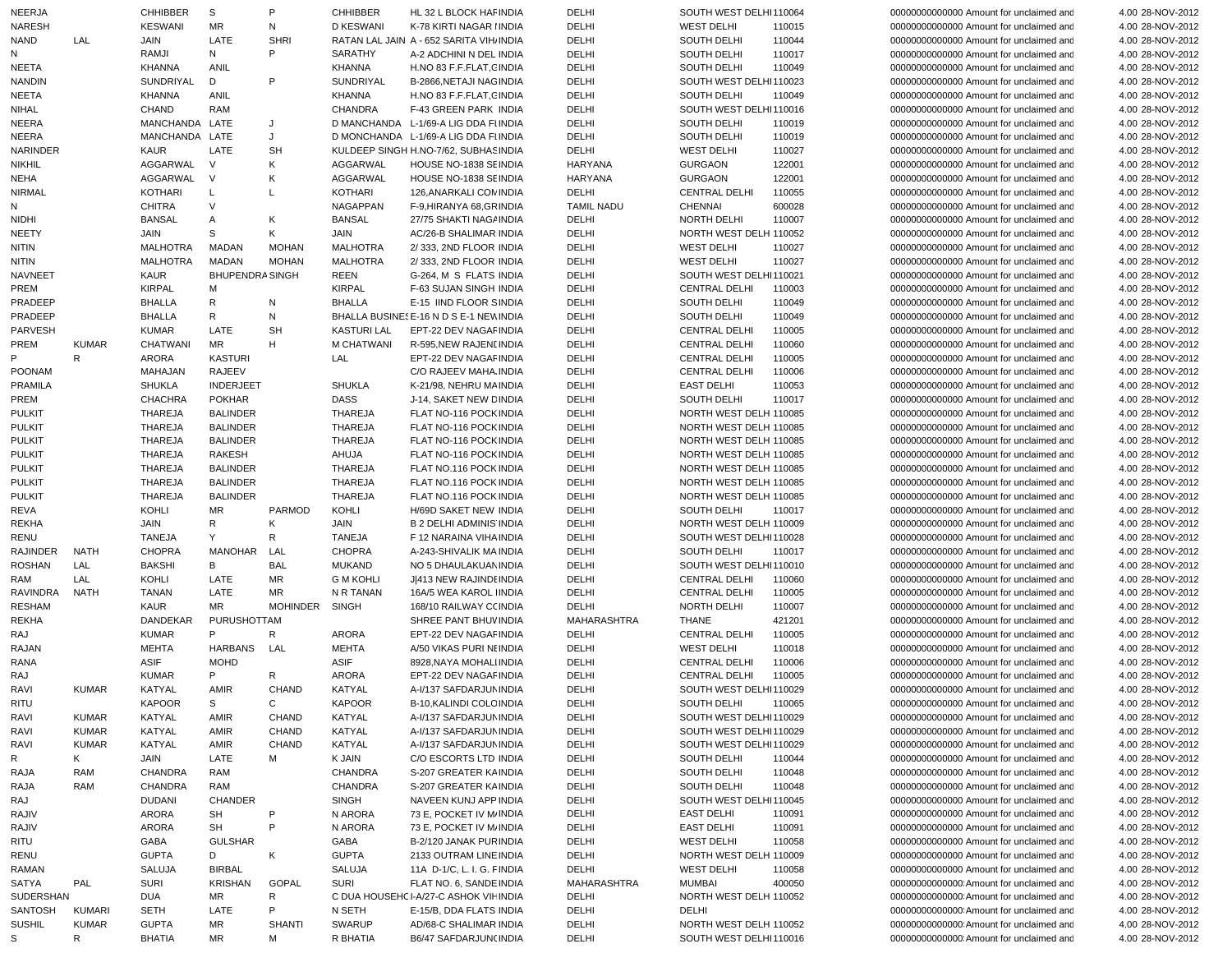| <b>NEERJA</b>   |               | <b>CHHIBBER</b> | S                      | P               | <b>CHHIBBER</b>    | HL 32 L BLOCK HAF INDIA                 | DELHI             | SOUTH WEST DELHI110064 |        | 000000000000000 Amount for unclaimed and | 4.00 28-NOV-2012 |
|-----------------|---------------|-----------------|------------------------|-----------------|--------------------|-----------------------------------------|-------------------|------------------------|--------|------------------------------------------|------------------|
| <b>NARESH</b>   |               | <b>KESWANI</b>  | MR                     | N               | <b>D KESWANI</b>   | K-78 KIRTI NAGAR IINDIA                 | DELHI             | <b>WEST DELHI</b>      | 110015 | 00000000000000 Amount for unclaimed and  | 4.00 28-NOV-2012 |
| <b>NAND</b>     | LAL           | JAIN            | LATE                   | <b>SHRI</b>     |                    | RATAN LAL JAIN A - 652 SARITA VIH INDIA | DELHI             | <b>SOUTH DELHI</b>     | 110044 | 00000000000000 Amount for unclaimed and  | 4.00 28-NOV-2012 |
| Ν               |               | RAMJI           | N                      | P               | SARATHY            | A-2 ADCHINI N DEL INDIA                 | DELHI             | <b>SOUTH DELHI</b>     | 110017 | 00000000000000 Amount for unclaimed and  | 4.00 28-NOV-2012 |
| <b>NEETA</b>    |               | <b>KHANNA</b>   | ANIL                   |                 | KHANNA             | H.NO 83 F.F.FLAT, CINDIA                | DELHI             | SOUTH DELHI            | 110049 | 00000000000000 Amount for unclaimed and  | 4.00 28-NOV-2012 |
| <b>NANDIN</b>   |               | SUNDRIYAL       | D                      | P               | SUNDRIYAL          | B-2866, NETAJI NAG INDIA                | DELHI             | SOUTH WEST DELHI110023 |        | 00000000000000 Amount for unclaimed and  | 4.00 28-NOV-2012 |
| <b>NEETA</b>    |               | <b>KHANNA</b>   | ANIL                   |                 | <b>KHANNA</b>      | H.NO 83 F.F.FLAT, CINDIA                | DELHI             | <b>SOUTH DELHI</b>     | 110049 | 00000000000000 Amount for unclaimed and  | 4.00 28-NOV-2012 |
| <b>NIHAL</b>    |               | CHAND           | <b>RAM</b>             |                 | <b>CHANDRA</b>     | F-43 GREEN PARK INDIA                   | DELHI             | SOUTH WEST DELHI110016 |        | 00000000000000 Amount for unclaimed and  | 4.00 28-NOV-2012 |
|                 |               |                 |                        |                 |                    |                                         |                   |                        |        |                                          |                  |
| <b>NEERA</b>    |               | MANCHANDA LATE  |                        | J               |                    | D MANCHANDA L-1/69-A LIG DDA FI INDIA   | DELHI             | SOUTH DELHI            | 110019 | 00000000000000 Amount for unclaimed and  | 4.00 28-NOV-2012 |
| <b>NEERA</b>    |               | MANCHANDA LATE  |                        | J               |                    | D MONCHANDA L-1/69-A LIG DDA FI INDIA   | DELHI             | SOUTH DELHI            | 110019 | 00000000000000 Amount for unclaimed and  | 4.00 28-NOV-2012 |
| NARINDER        |               | KAUR            | LATE                   | <b>SH</b>       |                    | KULDEEP SINGH H.NO-7/62, SUBHAS INDIA   | DELHI             | <b>WEST DELHI</b>      | 110027 | 00000000000000 Amount for unclaimed and  | 4.00 28-NOV-2012 |
| <b>NIKHIL</b>   |               | AGGARWAL        | $\vee$                 | Κ               | AGGARWAL           | HOUSE NO-1838 SEINDIA                   | HARYANA           | <b>GURGAON</b>         | 122001 | 00000000000000 Amount for unclaimed and  | 4.00 28-NOV-2012 |
| <b>NEHA</b>     |               | AGGARWAL        | $\vee$                 | Κ               | AGGARWAL           | HOUSE NO-1838 SEINDIA                   | <b>HARYANA</b>    | <b>GURGAON</b>         | 122001 | 00000000000000 Amount for unclaimed and  | 4.00 28-NOV-2012 |
| <b>NIRMAL</b>   |               | <b>KOTHARI</b>  | L                      | L               | <b>KOTHARI</b>     | 126, ANARKALI COM INDIA                 | DELHI             | <b>CENTRAL DELHI</b>   | 110055 | 00000000000000 Amount for unclaimed and  | 4.00 28-NOV-2012 |
| Ν               |               | CHITRA          | $\vee$                 |                 | <b>NAGAPPAN</b>    | F-9, HIRANYA 68, GRINDIA                | <b>TAMIL NADU</b> | <b>CHENNAI</b>         | 600028 | 00000000000000 Amount for unclaimed and  | 4.00 28-NOV-2012 |
| <b>NIDHI</b>    |               | <b>BANSAL</b>   | Α                      | Κ               | <b>BANSAL</b>      | 27/75 SHAKTI NAGA INDIA                 | DELHI             | <b>NORTH DELHI</b>     | 110007 | 00000000000000 Amount for unclaimed and  | 4.00 28-NOV-2012 |
| <b>NEETY</b>    |               | JAIN            | s                      | Κ               | JAIN               | AC/26-B SHALIMAR INDIA                  | DELHI             | NORTH WEST DELH 110052 |        | 00000000000000 Amount for unclaimed and  | 4.00 28-NOV-2012 |
| <b>NITIN</b>    |               | <b>MALHOTRA</b> | <b>MADAN</b>           | <b>MOHAN</b>    | <b>MALHOTRA</b>    | 2/333, 2ND FLOOR INDIA                  | DELHI             | <b>WEST DELHI</b>      | 110027 | 00000000000000 Amount for unclaimed and  | 4.00 28-NOV-2012 |
|                 |               |                 |                        |                 |                    |                                         |                   |                        |        |                                          |                  |
| <b>NITIN</b>    |               | <b>MALHOTRA</b> | <b>MADAN</b>           | <b>MOHAN</b>    | <b>MALHOTRA</b>    | 2/333, 2ND FLOOR INDIA                  | DELHI             | <b>WEST DELHI</b>      | 110027 | 00000000000000 Amount for unclaimed and  | 4.00 28-NOV-2012 |
| NAVNEET         |               | KAUR            | <b>BHUPENDRA SINGH</b> |                 | <b>REEN</b>        | G-264, M S FLATS INDIA                  | DELHI             | SOUTH WEST DELHI110021 |        | 00000000000000 Amount for unclaimed and  | 4.00 28-NOV-2012 |
| PREM            |               | KIRPAL          | М                      |                 | <b>KIRPAL</b>      | F-63 SUJAN SINGH INDIA                  | DELHI             | <b>CENTRAL DELHI</b>   | 110003 | 00000000000000 Amount for unclaimed and  | 4.00 28-NOV-2012 |
| PRADEEP         |               | <b>BHALLA</b>   | R                      | N               | <b>BHALLA</b>      | E-15 IIND FLOOR SINDIA                  | DELHI             | SOUTH DELHI            | 110049 | 00000000000000 Amount for unclaimed and  | 4.00 28-NOV-2012 |
| PRADEEP         |               | <b>BHALLA</b>   | R                      | N               |                    | BHALLA BUSINESE-16 N D S E-1 NEW INDIA  | DELHI             | SOUTH DELHI            | 110049 | 00000000000000 Amount for unclaimed and  | 4.00 28-NOV-2012 |
| PARVESH         |               | <b>KUMAR</b>    | LATE                   | <b>SH</b>       | <b>KASTURI LAL</b> | EPT-22 DEV NAGAF INDIA                  | DELHI             | <b>CENTRAL DELHI</b>   | 110005 | 00000000000000 Amount for unclaimed and  | 4.00 28-NOV-2012 |
| PREM            | <b>KUMAR</b>  | CHATWANI        | <b>MR</b>              | H               | M CHATWANI         | R-595, NEW RAJENI INDIA                 | DELHI             | <b>CENTRAL DELHI</b>   | 110060 | 00000000000000 Amount for unclaimed and  | 4.00 28-NOV-2012 |
| P               | R             | <b>ARORA</b>    | <b>KASTURI</b>         |                 | LAL                | EPT-22 DEV NAGAF INDIA                  | DELHI             | <b>CENTRAL DELHI</b>   | 110005 | 00000000000000 Amount for unclaimed and  | 4.00 28-NOV-2012 |
| <b>POONAM</b>   |               | MAHAJAN         | <b>RAJEEV</b>          |                 |                    | C/O RAJEEV MAHA INDIA                   | DELHI             | <b>CENTRAL DELHI</b>   | 110006 | 00000000000000 Amount for unclaimed and  | 4.00 28-NOV-2012 |
| PRAMILA         |               | <b>SHUKLA</b>   | <b>INDERJEET</b>       |                 | <b>SHUKLA</b>      | K-21/98, NEHRU MAINDIA                  | DELHI             | <b>EAST DELHI</b>      | 110053 | 00000000000000 Amount for unclaimed and  | 4.00 28-NOV-2012 |
|                 |               |                 | <b>POKHAR</b>          |                 | <b>DASS</b>        |                                         |                   |                        |        | 00000000000000 Amount for unclaimed and  |                  |
| PREM            |               | <b>CHACHRA</b>  |                        |                 |                    | J-14, SAKET NEW DINDIA                  | DELHI             | SOUTH DELHI            | 110017 |                                          | 4.00 28-NOV-2012 |
| <b>PULKIT</b>   |               | <b>THAREJA</b>  | <b>BALINDER</b>        |                 | <b>THAREJA</b>     | FLAT NO-116 POCK INDIA                  | DELHI             | NORTH WEST DELH 110085 |        | 00000000000000 Amount for unclaimed and  | 4.00 28-NOV-2012 |
| <b>PULKIT</b>   |               | <b>THAREJA</b>  | <b>BALINDER</b>        |                 | <b>THAREJA</b>     | FLAT NO-116 POCK INDIA                  | DELHI             | NORTH WEST DELH 110085 |        | 00000000000000 Amount for unclaimed and  | 4.00 28-NOV-2012 |
| <b>PULKIT</b>   |               | <b>THAREJA</b>  | <b>BALINDER</b>        |                 | <b>THAREJA</b>     | FLAT NO-116 POCK INDIA                  | DELHI             | NORTH WEST DELH 110085 |        | 00000000000000 Amount for unclaimed and  | 4.00 28-NOV-2012 |
| <b>PULKIT</b>   |               | <b>THAREJA</b>  | RAKESH                 |                 | AHUJA              | FLAT NO-116 POCK INDIA                  | DELHI             | NORTH WEST DELH 110085 |        | 00000000000000 Amount for unclaimed and  | 4.00 28-NOV-2012 |
| <b>PULKIT</b>   |               | <b>THAREJA</b>  | <b>BALINDER</b>        |                 | <b>THAREJA</b>     | FLAT NO.116 POCK INDIA                  | DELHI             | NORTH WEST DELH 110085 |        | 00000000000000 Amount for unclaimed and  | 4.00 28-NOV-2012 |
| <b>PULKIT</b>   |               | <b>THAREJA</b>  | <b>BALINDER</b>        |                 | <b>THAREJA</b>     | FLAT NO.116 POCK INDIA                  | DELHI             | NORTH WEST DELH 110085 |        | 00000000000000 Amount for unclaimed and  | 4.00 28-NOV-2012 |
| <b>PULKIT</b>   |               | <b>THAREJA</b>  | <b>BALINDER</b>        |                 | <b>THAREJA</b>     | FLAT NO.116 POCK INDIA                  | DELHI             | NORTH WEST DELH 110085 |        | 00000000000000 Amount for unclaimed and  | 4.00 28-NOV-2012 |
| REVA            |               | KOHLI           | MR                     | PARMOD          | KOHLI              | H/69D SAKET NEW INDIA                   | DELHI             | SOUTH DELHI            | 110017 | 00000000000000 Amount for unclaimed and  | 4.00 28-NOV-2012 |
| <b>REKHA</b>    |               | JAIN            | R                      | Κ               | JAIN               | <b>B 2 DELHI ADMINIS INDIA</b>          | DELHI             | NORTH WEST DELH 110009 |        | 00000000000000 Amount for unclaimed and  | 4.00 28-NOV-2012 |
| RENU            |               | TANEJA          | Y                      | R               | TANEJA             | F 12 NARAINA VIHA INDIA                 | DELHI             | SOUTH WEST DELHI110028 |        | 00000000000000 Amount for unclaimed and  | 4.00 28-NOV-2012 |
|                 | <b>NATH</b>   | <b>CHOPRA</b>   | MANOHAR                | LAL             | <b>CHOPRA</b>      | A-243-SHIVALIK MA INDIA                 | DELHI             | SOUTH DELHI            | 110017 | 00000000000000 Amount for unclaimed and  | 4.00 28-NOV-2012 |
| RAJINDER        |               |                 |                        |                 |                    |                                         |                   |                        |        |                                          |                  |
| <b>ROSHAN</b>   | LAL           | <b>BAKSHI</b>   | В                      | <b>BAL</b>      | MUKAND             | NO 5 DHAULAKUAN INDIA                   | DELHI             | SOUTH WEST DELHI110010 |        | 00000000000000 Amount for unclaimed and  | 4.00 28-NOV-2012 |
| RAM             | LAL           | KOHLI           | LATE                   | MR              | <b>G M KOHLI</b>   | J 413 NEW RAJINDE INDIA                 | DELHI             | <b>CENTRAL DELHI</b>   | 110060 | 00000000000000 Amount for unclaimed and  | 4.00 28-NOV-2012 |
| <b>RAVINDRA</b> | <b>NATH</b>   | <b>TANAN</b>    | LATE                   | MR              | N R TANAN          | 16A/5 WEA KAROL IINDIA                  | DELHI             | <b>CENTRAL DELHI</b>   | 110005 | 00000000000000 Amount for unclaimed and  | 4.00 28-NOV-2012 |
| <b>RESHAM</b>   |               | KAUR            | <b>MR</b>              | <b>MOHINDER</b> | <b>SINGH</b>       | 168/10 RAILWAY C(INDIA                  | DELHI             | NORTH DELHI            | 110007 | 00000000000000 Amount for unclaimed and  | 4.00 28-NOV-2012 |
| REKHA           |               | DANDEKAR        | PURUSHOTTAM            |                 |                    | SHREE PANT BHUV INDIA                   | MAHARASHTRA       | <b>THANE</b>           | 421201 | 00000000000000 Amount for unclaimed and  | 4.00 28-NOV-2012 |
| RAJ             |               | <b>KUMAR</b>    | P.                     | R               | ARORA              | EPT-22 DEV NAGAF INDIA                  | DELHI             | <b>CENTRAL DELHI</b>   | 110005 | 00000000000000 Amount for unclaimed and  | 4.00 28-NOV-2012 |
| RAJAN           |               | <b>MEHTA</b>    | HARBANS                | LAL             | <b>MEHTA</b>       | A/50 VIKAS PURI NEINDIA                 | DELHI             | <b>WEST DELHI</b>      | 110018 | 00000000000000 Amount for unclaimed and  | 4.00 28-NOV-2012 |
| RANA            |               | ASIF            | <b>MOHD</b>            |                 | <b>ASIF</b>        | 8928, NAYA MOHALI INDIA                 | DELHI             | <b>CENTRAL DELHI</b>   | 110006 | 00000000000000 Amount for unclaimed and  | 4.00 28-NOV-2012 |
| RAJ             |               | <b>KUMAR</b>    | P                      | R               | ARORA              | EPT-22 DEV NAGAF INDIA                  | DELHI             | <b>CENTRAL DELHI</b>   | 110005 | 00000000000000 Amount for unclaimed and  | 4.00 28-NOV-2012 |
| RAVI            | <b>KUMAR</b>  | KATYAL          | AMIR                   | CHAND           | KATYAL             | A-I/137 SAFDARJUN INDIA                 | DELHI             | SOUTH WEST DELHI110029 |        | 00000000000000 Amount for unclaimed and  | 4.00 28-NOV-2012 |
| RITU            |               | <b>KAPOOR</b>   | S                      | C               | <b>KAPOOR</b>      | B-10, KALINDI COLCINDIA                 | DELHI             | SOUTH DELHI            | 110065 | 00000000000000 Amount for unclaimed and  | 4.00 28-NOV-2012 |
| RAVI            | KUMAR         | KATYAL          | AMIR                   | <b>CHAND</b>    | KATYAL             | A-I/137 SAFDARJUN INDIA                 | DELHI             | SOUTH WEST DELHI110029 |        | 00000000000000 Amount for unclaimed and  | 4.00 28-NOV-2012 |
|                 |               |                 |                        |                 |                    |                                         |                   |                        |        |                                          |                  |
| RAVI            | <b>KUMAR</b>  | KATYAL          | AMIR                   | <b>CHAND</b>    | KATYAL             | A-I/137 SAFDARJUN INDIA                 | DELHI             | SOUTH WEST DELHI110029 |        | 00000000000000 Amount for unclaimed and  | 4.00 28-NOV-2012 |
| RAVI            | <b>KUMAR</b>  | KATYAL          | AMIR                   | <b>CHAND</b>    | KATYAL             | A-I/137 SAFDARJUN INDIA                 | DELHI             | SOUTH WEST DELHI110029 |        | 00000000000000 Amount for unclaimed and  | 4.00 28-NOV-2012 |
| R               | Κ             | JAIN            | LATE                   | м               | K JAIN             | C/O ESCORTS LTD INDIA                   | DELHI             | SOUTH DELHI            | 110044 | 00000000000000 Amount for unclaimed and  | 4.00 28-NOV-2012 |
| RAJA            | RAM           | <b>CHANDRA</b>  | <b>RAM</b>             |                 | <b>CHANDRA</b>     | S-207 GREATER KAINDIA                   | DELHI             | SOUTH DELHI            | 110048 | 00000000000000 Amount for unclaimed and  | 4.00 28-NOV-2012 |
| RAJA            | RAM           | <b>CHANDRA</b>  | <b>RAM</b>             |                 | CHANDRA            | S-207 GREATER KAINDIA                   | DELHI             | SOUTH DELHI            | 110048 | 00000000000000 Amount for unclaimed and  | 4.00 28-NOV-2012 |
| RAJ             |               | DUDANI          | CHANDER                |                 | <b>SINGH</b>       | NAVEEN KUNJ APP INDIA                   | DELHI             | SOUTH WEST DELHI110045 |        | 00000000000000 Amount for unclaimed and  | 4.00 28-NOV-2012 |
| RAJIV           |               | ARORA           | <b>SH</b>              | P               | N ARORA            | 73 E, POCKET IV M/INDIA                 | DELHI             | <b>EAST DELHI</b>      | 110091 | 00000000000000 Amount for unclaimed and  | 4.00 28-NOV-2012 |
| RAJIV           |               | <b>ARORA</b>    | <b>SH</b>              | P               | N ARORA            | 73 E, POCKET IV M/INDIA                 | DELHI             | <b>EAST DELHI</b>      | 110091 | 00000000000000 Amount for unclaimed and  | 4.00 28-NOV-2012 |
| RITU            |               | GABA            | GULSHAR                |                 | GABA               | B-2/120 JANAK PURINDIA                  | DELHI             | <b>WEST DELHI</b>      | 110058 | 00000000000000 Amount for unclaimed and  | 4.00 28-NOV-2012 |
| RENU            |               | <b>GUPTA</b>    | D                      | Κ               | <b>GUPTA</b>       | 2133 OUTRAM LINE INDIA                  | DELHI             | NORTH WEST DELH 110009 |        | 00000000000000 Amount for unclaimed and  | 4.00 28-NOV-2012 |
|                 |               |                 |                        |                 |                    |                                         |                   |                        |        |                                          |                  |
| RAMAN           |               | SALUJA          | <b>BIRBAL</b>          |                 | SALUJA             | 11A D-1/C, L. I. G. FINDIA              | DELHI             | <b>WEST DELHI</b>      | 110058 | 00000000000000 Amount for unclaimed and  | 4.00 28-NOV-2012 |
| SATYA           | PAL           | <b>SURI</b>     | KRISHAN                | <b>GOPAL</b>    | SURI               | FLAT NO. 6, SANDE INDIA                 | MAHARASHTRA       | MUMBAI                 | 400050 | 000000000000000 Amount for unclaimed and | 4.00 28-NOV-2012 |
| SUDERSHAN       |               | DUA             | MR                     | R               |                    | C DUA HOUSEHCI-A/27-C ASHOK VII- INDIA  | DELHI             | NORTH WEST DELH 110052 |        | 000000000000000 Amount for unclaimed and | 4.00 28-NOV-2012 |
| SANTOSH         | <b>KUMARI</b> | SETH            | LATE                   | P               | N SETH             | E-15/B, DDA FLATS INDIA                 | DELHI             | DELHI                  |        | 000000000000000 Amount for unclaimed and | 4.00 28-NOV-2012 |
| <b>SUSHIL</b>   | <b>KUMAR</b>  | <b>GUPTA</b>    | MR                     | SHANTI          | <b>SWARUP</b>      | AD/68-C SHALIMAR INDIA                  | DELHI             | NORTH WEST DELH 110052 |        | 000000000000000 Amount for unclaimed and | 4.00 28-NOV-2012 |
| S               | R             | <b>BHATIA</b>   | MR                     | м               | R BHATIA           | B6/47 SAFDARJUN(INDIA                   | DELHI             | SOUTH WEST DELHI110016 |        | 000000000000000 Amount for unclaimed and | 4.00 28-NOV-2012 |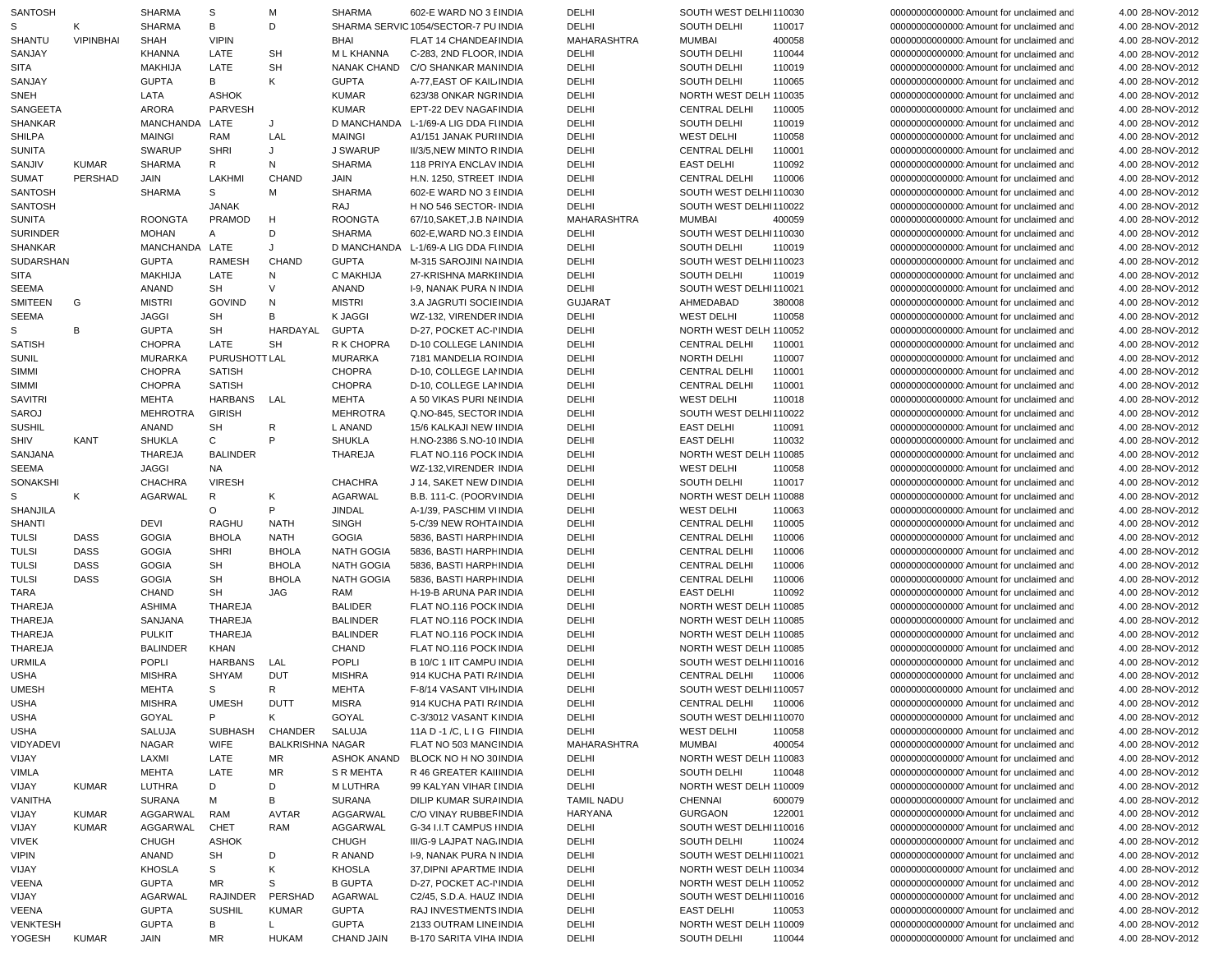| <b>SANTOSH</b>   |              | SHARMA          | S               | м                       | <b>SHARMA</b>     | 602-E WARD NO 3 EINDIA                | DELHI             | SOUTH WEST DELHI110030 |        | 0000000000000000000 Amount for unclaimed and | 4.00 28-NOV-2012 |
|------------------|--------------|-----------------|-----------------|-------------------------|-------------------|---------------------------------------|-------------------|------------------------|--------|----------------------------------------------|------------------|
| S                | Κ            | <b>SHARMA</b>   | В               | D                       |                   | SHARMA SERVIC 1054/SECTOR-7 PU INDIA  | DELHI             | SOUTH DELHI            | 110017 | 000000000000000 Amount for unclaimed and     | 4.00 28-NOV-2012 |
| <b>SHANTU</b>    | VIPINBHAI    | SHAH            | <b>VIPIN</b>    |                         | <b>BHAI</b>       | FLAT 14 CHANDEAI INDIA                | MAHARASHTRA       | <b>MUMBAI</b>          | 400058 | 000000000000000 Amount for unclaimed and     | 4.00 28-NOV-2012 |
| SANJAY           |              | <b>KHANNA</b>   | LATE            | <b>SH</b>               | M L KHANNA        | C-283, 2ND FLOOR, INDIA               | DELHI             | SOUTH DELHI            | 110044 | 000000000000000 Amount for unclaimed and     | 4.00 28-NOV-2012 |
| SITA             |              | <b>MAKHIJA</b>  | LATE            | <b>SH</b>               |                   | NANAK CHAND C/O SHANKAR MAN INDIA     | DELHI             | SOUTH DELHI            | 110019 | 000000000000000 Amount for unclaimed and     | 4.00 28-NOV-2012 |
| SANJAY           |              | <b>GUPTA</b>    | В               | Κ                       | <b>GUPTA</b>      | A-77, EAST OF KAIL INDIA              | DELHI             | SOUTH DELHI            | 110065 | 000000000000000 Amount for unclaimed and     | 4.00 28-NOV-2012 |
| SNEH             |              | LATA            | <b>ASHOK</b>    |                         | <b>KUMAR</b>      | 623/38 ONKAR NGRINDIA                 | DELHI             | NORTH WEST DELH 110035 |        | 000000000000000 Amount for unclaimed and     | 4.00 28-NOV-2012 |
| SANGEETA         |              | <b>ARORA</b>    | PARVESH         |                         | <b>KUMAR</b>      | EPT-22 DEV NAGAF INDIA                | DELHI             | <b>CENTRAL DELHI</b>   | 110005 | 000000000000000 Amount for unclaimed and     | 4.00 28-NOV-2012 |
| SHANKAR          |              | MANCHANDA       | LATE            | J                       |                   | D MANCHANDA L-1/69-A LIG DDA FI INDIA | DELHI             | SOUTH DELHI            | 110019 | 000000000000000 Amount for unclaimed and     | 4.00 28-NOV-2012 |
| SHILPA           |              | <b>MAINGI</b>   | RAM             | LAL                     | <b>MAINGI</b>     | A1/151 JANAK PURHNDIA                 | DELHI             | <b>WEST DELHI</b>      | 110058 | 00000000000000 Amount for unclaimed and      | 4.00 28-NOV-2012 |
| <b>SUNITA</b>    |              | <b>SWARUP</b>   | <b>SHRI</b>     | J                       | J SWARUP          | II/3/5, NEW MINTO RINDIA              | DELHI             | <b>CENTRAL DELHI</b>   | 110001 | 000000000000000 Amount for unclaimed and     | 4.00 28-NOV-2012 |
| SANJIV           | <b>KUMAR</b> | <b>SHARMA</b>   | R               | N                       | <b>SHARMA</b>     | 118 PRIYA ENCLAV INDIA                | DELHI             | <b>EAST DELHI</b>      | 110092 | 000000000000000 Amount for unclaimed and     | 4.00 28-NOV-2012 |
| SUMAT            | PERSHAD      | JAIN            | LAKHMI          | <b>CHAND</b>            | JAIN              | H.N. 1250, STREET INDIA               | DELHI             | <b>CENTRAL DELHI</b>   | 110006 | 000000000000000 Amount for unclaimed and     | 4.00 28-NOV-2012 |
| SANTOSH          |              | <b>SHARMA</b>   | S               | M                       | <b>SHARMA</b>     | 602-E WARD NO 3 EINDIA                | DELHI             | SOUTH WEST DELHI110030 |        | 000000000000000 Amount for unclaimed and     | 4.00 28-NOV-2012 |
| SANTOSH          |              |                 | <b>JANAK</b>    |                         | RAJ               | H NO 546 SECTOR- INDIA                | DELHI             | SOUTH WEST DELHI110022 |        | 000000000000000 Amount for unclaimed and     | 4.00 28-NOV-2012 |
| <b>SUNITA</b>    |              | <b>ROONGTA</b>  | PRAMOD          | H                       | <b>ROONGTA</b>    | 67/10. SAKET.J. B NA INDIA            | MAHARASHTRA       | <b>MUMBAI</b>          | 400059 | 000000000000000 Amount for unclaimed and     | 4.00 28-NOV-2012 |
| <b>SURINDER</b>  |              | <b>MOHAN</b>    | A               | D                       | <b>SHARMA</b>     | 602-E, WARD NO.3 EINDIA               | DELHI             | SOUTH WEST DELHI110030 |        | 000000000000000 Amount for unclaimed and     | 4.00 28-NOV-2012 |
| SHANKAR          |              | MANCHANDA LATE  |                 | J                       |                   | D MANCHANDA L-1/69-A LIG DDA FI INDIA | DELHI             | SOUTH DELHI            | 110019 | 000000000000000 Amount for unclaimed and     | 4.00 28-NOV-2012 |
| <b>SUDARSHAN</b> |              | <b>GUPTA</b>    | <b>RAMESH</b>   | <b>CHAND</b>            | <b>GUPTA</b>      | M-315 SAROJINI NA INDIA               | DELHI             | SOUTH WEST DELHI110023 |        | 000000000000000 Amount for unclaimed and     | 4.00 28-NOV-2012 |
| SITA             |              | <b>MAKHIJA</b>  | LATE            | N                       | C MAKHIJA         | 27-KRISHNA MARKIINDIA                 | DELHI             | SOUTH DELHI            | 110019 | 000000000000000 Amount for unclaimed and     | 4.00 28-NOV-2012 |
| SEEMA            |              | ANAND           | SH              | V                       | ANAND             | <b>I-9, NANAK PURA N INDIA</b>        | DELHI             | SOUTH WEST DELHI110021 |        | 000000000000000 Amount for unclaimed and     | 4.00 28-NOV-2012 |
| <b>SMITEEN</b>   | G            | <b>MISTRI</b>   | <b>GOVIND</b>   | N                       | <b>MISTRI</b>     | 3.A JAGRUTI SOCIE INDIA               | <b>GUJARAT</b>    | AHMEDABAD              | 380008 | 000000000000000 Amount for unclaimed and     | 4.00 28-NOV-2012 |
| SEEMA            |              | JAGGI           | SH              | В                       | <b>K JAGGI</b>    | WZ-132, VIRENDER INDIA                | DELHI             | <b>WEST DELHI</b>      | 110058 | 000000000000000 Amount for unclaimed and     | 4.00 28-NOV-2012 |
| S                | В            | <b>GUPTA</b>    | SH              | HARDAYAL                | <b>GUPTA</b>      | D-27, POCKET AC-I'INDIA               | DELHI             | NORTH WEST DELH 110052 |        | 000000000000000 Amount for unclaimed and     | 4.00 28-NOV-2012 |
| <b>SATISH</b>    |              | <b>CHOPRA</b>   | LATE            | <b>SH</b>               | R K CHOPRA        | <b>D-10 COLLEGE LAN INDIA</b>         | DELHI             | <b>CENTRAL DELHI</b>   | 110001 | 000000000000000 Amount for unclaimed and     | 4.00 28-NOV-2012 |
| SUNIL            |              | <b>MURARKA</b>  | PURUSHOTT LAL   |                         | <b>MURARKA</b>    | 7181 MANDELIA RCINDIA                 | DELHI             | <b>NORTH DELHI</b>     | 110007 | 000000000000000 Amount for unclaimed and     | 4.00 28-NOV-2012 |
| SIMMI            |              | <b>CHOPRA</b>   | <b>SATISH</b>   |                         | <b>CHOPRA</b>     | D-10, COLLEGE LANNDIA                 | DELHI             | <b>CENTRAL DELHI</b>   | 110001 | 000000000000000 Amount for unclaimed and     | 4.00 28-NOV-2012 |
| SIMMI            |              | <b>CHOPRA</b>   | <b>SATISH</b>   |                         | <b>CHOPRA</b>     | D-10, COLLEGE LANNDIA                 | DELHI             | <b>CENTRAL DELHI</b>   | 110001 | 000000000000000 Amount for unclaimed and     | 4.00 28-NOV-2012 |
| <b>SAVITRI</b>   |              | <b>MEHTA</b>    | HARBANS LAL     |                         | <b>MEHTA</b>      | A 50 VIKAS PURI NI INDIA              | DELHI             | <b>WEST DELHI</b>      | 110018 | 000000000000000 Amount for unclaimed and     | 4.00 28-NOV-2012 |
| SAROJ            |              | <b>MEHROTRA</b> | <b>GIRISH</b>   |                         | <b>MEHROTRA</b>   | Q.NO-845, SECTOR INDIA                | DELHI             | SOUTH WEST DELHI110022 |        | 000000000000000 Amount for unclaimed and     | 4.00 28-NOV-2012 |
| <b>SUSHIL</b>    |              | ANAND           | SH              | R                       | L ANAND           | 15/6 KALKAJI NEW IINDIA               | DELHI             | <b>EAST DELHI</b>      | 110091 | 000000000000000 Amount for unclaimed and     | 4.00 28-NOV-2012 |
| SHIV             | KANT         | <b>SHUKLA</b>   | C               | P                       | <b>SHUKLA</b>     | H.NO-2386 S.NO-10 INDIA               | DELHI             | <b>EAST DELHI</b>      | 110032 | 000000000000000 Amount for unclaimed and     | 4.00 28-NOV-2012 |
| SANJANA          |              | <b>THAREJA</b>  | <b>BALINDER</b> |                         | <b>THAREJA</b>    | FLAT NO.116 POCK INDIA                | DELHI             | NORTH WEST DELH 110085 |        | 000000000000000 Amount for unclaimed and     | 4.00 28-NOV-2012 |
| SEEMA            |              | <b>JAGGI</b>    | <b>NA</b>       |                         |                   | WZ-132, VIRENDER INDIA                | DELHI             | <b>WEST DELHI</b>      | 110058 | 000000000000000 Amount for unclaimed and     | 4.00 28-NOV-2012 |
| SONAKSHI         |              | CHACHRA         | <b>VIRESH</b>   |                         | <b>CHACHRA</b>    | J 14, SAKET NEW DINDIA                | DELHI             | SOUTH DELHI            | 110017 | 000000000000000 Amount for unclaimed and     | 4.00 28-NOV-2012 |
| S                | Κ            | <b>AGARWAL</b>  | $\mathsf{R}$    | К                       | AGARWAL           | B.B. 111-C. (POORVINDIA               | DELHI             | NORTH WEST DELH 110088 |        | 000000000000000 Amount for unclaimed and     | 4.00 28-NOV-2012 |
| SHANJILA         |              |                 | $\circ$         | P                       | <b>JINDAL</b>     | A-1/39, PASCHIM VIINDIA               | DELHI             | <b>WEST DELHI</b>      | 110063 | 000000000000000 Amount for unclaimed and     | 4.00 28-NOV-2012 |
| <b>SHANTI</b>    |              | DEVI            | <b>RAGHU</b>    | NATH                    | <b>SINGH</b>      | 5-C/39 NEW ROHTA INDIA                | DELHI             | <b>CENTRAL DELHI</b>   | 110005 | 000000000000000 Amount for unclaimed and     | 4.00 28-NOV-2012 |
| <b>TULSI</b>     | <b>DASS</b>  | <b>GOGIA</b>    | <b>BHOLA</b>    | <b>NATH</b>             | <b>GOGIA</b>      | 5836, BASTI HARPH INDIA               | DELHI             | <b>CENTRAL DELHI</b>   | 110006 | 00000000000000 Amount for unclaimed and      | 4.00 28-NOV-2012 |
| <b>TULSI</b>     | <b>DASS</b>  | <b>GOGIA</b>    | <b>SHRI</b>     | <b>BHOLA</b>            | <b>NATH GOGIA</b> | 5836, BASTI HARPH INDIA               | DELHI             | CENTRAL DELHI          | 110006 | 000000000000000 Amount for unclaimed and     | 4.00 28-NOV-2012 |
| <b>TULSI</b>     | <b>DASS</b>  | <b>GOGIA</b>    | SH              | <b>BHOLA</b>            | <b>NATH GOGIA</b> | 5836, BASTI HARPH INDIA               | DELHI             | <b>CENTRAL DELHI</b>   | 110006 | 00000000000000 Amount for unclaimed and      | 4.00 28-NOV-2012 |
| <b>TULSI</b>     | <b>DASS</b>  | <b>GOGIA</b>    | SH              | <b>BHOLA</b>            | NATH GOGIA        | 5836, BASTI HARPH INDIA               | DELHI             | <b>CENTRAL DELHI</b>   | 110006 | 000000000000000 Amount for unclaimed and     | 4.00 28-NOV-2012 |
| <b>TARA</b>      |              | <b>CHAND</b>    | SH              | JAG                     | RAM               | H-19-B ARUNA PAR INDIA                | DELHI             | <b>EAST DELHI</b>      | 110092 | 000000000000000 Amount for unclaimed and     | 4.00 28-NOV-2012 |
| <b>THAREJA</b>   |              | <b>ASHIMA</b>   | THAREJA         |                         | <b>BALIDER</b>    | FLAT NO.116 POCK INDIA                | DELHI             | NORTH WEST DELH 110085 |        | 00000000000000 Amount for unclaimed and      | 4.00 28-NOV-2012 |
| THAREJA          |              | SANJANA         | THAREJA         |                         | <b>BALINDER</b>   | FLAT NO.116 POCK INDIA                | DELHI             | NORTH WEST DELH 110085 |        | 00000000000000 Amount for unclaimed and      | 4.00 28-NOV-2012 |
| THAREJA          |              | <b>PULKIT</b>   | THAREJA         |                         | <b>BALINDER</b>   | FLAT NO.116 POCK INDIA                | DELHI             | NORTH WEST DELH 110085 |        | 000000000000000 Amount for unclaimed and     | 4.00 28-NOV-2012 |
| <b>THAREJA</b>   |              | <b>BALINDER</b> | <b>KHAN</b>     |                         | <b>CHAND</b>      | FLAT NO.116 POCK INDIA                | DELHI             | NORTH WEST DELH 110085 |        | 00000000000000 Amount for unclaimed and      | 4.00 28-NOV-2012 |
| <b>URMILA</b>    |              | <b>POPLI</b>    | HARBANS         | LAL                     | <b>POPLI</b>      | B 10/C 1 IIT CAMPU INDIA              | DELHI             | SOUTH WEST DELHI110016 |        | 00000000000000 Amount for unclaimed and      | 4.00 28-NOV-2012 |
| <b>USHA</b>      |              | <b>MISHRA</b>   | <b>SHYAM</b>    | <b>DUT</b>              | <b>MISHRA</b>     | 914 KUCHA PATI R/INDIA                | DELHI             | CENTRAL DELHI          | 110006 | 00000000000000 Amount for unclaimed and      | 4.00 28-NOV-2012 |
| <b>UMESH</b>     |              | <b>MEHTA</b>    | S               | $\mathsf{R}$            | <b>MEHTA</b>      | F-8/14 VASANT VIH. INDIA              | <b>DELHI</b>      | SOUTH WEST DELHI110057 |        | 00000000000000 Amount for unclaimed and      | 4.00 28-NOV-2012 |
| <b>USHA</b>      |              | <b>MISHRA</b>   | <b>UMESH</b>    | <b>DUTT</b>             | <b>MISRA</b>      | 914 KUCHA PATI R/INDIA                | DELHI             | CENTRAL DELHI 110006   |        | 00000000000000 Amount for unclaimed and      | 4.00 28-NOV-2012 |
| <b>USHA</b>      |              | GOYAL           | P               | K                       | GOYAL             | C-3/3012 VASANT KINDIA                | DELHI             | SOUTH WEST DELHI110070 |        | 00000000000000 Amount for unclaimed and      | 4.00 28-NOV-2012 |
| <b>USHA</b>      |              | SALUJA          | SUBHASH         | CHANDER                 | SALUJA            | 11A D -1 /C, L I G FIINDIA            | DELHI             | <b>WEST DELHI</b>      | 110058 | 00000000000000 Amount for unclaimed and      | 4.00 28-NOV-2012 |
| <b>VIDYADEVI</b> |              | <b>NAGAR</b>    | <b>WIFE</b>     | <b>BALKRISHNA NAGAR</b> |                   | FLAT NO 503 MANG INDIA                | MAHARASHTRA       | MUMBAI                 | 400054 | 000000000000000 Amount for unclaimed and     | 4.00 28-NOV-2012 |
| VIJAY            |              | LAXMI           | LATE            | MR                      | ASHOK ANAND       | BLOCK NO H NO 30 INDIA                | DELHI             | NORTH WEST DELH 110083 |        | 00000000000000 Amount for unclaimed and      | 4.00 28-NOV-2012 |
| <b>VIMLA</b>     |              | <b>MEHTA</b>    | LATE            | MR                      | S R MEHTA         | R 46 GREATER KAILINDIA                | DELHI             | SOUTH DELHI            | 110048 | 00000000000000 Amount for unclaimed and      | 4.00 28-NOV-2012 |
| VIJAY            | <b>KUMAR</b> | LUTHRA          | D               | D                       | M LUTHRA          | 99 KALYAN VIHAR [INDIA                | DELHI             | NORTH WEST DELH 110009 |        | 00000000000000 Amount for unclaimed and      | 4.00 28-NOV-2012 |
| VANITHA          |              | <b>SURANA</b>   | м               | B                       | SURANA            | DILIP KUMAR SURAINDIA                 | <b>TAMIL NADU</b> | CHENNAI                | 600079 | 00000000000000 Amount for unclaimed and      | 4.00 28-NOV-2012 |
| VIJAY            | <b>KUMAR</b> | AGGARWAL        | RAM             | AVTAR                   | AGGARWAL          | C/O VINAY RUBBEF INDIA                | HARYANA           | <b>GURGAON</b>         | 122001 | 00000000000000 Amount for unclaimed and      | 4.00 28-NOV-2012 |
| VIJAY            | <b>KUMAR</b> | AGGARWAL        | CHET            | RAM                     | AGGARWAL          | G-34 I.I.T CAMPUS I INDIA             | DELHI             | SOUTH WEST DELHI110016 |        | 00000000000000 Amount for unclaimed and      | 4.00 28-NOV-2012 |
| <b>VIVEK</b>     |              | CHUGH           | <b>ASHOK</b>    |                         | CHUGH             | III/G-9 LAJPAT NAG. INDIA             | DELHI             | SOUTH DELHI            | 110024 | 00000000000000 Amount for unclaimed and      | 4.00 28-NOV-2012 |
| <b>VIPIN</b>     |              | ANAND           | SH              | D                       | R ANAND           | I-9, NANAK PURA N INDIA               | DELHI             | SOUTH WEST DELHI110021 |        | 000000000000000 Amount for unclaimed and     | 4.00 28-NOV-2012 |
| VIJAY            |              | <b>KHOSLA</b>   | s               | Κ                       | KHOSLA            | 37, DIPNI APARTME INDIA               | DELHI             | NORTH WEST DELH 110034 |        | 00000000000000 Amount for unclaimed and      | 4.00 28-NOV-2012 |
| VEENA            |              | <b>GUPTA</b>    | MR.             | S                       | <b>B GUPTA</b>    | D-27, POCKET AC-I'INDIA               | DELHI             | NORTH WEST DELH 110052 |        | 00000000000000 Amount for unclaimed and      | 4.00 28-NOV-2012 |
| VIJAY            |              | AGARWAL         | RAJINDER        | PERSHAD                 | AGARWAL           | C2/45, S.D.A. HAUZ INDIA              | DELHI             | SOUTH WEST DELHI110016 |        | 00000000000000 Amount for unclaimed and      | 4.00 28-NOV-2012 |
| VEENA            |              | <b>GUPTA</b>    | <b>SUSHIL</b>   | <b>KUMAR</b>            | <b>GUPTA</b>      | RAJ INVESTMENTS INDIA                 | DELHI             | <b>EAST DELHI</b>      | 110053 | 000000000000000 Amount for unclaimed and     | 4.00 28-NOV-2012 |
| <b>VENKTESH</b>  |              | <b>GUPTA</b>    | В               | L.                      | <b>GUPTA</b>      | 2133 OUTRAM LINE INDIA                | DELHI             | NORTH WEST DELH 110009 |        | 00000000000000 Amount for unclaimed and      | 4.00 28-NOV-2012 |
| YOGESH           | KUMAR        | JAIN            | MR              | HUKAM                   | CHAND JAIN        | B-170 SARITA VIHA INDIA               | DELHI             | SOUTH DELHI            | 110044 | 00000000000000 Amount for unclaimed and      | 4.00 28-NOV-2012 |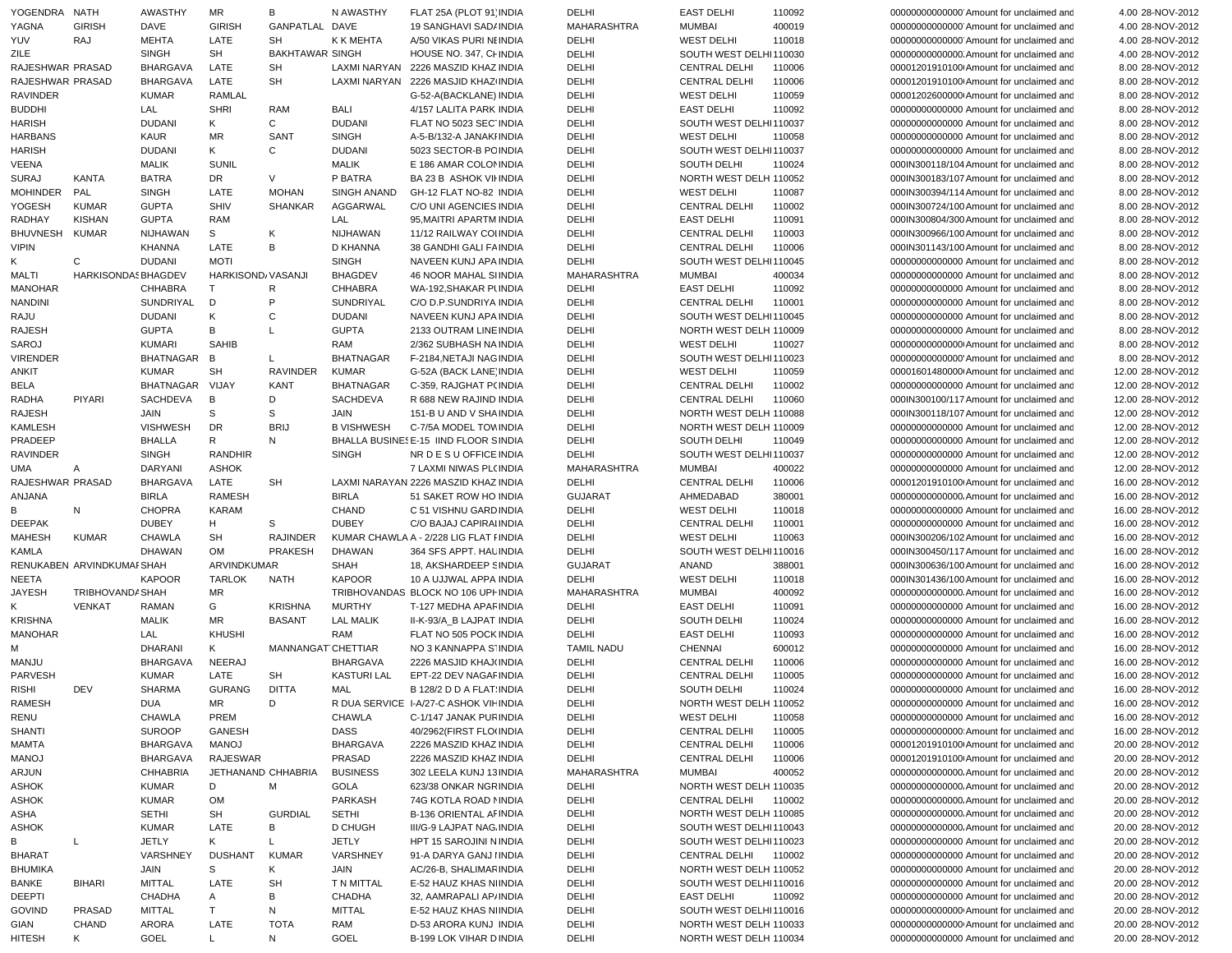|   | YOGENDRA NATH    |                           | AWASTHY          | MR                 | В                      | N AWASTHY          | FLAT 25A (PLOT 91' INDIA                | DELHI          | <b>EAST DELHI</b>      | 110092 | 00000000000000 Amount for unclaimed and  | 4.00 28-NOV-2012  |
|---|------------------|---------------------------|------------------|--------------------|------------------------|--------------------|-----------------------------------------|----------------|------------------------|--------|------------------------------------------|-------------------|
|   | YAGNA            | <b>GIRISH</b>             | DAVE             | <b>GIRISH</b>      | GANPATLAL DAVE         |                    | 19 SANGHAVI SAD/ INDIA                  | MAHARASHTRA    | <b>MUMBAI</b>          | 400019 | 000000000000000 Amount for unclaimed and | 4.00 28-NOV-2012  |
|   | YUV              | <b>RAJ</b>                | <b>MEHTA</b>     | LATE               | SH                     | K K MEHTA          | A/50 VIKAS PURI NEINDIA                 | DELHI          | <b>WEST DELHI</b>      | 110018 | 00000000000000 Amount for unclaimed and  | 4.00 28-NOV-2012  |
|   | ZILE             |                           | <b>SINGH</b>     | SH                 | <b>BAKHTAWAR SINGH</b> |                    | HOUSE NO. 347. CHINDIA                  | DELHI          | SOUTH WEST DELHI110030 |        | 00000000000000. Amount for unclaimed and | 4.00 28-NOV-2012  |
|   | RAJESHWAR PRASAD |                           | <b>BHARGAVA</b>  | LATE               | <b>SH</b>              |                    | LAXMI NARYAN 2226 MASZID KHAZ INDIA     | DELHI          | <b>CENTRAL DELHI</b>   | 110006 | 00001201910100 Amount for unclaimed and  | 8.00 28-NOV-2012  |
|   | RAJESHWAR PRASAD |                           | <b>BHARGAVA</b>  | LATE               | <b>SH</b>              |                    | LAXMI NARYAN 2226 MASJID KHAZ INDIA     | DELHI          | <b>CENTRAL DELHI</b>   | 110006 | 00001201910100 Amount for unclaimed and  | 8.00 28-NOV-2012  |
|   |                  |                           |                  |                    |                        |                    |                                         |                |                        |        |                                          |                   |
|   | <b>RAVINDER</b>  |                           | <b>KUMAR</b>     | <b>RAMLAL</b>      |                        |                    | G-52-A(BACKLANE) INDIA                  | DELHI          | <b>WEST DELHI</b>      | 110059 | 00001202600000 Amount for unclaimed and  | 8.00 28-NOV-2012  |
|   | <b>BUDDHI</b>    |                           | LAL              | <b>SHRI</b>        | RAM                    | BALI               | 4/157 LALITA PARK INDIA                 | DELHI          | <b>EAST DELHI</b>      | 110092 | 00000000000000 Amount for unclaimed and  | 8.00 28-NOV-2012  |
|   | <b>HARISH</b>    |                           | <b>DUDANI</b>    | K                  | C                      | <b>DUDANI</b>      | FLAT NO 5023 SEC INDIA                  | DELHI          | SOUTH WEST DELHI110037 |        | 00000000000000 Amount for unclaimed and  | 8.00 28-NOV-2012  |
|   | <b>HARBANS</b>   |                           | KAUR             | MR                 | SANT                   | <b>SINGH</b>       | A-5-B/132-A JANAKI INDIA                | DELHI          | <b>WEST DELHI</b>      | 110058 | 00000000000000 Amount for unclaimed and  | 8.00 28-NOV-2012  |
|   | <b>HARISH</b>    |                           | <b>DUDANI</b>    | Κ                  | $\mathsf{C}$           | <b>DUDANI</b>      | 5023 SECTOR-B PC INDIA                  | DELHI          | SOUTH WEST DELHI110037 |        | 00000000000000 Amount for unclaimed and  | 8.00 28-NOV-2012  |
|   | <b>VEENA</b>     |                           | <b>MALIK</b>     | <b>SUNIL</b>       |                        | <b>MALIK</b>       | E 186 AMAR COLOMNDIA                    | DELHI          | SOUTH DELHI            | 110024 | 000IN300118/104 Amount for unclaimed and | 8.00 28-NOV-2012  |
|   |                  |                           |                  |                    |                        |                    |                                         |                |                        |        |                                          |                   |
|   | <b>SURAJ</b>     | KANTA                     | <b>BATRA</b>     | DR                 | V                      | P BATRA            | <b>BA 23 B ASHOK VII INDIA</b>          | DELHI          | NORTH WEST DELH 110052 |        | 000IN300183/107 Amount for unclaimed and | 8.00 28-NOV-2012  |
|   | <b>MOHINDER</b>  | PAL                       | <b>SINGH</b>     | LATE               | <b>MOHAN</b>           | SINGH ANAND        | GH-12 FLAT NO-82 INDIA                  | DELHI          | <b>WEST DELHI</b>      | 110087 | 000IN300394/114 Amount for unclaimed and | 8.00 28-NOV-2012  |
|   | YOGESH           | <b>KUMAR</b>              | <b>GUPTA</b>     | <b>SHIV</b>        | <b>SHANKAR</b>         | AGGARWAL           | C/O UNI AGENCIES INDIA                  | DELHI          | <b>CENTRAL DELHI</b>   | 110002 | 000IN300724/100 Amount for unclaimed and | 8.00 28-NOV-2012  |
|   | RADHAY           | <b>KISHAN</b>             | <b>GUPTA</b>     | RAM                |                        | LAL                | 95, MAITRI APARTM INDIA                 | DELHI          | <b>EAST DELHI</b>      | 110091 | 000IN300804/300 Amount for unclaimed and | 8.00 28-NOV-2012  |
|   | <b>BHUVNESH</b>  | KUMAR                     | NIJHAWAN         | S                  | К                      | <b>NIJHAWAN</b>    | 11/12 RAILWAY COLINDIA                  | DELHI          | <b>CENTRAL DELHI</b>   | 110003 | 000IN300966/100 Amount for unclaimed and | 8.00 28-NOV-2012  |
|   | <b>VIPIN</b>     |                           | <b>KHANNA</b>    | LATE               | B                      | D KHANNA           | 38 GANDHI GALI FAINDIA                  | DELHI          | <b>CENTRAL DELHI</b>   | 110006 | 000IN301143/100 Amount for unclaimed and | 8.00 28-NOV-2012  |
| Κ |                  | C                         | <b>DUDANI</b>    | <b>MOTI</b>        |                        | <b>SINGH</b>       | NAVEEN KUNJ APA INDIA                   | DELHI          | SOUTH WEST DELHI110045 |        | 00000000000000 Amount for unclaimed and  | 8.00 28-NOV-2012  |
|   |                  |                           |                  |                    |                        |                    |                                         |                |                        |        |                                          |                   |
|   | <b>MALTI</b>     | HARKISONDAS BHAGDEV       |                  | HARKISOND/VASANJI  |                        | <b>BHAGDEV</b>     | 46 NOOR MAHAL SIINDIA                   | MAHARASHTRA    | <b>MUMBAI</b>          | 400034 | 00000000000000 Amount for unclaimed and  | 8.00 28-NOV-2012  |
|   | <b>MANOHAR</b>   |                           | <b>CHHABRA</b>   | T                  | R                      | <b>CHHABRA</b>     | WA-192, SHAKAR PUNDIA                   | DELHI          | <b>EAST DELHI</b>      | 110092 | 00000000000000 Amount for unclaimed and  | 8.00 28-NOV-2012  |
|   | <b>NANDINI</b>   |                           | SUNDRIYAL        | D                  | P                      | SUNDRIYAL          | C/O D.P.SUNDRIYA INDIA                  | DELHI          | <b>CENTRAL DELHI</b>   | 110001 | 00000000000000 Amount for unclaimed and  | 8.00 28-NOV-2012  |
|   | RAJU             |                           | <b>DUDANI</b>    | Κ                  | C                      | <b>DUDANI</b>      | NAVEEN KUNJ APA INDIA                   | DELHI          | SOUTH WEST DELHI110045 |        | 00000000000000 Amount for unclaimed and  | 8.00 28-NOV-2012  |
|   | <b>RAJESH</b>    |                           | <b>GUPTA</b>     | В                  | L                      | <b>GUPTA</b>       | 2133 OUTRAM LINE INDIA                  | DELHI          | NORTH WEST DELH 110009 |        | 00000000000000 Amount for unclaimed and  | 8.00 28-NOV-2012  |
|   | SAROJ            |                           | KUMARI           | SAHIB              |                        | RAM                | 2/362 SUBHASH NA INDIA                  | DELHI          | <b>WEST DELHI</b>      | 110027 | 000000000000000 Amount for unclaimed and | 8.00 28-NOV-2012  |
|   |                  |                           |                  |                    |                        |                    |                                         |                |                        |        |                                          |                   |
|   | <b>VIRENDER</b>  |                           | BHATNAGAR        | B                  | L.                     | <b>BHATNAGAR</b>   | F-2184, NETAJI NAG INDIA                | DELHI          | SOUTH WEST DELHI110023 |        | 00000000000000 Amount for unclaimed and  | 8.00 28-NOV-2012  |
|   | <b>ANKIT</b>     |                           | <b>KUMAR</b>     | <b>SH</b>          | RAVINDER               | <b>KUMAR</b>       | G-52A (BACK LANE INDIA                  | DELHI          | <b>WEST DELHI</b>      | 110059 | 00001601480000 Amount for unclaimed and  | 12.00 28-NOV-2012 |
|   | <b>BELA</b>      |                           | <b>BHATNAGAR</b> | VIJAY              | <b>KANT</b>            | <b>BHATNAGAR</b>   | C-359, RAJGHAT P(INDIA                  | DELHI          | <b>CENTRAL DELHI</b>   | 110002 | 00000000000000 Amount for unclaimed and  | 12.00 28-NOV-2012 |
|   | <b>RADHA</b>     | <b>PIYARI</b>             | SACHDEVA         | B                  | D                      | <b>SACHDEVA</b>    | R 688 NEW RAJIND INDIA                  | DELHI          | <b>CENTRAL DELHI</b>   | 110060 | 000IN300100/117 Amount for unclaimed and | 12.00 28-NOV-2012 |
|   | <b>RAJESH</b>    |                           | JAIN             | S                  | S                      | JAIN               | 151-B U AND V SHA INDIA                 | DELHI          | NORTH WEST DELH 110088 |        | 000IN300118/107 Amount for unclaimed and | 12.00 28-NOV-2012 |
|   | <b>KAMLESH</b>   |                           | <b>VISHWESH</b>  | DR                 | <b>BRIJ</b>            | <b>B VISHWESH</b>  | C-7/5A MODEL TOWINDIA                   | DELHI          | NORTH WEST DELH 110009 |        | 00000000000000 Amount for unclaimed and  | 12.00 28-NOV-2012 |
|   | PRADEEP          |                           | <b>BHALLA</b>    | R                  | N                      |                    | BHALLA BUSINESE-15 IIND FLOOR SINDIA    | DELHI          | SOUTH DELHI            | 110049 | 00000000000000 Amount for unclaimed and  | 12.00 28-NOV-2012 |
|   |                  |                           |                  |                    |                        |                    |                                         |                |                        |        |                                          |                   |
|   | <b>RAVINDER</b>  |                           | <b>SINGH</b>     | RANDHIR            |                        | <b>SINGH</b>       | NR D E S U OFFICE INDIA                 | DELHI          | SOUTH WEST DELHI110037 |        | 00000000000000 Amount for unclaimed and  | 12.00 28-NOV-2012 |
|   | UMA              | A                         | DARYANI          | <b>ASHOK</b>       |                        |                    | 7 LAXMI NIWAS PL(INDIA                  | MAHARASHTRA    | <b>MUMBAI</b>          | 400022 | 00000000000000 Amount for unclaimed and  | 12.00 28-NOV-2012 |
|   | RAJESHWAR PRASAD |                           | <b>BHARGAVA</b>  | LATE               | <b>SH</b>              |                    | LAXMI NARAYAN 2226 MASZID KHAZ INDIA    | DELHI          | <b>CENTRAL DELHI</b>   | 110006 | 00001201910100 Amount for unclaimed and  | 16.00 28-NOV-2012 |
|   | ANJANA           |                           | <b>BIRLA</b>     | <b>RAMESH</b>      |                        | <b>BIRLA</b>       | 51 SAKET ROW HO INDIA                   | <b>GUJARAT</b> | AHMEDABAD              | 380001 | 00000000000000. Amount for unclaimed and | 16.00 28-NOV-2012 |
| В |                  | N                         | <b>CHOPRA</b>    | KARAM              |                        | <b>CHAND</b>       | C 51 VISHNU GARD INDIA                  | DELHI          | <b>WEST DELHI</b>      | 110018 | 00000000000000 Amount for unclaimed and  | 16.00 28-NOV-2012 |
|   | <b>DEEPAK</b>    |                           | <b>DUBEY</b>     | H                  | S                      | <b>DUBEY</b>       | C/O BAJAJ CAPIRAI INDIA                 | DELHI          | <b>CENTRAL DELHI</b>   | 110001 | 00000000000000 Amount for unclaimed and  | 16.00 28-NOV-2012 |
|   | <b>MAHESH</b>    | <b>KUMAR</b>              | CHAWLA           | <b>SH</b>          | <b>RAJINDER</b>        |                    | KUMAR CHAWLA A - 2/228 LIG FLAT FINDIA  | DELHI          | <b>WEST DELHI</b>      | 110063 | 000IN300206/102 Amount for unclaimed and | 16.00 28-NOV-2012 |
|   |                  |                           |                  |                    |                        |                    |                                         |                |                        |        |                                          |                   |
|   | KAMLA            |                           | <b>DHAWAN</b>    | <b>OM</b>          | <b>PRAKESH</b>         | <b>DHAWAN</b>      | 364 SFS APPT. HAL INDIA                 | DELHI          | SOUTH WEST DELHI110016 |        | 000IN300450/117 Amount for unclaimed and | 16.00 28-NOV-2012 |
|   |                  | RENUKABEN ARVINDKUMAFSHAH |                  | ARVINDKUMAR        |                        | <b>SHAH</b>        | 18, AKSHARDEEP SINDIA                   | <b>GUJARAT</b> | ANAND                  | 388001 | 000IN300636/100 Amount for unclaimed and | 16.00 28-NOV-2012 |
|   | <b>NEETA</b>     |                           | <b>KAPOOR</b>    | <b>TARLOK</b>      | <b>NATH</b>            | <b>KAPOOR</b>      | 10 A UJJWAL APPA INDIA                  | <b>DELHI</b>   | <b>WEST DELHI</b>      | 110018 | 000IN301436/100 Amount for unclaimed and | 16.00 28-NOV-2012 |
|   | <b>JAYESH</b>    | TRIBHOVANDA SHAH          |                  | <b>MR</b>          |                        |                    | TRIBHOVANDAS BLOCK NO 106 UPI INDIA     | MAHARASHTRA    | <b>MUMBAI</b>          | 400092 | 00000000000000. Amount for unclaimed and | 16.00 28-NOV-2012 |
| Κ |                  | <b>VENKAT</b>             | <b>RAMAN</b>     | G                  | <b>KRISHNA</b>         | <b>MURTHY</b>      | T-127 MEDHA APAF INDIA                  | DELHI          | <b>EAST DELHI</b>      | 110091 | 00000000000000 Amount for unclaimed and  | 16.00 28-NOV-2012 |
|   | <b>KRISHNA</b>   |                           | <b>MALIK</b>     | MR                 | <b>BASANT</b>          | <b>LAL MALIK</b>   | II-K-93/A_B LAJPAT INDIA                | DELHI          | <b>SOUTH DELHI</b>     | 110024 | 00000000000000 Amount for unclaimed and  | 16.00 28-NOV-2012 |
|   |                  |                           |                  |                    |                        |                    |                                         |                |                        |        |                                          |                   |
|   | <b>MANOHAR</b>   |                           | LAL              | KHUSHI             |                        | <b>RAM</b>         | FLAT NO 505 POCK INDIA                  | DELHI          | <b>EAST DELHI</b>      | 110093 | 00000000000000 Amount for unclaimed and  | 16.00 28-NOV-2012 |
| M |                  |                           | <b>DHARANI</b>   | K                  | MANNANGAT CHETTIAR     |                    | NO 3 KANNAPPA S'INDIA                   | TAMIL NADU     | <b>CHENNAI</b>         | 600012 | 00000000000000 Amount for unclaimed and  | 16.00 28-NOV-2012 |
|   | MANJU            |                           | <b>BHARGAVA</b>  | NEERAJ             |                        | <b>BHARGAVA</b>    | 2226 MASJID KHAJ(INDIA                  | DELHI          | <b>CENTRAL DELHI</b>   | 110006 | 00000000000000 Amount for unclaimed and  | 16.00 28-NOV-2012 |
|   | PARVESH          |                           | <b>KUMAR</b>     | LATE               | <b>SH</b>              | <b>KASTURI LAL</b> | EPT-22 DEV NAGAF INDIA                  | DELHI          | <b>CENTRAL DELHI</b>   | 110005 | 00000000000000 Amount for unclaimed and  | 16.00 28-NOV-2012 |
|   | <b>RISHI</b>     | DEV                       | <b>SHARMA</b>    | <b>GURANG</b>      | <b>DITTA</b>           | MAL                | B 128/2 D D A FLAT INDIA                | DELHI          | <b>SOUTH DELHI</b>     | 110024 | 00000000000000 Amount for unclaimed and  | 16.00 28-NOV-2012 |
|   | RAMESH           |                           | DUA              | <b>MR</b>          | $\mathsf{D}$           |                    | R DUA SERVICE I-A/27-C ASHOK VII- INDIA | DELHI          | NORTH WEST DELH 110052 |        | 00000000000000 Amount for unclaimed and  | 16.00 28-NOV-2012 |
|   |                  |                           |                  |                    |                        | CHAWLA             |                                         | DELHI          | <b>WEST DELHI</b>      |        |                                          | 16.00 28-NOV-2012 |
|   | RENU             |                           | CHAWLA           | PREM               |                        |                    | C-1/147 JANAK PURINDIA                  |                |                        | 110058 | 00000000000000 Amount for unclaimed and  |                   |
|   | SHANTI           |                           | <b>SUROOP</b>    | GANESH             |                        | <b>DASS</b>        | 40/2962 (FIRST FLOUNDIA                 | DELHI          | <b>CENTRAL DELHI</b>   | 110005 | 000000000000000 Amount for unclaimed and | 16.00 28-NOV-2012 |
|   | MAMTA            |                           | BHARGAVA         | <b>MANOJ</b>       |                        | BHARGAVA           | 2226 MASZID KHAZ INDIA                  | DELHI          | CENTRAL DELHI          | 110006 | 00001201910100 Amount for unclaimed and  | 20.00 28-NOV-2012 |
|   | <b>MANOJ</b>     |                           | BHARGAVA         | RAJESWAR           |                        | PRASAD             | 2226 MASZID KHAZ INDIA                  | DELHI          | <b>CENTRAL DELHI</b>   | 110006 | 00001201910100 Amount for unclaimed and  | 20.00 28-NOV-2012 |
|   | ARJUN            |                           | CHHABRIA         | JETHANAND CHHABRIA |                        | <b>BUSINESS</b>    | 302 LEELA KUNJ 13 INDIA                 | MAHARASHTRA    | MUMBAI                 | 400052 | 00000000000000. Amount for unclaimed and | 20.00 28-NOV-2012 |
|   | <b>ASHOK</b>     |                           | KUMAR            | D                  | м                      | GOLA               | 623/38 ONKAR NGRINDIA                   | DELHI          | NORTH WEST DELH 110035 |        | 00000000000000. Amount for unclaimed and | 20.00 28-NOV-2012 |
|   | <b>ASHOK</b>     |                           | KUMAR            | OM                 |                        | PARKASH            | 74G KOTLA ROAD NINDIA                   | DELHI          | CENTRAL DELHI 110002   |        | 00000000000000. Amount for unclaimed and | 20.00 28-NOV-2012 |
|   |                  |                           |                  |                    |                        |                    |                                         |                |                        |        |                                          |                   |
|   | ASHA             |                           | <b>SETHI</b>     | SH                 | <b>GURDIAL</b>         | SETHI              | <b>B-136 ORIENTAL AFINDIA</b>           | DELHI          | NORTH WEST DELH 110085 |        | 00000000000000. Amount for unclaimed and | 20.00 28-NOV-2012 |
|   | <b>ASHOK</b>     |                           | KUMAR            | LATE               | B                      | <b>D CHUGH</b>     | III/G-9 LAJPAT NAG INDIA                | DELHI          | SOUTH WEST DELHI110043 |        | 00000000000000. Amount for unclaimed and | 20.00 28-NOV-2012 |
| В |                  | L                         | <b>JETLY</b>     | K                  | L.                     | <b>JETLY</b>       | HPT 15 SAROJINI N INDIA                 | DELHI          | SOUTH WEST DELHI110023 |        | 00000000000000 Amount for unclaimed and  | 20.00 28-NOV-2012 |
|   | <b>BHARAT</b>    |                           | VARSHNEY         | <b>DUSHANT</b>     | <b>KUMAR</b>           | VARSHNEY           | 91-A DARYA GANJ IINDIA                  | DELHI          | CENTRAL DELHI 110002   |        | 00000000000000 Amount for unclaimed and  | 20.00 28-NOV-2012 |
|   | <b>BHUMIKA</b>   |                           | JAIN             | S                  | K                      | JAIN               | AC/26-B, SHALIMAR INDIA                 | DELHI          | NORTH WEST DELH 110052 |        | 00000000000000 Amount for unclaimed and  | 20.00 28-NOV-2012 |
|   |                  | BIHARI                    |                  | LATE               |                        |                    |                                         | DELHI          |                        |        |                                          | 20.00 28-NOV-2012 |
|   | BANKE            |                           | MITTAL           |                    | SH                     | T N MITTAL         | E-52 HAUZ KHAS NINDIA                   |                | SOUTH WEST DELHI110016 |        | 00000000000000 Amount for unclaimed and  |                   |
|   | DEEPTI           |                           | CHADHA           | A                  | В                      | CHADHA             | 32, AAMRAPALI AP/INDIA                  | DELHI          | <b>EAST DELHI</b>      | 110092 | 00000000000000 Amount for unclaimed and  | 20.00 28-NOV-2012 |
|   | <b>GOVIND</b>    | PRASAD                    | MITTAL           | T.                 | N                      | <b>MITTAL</b>      | E-52 HAUZ KHAS NINDIA                   | DELHI          | SOUTH WEST DELHI110016 |        | 00000000000000 Amount for unclaimed and  | 20.00 28-NOV-2012 |
|   | GIAN             | CHAND                     | ARORA            | LATE               | TOTA                   | RAM                | D-53 ARORA KUNJ INDIA                   | DELHI          | NORTH WEST DELH 110033 |        | 00000000000000 Amount for unclaimed and  | 20.00 28-NOV-2012 |
|   | HITESH           | K                         | GOEL             | L.                 | N                      | GOEL               | B-199 LOK VIHAR D INDIA                 | DELHI          | NORTH WEST DELH 110034 |        | 00000000000000 Amount for unclaimed and  | 20.00 28-NOV-2012 |
|   |                  |                           |                  |                    |                        |                    |                                         |                |                        |        |                                          |                   |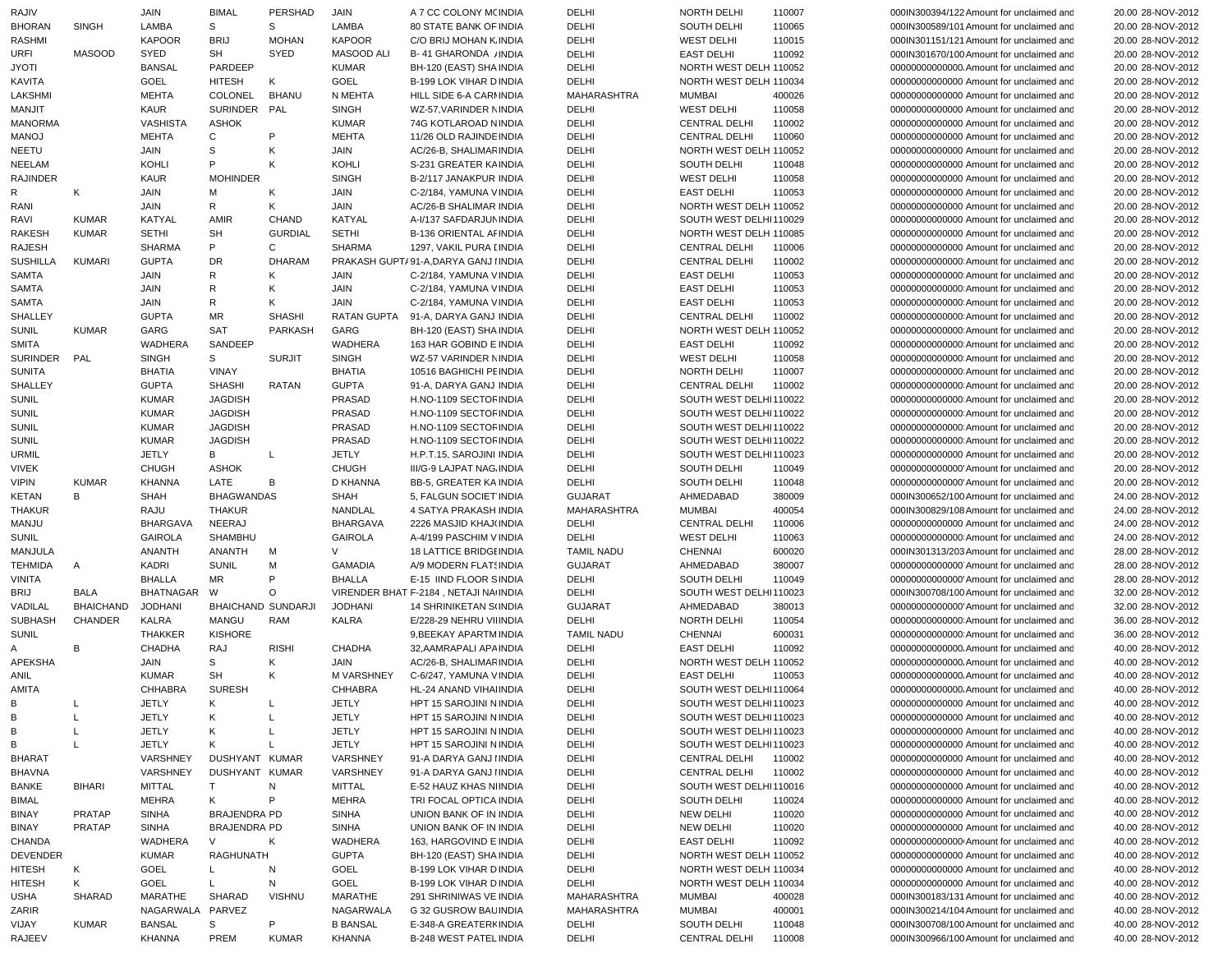| RAJIV           |                  | JAIN                    | <b>BIMAL</b>              | PERSHAD           | JAIN                      | A 7 CC COLONY M(INDIA                                  | DELHI             | NORTH DELHI                         | 110007           | 000IN300394/122 Amount for unclaimed and                                             | 20.00 28-NOV-2012                      |
|-----------------|------------------|-------------------------|---------------------------|-------------------|---------------------------|--------------------------------------------------------|-------------------|-------------------------------------|------------------|--------------------------------------------------------------------------------------|----------------------------------------|
| <b>BHORAN</b>   | SINGH            | LAMBA                   | S                         | S                 | LAMBA                     | <b>80 STATE BANK OF INDIA</b>                          | DELHI             | SOUTH DELHI                         | 110065           | 000IN300589/101 Amount for unclaimed and                                             | 20.00 28-NOV-2012                      |
| RASHMI          |                  | <b>KAPOOR</b>           | <b>BRIJ</b>               | <b>MOHAN</b>      | <b>KAPOOR</b>             | C/O BRIJ MOHAN K INDIA                                 | DELHI             | <b>WEST DELHI</b>                   | 110015           | 000IN301151/121 Amount for unclaimed and                                             | 20.00 28-NOV-2012                      |
| URFI            | <b>MASOOD</b>    | SYED                    | <b>SH</b>                 | SYED              | MASOOD ALI                | <b>B-41 GHARONDA / INDIA</b>                           | DELHI             | <b>EAST DELHI</b>                   | 110092           | 000IN301670/100 Amount for unclaimed and                                             | 20.00 28-NOV-2012                      |
| <b>ITOYL</b>    |                  | <b>BANSAL</b>           | PARDEEP                   |                   | <b>KUMAR</b>              | BH-120 (EAST) SHA INDIA                                | DELHI             | NORTH WEST DELH 110052              |                  | 00000000000000. Amount for unclaimed and                                             | 20.00 28-NOV-2012                      |
| <b>KAVITA</b>   |                  | GOEL                    | <b>HITESH</b>             | Κ                 | GOEL                      | B-199 LOK VIHAR D INDIA                                | DELHI             | NORTH WEST DELH 110034              |                  | 00000000000000 Amount for unclaimed and                                              | 20.00 28-NOV-2012                      |
| LAKSHMI         |                  | <b>MEHTA</b>            | COLONEL                   | <b>BHANU</b>      | N MEHTA                   | HILL SIDE 6-A CARMINDIA                                | MAHARASHTRA       | <b>MUMBAI</b>                       | 400026           | 00000000000000 Amount for unclaimed and                                              | 20.00 28-NOV-2012                      |
| MANJIT          |                  | <b>KAUR</b>             | SURINDER PAL              |                   | <b>SINGH</b>              | WZ-57, VARINDER NINDIA                                 | DELHI             | <b>WEST DELHI</b>                   | 110058           | 00000000000000 Amount for unclaimed and                                              | 20.00 28-NOV-2012                      |
|                 |                  |                         |                           |                   |                           | 74G KOTLAROAD NINDIA                                   | DELHI             | <b>CENTRAL DELHI</b>                |                  | 00000000000000 Amount for unclaimed and                                              | 20.00 28-NOV-2012                      |
| <b>MANORMA</b>  |                  | VASHISTA                | <b>ASHOK</b>              | P                 | <b>KUMAR</b>              |                                                        |                   |                                     | 110002           |                                                                                      |                                        |
| <b>MANOJ</b>    |                  | <b>MEHTA</b>            | C                         |                   | <b>MEHTA</b>              | 11/26 OLD RAJINDE INDIA                                | DELHI             | <b>CENTRAL DELHI</b>                | 110060           | 00000000000000 Amount for unclaimed and                                              | 20.00 28-NOV-2012                      |
| NEETU           |                  | JAIN                    | S                         | Κ                 | JAIN                      | AC/26-B, SHALIMAR INDIA                                | DELHI             | NORTH WEST DELH 110052              |                  | 00000000000000 Amount for unclaimed and                                              | 20.00 28-NOV-2012                      |
| <b>NEELAM</b>   |                  | <b>KOHLI</b>            | P                         | Κ                 | <b>KOHLI</b>              | S-231 GREATER KAINDIA                                  | DELHI             | SOUTH DELHI                         | 110048           | 00000000000000 Amount for unclaimed and                                              | 20.00 28-NOV-2012                      |
| <b>RAJINDER</b> |                  | <b>KAUR</b>             | <b>MOHINDER</b>           |                   | <b>SINGH</b>              | B-2/117 JANAKPUR INDIA                                 | DELHI             | <b>WEST DELHI</b>                   | 110058           | 00000000000000 Amount for unclaimed and                                              | 20.00 28-NOV-2012                      |
| R               | K                | JAIN                    | м                         | К                 | JAIN                      | C-2/184, YAMUNA VINDIA                                 | DELHI             | <b>EAST DELHI</b>                   | 110053           | 00000000000000 Amount for unclaimed and                                              | 20.00 28-NOV-2012                      |
| RANI            |                  | JAIN                    | R                         | Κ                 | JAIN                      | <b>AC/26-B SHALIMAR INDIA</b>                          | DELHI             | NORTH WEST DELH 110052              |                  | 00000000000000 Amount for unclaimed and                                              | 20.00 28-NOV-2012                      |
| RAVI            | <b>KUMAR</b>     | KATYAL                  | AMIR                      | CHAND             | KATYAL                    | A-I/137 SAFDARJUN INDIA                                | DELHI             | SOUTH WEST DELHI110029              |                  | 00000000000000 Amount for unclaimed and                                              | 20.00 28-NOV-2012                      |
| <b>RAKESH</b>   | <b>KUMAR</b>     | <b>SETHI</b>            | SH                        | <b>GURDIAL</b>    | <b>SETHI</b>              | B-136 ORIENTAL AFINDIA                                 | DELHI             | NORTH WEST DELH 110085              |                  | 00000000000000 Amount for unclaimed and                                              | 20.00 28-NOV-2012                      |
| <b>RAJESH</b>   |                  | <b>SHARMA</b>           | P                         | C                 | <b>SHARMA</b>             | 1297, VAKIL PURA [ INDIA                               | DELHI             | <b>CENTRAL DELHI</b>                | 110006           | 00000000000000 Amount for unclaimed and                                              | 20.00 28-NOV-2012                      |
| <b>SUSHILLA</b> | <b>KUMARI</b>    | <b>GUPTA</b>            | <b>DR</b>                 | <b>DHARAM</b>     |                           | PRAKASH GUPT/91-A, DARYA GANJ IINDIA                   | DELHI             | <b>CENTRAL DELHI</b>                | 110002           | 000000000000000 Amount for unclaimed and                                             | 20.00 28-NOV-2012                      |
| SAMTA           |                  | JAIN                    | R                         | К                 | JAIN                      | C-2/184, YAMUNA VINDIA                                 | DELHI             | <b>EAST DELHI</b>                   | 110053           | 000000000000000 Amount for unclaimed and                                             | 20.00 28-NOV-2012                      |
| SAMTA           |                  | JAIN                    | R                         | Κ                 | JAIN                      | C-2/184, YAMUNA VINDIA                                 | DELHI             | <b>EAST DELHI</b>                   | 110053           | 000000000000000 Amount for unclaimed and                                             | 20.00 28-NOV-2012                      |
|                 |                  |                         |                           |                   |                           |                                                        |                   |                                     |                  |                                                                                      |                                        |
| SAMTA           |                  | JAIN                    | R                         | Κ                 | JAIN                      | C-2/184, YAMUNA VINDIA                                 | DELHI             | <b>EAST DELHI</b>                   | 110053           | 000000000000000 Amount for unclaimed and                                             | 20.00 28-NOV-2012                      |
| SHALLEY         |                  | <b>GUPTA</b>            | MR                        | <b>SHASHI</b>     |                           | RATAN GUPTA 91-A, DARYA GANJ INDIA                     | DELHI             | <b>CENTRAL DELHI</b>                | 110002           | 000000000000000 Amount for unclaimed and                                             | 20.00 28-NOV-2012                      |
| <b>SUNIL</b>    | <b>KUMAR</b>     | GARG                    | <b>SAT</b>                | PARKASH           | GARG                      | BH-120 (EAST) SHA INDIA                                | DELHI             | NORTH WEST DELH 110052              |                  | 000000000000000 Amount for unclaimed and                                             | 20.00 28-NOV-2012                      |
| <b>SMITA</b>    |                  | WADHERA                 | SANDEEP                   |                   | <b>WADHERA</b>            | 163 HAR GOBIND E INDIA                                 | DELHI             | <b>EAST DELHI</b>                   | 110092           | 000000000000000 Amount for unclaimed and                                             | 20.00 28-NOV-2012                      |
| SURINDER        | PAL              | <b>SINGH</b>            | S                         | <b>SURJIT</b>     | <b>SINGH</b>              | WZ-57 VARINDER NINDIA                                  | DELHI             | <b>WEST DELHI</b>                   | 110058           | 000000000000000 Amount for unclaimed and                                             | 20.00 28-NOV-2012                      |
| <b>SUNITA</b>   |                  | <b>BHATIA</b>           | VINAY                     |                   | <b>BHATIA</b>             | 10516 BAGHICHI PE INDIA                                | DELHI             | NORTH DELHI                         | 110007           | 000000000000000 Amount for unclaimed and                                             | 20.00 28-NOV-2012                      |
| SHALLEY         |                  | <b>GUPTA</b>            | <b>SHASHI</b>             | RATAN             | <b>GUPTA</b>              | 91-A. DARYA GANJ INDIA                                 | DELHI             | <b>CENTRAL DELHI</b>                | 110002           | 000000000000000 Amount for unclaimed and                                             | 20.00 28-NOV-2012                      |
| SUNIL           |                  | <b>KUMAR</b>            | <b>JAGDISH</b>            |                   | PRASAD                    | H.NO-1109 SECTOF INDIA                                 | DELHI             | SOUTH WEST DELHI110022              |                  | 000000000000000 Amount for unclaimed and                                             | 20.00 28-NOV-2012                      |
| <b>SUNIL</b>    |                  | <b>KUMAR</b>            | <b>JAGDISH</b>            |                   | PRASAD                    | H.NO-1109 SECTOF INDIA                                 | DELHI             | SOUTH WEST DELHI110022              |                  | 000000000000000 Amount for unclaimed and                                             | 20.00 28-NOV-2012                      |
| <b>SUNIL</b>    |                  | <b>KUMAR</b>            | <b>JAGDISH</b>            |                   | PRASAD                    | H.NO-1109 SECTOF INDIA                                 | DELHI             | SOUTH WEST DELHI110022              |                  | 00000000000000 Amount for unclaimed and                                              | 20.00 28-NOV-2012                      |
| <b>SUNIL</b>    |                  | <b>KUMAR</b>            | <b>JAGDISH</b>            |                   | PRASAD                    | H.NO-1109 SECTOF INDIA                                 | DELHI             | SOUTH WEST DELHI110022              |                  | 000000000000000 Amount for unclaimed and                                             | 20.00 28-NOV-2012                      |
|                 |                  |                         |                           |                   |                           | H.P.T.15, SAROJINI INDIA                               |                   |                                     |                  | 00000000000000 Amount for unclaimed and                                              |                                        |
| <b>URMIL</b>    |                  | <b>JETLY</b>            | В                         | L                 | <b>JETLY</b>              |                                                        | DELHI             | SOUTH WEST DELHI110023              |                  |                                                                                      | 20.00 28-NOV-2012                      |
| <b>VIVEK</b>    |                  | <b>CHUGH</b>            | <b>ASHOK</b>              |                   | <b>CHUGH</b>              | III/G-9 LAJPAT NAG. INDIA                              | DELHI             | SOUTH DELHI                         | 110049           | 00000000000000 Amount for unclaimed and                                              | 20.00 28-NOV-2012                      |
| <b>VIPIN</b>    | <b>KUMAR</b>     | <b>KHANNA</b>           | LATE                      | B                 | D KHANNA                  | BB-5, GREATER KA INDIA                                 | DELHI             | SOUTH DELHI                         | 110048           | 00000000000000 Amount for unclaimed and                                              | 20.00 28-NOV-2012                      |
| KETAN           | В                | <b>SHAH</b>             | <b>BHAGWANDAS</b>         |                   | <b>SHAH</b>               | 5, FALGUN SOCIET INDIA                                 | <b>GUJARAT</b>    | AHMEDABAD                           | 380009           | 000IN300652/100 Amount for unclaimed and                                             | 24.00 28-NOV-2012                      |
| <b>THAKUR</b>   |                  | RAJU                    | <b>THAKUR</b>             |                   | NANDLAL                   | 4 SATYA PRAKASH INDIA                                  | MAHARASHTRA       | <b>MUMBAI</b>                       | 400054           | 000IN300829/108 Amount for unclaimed and                                             | 24.00 28-NOV-2012                      |
| MANJU           |                  | <b>BHARGAVA</b>         | NEERAJ                    |                   | <b>BHARGAVA</b>           | 2226 MASJID KHAJ(INDIA                                 | DELHI             | <b>CENTRAL DELHI</b>                | 110006           | 00000000000000 Amount for unclaimed and                                              | 24.00 28-NOV-2012                      |
| <b>SUNIL</b>    |                  | <b>GAIROLA</b>          | SHAMBHU                   |                   | <b>GAIROLA</b>            | A-4/199 PASCHIM V INDIA                                | DELHI             | <b>WEST DELHI</b>                   | 110063           | 000000000000000 Amount for unclaimed and                                             | 24.00 28-NOV-2012                      |
| MANJULA         |                  | ANANTH                  | ANANTH                    | м                 | $\vee$                    | <b>18 LATTICE BRIDGEINDIA</b>                          | <b>TAMIL NADU</b> | <b>CHENNAI</b>                      | 600020           | 000IN301313/203 Amount for unclaimed and                                             | 28.00 28-NOV-2012                      |
| <b>TEHMIDA</b>  | A                | KADRI                   |                           |                   |                           | A/9 MODERN FLAT! INDIA                                 | <b>GUJARAT</b>    | AHMEDABAD                           |                  |                                                                                      |                                        |
| VINITA          |                  |                         |                           |                   |                           |                                                        |                   |                                     |                  |                                                                                      |                                        |
| BRIJ            |                  |                         | <b>SUNIL</b>              | м                 | <b>GAMADIA</b>            |                                                        |                   |                                     | 380007           | 00000000000000 Amount for unclaimed and                                              | 28.00 28-NOV-2012                      |
|                 |                  | <b>BHALLA</b>           | <b>MR</b>                 | P                 | <b>BHALLA</b>             | E-15 IIND FLOOR SINDIA                                 | DELHI             | SOUTH DELHI                         | 110049           | 00000000000000 Amount for unclaimed and                                              | 28.00 28-NOV-2012                      |
|                 | BALA             | <b>BHATNAGAR</b>        | W                         | $\circ$           |                           | VIRENDER BHAT F-2184, NETAJI NA INDIA                  | DELHI             | SOUTH WEST DELHI110023              |                  | 000IN300708/100 Amount for unclaimed and                                             | 32.00 28-NOV-2012                      |
| VADILAL         | <b>BHAICHAND</b> | <b>JODHANI</b>          | <b>BHAICHAND SUNDARJI</b> |                   | <b>JODHANI</b>            | 14 SHRINIKETAN S(INDIA                                 | <b>GUJARAT</b>    | AHMEDABAD                           | 380013           | 00000000000000 Amount for unclaimed and                                              | 32.00 28-NOV-2012                      |
| <b>SUBHASH</b>  | CHANDER          | <b>KALRA</b>            | <b>MANGU</b>              | RAM               | <b>KALRA</b>              | E/228-29 NEHRU VII INDIA                               | DELHI             | NORTH DELHI                         | 110054           | 000000000000000 Amount for unclaimed and                                             | 36.00 28-NOV-2012                      |
| <b>SUNIL</b>    |                  | <b>THAKKER</b>          | <b>KISHORE</b>            |                   |                           | 9, BEEKAY APARTM INDIA                                 | <b>TAMIL NADU</b> | <b>CHENNAI</b>                      | 600031           | 000000000000000 Amount for unclaimed and                                             | 36.00 28-NOV-2012                      |
| A               | В                | CHADHA                  | RAJ                       | <b>RISHI</b>      | <b>CHADHA</b>             | 32, AAMRAPALI APA INDIA                                | DELHI             | <b>EAST DELHI</b>                   | 110092           | 00000000000000. Amount for unclaimed and                                             | 40.00 28-NOV-2012                      |
| APEKSHA         |                  | JAIN                    | S                         | Κ                 | JAIN                      | AC/26-B. SHALIMAR INDIA                                | DELHI             | NORTH WEST DELH 110052              |                  | 00000000000000. Amount for unclaimed and                                             | 40.00 28-NOV-2012                      |
| <b>ANIL</b>     |                  | <b>KUMAR</b>            | <b>SH</b>                 | Κ                 | M VARSHNEY                | C-6/247, YAMUNA VINDIA                                 | DELHI             | <b>EAST DELHI</b>                   | 110053           | 00000000000000. Amount for unclaimed and                                             | 40.00 28-NOV-2012                      |
| AMITA           |                  | CHHABRA                 | <b>SURESH</b>             |                   | <b>CHHABRA</b>            | HL-24 ANAND VIHA INDIA                                 | DELHI             | SOUTH WEST DELHI110064              |                  | 00000000000000. Amount for unclaimed and                                             | 40.00 28-NOV-2012                      |
|                 |                  | JETLY                   | K –                       | $\blacksquare$    | JETLY                     | HPT 15 SAROJINI N INDIA                                | DELHI             | SOUTH WEST DELHI110023              |                  | 00000000000000 Amount for unclaimed and                                              | 40.00 28-NOV-2012                      |
| B               |                  | <b>JETLY</b>            | K                         | L                 | <b>JETLY</b>              | HPT 15 SAROJINI N INDIA                                | DELHI             | SOUTH WEST DELHI110023              |                  | 00000000000000 Amount for unclaimed and                                              | 40.00 28-NOV-2012                      |
| В               |                  | <b>JETLY</b>            | Κ                         | L                 | <b>JETLY</b>              | HPT 15 SAROJINI N INDIA                                | DELHI             | SOUTH WEST DELHI110023              |                  | 00000000000000 Amount for unclaimed and                                              | 40.00 28-NOV-2012                      |
|                 | L                |                         |                           |                   |                           |                                                        |                   | SOUTH WEST DELHI110023              |                  |                                                                                      |                                        |
| B               |                  | <b>JETLY</b>            | K                         | L                 | <b>JETLY</b>              | HPT 15 SAROJINI N INDIA                                | DELHI             |                                     |                  | 00000000000000 Amount for unclaimed and                                              | 40.00 28-NOV-2012                      |
| <b>BHARAT</b>   |                  | VARSHNEY                | DUSHYANT KUMAR            |                   | VARSHNEY                  | 91-A DARYA GANJ IINDIA                                 | DELHI             | <b>CENTRAL DELHI</b>                | 110002           | 00000000000000 Amount for unclaimed and                                              | 40.00 28-NOV-2012                      |
| <b>BHAVNA</b>   |                  | VARSHNEY                | DUSHYANT KUMAR            |                   | <b>VARSHNEY</b>           | 91-A DARYA GANJ IINDIA                                 | DELHI             | <b>CENTRAL DELHI</b>                | 110002           | 00000000000000 Amount for unclaimed and                                              | 40.00 28-NOV-2012                      |
| <b>BANKE</b>    | <b>BIHARI</b>    | <b>MITTAL</b>           | T.                        | N                 | <b>MITTAL</b>             | E-52 HAUZ KHAS NI INDIA                                | DELHI             | SOUTH WEST DELHI110016              |                  | 00000000000000 Amount for unclaimed and                                              | 40.00 28-NOV-2012                      |
| <b>BIMAL</b>    |                  | <b>MEHRA</b>            | K                         | P                 | MEHRA                     | TRI FOCAL OPTICA INDIA                                 | DELHI             | SOUTH DELHI                         | 110024           | 00000000000000 Amount for unclaimed and                                              | 40.00 28-NOV-2012                      |
| <b>BINAY</b>    | PRATAP           | SINHA                   | <b>BRAJENDRA PD</b>       |                   | SINHA                     | UNION BANK OF IN INDIA                                 | DELHI             | NEW DELHI                           | 110020           | 00000000000000 Amount for unclaimed and                                              | 40.00 28-NOV-2012                      |
| <b>BINAY</b>    | PRATAP           | SINHA                   | BRAJENDRA PD              |                   | SINHA                     | UNION BANK OF IN INDIA                                 | DELHI             | <b>NEW DELHI</b>                    | 110020           | 00000000000000 Amount for unclaimed and                                              | 40.00 28-NOV-2012                      |
| CHANDA          |                  | WADHERA                 | V                         | ĸ                 | WADHERA                   | 163, HARGOVIND E INDIA                                 | DELHI             | <b>EAST DELHI</b>                   | 110092           | 00000000000000 Amount for unclaimed and                                              | 40.00 28-NOV-2012                      |
| <b>DEVENDER</b> |                  | <b>KUMAR</b>            | RAGHUNATH                 |                   | <b>GUPTA</b>              | BH-120 (EAST) SHA INDIA                                | DELHI             | NORTH WEST DELH 110052              |                  | 00000000000000 Amount for unclaimed and                                              | 40.00 28-NOV-2012                      |
| <b>HITESH</b>   | K                | GOEL                    | L.                        | N                 | GOEL                      | B-199 LOK VIHAR D INDIA                                | DELHI             | NORTH WEST DELH 110034              |                  | 00000000000000 Amount for unclaimed and                                              | 40.00 28-NOV-2012                      |
| <b>HITESH</b>   | Κ                | GOEL                    | L.                        | N                 | GOEL                      | B-199 LOK VIHAR D INDIA                                | DELHI             | NORTH WEST DELH 110034              |                  | 00000000000000 Amount for unclaimed and                                              | 40.00 28-NOV-2012                      |
| USHA            | SHARAD           | MARATHE                 | SHARAD                    | <b>VISHNU</b>     | MARATHE                   | 291 SHRINIWAS VE INDIA                                 | MAHARASHTRA       | <b>MUMBAI</b>                       | 400028           | 000IN300183/131 Amount for unclaimed and                                             | 40.00 28-NOV-2012                      |
|                 |                  |                         |                           |                   | NAGARWALA                 | G 32 GUSROW BAU INDIA                                  | MAHARASHTRA       | <b>MUMBAI</b>                       |                  |                                                                                      |                                        |
| ZARIR           |                  | NAGARWALA PARVEZ        |                           |                   |                           |                                                        |                   |                                     | 400001           | 000IN300214/104 Amount for unclaimed and                                             | 40.00 28-NOV-2012                      |
| VIJAY<br>RAJEEV | <b>KUMAR</b>     | <b>BANSAL</b><br>KHANNA | S<br>PREM                 | P<br><b>KUMAR</b> | <b>B BANSAL</b><br>KHANNA | E-348-A GREATERKINDIA<br><b>B-248 WEST PATEL INDIA</b> | DELHI<br>DELHI    | SOUTH DELHI<br><b>CENTRAL DELHI</b> | 110048<br>110008 | 000IN300708/100 Amount for unclaimed and<br>000IN300966/100 Amount for unclaimed and | 40.00 28-NOV-2012<br>40.00 28-NOV-2012 |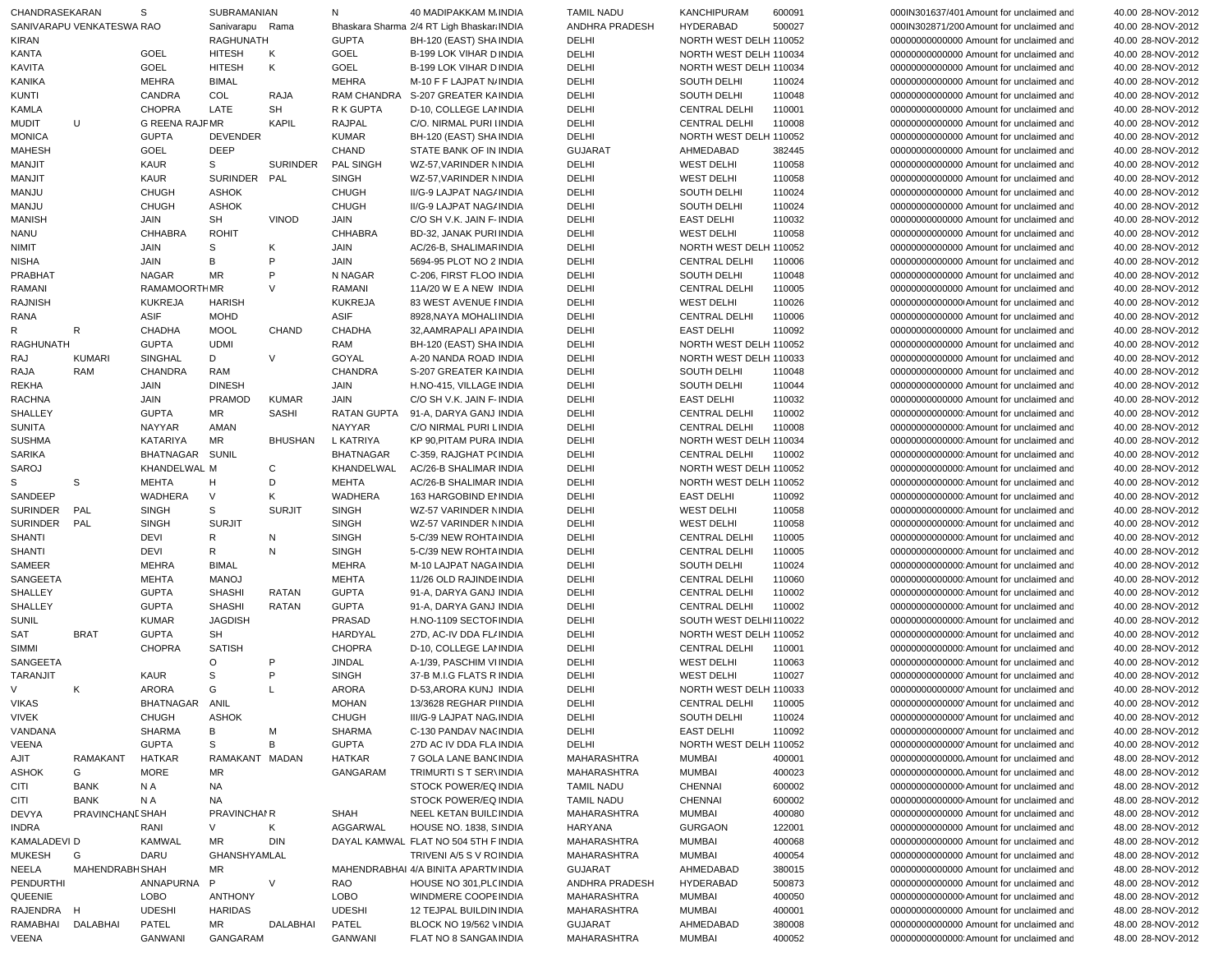| CHANDRASEKARAN          |                           | S                     | SUBRAMANIAN                      |                 | N                | 40 MADIPAKKAM M INDIA                              | <b>TAMIL NADU</b>          | <b>KANCHIPURAM</b>                  | 600091           | 000IN301637/401 Amount for unclaimed and                                           | 40.00 28-NOV-2012                      |
|-------------------------|---------------------------|-----------------------|----------------------------------|-----------------|------------------|----------------------------------------------------|----------------------------|-------------------------------------|------------------|------------------------------------------------------------------------------------|----------------------------------------|
|                         | SANIVARAPU VENKATESWA RAO |                       | Sanivarapu Rama                  |                 |                  | Bhaskara Sharma 2/4 RT Ligh Bhaskar: INDIA         | ANDHRA PRADESH             | <b>HYDERABAD</b>                    | 500027           | 000IN302871/200 Amount for unclaimed and                                           | 40.00 28-NOV-2012                      |
| <b>KIRAN</b>            |                           |                       | <b>RAGHUNATH</b>                 |                 | <b>GUPTA</b>     | BH-120 (EAST) SHA INDIA                            | DELHI                      | NORTH WEST DELH 110052              |                  | 00000000000000 Amount for unclaimed and                                            | 40.00 28-NOV-2012                      |
| <b>KANTA</b>            |                           | <b>GOEL</b>           | <b>HITESH</b>                    | K               | GOEL             | B-199 LOK VIHAR D INDIA                            | DELHI                      | NORTH WEST DELH 110034              |                  | 00000000000000 Amount for unclaimed and                                            | 40.00 28-NOV-2012                      |
| KAVITA                  |                           | GOEL                  | <b>HITESH</b>                    | Κ               | GOEL             | B-199 LOK VIHAR D INDIA                            | DELHI                      | NORTH WEST DELH 110034              |                  | 00000000000000 Amount for unclaimed and                                            | 40.00 28-NOV-2012                      |
| KANIKA                  |                           | <b>MEHRA</b>          | <b>BIMAL</b>                     |                 | <b>MEHRA</b>     | M-10 F F LAJPAT N/INDIA                            | DELHI                      | SOUTH DELHI                         | 110024           | 00000000000000 Amount for unclaimed and                                            | 40.00 28-NOV-2012                      |
| <b>KUNTI</b>            |                           | CANDRA                | COL                              | RAJA            | RAM CHANDRA      | S-207 GREATER KAINDIA                              | DELHI                      | SOUTH DELHI                         | 110048           | 00000000000000 Amount for unclaimed and                                            | 40.00 28-NOV-2012                      |
| KAMLA                   |                           | <b>CHOPRA</b>         | LATE                             | <b>SH</b>       | R K GUPTA        | D-10, COLLEGE LANNDIA                              | DELHI                      | <b>CENTRAL DELHI</b>                | 110001           | 00000000000000 Amount for unclaimed and                                            | 40.00 28-NOV-2012                      |
| <b>MUDIT</b>            | U                         | <b>G REENA RAJPMR</b> |                                  | <b>KAPIL</b>    | <b>RAJPAL</b>    | C/O. NIRMAL PURI IINDIA                            | DELHI                      | <b>CENTRAL DELHI</b>                | 110008           | 00000000000000 Amount for unclaimed and                                            | 40.00 28-NOV-2012                      |
| <b>MONICA</b>           |                           | <b>GUPTA</b>          | <b>DEVENDER</b>                  |                 | <b>KUMAR</b>     | BH-120 (EAST) SHA INDIA                            | DELHI                      | NORTH WEST DELH 110052              |                  | 00000000000000 Amount for unclaimed and                                            | 40.00 28-NOV-2012                      |
| <b>MAHESH</b>           |                           | <b>GOEL</b>           | <b>DEEP</b>                      |                 | <b>CHAND</b>     | STATE BANK OF IN INDIA                             | <b>GUJARAT</b>             | AHMEDABAD                           | 382445           | 00000000000000 Amount for unclaimed and                                            | 40.00 28-NOV-2012                      |
| <b>MANJIT</b>           |                           | <b>KAUR</b>           | S                                | <b>SURINDER</b> | PAL SINGH        | WZ-57.VARINDER NINDIA                              | DELHI                      | <b>WEST DELHI</b>                   | 110058           | 00000000000000 Amount for unclaimed and                                            | 40.00 28-NOV-2012                      |
| MANJIT                  |                           | <b>KAUR</b>           | <b>SURINDER</b>                  | PAL             | <b>SINGH</b>     | WZ-57.VARINDER NINDIA                              | DELHI                      | <b>WEST DELHI</b>                   | 110058           | 00000000000000 Amount for unclaimed and                                            | 40.00 28-NOV-2012                      |
| MANJU                   |                           | <b>CHUGH</b>          | <b>ASHOK</b>                     |                 | <b>CHUGH</b>     | II/G-9 LAJPAT NAG/ INDIA                           | DELHI                      | <b>SOUTH DELHI</b>                  | 110024           | 00000000000000 Amount for unclaimed and                                            | 40.00 28-NOV-2012                      |
| <b>MANJU</b>            |                           | <b>CHUGH</b>          | <b>ASHOK</b>                     |                 | <b>CHUGH</b>     | II/G-9 LAJPAT NAG/ INDIA                           | DELHI                      | <b>SOUTH DELHI</b>                  | 110024           | 00000000000000 Amount for unclaimed and                                            | 40.00 28-NOV-2012                      |
| <b>MANISH</b>           |                           | JAIN                  | <b>SH</b><br><b>ROHIT</b>        | <b>VINOD</b>    | JAIN             | C/O SH V.K. JAIN F-INDIA                           | DELHI                      | <b>EAST DELHI</b>                   | 110032           | 00000000000000 Amount for unclaimed and                                            | 40.00 28-NOV-2012                      |
| <b>NANU</b>             |                           | <b>CHHABRA</b>        |                                  |                 | <b>CHHABRA</b>   | BD-32, JANAK PURHNDIA                              | DELHI                      | <b>WEST DELHI</b>                   | 110058           | 00000000000000 Amount for unclaimed and                                            | 40.00 28-NOV-2012                      |
| NIMIT                   |                           | JAIN                  | S                                | K<br>P          | <b>JAIN</b>      | AC/26-B, SHALIMAR INDIA                            | DELHI                      | NORTH WEST DELH 110052              |                  | 00000000000000 Amount for unclaimed and                                            | 40.00 28-NOV-2012                      |
| <b>NISHA</b><br>PRABHAT |                           | JAIN<br>NAGAR         | В<br><b>MR</b>                   | P               | JAIN<br>N NAGAR  | 5694-95 PLOT NO 2 INDIA<br>C-206, FIRST FLOO INDIA | DELHI<br>DELHI             | <b>CENTRAL DELHI</b><br>SOUTH DELHI | 110006<br>110048 | 00000000000000 Amount for unclaimed and<br>00000000000000 Amount for unclaimed and | 40.00 28-NOV-2012<br>40.00 28-NOV-2012 |
| RAMANI                  |                           | <b>RAMAMOORTHMR</b>   |                                  | $\vee$          | RAMANI           | 11A/20 W E A NEW INDIA                             | DELHI                      | <b>CENTRAL DELHI</b>                | 110005           | 00000000000000 Amount for unclaimed and                                            | 40.00 28-NOV-2012                      |
| <b>RAJNISH</b>          |                           | <b>KUKREJA</b>        | <b>HARISH</b>                    |                 | <b>KUKREJA</b>   | 83 WEST AVENUE FINDIA                              | DELHI                      | <b>WEST DELHI</b>                   | 110026           | 00000000000000 Amount for unclaimed and                                            | 40.00 28-NOV-2012                      |
| <b>RANA</b>             |                           | <b>ASIF</b>           | <b>MOHD</b>                      |                 | <b>ASIF</b>      | 8928, NAYA MOHALI INDIA                            | DELHI                      | <b>CENTRAL DELHI</b>                | 110006           | 00000000000000 Amount for unclaimed and                                            | 40.00 28-NOV-2012                      |
| R.                      | $\mathsf{R}$              | <b>CHADHA</b>         | <b>MOOL</b>                      | <b>CHAND</b>    | CHADHA           | 32, AAMRAPALI APA INDIA                            | DELHI                      | <b>EAST DELHI</b>                   | 110092           | 00000000000000 Amount for unclaimed and                                            | 40.00 28-NOV-2012                      |
| <b>RAGHUNATH</b>        |                           | <b>GUPTA</b>          | <b>UDMI</b>                      |                 | <b>RAM</b>       | BH-120 (EAST) SHA INDIA                            | DELHI                      | NORTH WEST DELH 110052              |                  | 00000000000000 Amount for unclaimed and                                            | 40.00 28-NOV-2012                      |
| <b>RAJ</b>              | <b>KUMARI</b>             | SINGHAL               | D                                | $\vee$          | GOYAL            | A-20 NANDA ROAD INDIA                              | DELHI                      | NORTH WEST DELH 110033              |                  | 00000000000000 Amount for unclaimed and                                            | 40.00 28-NOV-2012                      |
| RAJA                    | RAM                       | <b>CHANDRA</b>        | RAM                              |                 | <b>CHANDRA</b>   | S-207 GREATER KAINDIA                              | DELHI                      | <b>SOUTH DELHI</b>                  | 110048           | 00000000000000 Amount for unclaimed and                                            | 40.00 28-NOV-2012                      |
| <b>REKHA</b>            |                           | JAIN                  | <b>DINESH</b>                    |                 | <b>JAIN</b>      | H.NO-415, VILLAGE INDIA                            | DELHI                      | SOUTH DELHI                         | 110044           | 00000000000000 Amount for unclaimed and                                            | 40.00 28-NOV-2012                      |
| <b>RACHNA</b>           |                           | JAIN                  | PRAMOD                           | <b>KUMAR</b>    | JAIN             | C/O SH V.K. JAIN F- INDIA                          | DELHI                      | <b>EAST DELHI</b>                   | 110032           | 00000000000000 Amount for unclaimed and                                            | 40.00 28-NOV-2012                      |
| SHALLEY                 |                           | <b>GUPTA</b>          | MR                               | SASHI           | RATAN GUPTA      | 91-A, DARYA GANJ INDIA                             | DELHI                      | <b>CENTRAL DELHI</b>                | 110002           | 000000000000000 Amount for unclaimed and                                           | 40.00 28-NOV-2012                      |
| <b>SUNITA</b>           |                           | <b>NAYYAR</b>         | AMAN                             |                 | NAYYAR           | C/O NIRMAL PURI LINDIA                             | DELHI                      | <b>CENTRAL DELHI</b>                | 110008           | 000000000000000 Amount for unclaimed and                                           | 40.00 28-NOV-2012                      |
| <b>SUSHMA</b>           |                           | KATARIYA              | MR                               | <b>BHUSHAN</b>  | L KATRIYA        | KP 90, PITAM PURA INDIA                            | DELHI                      | NORTH WEST DELH 110034              |                  | 00000000000000 Amount for unclaimed and                                            | 40.00 28-NOV-2012                      |
| SARIKA                  |                           | <b>BHATNAGAR</b>      | <b>SUNIL</b>                     |                 | <b>BHATNAGAR</b> | C-359, RAJGHAT P(INDIA                             | DELHI                      | CENTRAL DELHI                       | 110002           | 000000000000000 Amount for unclaimed and                                           | 40.00 28-NOV-2012                      |
| SAROJ                   |                           | KHANDELWAL M          |                                  | C               | KHANDELWAL       | AC/26-B SHALIMAR INDIA                             | DELHI                      | NORTH WEST DELH 110052              |                  | 000000000000000 Amount for unclaimed and                                           | 40.00 28-NOV-2012                      |
| s                       | -S                        | <b>MEHTA</b>          | н                                | D               | <b>MEHTA</b>     | AC/26-B SHALIMAR INDIA                             | DELHI                      | NORTH WEST DELH 110052              |                  | 000000000000000 Amount for unclaimed and                                           | 40.00 28-NOV-2012                      |
| SANDEEP                 |                           | WADHERA               | $\vee$                           | Κ               | <b>WADHERA</b>   | 163 HARGOBIND ENNDIA                               | DELHI                      | <b>EAST DELHI</b>                   | 110092           | 000000000000000 Amount for unclaimed and                                           | 40.00 28-NOV-2012                      |
| <b>SURINDER</b>         | PAL                       | <b>SINGH</b>          | S                                | <b>SURJIT</b>   | <b>SINGH</b>     | WZ-57 VARINDER NINDIA                              | DELHI                      | <b>WEST DELHI</b>                   | 110058           | 000000000000000 Amount for unclaimed and                                           | 40.00 28-NOV-2012                      |
| <b>SURINDER</b>         | PAL                       | <b>SINGH</b>          | <b>SURJIT</b>                    |                 | <b>SINGH</b>     | WZ-57 VARINDER NINDIA                              | DELHI                      | <b>WEST DELHI</b>                   | 110058           | 000000000000000 Amount for unclaimed and                                           | 40.00 28-NOV-2012                      |
| <b>SHANTI</b>           |                           | <b>DEVI</b>           | R                                | N               | <b>SINGH</b>     | 5-C/39 NEW ROHTA INDIA                             | DELHI                      | <b>CENTRAL DELHI</b>                | 110005           | 000000000000000 Amount for unclaimed and                                           | 40.00 28-NOV-2012                      |
| <b>SHANTI</b>           |                           | <b>DEVI</b>           | $\mathsf{R}$                     | ${\sf N}$       | <b>SINGH</b>     | 5-C/39 NEW ROHTA INDIA                             | DELHI                      | <b>CENTRAL DELHI</b>                | 110005           | 000000000000000 Amount for unclaimed and                                           | 40.00 28-NOV-2012                      |
| SAMEER                  |                           | <b>MEHRA</b>          | <b>BIMAL</b>                     |                 | <b>MEHRA</b>     | M-10 LAJPAT NAGA INDIA                             | DELHI                      | SOUTH DELHI                         | 110024           | 000000000000000 Amount for unclaimed and                                           | 40.00 28-NOV-2012                      |
| SANGEETA                |                           | <b>MEHTA</b>          | <b>MANOJ</b>                     |                 | <b>MEHTA</b>     | 11/26 OLD RAJINDE INDIA                            | DELHI                      | <b>CENTRAL DELHI</b>                | 110060           | 000000000000000 Amount for unclaimed and                                           | 40.00 28-NOV-2012                      |
| SHALLEY                 |                           | <b>GUPTA</b>          | <b>SHASHI</b>                    | <b>RATAN</b>    | <b>GUPTA</b>     | 91-A, DARYA GANJ INDIA                             | DELHI                      | <b>CENTRAL DELHI</b>                | 110002           | 000000000000000 Amount for unclaimed and                                           | 40.00 28-NOV-2012                      |
| SHALLEY                 |                           | <b>GUPTA</b>          | <b>SHASHI</b>                    | <b>RATAN</b>    | <b>GUPTA</b>     | 91-A. DARYA GANJ INDIA                             | DELHI                      | <b>CENTRAL DELHI</b>                | 110002           | 00000000000000 Amount for unclaimed and                                            | 40.00 28-NOV-2012                      |
| <b>SUNIL</b>            |                           | <b>KUMAR</b>          | <b>JAGDISH</b>                   |                 | <b>PRASAD</b>    | H.NO-1109 SECTOF INDIA                             | DELHI                      | SOUTH WEST DELHI110022              |                  | 000000000000000 Amount for unclaimed and                                           | 40.00 28-NOV-2012                      |
| SAT                     | <b>BRAT</b>               | <b>GUPTA</b>          | <b>SH</b>                        |                 | HARDYAL          | 27D, AC-IV DDA FL/ INDIA                           | DELHI                      | NORTH WEST DELH 110052              |                  | 000000000000000 Amount for unclaimed and                                           | 40.00 28-NOV-2012                      |
| <b>SIMMI</b>            |                           | <b>CHOPRA</b>         | <b>SATISH</b>                    |                 | <b>CHOPRA</b>    | D-10. COLLEGE LANNDIA                              | DELHI                      | <b>CENTRAL DELHI</b>                | 110001           | 000000000000000 Amount for unclaimed and                                           | 40.00 28-NOV-2012                      |
| SANGEETA                |                           |                       | $\circ$                          | P               | <b>JINDAL</b>    | A-1/39, PASCHIM VIINDIA                            | DELHI                      | <b>WEST DELHI</b>                   | 110063           | 000000000000000 Amount for unclaimed and                                           | 40.00 28-NOV-2012                      |
| TARANJIT                |                           | KAUR                  | S                                | P               | <b>SINGH</b>     | 37-B M.I.G FLATS R INDIA                           | DELHI                      | <b>WEST DELHI</b>                   | 110027           | 000000000000000 Amount for unclaimed and                                           | 40.00 28-NOV-2012                      |
|                         | Κ                         | ARORA                 | G                                | $\mathsf{L}$    | <b>ARORA</b>     | D-53, ARORA KUNJ INDIA                             | <b>DELHI</b>               | NORTH WEST DELH 110033              |                  | 00000000000000 Amount for unclaimed and                                            | 40.00 28-NOV-2012                      |
| <b>VIKAS</b>            |                           | BHATNAGAR ANIL        |                                  |                 | <b>MOHAN</b>     | 13/3628 REGHAR PINDIA                              | DELHI                      | CENTRAL DELHI 110005                |                  | 00000000000000 Amount for unclaimed and                                            | 40.00 28-NOV-2012                      |
| <b>VIVEK</b>            |                           | CHUGH                 | <b>ASHOK</b>                     |                 | CHUGH            | III/G-9 LAJPAT NAG INDIA                           | DELHI                      | SOUTH DELHI                         | 110024           | 00000000000000 Amount for unclaimed and                                            | 40.00 28-NOV-2012                      |
| VANDANA                 |                           | <b>SHARMA</b>         | B                                | M               | <b>SHARMA</b>    | C-130 PANDAV NACINDIA                              | DELHI                      | <b>EAST DELHI</b>                   | 110092           | 00000000000000 Amount for unclaimed and                                            | 40.00 28-NOV-2012                      |
| VEENA                   |                           | <b>GUPTA</b>          | S                                | B               | <b>GUPTA</b>     | 27D AC IV DDA FLA INDIA                            | DELHI                      | NORTH WEST DELH 110052              |                  | 00000000000000 Amount for unclaimed and                                            | 40.00 28-NOV-2012                      |
| AJIT                    | RAMAKANT                  | HATKAR                | RAMAKANT MADAN                   |                 | <b>HATKAR</b>    | 7 GOLA LANE BAN(INDIA                              | MAHARASHTRA                | MUMBAI                              | 400001           | 00000000000000. Amount for unclaimed and                                           | 48.00 28-NOV-2012                      |
| <b>ASHOK</b>            | G                         | <b>MORE</b>           | MR                               |                 | GANGARAM         | TRIMURTI S T SERVINDIA                             | MAHARASHTRA                | MUMBAI                              | 400023           | 00000000000000. Amount for unclaimed and                                           | 48.00 28-NOV-2012                      |
| CITI                    | <b>BANK</b>               | N A                   | NA                               |                 |                  | STOCK POWER/EQ INDIA                               | <b>TAMIL NADU</b>          | CHENNAI                             | 600002           | 00000000000000 Amount for unclaimed and                                            | 48.00 28-NOV-2012                      |
| CITI                    | <b>BANK</b>               | N A                   | NA                               |                 |                  | STOCK POWER/EQ INDIA                               | <b>TAMIL NADU</b>          | CHENNAI                             | 600002           | 00000000000000 Amount for unclaimed and                                            | 48.00 28-NOV-2012                      |
| DEVYA                   | PRAVINCHANE SHAH          |                       | PRAVINCHAMR                      |                 | SHAH             | NEEL KETAN BUILD INDIA                             | MAHARASHTRA                | MUMBAI                              | 400080           | 00000000000000 Amount for unclaimed and                                            | 48.00 28-NOV-2012                      |
| INDRA                   |                           | RANI                  | V                                | Κ               | <b>AGGARWAL</b>  | HOUSE NO. 1838, SINDIA                             | HARYANA                    | <b>GURGAON</b>                      | 122001           | 00000000000000 Amount for unclaimed and                                            | 48.00 28-NOV-2012                      |
| KAMALADEVI D            |                           | KAMWAL                | MR                               | <b>DIN</b>      |                  | DAYAL KAMWAL FLAT NO 504 5TH F INDIA               | MAHARASHTRA                | <b>MUMBAI</b>                       | 400068           | 00000000000000 Amount for unclaimed and                                            | 48.00 28-NOV-2012                      |
| <b>MUKESH</b>           | G                         | DARU                  | GHANSHYAMLAL                     |                 |                  | TRIVENI A/5 S V RC INDIA                           | MAHARASHTRA                | <b>MUMBAI</b>                       | 400054           | 00000000000000 Amount for unclaimed and                                            | 48.00 28-NOV-2012                      |
| NEELA                   | <b>MAHENDRABH SHAH</b>    |                       | ΜR<br>P.                         | V               |                  | MAHENDRABHAI 4/A BINITA APARTN INDIA               | <b>GUJARAT</b>             | AHMEDABAD                           | 380015           | 00000000000000 Amount for unclaimed and                                            | 48.00 28-NOV-2012                      |
| PENDURTHI<br>QUEENIE    |                           | ANNAPURNA<br>LOBO     |                                  |                 | RAO<br>LOBO      | HOUSE NO 301, PLC INDIA                            | ANDHRA PRADESH             | HYDERABAD                           | 500873           | 00000000000000 Amount for unclaimed and                                            | 48.00 28-NOV-2012                      |
| RAJENDRA H              |                           | <b>UDESHI</b>         | <b>ANTHONY</b><br><b>HARIDAS</b> |                 | <b>UDESHI</b>    | WINDMERE COOPE INDIA<br>12 TEJPAL BUILDIN INDIA    | MAHARASHTRA<br>MAHARASHTRA | <b>MUMBAI</b><br><b>MUMBAI</b>      | 400050<br>400001 | 00000000000000 Amount for unclaimed and<br>00000000000000 Amount for unclaimed and | 48.00 28-NOV-2012<br>48.00 28-NOV-2012 |
| RAMABHAI                | DALABHAI                  | PATEL                 | MR                               | DALABHAI        | PATEL            | BLOCK NO 19/562 VINDIA                             | <b>GUJARAT</b>             | AHMEDABAD                           | 380008           | 00000000000000 Amount for unclaimed and                                            | 48.00 28-NOV-2012                      |
| VEENA                   |                           | GANWANI               | GANGARAM                         |                 | GANWANI          | FLAT NO 8 SANGAMINDIA                              | MAHARASHTRA                | <b>MUMBAI</b>                       | 400052           | 000000000000000 Amount for unclaimed and                                           | 48.00 28-NOV-2012                      |
|                         |                           |                       |                                  |                 |                  |                                                    |                            |                                     |                  |                                                                                    |                                        |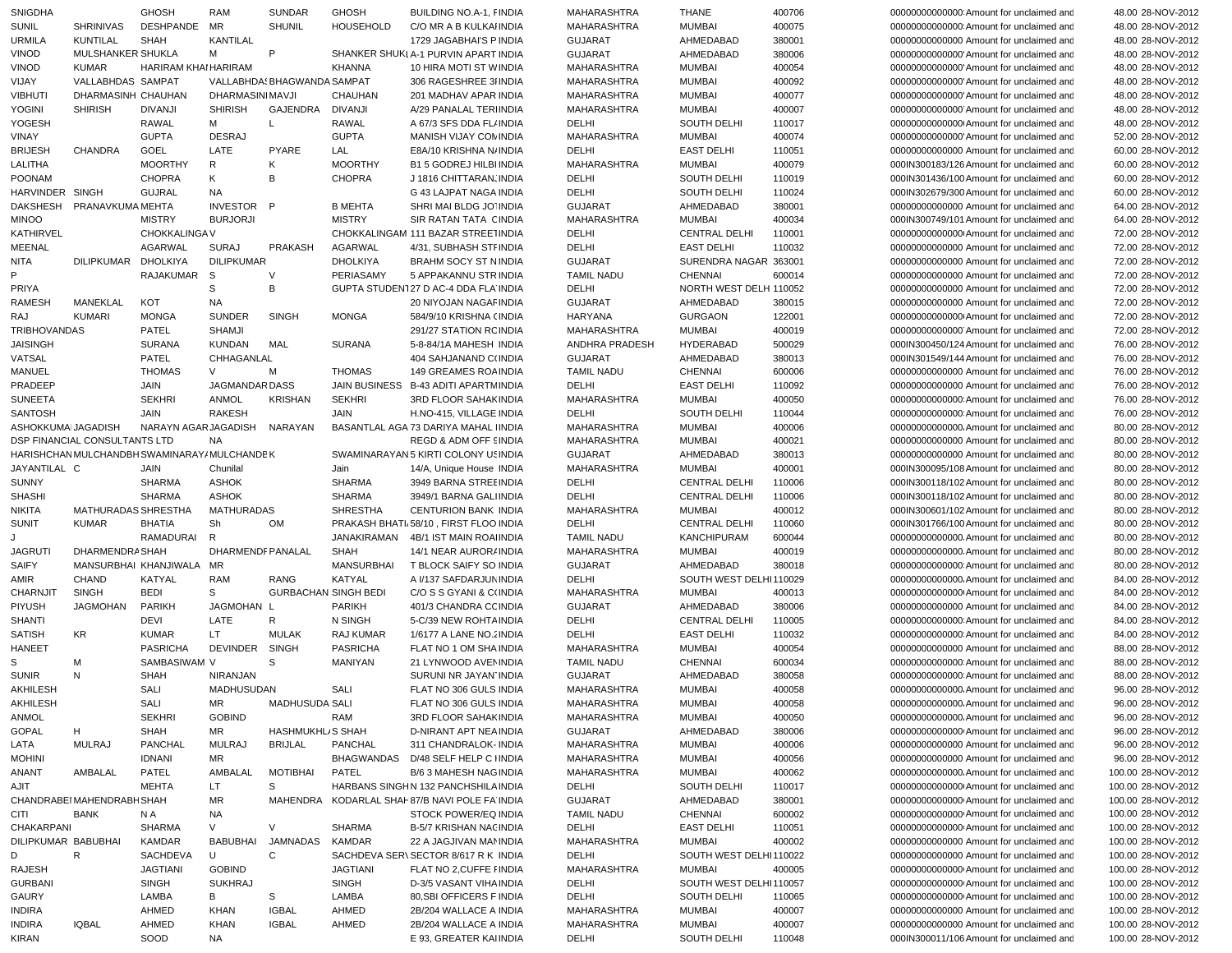| <b>SNIGDHA</b>                |                               | <b>GHOSH</b>                                | <b>RAM</b>        | <b>SUNDAR</b>               | <b>GHOSH</b>       | BUILDING NO.A-1, FINDIA                          | <b>MAHARASHTRA</b>   | <b>THANE</b>                 | 400706           | 000000000000000 Amount for unclaimed and                                            | 48.00 28-NOV-2012                        |
|-------------------------------|-------------------------------|---------------------------------------------|-------------------|-----------------------------|--------------------|--------------------------------------------------|----------------------|------------------------------|------------------|-------------------------------------------------------------------------------------|------------------------------------------|
| <b>SUNIL</b>                  | <b>SHRINIVAS</b>              | <b>DESHPANDE</b>                            | MR                | <b>SHUNIL</b>               | <b>HOUSEHOLD</b>   | C/O MR A B KULKAI INDIA                          | <b>MAHARASHTRA</b>   | <b>MUMBAI</b>                | 400075           | 000000000000000 Amount for unclaimed and                                            | 48.00 28-NOV-2012                        |
| <b>URMILA</b>                 | <b>KUNTILAL</b>               | <b>SHAH</b>                                 | <b>KANTILAL</b>   |                             |                    | 1729 JAGABHAI'S P INDIA                          | <b>GUJARAT</b>       | AHMEDABAD                    | 380001           | 00000000000000 Amount for unclaimed and                                             | 48.00 28-NOV-2012                        |
| <b>VINOD</b>                  | MULSHANKER SHUKLA             |                                             | М                 | P                           |                    | SHANKER SHUKLA-1 PURVIN APART INDIA              | <b>GUJARAT</b>       | AHMEDABAD                    | 380006           | 00000000000000 Amount for unclaimed and                                             | 48.00 28-NOV-2012                        |
| <b>VINOD</b>                  | <b>KUMAR</b>                  | HARIRAM KHAI HARIRAM                        |                   |                             | <b>KHANNA</b>      | 10 HIRA MOTI ST WINDIA                           | <b>MAHARASHTRA</b>   | <b>MUMBAI</b>                | 400054           | 00000000000000 Amount for unclaimed and                                             | 48.00 28-NOV-2012                        |
| VIJAY                         | VALLABHDAS SAMPAT             |                                             |                   | VALLABHDA: BHAGWANDA SAMPAT |                    | 306 RAGESHREE 3I INDIA                           | <b>MAHARASHTRA</b>   | <b>MUMBAI</b>                | 400092           | 00000000000000 Amount for unclaimed and                                             | 48.00 28-NOV-2012                        |
| <b>VIBHUTI</b>                | DHARMASINH CHAUHAN            |                                             | DHARMASINI MAVJI  |                             | CHAUHAN            | 201 MADHAV APAR INDIA                            | <b>MAHARASHTRA</b>   | <b>MUMBAI</b>                | 400077           | 00000000000000 Amount for unclaimed and                                             | 48.00 28-NOV-2012                        |
| <b>YOGINI</b>                 | <b>SHIRISH</b>                | <b>DIVANJI</b>                              | <b>SHIRISH</b>    | GAJENDRA                    | <b>DIVANJI</b>     | A/29 PANALAL TERHNDIA                            | MAHARASHTRA          | <b>MUMBAI</b>                | 400007           | 00000000000000 Amount for unclaimed and                                             | 48.00 28-NOV-2012                        |
|                               |                               |                                             |                   |                             |                    |                                                  |                      |                              |                  |                                                                                     |                                          |
| YOGESH                        |                               | <b>RAWAL</b>                                | м                 | L.                          | RAWAL              | A 67/3 SFS DDA FL/INDIA                          | DELHI                | SOUTH DELHI                  | 110017           | 000000000000000 Amount for unclaimed and                                            | 48.00 28-NOV-2012                        |
| VINAY                         |                               | <b>GUPTA</b>                                | <b>DESRAJ</b>     |                             | <b>GUPTA</b>       | MANISH VIJAY CON INDIA                           | MAHARASHTRA          | <b>MUMBAI</b>                | 400074           | 00000000000000 Amount for unclaimed and                                             | 52.00 28-NOV-2012                        |
| <b>BRIJESH</b>                | <b>CHANDRA</b>                | GOEL                                        | LATE              | PYARE                       | LAL                | E8A/10 KRISHNA N/ INDIA                          | DELHI                | <b>EAST DELHI</b>            | 110051           | 00000000000000 Amount for unclaimed and                                             | 60.00 28-NOV-2012                        |
| LALITHA                       |                               | <b>MOORTHY</b>                              | R                 | Κ                           | <b>MOORTHY</b>     | <b>B1 5 GODREJ HILBI INDIA</b>                   | MAHARASHTRA          | <b>MUMBAI</b>                | 400079           | 000IN300183/126 Amount for unclaimed and                                            | 60.00 28-NOV-2012                        |
| <b>POONAM</b>                 |                               | <b>CHOPRA</b>                               | Κ                 | B                           | <b>CHOPRA</b>      | J 1816 CHITTARAN, INDIA                          | DELHI                | SOUTH DELHI                  | 110019           | 000IN301436/100 Amount for unclaimed and                                            | 60.00 28-NOV-2012                        |
| HARVINDER SINGH               |                               | <b>GUJRAL</b>                               | <b>NA</b>         |                             |                    | G 43 LAJPAT NAGA INDIA                           | DELHI                | SOUTH DELHI                  | 110024           | 000IN302679/300 Amount for unclaimed and                                            | 60.00 28-NOV-2012                        |
| <b>DAKSHESH</b>               | PRANAVKUMA MEHTA              |                                             | INVESTOR P        |                             | <b>B MEHTA</b>     | SHRI MAI BLDG JO' INDIA                          | <b>GUJARAT</b>       | AHMEDABAD                    | 380001           | 00000000000000 Amount for unclaimed and                                             | 64.00 28-NOV-2012                        |
| <b>MINOO</b>                  |                               | <b>MISTRY</b>                               | <b>BURJORJI</b>   |                             | <b>MISTRY</b>      | SIR RATAN TATA CINDIA                            | MAHARASHTRA          | <b>MUMBAI</b>                | 400034           | 000IN300749/101 Amount for unclaimed and                                            | 64.00 28-NOV-2012                        |
| KATHIRVEL                     |                               | CHOKKALINGA V                               |                   |                             |                    | CHOKKALINGAM 111 BAZAR STREETINDIA               | DELHI                | <b>CENTRAL DELHI</b>         | 110001           | 000000000000000 Amount for unclaimed and                                            | 72.00 28-NOV-2012                        |
| MEENAL                        |                               | <b>AGARWAL</b>                              | <b>SURAJ</b>      | <b>PRAKASH</b>              | <b>AGARWAL</b>     | 4/31, SUBHASH STFINDIA                           | DELHI                | <b>EAST DELHI</b>            | 110032           | 00000000000000 Amount for unclaimed and                                             | 72.00 28-NOV-2012                        |
|                               | DILIPKUMAR DHOLKIYA           |                                             | <b>DILIPKUMAR</b> |                             | <b>DHOLKIYA</b>    | <b>BRAHM SOCY ST N INDIA</b>                     | <b>GUJARAT</b>       |                              |                  |                                                                                     |                                          |
| <b>NITA</b><br>P              |                               |                                             |                   |                             |                    |                                                  |                      | SURENDRA NAGAR 363001        |                  | 00000000000000 Amount for unclaimed and                                             | 72.00 28-NOV-2012                        |
|                               |                               | RAJAKUMAR S                                 |                   | V                           | PERIASAMY          | 5 APPAKANNU STR INDIA                            | <b>TAMIL NADU</b>    | <b>CHENNAI</b>               | 600014           | 00000000000000 Amount for unclaimed and                                             | 72.00 28-NOV-2012                        |
| PRIYA                         |                               |                                             | S                 | В                           |                    | GUPTA STUDEN127 D AC-4 DDA FLA INDIA             | DELHI                | NORTH WEST DELH 110052       |                  | 00000000000000 Amount for unclaimed and                                             | 72.00 28-NOV-2012                        |
| <b>RAMESH</b>                 | MANEKLAL                      | KOT                                         | <b>NA</b>         |                             |                    | 20 NIYOJAN NAGAF INDIA                           | <b>GUJARAT</b>       | AHMEDABAD                    | 380015           | 00000000000000 Amount for unclaimed and                                             | 72.00 28-NOV-2012                        |
| RAJ                           | <b>KUMARI</b>                 | <b>MONGA</b>                                | <b>SUNDER</b>     | <b>SINGH</b>                | <b>MONGA</b>       | 584/9/10 KRISHNA (INDIA                          | HARYANA              | <b>GURGAON</b>               | 122001           | 000000000000000 Amount for unclaimed and                                            | 72.00 28-NOV-2012                        |
| <b>TRIBHOVANDAS</b>           |                               | PATEL                                       | <b>SHAMJI</b>     |                             |                    | 291/27 STATION RC INDIA                          | <b>MAHARASHTRA</b>   | <b>MUMBAI</b>                | 400019           | 00000000000000 Amount for unclaimed and                                             | 72.00 28-NOV-2012                        |
| <b>JAISINGH</b>               |                               | <b>SURANA</b>                               | <b>KUNDAN</b>     | MAL                         | <b>SURANA</b>      | 5-8-84/1A MAHESH INDIA                           | ANDHRA PRADESH       | HYDERABAD                    | 500029           | 000IN300450/124 Amount for unclaimed and                                            | 76.00 28-NOV-2012                        |
| VATSAL                        |                               | PATEL                                       | CHHAGANLAL        |                             |                    | 404 SAHJANAND C(INDIA                            | <b>GUJARAT</b>       | AHMEDABAD                    | 380013           | 000IN301549/144 Amount for unclaimed and                                            | 76.00 28-NOV-2012                        |
| MANUEL                        |                               | <b>THOMAS</b>                               | V                 | M                           | <b>THOMAS</b>      | 149 GREAMES ROA INDIA                            | <b>TAMIL NADU</b>    | <b>CHENNAI</b>               | 600006           | 00000000000000 Amount for unclaimed and                                             | 76.00 28-NOV-2012                        |
| PRADEEP                       |                               | JAIN                                        | JAGMANDAR DASS    |                             |                    | JAIN BUSINESS B-43 ADITI APARTM INDIA            | <b>DELHI</b>         | <b>EAST DELHI</b>            | 110092           | 00000000000000 Amount for unclaimed and                                             | 76.00 28-NOV-2012                        |
|                               |                               |                                             |                   |                             |                    |                                                  |                      |                              |                  |                                                                                     |                                          |
| <b>SUNEETA</b>                |                               | <b>SEKHRI</b>                               | <b>ANMOL</b>      | <b>KRISHAN</b>              | <b>SEKHRI</b>      | 3RD FLOOR SAHAK INDIA                            | <b>MAHARASHTRA</b>   | <b>MUMBAI</b>                | 400050           | 000000000000000 Amount for unclaimed and                                            | 76.00 28-NOV-2012                        |
| <b>SANTOSH</b>                |                               | JAIN                                        | <b>RAKESH</b>     |                             | <b>JAIN</b>        | H.NO-415, VILLAGE INDIA                          | DELHI                | SOUTH DELHI                  | 110044           | 000000000000000 Amount for unclaimed and                                            | 76.00 28-NOV-2012                        |
| ASHOKKUMAIJAGADISH            |                               | NARAYN AGAR JAGADISH                        |                   | NARAYAN                     |                    | BASANTLAL AGA 73 DARIYA MAHAL IINDIA             | <b>MAHARASHTRA</b>   | <b>MUMBAI</b>                | 400006           | 00000000000000. Amount for unclaimed and                                            | 80.00 28-NOV-2012                        |
|                               | DSP FINANCIAL CONSULTANTS LTD |                                             | <b>NA</b>         |                             |                    | REGD & ADM OFF SINDIA                            | MAHARASHTRA          | <b>MUMBAI</b>                | 400021           | 00000000000000 Amount for unclaimed and                                             | 80.00 28-NOV-2012                        |
|                               |                               | HARISHCHAN MULCHANDBH SWAMINARAY/MULCHANDEK |                   |                             |                    | SWAMINARAYAN 5 KIRTI COLONY USINDIA              | <b>GUJARAT</b>       | AHMEDABAD                    | 380013           | 00000000000000 Amount for unclaimed and                                             | 80.00 28-NOV-2012                        |
| JAYANTILAL C                  |                               | JAIN                                        | Chunilal          |                             | Jain               |                                                  |                      | <b>MUMBAI</b>                | 400001           |                                                                                     |                                          |
|                               |                               |                                             |                   |                             |                    | 14/A, Unique House INDIA                         | MAHARASHTRA          |                              |                  | 000IN300095/108 Amount for unclaimed and                                            | 80.00 28-NOV-2012                        |
| <b>SUNNY</b>                  |                               | <b>SHARMA</b>                               | <b>ASHOK</b>      |                             | <b>SHARMA</b>      | 3949 BARNA STREEINDIA                            | DELHI                | <b>CENTRAL DELHI</b>         | 110006           | 000IN300118/102 Amount for unclaimed and                                            | 80.00 28-NOV-2012                        |
| <b>SHASHI</b>                 |                               | <b>SHARMA</b>                               | <b>ASHOK</b>      |                             | <b>SHARMA</b>      | 3949/1 BARNA GALIINDIA                           | DELHI                | <b>CENTRAL DELHI</b>         | 110006           | 000IN300118/102 Amount for unclaimed and                                            | 80.00 28-NOV-2012                        |
|                               |                               |                                             |                   |                             |                    |                                                  |                      |                              |                  |                                                                                     |                                          |
| <b>NIKITA</b>                 | MATHURADAS SHRESTHA           |                                             | <b>MATHURADAS</b> |                             | <b>SHRESTHA</b>    | <b>CENTURION BANK INDIA</b>                      | MAHARASHTRA          | <b>MUMBAI</b>                | 400012           | 000IN300601/102 Amount for unclaimed and                                            | 80.00 28-NOV-2012                        |
| <b>SUNIT</b>                  | <b>KUMAR</b>                  | <b>BHATIA</b>                               | Sh                | <b>OM</b>                   |                    | PRAKASH BHATI 58/10, FIRST FLOO INDIA            | <b>DELHI</b>         | <b>CENTRAL DELHI</b>         | 110060           | 000IN301766/100 Amount for unclaimed and                                            | 80.00 28-NOV-2012                        |
|                               |                               | RAMADURAI                                   | R                 |                             | <b>JANAKIRAMAN</b> | 4B/1 IST MAIN ROAHNDIA                           | <b>TAMIL NADU</b>    | <b>KANCHIPURAM</b>           | 600044           |                                                                                     | 80.00 28-NOV-2012                        |
| <b>JAGRUTI</b>                | DHARMENDRA SHAH               |                                             | DHARMENDF PANALAL |                             | <b>SHAH</b>        | 14/1 NEAR AUROR/ INDIA                           | MAHARASHTRA          | <b>MUMBAI</b>                | 400019           |                                                                                     | 80.00 28-NOV-2012                        |
| <b>SAIFY</b>                  | MANSURBHAI KHANJIWALA         |                                             | MR                |                             | <b>MANSURBHAI</b>  | T BLOCK SAIFY SO INDIA                           | <b>GUJARAT</b>       | AHMEDABAD                    | 380018           | 00000000000000 Amount for unclaimed and                                             | 80.00 28-NOV-2012                        |
| AMIR                          | CHAND                         | KATYAL                                      | <b>RAM</b>        | <b>RANG</b>                 | KATYAL             | A I/137 SAFDARJUN INDIA                          | DELHI                | SOUTH WEST DELHI110029       |                  | 00000000000000. Amount for unclaimed and                                            | 84.00 28-NOV-2012                        |
| <b>CHARNJIT</b>               | <b>SINGH</b>                  | <b>BEDI</b>                                 | S                 | <b>GURBACHAN SINGH BEDI</b> |                    | C/O S S GYANI & C(INDIA                          | MAHARASHTRA          | <b>MUMBAI</b>                | 400013           | 000000000000000 Amount for unclaimed and                                            | 84.00 28-NOV-2012                        |
| PIYUSH                        | <b>JAGMOHAN</b>               | PARIKH                                      | JAGMOHAN L        |                             | <b>PARIKH</b>      | 401/3 CHANDRA CC INDIA                           | <b>GUJARAT</b>       | AHMEDABAD                    | 380006           | 00000000000000 Amount for unclaimed and                                             | 84.00 28-NOV-2012                        |
| <b>SHANTI</b>                 |                               | DEVI                                        | LATE              | R                           | N SINGH            | 5-C/39 NEW ROHTA INDIA                           | DELHI                | <b>CENTRAL DELHI</b>         | 110005           | 000000000000000 Amount for unclaimed and                                            | 84.00 28-NOV-2012                        |
| <b>SATISH</b>                 | KR                            | <b>KUMAR</b>                                | LT.               | <b>MULAK</b>                | <b>RAJ KUMAR</b>   | 1/6177 A LANE NO. 2 INDIA                        | DELHI                | <b>EAST DELHI</b>            | 110032           | 000000000000000 Amount for unclaimed and                                            | 84.00 28-NOV-2012                        |
| <b>HANEET</b>                 |                               | <b>PASRICHA</b>                             | <b>DEVINDER</b>   | <b>SINGH</b>                | <b>PASRICHA</b>    | FLAT NO 1 OM SHA INDIA                           | <b>MAHARASHTRA</b>   | <b>MUMBAI</b>                | 400054           | 00000000000000 Amount for unclaimed and                                             | 88.00 28-NOV-2012                        |
| S                             | м                             | SAMBASIWAM V                                |                   | S                           | <b>MANIYAN</b>     | 21 LYNWOOD AVENINDIA                             | <b>TAMIL NADU</b>    | <b>CHENNAI</b>               | 600034           | 000000000000000 Amount for unclaimed and                                            | 88.00 28-NOV-2012                        |
| <b>SUNIR</b>                  | N                             | <b>SHAH</b>                                 | NIRANJAN          |                             |                    | SURUNI NR JAYAN INDIA                            | <b>GUJARAT</b>       | AHMEDABAD                    | 380058           | 000000000000000 Amount for unclaimed and                                            | 88.00 28-NOV-2012                        |
|                               |                               |                                             |                   |                             |                    |                                                  |                      |                              |                  |                                                                                     |                                          |
| <b>AKHILESH</b>               |                               | SALI                                        | MADHUSUDAN        |                             | SALI               | FLAT NO 306 GULS INDIA                           | <b>MAHARASHTRA</b>   | <b>MUMBAI</b>                | 400058           | 00000000000000. Amount for unclaimed and                                            | 96.00 28-NOV-2012                        |
| AKHILESH                      |                               | SALI                                        | MR                | MADHUSUDA SALI              |                    | FLAT NO 306 GULS INDIA                           | MAHARASHTRA          | <b>MUMBAI</b>                | 400058           | 00000000000000. Amount for unclaimed and                                            | 96.00 28-NOV-2012                        |
| ANMOL                         |                               | <b>SEKHRI</b>                               | <b>GOBIND</b>     |                             | RAM                | 3RD FLOOR SAHAKINDIA                             | <b>MAHARASHTRA</b>   | <b>MUMBAI</b>                | 400050           | 00000000000000. Amount for unclaimed and                                            | 96.00 28-NOV-2012                        |
| <b>GOPAL</b>                  | H                             | SHAH                                        | MR.               | HASHMUKHL/S SHAH            |                    | D-NIRANT APT NEA INDIA                           | <b>GUJARAT</b>       | AHMEDABAD                    | 380006           | 000000000000000 Amount for unclaimed and                                            | 96.00 28-NOV-2012                        |
| LATA                          | MULRAJ                        | PANCHAL                                     | <b>MULRAJ</b>     | <b>BRIJLAL</b>              | PANCHAL            | 311 CHANDRALOK- INDIA                            | <b>MAHARASHTRA</b>   | <b>MUMBAI</b>                | 400006           | 00000000000000 Amount for unclaimed and                                             | 96.00 28-NOV-2012                        |
| <b>MOHINI</b>                 |                               | <b>IDNANI</b>                               | ΜR                |                             |                    | BHAGWANDAS D/48 SELF HELP C IINDIA               | <b>MAHARASHTRA</b>   | <b>MUMBAI</b>                | 400056           | 00000000000000 Amount for unclaimed and                                             | 96.00 28-NOV-2012                        |
| ANANT                         | AMBALAL                       | PATEL                                       | AMBALAL           | <b>MOTIBHAI</b>             | PATEL              | <b>B/6 3 MAHESH NAGINDIA</b>                     | <b>MAHARASHTRA</b>   | <b>MUMBAI</b>                | 400062           | 00000000000000. Amount for unclaimed and                                            | 100.00 28-NOV-2012                       |
| AJIT                          |                               | <b>MEHTA</b>                                | LT.               | S                           |                    | HARBANS SINGHN 132 PANCHSHILA INDIA              | DELHI                | SOUTH DELHI                  | 110017           | 000000000000000 Amount for unclaimed and                                            | 100.00 28-NOV-2012                       |
|                               | CHANDRABEI MAHENDRABH SHAH    |                                             | ΜR                |                             |                    | MAHENDRA KODARLAL SHAI 87/B NAVI POLE FA INDIA   | <b>GUJARAT</b>       | AHMEDABAD                    | 380001           | 00000000000000 Amount for unclaimed and                                             | 100.00 28-NOV-2012                       |
| CITI                          | BANK                          | N A                                         | NA.               |                             |                    | STOCK POWER/EQ INDIA                             | <b>TAMIL NADU</b>    | CHENNAI                      | 600002           | 00000000000000 Amount for unclaimed and                                             | 100.00 28-NOV-2012                       |
| CHAKARPANI                    |                               | <b>SHARMA</b>                               | V                 | V                           | <b>SHARMA</b>      | B-5/7 KRISHAN NACINDIA                           | DELHI                | <b>EAST DELHI</b>            | 110051           | 00000000000000 Amount for unclaimed and                                             | 100.00 28-NOV-2012                       |
|                               |                               |                                             | BABUBHAI          |                             |                    |                                                  |                      |                              |                  |                                                                                     |                                          |
| DILIPKUMAR BABUBHAI           |                               | KAMDAR                                      |                   | JAMNADAS                    | KAMDAR             | 22 A JAGJIVAN MANINDIA                           | MAHARASHTRA          | <b>MUMBAI</b>                | 400002           | 00000000000000 Amount for unclaimed and                                             | 100.00 28-NOV-2012                       |
| D                             | R                             | SACHDEVA                                    | U                 | С                           |                    | SACHDEVA SER\ SECTOR 8/617 R K INDIA             | DELHI                | SOUTH WEST DELHI110022       |                  | 00000000000000 Amount for unclaimed and                                             | 100.00 28-NOV-2012                       |
| RAJESH                        |                               | <b>JAGTIANI</b>                             | <b>GOBIND</b>     |                             | <b>JAGTIANI</b>    | FLAT NO 2, CUFFE I INDIA                         | MAHARASHTRA          | <b>MUMBAI</b>                | 400005           | 00000000000000 Amount for unclaimed and                                             | 100.00 28-NOV-2012                       |
| <b>GURBANI</b>                |                               | SINGH                                       | <b>SUKHRAJ</b>    |                             | SINGH              | D-3/5 VASANT VIHA INDIA                          | DELHI                | SOUTH WEST DELHI110057       |                  | 00000000000000 Amount for unclaimed and                                             | 100.00 28-NOV-2012                       |
| GAURY                         |                               | LAMBA                                       | В                 | S                           | LAMBA              | 80, SBI OFFICERS FINDIA                          | DELHI                | SOUTH DELHI                  | 110065           | 00000000000000 Amount for unclaimed and                                             | 100.00 28-NOV-2012                       |
| <b>INDIRA</b>                 |                               | AHMED                                       | KHAN              | <b>IGBAL</b>                | AHMED              | 2B/204 WALLACE A INDIA                           | MAHARASHTRA          | <b>MUMBAI</b>                | 400007           | 00000000000000 Amount for unclaimed and                                             | 100.00 28-NOV-2012                       |
| <b>INDIRA</b><br><b>KIRAN</b> | <b>IQBAL</b>                  | AHMED<br>SOOD                               | KHAN<br>NA        | <b>IGBAL</b>                | AHMED              | 2B/204 WALLACE A INDIA<br>E 93, GREATER KAIINDIA | MAHARASHTRA<br>DELHI | <b>MUMBAI</b><br>SOUTH DELHI | 400007<br>110048 | 00000000000000 Amount for unclaimed and<br>000IN300011/106 Amount for unclaimed and | 100.00 28-NOV-2012<br>100.00 28-NOV-2012 |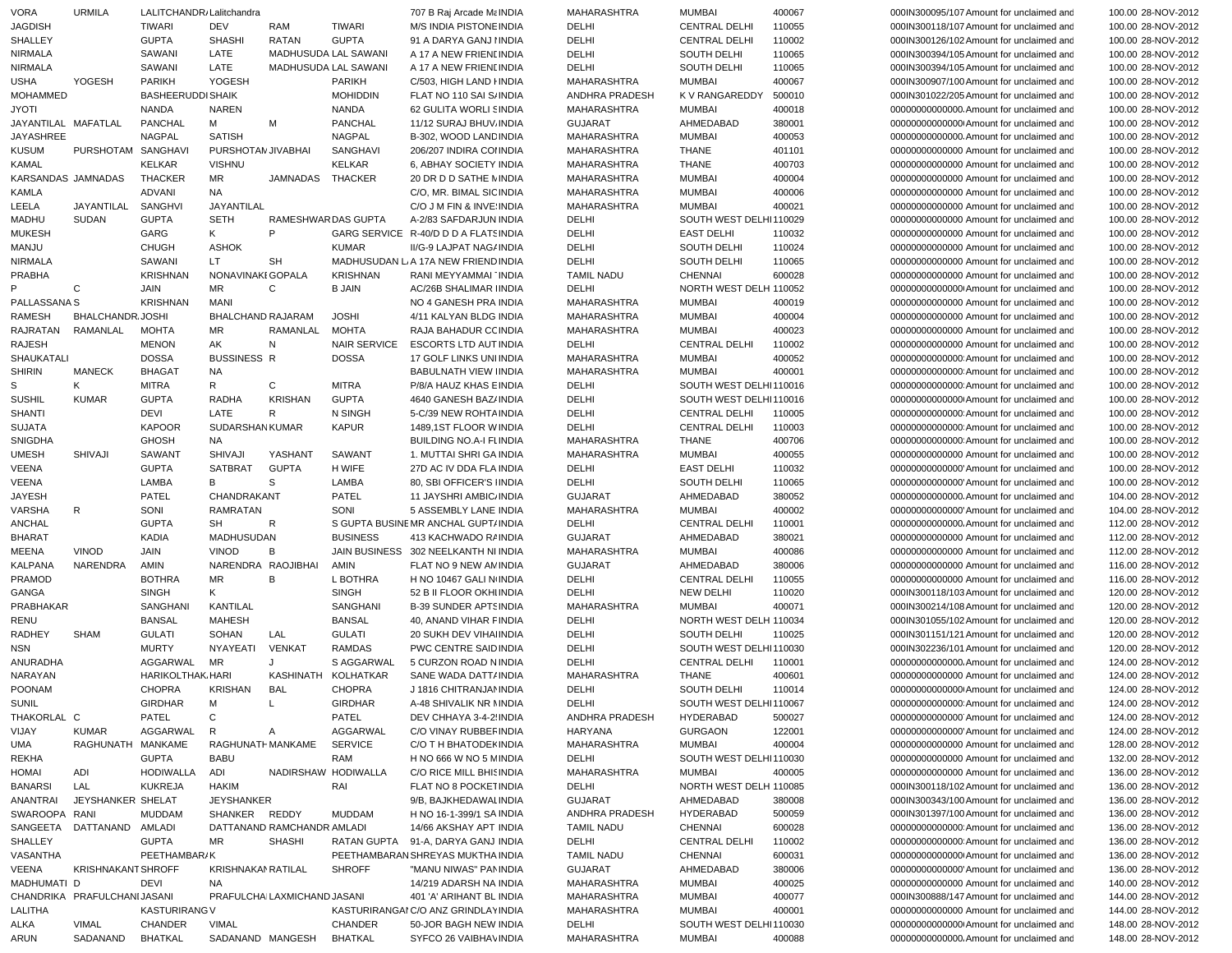| <b>VORA</b>         | <b>URMILA</b>               | LALITCHANDR, Lalitchandra |                    |                             |                     | 707 B Raj Arcade Ma INDIA                      | MAHARASHTRA           | <b>MUMBAI</b>                    | 400067 | 000IN300095/107 Amount for unclaimed and                                            | 100.00 28-NOV-2012                       |
|---------------------|-----------------------------|---------------------------|--------------------|-----------------------------|---------------------|------------------------------------------------|-----------------------|----------------------------------|--------|-------------------------------------------------------------------------------------|------------------------------------------|
| <b>JAGDISH</b>      |                             | TIWARI                    | DEV                | RAM                         | TIWARI              | M/S INDIA PISTONE INDIA                        | DELHI                 | <b>CENTRAL DELHI</b>             | 110055 | 000IN300118/107 Amount for unclaimed and                                            | 100.00 28-NOV-2012                       |
| SHALLEY             |                             | <b>GUPTA</b>              | <b>SHASHI</b>      | <b>RATAN</b>                | <b>GUPTA</b>        | 91 A DARYA GANJ I INDIA                        | DELHI                 | <b>CENTRAL DELHI</b>             | 110002 | 000IN300126/102 Amount for unclaimed and                                            | 100.00 28-NOV-2012                       |
| <b>NIRMALA</b>      |                             | SAWANI                    | LATE               | MADHUSUDA LAL SAWANI        |                     | A 17 A NEW FRIENLINDIA                         | DELHI                 | SOUTH DELHI                      | 110065 | 000IN300394/105 Amount for unclaimed and                                            | 100.00 28-NOV-2012                       |
|                     |                             |                           | LATE               |                             |                     |                                                |                       |                                  |        |                                                                                     |                                          |
| <b>NIRMALA</b>      |                             | SAWANI                    |                    | MADHUSUDA LAL SAWANI        |                     | A 17 A NEW FRIENLINDIA                         | DELHI                 | SOUTH DELHI                      | 110065 | 000IN300394/105 Amount for unclaimed and                                            | 100.00 28-NOV-2012                       |
| <b>USHA</b>         | YOGESH                      | <b>PARIKH</b>             | YOGESH             |                             | PARIKH              | C/503, HIGH LAND I INDIA                       | MAHARASHTRA           | <b>MUMBAI</b>                    | 400067 | 000IN300907/100 Amount for unclaimed and                                            | 100.00 28-NOV-2012                       |
| <b>MOHAMMED</b>     |                             | <b>BASHEERUDDI SHAIK</b>  |                    |                             | <b>MOHIDDIN</b>     | FLAT NO 110 SAI S/INDIA                        | ANDHRA PRADESH        | <b>KV RANGAREDDY</b>             | 500010 | 000IN301022/205 Amount for unclaimed and                                            | 100.00 28-NOV-2012                       |
| <b>JYOTI</b>        |                             | <b>NANDA</b>              | <b>NAREN</b>       |                             | <b>NANDA</b>        | 62 GULITA WORLI SINDIA                         | MAHARASHTRA           | <b>MUMBAI</b>                    | 400018 | 00000000000000. Amount for unclaimed and                                            | 100.00 28-NOV-2012                       |
| JAYANTILAL MAFATLAL |                             | <b>PANCHAL</b>            | М                  | M                           | PANCHAL             | 11/12 SURAJ BHUV INDIA                         | <b>GUJARAT</b>        | AHMEDABAD                        | 380001 | 000000000000000 Amount for unclaimed and                                            | 100.00 28-NOV-2012                       |
| JAYASHREE           |                             | NAGPAL                    | <b>SATISH</b>      |                             | <b>NAGPAL</b>       | B-302, WOOD LAND INDIA                         | MAHARASHTRA           | <b>MUMBAI</b>                    | 400053 | 000000000000000. Amount for unclaimed and                                           | 100.00 28-NOV-2012                       |
| <b>KUSUM</b>        | PURSHOTAM SANGHAVI          |                           | PURSHOTAN JIVABHAI |                             | SANGHAVI            | 206/207 INDIRA COI INDIA                       | MAHARASHTRA           | <b>THANE</b>                     | 401101 | 00000000000000 Amount for unclaimed and                                             | 100.00 28-NOV-2012                       |
|                     |                             |                           |                    |                             |                     |                                                |                       |                                  |        |                                                                                     |                                          |
| <b>KAMAL</b>        |                             | <b>KELKAR</b>             | <b>VISHNU</b>      |                             | KELKAR              | 6, ABHAY SOCIETY INDIA                         | MAHARASHTRA           | <b>THANE</b>                     | 400703 | 00000000000000 Amount for unclaimed and                                             | 100.00 28-NOV-2012                       |
| KARSANDAS JAMNADAS  |                             | <b>THACKER</b>            | MR                 | <b>JAMNADAS</b>             | THACKER             | 20 DR D D SATHE MINDIA                         | MAHARASHTRA           | <b>MUMBAI</b>                    | 400004 | 00000000000000 Amount for unclaimed and                                             | 100.00 28-NOV-2012                       |
| <b>KAMLA</b>        |                             | ADVANI                    | <b>NA</b>          |                             |                     | C/O, MR. BIMAL SIC INDIA                       | MAHARASHTRA           | <b>MUMBAI</b>                    | 400006 | 00000000000000 Amount for unclaimed and                                             | 100.00 28-NOV-2012                       |
| LEELA               | JAYANTILAL                  | SANGHVI                   | JAYANTILAL         |                             |                     | C/O J M FIN & INVE INDIA                       | <b>MAHARASHTRA</b>    | <b>MUMBAI</b>                    | 400021 | 00000000000000 Amount for unclaimed and                                             | 100.00 28-NOV-2012                       |
| <b>MADHU</b>        | <b>SUDAN</b>                | <b>GUPTA</b>              | <b>SETH</b>        | RAMESHWARDAS GUPTA          |                     | A-2/83 SAFDARJUN INDIA                         | DELHI                 | SOUTH WEST DELHI110029           |        | 00000000000000 Amount for unclaimed and                                             | 100.00 28-NOV-2012                       |
| <b>MUKESH</b>       |                             | GARG                      | K                  | P                           |                     | GARG SERVICE R-40/D D D A FLATS INDIA          | DELHI                 | <b>EAST DELHI</b>                | 110032 | 00000000000000 Amount for unclaimed and                                             | 100.00 28-NOV-2012                       |
| MANJU               |                             | <b>CHUGH</b>              | <b>ASHOK</b>       |                             | <b>KUMAR</b>        | II/G-9 LAJPAT NAG/ INDIA                       | DELHI                 | SOUTH DELHI                      | 110024 | 00000000000000 Amount for unclaimed and                                             | 100.00 28-NOV-2012                       |
|                     |                             |                           |                    |                             |                     |                                                |                       |                                  |        |                                                                                     |                                          |
| <b>NIRMALA</b>      |                             | SAWANI                    | LT.                | <b>SH</b>                   |                     | MADHUSUDAN L/A 17A NEW FRIEND INDIA            | DELHI                 | SOUTH DELHI                      | 110065 | 00000000000000 Amount for unclaimed and                                             | 100.00 28-NOV-2012                       |
| <b>PRABHA</b>       |                             | <b>KRISHNAN</b>           | NONAVINAKE GOPALA  |                             | <b>KRISHNAN</b>     | RANI MEYYAMMAI INDIA                           | <b>TAMIL NADU</b>     | <b>CHENNAI</b>                   | 600028 | 00000000000000 Amount for unclaimed and                                             | 100.00 28-NOV-2012                       |
| P                   | C                           | JAIN                      | <b>MR</b>          | $\mathsf C$                 | <b>B JAIN</b>       | AC/26B SHALIMAR IINDIA                         | DELHI                 | NORTH WEST DELH 110052           |        | 000000000000000 Amount for unclaimed and                                            | 100.00 28-NOV-2012                       |
| PALLASSANA S        |                             | <b>KRISHNAN</b>           | <b>MANI</b>        |                             |                     | NO 4 GANESH PRA INDIA                          | MAHARASHTRA           | <b>MUMBAI</b>                    | 400019 | 00000000000000 Amount for unclaimed and                                             | 100.00 28-NOV-2012                       |
| <b>RAMESH</b>       | BHALCHANDR, JOSHI           |                           | BHALCHAND RAJARAM  |                             | <b>JOSHI</b>        | 4/11 KALYAN BLDG INDIA                         | MAHARASHTRA           | <b>MUMBAI</b>                    | 400004 | 00000000000000 Amount for unclaimed and                                             | 100.00 28-NOV-2012                       |
| RAJRATAN            | RAMANLAL                    | <b>MOHTA</b>              | <b>MR</b>          | RAMANLAL                    | <b>MOHTA</b>        | RAJA BAHADUR CC INDIA                          | <b>MAHARASHTRA</b>    | <b>MUMBAI</b>                    | 400023 | 00000000000000 Amount for unclaimed and                                             | 100.00 28-NOV-2012                       |
|                     |                             |                           |                    |                             |                     |                                                |                       |                                  |        |                                                                                     |                                          |
| <b>RAJESH</b>       |                             | <b>MENON</b>              | AK                 | N                           | <b>NAIR SERVICE</b> | ESCORTS LTD AUT INDIA                          | DELHI                 | <b>CENTRAL DELHI</b>             | 110002 | 00000000000000 Amount for unclaimed and                                             | 100.00 28-NOV-2012                       |
| SHAUKATALI          |                             | <b>DOSSA</b>              | <b>BUSSINESS R</b> |                             | <b>DOSSA</b>        | 17 GOLF LINKS UNI INDIA                        | MAHARASHTRA           | <b>MUMBAI</b>                    | 400052 | 000000000000000 Amount for unclaimed and                                            | 100.00 28-NOV-2012                       |
| <b>SHIRIN</b>       | <b>MANECK</b>               | <b>BHAGAT</b>             | <b>NA</b>          |                             |                     | BABULNATH VIEW IINDIA                          | MAHARASHTRA           | <b>MUMBAI</b>                    | 400001 | 000000000000000 Amount for unclaimed and                                            | 100.00 28-NOV-2012                       |
| S                   | Κ                           | <b>MITRA</b>              | R                  | С                           | <b>MITRA</b>        | P/8/A HAUZ KHAS EINDIA                         | DELHI                 | SOUTH WEST DELHI110016           |        | 000000000000000 Amount for unclaimed and                                            | 100.00 28-NOV-2012                       |
| <b>SUSHIL</b>       | <b>KUMAR</b>                | <b>GUPTA</b>              | <b>RADHA</b>       | <b>KRISHAN</b>              | <b>GUPTA</b>        | 4640 GANESH BAZ/INDIA                          | DELHI                 | SOUTH WEST DELHI110016           |        | 000000000000000 Amount for unclaimed and                                            | 100.00 28-NOV-2012                       |
| <b>SHANTI</b>       |                             | DEVI                      | LATE               | R                           | N SINGH             | 5-C/39 NEW ROHTA INDIA                         | DELHI                 | <b>CENTRAL DELHI</b>             | 110005 | 000000000000000 Amount for unclaimed and                                            | 100.00 28-NOV-2012                       |
|                     |                             | <b>KAPOOR</b>             | SUDARSHAN KUMAR    |                             | <b>KAPUR</b>        |                                                | DELHI                 | <b>CENTRAL DELHI</b>             |        |                                                                                     |                                          |
| <b>SUJATA</b>       |                             |                           |                    |                             |                     | 1489,1ST FLOOR WINDIA                          |                       |                                  | 110003 | 000000000000000 Amount for unclaimed and                                            | 100.00 28-NOV-2012                       |
| SNIGDHA             |                             | <b>GHOSH</b>              | <b>NA</b>          |                             |                     | BUILDING NO.A-I FLINDIA                        | MAHARASHTRA           | THANE                            | 400706 | 000000000000000 Amount for unclaimed and                                            | 100.00 28-NOV-2012                       |
| <b>UMESH</b>        | <b>SHIVAJI</b>              | SAWANT                    | <b>SHIVAJI</b>     | YASHANT                     | SAWANT              | 1. MUTTAI SHRI GA INDIA                        | MAHARASHTRA           | <b>MUMBAI</b>                    | 400055 | 00000000000000 Amount for unclaimed and                                             | 100.00 28-NOV-2012                       |
| <b>VEENA</b>        |                             | <b>GUPTA</b>              | SATBRAT            | <b>GUPTA</b>                | H WIFE              | 27D AC IV DDA FLA INDIA                        | DELHI                 | <b>EAST DELHI</b>                | 110032 | 000000000000000 Amount for unclaimed and                                            | 100.00 28-NOV-2012                       |
| <b>VEENA</b>        |                             | LAMBA                     | B                  | S                           | LAMBA               | 80, SBI OFFICER'S IINDIA                       | DELHI                 | SOUTH DELHI                      | 110065 | 000000000000000 Amount for unclaimed and                                            | 100.00 28-NOV-2012                       |
| <b>JAYESH</b>       |                             | PATEL                     | CHANDRAKANT        |                             | PATEL               | 11 JAYSHRI AMBIC/ INDIA                        | <b>GUJARAT</b>        | AHMEDABAD                        | 380052 | 00000000000000. Amount for unclaimed and                                            | 104.00 28-NOV-2012                       |
| VARSHA              | R                           | SONI                      | <b>RAMRATAN</b>    |                             | SONI                | 5 ASSEMBLY LANE INDIA                          | MAHARASHTRA           | <b>MUMBAI</b>                    | 400002 | 00000000000000 Amount for unclaimed and                                             | 104.00 28-NOV-2012                       |
|                     |                             |                           |                    |                             |                     |                                                |                       |                                  |        |                                                                                     |                                          |
| ANCHAL              |                             | <b>GUPTA</b>              | <b>SH</b>          | R                           |                     | S GUPTA BUSINE MR ANCHAL GUPT/ INDIA           | DELHI                 | <b>CENTRAL DELHI</b>             | 110001 | 00000000000000. Amount for unclaimed and                                            | 112.00 28-NOV-2012                       |
| <b>BHARAT</b>       |                             | <b>KADIA</b>              | MADHUSUDAN         |                             | <b>BUSINESS</b>     | 413 KACHWADO RAINDIA                           | <b>GUJARAT</b>        | AHMEDABAD                        | 380021 | 00000000000000 Amount for unclaimed and                                             | 112.00 28-NOV-2012                       |
| <b>MEENA</b>        | <b>VINOD</b>                | JAIN                      | <b>VINOD</b>       | B                           |                     | JAIN BUSINESS 302 NEELKANTH NI INDIA           | MAHARASHTRA           | <b>MUMBAI</b>                    | 400086 | 00000000000000 Amount for unclaimed and                                             | 112.00 28-NOV-2012                       |
| <b>KALPANA</b>      | NARENDRA                    | AMIN                      | NARENDRA RAOJIBHAI |                             | AMIN                | FLAT NO 9 NEW AN INDIA                         | <b>GUJARAT</b>        | AHMEDABAD                        | 380006 | 00000000000000 Amount for unclaimed and                                             | 116.00 28-NOV-2012                       |
| PRAMOD              |                             | <b>BOTHRA</b>             | <b>MR</b>          | B                           | L BOTHRA            | H NO 10467 GALI N INDIA                        | DELHI                 | <b>CENTRAL DELHI</b>             | 110055 | 00000000000000 Amount for unclaimed and                                             | 116.00 28-NOV-2012                       |
| <b>GANGA</b>        |                             | <b>SINGH</b>              | Κ                  |                             | <b>SINGH</b>        | 52 B II FLOOR OKHIINDIA                        | DELHI                 | <b>NEW DELHI</b>                 | 110020 | 000IN300118/103 Amount for unclaimed and                                            | 120.00 28-NOV-2012                       |
| PRABHAKAR           |                             |                           |                    |                             |                     |                                                |                       |                                  |        |                                                                                     |                                          |
|                     |                             | SANGHANI                  | KANTILAL           |                             | SANGHANI            | <b>B-39 SUNDER APTSINDIA</b>                   | MAHARASHTRA           | <b>MUMBAI</b>                    | 400071 | 000IN300214/108 Amount for unclaimed and                                            | 120.00 28-NOV-2012                       |
| RENU                |                             | <b>BANSAL</b>             | <b>MAHESH</b>      |                             | <b>BANSAL</b>       | 40. ANAND VIHAR FINDIA                         | DELHI                 | NORTH WEST DELH 110034           |        | 000IN301055/102 Amount for unclaimed and                                            | 120.00 28-NOV-2012                       |
| RADHEY              | <b>SHAM</b>                 | <b>GULATI</b>             | <b>SOHAN</b>       | LAL                         | <b>GULATI</b>       | 20 SUKH DEV VIHA INDIA                         | DELHI                 | SOUTH DELHI                      | 110025 | 000IN301151/121 Amount for unclaimed and                                            | 120.00 28-NOV-2012                       |
| <b>NSN</b>          |                             | <b>MURTY</b>              | NYAYEATI           | VENKAT                      | <b>RAMDAS</b>       | PWC CENTRE SAID INDIA                          | DELHI                 | SOUTH WEST DELHI110030           |        | 000IN302236/101 Amount for unclaimed and                                            | 120.00 28-NOV-2012                       |
| ANURADHA            |                             | AGGARWAL                  | MR                 | J                           | S AGGARWAL          | 5 CURZON ROAD N INDIA                          | DELHI                 | CENTRAL DELHI                    | 110001 | 00000000000000. Amount for unclaimed and                                            | 124.00 28-NOV-2012                       |
| NARAYAN             |                             | <b>HARIKOLTHAK HARI</b>   |                    | KASHINATH KOLHATKAR         |                     | SANE WADA DATT/ INDIA                          | <b>MAHARASHTRA</b>    | THANE                            | 400601 | 00000000000000 Amount for unclaimed and                                             | 124.00 28-NOV-2012                       |
| <b>POONAM</b>       |                             | <b>CHOPRA</b>             | <b>KRISHAN</b>     | <b>BAL</b>                  | <b>CHOPRA</b>       | J 1816 CHITRANJAN INDIA                        | DELHI                 | SOUTH DELHI                      | 110014 | 00000000000000 Amount for unclaimed and                                             | 124.00 28-NOV-2012                       |
|                     |                             |                           |                    |                             |                     |                                                |                       |                                  |        |                                                                                     |                                          |
| <b>SUNIL</b>        |                             | GIRDHAR M                 |                    | $\mathsf{L}$                | <b>GIRDHAR</b>      | A-48 SHIVALIK NR MNDIA                         | DELHI                 | SOUTH WEST DELHI110067           |        | 000000000000000 Amount for unclaimed and                                            | 124.00 28-NOV-2012                       |
| THAKORLAL C         |                             | PATEL                     | С                  |                             | PATEL               | DEV CHHAYA 3-4-2 INDIA                         | ANDHRA PRADESH        | HYDERABAD                        | 500027 | 00000000000000 Amount for unclaimed and                                             | 124.00 28-NOV-2012                       |
| VIJAY               | KUMAR                       | AGGARWAL                  | R                  | A                           | AGGARWAL            | C/O VINAY RUBBEF INDIA                         | HARYANA               | <b>GURGAON</b>                   | 122001 | 00000000000000 Amount for unclaimed and                                             | 124.00 28-NOV-2012                       |
| UMA                 | RAGHUNATH MANKAME           |                           | RAGHUNATH MANKAME  |                             | <b>SERVICE</b>      | C/O T H BHATODEK INDIA                         | MAHARASHTRA           | MUMBAI                           | 400004 | 00000000000000 Amount for unclaimed and                                             | 128.00 28-NOV-2012                       |
| REKHA               |                             | <b>GUPTA</b>              | BABU               |                             | RAM                 | H NO 666 W NO 5 MINDIA                         | DELHI                 | SOUTH WEST DELHI110030           |        | 00000000000000 Amount for unclaimed and                                             | 132.00 28-NOV-2012                       |
| HOMAI               | ADI                         | <b>HODIWALLA</b>          | ADI                | NADIRSHAW HODIWALLA         |                     | C/O RICE MILL BHIS INDIA                       | MAHARASHTRA           | MUMBAI                           | 400005 | 00000000000000 Amount for unclaimed and                                             | 136.00 28-NOV-2012                       |
|                     |                             |                           |                    |                             |                     |                                                |                       |                                  |        |                                                                                     |                                          |
| <b>BANARSI</b>      | LAL                         | <b>KUKREJA</b>            | <b>HAKIM</b>       |                             | RAI                 | FLAT NO 8 POCKET INDIA                         | DELHI                 | NORTH WEST DELH 110085           |        | 000IN300118/102 Amount for unclaimed and                                            | 136.00 28-NOV-2012                       |
| <b>ANANTRAI</b>     | JEYSHANKER SHELAT           |                           | <b>JEYSHANKER</b>  |                             |                     | 9/B, BAJKHEDAWALINDIA                          | <b>GUJARAT</b>        | AHMEDABAD                        | 380008 | 000IN300343/100 Amount for unclaimed and                                            | 136.00 28-NOV-2012                       |
| SWAROOPA RANI       |                             | <b>MUDDAM</b>             | SHANKER REDDY      |                             | <b>MUDDAM</b>       | H NO 16-1-399/1 SA INDIA                       | <b>ANDHRA PRADESH</b> | HYDERABAD                        | 500059 | 000IN301397/100 Amount for unclaimed and                                            | 136.00 28-NOV-2012                       |
| SANGEETA            | DATTANAND AMLADI            |                           |                    | DATTANAND RAMCHANDR AMLADI  |                     | 14/66 AKSHAY APT INDIA                         | <b>TAMIL NADU</b>     | <b>CHENNAI</b>                   | 600028 | 000000000000000 Amount for unclaimed and                                            | 136.00 28-NOV-2012                       |
| SHALLEY             |                             | <b>GUPTA</b>              | MR                 | <b>SHASHI</b>               |                     | RATAN GUPTA 91-A, DARYA GANJ INDIA             | DELHI                 | <b>CENTRAL DELHI</b>             | 110002 | 00000000000000 Amount for unclaimed and                                             | 136.00 28-NOV-2012                       |
| VASANTHA            |                             | PEETHAMBAR/K              |                    |                             |                     | PEETHAMBARAN SHREYAS MUKTHA INDIA              | <b>TAMIL NADU</b>     | <b>CHENNAI</b>                   | 600031 | 00000000000000 Amount for unclaimed and                                             | 136.00 28-NOV-2012                       |
|                     |                             |                           |                    |                             |                     |                                                |                       |                                  |        |                                                                                     |                                          |
| <b>VEENA</b>        | <b>KRISHNAKANT SHROFF</b>   |                           | KRISHNAKAN RATILAL |                             | <b>SHROFF</b>       | "MANU NIWAS" PANINDIA                          | <b>GUJARAT</b>        | AHMEDABAD                        | 380006 | 00000000000000 Amount for unclaimed and                                             | 136.00 28-NOV-2012                       |
| MADHUMATI D         |                             | DEVI                      | NA                 |                             |                     | 14/219 ADARSH NA INDIA                         | MAHARASHTRA           | MUMBAI                           | 400025 | 00000000000000 Amount for unclaimed and                                             | 140.00 28-NOV-2012                       |
|                     | CHANDRIKA PRAFULCHANIJASANI |                           |                    | PRAFULCHAILAXMICHAND JASANI |                     | 401 'A' ARIHANT BL INDIA                       | MAHARASHTRA           | <b>MUMBAI</b>                    | 400077 | 000IN300888/147 Amount for unclaimed and                                            | 144.00 28-NOV-2012                       |
|                     |                             |                           |                    |                             |                     |                                                |                       |                                  |        |                                                                                     |                                          |
| LALITHA             |                             | <b>KASTURIRANG V</b>      |                    |                             |                     | KASTURIRANGAI C/O ANZ GRINDLAY INDIA           | MAHARASHTRA           | MUMBAI                           | 400001 | 00000000000000 Amount for unclaimed and                                             | 144.00 28-NOV-2012                       |
|                     |                             |                           |                    |                             |                     |                                                |                       |                                  |        |                                                                                     |                                          |
| ALKA<br>ARUN        | VIMAL<br>SADANAND           | CHANDER<br>BHATKAL        | VIMAL              | SADANAND MANGESH BHATKAL    | <b>CHANDER</b>      | 50-JOR BAGH NEW INDIA<br>SYFCO 26 VAIBHAVINDIA | DELHI<br>MAHARASHTRA  | SOUTH WEST DELHI110030<br>MUMBAI | 400088 | 00000000000000 Amount for unclaimed and<br>00000000000000. Amount for unclaimed and | 148.00 28-NOV-2012<br>148.00 28-NOV-2012 |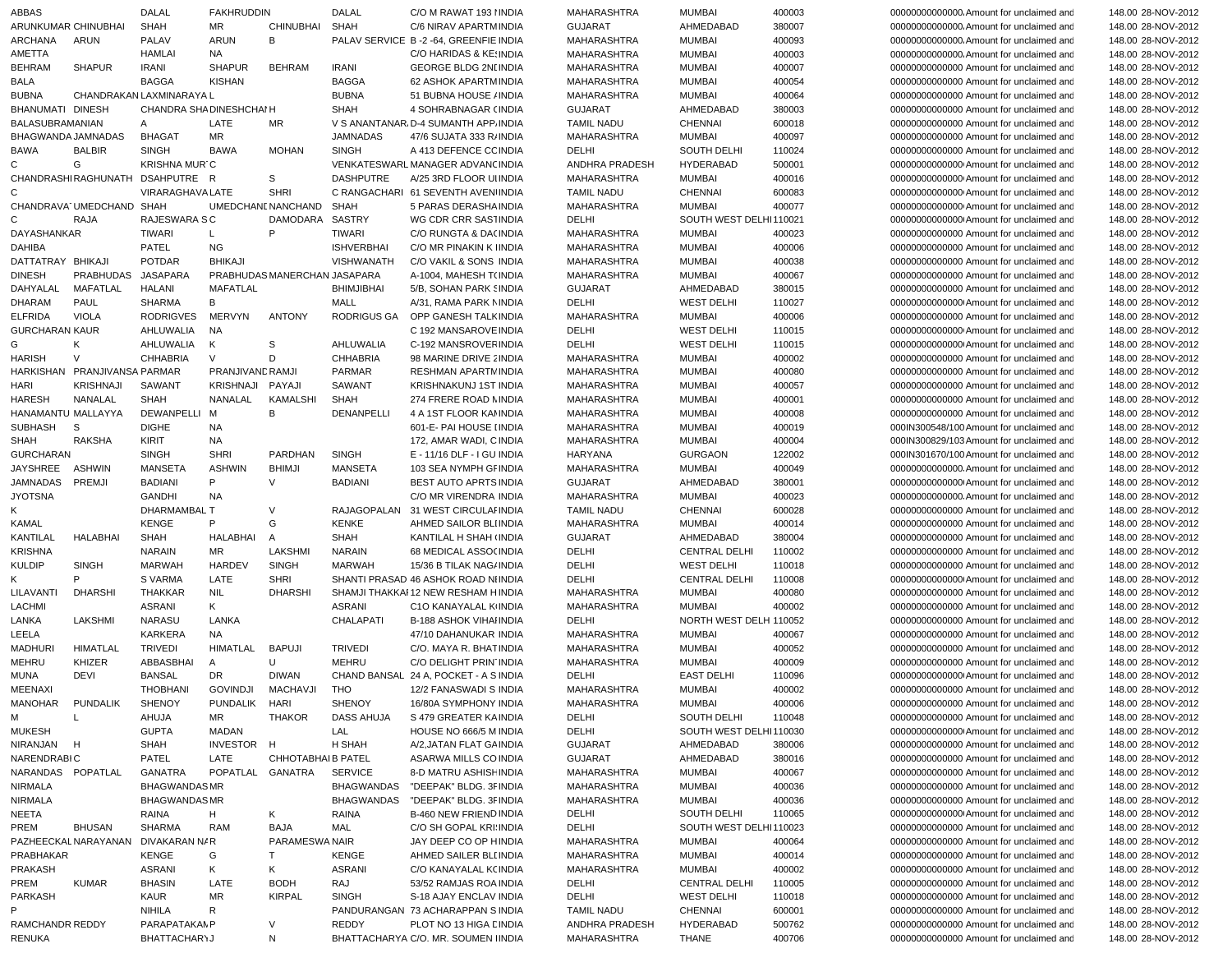| ABBAS                 |                              | DALAL                           | <b>FAKHRUDDIN</b>   |                                   | <b>DALAL</b>      | C/O M RAWAT 193 HNDIA                           | MAHARASHTRA                      | <b>MUMBAI</b>                       | 400003           | 00000000000000. Amount for unclaimed and                                             | 148.00 28-NOV-2012                       |
|-----------------------|------------------------------|---------------------------------|---------------------|-----------------------------------|-------------------|-------------------------------------------------|----------------------------------|-------------------------------------|------------------|--------------------------------------------------------------------------------------|------------------------------------------|
| ARUNKUMAR CHINUBHAI   |                              | <b>SHAH</b>                     | MR                  | <b>CHINUBHAI</b>                  | <b>SHAH</b>       | C/6 NIRAV APARTMINDIA                           | <b>GUJARAT</b>                   | AHMEDABAD                           | 380007           | 00000000000000. Amount for unclaimed and                                             | 148.00 28-NOV-2012                       |
| ARCHANA               | ARUN                         | PALAV                           | ARUN                | B                                 |                   | PALAV SERVICE B-2-64, GREENFIE INDIA            | MAHARASHTRA                      | <b>MUMBAI</b>                       | 400093           | 00000000000000. Amount for unclaimed and                                             | 148.00 28-NOV-2012                       |
| AMETTA                |                              | HAMLAI                          | NA                  |                                   |                   | C/O HARIDAS & KEINDIA                           | MAHARASHTRA                      | <b>MUMBAI</b>                       | 400003           | 00000000000000. Amount for unclaimed and                                             | 148.00 28-NOV-2012                       |
| <b>BEHRAM</b>         | <b>SHAPUR</b>                | <b>IRANI</b>                    | <b>SHAPUR</b>       | <b>BEHRAM</b>                     | <b>IRANI</b>      | <b>GEORGE BLDG 2NI INDIA</b>                    | MAHARASHTRA                      | <b>MUMBAI</b>                       | 400007           | 00000000000000 Amount for unclaimed and                                              | 148.00 28-NOV-2012                       |
| <b>BALA</b>           |                              | <b>BAGGA</b>                    | <b>KISHAN</b>       |                                   | <b>BAGGA</b>      | 62 ASHOK APARTMINDIA                            | <b>MAHARASHTRA</b>               | <b>MUMBAI</b>                       | 400054           | 00000000000000 Amount for unclaimed and                                              | 148.00 28-NOV-2012                       |
| <b>BUBNA</b>          |                              | CHANDRAKAN LAXMINARAYA L        |                     |                                   | <b>BUBNA</b>      | 51 BUBNA HOUSE / INDIA                          | MAHARASHTRA                      | <b>MUMBAI</b>                       | 400064           | 00000000000000 Amount for unclaimed and                                              | 148.00 28-NOV-2012                       |
| BHANUMATI DINESH      |                              | CHANDRA SHADINESHCHAI H         |                     |                                   | <b>SHAH</b>       | 4 SOHRABNAGAR (INDIA                            | <b>GUJARAT</b>                   | AHMEDABAD                           | 380003           | 00000000000000 Amount for unclaimed and                                              | 148.00 28-NOV-2012                       |
| BALASUBRAMANIAN       |                              | A                               | LATE                | MR                                |                   | V S ANANTANAR, D-4 SUMANTH APP, INDIA           | <b>TAMIL NADU</b>                | <b>CHENNAI</b>                      | 600018           | 00000000000000 Amount for unclaimed and                                              | 148.00 28-NOV-2012                       |
| BHAGWANDA JAMNADAS    |                              | <b>BHAGAT</b>                   | MR                  |                                   | <b>JAMNADAS</b>   | 47/6 SUJATA 333 R/ INDIA                        | MAHARASHTRA                      | <b>MUMBAI</b>                       | 400097           | 00000000000000 Amount for unclaimed and                                              | 148.00 28-NOV-2012                       |
| <b>BAWA</b>           | <b>BALBIR</b>                | <b>SINGH</b>                    | <b>BAWA</b>         | <b>MOHAN</b>                      | <b>SINGH</b>      | A 413 DEFENCE CC INDIA                          | DELHI                            | <b>SOUTH DELHI</b>                  | 110024           | 00000000000000 Amount for unclaimed and                                              | 148.00 28-NOV-2012                       |
| C                     | G                            | <b>KRISHNA MUR C</b>            |                     |                                   |                   | VENKATESWARL MANAGER ADVANCINDIA                | ANDHRA PRADESH                   | HYDERABAD                           | 500001           | 000000000000000 Amount for unclaimed and                                             | 148.00 28-NOV-2012                       |
|                       |                              | CHANDRASHIRAGHUNATH DSAHPUTRE R |                     | S                                 | <b>DASHPUTRE</b>  | A/25 3RD FLOOR UIINDIA                          | MAHARASHTRA                      | <b>MUMBAI</b>                       | 400016           | 000000000000000 Amount for unclaimed and                                             | 148.00 28-NOV-2012                       |
| C                     | CHANDRAVA UMEDCHAND SHAH     | VIRARAGHAVA LATE                |                     | <b>SHRI</b><br>UMEDCHANE NANCHAND | SHAH              | C RANGACHARI 61 SEVENTH AVEN INDIA              | <b>TAMIL NADU</b><br>MAHARASHTRA | <b>CHENNAI</b><br><b>MUMBAI</b>     | 600083<br>400077 | 000000000000000 Amount for unclaimed and<br>000000000000000 Amount for unclaimed and | 148.00 28-NOV-2012                       |
|                       |                              | RAJESWARA S C                   |                     | DAMODARA                          | SASTRY            | 5 PARAS DERASHA INDIA<br>WG CDR CRR SASTINDIA   | DELHI                            | SOUTH WEST DELHI110021              |                  |                                                                                      | 148.00 28-NOV-2012                       |
| C<br>DAYASHANKAR      | RAJA                         | <b>TIWARI</b>                   | L                   | P                                 | TIWARI            | C/O RUNGTA & DA(INDIA                           | MAHARASHTRA                      | <b>MUMBAI</b>                       | 400023           | 000000000000000 Amount for unclaimed and<br>00000000000000 Amount for unclaimed and  | 148.00 28-NOV-2012<br>148.00 28-NOV-2012 |
| <b>DAHIBA</b>         |                              | PATEL                           | NG                  |                                   | <b>ISHVERBHAI</b> | C/O MR PINAKIN K INDIA                          | MAHARASHTRA                      | <b>MUMBAI</b>                       | 400006           | 00000000000000 Amount for unclaimed and                                              | 148.00 28-NOV-2012                       |
| DATTATRAY BHIKAJI     |                              | <b>POTDAR</b>                   | <b>BHIKAJI</b>      |                                   | VISHWANATH        | C/O VAKIL & SONS INDIA                          | MAHARASHTRA                      | <b>MUMBAI</b>                       | 400038           | 00000000000000 Amount for unclaimed and                                              | 148.00 28-NOV-2012                       |
| <b>DINESH</b>         | PRABHUDAS                    | JASAPARA                        |                     | PRABHUDAS MANERCHAN JASAPARA      |                   | A-1004, MAHESH T(INDIA                          | MAHARASHTRA                      | <b>MUMBAI</b>                       | 400067           | 00000000000000 Amount for unclaimed and                                              | 148.00 28-NOV-2012                       |
| DAHYALAL              | MAFATLAL                     | <b>HALANI</b>                   | <b>MAFATLAL</b>     |                                   | <b>BHIMJIBHAI</b> | 5/B, SOHAN PARK SINDIA                          | <b>GUJARAT</b>                   | AHMEDABAD                           | 380015           | 00000000000000 Amount for unclaimed and                                              | 148.00 28-NOV-2012                       |
| <b>DHARAM</b>         | PAUL                         | SHARMA                          | В                   |                                   | MALL              | A/31, RAMA PARK NINDIA                          | DELHI                            | <b>WEST DELHI</b>                   | 110027           | 000000000000000 Amount for unclaimed and                                             | 148.00 28-NOV-2012                       |
| <b>ELFRIDA</b>        | <b>VIOLA</b>                 | <b>RODRIGVES</b>                | <b>MERVYN</b>       | <b>ANTONY</b>                     | RODRIGUS GA       | OPP GANESH TALK INDIA                           | MAHARASHTRA                      | <b>MUMBAI</b>                       | 400006           | 00000000000000 Amount for unclaimed and                                              | 148.00 28-NOV-2012                       |
| <b>GURCHARAN KAUR</b> |                              | AHLUWALIA                       | <b>NA</b>           |                                   |                   | C 192 MANSAROVE INDIA                           | <b>DELHI</b>                     | <b>WEST DELHI</b>                   | 110015           | 00000000000000 Amount for unclaimed and                                              | 148.00 28-NOV-2012                       |
| G                     | K                            | AHLUWALIA                       | Κ                   | S                                 | AHLUWALIA         | C-192 MANSROVER INDIA                           | DELHI                            | <b>WEST DELHI</b>                   | 110015           | 000000000000000 Amount for unclaimed and                                             | 148.00 28-NOV-2012                       |
| <b>HARISH</b>         | $\vee$                       | <b>CHHABRIA</b>                 | $\vee$              | D                                 | CHHABRIA          | 98 MARINE DRIVE 2 INDIA                         | MAHARASHTRA                      | <b>MUMBAI</b>                       | 400002           | 00000000000000 Amount for unclaimed and                                              | 148.00 28-NOV-2012                       |
|                       | HARKISHAN PRANJIVANSA PARMAR |                                 | PRANJIVAND RAMJI    |                                   | <b>PARMAR</b>     | <b>RESHMAN APARTM INDIA</b>                     | MAHARASHTRA                      | <b>MUMBAI</b>                       | 400080           | 00000000000000 Amount for unclaimed and                                              | 148.00 28-NOV-2012                       |
| HARI                  | <b>KRISHNAJI</b>             | SAWANT                          | <b>KRISHNAJI</b>    | PAYAJI                            | SAWANT            | KRISHNAKUNJ 1ST INDIA                           | MAHARASHTRA                      | <b>MUMBAI</b>                       | 400057           | 00000000000000 Amount for unclaimed and                                              | 148.00 28-NOV-2012                       |
| <b>HARESH</b>         | NANALAL                      | <b>SHAH</b>                     | NANALAL             | KAMALSHI                          | <b>SHAH</b>       | 274 FRERE ROAD NINDIA                           | <b>MAHARASHTRA</b>               | <b>MUMBAI</b>                       | 400001           | 00000000000000 Amount for unclaimed and                                              | 148.00 28-NOV-2012                       |
| HANAMANTU MALLAYYA    |                              | <b>DEWANPELLI</b>               | M                   | B                                 | DENANPELLI        | 4 A 1ST FLOOR KANNDIA                           | MAHARASHTRA                      | <b>MUMBAI</b>                       | 400008           | 00000000000000 Amount for unclaimed and                                              | 148.00 28-NOV-2012                       |
| <b>SUBHASH</b>        | -S                           | <b>DIGHE</b>                    | <b>NA</b>           |                                   |                   | 601-E- PAI HOUSE I INDIA                        | <b>MAHARASHTRA</b>               | <b>MUMBAI</b>                       | 400019           | 000IN300548/100 Amount for unclaimed and                                             | 148.00 28-NOV-2012                       |
| SHAH                  | RAKSHA                       | KIRIT                           | <b>NA</b>           |                                   |                   | 172, AMAR WADI, C INDIA                         | MAHARASHTRA                      | <b>MUMBAI</b>                       | 400004           | 000IN300829/103 Amount for unclaimed and                                             | 148.00 28-NOV-2012                       |
| <b>GURCHARAN</b>      |                              | <b>SINGH</b>                    | <b>SHRI</b>         | <b>PARDHAN</b>                    | <b>SINGH</b>      | E - 11/16 DLF - I GU INDIA                      | HARYANA                          | <b>GURGAON</b>                      | 122002           | 000IN301670/100 Amount for unclaimed and                                             | 148.00 28-NOV-2012                       |
| JAYSHREE              | ASHWIN                       | MANSETA                         | <b>ASHWIN</b>       | <b>BHIMJI</b>                     | <b>MANSETA</b>    | 103 SEA NYMPH GFINDIA                           | MAHARASHTRA                      | <b>MUMBAI</b>                       | 400049           | 00000000000000. Amount for unclaimed and                                             | 148.00 28-NOV-2012                       |
| JAMNADAS              | <b>PREMJI</b>                | <b>BADIANI</b>                  | P                   | V                                 | <b>BADIANI</b>    | <b>BEST AUTO APRTS INDIA</b>                    | <b>GUJARAT</b>                   | AHMEDABAD                           | 380001           | 000000000000000 Amount for unclaimed and                                             | 148.00 28-NOV-2012                       |
| <b>JYOTSNA</b>        |                              | GANDHI                          | <b>NA</b>           |                                   |                   | C/O MR VIRENDRA INDIA                           | MAHARASHTRA                      | <b>MUMBAI</b>                       | 400023           | 000000000000000. Amount for unclaimed and                                            | 148.00 28-NOV-2012                       |
| Κ                     |                              | DHARMAMBAL T                    |                     | V                                 |                   | RAJAGOPALAN 31 WEST CIRCULAI INDIA              | <b>TAMIL NADU</b>                | <b>CHENNAI</b>                      | 600028           | 00000000000000 Amount for unclaimed and                                              | 148.00 28-NOV-2012                       |
| <b>KAMAL</b>          |                              | <b>KENGE</b>                    | P                   | G                                 | <b>KENKE</b>      | AHMED SAILOR BLIINDIA                           | MAHARASHTRA                      | <b>MUMBAI</b>                       | 400014           | 00000000000000 Amount for unclaimed and                                              | 148.00 28-NOV-2012                       |
| KANTILAL              | <b>HALABHAI</b>              | <b>SHAH</b>                     | HALABHAI            | A                                 | <b>SHAH</b>       | KANTILAL H SHAH (INDIA                          | <b>GUJARAT</b>                   | AHMEDABAD                           | 380004           | 00000000000000 Amount for unclaimed and                                              | 148.00 28-NOV-2012                       |
| <b>KRISHNA</b>        |                              | <b>NARAIN</b>                   | MR                  | LAKSHMI                           | <b>NARAIN</b>     | 68 MEDICAL ASSO(INDIA                           | DELHI                            | <b>CENTRAL DELHI</b>                | 110002           | 00000000000000 Amount for unclaimed and                                              | 148.00 28-NOV-2012                       |
| <b>KULDIP</b>         | <b>SINGH</b>                 | <b>MARWAH</b>                   | <b>HARDEV</b>       | <b>SINGH</b>                      | <b>MARWAH</b>     | 15/36 B TILAK NAG/ INDIA                        | DELHI                            | <b>WEST DELHI</b>                   | 110018           | 00000000000000 Amount for unclaimed and                                              | 148.00 28-NOV-2012                       |
| Κ                     | P                            | S VARMA                         | LATE                | <b>SHRI</b>                       |                   | SHANTI PRASAD 46 ASHOK ROAD NIINDIA             | DELHI                            | <b>CENTRAL DELHI</b>                | 110008           | 000000000000000 Amount for unclaimed and                                             | 148.00 28-NOV-2012                       |
| <b>LILAVANT</b>       | <b>DHARSHI</b>               | <b>THAKKAR</b>                  | <b>NIL</b>          | <b>DHARSHI</b>                    |                   | SHAMJI THAKKAI 12 NEW RESHAM HINDIA             | MAHARASHTRA                      | <b>MUMBAI</b>                       | 400080           | 00000000000000 Amount for unclaimed and                                              | 148.00 28-NOV-2012                       |
| LACHMI                |                              | <b>ASRANI</b>                   | K                   |                                   | <b>ASRANI</b>     | C1O KANAYALAL KIINDIA                           | MAHARASHTRA                      | <b>MUMBAI</b>                       | 400002           | 00000000000000 Amount for unclaimed and                                              | 148.00 28-NOV-2012                       |
| LANKA                 | LAKSHMI                      | NARASU                          | LANKA               |                                   | CHALAPATI         | <b>B-188 ASHOK VIHAIINDIA</b>                   | DELHI                            | NORTH WEST DELH 110052              |                  | 00000000000000 Amount for unclaimed and                                              | 148.00 28-NOV-2012                       |
| LEELA                 |                              | <b>KARKERA</b>                  | <b>NA</b>           |                                   |                   | 47/10 DAHANUKAR INDIA                           | MAHARASHTRA                      | <b>MUMBAI</b>                       | 400067           | 00000000000000 Amount for unclaimed and                                              | 148.00 28-NOV-2012                       |
| <b>MADHURI</b>        | <b>HIMATLAL</b>              | <b>TRIVEDI</b>                  | HIMATLAL            | <b>BAPUJI</b>                     | <b>TRIVEDI</b>    | C/O. MAYA R. BHAT INDIA                         | MAHARASHTRA                      | <b>MUMBAI</b>                       | 400052           | 00000000000000 Amount for unclaimed and                                              | 148.00 28-NOV-2012                       |
| <b>MEHRU</b>          | KHIZER                       | ABBASBHAI                       | A                   | U                                 | <b>MEHRU</b>      | C/O DELIGHT PRIN INDIA                          | MAHARASHTRA                      | <b>MUMBAI</b>                       | 400009           | 00000000000000 Amount for unclaimed and                                              | 148.00 28-NOV-2012                       |
| MUNA                  | <b>DEVI</b>                  | <b>BANSAL</b>                   | <b>DR</b>           | <b>DIWAN</b>                      |                   | CHAND BANSAL 24 A, POCKET - A S INDIA           | DELHI                            | <b>EAST DELHI</b>                   | 110096           | 000000000000000 Amount for unclaimed and                                             | 148.00 28-NOV-2012                       |
| MEENAXI               |                              | <b>THOBHANI</b>                 | <b>GOVINDJI</b>     | MACHAVJI                          | <b>THO</b>        | 12/2 FANASWADI S INDIA                          | MAHARASHTRA<br>MAHARASHTRA       | <b>MUMBAI</b>                       | 400002           | 00000000000000 Amount for unclaimed and                                              | 148.00 28-NOV-2012                       |
| MANOHAR<br>м          | PUNDALIK<br>L                | SHENOY                          | PUNDALIK HARI<br>MR |                                   | SHENOY            | 16/80A SYMPHONY INDIA                           | DELHI                            | <b>MUMBAI</b><br><b>SOUTH DELHI</b> | 400006           | 00000000000000 Amount for unclaimed and                                              | 148.00 28-NOV-2012                       |
| <b>MUKESH</b>         |                              | AHUJA<br><b>GUPTA</b>           | MADAN               | THAKOR                            | DASS AHUJA<br>LAL | S 479 GREATER KAINDIA<br>HOUSE NO 666/5 M INDIA | DELHI                            | SOUTH WEST DELHI110030              | 110048           | 00000000000000 Amount for unclaimed and<br>000000000000000 Amount for unclaimed and  | 148.00 28-NOV-2012<br>148.00 28-NOV-2012 |
| NIRANJAN              | H                            | SHAH                            | INVESTOR H          |                                   | H SHAH            | A/2, JATAN FLAT GAINDIA                         | <b>GUJARAT</b>                   | AHMEDABAD                           | 380006           | 00000000000000 Amount for unclaimed and                                              | 148.00 28-NOV-2012                       |
| <b>NARENDRABIC</b>    |                              | PATEL                           | LATE                | CHHOTABHAIB PATEL                 |                   | ASARWA MILLS CO INDIA                           | <b>GUJARAT</b>                   | AHMEDABAD                           | 380016           | 00000000000000 Amount for unclaimed and                                              | 148.00 28-NOV-2012                       |
| NARANDAS POPATLAL     |                              | GANATRA                         | POPATLAL GANATRA    |                                   | <b>SERVICE</b>    | 8-D MATRU ASHISH INDIA                          | MAHARASHTRA                      | <b>MUMBAI</b>                       | 400067           | 00000000000000 Amount for unclaimed and                                              | 148.00 28-NOV-2012                       |
| NIRMALA               |                              | <b>BHAGWANDASMR</b>             |                     |                                   |                   | BHAGWANDAS "DEEPAK" BLDG. 3FINDIA               | MAHARASHTRA                      | <b>MUMBAI</b>                       | 400036           | 00000000000000 Amount for unclaimed and                                              | 148.00 28-NOV-2012                       |
| NIRMALA               |                              | <b>BHAGWANDASMR</b>             |                     |                                   |                   | BHAGWANDAS "DEEPAK" BLDG. 3FINDIA               | MAHARASHTRA                      | <b>MUMBAI</b>                       | 400036           | 00000000000000 Amount for unclaimed and                                              | 148.00 28-NOV-2012                       |
| NEETA                 |                              | RAINA                           | H                   | K                                 | RAINA             | B-460 NEW FRIEND INDIA                          | DELHI                            | SOUTH DELHI                         | 110065           | 000000000000000 Amount for unclaimed and                                             | 148.00 28-NOV-2012                       |
| PREM                  | <b>BHUSAN</b>                | SHARMA                          | <b>RAM</b>          | <b>BAJA</b>                       | MAL               | C/O SH GOPAL KRI INDIA                          | DELHI                            | SOUTH WEST DELHI110023              |                  | 00000000000000 Amount for unclaimed and                                              | 148.00 28-NOV-2012                       |
|                       | PAZHEECKAL NARAYANAN         | DIVAKARAN N/R                   |                     | PARAMESWA NAIR                    |                   | JAY DEEP CO OP HINDIA                           | MAHARASHTRA                      | <b>MUMBAI</b>                       | 400064           | 00000000000000 Amount for unclaimed and                                              | 148.00 28-NOV-2012                       |
| PRABHAKAR             |                              | <b>KENGE</b>                    | G                   | T.                                | KENGE             | AHMED SAILER BLI INDIA                          | MAHARASHTRA                      | <b>MUMBAI</b>                       | 400014           | 00000000000000 Amount for unclaimed and                                              | 148.00 28-NOV-2012                       |
| <b>PRAKASH</b>        |                              | ASRANI                          | K                   | K                                 | ASRANI            | C/O KANAYALAL K(INDIA                           | MAHARASHTRA                      | <b>MUMBAI</b>                       | 400002           | 00000000000000 Amount for unclaimed and                                              | 148.00 28-NOV-2012                       |
| PREM                  | <b>KUMAR</b>                 | <b>BHASIN</b>                   | LATE                | <b>BODH</b>                       | RAJ               | 53/52 RAMJAS ROA INDIA                          | DELHI                            | CENTRAL DELHI                       | 110005           | 00000000000000 Amount for unclaimed and                                              | 148.00 28-NOV-2012                       |
| <b>PARKASH</b>        |                              | KAUR                            | ΜR                  | <b>KIRPAL</b>                     | <b>SINGH</b>      | S-18 AJAY ENCLAV INDIA                          | DELHI                            | <b>WEST DELHI</b>                   | 110018           | 00000000000000 Amount for unclaimed and                                              | 148.00 28-NOV-2012                       |
|                       |                              | <b>NIHILA</b>                   | R                   |                                   |                   | PANDURANGAN 73 ACHARAPPAN SINDIA                | <b>TAMIL NADU</b>                | <b>CHENNAI</b>                      | 600001           | 00000000000000 Amount for unclaimed and                                              | 148.00 28-NOV-2012                       |
| RAMCHANDR REDDY       |                              | PARAPATAKAMP                    |                     | V                                 | REDDY             | PLOT NO 13 HIGA E INDIA                         | ANDHRA PRADESH                   | HYDERABAD                           | 500762           | 00000000000000 Amount for unclaimed and                                              | 148.00 28-NOV-2012                       |
| <b>RENUKA</b>         |                              | <b>BHATTACHAR\J</b>             |                     | N                                 |                   | BHATTACHARYA C/O. MR. SOUMEN IINDIA             | MAHARASHTRA                      | THANE                               | 400706           | 00000000000000 Amount for unclaimed and                                              | 148.00 28-NOV-2012                       |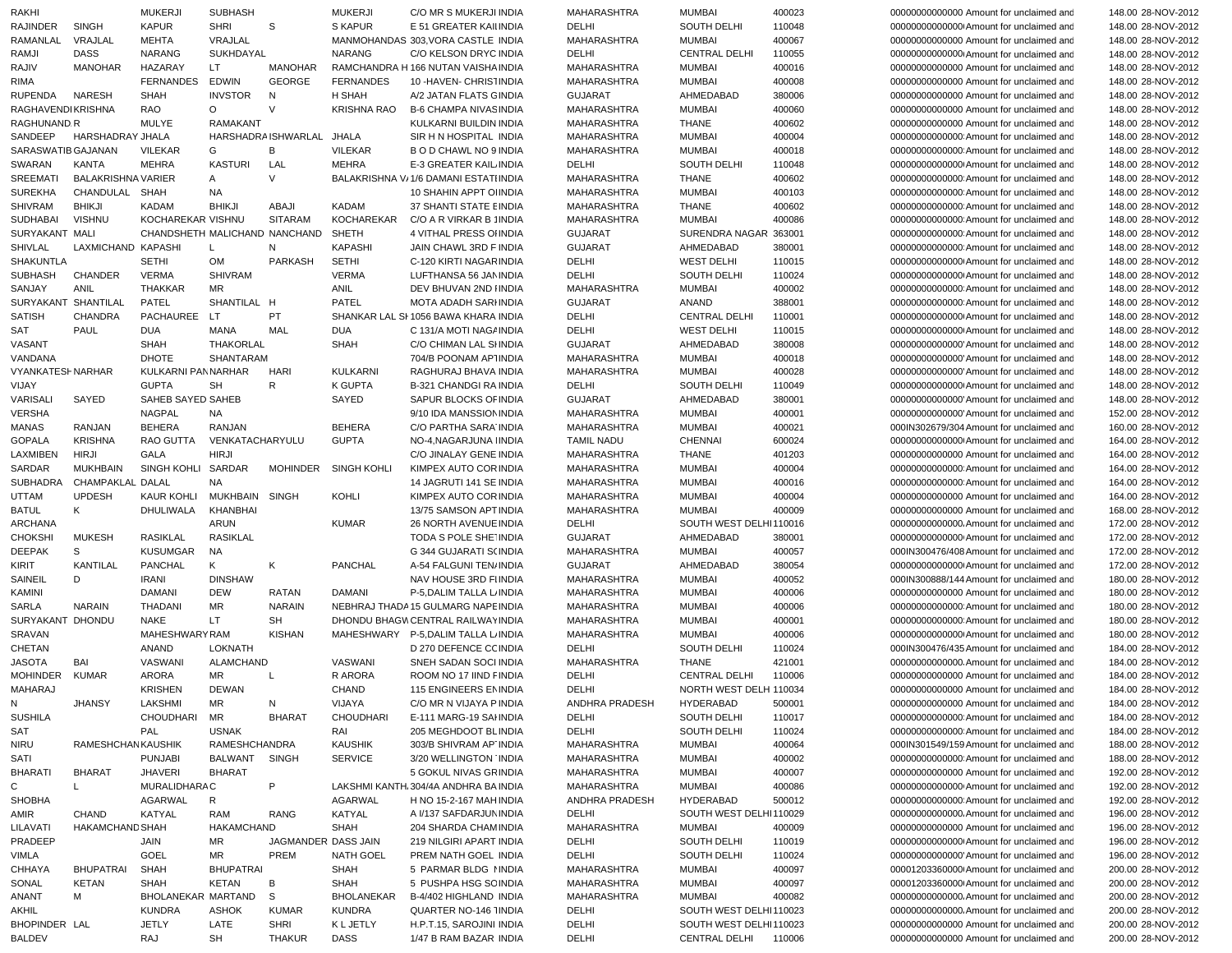|   | <b>RAKHI</b>               |                            | <b>MUKERJI</b>                | <b>SUBHASH</b>             |                           | <b>MUKERJI</b>     | C/O MR S MUKERJI INDIA                            | MAHARASHTRA                | <b>MUMBAI</b>                 | 400023           | 00000000000000 Amount for unclaimed and                                              | 148.00 28-NOV-2012                       |
|---|----------------------------|----------------------------|-------------------------------|----------------------------|---------------------------|--------------------|---------------------------------------------------|----------------------------|-------------------------------|------------------|--------------------------------------------------------------------------------------|------------------------------------------|
|   | RAJINDER                   | <b>SINGH</b>               | <b>KAPUR</b>                  | <b>SHRI</b>                | S                         | <b>S KAPUR</b>     | E 51 GREATER KAII INDIA                           | DELHI                      | <b>SOUTH DELHI</b>            | 110048           | 000000000000000 Amount for unclaimed and                                             | 148.00 28-NOV-2012                       |
|   | RAMANLAL                   | VRAJLAL                    | <b>MEHTA</b>                  | VRAJLAL                    |                           |                    | MANMOHANDAS 303, VORA CASTLE INDIA                | MAHARASHTRA                | <b>MUMBAI</b>                 | 400067           | 00000000000000 Amount for unclaimed and                                              | 148.00 28-NOV-2012                       |
|   | RAMJI                      | <b>DASS</b>                | <b>NARANG</b>                 | <b>SUKHDAYAL</b>           |                           | <b>NARANG</b>      | C/O KELSON DRYC INDIA                             | DELHI                      | <b>CENTRAL DELHI</b>          | 110055           | 00000000000000 Amount for unclaimed and                                              | 148.00 28-NOV-2012                       |
|   | RAJIV                      | MANOHAR                    | HAZARAY                       | LT.                        | MANOHAR                   |                    | RAMCHANDRA H 166 NUTAN VAISHA INDIA               | <b>MAHARASHTRA</b>         | <b>MUMBAI</b>                 | 400016           | 00000000000000 Amount for unclaimed and                                              | 148.00 28-NOV-2012                       |
|   | RIMA                       |                            | <b>FERNANDES</b>              | EDWIN                      | <b>GEORGE</b>             | <b>FERNANDES</b>   | 10 - HAVEN - CHRISTINDIA                          | <b>MAHARASHTRA</b>         | <b>MUMBAI</b>                 | 400008           | 00000000000000 Amount for unclaimed and                                              | 148.00 28-NOV-2012                       |
|   | RUPENDA                    | NARESH                     | <b>SHAH</b>                   | <b>INVSTOR</b>             | N                         | H SHAH             | A/2 JATAN FLATS GINDIA                            | <b>GUJARAT</b>             | AHMEDABAD                     | 380006           | 00000000000000 Amount for unclaimed and                                              | 148.00 28-NOV-2012                       |
|   | <b>RAGHAVENDIKRISHNA</b>   |                            | RAO                           | $\circ$                    | $\vee$                    | <b>KRISHNA RAO</b> | B-6 CHAMPA NIVAS INDIA                            | <b>MAHARASHTRA</b>         | <b>MUMBAI</b>                 | 400060           | 00000000000000 Amount for unclaimed and                                              | 148.00 28-NOV-2012                       |
|   | RAGHUNAND.R                |                            | <b>MULYE</b>                  | <b>RAMAKANT</b>            |                           |                    | KULKARNI BUILDIN INDIA                            | <b>MAHARASHTRA</b>         | <b>THANE</b>                  | 400602           | 00000000000000 Amount for unclaimed and                                              | 148.00 28-NOV-2012                       |
|   | SANDEEP                    | HARSHADRAY JHALA           |                               |                            | HARSHADRA ISHWARLAL JHALA |                    | SIR H N HOSPITAL INDIA                            | <b>MAHARASHTRA</b>         | <b>MUMBAI</b>                 | 400004           | 000000000000000 Amount for unclaimed and                                             | 148.00 28-NOV-2012                       |
|   | SARASWATIB GAJANAN         |                            | <b>VILEKAR</b>                | G                          | B                         | <b>VILEKAR</b>     | B O D CHAWL NO 9 INDIA                            | MAHARASHTRA                | <b>MUMBAI</b>                 | 400018           | 000000000000000 Amount for unclaimed and                                             | 148.00 28-NOV-2012                       |
|   | SWARAN                     | KANTA                      | <b>MEHRA</b>                  | KASTURI                    | LAL                       | <b>MEHRA</b>       | E-3 GREATER KAIL INDIA                            | DELHI                      | SOUTH DELHI                   | 110048           | 000000000000000 Amount for unclaimed and                                             | 148.00 28-NOV-2012                       |
|   | <b>SREEMATI</b>            | <b>BALAKRISHNA VARIER</b>  |                               | A                          | $\vee$                    |                    | BALAKRISHNA V/1/6 DAMANI ESTATI INDIA             | MAHARASHTRA                | <b>THANE</b>                  | 400602           | 000000000000000 Amount for unclaimed and                                             | 148.00 28-NOV-2012                       |
|   | <b>SUREKHA</b>             | CHANDULAL<br><b>BHIKJI</b> | SHAH<br>KADAM                 | <b>NA</b><br><b>BHIKJI</b> | ABAJI                     | <b>KADAM</b>       | 10 SHAHIN APPT OI INDIA<br>37 SHANTI STATE EINDIA | MAHARASHTRA                | <b>MUMBAI</b><br><b>THANE</b> | 400103<br>400602 | 000000000000000 Amount for unclaimed and<br>000000000000000 Amount for unclaimed and | 148.00 28-NOV-2012                       |
|   | <b>SHIVRAM</b><br>SUDHABAI | <b>VISHNU</b>              | KOCHAREKAR VISHNU             |                            | <b>SITARAM</b>            | <b>KOCHAREKAR</b>  | C/O A R VIRKAR B 1INDIA                           | MAHARASHTRA<br>MAHARASHTRA | <b>MUMBAI</b>                 | 400086           | 000000000000000 Amount for unclaimed and                                             | 148.00 28-NOV-2012<br>148.00 28-NOV-2012 |
|   | SURYAKANT MALI             |                            | CHANDSHETH MALICHAND NANCHAND |                            |                           | SHETH              | 4 VITHAL PRESS OI INDIA                           | <b>GUJARAT</b>             | SURENDRA NAGAR 363001         |                  | 000000000000000 Amount for unclaimed and                                             | 148.00 28-NOV-2012                       |
|   | SHIVLAL                    | LAXMICHAND KAPASHI         |                               | L                          | N                         | <b>KAPASHI</b>     | JAIN CHAWL 3RD F INDIA                            | <b>GUJARAT</b>             | AHMEDABAD                     | 380001           | 00000000000000 Amount for unclaimed and                                              | 148.00 28-NOV-2012                       |
|   | <b>SHAKUNTLA</b>           |                            | <b>SETHI</b>                  | OM                         | PARKASH                   | <b>SETHI</b>       | C-120 KIRTI NAGARINDIA                            | DELHI                      | <b>WEST DELHI</b>             | 110015           | 000000000000000 Amount for unclaimed and                                             | 148.00 28-NOV-2012                       |
|   | <b>SUBHASH</b>             | CHANDER                    | <b>VERMA</b>                  | <b>SHIVRAM</b>             |                           | <b>VERMA</b>       | LUFTHANSA 56 JAN INDIA                            | DELHI                      | SOUTH DELHI                   | 110024           | 000000000000000 Amount for unclaimed and                                             | 148.00 28-NOV-2012                       |
|   | SANJAY                     | ANIL                       | <b>THAKKAR</b>                | MR                         |                           | ANIL               | DEV BHUVAN 2ND IINDIA                             | MAHARASHTRA                | <b>MUMBAI</b>                 | 400002           | 000000000000000 Amount for unclaimed and                                             | 148.00 28-NOV-2012                       |
|   | SURYAKANT SHANTILAL        |                            | PATEL                         | SHANTILAL H                |                           | PATEL              | MOTA ADADH SARI INDIA                             | <b>GUJARAT</b>             | ANAND                         | 388001           | 000000000000000 Amount for unclaimed and                                             | 148.00 28-NOV-2012                       |
|   | <b>SATISH</b>              | <b>CHANDRA</b>             | PACHAUREE                     | LT.                        | PT                        |                    | SHANKAR LAL SI 1056 BAWA KHARA INDIA              | DELHI                      | <b>CENTRAL DELHI</b>          | 110001           | 000000000000000 Amount for unclaimed and                                             | 148.00 28-NOV-2012                       |
|   | SAT                        | <b>PAUL</b>                | <b>DUA</b>                    | <b>MANA</b>                | MAL                       | <b>DUA</b>         | C 131/A MOTI NAG/ INDIA                           | DELHI                      | <b>WEST DELHI</b>             | 110015           | 000000000000000 Amount for unclaimed and                                             | 148.00 28-NOV-2012                       |
|   | VASANT                     |                            | <b>SHAH</b>                   | <b>THAKORLAL</b>           |                           | <b>SHAH</b>        | C/O CHIMAN LAL SHNDIA                             | <b>GUJARAT</b>             | AHMEDABAD                     | 380008           | 00000000000000 Amount for unclaimed and                                              | 148.00 28-NOV-2012                       |
|   | VANDANA                    |                            | <b>DHOTE</b>                  | <b>SHANTARAM</b>           |                           |                    | 704/B POONAM AP1INDIA                             | <b>MAHARASHTRA</b>         | <b>MUMBAI</b>                 | 400018           | 00000000000000 Amount for unclaimed and                                              | 148.00 28-NOV-2012                       |
|   | <b>VYANKATESH NARHAR</b>   |                            | KULKARNI PANNARHAR            |                            | <b>HARI</b>               | <b>KULKARNI</b>    | RAGHURAJ BHAVA INDIA                              | <b>MAHARASHTRA</b>         | <b>MUMBAI</b>                 | 400028           | 00000000000000 Amount for unclaimed and                                              | 148.00 28-NOV-2012                       |
|   | VIJAY                      |                            | <b>GUPTA</b>                  | <b>SH</b>                  | R                         | <b>K GUPTA</b>     | <b>B-321 CHANDGI RA INDIA</b>                     | DELHI                      | SOUTH DELHI                   | 110049           | 00000000000000 Amount for unclaimed and                                              | 148.00 28-NOV-2012                       |
|   | VARISALI                   | SAYED                      | SAHEB SAYED SAHEB             |                            |                           | SAYED              | SAPUR BLOCKS OF INDIA                             | <b>GUJARAT</b>             | AHMEDABAD                     | 380001           | 00000000000000 Amount for unclaimed and                                              | 148.00 28-NOV-2012                       |
|   | VERSHA                     |                            | <b>NAGPAL</b>                 | <b>NA</b>                  |                           |                    | 9/10 IDA MANSSION INDIA                           | <b>MAHARASHTRA</b>         | <b>MUMBAI</b>                 | 400001           | 00000000000000 Amount for unclaimed and                                              | 152.00 28-NOV-2012                       |
|   | MANAS                      | RANJAN                     | <b>BEHERA</b>                 | RANJAN                     |                           | <b>BEHERA</b>      | C/O PARTHA SARA INDIA                             | <b>MAHARASHTRA</b>         | <b>MUMBAI</b>                 | 400021           | 000IN302679/304 Amount for unclaimed and                                             | 160.00 28-NOV-2012                       |
|   | <b>GOPALA</b>              | <b>KRISHNA</b>             | RAO GUTTA                     | VENKATACHARYULU            |                           | <b>GUPTA</b>       | NO-4, NAGARJUNA INDIA                             | <b>TAMIL NADU</b>          | <b>CHENNAI</b>                | 600024           | 000000000000000 Amount for unclaimed and                                             | 164.00 28-NOV-2012                       |
|   | LAXMIBEN                   | HIRJI                      | GALA                          | <b>HIRJI</b>               |                           |                    | C/O JINALAY GENE INDIA                            | <b>MAHARASHTRA</b>         | <b>THANE</b>                  | 401203           | 00000000000000 Amount for unclaimed and                                              | 164.00 28-NOV-2012                       |
|   | SARDAR                     | <b>MUKHBAIN</b>            | SINGH KOHLI                   | SARDAR                     | <b>MOHINDER</b>           | <b>SINGH KOHLI</b> | KIMPEX AUTO COR INDIA                             | <b>MAHARASHTRA</b>         | <b>MUMBAI</b>                 | 400004           | 000000000000000 Amount for unclaimed and                                             | 164.00 28-NOV-2012                       |
|   | <b>SUBHADRA</b>            | CHAMPAKLAL DALAL           |                               | <b>NA</b>                  |                           |                    | 14 JAGRUTI 141 SE INDIA                           | MAHARASHTRA                | <b>MUMBAI</b>                 | 400016           | 00000000000000000000 Amount for unclaimed and                                        | 164.00 28-NOV-2012                       |
|   | <b>UTTAM</b>               | <b>UPDESH</b>              | <b>KAUR KOHLI</b>             | MUKHBAIN                   | <b>SINGH</b>              | KOHLI              | KIMPEX AUTO COR INDIA                             | MAHARASHTRA                | <b>MUMBAI</b>                 | 400004           | 00000000000000 Amount for unclaimed and                                              | 164.00 28-NOV-2012                       |
|   | <b>BATUL</b>               | Κ                          | DHULIWALA                     | KHANBHAI                   |                           |                    | 13/75 SAMSON APT INDIA                            | MAHARASHTRA                | <b>MUMBAI</b>                 | 400009           | 00000000000000 Amount for unclaimed and                                              | 168.00 28-NOV-2012                       |
|   | <b>ARCHANA</b>             |                            |                               | ARUN                       |                           | <b>KUMAR</b>       | 26 NORTH AVENUE INDIA                             | DELHI                      | SOUTH WEST DELHI110016        |                  | 00000000000000. Amount for unclaimed and                                             | 172.00 28-NOV-2012                       |
|   | <b>CHOKSHI</b>             | <b>MUKESH</b>              | <b>RASIKLAL</b>               | <b>RASIKLAL</b>            |                           |                    | TODA S POLE SHE INDIA                             | <b>GUJARAT</b>             | AHMEDABAD                     | 380001           | 00000000000000 Amount for unclaimed and                                              | 172.00 28-NOV-2012                       |
|   | <b>DEEPAK</b>              | S                          | <b>KUSUMGAR</b>               | <b>NA</b>                  |                           |                    | G 344 GUJARATI S(INDIA                            | <b>MAHARASHTRA</b>         | <b>MUMBAI</b>                 | 400057           | 000IN300476/408 Amount for unclaimed and                                             | 172.00 28-NOV-2012                       |
|   | KIRIT                      | KANTILAL                   | PANCHAL                       | K                          | К                         | <b>PANCHAL</b>     | A-54 FALGUNI TEN/INDIA                            | <b>GUJARAT</b>             | AHMEDABAD                     | 380054           | 000000000000000 Amount for unclaimed and                                             | 172.00 28-NOV-2012                       |
|   | SAINEIL                    | D                          | <b>IRANI</b>                  | <b>DINSHAW</b>             |                           |                    | NAV HOUSE 3RD FIINDIA                             | MAHARASHTRA                | <b>MUMBAI</b>                 | 400052           | 000IN300888/144 Amount for unclaimed and                                             | 180.00 28-NOV-2012                       |
|   | KAMINI                     |                            | <b>DAMANI</b>                 | <b>DEW</b>                 | RATAN                     | DAMANI             | P-5, DALIM TALLA L INDIA                          | <b>MAHARASHTRA</b>         | <b>MUMBAI</b>                 | 400006           | 00000000000000 Amount for unclaimed and                                              | 180.00 28-NOV-2012                       |
|   | <b>SARLA</b>               | <b>NARAIN</b>              | THADANI                       | MR                         | <b>NARAIN</b>             |                    | NEBHRAJ THADA 15 GULMARG NAPE INDIA               | <b>MAHARASHTRA</b>         | <b>MUMBAI</b>                 | 400006           | 000000000000000 Amount for unclaimed and                                             | 180.00 28-NOV-2012                       |
|   | SURYAKANT DHONDU           |                            | <b>NAKE</b>                   | LT.                        | <b>SH</b>                 |                    | DHONDU BHAGW CENTRAL RAILWAY INDIA                | MAHARASHTRA                | <b>MUMBAI</b>                 | 400001           | 000000000000000 Amount for unclaimed and                                             | 180.00 28-NOV-2012                       |
|   | SRAVAN                     |                            | <b>MAHESHWARY RAM</b>         |                            | <b>KISHAN</b>             |                    | MAHESHWARY P-5, DALIM TALLA LINDIA                | <b>MAHARASHTRA</b>         | <b>MUMBAI</b>                 | 400006           | 000000000000000 Amount for unclaimed and                                             | 180.00 28-NOV-2012                       |
|   | CHETAN                     |                            | ANAND                         | <b>LOKNATH</b>             |                           |                    | D 270 DEFENCE CC INDIA                            | DELHI                      | SOUTH DELHI                   | 110024           | 000IN300476/435 Amount for unclaimed and                                             | 184.00 28-NOV-2012                       |
|   | <b>JASOTA</b>              | BAI                        | VASWANI                       | <b>ALAMCHAND</b>           |                           | VASWANI            | SNEH SADAN SOCI INDIA                             | MAHARASHTRA                | <b>THANE</b>                  | 421001           | 00000000000000. Amount for unclaimed and                                             | 184.00 28-NOV-2012                       |
|   | <b>MOHINDER</b>            | KUMAR                      | <b>ARORA</b>                  | MR                         | L                         | R ARORA            | ROOM NO 17 IIND FINDIA                            | DELHI                      | <b>CENTRAL DELHI</b>          | 110006           | 00000000000000 Amount for unclaimed and                                              | 184.00 28-NOV-2012                       |
|   | MAHARAJ                    |                            | <b>KRISHEN</b>                | <b>DEWAN</b>               |                           | CHAND              | 115 ENGINEERS EN INDIA                            | DELHI                      | NORTH WEST DELH 110034        |                  | 00000000000000 Amount for unclaimed and                                              | 184.00 28-NOV-2012                       |
|   |                            | <b>JHANSY</b>              | LAKSHMI                       | <b>MR</b>                  |                           | VIJAYA             | C/O MR N VIJAYA P INDIA                           | ANDHRA PRADESH             | HYDERABAD                     | 500001           | 00000000000000 Amount for unclaimed and                                              | 184.00 28-NOV-2012                       |
|   | <b>SUSHILA</b>             |                            | CHOUDHARI MR                  |                            | <b>BHARAT</b>             | <b>CHOUDHARI</b>   | E-111 MARG-19 SAHNDIA                             | DELHI                      | SOUTH DELHI                   | 110017           | 000000000000000 Amount for unclaimed and                                             | 184.00 28-NOV-2012                       |
|   | SAT                        |                            | PAL                           | <b>USNAK</b>               |                           | RAI                | 205 MEGHDOOT BLINDIA                              | DELHI                      | SOUTH DELHI                   | 110024           | 000000000000000 Amount for unclaimed and                                             | 184.00 28-NOV-2012                       |
|   | NIRU                       | <b>RAMESHCHAN KAUSHIK</b>  |                               | <b>RAMESHCHANDRA</b>       |                           | KAUSHIK            | 303/B SHIVRAM AP INDIA                            | MAHARASHTRA                | <b>MUMBAI</b>                 | 400064           | 000IN301549/159 Amount for unclaimed and                                             | 188.00 28-NOV-2012                       |
|   | SATI                       |                            | <b>PUNJABI</b>                | <b>BALWANT</b>             | <b>SINGH</b>              | <b>SERVICE</b>     | 3/20 WELLINGTON INDIA                             | MAHARASHTRA                | <b>MUMBAI</b>                 | 400002           | 000000000000000 Amount for unclaimed and                                             | 188.00 28-NOV-2012                       |
|   | <b>BHARATI</b>             | BHARAT                     | <b>JHAVERI</b>                | <b>BHARAT</b>              |                           |                    | 5 GOKUL NIVAS GRINDIA                             | MAHARASHTRA                | <b>MUMBAI</b>                 | 400007           | 00000000000000 Amount for unclaimed and                                              | 192.00 28-NOV-2012                       |
| C |                            | L                          | MURALIDHARAC                  |                            | P                         |                    | LAKSHMI KANTH, 304/4A ANDHRA BA INDIA             | MAHARASHTRA                | <b>MUMBAI</b>                 | 400086           | 00000000000000 Amount for unclaimed and                                              | 192.00 28-NOV-2012                       |
|   | <b>SHOBHA</b>              |                            | AGARWAL                       | R                          |                           | AGARWAL            | H NO 15-2-167 MAH INDIA                           | ANDHRA PRADESH             | HYDERABAD                     | 500012           | 00000000000000 Amount for unclaimed and                                              | 192.00 28-NOV-2012                       |
|   | AMIR                       | CHAND                      | KATYAL                        | RAM                        | RANG                      | KATYAL             | A I/137 SAFDARJUN INDIA                           | DELHI                      | SOUTH WEST DELHI110029        |                  | 00000000000000. Amount for unclaimed and                                             | 196.00 28-NOV-2012                       |
|   | LILAVATI                   | <b>HAKAMCHAND SHAH</b>     |                               | HAKAMCHAND                 |                           | SHAH               | 204 SHARDA CHAMINDIA                              | MAHARASHTRA                | MUMBAI                        | 400009           | 00000000000000 Amount for unclaimed and                                              | 196.00 28-NOV-2012                       |
|   | PRADEEP                    |                            | JAIN                          | MR                         | JAGMANDER DASS JAIN       |                    | 219 NILGIRI APART INDIA                           | DELHI                      | SOUTH DELHI                   | 110019           | 00000000000000 Amount for unclaimed and                                              | 196.00 28-NOV-2012                       |
|   | VIMLA                      |                            | GOEL                          | MR                         | PREM                      | <b>NATH GOEL</b>   | PREM NATH GOEL INDIA                              | DELHI                      | SOUTH DELHI                   | 110024           | 00000000000000 Amount for unclaimed and                                              | 196.00 28-NOV-2012                       |
|   | CHHAYA                     | <b>BHUPATRAI</b>           | <b>SHAH</b>                   | <b>BHUPATRAI</b>           |                           | <b>SHAH</b>        | 5 PARMAR BLDG I INDIA                             | MAHARASHTRA                | <b>MUMBAI</b>                 | 400097           | 00001203360000 Amount for unclaimed and                                              | 200.00 28-NOV-2012                       |
|   | SONAL                      | KETAN                      | <b>SHAH</b>                   | KETAN                      | В                         | <b>SHAH</b>        | 5 PUSHPA HSG SCINDIA                              | MAHARASHTRA                | <b>MUMBAI</b>                 | 400097           | 00001203360000 Amount for unclaimed and                                              | 200.00 28-NOV-2012                       |
|   | ANANT                      | М                          | BHOLANEKAR MARTAND            |                            | S                         | BHOLANEKAR         | B-4/402 HIGHLAND INDIA                            | MAHARASHTRA                | <b>MUMBAI</b>                 | 400082           | 00000000000000. Amount for unclaimed and                                             | 200.00 28-NOV-2012                       |
|   | AKHIL                      |                            | <b>KUNDRA</b>                 | <b>ASHOK</b>               | KUMAR                     | <b>KUNDRA</b>      | QUARTER NO-146 1INDIA                             | DELHI                      | SOUTH WEST DELHI110023        |                  | 00000000000000. Amount for unclaimed and                                             | 200.00 28-NOV-2012                       |
|   | BHOPINDER LAL              |                            | JETLY                         | LATE                       | <b>SHRI</b>               | K L JETLY          | H.P.T.15, SAROJINI INDIA                          | DELHI                      | SOUTH WEST DELHI110023        |                  | 00000000000000 Amount for unclaimed and                                              | 200.00 28-NOV-2012                       |
|   | <b>BALDEV</b>              |                            | RAJ                           | SH                         | THAKUR                    | DASS               | 1/47 B RAM BAZAR INDIA                            | DELHI                      | CENTRAL DELHI 110006          |                  | 00000000000000 Amount for unclaimed and                                              | 200.00 28-NOV-2012                       |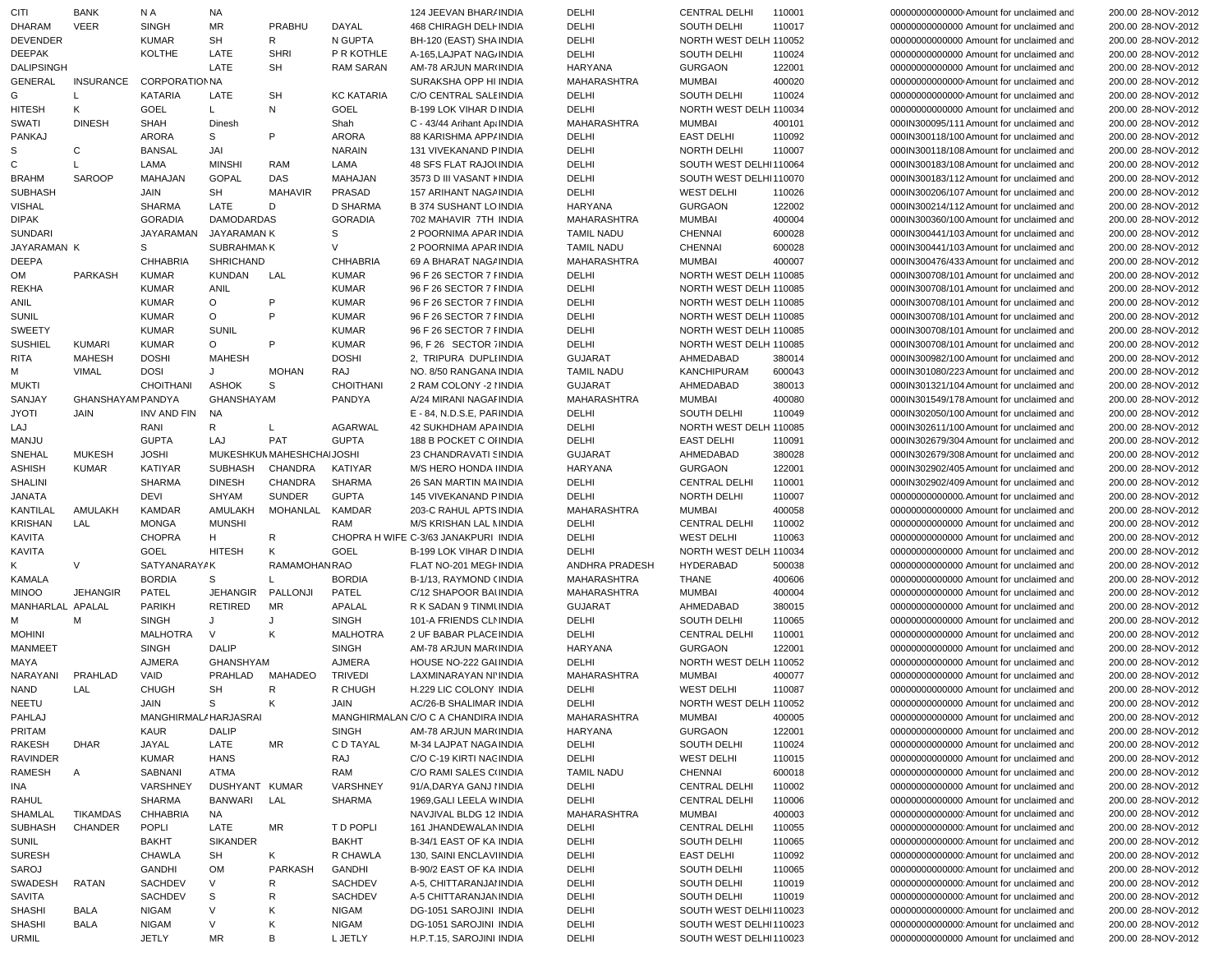| CITI              | <b>BANK</b>             | N A                  | NA                |                           |                   | 124 JEEVAN BHAR/ INDIA               | DELHI             | <b>CENTRAL DELHI</b>   | 110001 | 00000000000000 Amount for unclaimed and  | 200.00 28-NOV-2012 |
|-------------------|-------------------------|----------------------|-------------------|---------------------------|-------------------|--------------------------------------|-------------------|------------------------|--------|------------------------------------------|--------------------|
| <b>DHARAM</b>     | <b>VEER</b>             | <b>SINGH</b>         | <b>MR</b>         | PRABHU                    | DAYAL             | 468 CHIRAGH DELI INDIA               | DELHI             | SOUTH DELHI            | 110017 | 00000000000000 Amount for unclaimed and  | 200.00 28-NOV-2012 |
| <b>DEVENDER</b>   |                         | <b>KUMAR</b>         | <b>SH</b>         | R                         | N GUPTA           | BH-120 (EAST) SHA INDIA              | DELHI             | NORTH WEST DELH 110052 |        | 00000000000000 Amount for unclaimed and  | 200.00 28-NOV-2012 |
| <b>DEEPAK</b>     |                         | <b>KOLTHE</b>        | LATE              | <b>SHRI</b>               | P R KOTHLE        | A-165, LAJPAT NAG/INDIA              | DELHI             | SOUTH DELHI            | 110024 | 00000000000000 Amount for unclaimed and  | 200.00 28-NOV-2012 |
| <b>DALIPSINGH</b> |                         |                      | LATE              | <b>SH</b>                 | <b>RAM SARAN</b>  | AM-78 ARJUN MAR(INDIA                | HARYANA           | <b>GURGAON</b>         | 122001 | 00000000000000 Amount for unclaimed and  | 200.00 28-NOV-2012 |
| <b>GENERAL</b>    | <b>INSURANCE</b>        | <b>CORPORATIONNA</b> |                   |                           |                   | SURAKSHA OPP HI INDIA                | MAHARASHTRA       | MUMBAI                 | 400020 | 000000000000000 Amount for unclaimed and | 200.00 28-NOV-2012 |
| G                 | L                       | <b>KATARIA</b>       | LATE              | <b>SH</b>                 | <b>KC KATARIA</b> | C/O CENTRAL SALE INDIA               | DELHI             | SOUTH DELHI            | 110024 | 00000000000000 Amount for unclaimed and  | 200.00 28-NOV-2012 |
| <b>HITESH</b>     | Κ                       | GOEL                 | L.                | Ν                         | GOEL              | B-199 LOK VIHAR D INDIA              | DELHI             | NORTH WEST DELH 110034 |        | 00000000000000 Amount for unclaimed and  | 200.00 28-NOV-2012 |
|                   |                         |                      |                   |                           |                   |                                      |                   |                        |        |                                          |                    |
| SWATI             | <b>DINESH</b>           | <b>SHAH</b>          | Dinesh            |                           | Shah              | C - 43/44 Arihant Ap: INDIA          | MAHARASHTRA       | <b>MUMBAI</b>          | 400101 | 000IN300095/111 Amount for unclaimed and | 200.00 28-NOV-2012 |
| PANKAJ            |                         | <b>ARORA</b>         | S                 | P                         | <b>ARORA</b>      | 88 KARISHMA APP/INDIA                | DELHI             | <b>EAST DELHI</b>      | 110092 | 000IN300118/100 Amount for unclaimed and | 200.00 28-NOV-2012 |
| S                 | С                       | <b>BANSAL</b>        | JAI               |                           | <b>NARAIN</b>     | 131 VIVEKANAND PINDIA                | DELHI             | NORTH DELHI            | 110007 | 000IN300118/108 Amount for unclaimed and | 200.00 28-NOV-2012 |
| $\mathsf C$       |                         | LAMA                 | <b>MINSHI</b>     | RAM                       | LAMA              | <b>48 SFS FLAT RAJOUNDIA</b>         | DELHI             | SOUTH WEST DELHI110064 |        | 000IN300183/108 Amount for unclaimed and | 200.00 28-NOV-2012 |
| <b>BRAHM</b>      | <b>SAROOP</b>           | MAHAJAN              | <b>GOPAL</b>      | DAS                       | MAHAJAN           | 3573 D III VASANT I INDIA            | DELHI             | SOUTH WEST DELHI110070 |        | 000IN300183/112 Amount for unclaimed and | 200.00 28-NOV-2012 |
| <b>SUBHASH</b>    |                         | JAIN                 | <b>SH</b>         | MAHAVIR                   | PRASAD            | 157 ARIHANT NAGAINDIA                | DELHI             | <b>WEST DELHI</b>      | 110026 | 000IN300206/107 Amount for unclaimed and | 200.00 28-NOV-2012 |
| <b>VISHAL</b>     |                         | <b>SHARMA</b>        | LATE              | D                         | <b>D SHARMA</b>   | <b>B 374 SUSHANT LO INDIA</b>        | HARYANA           | <b>GURGAON</b>         | 122002 | 000IN300214/112 Amount for unclaimed and | 200.00 28-NOV-2012 |
| <b>DIPAK</b>      |                         | <b>GORADIA</b>       | <b>DAMODARDAS</b> |                           | <b>GORADIA</b>    | 702 MAHAVIR 7TH INDIA                | MAHARASHTRA       | <b>MUMBAI</b>          | 400004 | 000IN300360/100 Amount for unclaimed and | 200.00 28-NOV-2012 |
| <b>SUNDARI</b>    |                         | JAYARAMAN            | JAYARAMAN K       |                           | S                 | 2 POORNIMA APAR INDIA                | <b>TAMIL NADU</b> | <b>CHENNAI</b>         | 600028 | 000IN300441/103 Amount for unclaimed and | 200.00 28-NOV-2012 |
| JAYARAMAN K       |                         | S                    | SUBRAHMAN K       |                           | V                 | 2 POORNIMA APAR INDIA                | <b>TAMIL NADU</b> | <b>CHENNAI</b>         | 600028 | 000IN300441/103 Amount for unclaimed and | 200.00 28-NOV-2012 |
| <b>DEEPA</b>      |                         | <b>CHHABRIA</b>      | <b>SHRICHAND</b>  |                           | <b>CHHABRIA</b>   | 69 A BHARAT NAGAINDIA                | MAHARASHTRA       | <b>MUMBAI</b>          | 400007 | 000IN300476/433 Amount for unclaimed and | 200.00 28-NOV-2012 |
| OM                | PARKASH                 | <b>KUMAR</b>         | <b>KUNDAN</b>     | LAL                       | <b>KUMAR</b>      | 96 F 26 SECTOR 7 FINDIA              | DELHI             | NORTH WEST DELH 110085 |        | 000IN300708/101 Amount for unclaimed and | 200.00 28-NOV-2012 |
| REKHA             |                         | <b>KUMAR</b>         | ANIL              |                           |                   |                                      |                   | NORTH WEST DELH 110085 |        |                                          | 200.00 28-NOV-2012 |
|                   |                         |                      |                   |                           | <b>KUMAR</b>      | 96 F 26 SECTOR 7 FINDIA              | DELHI             |                        |        | 000IN300708/101 Amount for unclaimed and |                    |
| ANIL              |                         | <b>KUMAR</b>         | $\circ$           | P                         | <b>KUMAR</b>      | 96 F 26 SECTOR 7 I INDIA             | DELHI             | NORTH WEST DELH 110085 |        | 000IN300708/101 Amount for unclaimed and | 200.00 28-NOV-2012 |
| <b>SUNIL</b>      |                         | <b>KUMAR</b>         | $\circ$           | P                         | <b>KUMAR</b>      | 96 F 26 SECTOR 7 FINDIA              | DELHI             | NORTH WEST DELH 110085 |        | 000IN300708/101 Amount for unclaimed and | 200.00 28-NOV-2012 |
| SWEETY            |                         | <b>KUMAR</b>         | <b>SUNIL</b>      |                           | <b>KUMAR</b>      | 96 F 26 SECTOR 7 FINDIA              | DELHI             | NORTH WEST DELH 110085 |        | 000IN300708/101 Amount for unclaimed and | 200.00 28-NOV-2012 |
| <b>SUSHIEL</b>    | <b>KUMARI</b>           | <b>KUMAR</b>         | $\circ$           | P                         | <b>KUMAR</b>      | 96, F 26 SECTOR 7 INDIA              | DELHI             | NORTH WEST DELH 110085 |        | 000IN300708/101 Amount for unclaimed and | 200.00 28-NOV-2012 |
| RITA              | <b>MAHESH</b>           | <b>DOSHI</b>         | <b>MAHESH</b>     |                           | <b>DOSHI</b>      | 2, TRIPURA DUPLIINDIA                | <b>GUJARAT</b>    | AHMEDABAD              | 380014 | 000IN300982/100 Amount for unclaimed and | 200.00 28-NOV-2012 |
| м                 | <b>VIMAL</b>            | <b>DOSI</b>          | J                 | <b>MOHAN</b>              | RAJ               | NO. 8/50 RANGANA INDIA               | <b>TAMIL NADU</b> | KANCHIPURAM            | 600043 | 000IN301080/223 Amount for unclaimed and | 200.00 28-NOV-2012 |
| <b>MUKTI</b>      |                         | <b>CHOITHANI</b>     | <b>ASHOK</b>      | S                         | <b>CHOITHANI</b>  | 2 RAM COLONY -2 I INDIA              | <b>GUJARAT</b>    | AHMEDABAD              | 380013 | 000IN301321/104 Amount for unclaimed and | 200.00 28-NOV-2012 |
| SANJAY            | <b>GHANSHAYAMPANDYA</b> |                      | GHANSHAYAM        |                           | PANDYA            | A/24 MIRANI NAGAI INDIA              | MAHARASHTRA       | MUMBAI                 | 400080 | 000IN301549/178 Amount for unclaimed and | 200.00 28-NOV-2012 |
| <b>JYOTI</b>      | JAIN                    | <b>INV AND FIN</b>   | <b>NA</b>         |                           |                   | E - 84, N.D.S.E, PARINDIA            | DELHI             | SOUTH DELHI            | 110049 | 000IN302050/100 Amount for unclaimed and | 200.00 28-NOV-2012 |
| LAJ               |                         | RANI                 | R                 | L                         | <b>AGARWAL</b>    | <b>42 SUKHDHAM APAINDIA</b>          | DELHI             | NORTH WEST DELH 110085 |        | 000IN302611/100 Amount for unclaimed and | 200.00 28-NOV-2012 |
| MANJU             |                         | <b>GUPTA</b>         | LAJ               | PAT                       | <b>GUPTA</b>      | 188 B POCKET C OHNDIA                | DELHI             | <b>EAST DELHI</b>      | 110091 | 000IN302679/304 Amount for unclaimed and | 200.00 28-NOV-2012 |
| SNEHAL            | <b>MUKESH</b>           | <b>JOSHI</b>         |                   | MUKESHKUN MAHESHCHAIJOSHI |                   | 23 CHANDRAVATI SINDIA                | GUJARAT           | AHMEDABAD              | 380028 | 000IN302679/308 Amount for unclaimed and | 200.00 28-NOV-2012 |
| <b>ASHISH</b>     | <b>KUMAR</b>            | <b>KATIYAR</b>       | SUBHASH           | CHANDRA                   | KATIYAR           | M/S HERO HONDA I INDIA               | <b>HARYANA</b>    | <b>GURGAON</b>         | 122001 | 000IN302902/405 Amount for unclaimed and | 200.00 28-NOV-2012 |
|                   |                         |                      |                   |                           |                   |                                      |                   |                        |        |                                          |                    |
| SHALINI           |                         | <b>SHARMA</b>        | <b>DINESH</b>     | <b>CHANDRA</b>            | <b>SHARMA</b>     | 26 SAN MARTIN MAINDIA                | DELHI             | <b>CENTRAL DELHI</b>   | 110001 | 000IN302902/409 Amount for unclaimed and | 200.00 28-NOV-2012 |
| <b>JANATA</b>     |                         | DEVI                 | SHYAM             | <b>SUNDER</b>             | <b>GUPTA</b>      | 145 VIVEKANAND PINDIA                | DELHI             | NORTH DELHI            | 110007 | 00000000000000. Amount for unclaimed and | 200.00 28-NOV-2012 |
| <b>KANTILAL</b>   | AMULAKH                 | <b>KAMDAR</b>        | AMULAKH           | MOHANLAL                  | <b>KAMDAR</b>     | 203-C RAHUL APTS INDIA               | MAHARASHTRA       | MUMBAI                 | 400058 | 00000000000000 Amount for unclaimed and  | 200.00 28-NOV-2012 |
| <b>KRISHAN</b>    | LAL                     | <b>MONGA</b>         | <b>MUNSHI</b>     |                           | <b>RAM</b>        | M/S KRISHAN LAL MINDIA               | DELHI             | <b>CENTRAL DELHI</b>   | 110002 | 00000000000000 Amount for unclaimed and  | 200.00 28-NOV-2012 |
| <b>KAVITA</b>     |                         | <b>CHOPRA</b>        | H                 | R                         |                   | CHOPRA H WIFE C-3/63 JANAKPURI INDIA | DELHI             | <b>WEST DELHI</b>      | 110063 | 00000000000000 Amount for unclaimed and  | 200.00 28-NOV-2012 |
| <b>KAVITA</b>     |                         | GOEL                 | <b>HITESH</b>     | Κ                         | <b>GOEL</b>       | <b>B-199 LOK VIHAR D INDIA</b>       | DELHI             | NORTH WEST DELH 110034 |        | 00000000000000 Amount for unclaimed and  | 200.00 28-NOV-2012 |
| Κ                 | $\vee$                  | SATYANARAYAK         |                   | RAMAMOHANRAO              |                   | FLAT NO-201 MEGHNDIA                 | ANDHRA PRADESH    | HYDERABAD              | 500038 | 00000000000000 Amount for unclaimed and  | 200.00 28-NOV-2012 |
| <b>KAMALA</b>     |                         | <b>BORDIA</b>        | S                 |                           | <b>BORDIA</b>     | B-1/13, RAYMOND (INDIA               | MAHARASHTRA       | <b>THANE</b>           | 400606 | 00000000000000 Amount for unclaimed and  | 200.00 28-NOV-2012 |
| <b>MINOO</b>      | <b>JEHANGIR</b>         | PATEL                | JEHANGIR          | PALLONJI                  | PATEL             | C/12 SHAPOOR BAUNDIA                 | MAHARASHTRA       | <b>MUMBAI</b>          | 400004 | 00000000000000 Amount for unclaimed and  | 200.00 28-NOV-2012 |
| MANHARLAL APALAL  |                         | <b>PARIKH</b>        | RETIRED           | MR                        | APALAL            | R K SADAN 9 TINMUNDIA                | <b>GUJARAT</b>    | AHMEDABAD              | 380015 | 00000000000000 Amount for unclaimed and  | 200.00 28-NOV-2012 |
| M                 | M                       | <b>SINGH</b>         | J                 | J                         | <b>SINGH</b>      | 101-A FRIENDS CLNINDIA               | DELHI             | SOUTH DELHI            | 110065 | 00000000000000 Amount for unclaimed and  | 200.00 28-NOV-2012 |
| <b>MOHINI</b>     |                         | <b>MALHOTRA</b>      | $\vee$            | Κ                         | <b>MALHOTRA</b>   | 2 UF BABAR PLACE INDIA               | DELHI             | <b>CENTRAL DELHI</b>   | 110001 | 00000000000000 Amount for unclaimed and  | 200.00 28-NOV-2012 |
| <b>MANMEET</b>    |                         | <b>SINGH</b>         | <b>DALIP</b>      |                           | <b>SINGH</b>      | AM-78 ARJUN MAR(INDIA                | <b>HARYANA</b>    | <b>GURGAON</b>         | 122001 | 00000000000000 Amount for unclaimed and  | 200.00 28-NOV-2012 |
|                   |                         |                      |                   |                           |                   |                                      |                   |                        |        |                                          |                    |
| MAYA              |                         | AJMERA               | GHANSHYAM         |                           | <b>AJMERA</b>     | HOUSE NO-222 GAI INDIA               | DELHI             | NORTH WEST DELH 110052 |        | 00000000000000 Amount for unclaimed and  | 200.00 28-NOV-2012 |
| NARAYANI          | PRAHLAD                 | VAID                 | PRAHLAD           | MAHADEO                   | <b>TRIVEDI</b>    | LAXMINARAYAN NI'INDIA                | MAHARASHTRA       | <b>MUMBAI</b>          | 400077 | 00000000000000 Amount for unclaimed and  | 200.00 28-NOV-2012 |
| <b>NAND</b>       | <b>LAL</b>              | <b>CHUGH</b>         | <b>SH</b>         | R                         | R CHUGH           | H.229 LIC COLONY INDIA               | DELHI             | <b>WEST DELHI</b>      | 110087 | 00000000000000 Amount for unclaimed and  | 200.00 28-NOV-2012 |
| NEETU             |                         | JAIN                 | $\mathbf{s}$      | K                         | JAIN              | AC/26-B SHALIMAR INDIA               | DELHI             | NORTH WEST DELH 110052 |        | 00000000000000 Amount for unclaimed and  | 200.00 28-NOV-2012 |
| PAHLAJ            |                         | MANGHIRMAL/HARJASRAI |                   |                           |                   | MANGHIRMALAN C/O C A CHANDIRA INDIA  | MAHARASHTRA       | MUMBAI                 | 400005 | 00000000000000 Amount for unclaimed and  | 200.00 28-NOV-2012 |
| PRITAM            |                         | KAUR                 | DALIP             |                           | SINGH             | AM-78 ARJUN MAR(INDIA                | HARYANA           | <b>GURGAON</b>         | 122001 | 00000000000000 Amount for unclaimed and  | 200.00 28-NOV-2012 |
| RAKESH            | <b>DHAR</b>             | JAYAL                | LATE              | MR                        | C D TAYAL         | M-34 LAJPAT NAGA INDIA               | DELHI             | <b>SOUTH DELHI</b>     | 110024 | 00000000000000 Amount for unclaimed and  | 200.00 28-NOV-2012 |
| RAVINDER          |                         | <b>KUMAR</b>         | <b>HANS</b>       |                           | RAJ               | C/O C-19 KIRTI NACINDIA              | DELHI             | <b>WEST DELHI</b>      | 110015 | 00000000000000 Amount for unclaimed and  | 200.00 28-NOV-2012 |
| RAMESH            | Α                       | SABNANI              | ATMA              |                           | RAM               | C/O RAMI SALES CUNDIA                | <b>TAMIL NADU</b> | <b>CHENNAI</b>         | 600018 | 00000000000000 Amount for unclaimed and  | 200.00 28-NOV-2012 |
| INA               |                         | VARSHNEY             | DUSHYANT KUMAR    |                           | VARSHNEY          | 91/A, DARYA GANJ I INDIA             | DELHI             | <b>CENTRAL DELHI</b>   | 110002 | 00000000000000 Amount for unclaimed and  | 200.00 28-NOV-2012 |
| RAHUL             |                         | <b>SHARMA</b>        | BANWARI           | LAL                       | SHARMA            | 1969, GALI LEELA WINDIA              | DELHI             | <b>CENTRAL DELHI</b>   | 110006 | 00000000000000 Amount for unclaimed and  | 200.00 28-NOV-2012 |
|                   |                         |                      |                   |                           |                   |                                      |                   |                        |        |                                          |                    |
| SHAMLAL           | <b>TIKAMDAS</b>         | CHHABRIA             | NA                |                           |                   | NAVJIVAL BLDG 12 INDIA               | MAHARASHTRA       | <b>MUMBAI</b>          | 400003 | 000000000000000 Amount for unclaimed and | 200.00 28-NOV-2012 |
| SUBHASH           | CHANDER                 | POPLI                | LATE              | MR                        | T D POPLI         | 161 JHANDEWALAN INDIA                | DELHI             | <b>CENTRAL DELHI</b>   | 110055 | 000000000000000 Amount for unclaimed and | 200.00 28-NOV-2012 |
| SUNIL             |                         | BAKHT                | <b>SIKANDER</b>   |                           | <b>BAKHT</b>      | B-34/1 EAST OF KA INDIA              | DELHI             | SOUTH DELHI            | 110065 | 000000000000000 Amount for unclaimed and | 200.00 28-NOV-2012 |
| <b>SURESH</b>     |                         | <b>CHAWLA</b>        | SH                | K                         | R CHAWLA          | 130, SAINI ENCLAVIINDIA              | DELHI             | <b>EAST DELHI</b>      | 110092 | 000000000000000 Amount for unclaimed and | 200.00 28-NOV-2012 |
| SAROJ             |                         | <b>GANDHI</b>        | OM                | PARKASH                   | GANDHI            | B-90/2 EAST OF KA INDIA              | DELHI             | SOUTH DELHI            | 110065 | 000000000000000 Amount for unclaimed and | 200.00 28-NOV-2012 |
| SWADESH           | RATAN                   | SACHDEV              | V                 | R                         | SACHDEV           | A-5, CHITTARANJAI INDIA              | DELHI             | <b>SOUTH DELHI</b>     | 110019 | 000000000000000 Amount for unclaimed and | 200.00 28-NOV-2012 |
| SAVITA            |                         | <b>SACHDEV</b>       | S                 | R                         | SACHDEV           | A-5 CHITTARANJAN INDIA               | DELHI             | SOUTH DELHI            | 110019 | 000000000000000 Amount for unclaimed and | 200.00 28-NOV-2012 |
| SHASHI            | <b>BALA</b>             | <b>NIGAM</b>         | $\vee$            | Κ                         | NIGAM             | DG-1051 SAROJINI INDIA               | DELHI             | SOUTH WEST DELHI110023 |        | 000000000000000 Amount for unclaimed and | 200.00 28-NOV-2012 |
| SHASHI            | <b>BALA</b>             | <b>NIGAM</b>         | V                 | Κ                         | <b>NIGAM</b>      | DG-1051 SAROJINI INDIA               | DELHI             | SOUTH WEST DELHI110023 |        | 000000000000000 Amount for unclaimed and | 200.00 28-NOV-2012 |
| URMIL             |                         | JETLY                | MR                | В                         | L JETLY           | H.P.T.15, SAROJINI INDIA             | DELHI             | SOUTH WEST DELHI110023 |        | 00000000000000 Amount for unclaimed and  | 200.00 28-NOV-2012 |
|                   |                         |                      |                   |                           |                   |                                      |                   |                        |        |                                          |                    |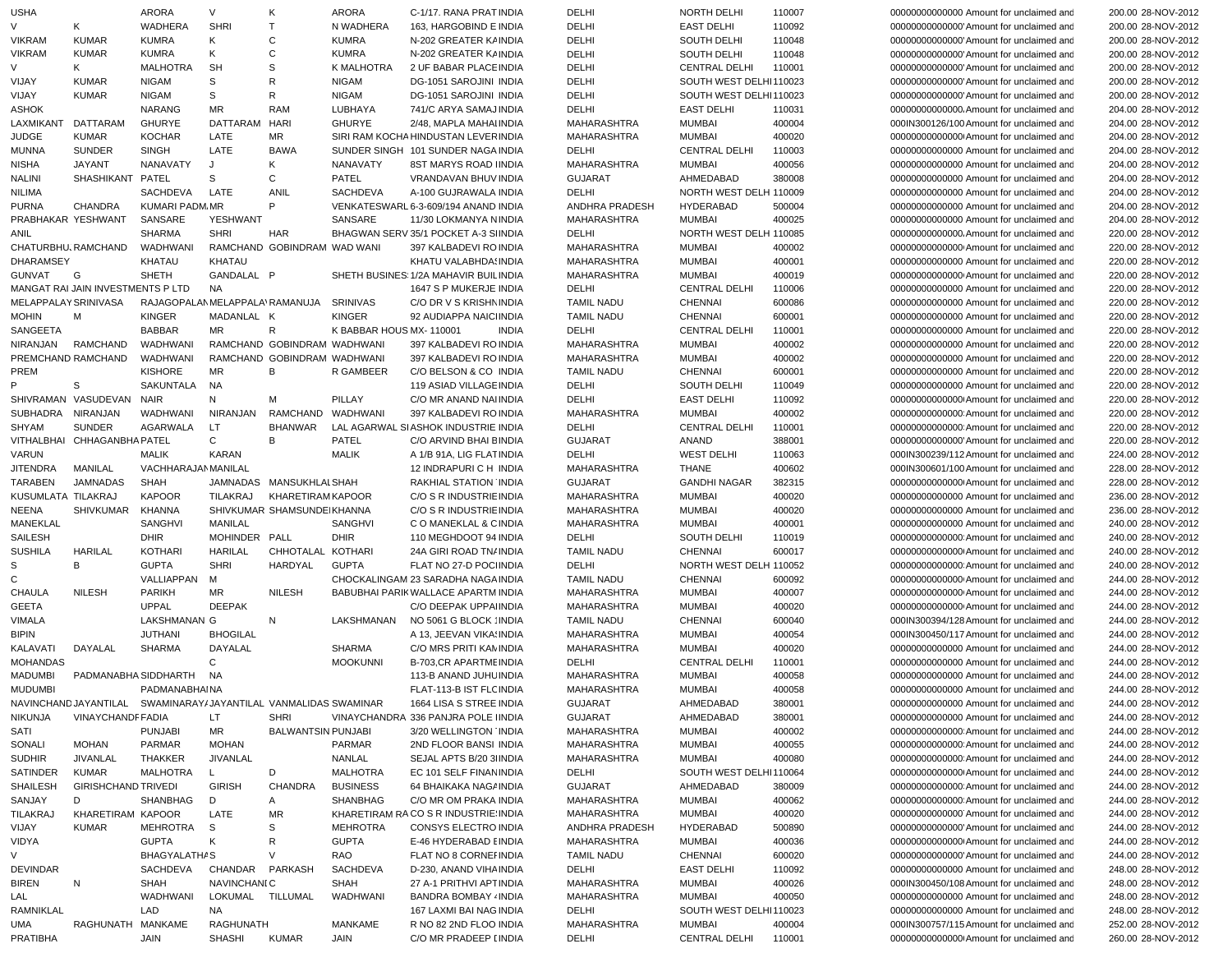| <b>USHA</b>                          |                                                                 | <b>ARORA</b>                                     | V                        | Κ                           | <b>ARORA</b>              | C-1/17. RANA PRAT INDIA                          | DELHI                                  | NORTH DELHI                      | 110007           | 00000000000000 Amount for unclaimed and                                              | 200.00 28-NOV-2012                       |
|--------------------------------------|-----------------------------------------------------------------|--------------------------------------------------|--------------------------|-----------------------------|---------------------------|--------------------------------------------------|----------------------------------------|----------------------------------|------------------|--------------------------------------------------------------------------------------|------------------------------------------|
| V                                    | Κ                                                               | <b>WADHERA</b>                                   | <b>SHRI</b>              | T                           | N WADHERA                 | 163, HARGOBIND E INDIA                           | DELHI                                  | <b>EAST DELHI</b>                | 110092           | 00000000000000 Amount for unclaimed and                                              | 200.00 28-NOV-2012                       |
| <b>VIKRAM</b>                        | <b>KUMAR</b>                                                    | <b>KUMRA</b>                                     | Κ                        | $\mathsf{C}$                | <b>KUMRA</b>              | N-202 GREATER KAINDIA                            | DELHI                                  | <b>SOUTH DELHI</b>               | 110048           | 00000000000000 Amount for unclaimed and                                              | 200.00 28-NOV-2012                       |
| <b>VIKRAM</b>                        | <b>KUMAR</b>                                                    | <b>KUMRA</b>                                     | Κ                        | $\mathsf{C}$                | <b>KUMRA</b>              | N-202 GREATER KAINDIA                            | DELHI                                  | <b>SOUTH DELHI</b>               | 110048           | 00000000000000 Amount for unclaimed and                                              | 200.00 28-NOV-2012                       |
| V                                    | Κ                                                               | <b>MALHOTRA</b>                                  | <b>SH</b>                | S                           | K MALHOTRA                | 2 UF BABAR PLACE INDIA                           | DELHI                                  | <b>CENTRAL DELHI</b>             | 110001           | 00000000000000 Amount for unclaimed and                                              | 200.00 28-NOV-2012                       |
| VIJAY                                | <b>KUMAR</b>                                                    | <b>NIGAM</b>                                     | S                        | R                           | <b>NIGAM</b>              | DG-1051 SAROJINI INDIA                           | DELHI                                  | SOUTH WEST DELHI110023           |                  | 00000000000000 Amount for unclaimed and                                              | 200.00 28-NOV-2012                       |
| VIJAY                                | <b>KUMAR</b>                                                    | <b>NIGAM</b>                                     | S                        | R                           | <b>NIGAM</b>              | DG-1051 SAROJINI INDIA                           | DELHI                                  | SOUTH WEST DELHI110023           |                  | 00000000000000 Amount for unclaimed and                                              | 200.00 28-NOV-2012                       |
| <b>ASHOK</b>                         |                                                                 | <b>NARANG</b>                                    | <b>MR</b>                | <b>RAM</b>                  | LUBHAYA                   | 741/C ARYA SAMAJ INDIA                           | DELHI                                  | <b>EAST DELHI</b>                | 110031           | 00000000000000. Amount for unclaimed and                                             | 204.00 28-NOV-2012                       |
| LAXMIKANT                            | DATTARAM                                                        | <b>GHURYE</b>                                    | DATTARAM                 | <b>HARI</b>                 | <b>GHURYE</b>             | 2/48, MAPLA MAHAI INDIA                          | MAHARASHTRA                            | <b>MUMBAI</b>                    | 400004           | 000IN300126/100 Amount for unclaimed and                                             | 204.00 28-NOV-2012                       |
| <b>JUDGE</b>                         | <b>KUMAR</b>                                                    | <b>KOCHAR</b>                                    | LATE                     | ΜR                          |                           | SIRI RAM KOCHA HINDUSTAN LEVER INDIA             | MAHARASHTRA                            | <b>MUMBAI</b>                    | 400020           | 000000000000000 Amount for unclaimed and                                             | 204.00 28-NOV-2012                       |
| <b>MUNNA</b>                         | <b>SUNDER</b>                                                   | <b>SINGH</b>                                     | LATE                     | <b>BAWA</b>                 |                           | SUNDER SINGH 101 SUNDER NAGA INDIA               | DELHI                                  | <b>CENTRAL DELHI</b>             | 110003           | 00000000000000 Amount for unclaimed and                                              | 204.00 28-NOV-2012                       |
| <b>NISHA</b>                         | <b>JAYANT</b>                                                   | NANAVATY                                         | J                        | Κ                           | NANAVATY                  | 8ST MARYS ROAD IINDIA                            | MAHARASHTRA                            | <b>MUMBAI</b>                    | 400056           | 00000000000000 Amount for unclaimed and                                              | 204.00 28-NOV-2012                       |
| <b>NALINI</b>                        | SHASHIKANT PATEL                                                |                                                  | S                        | С                           | PATEL                     | VRANDAVAN BHUV INDIA                             | <b>GUJARAT</b>                         | AHMEDABAD                        | 380008           | 00000000000000 Amount for unclaimed and                                              | 204.00 28-NOV-2012                       |
| <b>NILIMA</b>                        |                                                                 | SACHDEVA                                         | LATE                     | ANIL                        | <b>SACHDEVA</b>           | A-100 GUJRAWALA INDIA                            | DELHI                                  | NORTH WEST DELH 110009           |                  | 00000000000000 Amount for unclaimed and                                              | 204.00 28-NOV-2012                       |
| <b>PURNA</b>                         | CHANDRA                                                         | KUMARI PADM.MR                                   |                          | P                           |                           | VENKATESWARL 6-3-609/194 ANAND INDIA             | ANDHRA PRADESH                         | <b>HYDERABAD</b>                 | 500004           | 00000000000000 Amount for unclaimed and                                              | 204.00 28-NOV-2012                       |
| PRABHAKAR YESHWANT                   |                                                                 | SANSARE                                          | YESHWANT                 |                             | SANSARE                   | 11/30 LOKMANYA NINDIA                            | MAHARASHTRA                            | <b>MUMBAI</b>                    | 400025           | 00000000000000 Amount for unclaimed and                                              | 204.00 28-NOV-2012                       |
| ANIL                                 |                                                                 | <b>SHARMA</b>                                    | <b>SHRI</b>              | HAR                         |                           | BHAGWAN SERV 35/1 POCKET A-3 SINDIA              | DELHI                                  | NORTH WEST DELH 110085           |                  | 00000000000000. Amount for unclaimed and                                             | 220.00 28-NOV-2012                       |
| CHATURBHU, RAMCHAND                  |                                                                 | WADHWANI                                         |                          | RAMCHAND GOBINDRAM WAD WANI |                           | 397 KALBADEVI ROINDIA                            | MAHARASHTRA                            | <b>MUMBAI</b>                    | 400002           | 00000000000000 Amount for unclaimed and                                              | 220.00 28-NOV-2012                       |
| <b>DHARAMSEY</b>                     |                                                                 | <b>KHATAU</b><br><b>SHETH</b>                    | <b>KHATAU</b>            |                             |                           | KHATU VALABHDA! INDIA                            | MAHARASHTRA                            | <b>MUMBAI</b>                    | 400001           | 00000000000000 Amount for unclaimed and                                              | 220.00 28-NOV-2012                       |
| <b>GUNVAT</b>                        | G                                                               |                                                  | GANDALAL P               |                             |                           | SHETH BUSINES: 1/2A MAHAVIR BUIL INDIA           | MAHARASHTRA                            | <b>MUMBAI</b>                    | 400019           | 00000000000000 Amount for unclaimed and                                              | 220.00 28-NOV-2012                       |
|                                      | MANGAT RAI JAIN INVESTMENTS P LTD                               |                                                  | <b>NA</b>                |                             |                           | 1647 S P MUKERJE INDIA                           | DELHI                                  | <b>CENTRAL DELHI</b>             | 110006           | 00000000000000 Amount for unclaimed and                                              | 220.00 28-NOV-2012                       |
| MELAPPALAY SRINIVASA<br><b>MOHIN</b> | м                                                               | RAJAGOPALAN MELAPPALAN RAMANUJA<br><b>KINGER</b> | MADANLAL K               |                             | SRINIVAS<br><b>KINGER</b> | C/O DR V S KRISHN INDIA<br>92 AUDIAPPA NAICHNDIA | <b>TAMIL NADU</b><br><b>TAMIL NADU</b> | <b>CHENNAI</b><br><b>CHENNAI</b> | 600086<br>600001 | 00000000000000 Amount for unclaimed and<br>00000000000000 Amount for unclaimed and   | 220.00 28-NOV-2012                       |
| SANGEETA                             |                                                                 | <b>BABBAR</b>                                    | MR                       | R                           | K BABBAR HOUS MX-110001   | <b>INDIA</b>                                     | DELHI                                  | <b>CENTRAL DELHI</b>             | 110001           | 00000000000000 Amount for unclaimed and                                              | 220.00 28-NOV-2012                       |
| NIRANJAN                             | RAMCHAND                                                        | WADHWANI                                         |                          | RAMCHAND GOBINDRAM WADHWANI |                           | 397 KALBADEVI ROINDIA                            | MAHARASHTRA                            | <b>MUMBAI</b>                    | 400002           | 00000000000000 Amount for unclaimed and                                              | 220.00 28-NOV-2012                       |
| PREMCHAND RAMCHAND                   |                                                                 | WADHWANI                                         |                          | RAMCHAND GOBINDRAM WADHWANI |                           | 397 KALBADEVI ROINDIA                            | MAHARASHTRA                            | <b>MUMBAI</b>                    | 400002           | 00000000000000 Amount for unclaimed and                                              | 220.00 28-NOV-2012<br>220.00 28-NOV-2012 |
| PREM                                 |                                                                 | <b>KISHORE</b>                                   | MR                       | B                           | R GAMBEER                 | C/O BELSON & CO INDIA                            | <b>TAMIL NADU</b>                      | <b>CHENNAI</b>                   | 600001           |                                                                                      |                                          |
|                                      | S                                                               | SAKUNTALA                                        | <b>NA</b>                |                             |                           | 119 ASIAD VILLAGE INDIA                          | DELHI                                  | <b>SOUTH DELHI</b>               | 110049           | 00000000000000 Amount for unclaimed and<br>00000000000000 Amount for unclaimed and   | 220.00 28-NOV-2012<br>220.00 28-NOV-2012 |
|                                      | SHIVRAMAN VASUDEVAN NAIR                                        |                                                  | N                        | M                           | PILLAY                    | C/O MR ANAND NAIINDIA                            | DELHI                                  | <b>EAST DELHI</b>                | 110092           | 000000000000000 Amount for unclaimed and                                             | 220.00 28-NOV-2012                       |
| SUBHADRA NIRANJAN                    |                                                                 | WADHWANI                                         | <b>NIRANJAN</b>          | RAMCHAND                    | WADHWANI                  | 397 KALBADEVI ROINDIA                            | MAHARASHTRA                            | <b>MUMBAI</b>                    | 400002           | 000000000000000 Amount for unclaimed and                                             | 220.00 28-NOV-2012                       |
| SHYAM                                | <b>SUNDER</b>                                                   | AGARWALA                                         | LT                       | <b>BHANWAR</b>              |                           | LAL AGARWAL SI ASHOK INDUSTRIE INDIA             | DELHI                                  | <b>CENTRAL DELHI</b>             | 110001           | 000000000000000 Amount for unclaimed and                                             | 220.00 28-NOV-2012                       |
|                                      | VITHALBHAI CHHAGANBHA PATEL                                     |                                                  | $\mathsf{C}$             | B                           | PATEL                     | C/O ARVIND BHAI EINDIA                           | <b>GUJARAT</b>                         | ANAND                            | 388001           | 00000000000000 Amount for unclaimed and                                              | 220.00 28-NOV-2012                       |
| VARUN                                |                                                                 | <b>MALIK</b>                                     | <b>KARAN</b>             |                             | <b>MALIK</b>              | A 1/B 91A. LIG FLAT INDIA                        | DELHI                                  | <b>WEST DELHI</b>                | 110063           | 000IN300239/112 Amount for unclaimed and                                             | 224.00 28-NOV-2012                       |
| <b>JITENDRA</b>                      | MANILAL                                                         | VACHHARAJAN MANILAL                              |                          |                             |                           | 12 INDRAPURI C H INDIA                           | MAHARASHTRA                            | <b>THANE</b>                     | 400602           | 000IN300601/100 Amount for unclaimed and                                             | 228.00 28-NOV-2012                       |
|                                      | <b>JAMNADAS</b>                                                 | SHAH                                             |                          |                             |                           |                                                  |                                        |                                  |                  |                                                                                      |                                          |
|                                      |                                                                 |                                                  |                          |                             |                           |                                                  |                                        |                                  |                  |                                                                                      |                                          |
| <b>TARABEN</b>                       |                                                                 |                                                  |                          | JAMNADAS MANSUKHLAI SHAH    |                           | RAKHIAL STATION INDIA                            | <b>GUJARAT</b>                         | <b>GANDHI NAGAR</b>              | 382315           | 000000000000000 Amount for unclaimed and                                             | 228.00 28-NOV-2012                       |
| KUSUMLATA TILAKRAJ                   |                                                                 | <b>KAPOOR</b>                                    | TILAKRAJ                 | KHARETIRAM KAPOOR           |                           | C/O S R INDUSTRIE INDIA                          | MAHARASHTRA                            | <b>MUMBAI</b>                    | 400020           | 00000000000000 Amount for unclaimed and                                              | 236.00 28-NOV-2012                       |
| <b>NEENA</b>                         | SHIVKUMAR                                                       | KHANNA                                           |                          | SHIVKUMAR SHAMSUNDEIKHANNA  |                           | C/O S R INDUSTRIE INDIA                          | MAHARASHTRA                            | <b>MUMBAI</b>                    | 400020           | 00000000000000 Amount for unclaimed and                                              | 236.00 28-NOV-2012                       |
| MANEKLAL                             |                                                                 | SANGHVI<br><b>DHIR</b>                           | MANILAL<br>MOHINDER PALL |                             | SANGHVI<br><b>DHIR</b>    | C O MANEKLAL & CINDIA<br>110 MEGHDOOT 94 INDIA   | MAHARASHTRA<br>DELHI                   | <b>MUMBAI</b><br>SOUTH DELHI     | 400001<br>110019 | 00000000000000 Amount for unclaimed and                                              | 240.00 28-NOV-2012<br>240.00 28-NOV-2012 |
| SAILESH                              | <b>HARILAL</b>                                                  | <b>KOTHARI</b>                                   | <b>HARILAL</b>           | CHHOTALAL KOTHARI           |                           | 24A GIRI ROAD TN/ INDIA                          | <b>TAMIL NADU</b>                      | <b>CHENNAI</b>                   | 600017           | 000000000000000 Amount for unclaimed and                                             | 240.00 28-NOV-2012                       |
| <b>SUSHILA</b><br>S                  | B                                                               | <b>GUPTA</b>                                     | <b>SHRI</b>              | HARDYAL                     | <b>GUPTA</b>              | FLAT NO 27-D POCI INDIA                          | <b>DELHI</b>                           | NORTH WEST DELH 110052           |                  | 000000000000000 Amount for unclaimed and<br>000000000000000 Amount for unclaimed and | 240.00 28-NOV-2012                       |
| C                                    |                                                                 | VALLIAPPAN                                       | м                        |                             |                           | CHOCKALINGAM 23 SARADHA NAGA INDIA               | <b>TAMIL NADU</b>                      | <b>CHENNAI</b>                   | 600092           | 000000000000000 Amount for unclaimed and                                             | 244.00 28-NOV-2012                       |
| CHAULA                               | <b>NILESH</b>                                                   | <b>PARIKH</b>                                    | MR                       | <b>NILESH</b>               |                           | BABUBHAI PARIK WALLACE APARTM INDIA              | MAHARASHTRA                            | <b>MUMBAI</b>                    | 400007           | 00000000000000 Amount for unclaimed and                                              | 244.00 28-NOV-2012                       |
| <b>GEETA</b>                         |                                                                 | <b>UPPAL</b>                                     | <b>DEEPAK</b>            |                             |                           | C/O DEEPAK UPPAI INDIA                           | MAHARASHTRA                            | <b>MUMBAI</b>                    | 400020           | 000000000000000 Amount for unclaimed and                                             | 244.00 28-NOV-2012                       |
| <b>VIMALA</b>                        |                                                                 | LAKSHMANAN G                                     |                          | Ν                           | LAKSHMANAN                | NO 5061 G BLOCK 'INDIA                           | <b>TAMIL NADU</b>                      | <b>CHENNAI</b>                   | 600040           | 000IN300394/128 Amount for unclaimed and                                             | 244.00 28-NOV-2012                       |
| <b>BIPIN</b>                         |                                                                 | <b>JUTHANI</b>                                   | <b>BHOGILAL</b>          |                             |                           | A 13, JEEVAN VIKA INDIA                          | MAHARASHTRA                            | <b>MUMBAI</b>                    | 400054           | 000IN300450/117 Amount for unclaimed and                                             | 244.00 28-NOV-2012                       |
| KALAVATI                             | DAYALAL                                                         | <b>SHARMA</b>                                    | DAYALAL                  |                             | <b>SHARMA</b>             | C/O MRS PRITI KAN INDIA                          | MAHARASHTRA                            | <b>MUMBAI</b>                    | 400020           | 00000000000000 Amount for unclaimed and                                              | 244.00 28-NOV-2012                       |
| <b>MOHANDAS</b>                      |                                                                 |                                                  | C                        |                             | <b>MOOKUNNI</b>           | <b>B-703,CR APARTME INDIA</b>                    | DELHI                                  | <b>CENTRAL DELHI</b>             | 110001           | 00000000000000 Amount for unclaimed and                                              | 244.00 28-NOV-2012                       |
| <b>MADUMBI</b>                       | PADMANABHA SIDDHARTH                                            |                                                  | <b>NA</b>                |                             |                           | 113-B ANAND JUHU INDIA                           | MAHARASHTRA                            | <b>MUMBAI</b>                    | 400058           | 00000000000000 Amount for unclaimed and                                              | 244.00 28-NOV-2012                       |
| <b>MUDUMBI</b>                       |                                                                 | PADMANABHAINA                                    |                          |                             |                           | FLAT-113-B IST FLC INDIA                         | MAHARASHTRA                            | <b>MUMBAI</b>                    | 400058           | 00000000000000 Amount for unclaimed and                                              | 244.00 28-NOV-2012                       |
|                                      | NAVINCHAND JAYANTILAL SWAMINARAY/JAYANTILAL VANMALIDAS SWAMINAR |                                                  |                          |                             |                           | 1664 LISA S STREE INDIA                          | <b>GUJARAT</b>                         | AHMEDABAD                        | 380001           | 00000000000000 Amount for unclaimed and                                              | 244.00 28-NOV-2012                       |
| NIKUNJA                              | <b>VINAYCHANDFFADIA</b>                                         |                                                  | LT.                      | <b>SHRI</b>                 |                           | VINAYCHANDRA 336 PANJRA POLE IINDIA              | <b>GUJARAT</b>                         | AHMEDABAD                        | 380001           | 00000000000000 Amount for unclaimed and                                              | 244.00 28-NOV-2012                       |
| SATI                                 |                                                                 | <b>PUNJABI</b>                                   | ΜR                       | <b>BALWANTSIN PUNJABI</b>   |                           | 3/20 WELLINGTON INDIA                            | MAHARASHTRA                            | <b>MUMBAI</b>                    | 400002           | 000000000000000 Amount for unclaimed and                                             | 244.00 28-NOV-2012                       |
| SONALI                               | MOHAN                                                           | PARMAR                                           | MOHAN                    |                             | PARMAR                    | 2ND FLOOR BANSI INDIA                            | MAHARASHTRA                            | <b>MUMBAI</b>                    | 400055           | 000000000000000 Amount for unclaimed and                                             | 244.00 28-NOV-2012                       |
| <b>SUDHIR</b>                        | JIVANLAL                                                        | THAKKER                                          | JIVANLAL                 |                             | NANLAL                    | SEJAL APTS B/20 3 INDIA                          | MAHARASHTRA                            | <b>MUMBAI</b>                    | 400080           | 000000000000000 Amount for unclaimed and                                             | 244.00 28-NOV-2012                       |
| SATINDER                             | KUMAR                                                           | MALHOTRA                                         | L.                       | D                           | MALHOTRA                  | EC 101 SELF FINAN INDIA                          | DELHI                                  | SOUTH WEST DELHI110064           |                  | 000000000000000 Amount for unclaimed and                                             | 244.00 28-NOV-2012                       |
| <b>SHAILESH</b>                      | <b>GIRISHCHAND TRIVEDI</b>                                      |                                                  | <b>GIRISH</b>            | CHANDRA                     | <b>BUSINESS</b>           | 64 BHAIKAKA NAGA INDIA                           | <b>GUJARAT</b>                         | AHMEDABAD                        | 380009           | 000000000000000 Amount for unclaimed and                                             | 244.00 28-NOV-2012                       |
| SANJAY                               | D                                                               | SHANBHAG                                         | D                        | Α                           | SHANBHAG                  | C/O MR OM PRAKA INDIA                            | MAHARASHTRA                            | <b>MUMBAI</b>                    | 400062           | 000000000000000 Amount for unclaimed and                                             | 244.00 28-NOV-2012                       |
| TILAKRAJ                             | KHARETIRAM KAPOOR                                               |                                                  | LATE                     | MR                          |                           | KHARETIRAM RA CO S R INDUSTRIE INDIA             | MAHARASHTRA                            | <b>MUMBAI</b>                    | 400020           | 00000000000000 Amount for unclaimed and                                              | 244.00 28-NOV-2012                       |
| VIJAY                                | <b>KUMAR</b>                                                    | MEHROTRA                                         | -S                       | S                           | MEHROTRA                  | CONSYS ELECTRO INDIA                             | ANDHRA PRADESH                         | <b>HYDERABAD</b>                 | 500890           | 00000000000000 Amount for unclaimed and                                              | 244.00 28-NOV-2012                       |
| VIDYA                                |                                                                 | <b>GUPTA</b>                                     | Κ                        | R                           | <b>GUPTA</b>              | E-46 HYDERABAD EINDIA                            | MAHARASHTRA                            | <b>MUMBAI</b>                    | 400036           | 00000000000000 Amount for unclaimed and                                              | 244.00 28-NOV-2012                       |
| V                                    |                                                                 | <b>BHAGYALATHAS</b>                              |                          | V                           | RAO                       | FLAT NO 8 CORNEI INDIA                           | <b>TAMIL NADU</b>                      | <b>CHENNAI</b>                   | 600020           | 000000000000000 Amount for unclaimed and                                             | 244.00 28-NOV-2012                       |
| <b>DEVINDAR</b>                      |                                                                 | SACHDEVA                                         | CHANDAR PARKASH          |                             | SACHDEVA                  | D-230, ANAND VIHA INDIA                          | DELHI                                  | <b>EAST DELHI</b>                | 110092           | 00000000000000 Amount for unclaimed and                                              | 248.00 28-NOV-2012                       |
| <b>BIREN</b>                         | N                                                               | SHAH                                             | NAVINCHANI C             |                             | SHAH                      | 27 A-1 PRITHVI APTINDIA                          | MAHARASHTRA                            | <b>MUMBAI</b>                    | 400026           | 000IN300450/108 Amount for unclaimed and                                             | 248.00 28-NOV-2012                       |
| LAL                                  |                                                                 | WADHWANI                                         | LOKUMAL TILLUMAL         |                             | WADHWANI                  | BANDRA BOMBAY / INDIA                            | MAHARASHTRA                            | <b>MUMBAI</b>                    | 400050           | 00000000000000 Amount for unclaimed and                                              | 248.00 28-NOV-2012                       |
| RAMNIKLAL                            |                                                                 | LAD                                              | NA.                      |                             |                           | 167 LAXMI BAI NAG INDIA                          | DELHI                                  | SOUTH WEST DELHI110023           |                  | 00000000000000 Amount for unclaimed and                                              | 248.00 28-NOV-2012                       |
| UMA<br>PRATIBHA                      | RAGHUNATH MANKAME                                               | JAIN                                             | RAGHUNATH<br>SHASHI      | KUMAR                       | MANKAME<br>JAIN           | R NO 82 2ND FLOO INDIA<br>C/O MR PRADEEP I INDIA | MAHARASHTRA<br>DELHI                   | <b>MUMBAI</b><br>CENTRAL DELHI   | 400004<br>110001 | 000IN300757/115 Amount for unclaimed and<br>000000000000000 Amount for unclaimed and | 252.00 28-NOV-2012<br>260.00 28-NOV-2012 |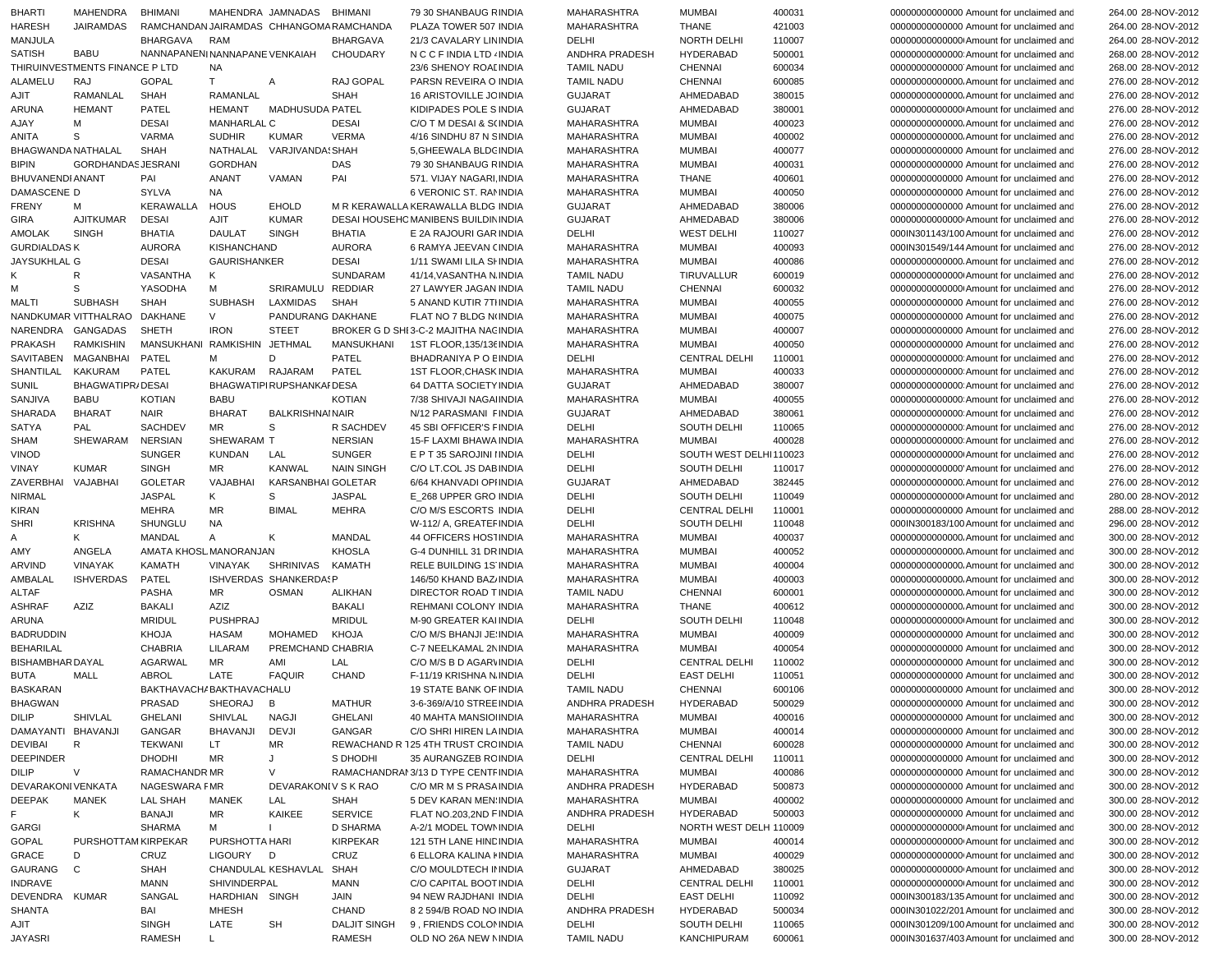| <b>BHARTI</b>           | MAHENDRA                       | <b>BHIMANI</b>                           |                      | MAHENDRA JAMNADAS        | BHIMANI                       | 79 30 SHANBAUG RINDIA                         | MAHARASHTRA                | <b>MUMBAI</b>              | 400031           | 00000000000000 Amount for unclaimed and                                              | 264.00 28-NOV-2012                       |
|-------------------------|--------------------------------|------------------------------------------|----------------------|--------------------------|-------------------------------|-----------------------------------------------|----------------------------|----------------------------|------------------|--------------------------------------------------------------------------------------|------------------------------------------|
| <b>HARESH</b>           | JAIRAMDAS                      | RAMCHANDAN JAIRAMDAS CHHANGOMA RAMCHANDA |                      |                          |                               | PLAZA TOWER 507 INDIA                         | MAHARASHTRA                | <b>THANE</b>               | 421003           | 00000000000000 Amount for unclaimed and                                              | 264.00 28-NOV-2012                       |
| MANJULA                 |                                | <b>BHARGAVA</b>                          | <b>RAM</b>           |                          | <b>BHARGAVA</b>               | 21/3 CAVALARY LIN INDIA                       | DELHI                      | NORTH DELHI                | 110007           | 000000000000000 Amount for unclaimed and                                             | 264.00 28-NOV-2012                       |
| <b>SATISH</b>           | <b>BABU</b>                    | NANNAPANENI NANNAPANE VENKAIAH           |                      |                          | <b>CHOUDARY</b>               | N C C F INDIA LTD . INDIA                     | ANDHRA PRADESH             | <b>HYDERABAD</b>           | 500001           | 0000000000000000000 Amount for unclaimed and                                         | 268.00 28-NOV-2012                       |
|                         | THIRUINVESTMENTS FINANCE P LTD |                                          | <b>NA</b>            |                          |                               | 23/6 SHENOY ROAI INDIA                        | <b>TAMIL NADU</b>          | <b>CHENNAI</b>             | 600034           | 000000000000000 Amount for unclaimed and                                             | 268.00 28-NOV-2012                       |
| <b>ALAMELU</b>          | RAJ                            | <b>GOPAL</b>                             | T.                   | A                        | RAJ GOPAL                     | PARSN REVEIRA O INDIA                         | <b>TAMIL NADU</b>          | <b>CHENNAI</b>             | 600085           | 00000000000000. Amount for unclaimed and                                             | 276.00 28-NOV-2012                       |
| AJIT                    | RAMANLAL                       | <b>SHAH</b>                              | RAMANLAL             |                          | <b>SHAH</b>                   | <b>16 ARISTOVILLE JC INDIA</b>                | <b>GUJARAT</b>             | AHMEDABAD                  | 380015           | 00000000000000. Amount for unclaimed and                                             | 276.00 28-NOV-2012                       |
| ARUNA                   | <b>HEMANT</b>                  | PATEL                                    | <b>HEMANT</b>        | <b>MADHUSUDA PATEL</b>   |                               | KIDIPADES POLE S INDIA                        | <b>GUJARAT</b>             | AHMEDABAD                  | 380001           | 00000000000000 Amount for unclaimed and                                              | 276.00 28-NOV-2012                       |
| AJAY                    | M                              | <b>DESAI</b>                             | MANHARLAL C          |                          | <b>DESAI</b>                  | C/O T M DESAI & S(INDIA                       | MAHARASHTRA                | <b>MUMBAI</b>              | 400023           | 00000000000000. Amount for unclaimed and                                             | 276.00 28-NOV-2012                       |
| ANITA                   | S                              | VARMA                                    | <b>SUDHIR</b>        | <b>KUMAR</b>             | <b>VERMA</b>                  | 4/16 SINDHU 87 N SINDIA                       | MAHARASHTRA                | <b>MUMBAI</b>              | 400002           | 00000000000000. Amount for unclaimed and                                             | 276.00 28-NOV-2012                       |
| BHAGWANDA NATHALAL      |                                | <b>SHAH</b>                              | NATHALAL             | VARJIVANDA! SHAH         |                               | 5, GHEEWALA BLDC INDIA                        | MAHARASHTRA                | <b>MUMBAI</b>              | 400077           | 00000000000000 Amount for unclaimed and                                              | 276.00 28-NOV-2012                       |
| <b>BIPIN</b>            | <b>GORDHANDASJESRANI</b>       |                                          | <b>GORDHAN</b>       |                          | DAS                           | 79 30 SHANBAUG RINDIA                         | MAHARASHTRA                | <b>MUMBAI</b>              | 400031           | 00000000000000 Amount for unclaimed and                                              | 276.00 28-NOV-2012                       |
| BHUVANENDI ANANT        |                                | PAI                                      | <b>ANANT</b>         | VAMAN                    | PAI                           | 571. VIJAY NAGARI INDIA                       | MAHARASHTRA                | <b>THANE</b>               | 400601           | 00000000000000 Amount for unclaimed and                                              | 276.00 28-NOV-2012                       |
| DAMASCENE D             |                                | SYLVA                                    | NA                   |                          |                               | 6 VERONIC ST. RAMNDIA                         | MAHARASHTRA                | <b>MUMBAI</b>              | 400050           | 00000000000000 Amount for unclaimed and                                              | 276.00 28-NOV-2012                       |
| <b>FRENY</b>            | м                              | KERAWALLA                                | <b>HOUS</b>          | <b>EHOLD</b>             |                               | M R KERAWALLA KERAWALLA BLDG INDIA            | <b>GUJARAT</b>             | AHMEDABAD                  | 380006           | 00000000000000 Amount for unclaimed and                                              | 276.00 28-NOV-2012                       |
| <b>GIRA</b>             | <b>AJITKUMAR</b>               | <b>DESAI</b>                             | <b>AJIT</b>          | <b>KUMAR</b>             |                               | <b>DESAI HOUSEHOMANIBENS BUILDIN INDIA</b>    | <b>GUJARAT</b>             | AHMEDABAD                  | 380006           | 00000000000000 Amount for unclaimed and                                              | 276.00 28-NOV-2012                       |
| <b>AMOLAK</b>           | <b>SINGH</b>                   | <b>BHATIA</b>                            | <b>DAULAT</b>        | <b>SINGH</b>             | <b>BHATIA</b>                 | E 2A RAJOURI GAR INDIA                        | DELHI                      | <b>WEST DELHI</b>          | 110027           | 000IN301143/100 Amount for unclaimed and                                             | 276.00 28-NOV-2012                       |
| <b>GURDIALDASK</b>      |                                | <b>AURORA</b>                            | KISHANCHAND          |                          | <b>AURORA</b>                 | 6 RAMYA JEEVAN (INDIA                         | MAHARASHTRA                | <b>MUMBAI</b>              | 400093           | 000IN301549/144 Amount for unclaimed and                                             | 276.00 28-NOV-2012                       |
| <b>JAYSUKHLAL G</b>     |                                | <b>DESAI</b>                             | <b>GAURISHANKER</b>  |                          | <b>DESAI</b>                  | 1/11 SWAMI LILA SI INDIA                      | MAHARASHTRA                | <b>MUMBAI</b>              | 400086           | 000000000000000. Amount for unclaimed and                                            | 276.00 28-NOV-2012                       |
|                         | R                              | VASANTHA                                 | K                    |                          | SUNDARAM                      | 41/14, VASANTHA N. INDIA                      | <b>TAMIL NADU</b>          | TIRUVALLUR                 | 600019           | 000000000000000 Amount for unclaimed and                                             | 276.00 28-NOV-2012                       |
| м                       | S                              | YASODHA                                  | М                    | SRIRAMULU REDDIAR        |                               | 27 LAWYER JAGAN INDIA                         | <b>TAMIL NADU</b>          | CHENNAI                    | 600032           | 000000000000000 Amount for unclaimed and                                             | 276.00 28-NOV-2012                       |
| MALTI                   | <b>SUBHASH</b>                 | <b>SHAH</b>                              | <b>SUBHASH</b>       | LAXMIDAS                 | SHAH                          | 5 ANAND KUTIR 7TI INDIA                       | MAHARASHTRA                | <b>MUMBAI</b>              | 400055           | 00000000000000 Amount for unclaimed and                                              | 276.00 28-NOV-2012                       |
|                         | NANDKUMAR VITTHALRAO DAKHANE   |                                          | V                    | PANDURANG DAKHANE        |                               | FLAT NO 7 BLDG N(INDIA                        | MAHARASHTRA                | <b>MUMBAI</b>              | 400075           | 00000000000000 Amount for unclaimed and                                              | 276.00 28-NOV-2012                       |
| NARENDRA                | GANGADAS                       | SHETH                                    | <b>IRON</b>          | <b>STEET</b>             |                               | BROKER G D SHI 3-C-2 MAJITHA NACINDIA         | <b>MAHARASHTRA</b>         | <b>MUMBAI</b>              | 400007           | 00000000000000 Amount for unclaimed and                                              | 276.00 28-NOV-2012                       |
| PRAKASH                 | <b>RAMKISHIN</b>               | MANSUKHANI RAMKISHIN JETHMAL             |                      |                          | MANSUKHANI                    | 1ST FLOOR, 135/136 INDIA                      | MAHARASHTRA                | <b>MUMBAI</b>              | 400050           | 00000000000000 Amount for unclaimed and                                              | 276.00 28-NOV-2012                       |
|                         |                                |                                          |                      |                          |                               |                                               |                            |                            |                  |                                                                                      | 276.00 28-NOV-2012                       |
| SAVITABEN<br>SHANTILAL  | MAGANBHAI                      | PATEL                                    | м<br>KAKURAM RAJARAM | D                        | PATEL                         | BHADRANIYA P O EINDIA                         | <b>DELHI</b>               | <b>CENTRAL DELHI</b>       | 110001           | 000000000000000 Amount for unclaimed and                                             |                                          |
|                         | <b>KAKURAM</b>                 | PATEL                                    |                      |                          | PATEL                         | <b>1ST FLOOR.CHASK INDIA</b>                  | MAHARASHTRA                | <b>MUMBAI</b>              | 400033           | 0000000000000000000 Amount for unclaimed and                                         | 276.00 28-NOV-2012                       |
| <b>SUNIL</b>            | BHAGWATIPR/DESAI               |                                          |                      | BHAGWATIPIRUPSHANKAIDESA |                               | 64 DATTA SOCIETY INDIA                        | <b>GUJARAT</b>             | AHMEDABAD                  | 380007           | 000000000000000 Amount for unclaimed and                                             | 276.00 28-NOV-2012                       |
| SANJIVA                 | <b>BABU</b>                    | <b>KOTIAN</b>                            | <b>BABU</b>          |                          | <b>KOTIAN</b>                 | 7/38 SHIVAJI NAGAHNDIA                        | MAHARASHTRA                | <b>MUMBAI</b>              | 400055           | 000000000000000 Amount for unclaimed and                                             | 276.00 28-NOV-2012                       |
| <b>SHARADA</b>          | <b>BHARAT</b>                  | <b>NAIR</b>                              | <b>BHARAT</b>        | <b>BALKRISHNAINAIR</b>   |                               | N/12 PARASMANI FINDIA                         | <b>GUJARAT</b>             | AHMEDABAD                  | 380061           | 000000000000000 Amount for unclaimed and                                             | 276.00 28-NOV-2012                       |
| <b>SATYA</b>            | PAL                            | SACHDEV                                  | <b>MR</b>            | S                        | R SACHDEV                     | 45 SBI OFFICER'S FINDIA                       | DELHI                      | SOUTH DELHI                | 110065           | 0000000000000000000 Amount for unclaimed and                                         | 276.00 28-NOV-2012                       |
| SHAM                    | SHEWARAM                       | <b>NERSIAN</b>                           | SHEWARAM T           |                          | <b>NERSIAN</b>                | <b>15-F LAXMI BHAWA INDIA</b>                 | <b>MAHARASHTRA</b>         | <b>MUMBAI</b>              | 400028           | 000000000000000 Amount for unclaimed and                                             | 276.00 28-NOV-2012                       |
| <b>VINOD</b>            |                                | <b>SUNGER</b>                            | <b>KUNDAN</b>        | LAL                      | <b>SUNGER</b>                 | E P T 35 SAROJINI I INDIA                     | DELHI                      | SOUTH WEST DELHI110023     |                  | 000000000000000 Amount for unclaimed and                                             | 276.00 28-NOV-2012                       |
| <b>VINAY</b>            | <b>KUMAR</b>                   | <b>SINGH</b>                             | MR                   | <b>KANWAL</b>            | <b>NAIN SINGH</b>             | C/O LT.COL JS DABINDIA                        | DELHI                      | SOUTH DELHI                | 110017           | 00000000000000 Amount for unclaimed and                                              | 276.00 28-NOV-2012                       |
| ZAVERBHAI               | VAJABHAI                       | <b>GOLETAR</b>                           | VAJABHAI             | KARSANBHAI GOLETAR       |                               | 6/64 KHANVADI OPI INDIA                       | <b>GUJARAT</b>             | AHMEDABAD                  | 382445           | 00000000000000. Amount for unclaimed and                                             | 276.00 28-NOV-2012                       |
| <b>NIRMAL</b>           |                                | <b>JASPAL</b>                            | Κ                    | S                        | <b>JASPAL</b>                 | E_268 UPPER GRO INDIA                         | DELHI                      | SOUTH DELHI                | 110049           | 000000000000000 Amount for unclaimed and                                             | 280.00 28-NOV-2012                       |
| <b>KIRAN</b>            |                                | <b>MEHRA</b>                             | <b>MR</b>            | <b>BIMAL</b>             | <b>MEHRA</b>                  | C/O M/S ESCORTS INDIA                         | DELHI                      | <b>CENTRAL DELHI</b>       | 110001           | 00000000000000 Amount for unclaimed and                                              | 288.00 28-NOV-2012                       |
| <b>SHRI</b>             | <b>KRISHNA</b>                 | SHUNGLU                                  | <b>NA</b>            |                          |                               | W-112/ A, GREATEF INDIA                       | DELHI                      | SOUTH DELHI                | 110048           | 000IN300183/100 Amount for unclaimed and                                             | 296.00 28-NOV-2012                       |
| A                       | ĸ                              | <b>MANDAL</b>                            | A                    | K                        | <b>MANDAL</b>                 | 44 OFFICERS HOSTINDIA                         | MAHARASHTRA                | <b>MUMBAI</b>              | 400037           | 00000000000000. Amount for unclaimed and                                             | 300.00 28-NOV-2012                       |
| AMY                     | ANGELA                         | AMATA KHOSL MANORANJAN                   |                      |                          | <b>KHOSLA</b>                 | G-4 DUNHILL 31 DR INDIA                       | <b>MAHARASHTRA</b>         | <b>MUMBAI</b>              | 400052           | 00000000000000. Amount for unclaimed and                                             | 300.00 28-NOV-2012                       |
| ARVIND                  | VINAYAK                        | <b>KAMATH</b>                            | VINAYAK              | SHRINIVAS                | KAMATH                        | RELE BUILDING 1S INDIA                        | MAHARASHTRA                | <b>MUMBAI</b>              | 400004           | 00000000000000. Amount for unclaimed and                                             | 300.00 28-NOV-2012                       |
| AMBALAL                 | <b>ISHVERDAS</b>               | PATEL                                    |                      | ISHVERDAS SHANKERDASP    |                               | 146/50 KHAND BAZ INDIA                        | MAHARASHTRA                | <b>MUMBAI</b>              | 400003           | 00000000000000. Amount for unclaimed and                                             | 300.00 28-NOV-2012                       |
| <b>ALTAF</b>            |                                | PASHA                                    | MR                   | <b>OSMAN</b>             | <b>ALIKHAN</b>                | DIRECTOR ROAD TINDIA                          | <b>TAMIL NADU</b>          | <b>CHENNAI</b>             | 600001           | 00000000000000. Amount for unclaimed and                                             | 300.00 28-NOV-2012                       |
| <b>ASHRAF</b>           | AZIZ                           | <b>BAKALI</b>                            | AZIZ                 |                          | <b>BAKALI</b>                 | REHMANI COLONY INDIA                          | MAHARASHTRA                | <b>THANE</b>               | 400612           | 000000000000000. Amount for unclaimed and                                            | 300.00 28-NOV-2012                       |
| ARUNA                   |                                | <b>MRIDUL</b>                            | <b>PUSHPRAJ</b>      |                          | <b>MRIDUL</b>                 | M-90 GREATER KAI INDIA                        | DELHI                      | SOUTH DELHI                | 110048           | 00000000000000 Amount for unclaimed and                                              | 300.00 28-NOV-2012                       |
| <b>BADRUDDIN</b>        |                                | KHOJA                                    | <b>HASAM</b>         | MOHAMED                  | <b>KHOJA</b>                  | C/O M/S BHANJI JE INDIA                       | MAHARASHTRA                | <b>MUMBAI</b>              | 400009           | 00000000000000 Amount for unclaimed and                                              | 300.00 28-NOV-2012                       |
| <b>BEHARILAL</b>        |                                | <b>CHABRIA</b>                           | LILARAM              | PREMCHAND CHABRIA        |                               | C-7 NEELKAMAL 2N INDIA                        | <b>MAHARASHTRA</b>         | <b>MUMBAI</b>              | 400054           | 00000000000000 Amount for unclaimed and                                              | 300.00 28-NOV-2012                       |
| <b>BISHAMBHAR DAYAL</b> |                                | <b>AGARWAL</b>                           | MR                   | AMI                      | LAL                           | C/O M/S B D AGARVINDIA                        | DELHI                      | <b>CENTRAL DELHI</b>       | 110002           | 00000000000000 Amount for unclaimed and                                              | 300.00 28-NOV-2012                       |
| <b>BUTA</b>             | MALL                           | ABROL                                    | LATE                 | <b>FAQUIR</b>            | CHAND                         | F-11/19 KRISHNA N. INDIA                      | DELHI                      | <b>EAST DELHI</b>          | 110051           | 00000000000000 Amount for unclaimed and                                              | 300.00 28-NOV-2012                       |
| <b>BASKARAN</b>         |                                | BAKTHAVACH/BAKTHAVACHALU                 |                      |                          |                               | <b>19 STATE BANK OF INDIA</b>                 | <b>TAMIL NADU</b>          | <b>CHENNAI</b>             | 600106           | 00000000000000 Amount for unclaimed and                                              | 300.00 28-NOV-2012                       |
| <b>BHAGWAN</b>          |                                | PRASAD                                   | SHEORAJ B            |                          | <b>MATHUR</b>                 | 3-6-369/A/10 STREE INDIA                      | ANDHRA PRADESH             | HYDERABAD                  | 500029           | 00000000000000 Amount for unclaimed and                                              | 300.00 28-NOV-2012                       |
| DILIP                   | SHIVLAL                        | GHELANI                                  | SHIVLAL              | NAGJI                    | GHELANI                       | 40 MAHTA MANSIOI INDIA                        | MAHARASHTRA                | MUMBAI                     | 400016           | 00000000000000 Amount for unclaimed and                                              | 300.00 28-NOV-2012                       |
| DAMAYANTI BHAVANJI      |                                | GANGAR                                   | BHAVANJI             | DEVJI                    | GANGAR                        | C/O SHRI HIREN LA INDIA                       | MAHARASHTRA                | MUMBAI                     | 400014           | 00000000000000 Amount for unclaimed and                                              | 300.00 28-NOV-2012                       |
| DEVIBAI                 | R                              | <b>TEKWANI</b>                           | LT.                  | ΜR                       |                               | REWACHAND R 125 4TH TRUST CRC INDIA           | <b>TAMIL NADU</b>          | <b>CHENNAI</b>             | 600028           | 00000000000000 Amount for unclaimed and                                              | 300.00 28-NOV-2012                       |
| <b>DEEPINDER</b>        |                                | <b>DHODHI</b>                            | MR                   | J                        | S DHODHI                      | 35 AURANGZEB RC INDIA                         | DELHI                      | <b>CENTRAL DELHI</b>       | 110011           | 00000000000000 Amount for unclaimed and                                              | 300.00 28-NOV-2012                       |
| DILIP                   | V                              | RAMACHANDR MR                            |                      | V                        |                               | RAMACHANDRAI 3/13 D TYPE CENTFINDIA           | MAHARASHTRA                | <b>MUMBAI</b>              | 400086           | 00000000000000 Amount for unclaimed and                                              | 300.00 28-NOV-2012                       |
| DEVARAKONI VENKATA      |                                | NAGESWARA FMR                            |                      | DEVARAKONI V S K RAO     |                               | C/O MR M S PRASA INDIA                        | ANDHRA PRADESH             | <b>HYDERABAD</b>           | 500873           | 00000000000000 Amount for unclaimed and                                              | 300.00 28-NOV-2012                       |
| DEEPAK                  | MANEK                          | LAL SHAH                                 | MANEK                | LAL                      | SHAH                          | 5 DEV KARAN MEN INDIA                         | MAHARASHTRA                | MUMBAI                     | 400002           | 00000000000000 Amount for unclaimed and                                              | 300.00 28-NOV-2012                       |
| F.                      | Κ                              | <b>BANAJI</b>                            | ΜR                   | KAIKEE                   | <b>SERVICE</b>                | FLAT NO.203,2ND FINDIA                        | ANDHRA PRADESH             | HYDERABAD                  | 500003           | 00000000000000 Amount for unclaimed and                                              | 300.00 28-NOV-2012                       |
| <b>GARGI</b>            |                                | <b>SHARMA</b>                            | м                    |                          | <b>D SHARMA</b>               | A-2/1 MODEL TOWN INDIA                        | DELHI                      | NORTH WEST DELH 110009     |                  | 000000000000000 Amount for unclaimed and                                             | 300.00 28-NOV-2012                       |
| GOPAL                   | PURSHOTTAM KIRPEKAR            |                                          | PURSHOTTA HARI       |                          | <b>KIRPEKAR</b>               | 121 5TH LANE HIND INDIA                       | MAHARASHTRA                | <b>MUMBAI</b>              | 400014           | 00000000000000 Amount for unclaimed and                                              | 300.00 28-NOV-2012                       |
| GRACE                   | D                              | CRUZ                                     | LIGOURY              | D                        | CRUZ                          | 6 ELLORA KALINA I INDIA                       | MAHARASHTRA                | <b>MUMBAI</b>              | 400029           | 00000000000000 Amount for unclaimed and                                              | 300.00 28-NOV-2012                       |
|                         |                                |                                          |                      | CHANDULAL KESHAVLAL      |                               |                                               |                            |                            |                  |                                                                                      |                                          |
| GAURANG                 | C                              | SHAH<br><b>MANN</b>                      | SHIVINDERPAL         |                          | SHAH<br>MANN                  | C/O MOULDTECH II INDIA                        | <b>GUJARAT</b><br>DELHI    | AHMEDABAD<br>CENTRAL DELHI | 380025           | 00000000000000 Amount for unclaimed and                                              | 300.00 28-NOV-2012                       |
| INDRAVE                 |                                |                                          |                      |                          |                               | C/O CAPITAL BOOT INDIA                        |                            |                            | 110001           | 000000000000000 Amount for unclaimed and                                             | 300.00 28-NOV-2012                       |
| DEVENDRA KUMAR          |                                | SANGAL                                   | HARDHIAN SINGH       |                          | JAIN                          | 94 NEW RAJDHANI INDIA                         | DELHI                      | <b>EAST DELHI</b>          | 110092           | 000IN300183/135 Amount for unclaimed and                                             | 300.00 28-NOV-2012                       |
| SHANTA                  |                                | BAI                                      | MHESH                |                          | CHAND                         | 8 2 594/B ROAD NO INDIA                       | ANDHRA PRADESH             | HYDERABAD                  | 500034           | 000IN301022/201 Amount for unclaimed and                                             | 300.00 28-NOV-2012                       |
| AJIT                    |                                | SINGH                                    | LATE                 | <b>SH</b>                | <b>DALJIT SINGH</b><br>RAMESH | 9, FRIENDS COLOMNDIA<br>OLD NO 26A NEW NINDIA | DELHI<br><b>TAMIL NADU</b> | SOUTH DELHI<br>KANCHIPURAM | 110065<br>600061 | 000IN301209/100 Amount for unclaimed and<br>000IN301637/403 Amount for unclaimed and | 300.00 28-NOV-2012<br>300.00 28-NOV-2012 |
| <b>JAYASRI</b>          |                                | RAMESH                                   | L.                   |                          |                               |                                               |                            |                            |                  |                                                                                      |                                          |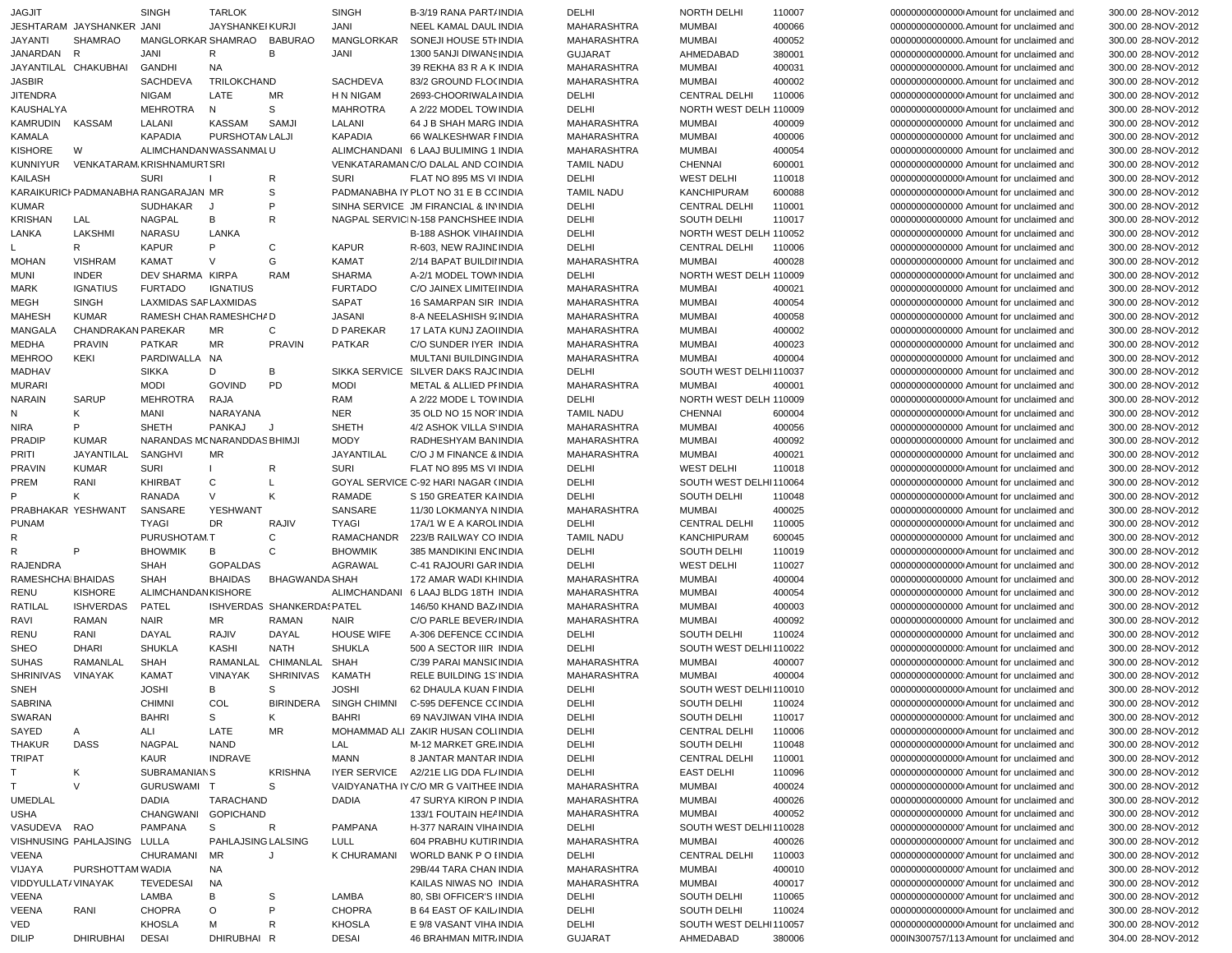| <b>JAGJIT</b>                  |                                      | <b>SINGH</b>                 | <b>TARLOK</b>           |                            | <b>SINGH</b>            | B-3/19 RANA PART/INDIA                                                       | DELHI                      | <b>NORTH DELHI</b>                    | 110007           | 000000000000000 Amount for unclaimed and                                            | 300.00 28-NOV-2012                       |
|--------------------------------|--------------------------------------|------------------------------|-------------------------|----------------------------|-------------------------|------------------------------------------------------------------------------|----------------------------|---------------------------------------|------------------|-------------------------------------------------------------------------------------|------------------------------------------|
|                                | JESHTARAM JAYSHANKER JANI            |                              | <b>JAYSHANKEI KURJI</b> |                            | JANI                    | NEEL KAMAL DAUL INDIA                                                        | MAHARASHTRA                | <b>MUMBAI</b>                         | 400066           |                                                                                     | 300.00 28-NOV-2012                       |
| <b>JAYANTI</b>                 | <b>SHAMRAO</b>                       | MANGLORKAR SHAMRAO           |                         | <b>BABURAO</b>             | MANGLORKAR              | SONEJI HOUSE 5TI INDIA                                                       | <b>MAHARASHTRA</b>         | <b>MUMBAI</b>                         | 400052           | 00000000000000. Amount for unclaimed and                                            | 300.00 28-NOV-2012                       |
| JANARDAN R                     |                                      | JANI                         | R                       | В                          | JANI                    | 1300 5ANJI DIWANS INDIA                                                      | <b>GUJARAT</b>             | AHMEDABAD                             | 380001           | 00000000000000. Amount for unclaimed and                                            | 300.00 28-NOV-2012                       |
|                                | JAYANTILAL CHAKUBHAI                 | <b>GANDHI</b>                | <b>NA</b>               |                            |                         | 39 REKHA 83 R A K INDIA                                                      | <b>MAHARASHTRA</b>         | <b>MUMBAI</b>                         | 400031           |                                                                                     | 300.00 28-NOV-2012                       |
| <b>JASBIR</b>                  |                                      | <b>SACHDEVA</b>              | TRILOKCHAND             |                            | SACHDEVA                | 83/2 GROUND FLO( INDIA                                                       | <b>MAHARASHTRA</b>         | <b>MUMBAI</b>                         | 400002           | 000000000000000. Amount for unclaimed and                                           | 300.00 28-NOV-2012                       |
| <b>JITENDRA</b>                |                                      | <b>NIGAM</b>                 | LATE                    | <b>MR</b>                  | H N NIGAM               | 2693-CHOORIWALA INDIA                                                        | DELHI                      | <b>CENTRAL DELHI</b>                  | 110006           | 000000000000000 Amount for unclaimed and                                            | 300.00 28-NOV-2012                       |
| KAUSHALYA                      |                                      | <b>MEHROTRA</b>              | N                       | S                          | <b>MAHROTRA</b>         | A 2/22 MODEL TOW INDIA                                                       | DELHI                      | NORTH WEST DELH 110009                |                  | 000000000000000 Amount for unclaimed and                                            | 300.00 28-NOV-2012                       |
| <b>KAMRUDIN</b>                | KASSAM                               | LALANI                       | KASSAM                  | SAMJI                      | LALANI                  | 64 J B SHAH MARG INDIA                                                       | <b>MAHARASHTRA</b>         | <b>MUMBAI</b>                         | 400009           | 00000000000000 Amount for unclaimed and                                             | 300.00 28-NOV-2012                       |
| KAMALA                         |                                      | <b>KAPADIA</b>               | PURSHOTAN LALJI         |                            | <b>KAPADIA</b>          | 66 WALKESHWAR FINDIA                                                         | MAHARASHTRA                | <b>MUMBAI</b>                         | 400006           | 00000000000000 Amount for unclaimed and                                             | 300.00 28-NOV-2012                       |
| <b>KISHORE</b>                 | W                                    | ALIMCHANDAN WASSANMALU       |                         |                            |                         | ALIMCHANDANI 6 LAAJ BULIMING 1 INDIA                                         | MAHARASHTRA                | <b>MUMBAI</b>                         | 400054           | 00000000000000 Amount for unclaimed and                                             | 300.00 28-NOV-2012                       |
| <b>KUNNIYUR</b>                | VENKATARAM KRISHNAMURT SRI           |                              |                         |                            |                         | VENKATARAMANC/O DALAL AND CC INDIA                                           | <b>TAMIL NADU</b>          | <b>CHENNAI</b>                        | 600001           | 00000000000000 Amount for unclaimed and                                             | 300.00 28-NOV-2012                       |
| <b>KAILASH</b>                 | KARAIKURICI PADMANABHA RANGARAJAN MR | <b>SURI</b>                  |                         | R                          | <b>SURI</b>             | FLAT NO 895 MS VI INDIA<br>PADMANABHA IY PLOT NO 31 E B CC INDIA             | DELHI                      | <b>WEST DELHI</b>                     | 110018           | 000000000000000 Amount for unclaimed and                                            | 300.00 28-NOV-2012                       |
|                                |                                      |                              |                         | S<br>P                     |                         |                                                                              | <b>TAMIL NADU</b>          | <b>KANCHIPURAM</b>                    | 600088           | 000000000000000 Amount for unclaimed and                                            | 300.00 28-NOV-2012                       |
| <b>KUMAR</b><br><b>KRISHAN</b> | LAL                                  | SUDHAKAR<br><b>NAGPAL</b>    | J<br>В                  | $\mathsf{R}$               |                         | SINHA SERVICE JM FIRANCIAL & IN INDIA<br>NAGPAL SERVICIN-158 PANCHSHEE INDIA | DELHI<br>DELHI             | <b>CENTRAL DELHI</b><br>SOUTH DELHI   | 110001<br>110017 | 00000000000000 Amount for unclaimed and<br>00000000000000 Amount for unclaimed and  | 300.00 28-NOV-2012<br>300.00 28-NOV-2012 |
| LANKA                          | LAKSHMI                              | <b>NARASU</b>                | LANKA                   |                            |                         | <b>B-188 ASHOK VIHAIINDIA</b>                                                | DELHI                      | NORTH WEST DELH 110052                |                  | 00000000000000 Amount for unclaimed and                                             | 300.00 28-NOV-2012                       |
|                                | R.                                   | <b>KAPUR</b>                 | P                       | $\mathsf{C}$               | <b>KAPUR</b>            | R-603, NEW RAJINE INDIA                                                      | DELHI                      | <b>CENTRAL DELHI</b>                  | 110006           | 00000000000000 Amount for unclaimed and                                             | 300.00 28-NOV-2012                       |
| <b>MOHAN</b>                   | <b>VISHRAM</b>                       | <b>KAMAT</b>                 | $\vee$                  | G                          | <b>KAMAT</b>            | 2/14 BAPAT BUILDII INDIA                                                     | <b>MAHARASHTRA</b>         | <b>MUMBAI</b>                         | 400028           | 00000000000000 Amount for unclaimed and                                             | 300.00 28-NOV-2012                       |
| <b>MUNI</b>                    | <b>INDER</b>                         | DEV SHARMA KIRPA             |                         | <b>RAM</b>                 | <b>SHARMA</b>           | A-2/1 MODEL TOWN INDIA                                                       | DELHI                      | NORTH WEST DELH 110009                |                  | 000000000000000 Amount for unclaimed and                                            | 300.00 28-NOV-2012                       |
| MARK                           | <b>IGNATIUS</b>                      | <b>FURTADO</b>               | <b>IGNATIUS</b>         |                            | <b>FURTADO</b>          | C/O JAINEX LIMITEI INDIA                                                     | MAHARASHTRA                | <b>MUMBAI</b>                         | 400021           | 00000000000000 Amount for unclaimed and                                             | 300.00 28-NOV-2012                       |
| <b>MEGH</b>                    | <b>SINGH</b>                         | LAXMIDAS SAFLAXMIDAS         |                         |                            | SAPAT                   | 16 SAMARPAN SIR INDIA                                                        | <b>MAHARASHTRA</b>         | <b>MUMBAI</b>                         | 400054           | 00000000000000 Amount for unclaimed and                                             | 300.00 28-NOV-2012                       |
| <b>MAHESH</b>                  | <b>KUMAR</b>                         | RAMESH CHAN RAMESHCHAD       |                         |                            | JASANI                  | 8-A NEELASHISH 9. INDIA                                                      | MAHARASHTRA                | <b>MUMBAI</b>                         | 400058           | 00000000000000 Amount for unclaimed and                                             | 300.00 28-NOV-2012                       |
| MANGALA                        | <b>CHANDRAKAN PAREKAR</b>            |                              | MR                      | C                          | <b>D PAREKAR</b>        | 17 LATA KUNJ ZAOHNDIA                                                        | MAHARASHTRA                | <b>MUMBAI</b>                         | 400002           | 00000000000000 Amount for unclaimed and                                             | 300.00 28-NOV-2012                       |
| MEDHA                          | <b>PRAVIN</b>                        | <b>PATKAR</b>                | MR                      | <b>PRAVIN</b>              | <b>PATKAR</b>           | C/O SUNDER IYER INDIA                                                        | MAHARASHTRA                | <b>MUMBAI</b>                         | 400023           | 00000000000000 Amount for unclaimed and                                             | 300.00 28-NOV-2012                       |
| <b>MEHROO</b>                  | KEKI                                 | PARDIWALLA                   | <b>NA</b>               |                            |                         | MULTANI BUILDING INDIA                                                       | <b>MAHARASHTRA</b>         | <b>MUMBAI</b>                         | 400004           | 00000000000000 Amount for unclaimed and                                             | 300.00 28-NOV-2012                       |
| MADHAV                         |                                      | <b>SIKKA</b>                 | D                       | В                          |                         | SIKKA SERVICE SILVER DAKS RAJC INDIA                                         | DELHI                      | SOUTH WEST DELHI110037                |                  | 00000000000000 Amount for unclaimed and                                             | 300.00 28-NOV-2012                       |
| <b>MURARI</b>                  |                                      | <b>MODI</b>                  | <b>GOVIND</b>           | PD                         | <b>MODI</b>             | METAL & ALLIED PI INDIA                                                      | <b>MAHARASHTRA</b>         | <b>MUMBAI</b>                         | 400001           | 00000000000000 Amount for unclaimed and                                             | 300.00 28-NOV-2012                       |
| <b>NARAIN</b>                  | <b>SARUP</b>                         | <b>MEHROTRA</b>              | RAJA                    |                            | RAM                     | A 2/22 MODE L TOV INDIA                                                      | DELHI                      | NORTH WEST DELH 110009                |                  | 000000000000000 Amount for unclaimed and                                            | 300.00 28-NOV-2012                       |
| Ν                              | Κ                                    | MANI                         | NARAYANA                |                            | <b>NER</b>              | 35 OLD NO 15 NOR INDIA                                                       | <b>TAMIL NADU</b>          | <b>CHENNAI</b>                        | 600004           | 000000000000000 Amount for unclaimed and                                            | 300.00 28-NOV-2012                       |
| <b>NIRA</b>                    | P                                    | <b>SHETH</b>                 | <b>PANKAJ</b>           | J                          | <b>SHETH</b>            | 4/2 ASHOK VILLA S'INDIA                                                      | <b>MAHARASHTRA</b>         | <b>MUMBAI</b>                         | 400056           | 00000000000000 Amount for unclaimed and                                             | 300.00 28-NOV-2012                       |
| <b>PRADIP</b>                  | <b>KUMAR</b>                         | NARANDAS MC NARANDDAS BHIMJI |                         |                            | <b>MODY</b>             | RADHESHYAM BAN INDIA                                                         | <b>MAHARASHTRA</b>         | <b>MUMBAI</b>                         | 400092           | 00000000000000 Amount for unclaimed and                                             | 300.00 28-NOV-2012                       |
| PRITI                          | JAYANTILAL                           | SANGHVI                      | MR                      |                            | JAYANTILAL              | C/O J M FINANCE & INDIA                                                      | <b>MAHARASHTRA</b>         | <b>MUMBAI</b>                         | 400021           | 00000000000000 Amount for unclaimed and                                             | 300.00 28-NOV-2012                       |
| <b>PRAVIN</b>                  | <b>KUMAR</b>                         | <b>SURI</b>                  |                         | R                          | <b>SURI</b>             | FLAT NO 895 MS VI INDIA                                                      | DELHI                      | <b>WEST DELHI</b>                     | 110018           | 000000000000000 Amount for unclaimed and                                            | 300.00 28-NOV-2012                       |
| PREM                           | RANI                                 | <b>KHIRBAT</b>               | C                       | L                          |                         | GOYAL SERVICE C-92 HARI NAGAR (INDIA                                         | DELHI                      | SOUTH WEST DELHI110064                |                  | 00000000000000 Amount for unclaimed and                                             | 300.00 28-NOV-2012                       |
| P                              | Κ                                    | <b>RANADA</b>                | $\vee$                  | К                          | RAMADE                  | S 150 GREATER KAINDIA                                                        | DELHI                      | SOUTH DELHI                           | 110048           | 000000000000000 Amount for unclaimed and                                            | 300.00 28-NOV-2012                       |
|                                | PRABHAKAR YESHWANT                   | SANSARE                      | YESHWANT                |                            | SANSARE                 | 11/30 LOKMANYA NINDIA                                                        | MAHARASHTRA                | <b>MUMBAI</b>                         | 400025           | 00000000000000 Amount for unclaimed and                                             | 300.00 28-NOV-2012                       |
| <b>PUNAM</b>                   |                                      | <b>TYAGI</b>                 | DR                      | RAJIV                      | <b>TYAGI</b>            | 17A/1 W E A KAROL INDIA                                                      | DELHI                      | <b>CENTRAL DELHI</b>                  | 110005           | 000000000000000 Amount for unclaimed and                                            | 300.00 28-NOV-2012                       |
| R                              |                                      | PURUSHOTAM T                 |                         | C                          | <b>RAMACHANDR</b>       | 223/B RAILWAY CO INDIA                                                       | <b>TAMIL NADU</b>          | <b>KANCHIPURAM</b>                    | 600045           | 00000000000000 Amount for unclaimed and                                             | 300.00 28-NOV-2012                       |
| R                              | P                                    | <b>BHOWMIK</b>               | B                       | C                          | <b>BHOWMIK</b>          | 385 MANDIKINI ENCINDIA                                                       | DELHI                      | SOUTH DELHI                           | 110019           | 000000000000000 Amount for unclaimed and                                            | 300.00 28-NOV-2012                       |
| <b>RAJENDRA</b>                |                                      | <b>SHAH</b>                  | <b>GOPALDAS</b>         |                            | AGRAWAL                 | C-41 RAJOURI GAR INDIA                                                       | DELHI                      | <b>WEST DELHI</b>                     | 110027           | 000000000000000 Amount for unclaimed and                                            | 300.00 28-NOV-2012                       |
| RAMESHCHAIBHAIDAS              |                                      | <b>SHAH</b>                  | <b>BHAIDAS</b>          | <b>BHAGWANDA SHAH</b>      |                         | 172 AMAR WADI KHINDIA                                                        | MAHARASHTRA                | <b>MUMBAI</b>                         | 400004           | 00000000000000 Amount for unclaimed and                                             | 300.00 28-NOV-2012                       |
| <b>RENU</b>                    | <b>KISHORE</b>                       | <b>ALIMCHANDANKISHORE</b>    |                         |                            |                         | ALIMCHANDANI 6 LAAJ BLDG 18TH INDIA                                          | <b>MAHARASHTRA</b>         | <b>MUMBAI</b>                         | 400054           | 00000000000000 Amount for unclaimed and                                             | 300.00 28-NOV-2012                       |
| RATILAL                        | <b>ISHVERDAS</b>                     | PATEL                        |                         | ISHVERDAS SHANKERDA! PATEL |                         | 146/50 KHAND BAZ INDIA                                                       | <b>MAHARASHTRA</b>         | <b>MUMBAI</b>                         | 400003           | 00000000000000 Amount for unclaimed and                                             | 300.00 28-NOV-2012                       |
| RAVI                           | <b>RAMAN</b>                         | <b>NAIR</b>                  | <b>MR</b>               | <b>RAMAN</b>               | <b>NAIR</b>             | C/O PARLE BEVER/ INDIA                                                       | <b>MAHARASHTRA</b>         | <b>MUMBAI</b>                         | 400092           | 00000000000000 Amount for unclaimed and                                             | 300.00 28-NOV-2012                       |
| RENU                           | RANI                                 | DAYAL                        | RAJIV                   | DAYAL                      | <b>HOUSE WIFE</b>       | A-306 DEFENCE CCINDIA                                                        | DELHI                      | SOUTH DELHI                           | 110024           | 00000000000000 Amount for unclaimed and                                             | 300.00 28-NOV-2012                       |
| <b>SHEO</b>                    | <b>DHARI</b>                         | <b>SHUKLA</b>                | <b>KASHI</b>            | <b>NATH</b>                | <b>SHUKLA</b>           | 500 A SECTOR IIIR INDIA                                                      | DELHI                      | SOUTH WEST DELHI110022                |                  | 000000000000000 Amount for unclaimed and                                            | 300.00 28-NOV-2012                       |
| <b>SUHAS</b>                   | <b>RAMANLAL</b>                      | <b>SHAH</b>                  | RAMANLAL                | CHIMANLAL                  | SHAH                    | C/39 PARAI MANSICINDIA                                                       | MAHARASHTRA                | <b>MUMBAI</b>                         | 400007           | 000000000000000 Amount for unclaimed and                                            | 300.00 28-NOV-2012                       |
| <b>SHRINIVAS</b>               | VINAYAK                              | <b>KAMAT</b>                 | <b>VINAYAK</b>          | SHRINIVAS                  | <b>KAMATH</b>           | RELE BUILDING 1S' INDIA                                                      | MAHARASHTRA                | <b>MUMBAI</b>                         | 400004           | 0000000000000000000 Amount for unclaimed and                                        | 300.00 28-NOV-2012                       |
| <b>SNEH</b>                    |                                      | <b>JOSHI</b>                 | В                       | S                          | <b>JOSHI</b>            | 62 DHAULA KUAN FINDIA                                                        | DELHI                      | SOUTH WEST DELHI110010                |                  | 000000000000000 Amount for unclaimed and                                            | 300.00 28-NOV-2012                       |
| SABRINA                        |                                      | <b>CHIMNI</b>                | COL                     | <b>BIRINDERA</b>           |                         | SINGH CHIMNI C-595 DEFENCE C(INDIA                                           | DELHI                      | SOUTH DELHI                           | 110024           | 000000000000000 Amount for unclaimed and                                            | 300.00 28-NOV-2012                       |
| SWARAN                         |                                      | <b>BAHRI</b>                 | S                       | K                          | BAHRI                   | 69 NAVJIWAN VIHA INDIA                                                       | DELHI                      | SOUTH DELHI                           | 110017           | 00000000000000 Amount for unclaimed and                                             | 300.00 28-NOV-2012                       |
| SAYED                          | A                                    | ALI                          | LATE                    | MR                         |                         | MOHAMMAD ALI ZAKIR HUSAN COLIINDIA                                           | DELHI                      | <b>CENTRAL DELHI</b>                  | 110006           | 00000000000000 Amount for unclaimed and                                             | 300.00 28-NOV-2012                       |
| THAKUR                         | <b>DASS</b>                          | NAGPAL                       | <b>NAND</b>             |                            | LAL                     | M-12 MARKET GRE INDIA                                                        | DELHI                      | SOUTH DELHI                           | 110048           | 000000000000000 Amount for unclaimed and                                            | 300.00 28-NOV-2012                       |
| TRIPAT                         |                                      | KAUR                         | <b>INDRAVE</b>          |                            | <b>MANN</b>             | 8 JANTAR MANTAR INDIA                                                        | DELHI                      | <b>CENTRAL DELHI</b>                  | 110001           | 00000000000000 Amount for unclaimed and                                             | 300.00 28-NOV-2012                       |
| T                              | Κ                                    | SUBRAMANIANS                 |                         | KRISHNA                    |                         | IYER SERVICE A2/21E LIG DDA FL/INDIA                                         | DELHI                      | <b>EAST DELHI</b>                     | 110096           | 00000000000000 Amount for unclaimed and                                             | 300.00 28-NOV-2012                       |
| T.                             | $\vee$                               | GURUSWAMI T                  |                         | S                          |                         | VAIDYANATHA IY C/O MR G VAITHEE INDIA                                        | MAHARASHTRA                | <b>MUMBAI</b>                         | 400024           | 000000000000000 Amount for unclaimed and                                            | 300.00 28-NOV-2012                       |
| <b>UMEDLAL</b><br><b>USHA</b>  |                                      | DADIA<br>CHANGWANI           | TARACHAND               |                            | DADIA                   | 47 SURYA KIRON P INDIA                                                       | MAHARASHTRA<br>MAHARASHTRA | <b>MUMBAI</b><br>MUMBAI               | 400026           | 00000000000000 Amount for unclaimed and                                             | 300.00 28-NOV-2012                       |
| VASUDEVA RAO                   |                                      | PAMPANA                      | GOPICHAND<br>S          | R                          | PAMPANA                 | 133/1 FOUTAIN HEAINDIA<br>H-377 NARAIN VIHA INDIA                            | DELHI                      | SOUTH WEST DELHI110028                | 400052           | 00000000000000 Amount for unclaimed and                                             | 300.00 28-NOV-2012                       |
|                                | VISHNUSING PAHLAJSING LULLA          |                              | PAHLAJSING LALSING      |                            | LULL                    | 604 PRABHU KUTIRINDIA                                                        | MAHARASHTRA                | <b>MUMBAI</b>                         | 400026           | 00000000000000 Amount for unclaimed and<br>00000000000000 Amount for unclaimed and  | 300.00 28-NOV-2012<br>300.00 28-NOV-2012 |
| VEENA                          |                                      | CHURAMANI                    | MR                      | J                          | K CHURAMANI             | WORLD BANK P O HNDIA                                                         | DELHI                      | CENTRAL DELHI                         | 110003           | 00000000000000 Amount for unclaimed and                                             | 300.00 28-NOV-2012                       |
| VIJAYA                         | PURSHOTTAM WADIA                     |                              | NA                      |                            |                         | 29B/44 TARA CHAN INDIA                                                       | MAHARASHTRA                | <b>MUMBAI</b>                         | 400010           | 00000000000000 Amount for unclaimed and                                             | 300.00 28-NOV-2012                       |
| VIDDYULLAT/ VINAYAK            |                                      | TEVEDESAI                    | NA                      |                            |                         | KAILAS NIWAS NO INDIA                                                        | MAHARASHTRA                | <b>MUMBAI</b>                         | 400017           | 00000000000000 Amount for unclaimed and                                             | 300.00 28-NOV-2012                       |
| VEENA                          |                                      | LAMBA                        | В                       | S                          | LAMBA                   | 80, SBI OFFICER'S IINDIA                                                     | DELHI                      | SOUTH DELHI                           | 110065           | 00000000000000 Amount for unclaimed and                                             | 300.00 28-NOV-2012                       |
| <b>VEENA</b>                   |                                      |                              |                         |                            |                         |                                                                              |                            |                                       |                  |                                                                                     |                                          |
|                                | RANI                                 |                              | O                       | P                          |                         |                                                                              |                            |                                       |                  |                                                                                     |                                          |
| VED                            |                                      | <b>CHOPRA</b><br>KHOSLA      | м                       | R                          | <b>CHOPRA</b><br>KHOSLA | <b>B 64 EAST OF KAIL INDIA</b><br>E 9/8 VASANT VIHA INDIA                    | DELHI<br>DELHI             | SOUTH DELHI<br>SOUTH WEST DELHI110057 | 110024           | 000000000000000 Amount for unclaimed and<br>00000000000000 Amount for unclaimed and | 300.00 28-NOV-2012<br>300.00 28-NOV-2012 |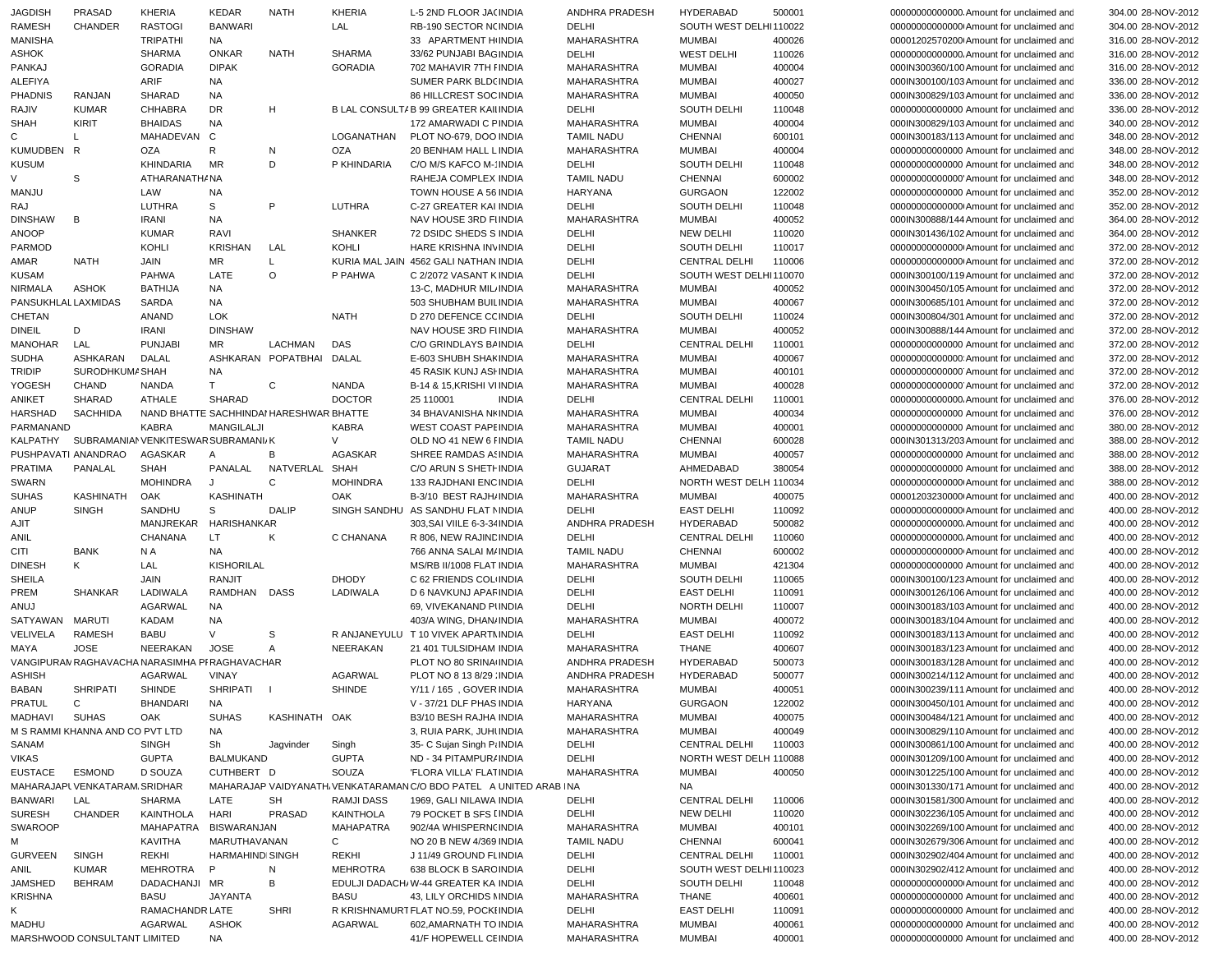| <b>JAGDISH</b>      | PRASAD                          | <b>KHERIA</b>                                  | KEDAR                   | <b>NATH</b>            | KHERIA            | L-5 2ND FLOOR JA(INDIA                                            | ANDHRA PRADESH     | <b>HYDERABAD</b>       | 500001 | 00000000000000000000000000000000 for unclaimed and | 304.00 28-NOV-2012 |
|---------------------|---------------------------------|------------------------------------------------|-------------------------|------------------------|-------------------|-------------------------------------------------------------------|--------------------|------------------------|--------|----------------------------------------------------|--------------------|
| <b>RAMESH</b>       | <b>CHANDER</b>                  | <b>RASTOGI</b>                                 | <b>BANWARI</b>          |                        | LAL               | RB-190 SECTOR N(INDIA                                             | DELHI              | SOUTH WEST DELHI110022 |        | 00000000000000 Amount for unclaimed and            | 304.00 28-NOV-2012 |
| <b>MANISHA</b>      |                                 | <b>TRIPATHI</b>                                | <b>NA</b>               |                        |                   | 33 APARTMENT HINDIA                                               | MAHARASHTRA        | <b>MUMBAI</b>          | 400026 | 00001202570200 Amount for unclaimed and            | 316.00 28-NOV-2012 |
| ASHOK               |                                 | <b>SHARMA</b>                                  | <b>ONKAR</b>            | <b>NATH</b>            | <b>SHARMA</b>     | 33/62 PUNJABI BAGINDIA                                            | DELHI              | <b>WEST DELHI</b>      | 110026 | 00000000000000. Amount for unclaimed and           | 316.00 28-NOV-2012 |
| PANKAJ              |                                 | <b>GORADIA</b>                                 | <b>DIPAK</b>            |                        | <b>GORADIA</b>    | 702 MAHAVIR 7TH FINDIA                                            |                    | <b>MUMBAI</b>          |        |                                                    |                    |
|                     |                                 |                                                |                         |                        |                   |                                                                   | MAHARASHTRA        |                        | 400004 | 000IN300360/100 Amount for unclaimed and           | 316.00 28-NOV-2012 |
| <b>ALEFIYA</b>      |                                 | ARIF                                           | <b>NA</b>               |                        |                   | SUMER PARK BLD(INDIA                                              | <b>MAHARASHTRA</b> | <b>MUMBAI</b>          | 400027 | 000IN300100/103 Amount for unclaimed and           | 336.00 28-NOV-2012 |
| <b>PHADNIS</b>      | <b>RANJAN</b>                   | <b>SHARAD</b>                                  | NA                      |                        |                   | 86 HILLCREST SOC INDIA                                            | <b>MAHARASHTRA</b> | <b>MUMBAI</b>          | 400050 | 000IN300829/103 Amount for unclaimed and           | 336.00 28-NOV-2012 |
| RAJIV               | <b>KUMAR</b>                    | <b>CHHABRA</b>                                 | <b>DR</b>               | H                      |                   | B LAL CONSULT/ B 99 GREATER KAII INDIA                            | DELHI              | SOUTH DELHI            | 110048 | 00000000000000 Amount for unclaimed and            | 336.00 28-NOV-2012 |
| <b>SHAH</b>         | <b>KIRIT</b>                    | <b>BHAIDAS</b>                                 | <b>NA</b>               |                        |                   | 172 AMARWADI C FINDIA                                             | <b>MAHARASHTRA</b> | <b>MUMBAI</b>          | 400004 | 000IN300829/103 Amount for unclaimed and           | 340.00 28-NOV-2012 |
| C                   | $\mathsf{L}$                    | MAHADEVAN                                      | C                       |                        | LOGANATHAN        | PLOT NO-679, DOO INDIA                                            | <b>TAMIL NADU</b>  | <b>CHENNAI</b>         | 600101 | 000IN300183/113 Amount for unclaimed and           | 348.00 28-NOV-2012 |
| KUMUDBEN R          |                                 | OZA                                            | R                       | N                      | OZA               | 20 BENHAM HALL L INDIA                                            | <b>MAHARASHTRA</b> | <b>MUMBAI</b>          | 400004 | 00000000000000 Amount for unclaimed and            | 348.00 28-NOV-2012 |
|                     |                                 |                                                |                         |                        |                   |                                                                   |                    |                        |        |                                                    |                    |
| <b>KUSUM</b>        |                                 | KHINDARIA                                      | MR                      | D                      | P KHINDARIA       | C/O M/S KAFCO M-' INDIA                                           | DELHI              | SOUTH DELHI            | 110048 | 00000000000000 Amount for unclaimed and            | 348.00 28-NOV-2012 |
| V                   | S                               | ATHARANATH/ NA                                 |                         |                        |                   | RAHEJA COMPLEX INDIA                                              | <b>TAMIL NADU</b>  | <b>CHENNAI</b>         | 600002 | 00000000000000 Amount for unclaimed and            | 348.00 28-NOV-2012 |
| MANJU               |                                 | LAW                                            | NA                      |                        |                   | TOWN HOUSE A 56 INDIA                                             | <b>HARYANA</b>     | <b>GURGAON</b>         | 122002 | 00000000000000 Amount for unclaimed and            | 352.00 28-NOV-2012 |
| RAJ                 |                                 | LUTHRA                                         | s                       | P                      | LUTHRA            | C-27 GREATER KAI INDIA                                            | DELHI              | SOUTH DELHI            | 110048 | 000000000000000 Amount for unclaimed and           | 352.00 28-NOV-2012 |
| <b>DINSHAW</b>      | В                               | <b>IRANI</b>                                   | NA                      |                        |                   | NAV HOUSE 3RD FIINDIA                                             | MAHARASHTRA        | <b>MUMBAI</b>          | 400052 | 000IN300888/144 Amount for unclaimed and           | 364.00 28-NOV-2012 |
| <b>ANOOP</b>        |                                 | <b>KUMAR</b>                                   | RAVI                    |                        | <b>SHANKER</b>    | 72 DSIDC SHEDS S INDIA                                            | DELHI              | <b>NEW DELHI</b>       | 110020 | 000IN301436/102 Amount for unclaimed and           | 364.00 28-NOV-2012 |
|                     |                                 |                                                |                         |                        | KOHLI             |                                                                   |                    | SOUTH DELHI            |        |                                                    |                    |
| <b>PARMOD</b>       |                                 | KOHLI                                          | <b>KRISHAN</b>          | LAL                    |                   | HARE KRISHNA INVINDIA                                             | DELHI              |                        | 110017 | 000000000000000 Amount for unclaimed and           | 372.00 28-NOV-2012 |
| AMAR                | <b>NATH</b>                     | JAIN                                           | <b>MR</b>               | L.                     |                   | KURIA MAL JAIN 4562 GALI NATHAN INDIA                             | DELHI              | <b>CENTRAL DELHI</b>   | 110006 | 000000000000000 Amount for unclaimed and           | 372.00 28-NOV-2012 |
| <b>KUSAM</b>        |                                 | <b>PAHWA</b>                                   | LATE                    | $\circ$                | P PAHWA           | C 2/2072 VASANT KINDIA                                            | DELHI              | SOUTH WEST DELHI110070 |        | 000IN300100/119 Amount for unclaimed and           | 372.00 28-NOV-2012 |
| <b>NIRMALA</b>      | ASHOK                           | <b>BATHIJA</b>                                 | <b>NA</b>               |                        |                   | 13-C, MADHUR MIL INDIA                                            | <b>MAHARASHTRA</b> | <b>MUMBAI</b>          | 400052 | 000IN300450/105 Amount for unclaimed and           | 372.00 28-NOV-2012 |
| PANSUKHLAL LAXMIDAS |                                 | SARDA                                          | <b>NA</b>               |                        |                   | 503 SHUBHAM BUIL INDIA                                            | <b>MAHARASHTRA</b> | <b>MUMBAI</b>          | 400067 | 000IN300685/101 Amount for unclaimed and           | 372.00 28-NOV-2012 |
| CHETAN              |                                 | ANAND                                          | <b>LOK</b>              |                        | <b>NATH</b>       | D 270 DEFENCE CC INDIA                                            | DELHI              | SOUTH DELHI            | 110024 | 000IN300804/301 Amount for unclaimed and           | 372.00 28-NOV-2012 |
| <b>DINEIL</b>       | D                               | <b>IRANI</b>                                   | <b>DINSHAW</b>          |                        |                   | NAV HOUSE 3RD FIINDIA                                             | MAHARASHTRA        | <b>MUMBAI</b>          | 400052 | 000IN300888/144 Amount for unclaimed and           | 372.00 28-NOV-2012 |
|                     |                                 |                                                |                         |                        |                   |                                                                   |                    |                        |        |                                                    |                    |
| <b>MANOHAR</b>      | LAL                             | <b>PUNJABI</b>                                 | MR                      | LACHMAN                | DAS               | C/O GRINDLAYS BAINDIA                                             | DELHI              | <b>CENTRAL DELHI</b>   | 110001 | 00000000000000 Amount for unclaimed and            | 372.00 28-NOV-2012 |
| <b>SUDHA</b>        | ASHKARAN                        | DALAL                                          |                         | ASHKARAN POPATBHAI     | DALAL             | E-603 SHUBH SHAKINDIA                                             | MAHARASHTRA        | <b>MUMBAI</b>          | 400067 | 000000000000000 Amount for unclaimed and           | 372.00 28-NOV-2012 |
| <b>TRIDIP</b>       | SURODHKUMA SHAH                 |                                                | NA                      |                        |                   | 45 RASIK KUNJ ASI INDIA                                           | MAHARASHTRA        | <b>MUMBAI</b>          | 400101 | 00000000000000 Amount for unclaimed and            | 372.00 28-NOV-2012 |
| YOGESH              | CHAND                           | NANDA                                          | T                       | C                      | <b>NANDA</b>      | B-14 & 15.KRISHI VIINDIA                                          | MAHARASHTRA        | <b>MUMBAI</b>          | 400028 | 00000000000000 Amount for unclaimed and            | 372.00 28-NOV-2012 |
| ANIKET              | SHARAD                          | <b>ATHALE</b>                                  | SHARAD                  |                        | <b>DOCTOR</b>     | 25 110001<br><b>INDIA</b>                                         | DELHI              | <b>CENTRAL DELHI</b>   | 110001 | 00000000000000. Amount for unclaimed and           | 376.00 28-NOV-2012 |
| HARSHAD             | SACHHIDA                        | NAND BHATTE SACHHINDAI HARESHWAR BHATTE        |                         |                        |                   | 34 BHAVANISHA NI INDIA                                            | MAHARASHTRA        | <b>MUMBAI</b>          | 400034 | 00000000000000 Amount for unclaimed and            | 376.00 28-NOV-2012 |
| PARMANAND           |                                 | <b>KABRA</b>                                   | <b>MANGILALJI</b>       |                        | <b>KABRA</b>      | <b>WEST COAST PAPEINDIA</b>                                       | <b>MAHARASHTRA</b> | <b>MUMBAI</b>          | 400001 | 00000000000000 Amount for unclaimed and            | 380.00 28-NOV-2012 |
|                     |                                 |                                                |                         |                        |                   |                                                                   |                    |                        |        |                                                    |                    |
| KALPATHY            |                                 | SUBRAMANIAN VENKITESWAR SUBRAMANI/K            |                         |                        | $\vee$            | OLD NO 41 NEW 6 FINDIA                                            | <b>TAMIL NADU</b>  | <b>CHENNAI</b>         | 600028 | 000IN301313/203 Amount for unclaimed and           | 388.00 28-NOV-2012 |
| PUSHPAVATI ANANDRAO |                                 | AGASKAR                                        | $\mathsf{A}$            | B                      | <b>AGASKAR</b>    | SHREE RAMDAS ASINDIA                                              | MAHARASHTRA        | <b>MUMBAI</b>          | 400057 | 00000000000000 Amount for unclaimed and            | 388.00 28-NOV-2012 |
| <b>PRATIMA</b>      | PANALAL                         | <b>SHAH</b>                                    |                         | PANALAL NATVERLAL SHAH |                   | C/O ARUN S SHETI INDIA                                            | <b>GUJARAT</b>     | AHMEDABAD              | 380054 | 00000000000000 Amount for unclaimed and            | 388.00 28-NOV-2012 |
| SWARN               |                                 | <b>MOHINDRA</b>                                | J                       | $\mathbf C$            | <b>MOHINDRA</b>   | 133 RAJDHANI ENCINDIA                                             | DELHI              | NORTH WEST DELH 110034 |        | 00000000000000 Amount for unclaimed and            | 388.00 28-NOV-2012 |
| <b>SUHAS</b>        | KASHINATH                       | OAK                                            | <b>KASHINATH</b>        |                        | OAK               | B-3/10 BEST RAJH/INDIA                                            | MAHARASHTRA        | <b>MUMBAI</b>          | 400075 | 00001203230000 Amount for unclaimed and            | 400.00 28-NOV-2012 |
| ANUP                | <b>SINGH</b>                    | SANDHU                                         | S                       | <b>DALIP</b>           |                   | SINGH SANDHU AS SANDHU FLAT NINDIA                                | DELHI              | <b>EAST DELHI</b>      | 110092 | 000000000000000 Amount for unclaimed and           | 400.00 28-NOV-2012 |
| AJIT                |                                 | MANJREKAR                                      | HARISHANKAR             |                        |                   | 303, SAI VIILE 6-3-34 INDIA                                       | ANDHRA PRADESH     | <b>HYDERABAD</b>       | 500082 | 00000000000000. Amount for unclaimed and           | 400.00 28-NOV-2012 |
|                     |                                 |                                                |                         |                        |                   |                                                                   |                    |                        |        |                                                    |                    |
| ANIL                |                                 | CHANANA                                        | LT.                     | K                      | C CHANANA         | R 806, NEW RAJINE INDIA                                           | DELHI              | <b>CENTRAL DELHI</b>   | 110060 | 00000000000000. Amount for unclaimed and           | 400.00 28-NOV-2012 |
| CITI                | <b>BANK</b>                     | N A                                            | <b>NA</b>               |                        |                   | 766 ANNA SALAI M/INDIA                                            | TAMIL NADU         | <b>CHENNAI</b>         | 600002 | 00000000000000 Amount for unclaimed and            | 400.00 28-NOV-2012 |
| <b>DINESH</b>       | K                               | LAL                                            | <b>KISHORILAL</b>       |                        |                   | MS/RB II/1008 FLAT INDIA                                          | MAHARASHTRA        | <b>MUMBAI</b>          | 421304 | 00000000000000 Amount for unclaimed and            | 400.00 28-NOV-2012 |
| <b>SHEILA</b>       |                                 | <b>JAIN</b>                                    | RANJIT                  |                        | <b>DHODY</b>      | C 62 FRIENDS COL INDIA                                            | DELHI              | SOUTH DELHI            | 110065 | 000IN300100/123 Amount for unclaimed and           | 400.00 28-NOV-2012 |
| PREM                | SHANKAR                         | LADIWALA                                       | RAMDHAN                 | DASS                   | LADIWALA          | D 6 NAVKUNJ APAF INDIA                                            | DELHI              | <b>EAST DELHI</b>      | 110091 | 000IN300126/106 Amount for unclaimed and           | 400.00 28-NOV-2012 |
| ANUJ                |                                 | <b>AGARWAL</b>                                 | <b>NA</b>               |                        |                   | 69, VIVEKANAND PUNDIA                                             | DELHI              | NORTH DELHI            | 110007 | 000IN300183/103 Amount for unclaimed and           | 400.00 28-NOV-2012 |
| SATYAWAN            | MARUTI                          | <b>KADAM</b>                                   | <b>NA</b>               |                        |                   | 403/A WING, DHAN/INDIA                                            | MAHARASHTRA        | <b>MUMBAI</b>          | 400072 | 000IN300183/104 Amount for unclaimed and           |                    |
|                     |                                 |                                                |                         |                        |                   |                                                                   |                    |                        |        |                                                    | 400.00 28-NOV-2012 |
| VELIVELA            | <b>RAMESH</b>                   | <b>BABU</b>                                    | V                       | S                      |                   | R ANJANEYULU T 10 VIVEK APARTMINDIA                               | DELHI              | <b>EAST DELHI</b>      | 110092 | 000IN300183/113 Amount for unclaimed and           | 400.00 28-NOV-2012 |
| MAYA                | <b>JOSE</b>                     | NEERAKAN                                       | <b>JOSE</b>             | $\mathsf{A}$           | NEERAKAN          | 21 401 TULSIDHAM INDIA                                            | MAHARASHTRA        | <b>THANE</b>           | 400607 | 000IN300183/123 Amount for unclaimed and           | 400.00 28-NOV-2012 |
|                     |                                 | VANGIPURAN RAGHAVACHA NARASIMHA PI RAGHAVACHAR |                         |                        |                   | PLOT NO 80 SRINA INDIA                                            | ANDHRA PRADESH     | <b>HYDERABAD</b>       | 500073 | 000IN300183/128 Amount for unclaimed and           | 400.00 28-NOV-2012 |
| <b>ASHISH</b>       |                                 | <b>AGARWAL</b>                                 | VINAY                   |                        | AGARWAL           | PLOT NO 8 13 8/29 : INDIA                                         | ANDHRA PRADESH     | <b>HYDERABAD</b>       | 500077 | 000IN300214/112 Amount for unclaimed and           | 400.00 28-NOV-2012 |
| <b>BABAN</b>        | <b>SHRIPATI</b>                 | SHINDE                                         | SHRIPATI                | $\Box$                 | SHINDE            | Y/11 / 165, GOVER INDIA                                           | MAHARASHTRA        | <b>MUMBAI</b>          | 400051 | 000IN300239/111 Amount for unclaimed and           | 400.00 28-NOV-2012 |
| PRATUL              | C                               | BHANDARI                                       | NA.                     |                        |                   | V - 37/21 DLF PHAS INDIA                                          | <b>HARYANA</b>     | <b>GURGAON</b>         | 122002 | 000IN300450/101 Amount for unclaimed and           | 400.00 28-NOV-2012 |
| MADHAVI             | <b>SUHAS</b>                    | OAK                                            | <b>SUHAS</b>            | KASHINATH OAK          |                   | B3/10 BESH RAJHA INDIA                                            | MAHARASHTRA        | <b>MUMBAI</b>          | 400075 | 000IN300484/121 Amount for unclaimed and           | 400.00 28-NOV-2012 |
|                     |                                 |                                                |                         |                        |                   |                                                                   |                    |                        |        |                                                    |                    |
|                     | M S RAMMI KHANNA AND CO PVT LTD |                                                | NA                      |                        |                   | 3, RUIA PARK, JUHUNDIA                                            | MAHARASHTRA        | <b>MUMBAI</b>          | 400049 | 000IN300829/110 Amount for unclaimed and           | 400.00 28-NOV-2012 |
| SANAM               |                                 | <b>SINGH</b>                                   | Sh                      | Jagvinder              | Singh             | 35- C Sujan Singh Pi INDIA                                        | DELHI              | <b>CENTRAL DELHI</b>   | 110003 | 000IN300861/100 Amount for unclaimed and           | 400.00 28-NOV-2012 |
| <b>VIKAS</b>        |                                 | <b>GUPTA</b>                                   | <b>BALMUKAND</b>        |                        | <b>GUPTA</b>      | ND - 34 PITAMPUR/ INDIA                                           | DELHI              | NORTH WEST DELH 110088 |        | 000IN301209/100 Amount for unclaimed and           | 400.00 28-NOV-2012 |
| EUSTACE             | ESMOND                          | D SOUZA                                        | CUTHBERT D              |                        | SOUZA             | 'FLORA VILLA' FLATINDIA                                           | MAHARASHTRA        | <b>MUMBAI</b>          | 400050 | 000IN301225/100 Amount for unclaimed and           | 400.00 28-NOV-2012 |
|                     | MAHARAJAPL VENKATARAM, SRIDHAR  |                                                |                         |                        |                   | MAHARAJAP VAIDYANATH VENKATARAMAN C/O BDO PATEL A UNITED ARAB INA |                    | <b>NA</b>              |        | 000IN301330/171 Amount for unclaimed and           | 400.00 28-NOV-2012 |
| BANWARI             | LAL                             | <b>SHARMA</b>                                  | LATE                    | SH                     | <b>RAMJI DASS</b> | 1969, GALI NILAWA INDIA                                           | DELHI              | <b>CENTRAL DELHI</b>   | 110006 | 000IN301581/300 Amount for unclaimed and           | 400.00 28-NOV-2012 |
|                     |                                 |                                                |                         |                        |                   |                                                                   |                    |                        |        |                                                    |                    |
| <b>SURESH</b>       | CHANDER                         | KAINTHOLA                                      | <b>HARI</b>             | <b>PRASAD</b>          | KAINTHOLA         | 79 POCKET B SFS I INDIA                                           | DELHI              | <b>NEW DELHI</b>       | 110020 | 000IN302236/105 Amount for unclaimed and           | 400.00 28-NOV-2012 |
| <b>SWAROOP</b>      |                                 | <b>MAHAPATRA</b>                               | <b>BISWARANJAN</b>      |                        | <b>MAHAPATRA</b>  | 902/4A WHISPERN(INDIA                                             | MAHARASHTRA        | <b>MUMBAI</b>          | 400101 | 000IN302269/100 Amount for unclaimed and           | 400.00 28-NOV-2012 |
| М                   |                                 | KAVITHA                                        | MARUTHAVANAN            |                        | C                 | NO 20 B NEW 4/369 INDIA                                           | <b>TAMIL NADU</b>  | CHENNAI                | 600041 | 000IN302679/306 Amount for unclaimed and           | 400.00 28-NOV-2012 |
| GURVEEN             | <b>SINGH</b>                    | REKHI                                          | <b>HARMAHINDI SINGH</b> |                        | REKHI             | J 11/49 GROUND FLINDIA                                            | DELHI              | <b>CENTRAL DELHI</b>   | 110001 | 000IN302902/404 Amount for unclaimed and           | 400.00 28-NOV-2012 |
| ANIL                | <b>KUMAR</b>                    | MEHROTRA                                       | P                       | N                      | <b>MEHROTRA</b>   | 638 BLOCK B SARC INDIA                                            | DELHI              | SOUTH WEST DELHI110023 |        | 000IN302902/412 Amount for unclaimed and           | 400.00 28-NOV-2012 |
| JAMSHED             | <b>BEHRAM</b>                   | DADACHANJI MR                                  |                         | В                      |                   | EDULJI DADACH/W-44 GREATER KA INDIA                               | DELHI              | <b>SOUTH DELHI</b>     | 110048 | 000000000000000 Amount for unclaimed and           | 400.00 28-NOV-2012 |
|                     |                                 |                                                |                         |                        |                   |                                                                   |                    |                        |        |                                                    |                    |
| <b>KRISHNA</b>      |                                 | BASU                                           | <b>JAYANTA</b>          |                        | BASU              | 43, LILY ORCHIDS NINDIA                                           | MAHARASHTRA        | THANE                  | 400601 | 00000000000000 Amount for unclaimed and            | 400.00 28-NOV-2012 |
| Κ                   |                                 | RAMACHANDR LATE                                |                         | <b>SHRI</b>            |                   | R KRISHNAMURT FLAT NO.59, POCKI INDIA                             | DELHI              | <b>EAST DELHI</b>      | 110091 | 00000000000000 Amount for unclaimed and            | 400.00 28-NOV-2012 |
| MADHU               |                                 | AGARWAL                                        | ASHOK                   |                        | AGARWAL           | 602, AMARNATH TO INDIA                                            | MAHARASHTRA        | <b>MUMBAI</b>          | 400061 | 00000000000000 Amount for unclaimed and            | 400.00 28-NOV-2012 |
|                     | MARSHWOOD CONSULTANT LIMITED    |                                                | NA                      |                        |                   | 41/F HOPEWELL CEINDIA                                             | MAHARASHTRA        | <b>MUMBAI</b>          | 400001 | 00000000000000 Amount for unclaimed and            | 400.00 28-NOV-2012 |

304.00 28-NOV-2012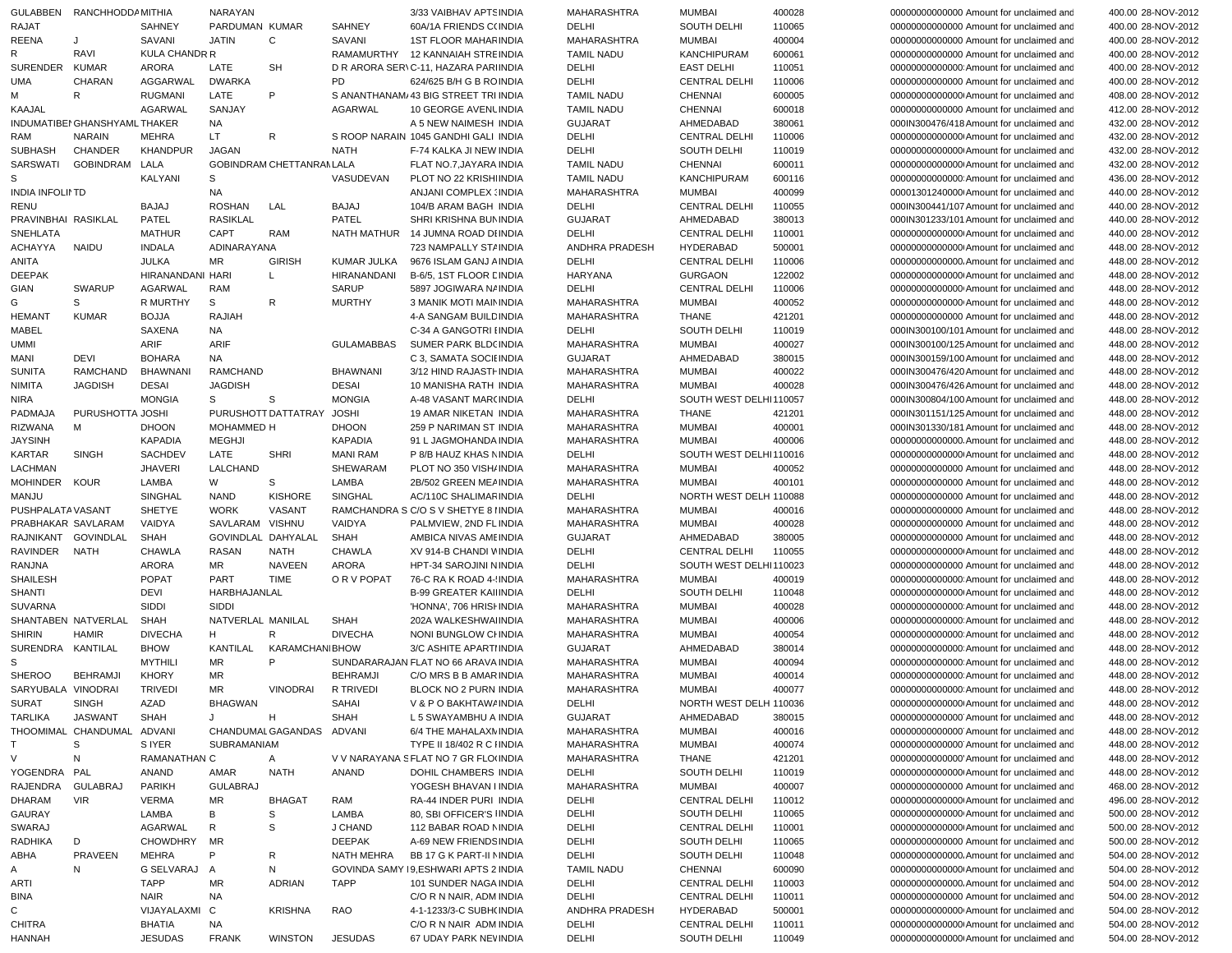| 00000000000000 Amount for unclaimed and<br>400.00 28-NOV-2012<br>00000000000000 Amount for unclaimed and<br>400.00 28-NOV-2012 |
|--------------------------------------------------------------------------------------------------------------------------------|
|                                                                                                                                |
|                                                                                                                                |
| 00000000000000 Amount for unclaimed and<br>400.00 28-NOV-2012                                                                  |
| 000000000000000 Amount for unclaimed and<br>400.00 28-NOV-2012                                                                 |
| 00000000000000 Amount for unclaimed and<br>400.00 28-NOV-2012                                                                  |
| 00000000000000 Amount for unclaimed and<br>408.00 28-NOV-2012                                                                  |
| 00000000000000 Amount for unclaimed and<br>412.00 28-NOV-2012                                                                  |
| 000IN300476/418 Amount for unclaimed and                                                                                       |
| 432.00 28-NOV-2012                                                                                                             |
| 00000000000000 Amount for unclaimed and<br>432.00 28-NOV-2012                                                                  |
| 000000000000000 Amount for unclaimed and<br>432.00 28-NOV-2012                                                                 |
| 000000000000000 Amount for unclaimed and<br>432.00 28-NOV-2012                                                                 |
| 000000000000000 Amount for unclaimed and<br>436.00 28-NOV-2012                                                                 |
| 00001301240000 Amount for unclaimed and<br>440.00 28-NOV-2012                                                                  |
| 000IN300441/107 Amount for unclaimed and<br>440.00 28-NOV-2012                                                                 |
| 000IN301233/101 Amount for unclaimed and<br>440.00 28-NOV-2012                                                                 |
| 000000000000000 Amount for unclaimed and<br>440.00 28-NOV-2012                                                                 |
| 000000000000000 Amount for unclaimed and<br>448.00 28-NOV-2012                                                                 |
| 00000000000000. Amount for unclaimed and<br>448.00 28-NOV-2012                                                                 |
|                                                                                                                                |
| 000000000000000 Amount for unclaimed and<br>448.00 28-NOV-2012                                                                 |
| 00000000000000 Amount for unclaimed and<br>448.00 28-NOV-2012                                                                  |
| 00000000000000 Amount for unclaimed and<br>448.00 28-NOV-2012                                                                  |
| 00000000000000 Amount for unclaimed and<br>448.00 28-NOV-2012                                                                  |
| 000IN300100/101 Amount for unclaimed and<br>448.00 28-NOV-2012                                                                 |
| 000IN300100/125 Amount for unclaimed and<br>448.00 28-NOV-2012                                                                 |
| 000IN300159/100 Amount for unclaimed and<br>448.00 28-NOV-2012                                                                 |
|                                                                                                                                |
|                                                                                                                                |
| 000IN300476/420 Amount for unclaimed and<br>448.00 28-NOV-2012                                                                 |
| 000IN300476/426 Amount for unclaimed and<br>448.00 28-NOV-2012                                                                 |
| 000IN300804/100 Amount for unclaimed and<br>448.00 28-NOV-2012                                                                 |
| 000IN301151/125 Amount for unclaimed and<br>448.00 28-NOV-2012                                                                 |
| 000IN301330/181 Amount for unclaimed and<br>448.00 28-NOV-2012                                                                 |
| 00000000000000. Amount for unclaimed and<br>448.00 28-NOV-2012                                                                 |
| 000000000000000 Amount for unclaimed and<br>448.00 28-NOV-2012                                                                 |
| 00000000000000 Amount for unclaimed and<br>448.00 28-NOV-2012                                                                  |
| 00000000000000 Amount for unclaimed and                                                                                        |
| 448.00 28-NOV-2012                                                                                                             |
| 00000000000000 Amount for unclaimed and<br>448.00 28-NOV-2012                                                                  |
| 00000000000000 Amount for unclaimed and<br>448.00 28-NOV-2012                                                                  |
| 00000000000000 Amount for unclaimed and<br>448.00 28-NOV-2012                                                                  |
| 00000000000000 Amount for unclaimed and<br>448.00 28-NOV-2012                                                                  |
| 000000000000000 Amount for unclaimed and<br>448.00 28-NOV-2012                                                                 |
| 00000000000000 Amount for unclaimed and<br>448.00 28-NOV-2012                                                                  |
| 000000000000000 Amount for unclaimed and<br>448.00 28-NOV-2012                                                                 |
| 000000000000000 Amount for unclaimed and<br>448.00 28-NOV-2012                                                                 |
| 00000000000000 Amount for unclaimed and<br>448.00 28-NOV-2012                                                                  |
| 000000000000000 Amount for unclaimed and<br>448.00 28-NOV-2012                                                                 |
| 448.00 28-NOV-2012                                                                                                             |
| 000000000000000 Amount for unclaimed and<br>00000000000000 Amount for unclaimed and                                            |
| 448.00 28-NOV-2012                                                                                                             |
| 000000000000000 Amount for unclaimed and<br>448.00 28-NOV-2012                                                                 |
| 000000000000000 Amount for unclaimed and<br>448.00 28-NOV-2012                                                                 |
| 000000000000000 Amount for unclaimed and<br>448.00 28-NOV-2012                                                                 |
| 000000000000000 Amount for unclaimed and<br>448.00 28-NOV-2012                                                                 |
| 00000000000000 Amount for unclaimed and<br>448.00 28-NOV-2012                                                                  |
| 000000000000000 Amount for unclaimed and<br>448.00 28-NOV-2012                                                                 |
| 000000000000000 Amount for unclaimed and<br>448.00 28-NOV-2012                                                                 |
| 00000000000000 Amount for unclaimed and<br>448.00 28-NOV-2012                                                                  |
| 000000000000000 Amount for unclaimed and<br>448.00 28-NOV-2012                                                                 |
|                                                                                                                                |
| 00000000000000 Amount for unclaimed and<br>468.00 28-NOV-2012                                                                  |
| 00000000000000 Amount for unclaimed and<br>496.00 28-NOV-2012                                                                  |
| 00000000000000 Amount for unclaimed and<br>500.00 28-NOV-2012                                                                  |
| 00000000000000 Amount for unclaimed and<br>500.00 28-NOV-2012                                                                  |
| 00000000000000 Amount for unclaimed and<br>500.00 28-NOV-2012                                                                  |
| 00000000000000. Amount for unclaimed and<br>504.00 28-NOV-2012                                                                 |
| 000000000000000 Amount for unclaimed and<br>504.00 28-NOV-2012                                                                 |
| 00000000000000. Amount for unclaimed and<br>504.00 28-NOV-2012                                                                 |
| 00000000000000 Amount for unclaimed and<br>504.00 28-NOV-2012                                                                  |
| 00000000000000 Amount for unclaimed and<br>504.00 28-NOV-2012                                                                  |
| 000000000000000 Amount for unclaimed and<br>504.00 28-NOV-2012                                                                 |
|                                                                                                                                |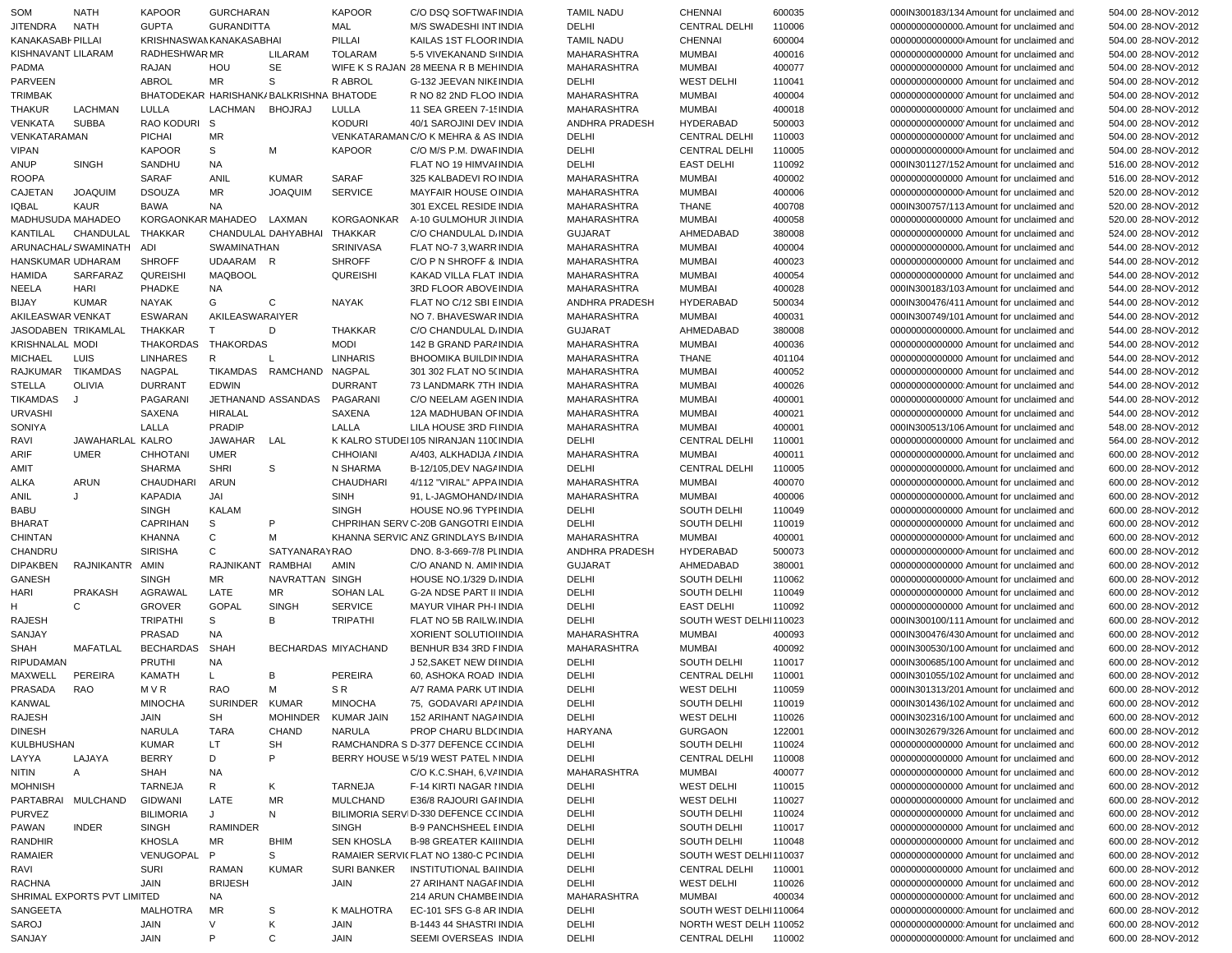| SOM                    | <b>NATH</b>                 | <b>KAPOOR</b>                           | GURCHARAN         |                             | <b>KAPOOR</b>     | C/O DSQ SOFTWAF INDIA                           | <b>TAMIL NADU</b>  | CHENNAI                                        | 600035 | 000IN300183/134 Amount for unclaimed and                                            | 504.00 28-NOV-2012                       |
|------------------------|-----------------------------|-----------------------------------------|-------------------|-----------------------------|-------------------|-------------------------------------------------|--------------------|------------------------------------------------|--------|-------------------------------------------------------------------------------------|------------------------------------------|
| JITENDRA               | <b>NATH</b>                 | <b>GUPTA</b>                            | <b>GURANDITTA</b> |                             | MAL               | M/S SWADESHI INT INDIA                          | DELHI              | <b>CENTRAL DELHI</b>                           | 110006 | 00000000000000. Amount for unclaimed and                                            | 504.00 28-NOV-2012                       |
| KANAKASABI PILLAI      |                             | KRISHNASWAN KANAKASABHAI                |                   |                             | PILLAI            | KAILAS 1ST FLOOR INDIA                          | <b>TAMIL NADU</b>  | <b>CHENNAI</b>                                 | 600004 | 000000000000000 Amount for unclaimed and                                            | 504.00 28-NOV-2012                       |
| KISHNAVANT LILARAM     |                             | <b>RADHESHWARMR</b>                     |                   | LILARAM                     | <b>TOLARAM</b>    | 5-5 VIVEKANAND SINDIA                           | MAHARASHTRA        | <b>MUMBAI</b>                                  | 400016 | 00000000000000 Amount for unclaimed and                                             | 504.00 28-NOV-2012                       |
| <b>PADMA</b>           |                             | <b>RAJAN</b>                            | HOU               | <b>SE</b>                   |                   | WIFE K S RAJAN 28 MEENA R B MEHINDIA            | <b>MAHARASHTRA</b> | <b>MUMBAI</b>                                  | 400077 | 00000000000000 Amount for unclaimed and                                             | 504.00 28-NOV-2012                       |
| <b>PARVEEN</b>         |                             | <b>ABROL</b>                            | <b>MR</b>         | S                           | R ABROL           | G-132 JEEVAN NIKE INDIA                         | DELHI              | <b>WEST DELHI</b>                              | 110041 | 00000000000000 Amount for unclaimed and                                             | 504.00 28-NOV-2012                       |
| <b>TRIMBAK</b>         |                             | BHATODEKAR HARISHANK/BALKRISHNA BHATODE |                   |                             |                   | R NO 82 2ND FLOO INDIA                          | MAHARASHTRA        | <b>MUMBAI</b>                                  | 400004 | 000000000000000 Amount for unclaimed and                                            | 504.00 28-NOV-2012                       |
| THAKUR                 | LACHMAN                     | LULLA                                   | LACHMAN           | <b>BHOJRAJ</b>              | LULLA             | 11 SEA GREEN 7-1! INDIA                         | MAHARASHTRA        | <b>MUMBAI</b>                                  | 400018 | 000000000000000 Amount for unclaimed and                                            | 504.00 28-NOV-2012                       |
|                        |                             |                                         |                   |                             |                   |                                                 |                    |                                                |        |                                                                                     |                                          |
| <b>VENKATA</b>         | <b>SUBBA</b>                | RAO KODURI S                            |                   |                             | <b>KODURI</b>     | 40/1 SAROJINI DEV INDIA                         | ANDHRA PRADESH     | <b>HYDERABAD</b>                               | 500003 | 00000000000000 Amount for unclaimed and                                             | 504.00 28-NOV-2012                       |
| VENKATARAMAN           |                             | <b>PICHAI</b>                           | <b>MR</b>         |                             |                   | VENKATARAMANC/O K MEHRA & AS INDIA              | DELHI              | <b>CENTRAL DELHI</b>                           | 110003 | 00000000000000 Amount for unclaimed and                                             | 504.00 28-NOV-2012                       |
| <b>VIPAN</b>           |                             | <b>KAPOOR</b>                           | S                 | М                           | <b>KAPOOR</b>     | C/O M/S P.M. DWAF INDIA                         | DELHI              | <b>CENTRAL DELHI</b>                           | 110005 | 000000000000000 Amount for unclaimed and                                            | 504.00 28-NOV-2012                       |
| <b>ANUP</b>            | <b>SINGH</b>                | SANDHU                                  | <b>NA</b>         |                             |                   | FLAT NO 19 HIMVAI INDIA                         | DELHI              | <b>EAST DELHI</b>                              | 110092 | 000IN301127/152 Amount for unclaimed and                                            | 516.00 28-NOV-2012                       |
| <b>ROOPA</b>           |                             | SARAF                                   | ANIL              | <b>KUMAR</b>                | SARAF             | 325 KALBADEVI ROINDIA                           | <b>MAHARASHTRA</b> | <b>MUMBAI</b>                                  | 400002 | 00000000000000 Amount for unclaimed and                                             | 516.00 28-NOV-2012                       |
| CAJETAN                | <b>JOAQUIM</b>              | <b>DSOUZA</b>                           | <b>MR</b>         | <b>JOAQUIM</b>              | <b>SERVICE</b>    | <b>MAYFAIR HOUSE OINDIA</b>                     | <b>MAHARASHTRA</b> | <b>MUMBAI</b>                                  | 400006 | 00000000000000 Amount for unclaimed and                                             | 520.00 28-NOV-2012                       |
| <b>IQBAL</b>           | <b>KAUR</b>                 | <b>BAWA</b>                             | <b>NA</b>         |                             |                   | 301 EXCEL RESIDE INDIA                          | MAHARASHTRA        | <b>THANE</b>                                   | 400708 | 000IN300757/113 Amount for unclaimed and                                            | 520.00 28-NOV-2012                       |
| MADHUSUDA MAHADEO      |                             | KORGAONKAR MAHADEO                      |                   | LAXMAN                      | KORGAONKAR        | A-10 GULMOHUR JUNDIA                            |                    | <b>MUMBAI</b>                                  | 400058 |                                                                                     | 520.00 28-NOV-2012                       |
|                        |                             |                                         |                   |                             |                   |                                                 | MAHARASHTRA        |                                                |        | 00000000000000 Amount for unclaimed and                                             |                                          |
| KANTILAL               | CHANDULAL                   | <b>THAKKAR</b>                          |                   | CHANDULAL DAHYABHAI THAKKAR |                   | C/O CHANDULAL D. INDIA                          | <b>GUJARAT</b>     | AHMEDABAD                                      | 380008 | 00000000000000 Amount for unclaimed and                                             | 524.00 28-NOV-2012                       |
|                        | ARUNACHAL/SWAMINATH ADI     |                                         | SWAMINATHAN       |                             | SRINIVASA         | FLAT NO-7 3, WARR INDIA                         | MAHARASHTRA        | <b>MUMBAI</b>                                  | 400004 | 00000000000000. Amount for unclaimed and                                            | 544.00 28-NOV-2012                       |
| HANSKUMAR UDHARAM      |                             | <b>SHROFF</b>                           | UDAARAM R         |                             | <b>SHROFF</b>     | C/O P N SHROFF & INDIA                          | <b>MAHARASHTRA</b> | <b>MUMBAI</b>                                  | 400023 | 00000000000000 Amount for unclaimed and                                             | 544.00 28-NOV-2012                       |
| <b>HAMIDA</b>          | SARFARAZ                    | <b>QUREISHI</b>                         | <b>MAQBOOL</b>    |                             | <b>QUREISHI</b>   | KAKAD VILLA FLAT INDIA                          | <b>MAHARASHTRA</b> | <b>MUMBAI</b>                                  | 400054 | 00000000000000 Amount for unclaimed and                                             | 544.00 28-NOV-2012                       |
| NEELA                  | <b>HARI</b>                 | <b>PHADKE</b>                           | <b>NA</b>         |                             |                   | 3RD FLOOR ABOVE INDIA                           | <b>MAHARASHTRA</b> | <b>MUMBAI</b>                                  | 400028 | 000IN300183/103 Amount for unclaimed and                                            | 544.00 28-NOV-2012                       |
| <b>BIJAY</b>           | <b>KUMAR</b>                | <b>NAYAK</b>                            | G                 | C                           | <b>NAYAK</b>      | FLAT NO C/12 SBI EINDIA                         | ANDHRA PRADESH     | <b>HYDERABAD</b>                               | 500034 | 000IN300476/411 Amount for unclaimed and                                            | 544.00 28-NOV-2012                       |
| AKILEASWAR VENKAT      |                             | <b>ESWARAN</b>                          | AKILEASWARAIYER   |                             |                   | NO 7. BHAVESWAR INDIA                           | MAHARASHTRA        | <b>MUMBAI</b>                                  | 400031 | 000IN300749/101 Amount for unclaimed and                                            | 544.00 28-NOV-2012                       |
|                        | JASODABEN TRIKAMLAL         | <b>THAKKAR</b>                          | T                 | D                           | <b>THAKKAR</b>    | C/O CHANDULAL D. INDIA                          | <b>GUJARAT</b>     | AHMEDABAD                                      | 380008 | 00000000000000. Amount for unclaimed and                                            | 544.00 28-NOV-2012                       |
|                        |                             |                                         |                   |                             |                   |                                                 |                    |                                                |        |                                                                                     |                                          |
| <b>KRISHNALAL MODI</b> |                             | <b>THAKORDAS</b>                        | <b>THAKORDAS</b>  |                             | <b>MODI</b>       | 142 B GRAND PARAINDIA                           | MAHARASHTRA        | <b>MUMBAI</b>                                  | 400036 | 00000000000000 Amount for unclaimed and                                             | 544.00 28-NOV-2012                       |
| <b>MICHAEL</b>         | <b>LUIS</b>                 | <b>LINHARES</b>                         | R                 | $\mathsf{L}$                | <b>LINHARIS</b>   | <b>BHOOMIKA BUILDININDIA</b>                    | MAHARASHTRA        | <b>THANE</b>                                   | 401104 | 00000000000000 Amount for unclaimed and                                             | 544.00 28-NOV-2012                       |
| <b>RAJKUMAR</b>        | TIKAMDAS                    | <b>NAGPAL</b>                           |                   | TIKAMDAS RAMCHAND NAGPAL    |                   | 301 302 FLAT NO 5(INDIA                         | MAHARASHTRA        | <b>MUMBAI</b>                                  | 400052 | 00000000000000 Amount for unclaimed and                                             | 544.00 28-NOV-2012                       |
| <b>STELLA</b>          | <b>OLIVIA</b>               | <b>DURRANT</b>                          | <b>EDWIN</b>      |                             | <b>DURRANT</b>    | 73 LANDMARK 7TH INDIA                           | MAHARASHTRA        | <b>MUMBAI</b>                                  | 400026 | 000000000000000 Amount for unclaimed and                                            | 544.00 28-NOV-2012                       |
| <b>TIKAMDAS</b>        |                             | PAGARANI                                |                   | JETHANAND ASSANDAS          | PAGARANI          | C/O NEELAM AGEN INDIA                           | MAHARASHTRA        | <b>MUMBAI</b>                                  | 400001 | 00000000000000 Amount for unclaimed and                                             | 544.00 28-NOV-2012                       |
| <b>URVASHI</b>         |                             | SAXENA                                  | <b>HIRALAL</b>    |                             | SAXENA            | 12A MADHUBAN OF INDIA                           | <b>MAHARASHTRA</b> | <b>MUMBAI</b>                                  | 400021 | 00000000000000 Amount for unclaimed and                                             | 544.00 28-NOV-2012                       |
| SONIYA                 |                             | LALLA                                   | <b>PRADIP</b>     |                             | LALLA             | LILA HOUSE 3RD FIINDIA                          | <b>MAHARASHTRA</b> | <b>MUMBAI</b>                                  | 400001 | 000IN300513/106 Amount for unclaimed and                                            | 548.00 28-NOV-2012                       |
| RAVI                   | JAWAHARLAL KALRO            |                                         | JAWAHAR LAL       |                             |                   | K KALRO STUDEI 105 NIRANJAN 1100 INDIA          | DELHI              | <b>CENTRAL DELHI</b>                           | 110001 | 00000000000000 Amount for unclaimed and                                             | 564.00 28-NOV-2012                       |
| ARIF                   | <b>UMER</b>                 | <b>CHHOTANI</b>                         | <b>UMER</b>       |                             | <b>CHHOIANI</b>   |                                                 | <b>MAHARASHTRA</b> | <b>MUMBAI</b>                                  | 400011 | 000000000000000. Amount for unclaimed and                                           |                                          |
|                        |                             |                                         |                   |                             |                   | A/403, ALKHADIJA / INDIA                        |                    |                                                |        |                                                                                     | 600.00 28-NOV-2012                       |
| AMIT                   |                             | <b>SHARMA</b>                           | <b>SHRI</b>       | S                           | N SHARMA          | B-12/105, DEV NAG / INDIA                       | DELHI              | <b>CENTRAL DELHI</b>                           | 110005 | 00000000000000. Amount for unclaimed and                                            | 600.00 28-NOV-2012                       |
| <b>ALKA</b>            | ARUN                        | CHAUDHARI                               | <b>ARUN</b>       |                             | <b>CHAUDHARI</b>  | 4/112 "VIRAL" APPA INDIA                        | MAHARASHTRA        | <b>MUMBAI</b>                                  | 400070 | 00000000000000. Amount for unclaimed and                                            | 600.00 28-NOV-2012                       |
| ANIL                   | J                           | <b>KAPADIA</b>                          | JAI               |                             | <b>SINH</b>       | 91, L-JAGMOHAND/INDIA                           | MAHARASHTRA        | <b>MUMBAI</b>                                  | 400006 | 00000000000000. Amount for unclaimed and                                            | 600.00 28-NOV-2012                       |
| <b>BABU</b>            |                             | <b>SINGH</b>                            | <b>KALAM</b>      |                             | <b>SINGH</b>      | HOUSE NO.96 TYPI INDIA                          | DELHI              | SOUTH DELHI                                    | 110049 | 00000000000000 Amount for unclaimed and                                             | 600.00 28-NOV-2012                       |
| <b>BHARAT</b>          |                             | CAPRIHAN                                | S                 | P                           |                   | CHPRIHAN SERV C-20B GANGOTRI EINDIA             | DELHI              | SOUTH DELHI                                    | 110019 | 00000000000000 Amount for unclaimed and                                             | 600.00 28-NOV-2012                       |
| <b>CHINTAN</b>         |                             | KHANNA                                  | $\mathsf{C}$      | M                           |                   | KHANNA SERVIC ANZ GRINDLAYS B/INDIA             | MAHARASHTRA        | <b>MUMBAI</b>                                  | 400001 | 00000000000000 Amount for unclaimed and                                             | 600.00 28-NOV-2012                       |
| CHANDRU                |                             | <b>SIRISHA</b>                          | C                 | <b>SATYANARAYRAO</b>        |                   | DNO. 8-3-669-7/8 PLINDIA                        | ANDHRA PRADESH     | HYDERABAD                                      | 500073 | 00000000000000 Amount for unclaimed and                                             | 600.00 28-NOV-2012                       |
| <b>DIPAKBEN</b>        | RAJNIKANTR AMIN             |                                         | RAJNIKANT         | RAMBHAI                     | AMIN              | C/O ANAND N. AMININDIA                          | <b>GUJARAT</b>     | AHMEDABAD                                      | 380001 | 00000000000000 Amount for unclaimed and                                             | 600.00 28-NOV-2012                       |
|                        |                             |                                         |                   |                             |                   |                                                 |                    |                                                |        |                                                                                     |                                          |
| GANESH                 |                             | <b>SINGH</b>                            | MR                | NAVRATTAN SINGH             |                   | HOUSE NO.1/329 D. INDIA                         | DELHI              | SOUTH DELHI                                    | 110062 | 000000000000000 Amount for unclaimed and                                            | 600.00 28-NOV-2012                       |
| HARI                   | PRAKASH                     | AGRAWAL                                 | LATE              | MR                          | <b>SOHAN LAL</b>  | <b>G-2A NDSE PART II INDIA</b>                  | DELHI              | <b>SOUTH DELHI</b>                             | 110049 | 00000000000000 Amount for unclaimed and                                             | 600.00 28-NOV-2012                       |
| H                      | C                           | <b>GROVER</b>                           | <b>GOPAL</b>      | <b>SINGH</b>                | <b>SERVICE</b>    | MAYUR VIHAR PH-I INDIA                          | DELHI              | <b>EAST DELHI</b>                              | 110092 | 00000000000000 Amount for unclaimed and                                             | 600.00 28-NOV-2012                       |
| <b>RAJESH</b>          |                             | <b>TRIPATHI</b>                         | S                 | B                           | <b>TRIPATHI</b>   | FLAT NO 5B RAILW INDIA                          | DELHI              | SOUTH WEST DELHI110023                         |        | 000IN300100/111 Amount for unclaimed and                                            | 600.00 28-NOV-2012                       |
| SANJAY                 |                             | PRASAD                                  | <b>NA</b>         |                             |                   | <b>XORIENT SOLUTIO INDIA</b>                    | MAHARASHTRA        | <b>MUMBAI</b>                                  | 400093 | 000IN300476/430 Amount for unclaimed and                                            | 600.00 28-NOV-2012                       |
| <b>SHAH</b>            | MAFATLAL                    | <b>BECHARDAS</b>                        | <b>SHAH</b>       | <b>BECHARDAS MIYACHAND</b>  |                   | BENHUR B34 3RD FINDIA                           | MAHARASHTRA        | <b>MUMBAI</b>                                  | 400092 | 000IN300530/100 Amount for unclaimed and                                            | 600.00 28-NOV-2012                       |
| <b>RIPUDAMAN</b>       |                             | <b>PRUTHI</b>                           | NA                |                             |                   | J 52, SAKET NEW DIINDIA                         | DELHI              | SOUTH DELHI                                    | 110017 | 000IN300685/100 Amount for unclaimed and                                            | 600.00 28-NOV-2012                       |
| MAXWELL                | PEREIRA                     | <b>KAMATH</b>                           | L.                | B                           | PEREIRA           | 60, ASHOKA ROAD INDIA                           | DELHI              | <b>CENTRAL DELHI</b>                           | 110001 | 000IN301055/102 Amount for unclaimed and                                            | 600.00 28-NOV-2012                       |
| PRASADA                | RAO                         | M V R                                   | <b>RAO</b>        | M                           | SR.               | A/7 RAMA PARK UT INDIA                          | DELHI              | <b>WEST DELHI</b>                              | 110059 | 000IN301313/201 Amount for unclaimed and                                            | 600.00 28-NOV-2012                       |
|                        |                             |                                         |                   |                             |                   |                                                 |                    |                                                |        |                                                                                     |                                          |
| <b>KANWAL</b>          |                             | <b>MINOCHA</b>                          | SURINDER          | <b>KUMAR</b>                | <b>MINOCHA</b>    | 75, GODAVARI AP/INDIA                           | DELHI              | SOUTH DELHI                                    | 110019 | 000IN301436/102 Amount for unclaimed and                                            | 600.00 28-NOV-2012                       |
| <b>RAJESH</b>          |                             | JAIN                                    | SH                | <b>MOHINDER</b>             | KUMAR JAIN        | 152 ARIHANT NAGA INDIA                          | DELHI              | <b>WEST DELHI</b>                              | 110026 | 000IN302316/100 Amount for unclaimed and                                            | 600.00 28-NOV-2012                       |
| <b>DINESH</b>          |                             | <b>NARULA</b>                           | <b>TARA</b>       | CHAND                       | NARULA            | PROP CHARU BLD(INDIA                            | <b>HARYANA</b>     | <b>GURGAON</b>                                 | 122001 | 000IN302679/326 Amount for unclaimed and                                            | 600.00 28-NOV-2012                       |
| KULBHUSHAN             |                             | <b>KUMAR</b>                            | LT.               | SH                          |                   | RAMCHANDRA S D-377 DEFENCE CCINDIA              | DELHI              | SOUTH DELHI                                    | 110024 | 00000000000000 Amount for unclaimed and                                             | 600.00 28-NOV-2012                       |
| LAYYA                  | LAJAYA                      | <b>BERRY</b>                            | D                 | P                           |                   | BERRY HOUSE W5/19 WEST PATEL NINDIA             | DELHI              | <b>CENTRAL DELHI</b>                           | 110008 | 00000000000000 Amount for unclaimed and                                             | 600.00 28-NOV-2012                       |
| NITIN                  | Α                           | SHAH                                    | <b>NA</b>         |                             |                   | C/O K.C.SHAH, 6, V/ INDIA                       | MAHARASHTRA        | <b>MUMBAI</b>                                  | 400077 | 00000000000000 Amount for unclaimed and                                             | 600.00 28-NOV-2012                       |
| <b>MOHNISH</b>         |                             | TARNEJA                                 | R                 | Κ                           | TARNEJA           | F-14 KIRTI NAGAR I INDIA                        | DELHI              | <b>WEST DELHI</b>                              | 110015 | 00000000000000 Amount for unclaimed and                                             | 600.00 28-NOV-2012                       |
|                        | PARTABRAI MULCHAND          | GIDWANI                                 | LATE              | MR                          | <b>MULCHAND</b>   | E36/8 RAJOURI GAHNDIA                           | DELHI              | <b>WEST DELHI</b>                              | 110027 | 00000000000000 Amount for unclaimed and                                             | 600.00 28-NOV-2012                       |
|                        |                             |                                         |                   |                             |                   |                                                 |                    |                                                |        |                                                                                     |                                          |
| <b>PURVEZ</b>          |                             | <b>BILIMORIA</b>                        | J                 | N                           |                   | BILIMORIA SERVID-330 DEFENCE CCINDIA            | DELHI              | SOUTH DELHI                                    | 110024 | 00000000000000 Amount for unclaimed and                                             | 600.00 28-NOV-2012                       |
| PAWAN                  | <b>INDER</b>                | <b>SINGH</b>                            | <b>RAMINDER</b>   |                             | <b>SINGH</b>      | <b>B-9 PANCHSHEEL EINDIA</b>                    | DELHI              | <b>SOUTH DELHI</b>                             | 110017 | 00000000000000 Amount for unclaimed and                                             | 600.00 28-NOV-2012                       |
| RANDHIR                |                             | <b>KHOSLA</b>                           | MR                | <b>BHIM</b>                 | <b>SEN KHOSLA</b> | <b>B-98 GREATER KAILINDIA</b>                   | DELHI              | SOUTH DELHI                                    | 110048 | 00000000000000 Amount for unclaimed and                                             | 600.00 28-NOV-2012                       |
| <b>RAMAIER</b>         |                             | VENUGOPAL                               | P                 | S                           |                   | RAMAIER SERVICFLAT NO 1380-C PC INDIA           | DELHI              | SOUTH WEST DELHI110037                         |        | 00000000000000 Amount for unclaimed and                                             | 600.00 28-NOV-2012                       |
|                        |                             |                                         |                   |                             |                   | INSTITUTIONAL BAHNDIA                           | DELHI              | <b>CENTRAL DELHI</b>                           | 110001 | 00000000000000 Amount for unclaimed and                                             |                                          |
| RAVI                   |                             | <b>SURI</b>                             | <b>RAMAN</b>      | KUMAR                       | SURI BANKER       |                                                 |                    |                                                |        |                                                                                     | 600.00 28-NOV-2012                       |
| RACHNA                 |                             | JAIN                                    | <b>BRIJESH</b>    |                             | JAIN              | 27 ARIHANT NAGAF INDIA                          | DELHI              | <b>WEST DELHI</b>                              | 110026 | 00000000000000 Amount for unclaimed and                                             | 600.00 28-NOV-2012                       |
|                        | SHRIMAL EXPORTS PVT LIMITED |                                         |                   |                             |                   |                                                 |                    |                                                |        | 000000000000000 Amount for unclaimed and                                            |                                          |
|                        |                             |                                         | <b>NA</b>         |                             |                   | 214 ARUN CHAMBE INDIA                           | MAHARASHTRA        | <b>MUMBAI</b>                                  | 400034 |                                                                                     | 600.00 28-NOV-2012                       |
| SANGEETA               |                             | MALHOTRA                                | MR                | S                           | K MALHOTRA        | EC-101 SFS G-8 AR INDIA                         | DELHI              | SOUTH WEST DELHI110064                         |        | 000000000000000 Amount for unclaimed and                                            | 600.00 28-NOV-2012                       |
| SAROJ<br>SANJAY        |                             | JAIN<br>JAIN                            | V<br>P            | Κ<br>$\mathbf C$            | JAIN<br>JAIN      | B-1443 44 SHASTRI INDIA<br>SEEMI OVERSEAS INDIA | DELHI<br>DELHI     | NORTH WEST DELH 110052<br><b>CENTRAL DELHI</b> | 110002 | 000000000000000 Amount for unclaimed and<br>00000000000000 Amount for unclaimed and | 600.00 28-NOV-2012<br>600.00 28-NOV-2012 |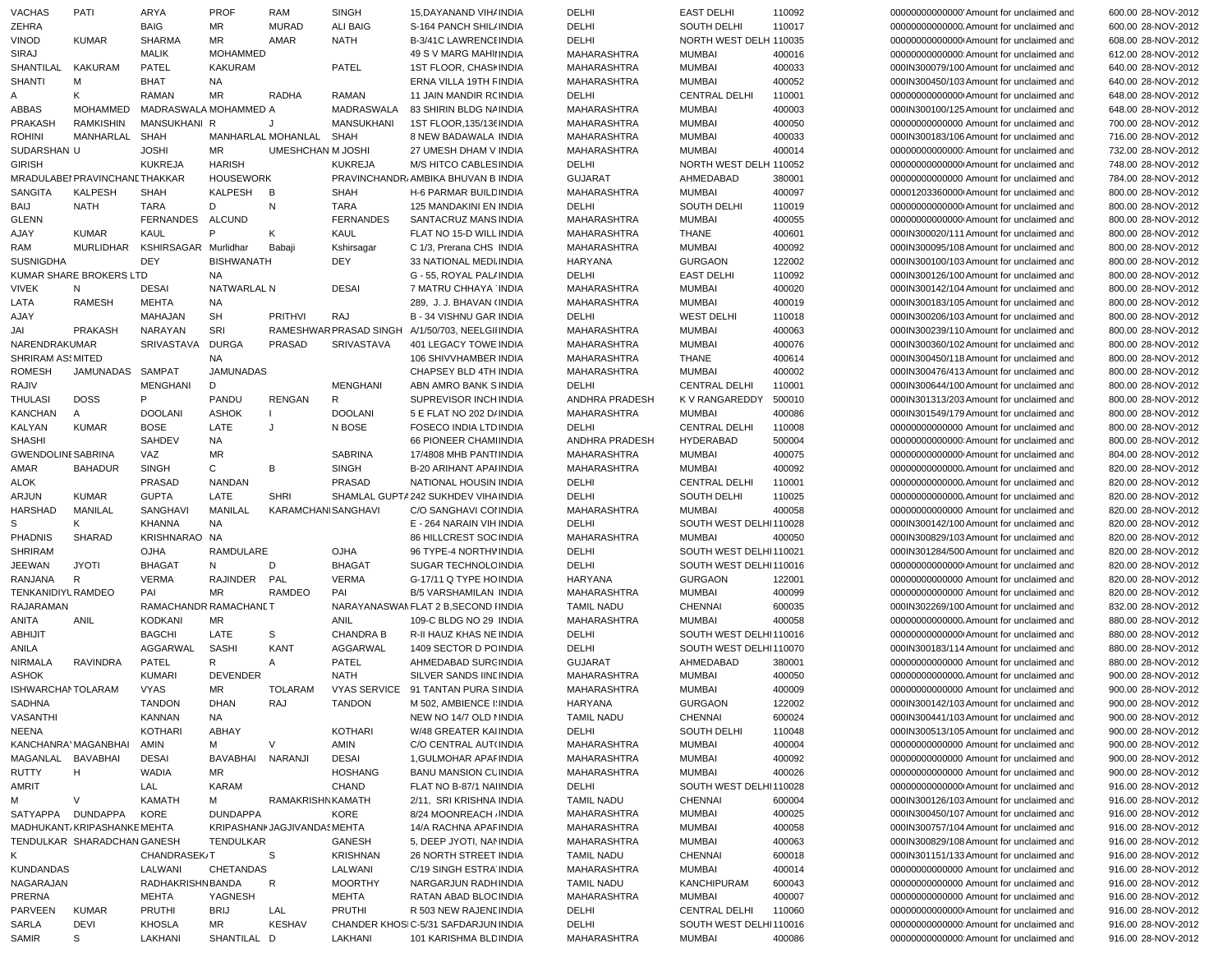| <b>MR</b><br><b>ZEHRA</b><br><b>BAIG</b><br><b>MURAD</b><br><b>ALI BAIG</b><br>DELHI<br>SOUTH DELHI<br>110017<br>S-164 PANCH SHIL/INDIA<br>000000000000000. Amount for unclaimed and<br><b>VINOD</b><br><b>KUMAR</b><br><b>SHARMA</b><br>MR<br>DELHI<br>NORTH WEST DELH 110035<br>AMAR<br><b>NATH</b><br><b>B-3/41C LAWRENCI INDIA</b><br>000000000000000 Amount for unclaimed and<br><b>MOHAMMED</b><br>SIRAJ<br><b>MALIK</b><br>MAHARASHTRA<br><b>MUMBAI</b><br>400016<br>000000000000000 Amount for unclaimed and<br>49 S V MARG MAHILINDIA<br>SHANTILAL<br>KAKURAM<br>PATEL<br><b>KAKURAM</b><br>PATEL<br>1ST FLOOR, CHASH INDIA<br><b>MUMBAI</b><br>400033<br>000IN300079/100 Amount for unclaimed and<br><b>MAHARASHTRA</b><br>400052<br><b>SHANTI</b><br>M<br><b>BHAT</b><br><b>NA</b><br>ERNA VILLA 19TH FINDIA<br>MAHARASHTRA<br><b>MUMBAI</b><br>000IN300450/103 Amount for unclaimed and<br>MR<br>Κ<br><b>RAMAN</b><br><b>RADHA</b><br><b>RAMAN</b><br>11 JAIN MANDIR RCINDIA<br>DELHI<br><b>CENTRAL DELHI</b><br>110001<br>00000000000000 Amount for unclaimed and<br>Α<br>ABBAS<br>MOHAMMED<br>MADRASWALA MOHAMMED A<br>MADRASWALA<br><b>MUMBAI</b><br>400003<br>83 SHIRIN BLDG NA INDIA<br>MAHARASHTRA<br>000IN300100/125 Amount for unclaimed and<br>PRAKASH<br><b>RAMKISHIN</b><br>MANSUKHANI R<br><b>MANSUKHANI</b><br>1ST FLOOR.135/136 INDIA<br><b>MUMBAI</b><br>400050<br>J<br><b>MAHARASHTRA</b><br>00000000000000 Amount for unclaimed and<br><b>ROHINI</b><br>MANHARLAL<br><b>SHAH</b><br>MANHARLAL MOHANLAL<br>SHAH<br>MAHARASHTRA<br><b>MUMBAI</b><br>400033<br>8 NEW BADAWALA INDIA<br>000IN300183/106 Amount for unclaimed and<br>SUDARSHAN U<br><b>JOSHI</b><br>MR<br><b>UMESHCHAN M JOSHI</b><br>400014<br>27 UMESH DHAM V INDIA<br><b>MAHARASHTRA</b><br>MUMBAI<br>00000000000000000000 Amount for unclaimed and<br><b>GIRISH</b><br><b>KUKREJA</b><br><b>HARISH</b><br><b>KUKREJA</b><br>NORTH WEST DELH 110052<br>M/S HITCO CABLES INDIA<br>DELHI<br>000000000000000 Amount for unclaimed and<br>MRADULABEI PRAVINCHANE THAKKAR<br><b>HOUSEWORK</b><br>PRAVINCHANDR, AMBIKA BHUVAN B INDIA<br>AHMEDABAD<br>380001<br><b>GUJARAT</b><br>00000000000000 Amount for unclaimed and<br>SANGITA<br><b>KALPESH</b><br><b>KALPESH</b><br>B<br><b>SHAH</b><br><b>SHAH</b><br><b>MUMBAI</b><br>400097<br>H-6 PARMAR BUILD INDIA<br><b>MAHARASHTRA</b><br>00001203360000 Amount for unclaimed and<br><b>NATH</b><br><b>TARA</b><br>D<br>N<br><b>TARA</b><br><b>SOUTH DELHI</b><br>110019<br>BAIJ<br>125 MANDAKINI EN INDIA<br>DELHI<br>000000000000000 Amount for unclaimed and<br>ALCUND<br><b>FERNANDES</b><br><b>GLENN</b><br><b>FERNANDES</b><br>SANTACRUZ MANS INDIA<br><b>MUMBAI</b><br>400055<br><b>MAHARASHTRA</b><br>00000000000000 Amount for unclaimed and<br>P<br>AJAY<br><b>KUMAR</b><br>KAUL<br>Κ<br>KAUL<br><b>THANE</b><br>400601<br>000IN300020/111 Amount for unclaimed and<br>FLAT NO 15-D WILL INDIA<br>MAHARASHTRA<br>MURLIDHAR<br>KSHIRSAGAR Murlidhar<br>Kshirsagar<br>MAHARASHTRA<br><b>MUMBAI</b><br>400092<br>000IN300095/108 Amount for unclaimed and<br>RAM<br>Babaji<br>C 1/3, Prerana CHS INDIA<br>122002<br><b>SUSNIGDHA</b><br>DEY<br><b>BISHWANATH</b><br>DEY<br>33 NATIONAL MEDI INDIA<br><b>HARYANA</b><br><b>GURGAON</b><br>000IN300100/103 Amount for unclaimed and<br>KUMAR SHARE BROKERS LTD<br>NA<br>G - 55, ROYAL PAL/ INDIA<br>DELHI<br><b>EAST DELHI</b><br>110092<br>000IN300126/100 Amount for unclaimed and<br><b>VIVEK</b><br><b>DESAI</b><br>NATWARLAL N<br><b>DESAI</b><br>7 MATRU CHHAYA INDIA<br><b>MUMBAI</b><br>400020<br>000IN300142/104 Amount for unclaimed and<br>N<br><b>MAHARASHTRA</b><br>LATA<br><b>RAMESH</b><br><b>MEHTA</b><br><b>NA</b><br>289, J. J. BHAVAN (INDIA<br>MAHARASHTRA<br><b>MUMBAI</b><br>400019<br>000IN300183/105 Amount for unclaimed and<br><b>SH</b><br><b>PRITHVI</b><br><b>MAHAJAN</b><br><b>RAJ</b><br><b>WEST DELHI</b><br>110018<br>AJAY<br><b>B-34 VISHNU GAR INDIA</b><br>DELHI<br>000IN300206/103 Amount for unclaimed and<br>SRI<br>NARAYAN<br>RAMESHWAR PRASAD SINGH A/1/50/703, NEELGIIINDIA<br><b>MUMBAI</b><br>400063<br>JAI<br><b>PRAKASH</b><br>MAHARASHTRA<br>000IN300239/110 Amount for unclaimed and<br><b>DURGA</b><br>NARENDRAKUMAR<br><b>SRIVASTAVA</b><br><b>PRASAD</b><br>SRIVASTAVA<br>401 LEGACY TOWE INDIA<br><b>MUMBAI</b><br>400076<br>MAHARASHTRA<br>000IN300360/102 Amount for unclaimed and<br><b>SHRIRAM ASSMITED</b><br><b>NA</b><br>THANE<br>400614<br>106 SHIVVHAMBER INDIA<br><b>MAHARASHTRA</b><br>000IN300450/118 Amount for unclaimed and<br>400002<br><b>ROMESH</b><br>JAMUNADAS<br>SAMPAT<br><b>JAMUNADAS</b><br>CHAPSEY BLD 4TH INDIA<br>MAHARASHTRA<br><b>MUMBAI</b><br>000IN300476/413 Amount for unclaimed and<br>D<br>RAJIV<br>MENGHANI<br><b>MENGHANI</b><br>DELHI<br><b>CENTRAL DELHI</b><br>110001<br>ABN AMRO BANK SINDIA<br>000IN300644/100 Amount for unclaimed and<br>P<br><b>THULASI</b><br><b>DOSS</b><br>PANDU<br><b>RENGAN</b><br>R<br>SUPREVISOR INCHINDIA<br>ANDHRA PRADESH<br>K V RANGAREDDY<br>500010<br>000IN301313/203 Amount for unclaimed and<br><b>KANCHAN</b><br><b>DOOLANI</b><br><b>ASHOK</b><br><b>DOOLANI</b><br>5 E FLAT NO 202 D/INDIA<br>MAHARASHTRA<br><b>MUMBAI</b><br>400086<br>000IN301549/179 Amount for unclaimed and<br>Α<br>KALYAN<br><b>KUMAR</b><br><b>BOSE</b><br>LATE<br>J<br>N BOSE<br>FOSECO INDIA LTD INDIA<br><b>CENTRAL DELHI</b><br>110008<br>00000000000000 Amount for unclaimed and<br>DELHI<br><b>SHASHI</b><br>SAHDEV<br>NA<br>66 PIONEER CHAMHNDIA<br>ANDHRA PRADESH<br>HYDERABAD<br>500004<br>000000000000000 Amount for unclaimed and<br><b>GWENDOLINE SABRINA</b><br>VAZ<br>MR<br>SABRINA<br>17/4808 MHB PANTHNDIA<br>400075<br><b>MAHARASHTRA</b><br><b>MUMBAI</b><br>00000000000000 Amount for unclaimed and<br><b>SINGH</b><br>C<br>В<br><b>SINGH</b><br><b>MUMBAI</b><br>400092<br>AMAR<br><b>BAHADUR</b><br><b>B-20 ARIHANT APAIINDIA</b><br>MAHARASHTRA<br>00000000000000. Amount for unclaimed and<br><b>ALOK</b><br><b>PRASAD</b><br><b>NANDAN</b><br><b>PRASAD</b><br>NATIONAL HOUSIN INDIA<br>DELHI<br><b>CENTRAL DELHI</b><br>110001<br>00000000000000. Amount for unclaimed and<br><b>GUPTA</b><br>LATE<br><b>SHRI</b><br>SHAMLAL GUPTA 242 SUKHDEV VIHA INDIA<br>DELHI<br>SOUTH DELHI<br>110025<br>ARJUN<br><b>KUMAR</b><br>00000000000000. Amount for unclaimed and<br><b>HARSHAD</b><br><b>MANILAL</b><br>SANGHAVI<br><b>MANILAL</b><br><b>KARAMCHANISANGHAVI</b><br><b>MUMBAI</b><br>400058<br>C/O SANGHAVI COI INDIA<br><b>MAHARASHTRA</b><br>00000000000000 Amount for unclaimed and<br>S<br>Κ<br><b>KHANNA</b><br><b>NA</b><br>DELHI<br>SOUTH WEST DELHI110028<br>E - 264 NARAIN VIH INDIA<br>000IN300142/100 Amount for unclaimed and<br><b>PHADNIS</b><br><b>SHARAD</b><br>KRISHNARAO NA<br><b>MUMBAI</b><br>400050<br>86 HILLCREST SOC INDIA<br><b>MAHARASHTRA</b><br>000IN300829/103 Amount for unclaimed and<br><b>SHRIRAM</b><br><b>OJHA</b><br>96 TYPE-4 NORTHV INDIA<br>DELHI<br>SOUTH WEST DELHI110021<br><b>OJHA</b><br>RAMDULARE<br>000IN301284/500 Amount for unclaimed and<br><b>JEEWAN</b><br><b>JYOTI</b><br><b>BHAGAT</b><br>Ν<br>D<br><b>BHAGAT</b><br>SUGAR TECHNOLC INDIA<br>DELHI<br>SOUTH WEST DELHI110016<br>000000000000000 Amount for unclaimed and<br>$\mathsf{R}$<br>RANJANA<br><b>VERMA</b><br>RAJINDER PAL<br><b>VERMA</b><br>G-17/11 Q TYPE HOINDIA<br><b>HARYANA</b><br><b>GURGAON</b><br>122001<br>00000000000000 Amount for unclaimed and<br>TENKANIDIYU RAMDEO<br>PAI<br>MR<br><b>RAMDEO</b><br>PAI<br><b>B/5 VARSHAMILAN INDIA</b><br><b>MUMBAI</b><br>400099<br>00000000000000 Amount for unclaimed and<br><b>MAHARASHTRA</b><br>RAJARAMAN<br>RAMACHANDR RAMACHANET<br>NARAYANASWAN FLAT 2 B, SECOND I INDIA<br><b>TAMIL NADU</b><br><b>CHENNAI</b><br>600035<br>000IN302269/100 Amount for unclaimed and<br><b>ANITA</b><br><b>KODKANI</b><br>MR<br>ANIL<br>MAHARASHTRA<br><b>MUMBAI</b><br>400058<br>ANIL<br>109-C BLDG NO 29 INDIA<br>00000000000000. Amount for unclaimed and<br><b>ABHIJIT</b><br><b>BAGCHI</b><br>LATE<br>S<br><b>CHANDRA B</b><br>R-II HAUZ KHAS NE INDIA<br>DELHI<br>SOUTH WEST DELHI110016<br>000000000000000 Amount for unclaimed and<br>AGGARWAL<br>SASHI<br><b>KANT</b><br>AGGARWAL<br>1409 SECTOR D PC INDIA<br>DELHI<br>SOUTH WEST DELHI110070<br>ANILA<br>000IN300183/114 Amount for unclaimed and<br><b>NIRMALA</b><br><b>RAVINDRA</b><br>PATEL<br>R<br>A<br>PATEL<br>AHMEDABAD<br>380001<br>AHMEDABAD SURCINDIA<br><b>GUJARAT</b><br>00000000000000 Amount for unclaimed and<br><b>KUMARI</b><br><b>ASHOK</b><br><b>DEVENDER</b><br><b>NATH</b><br><b>MUMBAI</b><br>400050<br>SILVER SANDS IIN INDIA<br><b>MAHARASHTRA</b><br>000000000000000. Amount for unclaimed and<br><b>VYAS</b><br><b>MR</b><br><b>TOLARAM</b><br>400009<br>ISHWARCHANTOLARAM<br>VYAS SERVICE 91 TANTAN PURA SINDIA<br>MAHARASHTRA<br><b>MUMBAI</b><br>00000000000000 Amount for unclaimed and<br><b>TANDON</b><br><b>SADHNA</b><br><b>TANDON</b><br><b>DHAN</b><br>RAJ<br><b>GURGAON</b><br>122002<br>000IN300142/103 Amount for unclaimed and<br>M 502, AMBIENCE I INDIA<br><b>HARYANA</b><br>CHENNAI<br><b>VASANTHI</b><br>KANNAN<br>NA<br>NEW NO 14/7 OLD I INDIA<br><b>TAMIL NADU</b><br>600024<br>000IN300441/103 Amount for unclaimed and<br>NEENA<br><b>KOTHARI</b><br>ABHAY<br><b>KOTHARI</b><br>DELHI<br>SOUTH DELHI<br>W/48 GREATER KAIINDIA<br>110048<br>000IN300513/105 Amount for unclaimed and<br>М<br>V<br>400004<br>KANCHANRA' MAGANBHAI<br>AMIN<br>AMIN<br>C/O CENTRAL AUT(INDIA<br>MAHARASHTRA<br>MUMBAI<br>00000000000000 Amount for unclaimed and<br><b>DESAI</b><br>BAVABHAI<br>NARANJI<br><b>DESAI</b><br><b>MUMBAI</b><br>400092<br>MAGANLAL BAVABHAI<br>1, GULMOHAR APAFINDIA<br>MAHARASHTRA<br>00000000000000 Amount for unclaimed and<br>H<br>WADIA<br>MR<br><b>HOSHANG</b><br><b>MUMBAI</b><br>400026<br><b>RUTTY</b><br><b>BANU MANSION CLINDIA</b><br>MAHARASHTRA<br>00000000000000 Amount for unclaimed and<br>AMRIT<br><b>KARAM</b><br>SOUTH WEST DELHI110028<br>LAL<br>CHAND<br>FLAT NO B-87/1 NAI INDIA<br>DELHI<br>000000000000000 Amount for unclaimed and<br>м<br><b>CHENNAI</b><br>600004<br>м<br>V<br>KAMATH<br>RAMAKRISHNKAMATH<br>2/11, SRI KRISHNA INDIA<br><b>TAMIL NADU</b><br>000IN300126/103 Amount for unclaimed and<br>SATYAPPA DUNDAPPA<br><b>DUNDAPPA</b><br>KORE<br>400025<br>KORE<br>8/24 MOONREACH , INDIA<br><b>MAHARASHTRA</b><br><b>MUMBAI</b><br>000IN300450/107 Amount for unclaimed and<br>MADHUKANT/KRIPASHANKE MEHTA<br>KRIPASHANI JAGJIVANDASMEHTA<br><b>MUMBAI</b><br>400058<br>14/A RACHNA APAFINDIA<br>MAHARASHTRA<br>000IN300757/104 Amount for unclaimed and |
|-----------------------------------------------------------------------------------------------------------------------------------------------------------------------------------------------------------------------------------------------------------------------------------------------------------------------------------------------------------------------------------------------------------------------------------------------------------------------------------------------------------------------------------------------------------------------------------------------------------------------------------------------------------------------------------------------------------------------------------------------------------------------------------------------------------------------------------------------------------------------------------------------------------------------------------------------------------------------------------------------------------------------------------------------------------------------------------------------------------------------------------------------------------------------------------------------------------------------------------------------------------------------------------------------------------------------------------------------------------------------------------------------------------------------------------------------------------------------------------------------------------------------------------------------------------------------------------------------------------------------------------------------------------------------------------------------------------------------------------------------------------------------------------------------------------------------------------------------------------------------------------------------------------------------------------------------------------------------------------------------------------------------------------------------------------------------------------------------------------------------------------------------------------------------------------------------------------------------------------------------------------------------------------------------------------------------------------------------------------------------------------------------------------------------------------------------------------------------------------------------------------------------------------------------------------------------------------------------------------------------------------------------------------------------------------------------------------------------------------------------------------------------------------------------------------------------------------------------------------------------------------------------------------------------------------------------------------------------------------------------------------------------------------------------------------------------------------------------------------------------------------------------------------------------------------------------------------------------------------------------------------------------------------------------------------------------------------------------------------------------------------------------------------------------------------------------------------------------------------------------------------------------------------------------------------------------------------------------------------------------------------------------------------------------------------------------------------------------------------------------------------------------------------------------------------------------------------------------------------------------------------------------------------------------------------------------------------------------------------------------------------------------------------------------------------------------------------------------------------------------------------------------------------------------------------------------------------------------------------------------------------------------------------------------------------------------------------------------------------------------------------------------------------------------------------------------------------------------------------------------------------------------------------------------------------------------------------------------------------------------------------------------------------------------------------------------------------------------------------------------------------------------------------------------------------------------------------------------------------------------------------------------------------------------------------------------------------------------------------------------------------------------------------------------------------------------------------------------------------------------------------------------------------------------------------------------------------------------------------------------------------------------------------------------------------------------------------------------------------------------------------------------------------------------------------------------------------------------------------------------------------------------------------------------------------------------------------------------------------------------------------------------------------------------------------------------------------------------------------------------------------------------------------------------------------------------------------------------------------------------------------------------------------------------------------------------------------------------------------------------------------------------------------------------------------------------------------------------------------------------------------------------------------------------------------------------------------------------------------------------------------------------------------------------------------------------------------------------------------------------------------------------------------------------------------------------------------------------------------------------------------------------------------------------------------------------------------------------------------------------------------------------------------------------------------------------------------------------------------------------------------------------------------------------------------------------------------------------------------------------------------------------------------------------------------------------------------------------------------------------------------------------------------------------------------------------------------------------------------------------------------------------------------------------------------------------------------------------------------------------------------------------------------------------------------------------------------------------------------------------------------------------------------------------------------------------------------------------------------------------------------------------------------------------------------------------------------------------------------------------------------------------------------------------------------------------------------------------------------------------------------------------------------------------------------------------------------------------------------------------------------------------------------------------------------------------------------------------------------------------------------------------------------------------------------------------------------------------------------------------------------------------------------------------------------------------------------------------------------------------------------------------------------------------------------------------------------------------------------------------------------------------------------------------------------------------------------------------------------------------------------------------------------------------------------------------------------------------------------------------------------------------------------------------------------------------------------------------------------------------------------------------------------------------------------------------------------------------------------------------------------------------------------------------------------------------------------------------------------------------------------------------------------------------------------------------------------------------------------------------------------------------------------------------------------------------------------------------------------------------------------------------------------------------------------------------------------------------------------------------------------------------------------------------------------------------------------------------------------------------------------------------------------------------------------------------------------------------------------------------------------------------------------------------------------------------------------------------------------------------------------------------------------------------------------------------------------------------------------------------------------------------------------------------------------------------------------------------------------------------------------------------------------------------------------------------------------------------------------------------------------------------------------------------------------------------------------------------------------------------------------------------------------------------------------------------------------------------------------------------------------------------------------------------------------------------------------------------------------------------------------------------------------------------------------------------------------------------------------------------------------------------------------------------------------------------------------|
|                                                                                                                                                                                                                                                                                                                                                                                                                                                                                                                                                                                                                                                                                                                                                                                                                                                                                                                                                                                                                                                                                                                                                                                                                                                                                                                                                                                                                                                                                                                                                                                                                                                                                                                                                                                                                                                                                                                                                                                                                                                                                                                                                                                                                                                                                                                                                                                                                                                                                                                                                                                                                                                                                                                                                                                                                                                                                                                                                                                                                                                                                                                                                                                                                                                                                                                                                                                                                                                                                                                                                                                                                                                                                                                                                                                                                                                                                                                                                                                                                                                                                                                                                                                                                                                                                                                                                                                                                                                                                                                                                                                                                                                                                                                                                                                                                                                                                                                                                                                                                                                                                                                                                                                                                                                                                                                                                                                                                                                                                                                                                                                                                                                                                                                                                                                                                                                                                                                                                                                                                                                                                                                                                                                                                                                                                                                                                                                                                                                                                                                                                                                                                                                                                                                                                                                                                                                                                                                                                                                                                                                                                                                                                                                                                                                                                                                                                                                                                                                                                                                                                                                                                                                                                                                                                                                                                                                                                                                                                                                                                                                                                                                                                                                                                                                                                                                                                                                                                                                                                                                                                                                                                                                                                                                                                                                                                                                                                                                                                                                                                                                                                                                                                                                                                                                                                                                                                                                                                                                                                                                                                                                                                                                                                                                                                                                                                                                                                                                                                                                                                                                                                                                                                                                                                                                                                                                                                                                                                                                                                                                                                                                                                                                                                                           |
|                                                                                                                                                                                                                                                                                                                                                                                                                                                                                                                                                                                                                                                                                                                                                                                                                                                                                                                                                                                                                                                                                                                                                                                                                                                                                                                                                                                                                                                                                                                                                                                                                                                                                                                                                                                                                                                                                                                                                                                                                                                                                                                                                                                                                                                                                                                                                                                                                                                                                                                                                                                                                                                                                                                                                                                                                                                                                                                                                                                                                                                                                                                                                                                                                                                                                                                                                                                                                                                                                                                                                                                                                                                                                                                                                                                                                                                                                                                                                                                                                                                                                                                                                                                                                                                                                                                                                                                                                                                                                                                                                                                                                                                                                                                                                                                                                                                                                                                                                                                                                                                                                                                                                                                                                                                                                                                                                                                                                                                                                                                                                                                                                                                                                                                                                                                                                                                                                                                                                                                                                                                                                                                                                                                                                                                                                                                                                                                                                                                                                                                                                                                                                                                                                                                                                                                                                                                                                                                                                                                                                                                                                                                                                                                                                                                                                                                                                                                                                                                                                                                                                                                                                                                                                                                                                                                                                                                                                                                                                                                                                                                                                                                                                                                                                                                                                                                                                                                                                                                                                                                                                                                                                                                                                                                                                                                                                                                                                                                                                                                                                                                                                                                                                                                                                                                                                                                                                                                                                                                                                                                                                                                                                                                                                                                                                                                                                                                                                                                                                                                                                                                                                                                                                                                                                                                                                                                                                                                                                                                                                                                                                                                                                                                                                                           |
|                                                                                                                                                                                                                                                                                                                                                                                                                                                                                                                                                                                                                                                                                                                                                                                                                                                                                                                                                                                                                                                                                                                                                                                                                                                                                                                                                                                                                                                                                                                                                                                                                                                                                                                                                                                                                                                                                                                                                                                                                                                                                                                                                                                                                                                                                                                                                                                                                                                                                                                                                                                                                                                                                                                                                                                                                                                                                                                                                                                                                                                                                                                                                                                                                                                                                                                                                                                                                                                                                                                                                                                                                                                                                                                                                                                                                                                                                                                                                                                                                                                                                                                                                                                                                                                                                                                                                                                                                                                                                                                                                                                                                                                                                                                                                                                                                                                                                                                                                                                                                                                                                                                                                                                                                                                                                                                                                                                                                                                                                                                                                                                                                                                                                                                                                                                                                                                                                                                                                                                                                                                                                                                                                                                                                                                                                                                                                                                                                                                                                                                                                                                                                                                                                                                                                                                                                                                                                                                                                                                                                                                                                                                                                                                                                                                                                                                                                                                                                                                                                                                                                                                                                                                                                                                                                                                                                                                                                                                                                                                                                                                                                                                                                                                                                                                                                                                                                                                                                                                                                                                                                                                                                                                                                                                                                                                                                                                                                                                                                                                                                                                                                                                                                                                                                                                                                                                                                                                                                                                                                                                                                                                                                                                                                                                                                                                                                                                                                                                                                                                                                                                                                                                                                                                                                                                                                                                                                                                                                                                                                                                                                                                                                                                                                                           |
|                                                                                                                                                                                                                                                                                                                                                                                                                                                                                                                                                                                                                                                                                                                                                                                                                                                                                                                                                                                                                                                                                                                                                                                                                                                                                                                                                                                                                                                                                                                                                                                                                                                                                                                                                                                                                                                                                                                                                                                                                                                                                                                                                                                                                                                                                                                                                                                                                                                                                                                                                                                                                                                                                                                                                                                                                                                                                                                                                                                                                                                                                                                                                                                                                                                                                                                                                                                                                                                                                                                                                                                                                                                                                                                                                                                                                                                                                                                                                                                                                                                                                                                                                                                                                                                                                                                                                                                                                                                                                                                                                                                                                                                                                                                                                                                                                                                                                                                                                                                                                                                                                                                                                                                                                                                                                                                                                                                                                                                                                                                                                                                                                                                                                                                                                                                                                                                                                                                                                                                                                                                                                                                                                                                                                                                                                                                                                                                                                                                                                                                                                                                                                                                                                                                                                                                                                                                                                                                                                                                                                                                                                                                                                                                                                                                                                                                                                                                                                                                                                                                                                                                                                                                                                                                                                                                                                                                                                                                                                                                                                                                                                                                                                                                                                                                                                                                                                                                                                                                                                                                                                                                                                                                                                                                                                                                                                                                                                                                                                                                                                                                                                                                                                                                                                                                                                                                                                                                                                                                                                                                                                                                                                                                                                                                                                                                                                                                                                                                                                                                                                                                                                                                                                                                                                                                                                                                                                                                                                                                                                                                                                                                                                                                                                                           |
|                                                                                                                                                                                                                                                                                                                                                                                                                                                                                                                                                                                                                                                                                                                                                                                                                                                                                                                                                                                                                                                                                                                                                                                                                                                                                                                                                                                                                                                                                                                                                                                                                                                                                                                                                                                                                                                                                                                                                                                                                                                                                                                                                                                                                                                                                                                                                                                                                                                                                                                                                                                                                                                                                                                                                                                                                                                                                                                                                                                                                                                                                                                                                                                                                                                                                                                                                                                                                                                                                                                                                                                                                                                                                                                                                                                                                                                                                                                                                                                                                                                                                                                                                                                                                                                                                                                                                                                                                                                                                                                                                                                                                                                                                                                                                                                                                                                                                                                                                                                                                                                                                                                                                                                                                                                                                                                                                                                                                                                                                                                                                                                                                                                                                                                                                                                                                                                                                                                                                                                                                                                                                                                                                                                                                                                                                                                                                                                                                                                                                                                                                                                                                                                                                                                                                                                                                                                                                                                                                                                                                                                                                                                                                                                                                                                                                                                                                                                                                                                                                                                                                                                                                                                                                                                                                                                                                                                                                                                                                                                                                                                                                                                                                                                                                                                                                                                                                                                                                                                                                                                                                                                                                                                                                                                                                                                                                                                                                                                                                                                                                                                                                                                                                                                                                                                                                                                                                                                                                                                                                                                                                                                                                                                                                                                                                                                                                                                                                                                                                                                                                                                                                                                                                                                                                                                                                                                                                                                                                                                                                                                                                                                                                                                                                                           |
|                                                                                                                                                                                                                                                                                                                                                                                                                                                                                                                                                                                                                                                                                                                                                                                                                                                                                                                                                                                                                                                                                                                                                                                                                                                                                                                                                                                                                                                                                                                                                                                                                                                                                                                                                                                                                                                                                                                                                                                                                                                                                                                                                                                                                                                                                                                                                                                                                                                                                                                                                                                                                                                                                                                                                                                                                                                                                                                                                                                                                                                                                                                                                                                                                                                                                                                                                                                                                                                                                                                                                                                                                                                                                                                                                                                                                                                                                                                                                                                                                                                                                                                                                                                                                                                                                                                                                                                                                                                                                                                                                                                                                                                                                                                                                                                                                                                                                                                                                                                                                                                                                                                                                                                                                                                                                                                                                                                                                                                                                                                                                                                                                                                                                                                                                                                                                                                                                                                                                                                                                                                                                                                                                                                                                                                                                                                                                                                                                                                                                                                                                                                                                                                                                                                                                                                                                                                                                                                                                                                                                                                                                                                                                                                                                                                                                                                                                                                                                                                                                                                                                                                                                                                                                                                                                                                                                                                                                                                                                                                                                                                                                                                                                                                                                                                                                                                                                                                                                                                                                                                                                                                                                                                                                                                                                                                                                                                                                                                                                                                                                                                                                                                                                                                                                                                                                                                                                                                                                                                                                                                                                                                                                                                                                                                                                                                                                                                                                                                                                                                                                                                                                                                                                                                                                                                                                                                                                                                                                                                                                                                                                                                                                                                                                                           |
|                                                                                                                                                                                                                                                                                                                                                                                                                                                                                                                                                                                                                                                                                                                                                                                                                                                                                                                                                                                                                                                                                                                                                                                                                                                                                                                                                                                                                                                                                                                                                                                                                                                                                                                                                                                                                                                                                                                                                                                                                                                                                                                                                                                                                                                                                                                                                                                                                                                                                                                                                                                                                                                                                                                                                                                                                                                                                                                                                                                                                                                                                                                                                                                                                                                                                                                                                                                                                                                                                                                                                                                                                                                                                                                                                                                                                                                                                                                                                                                                                                                                                                                                                                                                                                                                                                                                                                                                                                                                                                                                                                                                                                                                                                                                                                                                                                                                                                                                                                                                                                                                                                                                                                                                                                                                                                                                                                                                                                                                                                                                                                                                                                                                                                                                                                                                                                                                                                                                                                                                                                                                                                                                                                                                                                                                                                                                                                                                                                                                                                                                                                                                                                                                                                                                                                                                                                                                                                                                                                                                                                                                                                                                                                                                                                                                                                                                                                                                                                                                                                                                                                                                                                                                                                                                                                                                                                                                                                                                                                                                                                                                                                                                                                                                                                                                                                                                                                                                                                                                                                                                                                                                                                                                                                                                                                                                                                                                                                                                                                                                                                                                                                                                                                                                                                                                                                                                                                                                                                                                                                                                                                                                                                                                                                                                                                                                                                                                                                                                                                                                                                                                                                                                                                                                                                                                                                                                                                                                                                                                                                                                                                                                                                                                                                           |
|                                                                                                                                                                                                                                                                                                                                                                                                                                                                                                                                                                                                                                                                                                                                                                                                                                                                                                                                                                                                                                                                                                                                                                                                                                                                                                                                                                                                                                                                                                                                                                                                                                                                                                                                                                                                                                                                                                                                                                                                                                                                                                                                                                                                                                                                                                                                                                                                                                                                                                                                                                                                                                                                                                                                                                                                                                                                                                                                                                                                                                                                                                                                                                                                                                                                                                                                                                                                                                                                                                                                                                                                                                                                                                                                                                                                                                                                                                                                                                                                                                                                                                                                                                                                                                                                                                                                                                                                                                                                                                                                                                                                                                                                                                                                                                                                                                                                                                                                                                                                                                                                                                                                                                                                                                                                                                                                                                                                                                                                                                                                                                                                                                                                                                                                                                                                                                                                                                                                                                                                                                                                                                                                                                                                                                                                                                                                                                                                                                                                                                                                                                                                                                                                                                                                                                                                                                                                                                                                                                                                                                                                                                                                                                                                                                                                                                                                                                                                                                                                                                                                                                                                                                                                                                                                                                                                                                                                                                                                                                                                                                                                                                                                                                                                                                                                                                                                                                                                                                                                                                                                                                                                                                                                                                                                                                                                                                                                                                                                                                                                                                                                                                                                                                                                                                                                                                                                                                                                                                                                                                                                                                                                                                                                                                                                                                                                                                                                                                                                                                                                                                                                                                                                                                                                                                                                                                                                                                                                                                                                                                                                                                                                                                                                                                           |
|                                                                                                                                                                                                                                                                                                                                                                                                                                                                                                                                                                                                                                                                                                                                                                                                                                                                                                                                                                                                                                                                                                                                                                                                                                                                                                                                                                                                                                                                                                                                                                                                                                                                                                                                                                                                                                                                                                                                                                                                                                                                                                                                                                                                                                                                                                                                                                                                                                                                                                                                                                                                                                                                                                                                                                                                                                                                                                                                                                                                                                                                                                                                                                                                                                                                                                                                                                                                                                                                                                                                                                                                                                                                                                                                                                                                                                                                                                                                                                                                                                                                                                                                                                                                                                                                                                                                                                                                                                                                                                                                                                                                                                                                                                                                                                                                                                                                                                                                                                                                                                                                                                                                                                                                                                                                                                                                                                                                                                                                                                                                                                                                                                                                                                                                                                                                                                                                                                                                                                                                                                                                                                                                                                                                                                                                                                                                                                                                                                                                                                                                                                                                                                                                                                                                                                                                                                                                                                                                                                                                                                                                                                                                                                                                                                                                                                                                                                                                                                                                                                                                                                                                                                                                                                                                                                                                                                                                                                                                                                                                                                                                                                                                                                                                                                                                                                                                                                                                                                                                                                                                                                                                                                                                                                                                                                                                                                                                                                                                                                                                                                                                                                                                                                                                                                                                                                                                                                                                                                                                                                                                                                                                                                                                                                                                                                                                                                                                                                                                                                                                                                                                                                                                                                                                                                                                                                                                                                                                                                                                                                                                                                                                                                                                                                           |
|                                                                                                                                                                                                                                                                                                                                                                                                                                                                                                                                                                                                                                                                                                                                                                                                                                                                                                                                                                                                                                                                                                                                                                                                                                                                                                                                                                                                                                                                                                                                                                                                                                                                                                                                                                                                                                                                                                                                                                                                                                                                                                                                                                                                                                                                                                                                                                                                                                                                                                                                                                                                                                                                                                                                                                                                                                                                                                                                                                                                                                                                                                                                                                                                                                                                                                                                                                                                                                                                                                                                                                                                                                                                                                                                                                                                                                                                                                                                                                                                                                                                                                                                                                                                                                                                                                                                                                                                                                                                                                                                                                                                                                                                                                                                                                                                                                                                                                                                                                                                                                                                                                                                                                                                                                                                                                                                                                                                                                                                                                                                                                                                                                                                                                                                                                                                                                                                                                                                                                                                                                                                                                                                                                                                                                                                                                                                                                                                                                                                                                                                                                                                                                                                                                                                                                                                                                                                                                                                                                                                                                                                                                                                                                                                                                                                                                                                                                                                                                                                                                                                                                                                                                                                                                                                                                                                                                                                                                                                                                                                                                                                                                                                                                                                                                                                                                                                                                                                                                                                                                                                                                                                                                                                                                                                                                                                                                                                                                                                                                                                                                                                                                                                                                                                                                                                                                                                                                                                                                                                                                                                                                                                                                                                                                                                                                                                                                                                                                                                                                                                                                                                                                                                                                                                                                                                                                                                                                                                                                                                                                                                                                                                                                                                                                           |
|                                                                                                                                                                                                                                                                                                                                                                                                                                                                                                                                                                                                                                                                                                                                                                                                                                                                                                                                                                                                                                                                                                                                                                                                                                                                                                                                                                                                                                                                                                                                                                                                                                                                                                                                                                                                                                                                                                                                                                                                                                                                                                                                                                                                                                                                                                                                                                                                                                                                                                                                                                                                                                                                                                                                                                                                                                                                                                                                                                                                                                                                                                                                                                                                                                                                                                                                                                                                                                                                                                                                                                                                                                                                                                                                                                                                                                                                                                                                                                                                                                                                                                                                                                                                                                                                                                                                                                                                                                                                                                                                                                                                                                                                                                                                                                                                                                                                                                                                                                                                                                                                                                                                                                                                                                                                                                                                                                                                                                                                                                                                                                                                                                                                                                                                                                                                                                                                                                                                                                                                                                                                                                                                                                                                                                                                                                                                                                                                                                                                                                                                                                                                                                                                                                                                                                                                                                                                                                                                                                                                                                                                                                                                                                                                                                                                                                                                                                                                                                                                                                                                                                                                                                                                                                                                                                                                                                                                                                                                                                                                                                                                                                                                                                                                                                                                                                                                                                                                                                                                                                                                                                                                                                                                                                                                                                                                                                                                                                                                                                                                                                                                                                                                                                                                                                                                                                                                                                                                                                                                                                                                                                                                                                                                                                                                                                                                                                                                                                                                                                                                                                                                                                                                                                                                                                                                                                                                                                                                                                                                                                                                                                                                                                                                                                           |
|                                                                                                                                                                                                                                                                                                                                                                                                                                                                                                                                                                                                                                                                                                                                                                                                                                                                                                                                                                                                                                                                                                                                                                                                                                                                                                                                                                                                                                                                                                                                                                                                                                                                                                                                                                                                                                                                                                                                                                                                                                                                                                                                                                                                                                                                                                                                                                                                                                                                                                                                                                                                                                                                                                                                                                                                                                                                                                                                                                                                                                                                                                                                                                                                                                                                                                                                                                                                                                                                                                                                                                                                                                                                                                                                                                                                                                                                                                                                                                                                                                                                                                                                                                                                                                                                                                                                                                                                                                                                                                                                                                                                                                                                                                                                                                                                                                                                                                                                                                                                                                                                                                                                                                                                                                                                                                                                                                                                                                                                                                                                                                                                                                                                                                                                                                                                                                                                                                                                                                                                                                                                                                                                                                                                                                                                                                                                                                                                                                                                                                                                                                                                                                                                                                                                                                                                                                                                                                                                                                                                                                                                                                                                                                                                                                                                                                                                                                                                                                                                                                                                                                                                                                                                                                                                                                                                                                                                                                                                                                                                                                                                                                                                                                                                                                                                                                                                                                                                                                                                                                                                                                                                                                                                                                                                                                                                                                                                                                                                                                                                                                                                                                                                                                                                                                                                                                                                                                                                                                                                                                                                                                                                                                                                                                                                                                                                                                                                                                                                                                                                                                                                                                                                                                                                                                                                                                                                                                                                                                                                                                                                                                                                                                                                                                           |
|                                                                                                                                                                                                                                                                                                                                                                                                                                                                                                                                                                                                                                                                                                                                                                                                                                                                                                                                                                                                                                                                                                                                                                                                                                                                                                                                                                                                                                                                                                                                                                                                                                                                                                                                                                                                                                                                                                                                                                                                                                                                                                                                                                                                                                                                                                                                                                                                                                                                                                                                                                                                                                                                                                                                                                                                                                                                                                                                                                                                                                                                                                                                                                                                                                                                                                                                                                                                                                                                                                                                                                                                                                                                                                                                                                                                                                                                                                                                                                                                                                                                                                                                                                                                                                                                                                                                                                                                                                                                                                                                                                                                                                                                                                                                                                                                                                                                                                                                                                                                                                                                                                                                                                                                                                                                                                                                                                                                                                                                                                                                                                                                                                                                                                                                                                                                                                                                                                                                                                                                                                                                                                                                                                                                                                                                                                                                                                                                                                                                                                                                                                                                                                                                                                                                                                                                                                                                                                                                                                                                                                                                                                                                                                                                                                                                                                                                                                                                                                                                                                                                                                                                                                                                                                                                                                                                                                                                                                                                                                                                                                                                                                                                                                                                                                                                                                                                                                                                                                                                                                                                                                                                                                                                                                                                                                                                                                                                                                                                                                                                                                                                                                                                                                                                                                                                                                                                                                                                                                                                                                                                                                                                                                                                                                                                                                                                                                                                                                                                                                                                                                                                                                                                                                                                                                                                                                                                                                                                                                                                                                                                                                                                                                                                                                           |
|                                                                                                                                                                                                                                                                                                                                                                                                                                                                                                                                                                                                                                                                                                                                                                                                                                                                                                                                                                                                                                                                                                                                                                                                                                                                                                                                                                                                                                                                                                                                                                                                                                                                                                                                                                                                                                                                                                                                                                                                                                                                                                                                                                                                                                                                                                                                                                                                                                                                                                                                                                                                                                                                                                                                                                                                                                                                                                                                                                                                                                                                                                                                                                                                                                                                                                                                                                                                                                                                                                                                                                                                                                                                                                                                                                                                                                                                                                                                                                                                                                                                                                                                                                                                                                                                                                                                                                                                                                                                                                                                                                                                                                                                                                                                                                                                                                                                                                                                                                                                                                                                                                                                                                                                                                                                                                                                                                                                                                                                                                                                                                                                                                                                                                                                                                                                                                                                                                                                                                                                                                                                                                                                                                                                                                                                                                                                                                                                                                                                                                                                                                                                                                                                                                                                                                                                                                                                                                                                                                                                                                                                                                                                                                                                                                                                                                                                                                                                                                                                                                                                                                                                                                                                                                                                                                                                                                                                                                                                                                                                                                                                                                                                                                                                                                                                                                                                                                                                                                                                                                                                                                                                                                                                                                                                                                                                                                                                                                                                                                                                                                                                                                                                                                                                                                                                                                                                                                                                                                                                                                                                                                                                                                                                                                                                                                                                                                                                                                                                                                                                                                                                                                                                                                                                                                                                                                                                                                                                                                                                                                                                                                                                                                                                                                           |
|                                                                                                                                                                                                                                                                                                                                                                                                                                                                                                                                                                                                                                                                                                                                                                                                                                                                                                                                                                                                                                                                                                                                                                                                                                                                                                                                                                                                                                                                                                                                                                                                                                                                                                                                                                                                                                                                                                                                                                                                                                                                                                                                                                                                                                                                                                                                                                                                                                                                                                                                                                                                                                                                                                                                                                                                                                                                                                                                                                                                                                                                                                                                                                                                                                                                                                                                                                                                                                                                                                                                                                                                                                                                                                                                                                                                                                                                                                                                                                                                                                                                                                                                                                                                                                                                                                                                                                                                                                                                                                                                                                                                                                                                                                                                                                                                                                                                                                                                                                                                                                                                                                                                                                                                                                                                                                                                                                                                                                                                                                                                                                                                                                                                                                                                                                                                                                                                                                                                                                                                                                                                                                                                                                                                                                                                                                                                                                                                                                                                                                                                                                                                                                                                                                                                                                                                                                                                                                                                                                                                                                                                                                                                                                                                                                                                                                                                                                                                                                                                                                                                                                                                                                                                                                                                                                                                                                                                                                                                                                                                                                                                                                                                                                                                                                                                                                                                                                                                                                                                                                                                                                                                                                                                                                                                                                                                                                                                                                                                                                                                                                                                                                                                                                                                                                                                                                                                                                                                                                                                                                                                                                                                                                                                                                                                                                                                                                                                                                                                                                                                                                                                                                                                                                                                                                                                                                                                                                                                                                                                                                                                                                                                                                                                                                           |
|                                                                                                                                                                                                                                                                                                                                                                                                                                                                                                                                                                                                                                                                                                                                                                                                                                                                                                                                                                                                                                                                                                                                                                                                                                                                                                                                                                                                                                                                                                                                                                                                                                                                                                                                                                                                                                                                                                                                                                                                                                                                                                                                                                                                                                                                                                                                                                                                                                                                                                                                                                                                                                                                                                                                                                                                                                                                                                                                                                                                                                                                                                                                                                                                                                                                                                                                                                                                                                                                                                                                                                                                                                                                                                                                                                                                                                                                                                                                                                                                                                                                                                                                                                                                                                                                                                                                                                                                                                                                                                                                                                                                                                                                                                                                                                                                                                                                                                                                                                                                                                                                                                                                                                                                                                                                                                                                                                                                                                                                                                                                                                                                                                                                                                                                                                                                                                                                                                                                                                                                                                                                                                                                                                                                                                                                                                                                                                                                                                                                                                                                                                                                                                                                                                                                                                                                                                                                                                                                                                                                                                                                                                                                                                                                                                                                                                                                                                                                                                                                                                                                                                                                                                                                                                                                                                                                                                                                                                                                                                                                                                                                                                                                                                                                                                                                                                                                                                                                                                                                                                                                                                                                                                                                                                                                                                                                                                                                                                                                                                                                                                                                                                                                                                                                                                                                                                                                                                                                                                                                                                                                                                                                                                                                                                                                                                                                                                                                                                                                                                                                                                                                                                                                                                                                                                                                                                                                                                                                                                                                                                                                                                                                                                                                                                           |
|                                                                                                                                                                                                                                                                                                                                                                                                                                                                                                                                                                                                                                                                                                                                                                                                                                                                                                                                                                                                                                                                                                                                                                                                                                                                                                                                                                                                                                                                                                                                                                                                                                                                                                                                                                                                                                                                                                                                                                                                                                                                                                                                                                                                                                                                                                                                                                                                                                                                                                                                                                                                                                                                                                                                                                                                                                                                                                                                                                                                                                                                                                                                                                                                                                                                                                                                                                                                                                                                                                                                                                                                                                                                                                                                                                                                                                                                                                                                                                                                                                                                                                                                                                                                                                                                                                                                                                                                                                                                                                                                                                                                                                                                                                                                                                                                                                                                                                                                                                                                                                                                                                                                                                                                                                                                                                                                                                                                                                                                                                                                                                                                                                                                                                                                                                                                                                                                                                                                                                                                                                                                                                                                                                                                                                                                                                                                                                                                                                                                                                                                                                                                                                                                                                                                                                                                                                                                                                                                                                                                                                                                                                                                                                                                                                                                                                                                                                                                                                                                                                                                                                                                                                                                                                                                                                                                                                                                                                                                                                                                                                                                                                                                                                                                                                                                                                                                                                                                                                                                                                                                                                                                                                                                                                                                                                                                                                                                                                                                                                                                                                                                                                                                                                                                                                                                                                                                                                                                                                                                                                                                                                                                                                                                                                                                                                                                                                                                                                                                                                                                                                                                                                                                                                                                                                                                                                                                                                                                                                                                                                                                                                                                                                                                                                           |
|                                                                                                                                                                                                                                                                                                                                                                                                                                                                                                                                                                                                                                                                                                                                                                                                                                                                                                                                                                                                                                                                                                                                                                                                                                                                                                                                                                                                                                                                                                                                                                                                                                                                                                                                                                                                                                                                                                                                                                                                                                                                                                                                                                                                                                                                                                                                                                                                                                                                                                                                                                                                                                                                                                                                                                                                                                                                                                                                                                                                                                                                                                                                                                                                                                                                                                                                                                                                                                                                                                                                                                                                                                                                                                                                                                                                                                                                                                                                                                                                                                                                                                                                                                                                                                                                                                                                                                                                                                                                                                                                                                                                                                                                                                                                                                                                                                                                                                                                                                                                                                                                                                                                                                                                                                                                                                                                                                                                                                                                                                                                                                                                                                                                                                                                                                                                                                                                                                                                                                                                                                                                                                                                                                                                                                                                                                                                                                                                                                                                                                                                                                                                                                                                                                                                                                                                                                                                                                                                                                                                                                                                                                                                                                                                                                                                                                                                                                                                                                                                                                                                                                                                                                                                                                                                                                                                                                                                                                                                                                                                                                                                                                                                                                                                                                                                                                                                                                                                                                                                                                                                                                                                                                                                                                                                                                                                                                                                                                                                                                                                                                                                                                                                                                                                                                                                                                                                                                                                                                                                                                                                                                                                                                                                                                                                                                                                                                                                                                                                                                                                                                                                                                                                                                                                                                                                                                                                                                                                                                                                                                                                                                                                                                                                                                           |
|                                                                                                                                                                                                                                                                                                                                                                                                                                                                                                                                                                                                                                                                                                                                                                                                                                                                                                                                                                                                                                                                                                                                                                                                                                                                                                                                                                                                                                                                                                                                                                                                                                                                                                                                                                                                                                                                                                                                                                                                                                                                                                                                                                                                                                                                                                                                                                                                                                                                                                                                                                                                                                                                                                                                                                                                                                                                                                                                                                                                                                                                                                                                                                                                                                                                                                                                                                                                                                                                                                                                                                                                                                                                                                                                                                                                                                                                                                                                                                                                                                                                                                                                                                                                                                                                                                                                                                                                                                                                                                                                                                                                                                                                                                                                                                                                                                                                                                                                                                                                                                                                                                                                                                                                                                                                                                                                                                                                                                                                                                                                                                                                                                                                                                                                                                                                                                                                                                                                                                                                                                                                                                                                                                                                                                                                                                                                                                                                                                                                                                                                                                                                                                                                                                                                                                                                                                                                                                                                                                                                                                                                                                                                                                                                                                                                                                                                                                                                                                                                                                                                                                                                                                                                                                                                                                                                                                                                                                                                                                                                                                                                                                                                                                                                                                                                                                                                                                                                                                                                                                                                                                                                                                                                                                                                                                                                                                                                                                                                                                                                                                                                                                                                                                                                                                                                                                                                                                                                                                                                                                                                                                                                                                                                                                                                                                                                                                                                                                                                                                                                                                                                                                                                                                                                                                                                                                                                                                                                                                                                                                                                                                                                                                                                                                           |
|                                                                                                                                                                                                                                                                                                                                                                                                                                                                                                                                                                                                                                                                                                                                                                                                                                                                                                                                                                                                                                                                                                                                                                                                                                                                                                                                                                                                                                                                                                                                                                                                                                                                                                                                                                                                                                                                                                                                                                                                                                                                                                                                                                                                                                                                                                                                                                                                                                                                                                                                                                                                                                                                                                                                                                                                                                                                                                                                                                                                                                                                                                                                                                                                                                                                                                                                                                                                                                                                                                                                                                                                                                                                                                                                                                                                                                                                                                                                                                                                                                                                                                                                                                                                                                                                                                                                                                                                                                                                                                                                                                                                                                                                                                                                                                                                                                                                                                                                                                                                                                                                                                                                                                                                                                                                                                                                                                                                                                                                                                                                                                                                                                                                                                                                                                                                                                                                                                                                                                                                                                                                                                                                                                                                                                                                                                                                                                                                                                                                                                                                                                                                                                                                                                                                                                                                                                                                                                                                                                                                                                                                                                                                                                                                                                                                                                                                                                                                                                                                                                                                                                                                                                                                                                                                                                                                                                                                                                                                                                                                                                                                                                                                                                                                                                                                                                                                                                                                                                                                                                                                                                                                                                                                                                                                                                                                                                                                                                                                                                                                                                                                                                                                                                                                                                                                                                                                                                                                                                                                                                                                                                                                                                                                                                                                                                                                                                                                                                                                                                                                                                                                                                                                                                                                                                                                                                                                                                                                                                                                                                                                                                                                                                                                                                           |
|                                                                                                                                                                                                                                                                                                                                                                                                                                                                                                                                                                                                                                                                                                                                                                                                                                                                                                                                                                                                                                                                                                                                                                                                                                                                                                                                                                                                                                                                                                                                                                                                                                                                                                                                                                                                                                                                                                                                                                                                                                                                                                                                                                                                                                                                                                                                                                                                                                                                                                                                                                                                                                                                                                                                                                                                                                                                                                                                                                                                                                                                                                                                                                                                                                                                                                                                                                                                                                                                                                                                                                                                                                                                                                                                                                                                                                                                                                                                                                                                                                                                                                                                                                                                                                                                                                                                                                                                                                                                                                                                                                                                                                                                                                                                                                                                                                                                                                                                                                                                                                                                                                                                                                                                                                                                                                                                                                                                                                                                                                                                                                                                                                                                                                                                                                                                                                                                                                                                                                                                                                                                                                                                                                                                                                                                                                                                                                                                                                                                                                                                                                                                                                                                                                                                                                                                                                                                                                                                                                                                                                                                                                                                                                                                                                                                                                                                                                                                                                                                                                                                                                                                                                                                                                                                                                                                                                                                                                                                                                                                                                                                                                                                                                                                                                                                                                                                                                                                                                                                                                                                                                                                                                                                                                                                                                                                                                                                                                                                                                                                                                                                                                                                                                                                                                                                                                                                                                                                                                                                                                                                                                                                                                                                                                                                                                                                                                                                                                                                                                                                                                                                                                                                                                                                                                                                                                                                                                                                                                                                                                                                                                                                                                                                                                           |
|                                                                                                                                                                                                                                                                                                                                                                                                                                                                                                                                                                                                                                                                                                                                                                                                                                                                                                                                                                                                                                                                                                                                                                                                                                                                                                                                                                                                                                                                                                                                                                                                                                                                                                                                                                                                                                                                                                                                                                                                                                                                                                                                                                                                                                                                                                                                                                                                                                                                                                                                                                                                                                                                                                                                                                                                                                                                                                                                                                                                                                                                                                                                                                                                                                                                                                                                                                                                                                                                                                                                                                                                                                                                                                                                                                                                                                                                                                                                                                                                                                                                                                                                                                                                                                                                                                                                                                                                                                                                                                                                                                                                                                                                                                                                                                                                                                                                                                                                                                                                                                                                                                                                                                                                                                                                                                                                                                                                                                                                                                                                                                                                                                                                                                                                                                                                                                                                                                                                                                                                                                                                                                                                                                                                                                                                                                                                                                                                                                                                                                                                                                                                                                                                                                                                                                                                                                                                                                                                                                                                                                                                                                                                                                                                                                                                                                                                                                                                                                                                                                                                                                                                                                                                                                                                                                                                                                                                                                                                                                                                                                                                                                                                                                                                                                                                                                                                                                                                                                                                                                                                                                                                                                                                                                                                                                                                                                                                                                                                                                                                                                                                                                                                                                                                                                                                                                                                                                                                                                                                                                                                                                                                                                                                                                                                                                                                                                                                                                                                                                                                                                                                                                                                                                                                                                                                                                                                                                                                                                                                                                                                                                                                                                                                                                           |
|                                                                                                                                                                                                                                                                                                                                                                                                                                                                                                                                                                                                                                                                                                                                                                                                                                                                                                                                                                                                                                                                                                                                                                                                                                                                                                                                                                                                                                                                                                                                                                                                                                                                                                                                                                                                                                                                                                                                                                                                                                                                                                                                                                                                                                                                                                                                                                                                                                                                                                                                                                                                                                                                                                                                                                                                                                                                                                                                                                                                                                                                                                                                                                                                                                                                                                                                                                                                                                                                                                                                                                                                                                                                                                                                                                                                                                                                                                                                                                                                                                                                                                                                                                                                                                                                                                                                                                                                                                                                                                                                                                                                                                                                                                                                                                                                                                                                                                                                                                                                                                                                                                                                                                                                                                                                                                                                                                                                                                                                                                                                                                                                                                                                                                                                                                                                                                                                                                                                                                                                                                                                                                                                                                                                                                                                                                                                                                                                                                                                                                                                                                                                                                                                                                                                                                                                                                                                                                                                                                                                                                                                                                                                                                                                                                                                                                                                                                                                                                                                                                                                                                                                                                                                                                                                                                                                                                                                                                                                                                                                                                                                                                                                                                                                                                                                                                                                                                                                                                                                                                                                                                                                                                                                                                                                                                                                                                                                                                                                                                                                                                                                                                                                                                                                                                                                                                                                                                                                                                                                                                                                                                                                                                                                                                                                                                                                                                                                                                                                                                                                                                                                                                                                                                                                                                                                                                                                                                                                                                                                                                                                                                                                                                                                                                           |
|                                                                                                                                                                                                                                                                                                                                                                                                                                                                                                                                                                                                                                                                                                                                                                                                                                                                                                                                                                                                                                                                                                                                                                                                                                                                                                                                                                                                                                                                                                                                                                                                                                                                                                                                                                                                                                                                                                                                                                                                                                                                                                                                                                                                                                                                                                                                                                                                                                                                                                                                                                                                                                                                                                                                                                                                                                                                                                                                                                                                                                                                                                                                                                                                                                                                                                                                                                                                                                                                                                                                                                                                                                                                                                                                                                                                                                                                                                                                                                                                                                                                                                                                                                                                                                                                                                                                                                                                                                                                                                                                                                                                                                                                                                                                                                                                                                                                                                                                                                                                                                                                                                                                                                                                                                                                                                                                                                                                                                                                                                                                                                                                                                                                                                                                                                                                                                                                                                                                                                                                                                                                                                                                                                                                                                                                                                                                                                                                                                                                                                                                                                                                                                                                                                                                                                                                                                                                                                                                                                                                                                                                                                                                                                                                                                                                                                                                                                                                                                                                                                                                                                                                                                                                                                                                                                                                                                                                                                                                                                                                                                                                                                                                                                                                                                                                                                                                                                                                                                                                                                                                                                                                                                                                                                                                                                                                                                                                                                                                                                                                                                                                                                                                                                                                                                                                                                                                                                                                                                                                                                                                                                                                                                                                                                                                                                                                                                                                                                                                                                                                                                                                                                                                                                                                                                                                                                                                                                                                                                                                                                                                                                                                                                                                                                           |
|                                                                                                                                                                                                                                                                                                                                                                                                                                                                                                                                                                                                                                                                                                                                                                                                                                                                                                                                                                                                                                                                                                                                                                                                                                                                                                                                                                                                                                                                                                                                                                                                                                                                                                                                                                                                                                                                                                                                                                                                                                                                                                                                                                                                                                                                                                                                                                                                                                                                                                                                                                                                                                                                                                                                                                                                                                                                                                                                                                                                                                                                                                                                                                                                                                                                                                                                                                                                                                                                                                                                                                                                                                                                                                                                                                                                                                                                                                                                                                                                                                                                                                                                                                                                                                                                                                                                                                                                                                                                                                                                                                                                                                                                                                                                                                                                                                                                                                                                                                                                                                                                                                                                                                                                                                                                                                                                                                                                                                                                                                                                                                                                                                                                                                                                                                                                                                                                                                                                                                                                                                                                                                                                                                                                                                                                                                                                                                                                                                                                                                                                                                                                                                                                                                                                                                                                                                                                                                                                                                                                                                                                                                                                                                                                                                                                                                                                                                                                                                                                                                                                                                                                                                                                                                                                                                                                                                                                                                                                                                                                                                                                                                                                                                                                                                                                                                                                                                                                                                                                                                                                                                                                                                                                                                                                                                                                                                                                                                                                                                                                                                                                                                                                                                                                                                                                                                                                                                                                                                                                                                                                                                                                                                                                                                                                                                                                                                                                                                                                                                                                                                                                                                                                                                                                                                                                                                                                                                                                                                                                                                                                                                                                                                                                                                           |
|                                                                                                                                                                                                                                                                                                                                                                                                                                                                                                                                                                                                                                                                                                                                                                                                                                                                                                                                                                                                                                                                                                                                                                                                                                                                                                                                                                                                                                                                                                                                                                                                                                                                                                                                                                                                                                                                                                                                                                                                                                                                                                                                                                                                                                                                                                                                                                                                                                                                                                                                                                                                                                                                                                                                                                                                                                                                                                                                                                                                                                                                                                                                                                                                                                                                                                                                                                                                                                                                                                                                                                                                                                                                                                                                                                                                                                                                                                                                                                                                                                                                                                                                                                                                                                                                                                                                                                                                                                                                                                                                                                                                                                                                                                                                                                                                                                                                                                                                                                                                                                                                                                                                                                                                                                                                                                                                                                                                                                                                                                                                                                                                                                                                                                                                                                                                                                                                                                                                                                                                                                                                                                                                                                                                                                                                                                                                                                                                                                                                                                                                                                                                                                                                                                                                                                                                                                                                                                                                                                                                                                                                                                                                                                                                                                                                                                                                                                                                                                                                                                                                                                                                                                                                                                                                                                                                                                                                                                                                                                                                                                                                                                                                                                                                                                                                                                                                                                                                                                                                                                                                                                                                                                                                                                                                                                                                                                                                                                                                                                                                                                                                                                                                                                                                                                                                                                                                                                                                                                                                                                                                                                                                                                                                                                                                                                                                                                                                                                                                                                                                                                                                                                                                                                                                                                                                                                                                                                                                                                                                                                                                                                                                                                                                                                           |
|                                                                                                                                                                                                                                                                                                                                                                                                                                                                                                                                                                                                                                                                                                                                                                                                                                                                                                                                                                                                                                                                                                                                                                                                                                                                                                                                                                                                                                                                                                                                                                                                                                                                                                                                                                                                                                                                                                                                                                                                                                                                                                                                                                                                                                                                                                                                                                                                                                                                                                                                                                                                                                                                                                                                                                                                                                                                                                                                                                                                                                                                                                                                                                                                                                                                                                                                                                                                                                                                                                                                                                                                                                                                                                                                                                                                                                                                                                                                                                                                                                                                                                                                                                                                                                                                                                                                                                                                                                                                                                                                                                                                                                                                                                                                                                                                                                                                                                                                                                                                                                                                                                                                                                                                                                                                                                                                                                                                                                                                                                                                                                                                                                                                                                                                                                                                                                                                                                                                                                                                                                                                                                                                                                                                                                                                                                                                                                                                                                                                                                                                                                                                                                                                                                                                                                                                                                                                                                                                                                                                                                                                                                                                                                                                                                                                                                                                                                                                                                                                                                                                                                                                                                                                                                                                                                                                                                                                                                                                                                                                                                                                                                                                                                                                                                                                                                                                                                                                                                                                                                                                                                                                                                                                                                                                                                                                                                                                                                                                                                                                                                                                                                                                                                                                                                                                                                                                                                                                                                                                                                                                                                                                                                                                                                                                                                                                                                                                                                                                                                                                                                                                                                                                                                                                                                                                                                                                                                                                                                                                                                                                                                                                                                                                                                           |
|                                                                                                                                                                                                                                                                                                                                                                                                                                                                                                                                                                                                                                                                                                                                                                                                                                                                                                                                                                                                                                                                                                                                                                                                                                                                                                                                                                                                                                                                                                                                                                                                                                                                                                                                                                                                                                                                                                                                                                                                                                                                                                                                                                                                                                                                                                                                                                                                                                                                                                                                                                                                                                                                                                                                                                                                                                                                                                                                                                                                                                                                                                                                                                                                                                                                                                                                                                                                                                                                                                                                                                                                                                                                                                                                                                                                                                                                                                                                                                                                                                                                                                                                                                                                                                                                                                                                                                                                                                                                                                                                                                                                                                                                                                                                                                                                                                                                                                                                                                                                                                                                                                                                                                                                                                                                                                                                                                                                                                                                                                                                                                                                                                                                                                                                                                                                                                                                                                                                                                                                                                                                                                                                                                                                                                                                                                                                                                                                                                                                                                                                                                                                                                                                                                                                                                                                                                                                                                                                                                                                                                                                                                                                                                                                                                                                                                                                                                                                                                                                                                                                                                                                                                                                                                                                                                                                                                                                                                                                                                                                                                                                                                                                                                                                                                                                                                                                                                                                                                                                                                                                                                                                                                                                                                                                                                                                                                                                                                                                                                                                                                                                                                                                                                                                                                                                                                                                                                                                                                                                                                                                                                                                                                                                                                                                                                                                                                                                                                                                                                                                                                                                                                                                                                                                                                                                                                                                                                                                                                                                                                                                                                                                                                                                                                           |
|                                                                                                                                                                                                                                                                                                                                                                                                                                                                                                                                                                                                                                                                                                                                                                                                                                                                                                                                                                                                                                                                                                                                                                                                                                                                                                                                                                                                                                                                                                                                                                                                                                                                                                                                                                                                                                                                                                                                                                                                                                                                                                                                                                                                                                                                                                                                                                                                                                                                                                                                                                                                                                                                                                                                                                                                                                                                                                                                                                                                                                                                                                                                                                                                                                                                                                                                                                                                                                                                                                                                                                                                                                                                                                                                                                                                                                                                                                                                                                                                                                                                                                                                                                                                                                                                                                                                                                                                                                                                                                                                                                                                                                                                                                                                                                                                                                                                                                                                                                                                                                                                                                                                                                                                                                                                                                                                                                                                                                                                                                                                                                                                                                                                                                                                                                                                                                                                                                                                                                                                                                                                                                                                                                                                                                                                                                                                                                                                                                                                                                                                                                                                                                                                                                                                                                                                                                                                                                                                                                                                                                                                                                                                                                                                                                                                                                                                                                                                                                                                                                                                                                                                                                                                                                                                                                                                                                                                                                                                                                                                                                                                                                                                                                                                                                                                                                                                                                                                                                                                                                                                                                                                                                                                                                                                                                                                                                                                                                                                                                                                                                                                                                                                                                                                                                                                                                                                                                                                                                                                                                                                                                                                                                                                                                                                                                                                                                                                                                                                                                                                                                                                                                                                                                                                                                                                                                                                                                                                                                                                                                                                                                                                                                                                                                           |
|                                                                                                                                                                                                                                                                                                                                                                                                                                                                                                                                                                                                                                                                                                                                                                                                                                                                                                                                                                                                                                                                                                                                                                                                                                                                                                                                                                                                                                                                                                                                                                                                                                                                                                                                                                                                                                                                                                                                                                                                                                                                                                                                                                                                                                                                                                                                                                                                                                                                                                                                                                                                                                                                                                                                                                                                                                                                                                                                                                                                                                                                                                                                                                                                                                                                                                                                                                                                                                                                                                                                                                                                                                                                                                                                                                                                                                                                                                                                                                                                                                                                                                                                                                                                                                                                                                                                                                                                                                                                                                                                                                                                                                                                                                                                                                                                                                                                                                                                                                                                                                                                                                                                                                                                                                                                                                                                                                                                                                                                                                                                                                                                                                                                                                                                                                                                                                                                                                                                                                                                                                                                                                                                                                                                                                                                                                                                                                                                                                                                                                                                                                                                                                                                                                                                                                                                                                                                                                                                                                                                                                                                                                                                                                                                                                                                                                                                                                                                                                                                                                                                                                                                                                                                                                                                                                                                                                                                                                                                                                                                                                                                                                                                                                                                                                                                                                                                                                                                                                                                                                                                                                                                                                                                                                                                                                                                                                                                                                                                                                                                                                                                                                                                                                                                                                                                                                                                                                                                                                                                                                                                                                                                                                                                                                                                                                                                                                                                                                                                                                                                                                                                                                                                                                                                                                                                                                                                                                                                                                                                                                                                                                                                                                                                                                           |
|                                                                                                                                                                                                                                                                                                                                                                                                                                                                                                                                                                                                                                                                                                                                                                                                                                                                                                                                                                                                                                                                                                                                                                                                                                                                                                                                                                                                                                                                                                                                                                                                                                                                                                                                                                                                                                                                                                                                                                                                                                                                                                                                                                                                                                                                                                                                                                                                                                                                                                                                                                                                                                                                                                                                                                                                                                                                                                                                                                                                                                                                                                                                                                                                                                                                                                                                                                                                                                                                                                                                                                                                                                                                                                                                                                                                                                                                                                                                                                                                                                                                                                                                                                                                                                                                                                                                                                                                                                                                                                                                                                                                                                                                                                                                                                                                                                                                                                                                                                                                                                                                                                                                                                                                                                                                                                                                                                                                                                                                                                                                                                                                                                                                                                                                                                                                                                                                                                                                                                                                                                                                                                                                                                                                                                                                                                                                                                                                                                                                                                                                                                                                                                                                                                                                                                                                                                                                                                                                                                                                                                                                                                                                                                                                                                                                                                                                                                                                                                                                                                                                                                                                                                                                                                                                                                                                                                                                                                                                                                                                                                                                                                                                                                                                                                                                                                                                                                                                                                                                                                                                                                                                                                                                                                                                                                                                                                                                                                                                                                                                                                                                                                                                                                                                                                                                                                                                                                                                                                                                                                                                                                                                                                                                                                                                                                                                                                                                                                                                                                                                                                                                                                                                                                                                                                                                                                                                                                                                                                                                                                                                                                                                                                                                                                           |
|                                                                                                                                                                                                                                                                                                                                                                                                                                                                                                                                                                                                                                                                                                                                                                                                                                                                                                                                                                                                                                                                                                                                                                                                                                                                                                                                                                                                                                                                                                                                                                                                                                                                                                                                                                                                                                                                                                                                                                                                                                                                                                                                                                                                                                                                                                                                                                                                                                                                                                                                                                                                                                                                                                                                                                                                                                                                                                                                                                                                                                                                                                                                                                                                                                                                                                                                                                                                                                                                                                                                                                                                                                                                                                                                                                                                                                                                                                                                                                                                                                                                                                                                                                                                                                                                                                                                                                                                                                                                                                                                                                                                                                                                                                                                                                                                                                                                                                                                                                                                                                                                                                                                                                                                                                                                                                                                                                                                                                                                                                                                                                                                                                                                                                                                                                                                                                                                                                                                                                                                                                                                                                                                                                                                                                                                                                                                                                                                                                                                                                                                                                                                                                                                                                                                                                                                                                                                                                                                                                                                                                                                                                                                                                                                                                                                                                                                                                                                                                                                                                                                                                                                                                                                                                                                                                                                                                                                                                                                                                                                                                                                                                                                                                                                                                                                                                                                                                                                                                                                                                                                                                                                                                                                                                                                                                                                                                                                                                                                                                                                                                                                                                                                                                                                                                                                                                                                                                                                                                                                                                                                                                                                                                                                                                                                                                                                                                                                                                                                                                                                                                                                                                                                                                                                                                                                                                                                                                                                                                                                                                                                                                                                                                                                                                           |
|                                                                                                                                                                                                                                                                                                                                                                                                                                                                                                                                                                                                                                                                                                                                                                                                                                                                                                                                                                                                                                                                                                                                                                                                                                                                                                                                                                                                                                                                                                                                                                                                                                                                                                                                                                                                                                                                                                                                                                                                                                                                                                                                                                                                                                                                                                                                                                                                                                                                                                                                                                                                                                                                                                                                                                                                                                                                                                                                                                                                                                                                                                                                                                                                                                                                                                                                                                                                                                                                                                                                                                                                                                                                                                                                                                                                                                                                                                                                                                                                                                                                                                                                                                                                                                                                                                                                                                                                                                                                                                                                                                                                                                                                                                                                                                                                                                                                                                                                                                                                                                                                                                                                                                                                                                                                                                                                                                                                                                                                                                                                                                                                                                                                                                                                                                                                                                                                                                                                                                                                                                                                                                                                                                                                                                                                                                                                                                                                                                                                                                                                                                                                                                                                                                                                                                                                                                                                                                                                                                                                                                                                                                                                                                                                                                                                                                                                                                                                                                                                                                                                                                                                                                                                                                                                                                                                                                                                                                                                                                                                                                                                                                                                                                                                                                                                                                                                                                                                                                                                                                                                                                                                                                                                                                                                                                                                                                                                                                                                                                                                                                                                                                                                                                                                                                                                                                                                                                                                                                                                                                                                                                                                                                                                                                                                                                                                                                                                                                                                                                                                                                                                                                                                                                                                                                                                                                                                                                                                                                                                                                                                                                                                                                                                                                           |
|                                                                                                                                                                                                                                                                                                                                                                                                                                                                                                                                                                                                                                                                                                                                                                                                                                                                                                                                                                                                                                                                                                                                                                                                                                                                                                                                                                                                                                                                                                                                                                                                                                                                                                                                                                                                                                                                                                                                                                                                                                                                                                                                                                                                                                                                                                                                                                                                                                                                                                                                                                                                                                                                                                                                                                                                                                                                                                                                                                                                                                                                                                                                                                                                                                                                                                                                                                                                                                                                                                                                                                                                                                                                                                                                                                                                                                                                                                                                                                                                                                                                                                                                                                                                                                                                                                                                                                                                                                                                                                                                                                                                                                                                                                                                                                                                                                                                                                                                                                                                                                                                                                                                                                                                                                                                                                                                                                                                                                                                                                                                                                                                                                                                                                                                                                                                                                                                                                                                                                                                                                                                                                                                                                                                                                                                                                                                                                                                                                                                                                                                                                                                                                                                                                                                                                                                                                                                                                                                                                                                                                                                                                                                                                                                                                                                                                                                                                                                                                                                                                                                                                                                                                                                                                                                                                                                                                                                                                                                                                                                                                                                                                                                                                                                                                                                                                                                                                                                                                                                                                                                                                                                                                                                                                                                                                                                                                                                                                                                                                                                                                                                                                                                                                                                                                                                                                                                                                                                                                                                                                                                                                                                                                                                                                                                                                                                                                                                                                                                                                                                                                                                                                                                                                                                                                                                                                                                                                                                                                                                                                                                                                                                                                                                                                           |
|                                                                                                                                                                                                                                                                                                                                                                                                                                                                                                                                                                                                                                                                                                                                                                                                                                                                                                                                                                                                                                                                                                                                                                                                                                                                                                                                                                                                                                                                                                                                                                                                                                                                                                                                                                                                                                                                                                                                                                                                                                                                                                                                                                                                                                                                                                                                                                                                                                                                                                                                                                                                                                                                                                                                                                                                                                                                                                                                                                                                                                                                                                                                                                                                                                                                                                                                                                                                                                                                                                                                                                                                                                                                                                                                                                                                                                                                                                                                                                                                                                                                                                                                                                                                                                                                                                                                                                                                                                                                                                                                                                                                                                                                                                                                                                                                                                                                                                                                                                                                                                                                                                                                                                                                                                                                                                                                                                                                                                                                                                                                                                                                                                                                                                                                                                                                                                                                                                                                                                                                                                                                                                                                                                                                                                                                                                                                                                                                                                                                                                                                                                                                                                                                                                                                                                                                                                                                                                                                                                                                                                                                                                                                                                                                                                                                                                                                                                                                                                                                                                                                                                                                                                                                                                                                                                                                                                                                                                                                                                                                                                                                                                                                                                                                                                                                                                                                                                                                                                                                                                                                                                                                                                                                                                                                                                                                                                                                                                                                                                                                                                                                                                                                                                                                                                                                                                                                                                                                                                                                                                                                                                                                                                                                                                                                                                                                                                                                                                                                                                                                                                                                                                                                                                                                                                                                                                                                                                                                                                                                                                                                                                                                                                                                                                           |
|                                                                                                                                                                                                                                                                                                                                                                                                                                                                                                                                                                                                                                                                                                                                                                                                                                                                                                                                                                                                                                                                                                                                                                                                                                                                                                                                                                                                                                                                                                                                                                                                                                                                                                                                                                                                                                                                                                                                                                                                                                                                                                                                                                                                                                                                                                                                                                                                                                                                                                                                                                                                                                                                                                                                                                                                                                                                                                                                                                                                                                                                                                                                                                                                                                                                                                                                                                                                                                                                                                                                                                                                                                                                                                                                                                                                                                                                                                                                                                                                                                                                                                                                                                                                                                                                                                                                                                                                                                                                                                                                                                                                                                                                                                                                                                                                                                                                                                                                                                                                                                                                                                                                                                                                                                                                                                                                                                                                                                                                                                                                                                                                                                                                                                                                                                                                                                                                                                                                                                                                                                                                                                                                                                                                                                                                                                                                                                                                                                                                                                                                                                                                                                                                                                                                                                                                                                                                                                                                                                                                                                                                                                                                                                                                                                                                                                                                                                                                                                                                                                                                                                                                                                                                                                                                                                                                                                                                                                                                                                                                                                                                                                                                                                                                                                                                                                                                                                                                                                                                                                                                                                                                                                                                                                                                                                                                                                                                                                                                                                                                                                                                                                                                                                                                                                                                                                                                                                                                                                                                                                                                                                                                                                                                                                                                                                                                                                                                                                                                                                                                                                                                                                                                                                                                                                                                                                                                                                                                                                                                                                                                                                                                                                                                                                           |
|                                                                                                                                                                                                                                                                                                                                                                                                                                                                                                                                                                                                                                                                                                                                                                                                                                                                                                                                                                                                                                                                                                                                                                                                                                                                                                                                                                                                                                                                                                                                                                                                                                                                                                                                                                                                                                                                                                                                                                                                                                                                                                                                                                                                                                                                                                                                                                                                                                                                                                                                                                                                                                                                                                                                                                                                                                                                                                                                                                                                                                                                                                                                                                                                                                                                                                                                                                                                                                                                                                                                                                                                                                                                                                                                                                                                                                                                                                                                                                                                                                                                                                                                                                                                                                                                                                                                                                                                                                                                                                                                                                                                                                                                                                                                                                                                                                                                                                                                                                                                                                                                                                                                                                                                                                                                                                                                                                                                                                                                                                                                                                                                                                                                                                                                                                                                                                                                                                                                                                                                                                                                                                                                                                                                                                                                                                                                                                                                                                                                                                                                                                                                                                                                                                                                                                                                                                                                                                                                                                                                                                                                                                                                                                                                                                                                                                                                                                                                                                                                                                                                                                                                                                                                                                                                                                                                                                                                                                                                                                                                                                                                                                                                                                                                                                                                                                                                                                                                                                                                                                                                                                                                                                                                                                                                                                                                                                                                                                                                                                                                                                                                                                                                                                                                                                                                                                                                                                                                                                                                                                                                                                                                                                                                                                                                                                                                                                                                                                                                                                                                                                                                                                                                                                                                                                                                                                                                                                                                                                                                                                                                                                                                                                                                                                           |
|                                                                                                                                                                                                                                                                                                                                                                                                                                                                                                                                                                                                                                                                                                                                                                                                                                                                                                                                                                                                                                                                                                                                                                                                                                                                                                                                                                                                                                                                                                                                                                                                                                                                                                                                                                                                                                                                                                                                                                                                                                                                                                                                                                                                                                                                                                                                                                                                                                                                                                                                                                                                                                                                                                                                                                                                                                                                                                                                                                                                                                                                                                                                                                                                                                                                                                                                                                                                                                                                                                                                                                                                                                                                                                                                                                                                                                                                                                                                                                                                                                                                                                                                                                                                                                                                                                                                                                                                                                                                                                                                                                                                                                                                                                                                                                                                                                                                                                                                                                                                                                                                                                                                                                                                                                                                                                                                                                                                                                                                                                                                                                                                                                                                                                                                                                                                                                                                                                                                                                                                                                                                                                                                                                                                                                                                                                                                                                                                                                                                                                                                                                                                                                                                                                                                                                                                                                                                                                                                                                                                                                                                                                                                                                                                                                                                                                                                                                                                                                                                                                                                                                                                                                                                                                                                                                                                                                                                                                                                                                                                                                                                                                                                                                                                                                                                                                                                                                                                                                                                                                                                                                                                                                                                                                                                                                                                                                                                                                                                                                                                                                                                                                                                                                                                                                                                                                                                                                                                                                                                                                                                                                                                                                                                                                                                                                                                                                                                                                                                                                                                                                                                                                                                                                                                                                                                                                                                                                                                                                                                                                                                                                                                                                                                                                           |
|                                                                                                                                                                                                                                                                                                                                                                                                                                                                                                                                                                                                                                                                                                                                                                                                                                                                                                                                                                                                                                                                                                                                                                                                                                                                                                                                                                                                                                                                                                                                                                                                                                                                                                                                                                                                                                                                                                                                                                                                                                                                                                                                                                                                                                                                                                                                                                                                                                                                                                                                                                                                                                                                                                                                                                                                                                                                                                                                                                                                                                                                                                                                                                                                                                                                                                                                                                                                                                                                                                                                                                                                                                                                                                                                                                                                                                                                                                                                                                                                                                                                                                                                                                                                                                                                                                                                                                                                                                                                                                                                                                                                                                                                                                                                                                                                                                                                                                                                                                                                                                                                                                                                                                                                                                                                                                                                                                                                                                                                                                                                                                                                                                                                                                                                                                                                                                                                                                                                                                                                                                                                                                                                                                                                                                                                                                                                                                                                                                                                                                                                                                                                                                                                                                                                                                                                                                                                                                                                                                                                                                                                                                                                                                                                                                                                                                                                                                                                                                                                                                                                                                                                                                                                                                                                                                                                                                                                                                                                                                                                                                                                                                                                                                                                                                                                                                                                                                                                                                                                                                                                                                                                                                                                                                                                                                                                                                                                                                                                                                                                                                                                                                                                                                                                                                                                                                                                                                                                                                                                                                                                                                                                                                                                                                                                                                                                                                                                                                                                                                                                                                                                                                                                                                                                                                                                                                                                                                                                                                                                                                                                                                                                                                                                                                           |
|                                                                                                                                                                                                                                                                                                                                                                                                                                                                                                                                                                                                                                                                                                                                                                                                                                                                                                                                                                                                                                                                                                                                                                                                                                                                                                                                                                                                                                                                                                                                                                                                                                                                                                                                                                                                                                                                                                                                                                                                                                                                                                                                                                                                                                                                                                                                                                                                                                                                                                                                                                                                                                                                                                                                                                                                                                                                                                                                                                                                                                                                                                                                                                                                                                                                                                                                                                                                                                                                                                                                                                                                                                                                                                                                                                                                                                                                                                                                                                                                                                                                                                                                                                                                                                                                                                                                                                                                                                                                                                                                                                                                                                                                                                                                                                                                                                                                                                                                                                                                                                                                                                                                                                                                                                                                                                                                                                                                                                                                                                                                                                                                                                                                                                                                                                                                                                                                                                                                                                                                                                                                                                                                                                                                                                                                                                                                                                                                                                                                                                                                                                                                                                                                                                                                                                                                                                                                                                                                                                                                                                                                                                                                                                                                                                                                                                                                                                                                                                                                                                                                                                                                                                                                                                                                                                                                                                                                                                                                                                                                                                                                                                                                                                                                                                                                                                                                                                                                                                                                                                                                                                                                                                                                                                                                                                                                                                                                                                                                                                                                                                                                                                                                                                                                                                                                                                                                                                                                                                                                                                                                                                                                                                                                                                                                                                                                                                                                                                                                                                                                                                                                                                                                                                                                                                                                                                                                                                                                                                                                                                                                                                                                                                                                                                           |
|                                                                                                                                                                                                                                                                                                                                                                                                                                                                                                                                                                                                                                                                                                                                                                                                                                                                                                                                                                                                                                                                                                                                                                                                                                                                                                                                                                                                                                                                                                                                                                                                                                                                                                                                                                                                                                                                                                                                                                                                                                                                                                                                                                                                                                                                                                                                                                                                                                                                                                                                                                                                                                                                                                                                                                                                                                                                                                                                                                                                                                                                                                                                                                                                                                                                                                                                                                                                                                                                                                                                                                                                                                                                                                                                                                                                                                                                                                                                                                                                                                                                                                                                                                                                                                                                                                                                                                                                                                                                                                                                                                                                                                                                                                                                                                                                                                                                                                                                                                                                                                                                                                                                                                                                                                                                                                                                                                                                                                                                                                                                                                                                                                                                                                                                                                                                                                                                                                                                                                                                                                                                                                                                                                                                                                                                                                                                                                                                                                                                                                                                                                                                                                                                                                                                                                                                                                                                                                                                                                                                                                                                                                                                                                                                                                                                                                                                                                                                                                                                                                                                                                                                                                                                                                                                                                                                                                                                                                                                                                                                                                                                                                                                                                                                                                                                                                                                                                                                                                                                                                                                                                                                                                                                                                                                                                                                                                                                                                                                                                                                                                                                                                                                                                                                                                                                                                                                                                                                                                                                                                                                                                                                                                                                                                                                                                                                                                                                                                                                                                                                                                                                                                                                                                                                                                                                                                                                                                                                                                                                                                                                                                                                                                                                                                           |
|                                                                                                                                                                                                                                                                                                                                                                                                                                                                                                                                                                                                                                                                                                                                                                                                                                                                                                                                                                                                                                                                                                                                                                                                                                                                                                                                                                                                                                                                                                                                                                                                                                                                                                                                                                                                                                                                                                                                                                                                                                                                                                                                                                                                                                                                                                                                                                                                                                                                                                                                                                                                                                                                                                                                                                                                                                                                                                                                                                                                                                                                                                                                                                                                                                                                                                                                                                                                                                                                                                                                                                                                                                                                                                                                                                                                                                                                                                                                                                                                                                                                                                                                                                                                                                                                                                                                                                                                                                                                                                                                                                                                                                                                                                                                                                                                                                                                                                                                                                                                                                                                                                                                                                                                                                                                                                                                                                                                                                                                                                                                                                                                                                                                                                                                                                                                                                                                                                                                                                                                                                                                                                                                                                                                                                                                                                                                                                                                                                                                                                                                                                                                                                                                                                                                                                                                                                                                                                                                                                                                                                                                                                                                                                                                                                                                                                                                                                                                                                                                                                                                                                                                                                                                                                                                                                                                                                                                                                                                                                                                                                                                                                                                                                                                                                                                                                                                                                                                                                                                                                                                                                                                                                                                                                                                                                                                                                                                                                                                                                                                                                                                                                                                                                                                                                                                                                                                                                                                                                                                                                                                                                                                                                                                                                                                                                                                                                                                                                                                                                                                                                                                                                                                                                                                                                                                                                                                                                                                                                                                                                                                                                                                                                                                                                           |
|                                                                                                                                                                                                                                                                                                                                                                                                                                                                                                                                                                                                                                                                                                                                                                                                                                                                                                                                                                                                                                                                                                                                                                                                                                                                                                                                                                                                                                                                                                                                                                                                                                                                                                                                                                                                                                                                                                                                                                                                                                                                                                                                                                                                                                                                                                                                                                                                                                                                                                                                                                                                                                                                                                                                                                                                                                                                                                                                                                                                                                                                                                                                                                                                                                                                                                                                                                                                                                                                                                                                                                                                                                                                                                                                                                                                                                                                                                                                                                                                                                                                                                                                                                                                                                                                                                                                                                                                                                                                                                                                                                                                                                                                                                                                                                                                                                                                                                                                                                                                                                                                                                                                                                                                                                                                                                                                                                                                                                                                                                                                                                                                                                                                                                                                                                                                                                                                                                                                                                                                                                                                                                                                                                                                                                                                                                                                                                                                                                                                                                                                                                                                                                                                                                                                                                                                                                                                                                                                                                                                                                                                                                                                                                                                                                                                                                                                                                                                                                                                                                                                                                                                                                                                                                                                                                                                                                                                                                                                                                                                                                                                                                                                                                                                                                                                                                                                                                                                                                                                                                                                                                                                                                                                                                                                                                                                                                                                                                                                                                                                                                                                                                                                                                                                                                                                                                                                                                                                                                                                                                                                                                                                                                                                                                                                                                                                                                                                                                                                                                                                                                                                                                                                                                                                                                                                                                                                                                                                                                                                                                                                                                                                                                                                                                           |
|                                                                                                                                                                                                                                                                                                                                                                                                                                                                                                                                                                                                                                                                                                                                                                                                                                                                                                                                                                                                                                                                                                                                                                                                                                                                                                                                                                                                                                                                                                                                                                                                                                                                                                                                                                                                                                                                                                                                                                                                                                                                                                                                                                                                                                                                                                                                                                                                                                                                                                                                                                                                                                                                                                                                                                                                                                                                                                                                                                                                                                                                                                                                                                                                                                                                                                                                                                                                                                                                                                                                                                                                                                                                                                                                                                                                                                                                                                                                                                                                                                                                                                                                                                                                                                                                                                                                                                                                                                                                                                                                                                                                                                                                                                                                                                                                                                                                                                                                                                                                                                                                                                                                                                                                                                                                                                                                                                                                                                                                                                                                                                                                                                                                                                                                                                                                                                                                                                                                                                                                                                                                                                                                                                                                                                                                                                                                                                                                                                                                                                                                                                                                                                                                                                                                                                                                                                                                                                                                                                                                                                                                                                                                                                                                                                                                                                                                                                                                                                                                                                                                                                                                                                                                                                                                                                                                                                                                                                                                                                                                                                                                                                                                                                                                                                                                                                                                                                                                                                                                                                                                                                                                                                                                                                                                                                                                                                                                                                                                                                                                                                                                                                                                                                                                                                                                                                                                                                                                                                                                                                                                                                                                                                                                                                                                                                                                                                                                                                                                                                                                                                                                                                                                                                                                                                                                                                                                                                                                                                                                                                                                                                                                                                                                                                           |
|                                                                                                                                                                                                                                                                                                                                                                                                                                                                                                                                                                                                                                                                                                                                                                                                                                                                                                                                                                                                                                                                                                                                                                                                                                                                                                                                                                                                                                                                                                                                                                                                                                                                                                                                                                                                                                                                                                                                                                                                                                                                                                                                                                                                                                                                                                                                                                                                                                                                                                                                                                                                                                                                                                                                                                                                                                                                                                                                                                                                                                                                                                                                                                                                                                                                                                                                                                                                                                                                                                                                                                                                                                                                                                                                                                                                                                                                                                                                                                                                                                                                                                                                                                                                                                                                                                                                                                                                                                                                                                                                                                                                                                                                                                                                                                                                                                                                                                                                                                                                                                                                                                                                                                                                                                                                                                                                                                                                                                                                                                                                                                                                                                                                                                                                                                                                                                                                                                                                                                                                                                                                                                                                                                                                                                                                                                                                                                                                                                                                                                                                                                                                                                                                                                                                                                                                                                                                                                                                                                                                                                                                                                                                                                                                                                                                                                                                                                                                                                                                                                                                                                                                                                                                                                                                                                                                                                                                                                                                                                                                                                                                                                                                                                                                                                                                                                                                                                                                                                                                                                                                                                                                                                                                                                                                                                                                                                                                                                                                                                                                                                                                                                                                                                                                                                                                                                                                                                                                                                                                                                                                                                                                                                                                                                                                                                                                                                                                                                                                                                                                                                                                                                                                                                                                                                                                                                                                                                                                                                                                                                                                                                                                                                                                                                           |
|                                                                                                                                                                                                                                                                                                                                                                                                                                                                                                                                                                                                                                                                                                                                                                                                                                                                                                                                                                                                                                                                                                                                                                                                                                                                                                                                                                                                                                                                                                                                                                                                                                                                                                                                                                                                                                                                                                                                                                                                                                                                                                                                                                                                                                                                                                                                                                                                                                                                                                                                                                                                                                                                                                                                                                                                                                                                                                                                                                                                                                                                                                                                                                                                                                                                                                                                                                                                                                                                                                                                                                                                                                                                                                                                                                                                                                                                                                                                                                                                                                                                                                                                                                                                                                                                                                                                                                                                                                                                                                                                                                                                                                                                                                                                                                                                                                                                                                                                                                                                                                                                                                                                                                                                                                                                                                                                                                                                                                                                                                                                                                                                                                                                                                                                                                                                                                                                                                                                                                                                                                                                                                                                                                                                                                                                                                                                                                                                                                                                                                                                                                                                                                                                                                                                                                                                                                                                                                                                                                                                                                                                                                                                                                                                                                                                                                                                                                                                                                                                                                                                                                                                                                                                                                                                                                                                                                                                                                                                                                                                                                                                                                                                                                                                                                                                                                                                                                                                                                                                                                                                                                                                                                                                                                                                                                                                                                                                                                                                                                                                                                                                                                                                                                                                                                                                                                                                                                                                                                                                                                                                                                                                                                                                                                                                                                                                                                                                                                                                                                                                                                                                                                                                                                                                                                                                                                                                                                                                                                                                                                                                                                                                                                                                                                           |
|                                                                                                                                                                                                                                                                                                                                                                                                                                                                                                                                                                                                                                                                                                                                                                                                                                                                                                                                                                                                                                                                                                                                                                                                                                                                                                                                                                                                                                                                                                                                                                                                                                                                                                                                                                                                                                                                                                                                                                                                                                                                                                                                                                                                                                                                                                                                                                                                                                                                                                                                                                                                                                                                                                                                                                                                                                                                                                                                                                                                                                                                                                                                                                                                                                                                                                                                                                                                                                                                                                                                                                                                                                                                                                                                                                                                                                                                                                                                                                                                                                                                                                                                                                                                                                                                                                                                                                                                                                                                                                                                                                                                                                                                                                                                                                                                                                                                                                                                                                                                                                                                                                                                                                                                                                                                                                                                                                                                                                                                                                                                                                                                                                                                                                                                                                                                                                                                                                                                                                                                                                                                                                                                                                                                                                                                                                                                                                                                                                                                                                                                                                                                                                                                                                                                                                                                                                                                                                                                                                                                                                                                                                                                                                                                                                                                                                                                                                                                                                                                                                                                                                                                                                                                                                                                                                                                                                                                                                                                                                                                                                                                                                                                                                                                                                                                                                                                                                                                                                                                                                                                                                                                                                                                                                                                                                                                                                                                                                                                                                                                                                                                                                                                                                                                                                                                                                                                                                                                                                                                                                                                                                                                                                                                                                                                                                                                                                                                                                                                                                                                                                                                                                                                                                                                                                                                                                                                                                                                                                                                                                                                                                                                                                                                                                           |
|                                                                                                                                                                                                                                                                                                                                                                                                                                                                                                                                                                                                                                                                                                                                                                                                                                                                                                                                                                                                                                                                                                                                                                                                                                                                                                                                                                                                                                                                                                                                                                                                                                                                                                                                                                                                                                                                                                                                                                                                                                                                                                                                                                                                                                                                                                                                                                                                                                                                                                                                                                                                                                                                                                                                                                                                                                                                                                                                                                                                                                                                                                                                                                                                                                                                                                                                                                                                                                                                                                                                                                                                                                                                                                                                                                                                                                                                                                                                                                                                                                                                                                                                                                                                                                                                                                                                                                                                                                                                                                                                                                                                                                                                                                                                                                                                                                                                                                                                                                                                                                                                                                                                                                                                                                                                                                                                                                                                                                                                                                                                                                                                                                                                                                                                                                                                                                                                                                                                                                                                                                                                                                                                                                                                                                                                                                                                                                                                                                                                                                                                                                                                                                                                                                                                                                                                                                                                                                                                                                                                                                                                                                                                                                                                                                                                                                                                                                                                                                                                                                                                                                                                                                                                                                                                                                                                                                                                                                                                                                                                                                                                                                                                                                                                                                                                                                                                                                                                                                                                                                                                                                                                                                                                                                                                                                                                                                                                                                                                                                                                                                                                                                                                                                                                                                                                                                                                                                                                                                                                                                                                                                                                                                                                                                                                                                                                                                                                                                                                                                                                                                                                                                                                                                                                                                                                                                                                                                                                                                                                                                                                                                                                                                                                                                           |
|                                                                                                                                                                                                                                                                                                                                                                                                                                                                                                                                                                                                                                                                                                                                                                                                                                                                                                                                                                                                                                                                                                                                                                                                                                                                                                                                                                                                                                                                                                                                                                                                                                                                                                                                                                                                                                                                                                                                                                                                                                                                                                                                                                                                                                                                                                                                                                                                                                                                                                                                                                                                                                                                                                                                                                                                                                                                                                                                                                                                                                                                                                                                                                                                                                                                                                                                                                                                                                                                                                                                                                                                                                                                                                                                                                                                                                                                                                                                                                                                                                                                                                                                                                                                                                                                                                                                                                                                                                                                                                                                                                                                                                                                                                                                                                                                                                                                                                                                                                                                                                                                                                                                                                                                                                                                                                                                                                                                                                                                                                                                                                                                                                                                                                                                                                                                                                                                                                                                                                                                                                                                                                                                                                                                                                                                                                                                                                                                                                                                                                                                                                                                                                                                                                                                                                                                                                                                                                                                                                                                                                                                                                                                                                                                                                                                                                                                                                                                                                                                                                                                                                                                                                                                                                                                                                                                                                                                                                                                                                                                                                                                                                                                                                                                                                                                                                                                                                                                                                                                                                                                                                                                                                                                                                                                                                                                                                                                                                                                                                                                                                                                                                                                                                                                                                                                                                                                                                                                                                                                                                                                                                                                                                                                                                                                                                                                                                                                                                                                                                                                                                                                                                                                                                                                                                                                                                                                                                                                                                                                                                                                                                                                                                                                                                           |
|                                                                                                                                                                                                                                                                                                                                                                                                                                                                                                                                                                                                                                                                                                                                                                                                                                                                                                                                                                                                                                                                                                                                                                                                                                                                                                                                                                                                                                                                                                                                                                                                                                                                                                                                                                                                                                                                                                                                                                                                                                                                                                                                                                                                                                                                                                                                                                                                                                                                                                                                                                                                                                                                                                                                                                                                                                                                                                                                                                                                                                                                                                                                                                                                                                                                                                                                                                                                                                                                                                                                                                                                                                                                                                                                                                                                                                                                                                                                                                                                                                                                                                                                                                                                                                                                                                                                                                                                                                                                                                                                                                                                                                                                                                                                                                                                                                                                                                                                                                                                                                                                                                                                                                                                                                                                                                                                                                                                                                                                                                                                                                                                                                                                                                                                                                                                                                                                                                                                                                                                                                                                                                                                                                                                                                                                                                                                                                                                                                                                                                                                                                                                                                                                                                                                                                                                                                                                                                                                                                                                                                                                                                                                                                                                                                                                                                                                                                                                                                                                                                                                                                                                                                                                                                                                                                                                                                                                                                                                                                                                                                                                                                                                                                                                                                                                                                                                                                                                                                                                                                                                                                                                                                                                                                                                                                                                                                                                                                                                                                                                                                                                                                                                                                                                                                                                                                                                                                                                                                                                                                                                                                                                                                                                                                                                                                                                                                                                                                                                                                                                                                                                                                                                                                                                                                                                                                                                                                                                                                                                                                                                                                                                                                                                                                           |
|                                                                                                                                                                                                                                                                                                                                                                                                                                                                                                                                                                                                                                                                                                                                                                                                                                                                                                                                                                                                                                                                                                                                                                                                                                                                                                                                                                                                                                                                                                                                                                                                                                                                                                                                                                                                                                                                                                                                                                                                                                                                                                                                                                                                                                                                                                                                                                                                                                                                                                                                                                                                                                                                                                                                                                                                                                                                                                                                                                                                                                                                                                                                                                                                                                                                                                                                                                                                                                                                                                                                                                                                                                                                                                                                                                                                                                                                                                                                                                                                                                                                                                                                                                                                                                                                                                                                                                                                                                                                                                                                                                                                                                                                                                                                                                                                                                                                                                                                                                                                                                                                                                                                                                                                                                                                                                                                                                                                                                                                                                                                                                                                                                                                                                                                                                                                                                                                                                                                                                                                                                                                                                                                                                                                                                                                                                                                                                                                                                                                                                                                                                                                                                                                                                                                                                                                                                                                                                                                                                                                                                                                                                                                                                                                                                                                                                                                                                                                                                                                                                                                                                                                                                                                                                                                                                                                                                                                                                                                                                                                                                                                                                                                                                                                                                                                                                                                                                                                                                                                                                                                                                                                                                                                                                                                                                                                                                                                                                                                                                                                                                                                                                                                                                                                                                                                                                                                                                                                                                                                                                                                                                                                                                                                                                                                                                                                                                                                                                                                                                                                                                                                                                                                                                                                                                                                                                                                                                                                                                                                                                                                                                                                                                                                                                           |
|                                                                                                                                                                                                                                                                                                                                                                                                                                                                                                                                                                                                                                                                                                                                                                                                                                                                                                                                                                                                                                                                                                                                                                                                                                                                                                                                                                                                                                                                                                                                                                                                                                                                                                                                                                                                                                                                                                                                                                                                                                                                                                                                                                                                                                                                                                                                                                                                                                                                                                                                                                                                                                                                                                                                                                                                                                                                                                                                                                                                                                                                                                                                                                                                                                                                                                                                                                                                                                                                                                                                                                                                                                                                                                                                                                                                                                                                                                                                                                                                                                                                                                                                                                                                                                                                                                                                                                                                                                                                                                                                                                                                                                                                                                                                                                                                                                                                                                                                                                                                                                                                                                                                                                                                                                                                                                                                                                                                                                                                                                                                                                                                                                                                                                                                                                                                                                                                                                                                                                                                                                                                                                                                                                                                                                                                                                                                                                                                                                                                                                                                                                                                                                                                                                                                                                                                                                                                                                                                                                                                                                                                                                                                                                                                                                                                                                                                                                                                                                                                                                                                                                                                                                                                                                                                                                                                                                                                                                                                                                                                                                                                                                                                                                                                                                                                                                                                                                                                                                                                                                                                                                                                                                                                                                                                                                                                                                                                                                                                                                                                                                                                                                                                                                                                                                                                                                                                                                                                                                                                                                                                                                                                                                                                                                                                                                                                                                                                                                                                                                                                                                                                                                                                                                                                                                                                                                                                                                                                                                                                                                                                                                                                                                                                                                           |
|                                                                                                                                                                                                                                                                                                                                                                                                                                                                                                                                                                                                                                                                                                                                                                                                                                                                                                                                                                                                                                                                                                                                                                                                                                                                                                                                                                                                                                                                                                                                                                                                                                                                                                                                                                                                                                                                                                                                                                                                                                                                                                                                                                                                                                                                                                                                                                                                                                                                                                                                                                                                                                                                                                                                                                                                                                                                                                                                                                                                                                                                                                                                                                                                                                                                                                                                                                                                                                                                                                                                                                                                                                                                                                                                                                                                                                                                                                                                                                                                                                                                                                                                                                                                                                                                                                                                                                                                                                                                                                                                                                                                                                                                                                                                                                                                                                                                                                                                                                                                                                                                                                                                                                                                                                                                                                                                                                                                                                                                                                                                                                                                                                                                                                                                                                                                                                                                                                                                                                                                                                                                                                                                                                                                                                                                                                                                                                                                                                                                                                                                                                                                                                                                                                                                                                                                                                                                                                                                                                                                                                                                                                                                                                                                                                                                                                                                                                                                                                                                                                                                                                                                                                                                                                                                                                                                                                                                                                                                                                                                                                                                                                                                                                                                                                                                                                                                                                                                                                                                                                                                                                                                                                                                                                                                                                                                                                                                                                                                                                                                                                                                                                                                                                                                                                                                                                                                                                                                                                                                                                                                                                                                                                                                                                                                                                                                                                                                                                                                                                                                                                                                                                                                                                                                                                                                                                                                                                                                                                                                                                                                                                                                                                                                                                           |
|                                                                                                                                                                                                                                                                                                                                                                                                                                                                                                                                                                                                                                                                                                                                                                                                                                                                                                                                                                                                                                                                                                                                                                                                                                                                                                                                                                                                                                                                                                                                                                                                                                                                                                                                                                                                                                                                                                                                                                                                                                                                                                                                                                                                                                                                                                                                                                                                                                                                                                                                                                                                                                                                                                                                                                                                                                                                                                                                                                                                                                                                                                                                                                                                                                                                                                                                                                                                                                                                                                                                                                                                                                                                                                                                                                                                                                                                                                                                                                                                                                                                                                                                                                                                                                                                                                                                                                                                                                                                                                                                                                                                                                                                                                                                                                                                                                                                                                                                                                                                                                                                                                                                                                                                                                                                                                                                                                                                                                                                                                                                                                                                                                                                                                                                                                                                                                                                                                                                                                                                                                                                                                                                                                                                                                                                                                                                                                                                                                                                                                                                                                                                                                                                                                                                                                                                                                                                                                                                                                                                                                                                                                                                                                                                                                                                                                                                                                                                                                                                                                                                                                                                                                                                                                                                                                                                                                                                                                                                                                                                                                                                                                                                                                                                                                                                                                                                                                                                                                                                                                                                                                                                                                                                                                                                                                                                                                                                                                                                                                                                                                                                                                                                                                                                                                                                                                                                                                                                                                                                                                                                                                                                                                                                                                                                                                                                                                                                                                                                                                                                                                                                                                                                                                                                                                                                                                                                                                                                                                                                                                                                                                                                                                                                                                           |
|                                                                                                                                                                                                                                                                                                                                                                                                                                                                                                                                                                                                                                                                                                                                                                                                                                                                                                                                                                                                                                                                                                                                                                                                                                                                                                                                                                                                                                                                                                                                                                                                                                                                                                                                                                                                                                                                                                                                                                                                                                                                                                                                                                                                                                                                                                                                                                                                                                                                                                                                                                                                                                                                                                                                                                                                                                                                                                                                                                                                                                                                                                                                                                                                                                                                                                                                                                                                                                                                                                                                                                                                                                                                                                                                                                                                                                                                                                                                                                                                                                                                                                                                                                                                                                                                                                                                                                                                                                                                                                                                                                                                                                                                                                                                                                                                                                                                                                                                                                                                                                                                                                                                                                                                                                                                                                                                                                                                                                                                                                                                                                                                                                                                                                                                                                                                                                                                                                                                                                                                                                                                                                                                                                                                                                                                                                                                                                                                                                                                                                                                                                                                                                                                                                                                                                                                                                                                                                                                                                                                                                                                                                                                                                                                                                                                                                                                                                                                                                                                                                                                                                                                                                                                                                                                                                                                                                                                                                                                                                                                                                                                                                                                                                                                                                                                                                                                                                                                                                                                                                                                                                                                                                                                                                                                                                                                                                                                                                                                                                                                                                                                                                                                                                                                                                                                                                                                                                                                                                                                                                                                                                                                                                                                                                                                                                                                                                                                                                                                                                                                                                                                                                                                                                                                                                                                                                                                                                                                                                                                                                                                                                                                                                                                                                           |
|                                                                                                                                                                                                                                                                                                                                                                                                                                                                                                                                                                                                                                                                                                                                                                                                                                                                                                                                                                                                                                                                                                                                                                                                                                                                                                                                                                                                                                                                                                                                                                                                                                                                                                                                                                                                                                                                                                                                                                                                                                                                                                                                                                                                                                                                                                                                                                                                                                                                                                                                                                                                                                                                                                                                                                                                                                                                                                                                                                                                                                                                                                                                                                                                                                                                                                                                                                                                                                                                                                                                                                                                                                                                                                                                                                                                                                                                                                                                                                                                                                                                                                                                                                                                                                                                                                                                                                                                                                                                                                                                                                                                                                                                                                                                                                                                                                                                                                                                                                                                                                                                                                                                                                                                                                                                                                                                                                                                                                                                                                                                                                                                                                                                                                                                                                                                                                                                                                                                                                                                                                                                                                                                                                                                                                                                                                                                                                                                                                                                                                                                                                                                                                                                                                                                                                                                                                                                                                                                                                                                                                                                                                                                                                                                                                                                                                                                                                                                                                                                                                                                                                                                                                                                                                                                                                                                                                                                                                                                                                                                                                                                                                                                                                                                                                                                                                                                                                                                                                                                                                                                                                                                                                                                                                                                                                                                                                                                                                                                                                                                                                                                                                                                                                                                                                                                                                                                                                                                                                                                                                                                                                                                                                                                                                                                                                                                                                                                                                                                                                                                                                                                                                                                                                                                                                                                                                                                                                                                                                                                                                                                                                                                                                                                                                           |
|                                                                                                                                                                                                                                                                                                                                                                                                                                                                                                                                                                                                                                                                                                                                                                                                                                                                                                                                                                                                                                                                                                                                                                                                                                                                                                                                                                                                                                                                                                                                                                                                                                                                                                                                                                                                                                                                                                                                                                                                                                                                                                                                                                                                                                                                                                                                                                                                                                                                                                                                                                                                                                                                                                                                                                                                                                                                                                                                                                                                                                                                                                                                                                                                                                                                                                                                                                                                                                                                                                                                                                                                                                                                                                                                                                                                                                                                                                                                                                                                                                                                                                                                                                                                                                                                                                                                                                                                                                                                                                                                                                                                                                                                                                                                                                                                                                                                                                                                                                                                                                                                                                                                                                                                                                                                                                                                                                                                                                                                                                                                                                                                                                                                                                                                                                                                                                                                                                                                                                                                                                                                                                                                                                                                                                                                                                                                                                                                                                                                                                                                                                                                                                                                                                                                                                                                                                                                                                                                                                                                                                                                                                                                                                                                                                                                                                                                                                                                                                                                                                                                                                                                                                                                                                                                                                                                                                                                                                                                                                                                                                                                                                                                                                                                                                                                                                                                                                                                                                                                                                                                                                                                                                                                                                                                                                                                                                                                                                                                                                                                                                                                                                                                                                                                                                                                                                                                                                                                                                                                                                                                                                                                                                                                                                                                                                                                                                                                                                                                                                                                                                                                                                                                                                                                                                                                                                                                                                                                                                                                                                                                                                                                                                                                                                           |
|                                                                                                                                                                                                                                                                                                                                                                                                                                                                                                                                                                                                                                                                                                                                                                                                                                                                                                                                                                                                                                                                                                                                                                                                                                                                                                                                                                                                                                                                                                                                                                                                                                                                                                                                                                                                                                                                                                                                                                                                                                                                                                                                                                                                                                                                                                                                                                                                                                                                                                                                                                                                                                                                                                                                                                                                                                                                                                                                                                                                                                                                                                                                                                                                                                                                                                                                                                                                                                                                                                                                                                                                                                                                                                                                                                                                                                                                                                                                                                                                                                                                                                                                                                                                                                                                                                                                                                                                                                                                                                                                                                                                                                                                                                                                                                                                                                                                                                                                                                                                                                                                                                                                                                                                                                                                                                                                                                                                                                                                                                                                                                                                                                                                                                                                                                                                                                                                                                                                                                                                                                                                                                                                                                                                                                                                                                                                                                                                                                                                                                                                                                                                                                                                                                                                                                                                                                                                                                                                                                                                                                                                                                                                                                                                                                                                                                                                                                                                                                                                                                                                                                                                                                                                                                                                                                                                                                                                                                                                                                                                                                                                                                                                                                                                                                                                                                                                                                                                                                                                                                                                                                                                                                                                                                                                                                                                                                                                                                                                                                                                                                                                                                                                                                                                                                                                                                                                                                                                                                                                                                                                                                                                                                                                                                                                                                                                                                                                                                                                                                                                                                                                                                                                                                                                                                                                                                                                                                                                                                                                                                                                                                                                                                                                                                           |
|                                                                                                                                                                                                                                                                                                                                                                                                                                                                                                                                                                                                                                                                                                                                                                                                                                                                                                                                                                                                                                                                                                                                                                                                                                                                                                                                                                                                                                                                                                                                                                                                                                                                                                                                                                                                                                                                                                                                                                                                                                                                                                                                                                                                                                                                                                                                                                                                                                                                                                                                                                                                                                                                                                                                                                                                                                                                                                                                                                                                                                                                                                                                                                                                                                                                                                                                                                                                                                                                                                                                                                                                                                                                                                                                                                                                                                                                                                                                                                                                                                                                                                                                                                                                                                                                                                                                                                                                                                                                                                                                                                                                                                                                                                                                                                                                                                                                                                                                                                                                                                                                                                                                                                                                                                                                                                                                                                                                                                                                                                                                                                                                                                                                                                                                                                                                                                                                                                                                                                                                                                                                                                                                                                                                                                                                                                                                                                                                                                                                                                                                                                                                                                                                                                                                                                                                                                                                                                                                                                                                                                                                                                                                                                                                                                                                                                                                                                                                                                                                                                                                                                                                                                                                                                                                                                                                                                                                                                                                                                                                                                                                                                                                                                                                                                                                                                                                                                                                                                                                                                                                                                                                                                                                                                                                                                                                                                                                                                                                                                                                                                                                                                                                                                                                                                                                                                                                                                                                                                                                                                                                                                                                                                                                                                                                                                                                                                                                                                                                                                                                                                                                                                                                                                                                                                                                                                                                                                                                                                                                                                                                                                                                                                                                                                           |
|                                                                                                                                                                                                                                                                                                                                                                                                                                                                                                                                                                                                                                                                                                                                                                                                                                                                                                                                                                                                                                                                                                                                                                                                                                                                                                                                                                                                                                                                                                                                                                                                                                                                                                                                                                                                                                                                                                                                                                                                                                                                                                                                                                                                                                                                                                                                                                                                                                                                                                                                                                                                                                                                                                                                                                                                                                                                                                                                                                                                                                                                                                                                                                                                                                                                                                                                                                                                                                                                                                                                                                                                                                                                                                                                                                                                                                                                                                                                                                                                                                                                                                                                                                                                                                                                                                                                                                                                                                                                                                                                                                                                                                                                                                                                                                                                                                                                                                                                                                                                                                                                                                                                                                                                                                                                                                                                                                                                                                                                                                                                                                                                                                                                                                                                                                                                                                                                                                                                                                                                                                                                                                                                                                                                                                                                                                                                                                                                                                                                                                                                                                                                                                                                                                                                                                                                                                                                                                                                                                                                                                                                                                                                                                                                                                                                                                                                                                                                                                                                                                                                                                                                                                                                                                                                                                                                                                                                                                                                                                                                                                                                                                                                                                                                                                                                                                                                                                                                                                                                                                                                                                                                                                                                                                                                                                                                                                                                                                                                                                                                                                                                                                                                                                                                                                                                                                                                                                                                                                                                                                                                                                                                                                                                                                                                                                                                                                                                                                                                                                                                                                                                                                                                                                                                                                                                                                                                                                                                                                                                                                                                                                                                                                                                                                           |
|                                                                                                                                                                                                                                                                                                                                                                                                                                                                                                                                                                                                                                                                                                                                                                                                                                                                                                                                                                                                                                                                                                                                                                                                                                                                                                                                                                                                                                                                                                                                                                                                                                                                                                                                                                                                                                                                                                                                                                                                                                                                                                                                                                                                                                                                                                                                                                                                                                                                                                                                                                                                                                                                                                                                                                                                                                                                                                                                                                                                                                                                                                                                                                                                                                                                                                                                                                                                                                                                                                                                                                                                                                                                                                                                                                                                                                                                                                                                                                                                                                                                                                                                                                                                                                                                                                                                                                                                                                                                                                                                                                                                                                                                                                                                                                                                                                                                                                                                                                                                                                                                                                                                                                                                                                                                                                                                                                                                                                                                                                                                                                                                                                                                                                                                                                                                                                                                                                                                                                                                                                                                                                                                                                                                                                                                                                                                                                                                                                                                                                                                                                                                                                                                                                                                                                                                                                                                                                                                                                                                                                                                                                                                                                                                                                                                                                                                                                                                                                                                                                                                                                                                                                                                                                                                                                                                                                                                                                                                                                                                                                                                                                                                                                                                                                                                                                                                                                                                                                                                                                                                                                                                                                                                                                                                                                                                                                                                                                                                                                                                                                                                                                                                                                                                                                                                                                                                                                                                                                                                                                                                                                                                                                                                                                                                                                                                                                                                                                                                                                                                                                                                                                                                                                                                                                                                                                                                                                                                                                                                                                                                                                                                                                                                                                           |
|                                                                                                                                                                                                                                                                                                                                                                                                                                                                                                                                                                                                                                                                                                                                                                                                                                                                                                                                                                                                                                                                                                                                                                                                                                                                                                                                                                                                                                                                                                                                                                                                                                                                                                                                                                                                                                                                                                                                                                                                                                                                                                                                                                                                                                                                                                                                                                                                                                                                                                                                                                                                                                                                                                                                                                                                                                                                                                                                                                                                                                                                                                                                                                                                                                                                                                                                                                                                                                                                                                                                                                                                                                                                                                                                                                                                                                                                                                                                                                                                                                                                                                                                                                                                                                                                                                                                                                                                                                                                                                                                                                                                                                                                                                                                                                                                                                                                                                                                                                                                                                                                                                                                                                                                                                                                                                                                                                                                                                                                                                                                                                                                                                                                                                                                                                                                                                                                                                                                                                                                                                                                                                                                                                                                                                                                                                                                                                                                                                                                                                                                                                                                                                                                                                                                                                                                                                                                                                                                                                                                                                                                                                                                                                                                                                                                                                                                                                                                                                                                                                                                                                                                                                                                                                                                                                                                                                                                                                                                                                                                                                                                                                                                                                                                                                                                                                                                                                                                                                                                                                                                                                                                                                                                                                                                                                                                                                                                                                                                                                                                                                                                                                                                                                                                                                                                                                                                                                                                                                                                                                                                                                                                                                                                                                                                                                                                                                                                                                                                                                                                                                                                                                                                                                                                                                                                                                                                                                                                                                                                                                                                                                                                                                                                                                           |
|                                                                                                                                                                                                                                                                                                                                                                                                                                                                                                                                                                                                                                                                                                                                                                                                                                                                                                                                                                                                                                                                                                                                                                                                                                                                                                                                                                                                                                                                                                                                                                                                                                                                                                                                                                                                                                                                                                                                                                                                                                                                                                                                                                                                                                                                                                                                                                                                                                                                                                                                                                                                                                                                                                                                                                                                                                                                                                                                                                                                                                                                                                                                                                                                                                                                                                                                                                                                                                                                                                                                                                                                                                                                                                                                                                                                                                                                                                                                                                                                                                                                                                                                                                                                                                                                                                                                                                                                                                                                                                                                                                                                                                                                                                                                                                                                                                                                                                                                                                                                                                                                                                                                                                                                                                                                                                                                                                                                                                                                                                                                                                                                                                                                                                                                                                                                                                                                                                                                                                                                                                                                                                                                                                                                                                                                                                                                                                                                                                                                                                                                                                                                                                                                                                                                                                                                                                                                                                                                                                                                                                                                                                                                                                                                                                                                                                                                                                                                                                                                                                                                                                                                                                                                                                                                                                                                                                                                                                                                                                                                                                                                                                                                                                                                                                                                                                                                                                                                                                                                                                                                                                                                                                                                                                                                                                                                                                                                                                                                                                                                                                                                                                                                                                                                                                                                                                                                                                                                                                                                                                                                                                                                                                                                                                                                                                                                                                                                                                                                                                                                                                                                                                                                                                                                                                                                                                                                                                                                                                                                                                                                                                                                                                                                                                           |
|                                                                                                                                                                                                                                                                                                                                                                                                                                                                                                                                                                                                                                                                                                                                                                                                                                                                                                                                                                                                                                                                                                                                                                                                                                                                                                                                                                                                                                                                                                                                                                                                                                                                                                                                                                                                                                                                                                                                                                                                                                                                                                                                                                                                                                                                                                                                                                                                                                                                                                                                                                                                                                                                                                                                                                                                                                                                                                                                                                                                                                                                                                                                                                                                                                                                                                                                                                                                                                                                                                                                                                                                                                                                                                                                                                                                                                                                                                                                                                                                                                                                                                                                                                                                                                                                                                                                                                                                                                                                                                                                                                                                                                                                                                                                                                                                                                                                                                                                                                                                                                                                                                                                                                                                                                                                                                                                                                                                                                                                                                                                                                                                                                                                                                                                                                                                                                                                                                                                                                                                                                                                                                                                                                                                                                                                                                                                                                                                                                                                                                                                                                                                                                                                                                                                                                                                                                                                                                                                                                                                                                                                                                                                                                                                                                                                                                                                                                                                                                                                                                                                                                                                                                                                                                                                                                                                                                                                                                                                                                                                                                                                                                                                                                                                                                                                                                                                                                                                                                                                                                                                                                                                                                                                                                                                                                                                                                                                                                                                                                                                                                                                                                                                                                                                                                                                                                                                                                                                                                                                                                                                                                                                                                                                                                                                                                                                                                                                                                                                                                                                                                                                                                                                                                                                                                                                                                                                                                                                                                                                                                                                                                                                                                                                                                           |
|                                                                                                                                                                                                                                                                                                                                                                                                                                                                                                                                                                                                                                                                                                                                                                                                                                                                                                                                                                                                                                                                                                                                                                                                                                                                                                                                                                                                                                                                                                                                                                                                                                                                                                                                                                                                                                                                                                                                                                                                                                                                                                                                                                                                                                                                                                                                                                                                                                                                                                                                                                                                                                                                                                                                                                                                                                                                                                                                                                                                                                                                                                                                                                                                                                                                                                                                                                                                                                                                                                                                                                                                                                                                                                                                                                                                                                                                                                                                                                                                                                                                                                                                                                                                                                                                                                                                                                                                                                                                                                                                                                                                                                                                                                                                                                                                                                                                                                                                                                                                                                                                                                                                                                                                                                                                                                                                                                                                                                                                                                                                                                                                                                                                                                                                                                                                                                                                                                                                                                                                                                                                                                                                                                                                                                                                                                                                                                                                                                                                                                                                                                                                                                                                                                                                                                                                                                                                                                                                                                                                                                                                                                                                                                                                                                                                                                                                                                                                                                                                                                                                                                                                                                                                                                                                                                                                                                                                                                                                                                                                                                                                                                                                                                                                                                                                                                                                                                                                                                                                                                                                                                                                                                                                                                                                                                                                                                                                                                                                                                                                                                                                                                                                                                                                                                                                                                                                                                                                                                                                                                                                                                                                                                                                                                                                                                                                                                                                                                                                                                                                                                                                                                                                                                                                                                                                                                                                                                                                                                                                                                                                                                                                                                                                                                           |
|                                                                                                                                                                                                                                                                                                                                                                                                                                                                                                                                                                                                                                                                                                                                                                                                                                                                                                                                                                                                                                                                                                                                                                                                                                                                                                                                                                                                                                                                                                                                                                                                                                                                                                                                                                                                                                                                                                                                                                                                                                                                                                                                                                                                                                                                                                                                                                                                                                                                                                                                                                                                                                                                                                                                                                                                                                                                                                                                                                                                                                                                                                                                                                                                                                                                                                                                                                                                                                                                                                                                                                                                                                                                                                                                                                                                                                                                                                                                                                                                                                                                                                                                                                                                                                                                                                                                                                                                                                                                                                                                                                                                                                                                                                                                                                                                                                                                                                                                                                                                                                                                                                                                                                                                                                                                                                                                                                                                                                                                                                                                                                                                                                                                                                                                                                                                                                                                                                                                                                                                                                                                                                                                                                                                                                                                                                                                                                                                                                                                                                                                                                                                                                                                                                                                                                                                                                                                                                                                                                                                                                                                                                                                                                                                                                                                                                                                                                                                                                                                                                                                                                                                                                                                                                                                                                                                                                                                                                                                                                                                                                                                                                                                                                                                                                                                                                                                                                                                                                                                                                                                                                                                                                                                                                                                                                                                                                                                                                                                                                                                                                                                                                                                                                                                                                                                                                                                                                                                                                                                                                                                                                                                                                                                                                                                                                                                                                                                                                                                                                                                                                                                                                                                                                                                                                                                                                                                                                                                                                                                                                                                                                                                                                                                                                           |
|                                                                                                                                                                                                                                                                                                                                                                                                                                                                                                                                                                                                                                                                                                                                                                                                                                                                                                                                                                                                                                                                                                                                                                                                                                                                                                                                                                                                                                                                                                                                                                                                                                                                                                                                                                                                                                                                                                                                                                                                                                                                                                                                                                                                                                                                                                                                                                                                                                                                                                                                                                                                                                                                                                                                                                                                                                                                                                                                                                                                                                                                                                                                                                                                                                                                                                                                                                                                                                                                                                                                                                                                                                                                                                                                                                                                                                                                                                                                                                                                                                                                                                                                                                                                                                                                                                                                                                                                                                                                                                                                                                                                                                                                                                                                                                                                                                                                                                                                                                                                                                                                                                                                                                                                                                                                                                                                                                                                                                                                                                                                                                                                                                                                                                                                                                                                                                                                                                                                                                                                                                                                                                                                                                                                                                                                                                                                                                                                                                                                                                                                                                                                                                                                                                                                                                                                                                                                                                                                                                                                                                                                                                                                                                                                                                                                                                                                                                                                                                                                                                                                                                                                                                                                                                                                                                                                                                                                                                                                                                                                                                                                                                                                                                                                                                                                                                                                                                                                                                                                                                                                                                                                                                                                                                                                                                                                                                                                                                                                                                                                                                                                                                                                                                                                                                                                                                                                                                                                                                                                                                                                                                                                                                                                                                                                                                                                                                                                                                                                                                                                                                                                                                                                                                                                                                                                                                                                                                                                                                                                                                                                                                                                                                                                                                           |
|                                                                                                                                                                                                                                                                                                                                                                                                                                                                                                                                                                                                                                                                                                                                                                                                                                                                                                                                                                                                                                                                                                                                                                                                                                                                                                                                                                                                                                                                                                                                                                                                                                                                                                                                                                                                                                                                                                                                                                                                                                                                                                                                                                                                                                                                                                                                                                                                                                                                                                                                                                                                                                                                                                                                                                                                                                                                                                                                                                                                                                                                                                                                                                                                                                                                                                                                                                                                                                                                                                                                                                                                                                                                                                                                                                                                                                                                                                                                                                                                                                                                                                                                                                                                                                                                                                                                                                                                                                                                                                                                                                                                                                                                                                                                                                                                                                                                                                                                                                                                                                                                                                                                                                                                                                                                                                                                                                                                                                                                                                                                                                                                                                                                                                                                                                                                                                                                                                                                                                                                                                                                                                                                                                                                                                                                                                                                                                                                                                                                                                                                                                                                                                                                                                                                                                                                                                                                                                                                                                                                                                                                                                                                                                                                                                                                                                                                                                                                                                                                                                                                                                                                                                                                                                                                                                                                                                                                                                                                                                                                                                                                                                                                                                                                                                                                                                                                                                                                                                                                                                                                                                                                                                                                                                                                                                                                                                                                                                                                                                                                                                                                                                                                                                                                                                                                                                                                                                                                                                                                                                                                                                                                                                                                                                                                                                                                                                                                                                                                                                                                                                                                                                                                                                                                                                                                                                                                                                                                                                                                                                                                                                                                                                                                                                           |
|                                                                                                                                                                                                                                                                                                                                                                                                                                                                                                                                                                                                                                                                                                                                                                                                                                                                                                                                                                                                                                                                                                                                                                                                                                                                                                                                                                                                                                                                                                                                                                                                                                                                                                                                                                                                                                                                                                                                                                                                                                                                                                                                                                                                                                                                                                                                                                                                                                                                                                                                                                                                                                                                                                                                                                                                                                                                                                                                                                                                                                                                                                                                                                                                                                                                                                                                                                                                                                                                                                                                                                                                                                                                                                                                                                                                                                                                                                                                                                                                                                                                                                                                                                                                                                                                                                                                                                                                                                                                                                                                                                                                                                                                                                                                                                                                                                                                                                                                                                                                                                                                                                                                                                                                                                                                                                                                                                                                                                                                                                                                                                                                                                                                                                                                                                                                                                                                                                                                                                                                                                                                                                                                                                                                                                                                                                                                                                                                                                                                                                                                                                                                                                                                                                                                                                                                                                                                                                                                                                                                                                                                                                                                                                                                                                                                                                                                                                                                                                                                                                                                                                                                                                                                                                                                                                                                                                                                                                                                                                                                                                                                                                                                                                                                                                                                                                                                                                                                                                                                                                                                                                                                                                                                                                                                                                                                                                                                                                                                                                                                                                                                                                                                                                                                                                                                                                                                                                                                                                                                                                                                                                                                                                                                                                                                                                                                                                                                                                                                                                                                                                                                                                                                                                                                                                                                                                                                                                                                                                                                                                                                                                                                                                                                                                           |
| TENDULKAR SHARADCHAN GANESH<br><b>TENDULKAR</b><br>GANESH<br>5, DEEP JYOTI, NAMNDIA<br>MAHARASHTRA<br><b>MUMBAI</b><br>400063<br>000IN300829/108 Amount for unclaimed and                                                                                                                                                                                                                                                                                                                                                                                                                                                                                                                                                                                                                                                                                                                                                                                                                                                                                                                                                                                                                                                                                                                                                                                                                                                                                                                                                                                                                                                                                                                                                                                                                                                                                                                                                                                                                                                                                                                                                                                                                                                                                                                                                                                                                                                                                                                                                                                                                                                                                                                                                                                                                                                                                                                                                                                                                                                                                                                                                                                                                                                                                                                                                                                                                                                                                                                                                                                                                                                                                                                                                                                                                                                                                                                                                                                                                                                                                                                                                                                                                                                                                                                                                                                                                                                                                                                                                                                                                                                                                                                                                                                                                                                                                                                                                                                                                                                                                                                                                                                                                                                                                                                                                                                                                                                                                                                                                                                                                                                                                                                                                                                                                                                                                                                                                                                                                                                                                                                                                                                                                                                                                                                                                                                                                                                                                                                                                                                                                                                                                                                                                                                                                                                                                                                                                                                                                                                                                                                                                                                                                                                                                                                                                                                                                                                                                                                                                                                                                                                                                                                                                                                                                                                                                                                                                                                                                                                                                                                                                                                                                                                                                                                                                                                                                                                                                                                                                                                                                                                                                                                                                                                                                                                                                                                                                                                                                                                                                                                                                                                                                                                                                                                                                                                                                                                                                                                                                                                                                                                                                                                                                                                                                                                                                                                                                                                                                                                                                                                                                                                                                                                                                                                                                                                                                                                                                                                                                                                                                                                                                                                                 |
| S<br><b>CHENNAI</b><br>Κ<br><b>CHANDRASEK/T</b><br><b>KRISHNAN</b><br>26 NORTH STREET INDIA<br><b>TAMIL NADU</b><br>600018<br>000IN301151/133 Amount for unclaimed and                                                                                                                                                                                                                                                                                                                                                                                                                                                                                                                                                                                                                                                                                                                                                                                                                                                                                                                                                                                                                                                                                                                                                                                                                                                                                                                                                                                                                                                                                                                                                                                                                                                                                                                                                                                                                                                                                                                                                                                                                                                                                                                                                                                                                                                                                                                                                                                                                                                                                                                                                                                                                                                                                                                                                                                                                                                                                                                                                                                                                                                                                                                                                                                                                                                                                                                                                                                                                                                                                                                                                                                                                                                                                                                                                                                                                                                                                                                                                                                                                                                                                                                                                                                                                                                                                                                                                                                                                                                                                                                                                                                                                                                                                                                                                                                                                                                                                                                                                                                                                                                                                                                                                                                                                                                                                                                                                                                                                                                                                                                                                                                                                                                                                                                                                                                                                                                                                                                                                                                                                                                                                                                                                                                                                                                                                                                                                                                                                                                                                                                                                                                                                                                                                                                                                                                                                                                                                                                                                                                                                                                                                                                                                                                                                                                                                                                                                                                                                                                                                                                                                                                                                                                                                                                                                                                                                                                                                                                                                                                                                                                                                                                                                                                                                                                                                                                                                                                                                                                                                                                                                                                                                                                                                                                                                                                                                                                                                                                                                                                                                                                                                                                                                                                                                                                                                                                                                                                                                                                                                                                                                                                                                                                                                                                                                                                                                                                                                                                                                                                                                                                                                                                                                                                                                                                                                                                                                                                                                                                                                                                                    |
| <b>KUNDANDAS</b><br>LALWANI<br><b>CHETANDAS</b><br>LALWANI<br>C/19 SINGH ESTRA INDIA<br><b>MAHARASHTRA</b><br>MUMBAI<br>400014<br>00000000000000 Amount for unclaimed and                                                                                                                                                                                                                                                                                                                                                                                                                                                                                                                                                                                                                                                                                                                                                                                                                                                                                                                                                                                                                                                                                                                                                                                                                                                                                                                                                                                                                                                                                                                                                                                                                                                                                                                                                                                                                                                                                                                                                                                                                                                                                                                                                                                                                                                                                                                                                                                                                                                                                                                                                                                                                                                                                                                                                                                                                                                                                                                                                                                                                                                                                                                                                                                                                                                                                                                                                                                                                                                                                                                                                                                                                                                                                                                                                                                                                                                                                                                                                                                                                                                                                                                                                                                                                                                                                                                                                                                                                                                                                                                                                                                                                                                                                                                                                                                                                                                                                                                                                                                                                                                                                                                                                                                                                                                                                                                                                                                                                                                                                                                                                                                                                                                                                                                                                                                                                                                                                                                                                                                                                                                                                                                                                                                                                                                                                                                                                                                                                                                                                                                                                                                                                                                                                                                                                                                                                                                                                                                                                                                                                                                                                                                                                                                                                                                                                                                                                                                                                                                                                                                                                                                                                                                                                                                                                                                                                                                                                                                                                                                                                                                                                                                                                                                                                                                                                                                                                                                                                                                                                                                                                                                                                                                                                                                                                                                                                                                                                                                                                                                                                                                                                                                                                                                                                                                                                                                                                                                                                                                                                                                                                                                                                                                                                                                                                                                                                                                                                                                                                                                                                                                                                                                                                                                                                                                                                                                                                                                                                                                                                                                                 |
| NAGARAJAN<br><b>RADHAKRISHN BANDA</b><br>R<br><b>MOORTHY</b><br><b>TAMIL NADU</b><br><b>KANCHIPURAM</b><br>600043<br>NARGARJUN RADHINDIA<br>00000000000000 Amount for unclaimed and                                                                                                                                                                                                                                                                                                                                                                                                                                                                                                                                                                                                                                                                                                                                                                                                                                                                                                                                                                                                                                                                                                                                                                                                                                                                                                                                                                                                                                                                                                                                                                                                                                                                                                                                                                                                                                                                                                                                                                                                                                                                                                                                                                                                                                                                                                                                                                                                                                                                                                                                                                                                                                                                                                                                                                                                                                                                                                                                                                                                                                                                                                                                                                                                                                                                                                                                                                                                                                                                                                                                                                                                                                                                                                                                                                                                                                                                                                                                                                                                                                                                                                                                                                                                                                                                                                                                                                                                                                                                                                                                                                                                                                                                                                                                                                                                                                                                                                                                                                                                                                                                                                                                                                                                                                                                                                                                                                                                                                                                                                                                                                                                                                                                                                                                                                                                                                                                                                                                                                                                                                                                                                                                                                                                                                                                                                                                                                                                                                                                                                                                                                                                                                                                                                                                                                                                                                                                                                                                                                                                                                                                                                                                                                                                                                                                                                                                                                                                                                                                                                                                                                                                                                                                                                                                                                                                                                                                                                                                                                                                                                                                                                                                                                                                                                                                                                                                                                                                                                                                                                                                                                                                                                                                                                                                                                                                                                                                                                                                                                                                                                                                                                                                                                                                                                                                                                                                                                                                                                                                                                                                                                                                                                                                                                                                                                                                                                                                                                                                                                                                                                                                                                                                                                                                                                                                                                                                                                                                                                                                                                                       |
| <b>MEHTA</b><br>400007<br>PRERNA<br>MEHTA<br>YAGNESH<br>RATAN ABAD BLOC INDIA<br>MAHARASHTRA<br>MUMBAI<br>00000000000000 Amount for unclaimed and                                                                                                                                                                                                                                                                                                                                                                                                                                                                                                                                                                                                                                                                                                                                                                                                                                                                                                                                                                                                                                                                                                                                                                                                                                                                                                                                                                                                                                                                                                                                                                                                                                                                                                                                                                                                                                                                                                                                                                                                                                                                                                                                                                                                                                                                                                                                                                                                                                                                                                                                                                                                                                                                                                                                                                                                                                                                                                                                                                                                                                                                                                                                                                                                                                                                                                                                                                                                                                                                                                                                                                                                                                                                                                                                                                                                                                                                                                                                                                                                                                                                                                                                                                                                                                                                                                                                                                                                                                                                                                                                                                                                                                                                                                                                                                                                                                                                                                                                                                                                                                                                                                                                                                                                                                                                                                                                                                                                                                                                                                                                                                                                                                                                                                                                                                                                                                                                                                                                                                                                                                                                                                                                                                                                                                                                                                                                                                                                                                                                                                                                                                                                                                                                                                                                                                                                                                                                                                                                                                                                                                                                                                                                                                                                                                                                                                                                                                                                                                                                                                                                                                                                                                                                                                                                                                                                                                                                                                                                                                                                                                                                                                                                                                                                                                                                                                                                                                                                                                                                                                                                                                                                                                                                                                                                                                                                                                                                                                                                                                                                                                                                                                                                                                                                                                                                                                                                                                                                                                                                                                                                                                                                                                                                                                                                                                                                                                                                                                                                                                                                                                                                                                                                                                                                                                                                                                                                                                                                                                                                                                                                                         |
|                                                                                                                                                                                                                                                                                                                                                                                                                                                                                                                                                                                                                                                                                                                                                                                                                                                                                                                                                                                                                                                                                                                                                                                                                                                                                                                                                                                                                                                                                                                                                                                                                                                                                                                                                                                                                                                                                                                                                                                                                                                                                                                                                                                                                                                                                                                                                                                                                                                                                                                                                                                                                                                                                                                                                                                                                                                                                                                                                                                                                                                                                                                                                                                                                                                                                                                                                                                                                                                                                                                                                                                                                                                                                                                                                                                                                                                                                                                                                                                                                                                                                                                                                                                                                                                                                                                                                                                                                                                                                                                                                                                                                                                                                                                                                                                                                                                                                                                                                                                                                                                                                                                                                                                                                                                                                                                                                                                                                                                                                                                                                                                                                                                                                                                                                                                                                                                                                                                                                                                                                                                                                                                                                                                                                                                                                                                                                                                                                                                                                                                                                                                                                                                                                                                                                                                                                                                                                                                                                                                                                                                                                                                                                                                                                                                                                                                                                                                                                                                                                                                                                                                                                                                                                                                                                                                                                                                                                                                                                                                                                                                                                                                                                                                                                                                                                                                                                                                                                                                                                                                                                                                                                                                                                                                                                                                                                                                                                                                                                                                                                                                                                                                                                                                                                                                                                                                                                                                                                                                                                                                                                                                                                                                                                                                                                                                                                                                                                                                                                                                                                                                                                                                                                                                                                                                                                                                                                                                                                                                                                                                                                                                                                                                                                                           |
|                                                                                                                                                                                                                                                                                                                                                                                                                                                                                                                                                                                                                                                                                                                                                                                                                                                                                                                                                                                                                                                                                                                                                                                                                                                                                                                                                                                                                                                                                                                                                                                                                                                                                                                                                                                                                                                                                                                                                                                                                                                                                                                                                                                                                                                                                                                                                                                                                                                                                                                                                                                                                                                                                                                                                                                                                                                                                                                                                                                                                                                                                                                                                                                                                                                                                                                                                                                                                                                                                                                                                                                                                                                                                                                                                                                                                                                                                                                                                                                                                                                                                                                                                                                                                                                                                                                                                                                                                                                                                                                                                                                                                                                                                                                                                                                                                                                                                                                                                                                                                                                                                                                                                                                                                                                                                                                                                                                                                                                                                                                                                                                                                                                                                                                                                                                                                                                                                                                                                                                                                                                                                                                                                                                                                                                                                                                                                                                                                                                                                                                                                                                                                                                                                                                                                                                                                                                                                                                                                                                                                                                                                                                                                                                                                                                                                                                                                                                                                                                                                                                                                                                                                                                                                                                                                                                                                                                                                                                                                                                                                                                                                                                                                                                                                                                                                                                                                                                                                                                                                                                                                                                                                                                                                                                                                                                                                                                                                                                                                                                                                                                                                                                                                                                                                                                                                                                                                                                                                                                                                                                                                                                                                                                                                                                                                                                                                                                                                                                                                                                                                                                                                                                                                                                                                                                                                                                                                                                                                                                                                                                                                                                                                                                                                                           |
| PARVEEN<br>PRUTHI<br><b>BRIJ</b><br>PRUTHI<br><b>CENTRAL DELHI</b><br><b>KUMAR</b><br>LAL<br>R 503 NEW RAJENE INDIA<br>DELHI<br>110060<br>000000000000000 Amount for unclaimed and                                                                                                                                                                                                                                                                                                                                                                                                                                                                                                                                                                                                                                                                                                                                                                                                                                                                                                                                                                                                                                                                                                                                                                                                                                                                                                                                                                                                                                                                                                                                                                                                                                                                                                                                                                                                                                                                                                                                                                                                                                                                                                                                                                                                                                                                                                                                                                                                                                                                                                                                                                                                                                                                                                                                                                                                                                                                                                                                                                                                                                                                                                                                                                                                                                                                                                                                                                                                                                                                                                                                                                                                                                                                                                                                                                                                                                                                                                                                                                                                                                                                                                                                                                                                                                                                                                                                                                                                                                                                                                                                                                                                                                                                                                                                                                                                                                                                                                                                                                                                                                                                                                                                                                                                                                                                                                                                                                                                                                                                                                                                                                                                                                                                                                                                                                                                                                                                                                                                                                                                                                                                                                                                                                                                                                                                                                                                                                                                                                                                                                                                                                                                                                                                                                                                                                                                                                                                                                                                                                                                                                                                                                                                                                                                                                                                                                                                                                                                                                                                                                                                                                                                                                                                                                                                                                                                                                                                                                                                                                                                                                                                                                                                                                                                                                                                                                                                                                                                                                                                                                                                                                                                                                                                                                                                                                                                                                                                                                                                                                                                                                                                                                                                                                                                                                                                                                                                                                                                                                                                                                                                                                                                                                                                                                                                                                                                                                                                                                                                                                                                                                                                                                                                                                                                                                                                                                                                                                                                                                                                                                                        |
| SARLA<br>DEVI<br><b>KHOSLA</b><br>MR<br><b>KESHAV</b><br>CHANDER KHOSIC-5/31 SAFDARJUN INDIA<br>DELHI<br>SOUTH WEST DELHI110016<br>000000000000000 Amount for unclaimed and<br>SAMIR<br>S<br>LAKHANI<br>SHANTILAL D<br>LAKHANI<br>MAHARASHTRA<br><b>MUMBAI</b><br>400086<br>101 KARISHMA BLD INDIA<br>000000000000000 Amount for unclaimed and                                                                                                                                                                                                                                                                                                                                                                                                                                                                                                                                                                                                                                                                                                                                                                                                                                                                                                                                                                                                                                                                                                                                                                                                                                                                                                                                                                                                                                                                                                                                                                                                                                                                                                                                                                                                                                                                                                                                                                                                                                                                                                                                                                                                                                                                                                                                                                                                                                                                                                                                                                                                                                                                                                                                                                                                                                                                                                                                                                                                                                                                                                                                                                                                                                                                                                                                                                                                                                                                                                                                                                                                                                                                                                                                                                                                                                                                                                                                                                                                                                                                                                                                                                                                                                                                                                                                                                                                                                                                                                                                                                                                                                                                                                                                                                                                                                                                                                                                                                                                                                                                                                                                                                                                                                                                                                                                                                                                                                                                                                                                                                                                                                                                                                                                                                                                                                                                                                                                                                                                                                                                                                                                                                                                                                                                                                                                                                                                                                                                                                                                                                                                                                                                                                                                                                                                                                                                                                                                                                                                                                                                                                                                                                                                                                                                                                                                                                                                                                                                                                                                                                                                                                                                                                                                                                                                                                                                                                                                                                                                                                                                                                                                                                                                                                                                                                                                                                                                                                                                                                                                                                                                                                                                                                                                                                                                                                                                                                                                                                                                                                                                                                                                                                                                                                                                                                                                                                                                                                                                                                                                                                                                                                                                                                                                                                                                                                                                                                                                                                                                                                                                                                                                                                                                                                                                                                                                                            |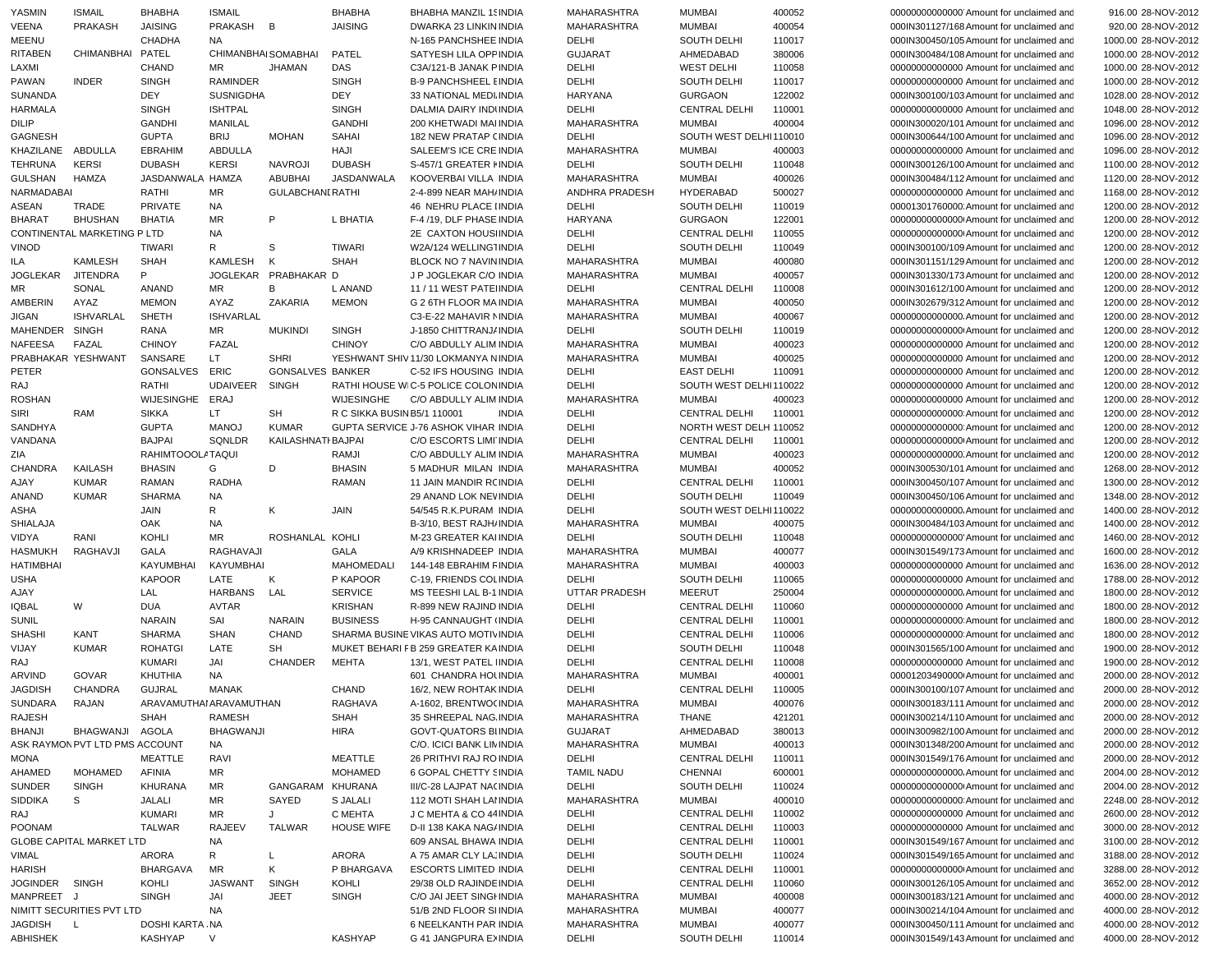| YASMIN           | <b>ISMAIL</b>                   | <b>BHABHA</b>           | <b>ISMAIL</b>       |                         | <b>BHABHA</b>               | <b>BHABHA MANZIL 15 INDIA</b>        | MAHARASHTRA          | <b>MUMBAI</b>          | 400052 | 00000000000000 Amount for unclaimed and   | 916.00 28-NOV-2012  |
|------------------|---------------------------------|-------------------------|---------------------|-------------------------|-----------------------------|--------------------------------------|----------------------|------------------------|--------|-------------------------------------------|---------------------|
| VEENA            | <b>PRAKASH</b>                  | <b>JAISING</b>          | PRAKASH             | B                       | <b>JAISING</b>              | DWARKA 23 LINKIN INDIA               | MAHARASHTRA          | <b>MUMBAI</b>          | 400054 | 000IN301127/168 Amount for unclaimed and  | 920.00 28-NOV-2012  |
| MEENU            |                                 | <b>CHADHA</b>           | <b>NA</b>           |                         |                             | N-165 PANCHSHEE INDIA                | DELHI                | SOUTH DELHI            | 110017 | 000IN300450/105 Amount for unclaimed and  | 1000.00 28-NOV-2012 |
| <b>RITABEN</b>   | CHIMANBHAI                      | <b>PATEL</b>            | CHIMANBHAI SOMABHAI |                         | PATEL                       | SATYESH LILA OPF INDIA               | <b>GUJARAT</b>       | AHMEDABAD              | 380006 | 000IN300484/108 Amount for unclaimed and  | 1000.00 28-NOV-2012 |
| LAXMI            |                                 | <b>CHAND</b>            | <b>MR</b>           | <b>JHAMAN</b>           | DAS                         | C3A/121-B JANAK PINDIA               | DELHI                | <b>WEST DELHI</b>      | 110058 | 00000000000000 Amount for unclaimed and   | 1000.00 28-NOV-2012 |
| PAWAN            | <b>INDER</b>                    | <b>SINGH</b>            | <b>RAMINDER</b>     |                         | <b>SINGH</b>                | <b>B-9 PANCHSHEEL EINDIA</b>         | DELHI                | SOUTH DELHI            | 110017 | 00000000000000 Amount for unclaimed and   | 1000.00 28-NOV-2012 |
| SUNANDA          |                                 | <b>DEY</b>              | <b>SUSNIGDHA</b>    |                         | <b>DEY</b>                  | 33 NATIONAL MEDI INDIA               | <b>HARYANA</b>       | <b>GURGAON</b>         | 122002 | 000IN300100/103 Amount for unclaimed and  | 1028.00 28-NOV-2012 |
| <b>HARMALA</b>   |                                 | <b>SINGH</b>            | <b>ISHTPAL</b>      |                         | <b>SINGH</b>                | DALMIA DAIRY INDUNDIA                | DELHI                | <b>CENTRAL DELHI</b>   | 110001 | 00000000000000 Amount for unclaimed and   | 1048.00 28-NOV-2012 |
| DILIP            |                                 | <b>GANDHI</b>           | MANILAL             |                         | <b>GANDHI</b>               | 200 KHETWADI MAI INDIA               | MAHARASHTRA          | <b>MUMBAI</b>          | 400004 | 000IN300020/101 Amount for unclaimed and  | 1096.00 28-NOV-2012 |
| GAGNESH          |                                 | <b>GUPTA</b>            | <b>BRIJ</b>         | <b>MOHAN</b>            | <b>SAHAI</b>                | <b>182 NEW PRATAP (INDIA</b>         | DELHI                | SOUTH WEST DELHI110010 |        | 000IN300644/100 Amount for unclaimed and  | 1096.00 28-NOV-2012 |
| KHAZILANE        | ABDULLA                         | <b>EBRAHIM</b>          | <b>ABDULLA</b>      |                         | HAJI                        | SALEEM'S ICE CRE INDIA               | MAHARASHTRA          | <b>MUMBAI</b>          | 400003 | 00000000000000 Amount for unclaimed and   | 1096.00 28-NOV-2012 |
| <b>TEHRUNA</b>   | <b>KERSI</b>                    | <b>DUBASH</b>           | <b>KERSI</b>        | <b>NAVROJI</b>          | <b>DUBASH</b>               | S-457/1 GREATER I INDIA              | DELHI                | SOUTH DELHI            | 110048 | 000IN300126/100 Amount for unclaimed and  | 1100.00 28-NOV-2012 |
| <b>GULSHAN</b>   | <b>HAMZA</b>                    | JASDANWALA HAMZA        |                     | <b>ABUBHAI</b>          | <b>JASDANWALA</b>           | KOOVERBAI VILLA INDIA                | MAHARASHTRA          | <b>MUMBAI</b>          | 400026 | 000IN300484/112 Amount for unclaimed and  | 1120.00 28-NOV-2012 |
| NARMADABAI       |                                 | RATHI                   | <b>MR</b>           | <b>GULABCHANI RATHI</b> |                             | 2-4-899 NEAR MAH/ INDIA              | ANDHRA PRADESH       | <b>HYDERABAD</b>       | 500027 | 00000000000000 Amount for unclaimed and   | 1168.00 28-NOV-2012 |
| ASEAN            | TRADE                           | <b>PRIVATE</b>          | NA                  |                         |                             | 46 NEHRU PLACE IINDIA                | DELHI                | <b>SOUTH DELHI</b>     | 110019 | 00001301760000 Amount for unclaimed and   | 1200.00 28-NOV-2012 |
| <b>BHARAT</b>    | <b>BHUSHAN</b>                  | <b>BHATIA</b>           | <b>MR</b>           | P                       | L BHATIA                    | F-4/19, DLF PHASE INDIA              | <b>HARYANA</b>       | <b>GURGAON</b>         | 122001 | 000000000000000 Amount for unclaimed and  | 1200.00 28-NOV-2012 |
|                  | CONTINENTAL MARKETING P LTD     |                         | <b>NA</b>           |                         |                             | 2E CAXTON HOUS INDIA                 | DELHI                | <b>CENTRAL DELHI</b>   | 110055 | 000000000000000 Amount for unclaimed and  | 1200.00 28-NOV-2012 |
| <b>VINOD</b>     |                                 | <b>TIWARI</b>           | R                   | S                       | <b>TIWARI</b>               | W2A/124 WELLING1INDIA                | DELHI                | SOUTH DELHI            | 110049 | 000IN300100/109 Amount for unclaimed and  | 1200.00 28-NOV-2012 |
| ILA              | <b>KAMLESH</b>                  | <b>SHAH</b>             | KAMLESH             | K                       | SHAH                        | BLOCK NO 7 NAVIN INDIA               | MAHARASHTRA          | <b>MUMBAI</b>          | 400080 | 000IN301151/129 Amount for unclaimed and  | 1200.00 28-NOV-2012 |
| <b>JOGLEKAR</b>  | <b>JITENDRA</b>                 | P                       |                     | JOGLEKAR PRABHAKAR D    |                             | J P JOGLEKAR C/O INDIA               | MAHARASHTRA          | <b>MUMBAI</b>          | 400057 | 000IN301330/173 Amount for unclaimed and  | 1200.00 28-NOV-2012 |
| MR               | SONAL                           | ANAND                   | <b>MR</b>           | B                       | L ANAND                     | 11 / 11 WEST PATE INDIA              | DELHI                | <b>CENTRAL DELHI</b>   | 110008 | 000IN301612/100 Amount for unclaimed and  | 1200.00 28-NOV-2012 |
| AMBERIN          | AYAZ                            | <b>MEMON</b>            | AYAZ                | <b>ZAKARIA</b>          | <b>MEMON</b>                | G 2 6TH FLOOR MAINDIA                | MAHARASHTRA          | <b>MUMBAI</b>          | 400050 | 000IN302679/312 Amount for unclaimed and  | 1200.00 28-NOV-2012 |
| JIGAN            | <b>ISHVARLAL</b>                | <b>SHETH</b>            | <b>ISHVARLAL</b>    |                         |                             | C3-E-22 MAHAVIR NINDIA               | <b>MAHARASHTRA</b>   | <b>MUMBAI</b>          | 400067 | 000000000000000. Amount for unclaimed and | 1200.00 28-NOV-2012 |
| MAHENDER         | <b>SINGH</b>                    | RANA                    | <b>MR</b>           | <b>MUKINDI</b>          | <b>SINGH</b>                | J-1850 CHITTRANJ/ INDIA              | DELHI                | SOUTH DELHI            | 110019 | 000000000000000 Amount for unclaimed and  | 1200.00 28-NOV-2012 |
| <b>NAFEESA</b>   | FAZAL                           | <b>CHINOY</b>           | FAZAL               |                         | <b>CHINOY</b>               | C/O ABDULLY ALIM INDIA               | <b>MAHARASHTRA</b>   | <b>MUMBAI</b>          | 400023 | 00000000000000 Amount for unclaimed and   | 1200.00 28-NOV-2012 |
|                  | PRABHAKAR YESHWANT              | SANSARE                 | LT.                 | <b>SHRI</b>             |                             | YESHWANT SHIV 11/30 LOKMANYA NINDIA  | <b>MAHARASHTRA</b>   | <b>MUMBAI</b>          | 400025 | 00000000000000 Amount for unclaimed and   | 1200.00 28-NOV-2012 |
| PETER            |                                 | <b>GONSALVES</b>        | ERIC                | <b>GONSALVES BANKER</b> |                             | C-52 IFS HOUSING INDIA               | DELHI                | <b>EAST DELHI</b>      | 110091 | 00000000000000 Amount for unclaimed and   | 1200.00 28-NOV-2012 |
| RAJ              |                                 | RATHI                   | <b>UDAIVEER</b>     | <b>SINGH</b>            |                             | RATHI HOUSE WIC-5 POLICE COLON INDIA | DELHI                | SOUTH WEST DELHI110022 |        | 00000000000000 Amount for unclaimed and   | 1200.00 28-NOV-2012 |
| <b>ROSHAN</b>    |                                 | WIJESINGHE              | ERAJ                |                         | <b>WIJESINGHE</b>           | C/O ABDULLY ALIM INDIA               | <b>MAHARASHTRA</b>   | <b>MUMBAI</b>          | 400023 | 00000000000000 Amount for unclaimed and   | 1200.00 28-NOV-2012 |
| <b>SIRI</b>      | RAM                             | <b>SIKKA</b>            | LT.                 | SH                      | R C SIKKA BUSIN B5/1 110001 | <b>INDIA</b>                         | DELHI                | <b>CENTRAL DELHI</b>   | 110001 | 000000000000000 Amount for unclaimed and  | 1200.00 28-NOV-2012 |
| SANDHYA          |                                 | <b>GUPTA</b>            | <b>MANOJ</b>        | <b>KUMAR</b>            |                             | GUPTA SERVICE J-76 ASHOK VIHAR INDIA | DELHI                | NORTH WEST DELH 110052 |        | 000000000000000 Amount for unclaimed and  | 1200.00 28-NOV-2012 |
| VANDANA          |                                 | <b>BAJPAI</b>           | SQNLDR              | KAILASHNATI BAJPAI      |                             | C/O ESCORTS LIMI INDIA               | DELHI                | <b>CENTRAL DELHI</b>   | 110001 | 000000000000000 Amount for unclaimed and  | 1200.00 28-NOV-2012 |
| ZIA              |                                 | RAHIMTOOOLATAQUI        |                     |                         | RAMJI                       | C/O ABDULLY ALIM INDIA               | MAHARASHTRA          | <b>MUMBAI</b>          | 400023 | 00000000000000. Amount for unclaimed and  | 1200.00 28-NOV-2012 |
| <b>CHANDRA</b>   | KAILASH                         | <b>BHASIN</b>           | G                   | D                       | <b>BHASIN</b>               | 5 MADHUR MILAN INDIA                 | MAHARASHTRA          | <b>MUMBAI</b>          | 400052 | 000IN300530/101 Amount for unclaimed and  | 1268.00 28-NOV-2012 |
| AJAY             | <b>KUMAR</b>                    | RAMAN                   | <b>RADHA</b>        |                         | RAMAN                       | 11 JAIN MANDIR RCINDIA               | DELHI                | <b>CENTRAL DELHI</b>   | 110001 | 000IN300450/107 Amount for unclaimed and  | 1300.00 28-NOV-2012 |
| ANAND            | <b>KUMAR</b>                    | <b>SHARMA</b>           | <b>NA</b>           |                         |                             | 29 ANAND LOK NEVINDIA                | DELHI                | SOUTH DELHI            | 110049 | 000IN300450/106 Amount for unclaimed and  | 1348.00 28-NOV-2012 |
| <b>ASHA</b>      |                                 | JAIN                    | R                   | Κ                       | JAIN                        | 54/545 R.K.PURAM INDIA               | DELHI                | SOUTH WEST DELHI110022 |        | 00000000000000. Amount for unclaimed and  | 1400.00 28-NOV-2012 |
| <b>SHIALAJA</b>  |                                 | OAK                     | <b>NA</b>           |                         |                             | B-3/10, BEST RAJH/ INDIA             | MAHARASHTRA          | <b>MUMBAI</b>          | 400075 | 000IN300484/103 Amount for unclaimed and  | 1400.00 28-NOV-2012 |
| VIDYA            | RANI                            | KOHLI                   | MR                  | ROSHANLAL KOHLI         |                             | M-23 GREATER KAI INDIA               | DELHI                | SOUTH DELHI            | 110048 | 00000000000000 Amount for unclaimed and   | 1460.00 28-NOV-2012 |
| <b>HASMUKH</b>   | RAGHAVJI                        | GALA                    | RAGHAVAJI           |                         | <b>GALA</b>                 | A/9 KRISHNADEEP INDIA                | MAHARASHTRA          | <b>MUMBAI</b>          | 400077 | 000IN301549/173 Amount for unclaimed and  | 1600.00 28-NOV-2012 |
| <b>HATIMBHAI</b> |                                 | <b>KAYUMBHAI</b>        | KAYUMBHAI           |                         | MAHOMEDALI                  | 144-148 EBRAHIM FINDIA               | MAHARASHTRA          | <b>MUMBAI</b>          | 400003 | 00000000000000 Amount for unclaimed and   | 1636.00 28-NOV-2012 |
| <b>USHA</b>      |                                 | <b>KAPOOR</b>           | LATE                | Κ                       | P KAPOOR                    | C-19, FRIENDS COLINDIA               | DELHI                | SOUTH DELHI            | 110065 | 00000000000000 Amount for unclaimed and   | 1788.00 28-NOV-2012 |
|                  |                                 | LAL                     | <b>HARBANS</b>      | LAL                     |                             | MS TEESHI LAL B-1 INDIA              | <b>UTTAR PRADESH</b> | <b>MEERUT</b>          | 250004 | 00000000000000. Amount for unclaimed and  |                     |
| AJAY             |                                 |                         |                     |                         | <b>SERVICE</b>              |                                      |                      |                        |        |                                           | 1800.00 28-NOV-2012 |
| <b>IQBAL</b>     | W                               | DUA                     | <b>AVTAR</b>        |                         | <b>KRISHAN</b>              | R-899 NEW RAJIND INDIA               | DELHI                | <b>CENTRAL DELHI</b>   | 110060 | 00000000000000 Amount for unclaimed and   | 1800.00 28-NOV-2012 |
| <b>SUNIL</b>     |                                 | <b>NARAIN</b>           | SAI                 | <b>NARAIN</b>           | <b>BUSINESS</b>             | H-95 CANNAUGHT (INDIA                | DELHI                | <b>CENTRAL DELHI</b>   | 110001 | 000000000000000 Amount for unclaimed and  | 1800.00 28-NOV-2012 |
| <b>SHASHI</b>    | KANT                            | <b>SHARMA</b>           | <b>SHAN</b>         | CHAND                   |                             | SHARMA BUSINE VIKAS AUTO MOTIVINDIA  | DELHI                | <b>CENTRAL DELHI</b>   | 110006 | 000000000000000 Amount for unclaimed and  | 1800.00 28-NOV-2012 |
| VIJAY            | KUMAR                           | <b>ROHATGI</b>          | LATE                | SH                      |                             | MUKET BEHARI FB 259 GREATER KAINDIA  | DELHI                | SOUTH DELHI            | 110048 | 000IN301565/100 Amount for unclaimed and  | 1900.00 28-NOV-2012 |
| RAJ              |                                 | KUMARI                  | JAI                 | <b>CHANDER</b>          | <b>MEHTA</b>                | 13/1. WEST PATEL IINDIA              | DELHI                | <b>CENTRAL DELHI</b>   | 110008 | 00000000000000 Amount for unclaimed and   | 1900.00 28-NOV-2012 |
| ARVIND           | GOVAR                           | KHUTHIA                 | <b>NA</b>           |                         |                             | 601 CHANDRA HOLINDIA                 | MAHARASHTRA          | <b>MUMBAI</b>          | 400001 | 00001203490000 Amount for unclaimed and   | 2000.00 28-NOV-2012 |
| <b>JAGDISH</b>   | CHANDRA                         | <b>GUJRAL</b>           | MANAK               |                         | CHAND                       | 16/2, NEW ROHTAK INDIA               | DELHI                | <b>CENTRAL DELHI</b>   | 110005 | 000IN300100/107 Amount for unclaimed and  | 2000.00 28-NOV-2012 |
| SUNDARA          | RAJAN                           | ARAVAMUTHAI ARAVAMUTHAN |                     |                         | RAGHAVA                     | A-1602, BRENTWO( INDIA               | MAHARASHTRA          | <b>MUMBAI</b>          | 400076 | 000IN300183/111 Amount for unclaimed and  | 2000.00 28-NOV-2012 |
| RAJESH           |                                 | SHAH                    | RAMESH              |                         | SHAH                        | 35 SHREEPAL NAG INDIA                | MAHARASHTRA          | <b>THANE</b>           | 421201 | 000IN300214/110 Amount for unclaimed and  | 2000.00 28-NOV-2012 |
| <b>BHANJI</b>    | BHAGWANJI AGOLA                 |                         | <b>BHAGWANJI</b>    |                         | <b>HIRA</b>                 | <b>GOVT-QUATORS BIINDIA</b>          | <b>GUJARAT</b>       | AHMEDABAD              | 380013 | 000IN300982/100 Amount for unclaimed and  | 2000.00 28-NOV-2012 |
|                  | ASK RAYMON PVT LTD PMS ACCOUNT  |                         | NA                  |                         |                             | C/O. ICICI BANK LIMINDIA             | MAHARASHTRA          | <b>MUMBAI</b>          | 400013 | 000IN301348/200 Amount for unclaimed and  | 2000.00 28-NOV-2012 |
| MONA             |                                 | MEATTLE                 | RAVI                |                         | MEATTLE                     | 26 PRITHVI RAJ ROINDIA               | DELHI                | <b>CENTRAL DELHI</b>   | 110011 | 000IN301549/176 Amount for unclaimed and  | 2000.00 28-NOV-2012 |
| AHAMED           | MOHAMED                         | <b>AFINIA</b>           | MR                  |                         | <b>MOHAMED</b>              | 6 GOPAL CHETTY SINDIA                | <b>TAMIL NADU</b>    | CHENNAI                | 600001 | 00000000000000. Amount for unclaimed and  | 2004.00 28-NOV-2012 |
| <b>SUNDER</b>    | <b>SINGH</b>                    | KHURANA                 | MR                  | GANGARAM KHURANA        |                             | III/C-28 LAJPAT NA(INDIA             | DELHI                | SOUTH DELHI            | 110024 | 000000000000000 Amount for unclaimed and  | 2004.00 28-NOV-2012 |
| SIDDIKA          | S                               | JALALI                  | MR                  | SAYED                   | S JALALI                    | 112 MOTI SHAH LAI INDIA              | MAHARASHTRA          | <b>MUMBAI</b>          | 400010 | 000000000000000 Amount for unclaimed and  | 2248.00 28-NOV-2012 |
| RAJ              |                                 | KUMARI                  | MR                  | J                       | C MEHTA                     | J C MEHTA & CO 44 INDIA              | DELHI                | <b>CENTRAL DELHI</b>   | 110002 | 00000000000000 Amount for unclaimed and   | 2600.00 28-NOV-2012 |
| <b>POONAM</b>    |                                 | <b>TALWAR</b>           | RAJEEV              | <b>TALWAR</b>           | <b>HOUSE WIFE</b>           | D-II 138 KAKA NAG/ INDIA             | DELHI                | CENTRAL DELHI          | 110003 | 00000000000000 Amount for unclaimed and   | 3000.00 28-NOV-2012 |
|                  | <b>GLOBE CAPITAL MARKET LTD</b> |                         | NA.                 |                         |                             | 609 ANSAL BHAWA INDIA                | DELHI                | <b>CENTRAL DELHI</b>   | 110001 | 000IN301549/167 Amount for unclaimed and  | 3100.00 28-NOV-2012 |
| VIMAL            |                                 | ARORA                   | R                   | L                       | ARORA                       | A 75 AMAR CLY LA, INDIA              | DELHI                | SOUTH DELHI            | 110024 | 000IN301549/165 Amount for unclaimed and  | 3188.00 28-NOV-2012 |
| <b>HARISH</b>    |                                 | BHARGAVA                | MR                  | K                       | P BHARGAVA                  | <b>ESCORTS LIMITED INDIA</b>         | DELHI                | <b>CENTRAL DELHI</b>   | 110001 | 000000000000000 Amount for unclaimed and  | 3288.00 28-NOV-2012 |
| JOGINDER SINGH   |                                 | KOHLI                   | JASWANT             | SINGH                   | KOHLI                       | 29/38 OLD RAJINDE INDIA              | DELHI                | CENTRAL DELHI          | 110060 | 000IN300126/105 Amount for unclaimed and  | 3652.00 28-NOV-2012 |
| MANPREET J       |                                 |                         |                     |                         |                             |                                      |                      |                        |        |                                           |                     |
|                  |                                 | <b>SINGH</b>            | JAI                 | <b>JEET</b>             | <b>SINGH</b>                | C/O JAI JEET SINGHNDIA               | MAHARASHTRA          | <b>MUMBAI</b>          | 400008 | 000IN300183/121 Amount for unclaimed and  | 4000.00 28-NOV-2012 |
|                  | NIMITT SECURITIES PVT LTD       |                         | NA                  |                         |                             | 51/B 2ND FLOOR SI INDIA              | MAHARASHTRA          | <b>MUMBAI</b>          | 400077 | 000IN300214/104 Amount for unclaimed and  | 4000.00 28-NOV-2012 |
| JAGDISH L        |                                 | DOSHI KARTA .NA         |                     |                         |                             | 6 NEELKANTH PAR INDIA                | MAHARASHTRA          | <b>MUMBAI</b>          | 400077 | 000IN300450/111 Amount for unclaimed and  | 4000.00 28-NOV-2012 |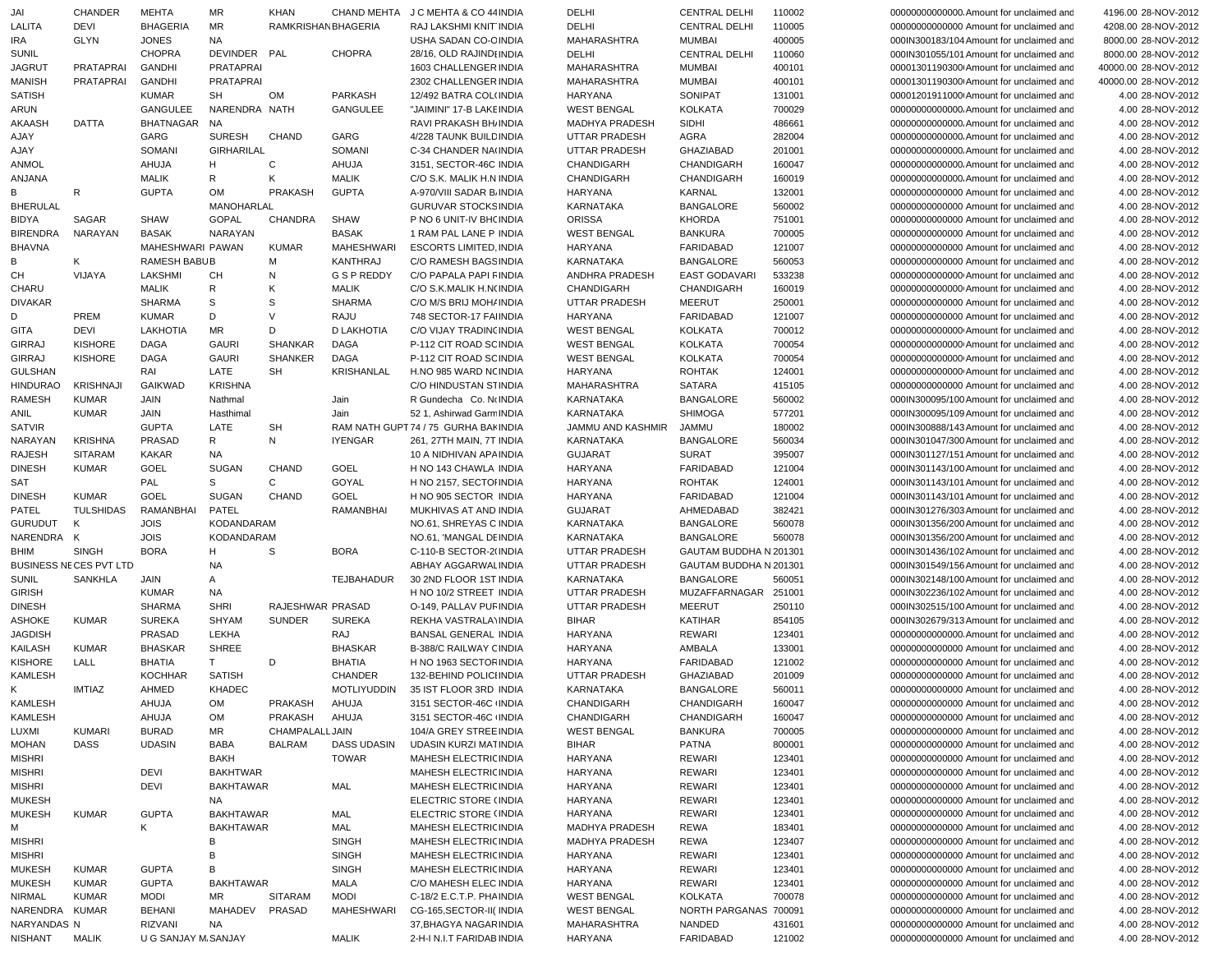| JAI                           | CHANDER                       | <b>MEHTA</b>         | MR                | <b>KHAN</b>        |                   | CHAND MEHTA J C MEHTA & CO 44 INDIA   | DELHI                | <b>CENTRAL DELHI</b>   | 110002 | 00000000000000. Amount for unclaimed and                                             | 4196.00 28-NOV-2012                  |
|-------------------------------|-------------------------------|----------------------|-------------------|--------------------|-------------------|---------------------------------------|----------------------|------------------------|--------|--------------------------------------------------------------------------------------|--------------------------------------|
| LALITA                        | DEVI                          | <b>BHAGERIA</b>      | <b>MR</b>         | RAMKRISHANBHAGERIA |                   | RAJ LAKSHMI KNIT INDIA                | DELHI                | <b>CENTRAL DELHI</b>   | 110005 | 00000000000000 Amount for unclaimed and                                              | 4208.00 28-NOV-2012                  |
| IRA                           | <b>GLYN</b>                   | <b>JONES</b>         | <b>NA</b>         |                    |                   | USHA SADAN CO-CINDIA                  | MAHARASHTRA          | <b>MUMBAI</b>          | 400005 | 000IN300183/104 Amount for unclaimed and                                             | 8000.00 28-NOV-2012                  |
| <b>SUNIL</b>                  |                               | <b>CHOPRA</b>        | DEVINDER PAL      |                    | <b>CHOPRA</b>     | 28/16, OLD RAJINDHNDIA                | DELHI                | <b>CENTRAL DELHI</b>   | 110060 | 000IN301055/101 Amount for unclaimed and                                             | 8000.00 28-NOV-2012                  |
| <b>JAGRUT</b>                 | PRATAPRAI                     | <b>GANDHI</b>        | <b>PRATAPRAI</b>  |                    |                   | 1603 CHALLENGER INDIA                 | MAHARASHTRA          | <b>MUMBAI</b>          | 400101 | 00001301190300 Amount for unclaimed and                                              | 40000.00 28-NOV-2012                 |
| <b>MANISH</b>                 | PRATAPRAI                     | <b>GANDHI</b>        | <b>PRATAPRAI</b>  |                    |                   | 2302 CHALLENGER INDIA                 | MAHARASHTRA          | <b>MUMBAI</b>          | 400101 | 00001301190300 Amount for unclaimed and                                              | 40000.00 28-NOV-2012                 |
| <b>SATISH</b>                 |                               | <b>KUMAR</b>         | <b>SH</b>         | <b>OM</b>          | <b>PARKASH</b>    | 12/492 BATRA COL(INDIA                | <b>HARYANA</b>       | SONIPAT                | 131001 | 00001201911000 Amount for unclaimed and                                              | 4.00 28-NOV-2012                     |
| ARUN                          |                               | GANGULEE             | NARENDRA NATH     |                    | GANGULEE          | "JAIMINI" 17-B LAKE INDIA             | <b>WEST BENGAL</b>   | <b>KOLKATA</b>         | 700029 | 00000000000000. Amount for unclaimed and                                             | 4.00 28-NOV-2012                     |
| AKAASH                        | DATTA                         | <b>BHATNAGAR</b>     | <b>NA</b>         |                    |                   | RAVI PRAKASH BHJ INDIA                | MADHYA PRADESH       | SIDHI                  | 486661 | 00000000000000. Amount for unclaimed and                                             | 4.00 28-NOV-2012                     |
| AJAY                          |                               | GARG                 | <b>SURESH</b>     | <b>CHAND</b>       | GARG              | 4/228 TAUNK BUILD INDIA               | <b>UTTAR PRADESH</b> | AGRA                   | 282004 | 00000000000000. Amount for unclaimed and                                             | 4.00 28-NOV-2012                     |
| AJAY                          |                               | SOMANI               | <b>GIRHARILAL</b> |                    | SOMANI            | C-34 CHANDER NA(INDIA                 | UTTAR PRADESH        | GHAZIABAD              | 201001 | 00000000000000. Amount for unclaimed and                                             | 4.00 28-NOV-2012                     |
| <b>ANMOL</b>                  |                               | AHUJA                | H                 | C                  | AHUJA             | 3151, SECTOR-46C INDIA                | CHANDIGARH           | CHANDIGARH             | 160047 | 00000000000000. Amount for unclaimed and                                             | 4.00 28-NOV-2012                     |
| ANJANA                        |                               | <b>MALIK</b>         | R                 | K                  | <b>MALIK</b>      | C/O S.K. MALIK H.N INDIA              | CHANDIGARH           | CHANDIGARH             | 160019 | 000000000000000. Amount for unclaimed and                                            | 4.00 28-NOV-2012                     |
| B                             | R                             | <b>GUPTA</b>         | <b>OM</b>         | PRAKASH            | <b>GUPTA</b>      | A-970/VIII SADAR B. INDIA             | <b>HARYANA</b>       | KARNAL                 | 132001 | 00000000000000 Amount for unclaimed and                                              | 4.00 28-NOV-2012                     |
| <b>BHERULAL</b>               |                               |                      | MANOHARLAL        |                    |                   | <b>GURUVAR STOCKS INDIA</b>           | KARNATAKA            | <b>BANGALORE</b>       | 560002 | 00000000000000 Amount for unclaimed and                                              | 4.00 28-NOV-2012                     |
| <b>BIDYA</b>                  | SAGAR                         | <b>SHAW</b>          | <b>GOPAL</b>      | <b>CHANDRA</b>     | <b>SHAW</b>       | P NO 6 UNIT-IV BHOINDIA               | <b>ORISSA</b>        | <b>KHORDA</b>          | 751001 | 00000000000000 Amount for unclaimed and                                              | 4.00 28-NOV-2012                     |
| <b>BIRENDRA</b>               | NARAYAN                       | <b>BASAK</b>         | NARAYAN           |                    | <b>BASAK</b>      | 1 RAM PAL LANE P INDIA                | <b>WEST BENGAL</b>   | <b>BANKURA</b>         | 700005 | 00000000000000 Amount for unclaimed and                                              | 4.00 28-NOV-2012                     |
| <b>BHAVNA</b>                 |                               | MAHESHWARI PAWAN     |                   | <b>KUMAR</b>       | <b>MAHESHWARI</b> | <b>ESCORTS LIMITED, INDIA</b>         | <b>HARYANA</b>       | FARIDABAD              | 121007 | 00000000000000 Amount for unclaimed and                                              | 4.00 28-NOV-2012                     |
| В                             | Κ                             | RAMESH BABUB         |                   | М                  | <b>KANTHRAJ</b>   | C/O RAMESH BAGS INDIA                 | KARNATAKA            | <b>BANGALORE</b>       | 560053 | 00000000000000 Amount for unclaimed and                                              | 4.00 28-NOV-2012                     |
| CН                            | VIJAYA                        | LAKSHMI              | CH                | N                  | G S P REDDY       | C/O PAPALA PAPI FINDIA                | ANDHRA PRADESH       | EAST GODAVARI          | 533238 | 00000000000000 Amount for unclaimed and                                              | 4.00 28-NOV-2012                     |
| CHARU                         |                               | <b>MALIK</b>         | R                 | K                  | <b>MALIK</b>      | C/O S.K.MALIK H.N(INDIA               | CHANDIGARH           | CHANDIGARH             | 160019 | 00000000000000 Amount for unclaimed and                                              | 4.00 28-NOV-2012                     |
| <b>DIVAKAR</b>                |                               | <b>SHARMA</b>        | S                 | S                  | <b>SHARMA</b>     | C/O M/S BRIJ MOH/ INDIA               | <b>UTTAR PRADESH</b> | <b>MEERUT</b>          | 250001 | 00000000000000 Amount for unclaimed and                                              | 4.00 28-NOV-2012                     |
| D                             | <b>PREM</b>                   | <b>KUMAR</b>         | D                 | $\vee$             | RAJU              | 748 SECTOR-17 FAIINDIA                | HARYANA              | FARIDABAD              | 121007 | 00000000000000 Amount for unclaimed and                                              | 4.00 28-NOV-2012                     |
| GITA                          | DEVI                          | LAKHOTIA             | MR                | D                  | <b>D LAKHOTIA</b> | C/O VIJAY TRADIN(INDIA                | <b>WEST BENGAL</b>   | KOLKATA                | 700012 | 00000000000000 Amount for unclaimed and                                              | 4.00 28-NOV-2012                     |
| <b>GIRRAJ</b>                 | <b>KISHORE</b>                | <b>DAGA</b>          | <b>GAURI</b>      | <b>SHANKAR</b>     | <b>DAGA</b>       | P-112 CIT ROAD SCINDIA                | <b>WEST BENGAL</b>   | <b>KOLKATA</b>         | 700054 | 00000000000000 Amount for unclaimed and                                              | 4.00 28-NOV-2012                     |
| <b>GIRRAJ</b>                 | <b>KISHORE</b>                | <b>DAGA</b>          | <b>GAURI</b>      | <b>SHANKER</b>     | <b>DAGA</b>       | P-112 CIT ROAD SCINDIA                | <b>WEST BENGAL</b>   | <b>KOLKATA</b>         | 700054 | 00000000000000 Amount for unclaimed and                                              | 4.00 28-NOV-2012                     |
| <b>GULSHAN</b>                |                               | RAI                  | LATE              | <b>SH</b>          | KRISHANLAL        | H.NO 985 WARD NCINDIA                 | HARYANA              | <b>ROHTAK</b>          | 124001 | 00000000000000 Amount for unclaimed and                                              | 4.00 28-NOV-2012                     |
| <b>HINDURAO</b>               | <b>KRISHNAJI</b>              | <b>GAIKWAD</b>       | <b>KRISHNA</b>    |                    |                   | C/O HINDUSTAN STINDIA                 | <b>MAHARASHTRA</b>   | SATARA                 | 415105 | 00000000000000 Amount for unclaimed and                                              | 4.00 28-NOV-2012                     |
| <b>RAMESH</b>                 | <b>KUMAR</b>                  | <b>JAIN</b>          | Nathmal           |                    | Jain              | R Gundecha Co. No INDIA               | <b>KARNATAKA</b>     | <b>BANGALORE</b>       | 560002 | 000IN300095/100 Amount for unclaimed and                                             | 4.00 28-NOV-2012                     |
| ANIL                          | <b>KUMAR</b>                  | JAIN                 | Hasthimal         |                    | Jain              | 52 1, Ashirwad Garm INDIA             | <b>KARNATAKA</b>     | <b>SHIMOGA</b>         | 577201 | 000IN300095/109 Amount for unclaimed and                                             | 4.00 28-NOV-2012                     |
| <b>SATVIR</b>                 |                               | <b>GUPTA</b>         | LATE              | SH                 |                   | RAM NATH GUPT 74 / 75 GURHA BAI INDIA | JAMMU AND KASHMIR    | <b>JAMMU</b>           | 180002 | 000IN300888/143 Amount for unclaimed and                                             | 4.00 28-NOV-2012                     |
| NARAYAN                       | <b>KRISHNA</b>                | PRASAD               | R                 | Ν                  | <b>IYENGAR</b>    | 261, 27TH MAIN, 7T INDIA              | <b>KARNATAKA</b>     | <b>BANGALORE</b>       | 560034 | 000IN301047/300 Amount for unclaimed and                                             | 4.00 28-NOV-2012                     |
| <b>RAJESH</b>                 | SITARAM                       | KAKAR                | NA                |                    |                   | 10 A NIDHIVAN APA INDIA               | <b>GUJARAT</b>       | <b>SURAT</b>           | 395007 | 000IN301127/151 Amount for unclaimed and                                             | 4.00 28-NOV-2012                     |
| <b>DINESH</b>                 | <b>KUMAR</b>                  | GOEL                 | <b>SUGAN</b>      | CHAND              | GOEL              | H NO 143 CHAWLA INDIA                 | <b>HARYANA</b>       | FARIDABAD              | 121004 | 000IN301143/100 Amount for unclaimed and                                             | 4.00 28-NOV-2012                     |
| SAT                           |                               | <b>PAL</b>           | S                 | C                  | GOYAL             | H NO 2157, SECTOHNDIA                 | <b>HARYANA</b>       | <b>ROHTAK</b>          | 124001 | 000IN301143/101 Amount for unclaimed and                                             | 4.00 28-NOV-2012                     |
| <b>DINESH</b>                 | <b>KUMAR</b>                  | <b>GOEL</b>          | <b>SUGAN</b>      | <b>CHAND</b>       | GOEL              | H NO 905 SECTOR INDIA                 | HARYANA              | FARIDABAD              | 121004 | 000IN301143/101 Amount for unclaimed and                                             | 4.00 28-NOV-2012                     |
| PATEL                         | <b>TULSHIDAS</b>              | <b>RAMANBHAI</b>     | <b>PATEL</b>      |                    | <b>RAMANBHAI</b>  | MUKHIVAS AT AND INDIA                 | <b>GUJARAT</b>       | AHMEDABAD              | 382421 | 000IN301276/303 Amount for unclaimed and                                             | 4.00 28-NOV-2012                     |
| <b>GURUDUT</b>                | Κ                             | <b>JOIS</b>          | KODANDARAM        |                    |                   | NO.61, SHREYAS C INDIA                | KARNATAKA            | <b>BANGALORE</b>       | 560078 | 000IN301356/200 Amount for unclaimed and                                             | 4.00 28-NOV-2012                     |
| NARENDRA                      | К                             | <b>JOIS</b>          | KODANDARAM        |                    |                   | NO.61, 'MANGAL DE INDIA               | KARNATAKA            | <b>BANGALORE</b>       | 560078 | 000IN301356/200 Amount for unclaimed and                                             | 4.00 28-NOV-2012                     |
| BHIM                          | <b>SINGH</b>                  | <b>BORA</b>          | H                 | S                  | <b>BORA</b>       | C-110-B SECTOR-2(INDIA                | <b>UTTAR PRADESH</b> | GAUTAM BUDDHA N 201301 |        | 000IN301436/102 Amount for unclaimed and                                             |                                      |
|                               | <b>BUSINESS NECES PVT LTD</b> |                      |                   |                    |                   | ABHAY AGGARWALINDIA                   | <b>UTTAR PRADESH</b> | GAUTAM BUDDHA N 201301 |        |                                                                                      | 4.00 28-NOV-2012<br>4.00 28-NOV-2012 |
|                               | SANKHLA                       |                      | <b>NA</b>         |                    | <b>TEJBAHADUR</b> | 30 2ND FLOOR 1ST INDIA                | KARNATAKA            | <b>BANGALORE</b>       | 560051 | 000IN301549/156 Amount for unclaimed and                                             |                                      |
| <b>SUNIL</b><br><b>GIRISH</b> |                               | JAIN<br><b>KUMAR</b> | Α<br><b>NA</b>    |                    |                   | H NO 10/2 STREET INDIA                | <b>UTTAR PRADESH</b> | MUZAFFARNAGAR          | 251001 | 000IN302148/100 Amount for unclaimed and<br>000IN302236/102 Amount for unclaimed and | 4.00 28-NOV-2012                     |
|                               |                               |                      |                   |                    |                   |                                       |                      |                        |        |                                                                                      | 4.00 28-NOV-2012                     |
| <b>DINESH</b>                 |                               | <b>SHARMA</b>        | <b>SHRI</b>       | RAJESHWAR PRASAD   |                   | O-149, PALLAV PUF INDIA               | <b>UTTAR PRADESH</b> | <b>MEERUT</b>          | 250110 | 000IN302515/100 Amount for unclaimed and                                             | 4.00 28-NOV-2012                     |
| <b>ASHOKE</b>                 | <b>KUMAR</b>                  | <b>SUREKA</b>        | <b>SHYAM</b>      | <b>SUNDER</b>      | <b>SUREKA</b>     | REKHA VASTRALAYINDIA                  | <b>BIHAR</b>         | KATIHAR                | 854105 | 000IN302679/313 Amount for unclaimed and                                             | 4.00 28-NOV-2012                     |
| <b>JAGDISH</b>                |                               | PRASAD               | LEKHA             |                    | RAJ               | <b>BANSAL GENERAL INDIA</b>           | <b>HARYANA</b>       | <b>REWARI</b>          | 123401 | 00000000000000. Amount for unclaimed and                                             | 4.00 28-NOV-2012                     |
| KAILASH                       | <b>KUMAR</b>                  | <b>BHASKAR</b>       | <b>SHREE</b>      |                    | <b>BHASKAR</b>    | <b>B-388/C RAILWAY CINDIA</b>         | HARYANA              | AMBALA                 | 133001 | 00000000000000 Amount for unclaimed and                                              | 4.00 28-NOV-2012                     |
| <b>KISHORE</b>                | LALL                          | <b>BHATIA</b>        | T.                | D                  | <b>BHATIA</b>     | H NO 1963 SECTOR INDIA                | HARYANA              | FARIDABAD              | 121002 | 00000000000000 Amount for unclaimed and                                              | 4.00 28-NOV-2012                     |
| <b>KAMLESH</b>                |                               | <b>KOCHHAR</b>       | <b>SATISH</b>     |                    | <b>CHANDER</b>    | 132-BEHIND POLICIINDIA                | <b>UTTAR PRADESH</b> | <b>GHAZIABAD</b>       | 201009 | 00000000000000 Amount for unclaimed and                                              | 4.00 28-NOV-2012                     |
| K                             | <b>IMTIAZ</b>                 | AHMED                | <b>KHADEC</b>     |                    | MOTLIYUDDIN       | 35 IST FLOOR 3RD INDIA                | KARNATAKA            | <b>BANGALORE</b>       | 560011 | 00000000000000 Amount for unclaimed and                                              | 4.00 28-NOV-2012                     |
| <b>KAMLESH</b>                |                               | AHUJA                | OM                | PRAKASH            | AHUJA             | 3151 SECTOR-46C INDIA                 | CHANDIGARH           | CHANDIGARH             | 160047 | 00000000000000 Amount for unclaimed and                                              | 4.00 28-NOV-2012                     |
| <b>KAMLESH</b>                |                               | AHUJA                | OM                | PRAKASH            | AHUJA             | 3151 SECTOR-46C INDIA                 | <b>CHANDIGARH</b>    | CHANDIGARH             | 160047 | 00000000000000 Amount for unclaimed and                                              | 4.00 28-NOV-2012                     |
| LUXMI                         | <b>KUMARI</b>                 | <b>BURAD</b>         | MR                | CHAMPALALL JAIN    |                   | 104/A GREY STREE INDIA                | <b>WEST BENGAL</b>   | BANKURA                | 700005 | 00000000000000 Amount for unclaimed and                                              | 4.00 28-NOV-2012                     |
| <b>MOHAN</b>                  | <b>DASS</b>                   | <b>UDASIN</b>        | BABA              | <b>BALRAM</b>      | DASS UDASIN       | UDASIN KURZI MATINDIA                 | <b>BIHAR</b>         | <b>PATNA</b>           | 800001 | 00000000000000 Amount for unclaimed and                                              | 4.00 28-NOV-2012                     |
| <b>MISHRI</b>                 |                               |                      | <b>BAKH</b>       |                    | <b>TOWAR</b>      | MAHESH ELECTRIC INDIA                 | HARYANA              | <b>REWARI</b>          | 123401 | 00000000000000 Amount for unclaimed and                                              | 4.00 28-NOV-2012                     |
| <b>MISHRI</b>                 |                               | <b>DEVI</b>          | <b>BAKHTWAR</b>   |                    |                   | MAHESH ELECTRIC INDIA                 | <b>HARYANA</b>       | <b>REWARI</b>          | 123401 | 00000000000000 Amount for unclaimed and                                              | 4.00 28-NOV-2012                     |
| <b>MISHRI</b>                 |                               | <b>DEVI</b>          | <b>BAKHTAWAR</b>  |                    | MAL               | MAHESH ELECTRIC INDIA                 | <b>HARYANA</b>       | <b>REWARI</b>          | 123401 | 00000000000000 Amount for unclaimed and                                              | 4.00 28-NOV-2012                     |
| <b>MUKESH</b>                 |                               |                      | NA                |                    |                   | ELECTRIC STORE (INDIA                 | HARYANA              | <b>REWARI</b>          | 123401 | 00000000000000 Amount for unclaimed and                                              | 4.00 28-NOV-2012                     |
| <b>MUKESH</b>                 | <b>KUMAR</b>                  | <b>GUPTA</b>         | <b>BAKHTAWAR</b>  |                    | MAL               | ELECTRIC STORE (INDIA                 | HARYANA              | <b>REWARI</b>          | 123401 | 00000000000000 Amount for unclaimed and                                              | 4.00 28-NOV-2012                     |
| м                             |                               | Κ                    | <b>BAKHTAWAR</b>  |                    | MAL               | MAHESH ELECTRIC INDIA                 | MADHYA PRADESH       | <b>REWA</b>            | 183401 | 00000000000000 Amount for unclaimed and                                              | 4.00 28-NOV-2012                     |
| MISHRI                        |                               |                      | B                 |                    | <b>SINGH</b>      | MAHESH ELECTRIC INDIA                 | MADHYA PRADESH       | REWA                   | 123407 | 00000000000000 Amount for unclaimed and                                              | 4.00 28-NOV-2012                     |
| <b>MISHRI</b>                 |                               |                      | в                 |                    | <b>SINGH</b>      | MAHESH ELECTRIC INDIA                 | HARYANA              | <b>REWARI</b>          | 123401 | 00000000000000 Amount for unclaimed and                                              | 4.00 28-NOV-2012                     |
| <b>MUKESH</b>                 | <b>KUMAR</b>                  | <b>GUPTA</b>         | В                 |                    | <b>SINGH</b>      | MAHESH ELECTRIC INDIA                 | HARYANA              | REWARI                 | 123401 | 00000000000000 Amount for unclaimed and                                              | 4.00 28-NOV-2012                     |
| <b>MUKESH</b>                 | <b>KUMAR</b>                  | <b>GUPTA</b>         | BAKHTAWAR         |                    | <b>MALA</b>       | C/O MAHESH ELEC INDIA                 | HARYANA              | <b>REWARI</b>          | 123401 | 00000000000000 Amount for unclaimed and                                              | 4.00 28-NOV-2012                     |
| NIRMAL                        | KUMAR                         | <b>MODI</b>          | MR                | <b>SITARAM</b>     | <b>MODI</b>       | C-18/2 E.C.T.P. PHAINDIA              | <b>WEST BENGAL</b>   | <b>KOLKATA</b>         | 700078 | 00000000000000 Amount for unclaimed and                                              | 4.00 28-NOV-2012                     |
| NARENDRA KUMAR                |                               | <b>BEHANI</b>        | <b>MAHADEV</b>    | PRASAD             | <b>MAHESHWARI</b> | CG-165, SECTOR-II (INDIA              | <b>WEST BENGAL</b>   | NORTH PARGANAS 700091  |        | 00000000000000 Amount for unclaimed and                                              | 4.00 28-NOV-2012                     |
| NARYANDAS N                   |                               | RIZVANI              | NA                |                    |                   | 37, BHAGYA NAGAR INDIA                | MAHARASHTRA          | NANDED                 | 431601 | 00000000000000 Amount for unclaimed and                                              | 4.00 28-NOV-2012                     |
| NISHANT                       | MALIK                         | U G SANJAY M. SANJAY |                   |                    | <b>MALIK</b>      | 2-H-I N.I.T FARIDAB INDIA             | HARYANA              | FARIDABAD              | 121002 | 00000000000000 Amount for unclaimed and                                              | 4.00 28-NOV-2012                     |
|                               |                               |                      |                   |                    |                   |                                       |                      |                        |        |                                                                                      |                                      |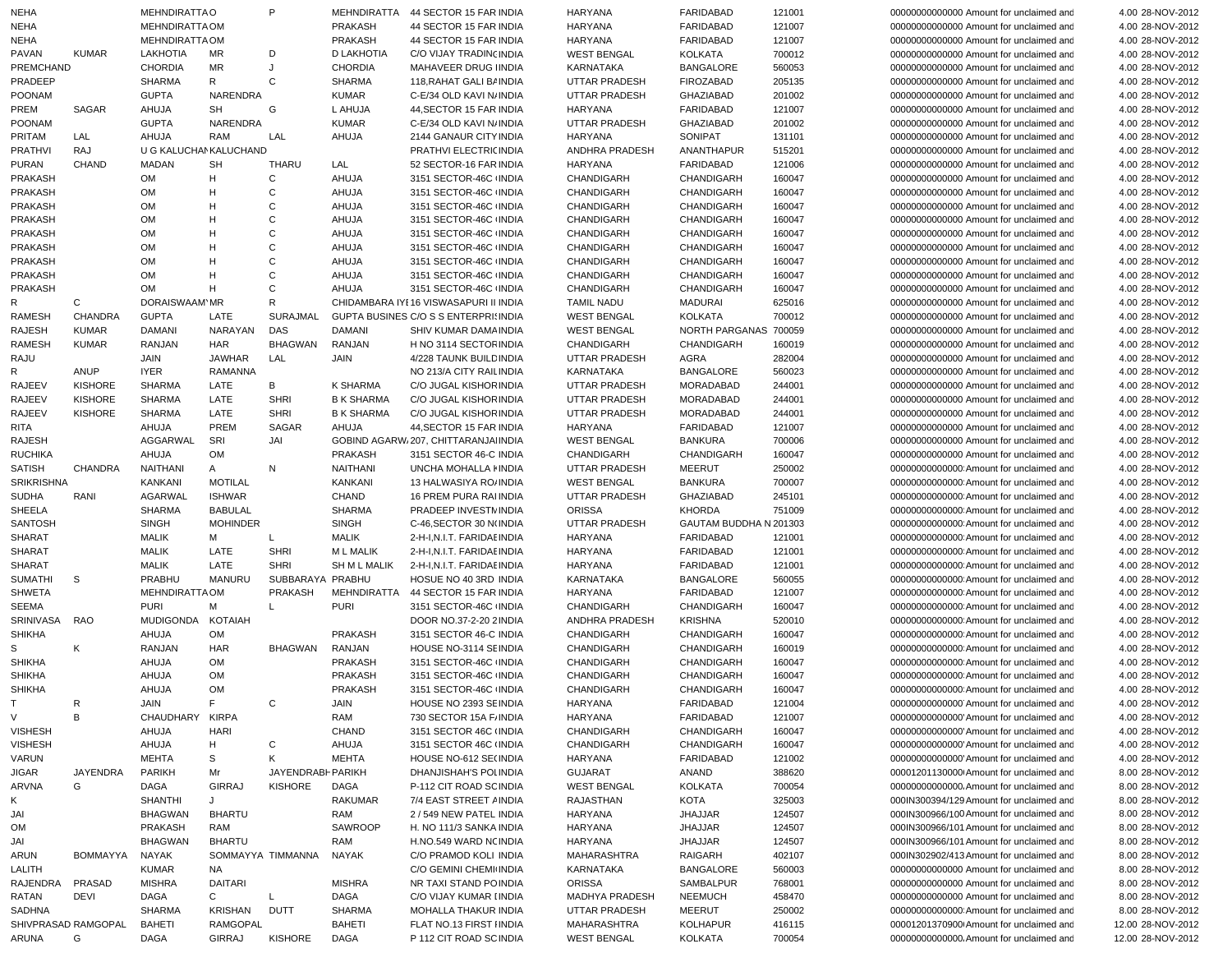| <b>NEHA</b>                      |                            | <b>MEHNDIRATTAO</b>    |                 | P                 | <b>MEHNDIRATTA</b>  | 44 SECTOR 15 FAR INDIA                         | HARYANA                  | <b>FARIDABAD</b>         | 121001           | 00000000000000 Amount for unclaimed and                                            | 4.00 28-NOV-2012                     |
|----------------------------------|----------------------------|------------------------|-----------------|-------------------|---------------------|------------------------------------------------|--------------------------|--------------------------|------------------|------------------------------------------------------------------------------------|--------------------------------------|
| <b>NEHA</b>                      |                            | MEHNDIRATTA OM         |                 |                   | <b>PRAKASH</b>      | 44 SECTOR 15 FAR INDIA                         | <b>HARYANA</b>           | FARIDABAD                | 121007           | 00000000000000 Amount for unclaimed and                                            | 4.00 28-NOV-2012                     |
| NEHA                             |                            | MEHNDIRATTA OM         |                 |                   | <b>PRAKASH</b>      | 44 SECTOR 15 FAR INDIA                         | <b>HARYANA</b>           | FARIDABAD                | 121007           | 00000000000000 Amount for unclaimed and                                            | 4.00 28-NOV-2012                     |
| PAVAN                            | <b>KUMAR</b>               | LAKHOTIA               | MR              | D                 | <b>D LAKHOTIA</b>   | C/O VIJAY TRADIN(INDIA                         | <b>WEST BENGAL</b>       | <b>KOLKATA</b>           | 700012           | 00000000000000 Amount for unclaimed and                                            | 4.00 28-NOV-2012                     |
| PREMCHAND                        |                            | <b>CHORDIA</b>         | MR              | J                 | <b>CHORDIA</b>      | MAHAVEER DRUG IINDIA                           | <b>KARNATAKA</b>         | <b>BANGALORE</b>         | 560053           | 00000000000000 Amount for unclaimed and                                            | 4.00 28-NOV-2012                     |
| PRADEEP                          |                            | <b>SHARMA</b>          | R               | C                 | <b>SHARMA</b>       | 118, RAHAT GALI BI INDIA                       | <b>UTTAR PRADESH</b>     | <b>FIROZABAD</b>         | 205135           | 00000000000000 Amount for unclaimed and                                            | 4.00 28-NOV-2012                     |
| POONAM                           |                            | <b>GUPTA</b>           | NARENDRA        |                   | <b>KUMAR</b>        | C-E/34 OLD KAVI N/ INDIA                       | <b>UTTAR PRADESH</b>     | <b>GHAZIABAD</b>         | 201002           | 00000000000000 Amount for unclaimed and                                            | 4.00 28-NOV-2012                     |
| PREM                             | SAGAR                      | AHUJA                  | <b>SH</b>       | G                 | L AHUJA             | 44, SECTOR 15 FAR INDIA                        | <b>HARYANA</b>           | FARIDABAD                | 121007           | 00000000000000 Amount for unclaimed and                                            | 4.00 28-NOV-2012                     |
| POONAM                           |                            | <b>GUPTA</b>           | NARENDRA        |                   | <b>KUMAR</b>        | C-E/34 OLD KAVI N/ INDIA                       | <b>UTTAR PRADESH</b>     | <b>GHAZIABAD</b>         | 201002           | 00000000000000 Amount for unclaimed and                                            | 4.00 28-NOV-2012                     |
| PRITAM                           | LAL                        | AHUJA                  | <b>RAM</b>      | LAL               | AHUJA               | 2144 GANAUR CITY INDIA                         | <b>HARYANA</b>           | SONIPAT                  | 131101           | 00000000000000 Amount for unclaimed and                                            | 4.00 28-NOV-2012                     |
| <b>PRATHVI</b>                   | <b>RAJ</b><br><b>CHAND</b> | U G KALUCHAN KALUCHAND | <b>SH</b>       |                   |                     | PRATHVI ELECTRI(INDIA                          | ANDHRA PRADESH           | ANANTHAPUR               | 515201           | 00000000000000 Amount for unclaimed and<br>00000000000000 Amount for unclaimed and | 4.00 28-NOV-2012                     |
| <b>PURAN</b>                     |                            | <b>MADAN</b>           |                 | THARU<br>C        | LAL                 | 52 SECTOR-16 FAR INDIA                         | <b>HARYANA</b>           | FARIDABAD                | 121006           |                                                                                    | 4.00 28-NOV-2012                     |
| <b>PRAKASH</b><br><b>PRAKASH</b> |                            | <b>OM</b>              | H<br>H          | C                 | AHUJA               | 3151 SECTOR-46C INDIA                          | CHANDIGARH               | CHANDIGARH               | 160047           | 00000000000000 Amount for unclaimed and                                            | 4.00 28-NOV-2012                     |
|                                  |                            | <b>OM</b>              | H               | C                 | AHUJA               | 3151 SECTOR-46C INDIA                          | CHANDIGARH               | CHANDIGARH               | 160047           | 00000000000000 Amount for unclaimed and<br>00000000000000 Amount for unclaimed and | 4.00 28-NOV-2012                     |
| <b>PRAKASH</b><br><b>PRAKASH</b> |                            | <b>OM</b><br><b>OM</b> | H               | C                 | AHUJA<br>AHUJA      | 3151 SECTOR-46C INDIA                          | CHANDIGARH               | CHANDIGARH               | 160047           |                                                                                    | 4.00 28-NOV-2012                     |
| <b>PRAKASH</b>                   |                            | <b>OM</b>              | H               | С                 | AHUJA               | 3151 SECTOR-46C INDIA<br>3151 SECTOR-46C INDIA | CHANDIGARH<br>CHANDIGARH | CHANDIGARH<br>CHANDIGARH | 160047           | 00000000000000 Amount for unclaimed and<br>00000000000000 Amount for unclaimed and | 4.00 28-NOV-2012                     |
| <b>PRAKASH</b>                   |                            | <b>OM</b>              | H               | C                 | AHUJA               | 3151 SECTOR-46C INDIA                          | CHANDIGARH               | CHANDIGARH               | 160047<br>160047 | 00000000000000 Amount for unclaimed and                                            | 4.00 28-NOV-2012<br>4.00 28-NOV-2012 |
| <b>PRAKASH</b>                   |                            | <b>OM</b>              | H               | C                 | AHUJA               | 3151 SECTOR-46C INDIA                          | CHANDIGARH               | CHANDIGARH               | 160047           | 00000000000000 Amount for unclaimed and                                            | 4.00 28-NOV-2012                     |
| <b>PRAKASH</b>                   |                            | <b>OM</b>              | н               | C                 | AHUJA               | 3151 SECTOR-46C INDIA                          | CHANDIGARH               | CHANDIGARH               | 160047           | 00000000000000 Amount for unclaimed and                                            | 4.00 28-NOV-2012                     |
| <b>PRAKASH</b>                   |                            | <b>OM</b>              | H               | C                 | AHUJA               | 3151 SECTOR-46C INDIA                          | CHANDIGARH               | CHANDIGARH               | 160047           | 00000000000000 Amount for unclaimed and                                            | 4.00 28-NOV-2012                     |
| R                                | C                          | DORAISWAAM'MR          |                 | R                 |                     | CHIDAMBARA IYE16 VISWASAPURI II INDIA          | <b>TAMIL NADU</b>        | MADURAI                  | 625016           | 00000000000000 Amount for unclaimed and                                            | 4.00 28-NOV-2012                     |
| <b>RAMESH</b>                    | <b>CHANDRA</b>             | <b>GUPTA</b>           | LATE            | <b>SURAJMAL</b>   |                     | GUPTA BUSINES C/O S S ENTERPRI(INDIA           | <b>WEST BENGAL</b>       | <b>KOLKATA</b>           | 700012           | 00000000000000 Amount for unclaimed and                                            | 4.00 28-NOV-2012                     |
| RAJESH                           | <b>KUMAR</b>               | <b>DAMANI</b>          | NARAYAN         | <b>DAS</b>        | <b>DAMANI</b>       | SHIV KUMAR DAMA INDIA                          | <b>WEST BENGAL</b>       | NORTH PARGANAS 700059    |                  | 00000000000000 Amount for unclaimed and                                            | 4.00 28-NOV-2012                     |
| <b>RAMESH</b>                    | <b>KUMAR</b>               | RANJAN                 | HAR             | <b>BHAGWAN</b>    | RANJAN              | H NO 3114 SECTOR INDIA                         | CHANDIGARH               | CHANDIGARH               | 160019           | 00000000000000 Amount for unclaimed and                                            | 4.00 28-NOV-2012                     |
| RAJU                             |                            | <b>JAIN</b>            | <b>JAWHAR</b>   | LAL               | <b>JAIN</b>         | 4/228 TAUNK BUILD INDIA                        | <b>UTTAR PRADESH</b>     | AGRA                     | 282004           | 00000000000000 Amount for unclaimed and                                            | 4.00 28-NOV-2012                     |
| R                                | ANUP                       | <b>IYER</b>            | <b>RAMANNA</b>  |                   |                     | NO 213/A CITY RAILINDIA                        | KARNATAKA                | <b>BANGALORE</b>         | 560023           | 00000000000000 Amount for unclaimed and                                            | 4.00 28-NOV-2012                     |
| <b>RAJEEV</b>                    | <b>KISHORE</b>             | <b>SHARMA</b>          | LATE            | В                 | K SHARMA            | C/O JUGAL KISHOR INDIA                         | <b>UTTAR PRADESH</b>     | MORADABAD                | 244001           | 00000000000000 Amount for unclaimed and                                            | 4.00 28-NOV-2012                     |
| <b>RAJEEV</b>                    | <b>KISHORE</b>             | <b>SHARMA</b>          | LATE            | <b>SHRI</b>       | <b>B K SHARMA</b>   | <b>C/O JUGAL KISHOR INDIA</b>                  | <b>UTTAR PRADESH</b>     | MORADABAD                | 244001           | 00000000000000 Amount for unclaimed and                                            | 4.00 28-NOV-2012                     |
| <b>RAJEEV</b>                    | <b>KISHORE</b>             | <b>SHARMA</b>          | LATE            | <b>SHRI</b>       | <b>B K SHARMA</b>   | C/O JUGAL KISHOR INDIA                         | <b>UTTAR PRADESH</b>     | MORADABAD                | 244001           | 00000000000000 Amount for unclaimed and                                            | 4.00 28-NOV-2012                     |
| RITA                             |                            | AHUJA                  | <b>PREM</b>     | SAGAR             | AHUJA               | 44.SECTOR 15 FAR INDIA                         | <b>HARYANA</b>           | FARIDABAD                | 121007           | 00000000000000 Amount for unclaimed and                                            | 4.00 28-NOV-2012                     |
| <b>RAJESH</b>                    |                            | AGGARWAL               | SRI             | JAI               |                     | GOBIND AGARW 207, CHITTARANJAI INDIA           | <b>WEST BENGAL</b>       | <b>BANKURA</b>           | 700006           | 00000000000000 Amount for unclaimed and                                            | 4.00 28-NOV-2012                     |
| <b>RUCHIKA</b>                   |                            | AHUJA                  | <b>OM</b>       |                   | <b>PRAKASH</b>      | 3151 SECTOR 46-C INDIA                         | CHANDIGARH               | CHANDIGARH               | 160047           | 00000000000000 Amount for unclaimed and                                            | 4.00 28-NOV-2012                     |
| <b>SATISH</b>                    | <b>CHANDRA</b>             | NAITHANI               | A               | N                 | NAITHANI            | UNCHA MOHALLA I INDIA                          | <b>UTTAR PRADESH</b>     | <b>MEERUT</b>            | 250002           | 000000000000000 Amount for unclaimed and                                           | 4.00 28-NOV-2012                     |
| <b>SRIKRISHNA</b>                |                            | KANKANI                | <b>MOTILAL</b>  |                   | <b>KANKANI</b>      | 13 HALWASIYA ROJINDIA                          | <b>WEST BENGAL</b>       | <b>BANKURA</b>           | 700007           | 000000000000000 Amount for unclaimed and                                           | 4.00 28-NOV-2012                     |
| <b>SUDHA</b>                     | RANI                       | AGARWAL                | <b>ISHWAR</b>   |                   | CHAND               | 16 PREM PURA RAI INDIA                         | UTTAR PRADESH            | GHAZIABAD                | 245101           | 000000000000000 Amount for unclaimed and                                           | 4.00 28-NOV-2012                     |
| <b>SHEELA</b>                    |                            | <b>SHARMA</b>          | <b>BABULAL</b>  |                   | <b>SHARMA</b>       | PRADEEP INVESTM INDIA                          | <b>ORISSA</b>            | <b>KHORDA</b>            | 751009           | 000000000000000 Amount for unclaimed and                                           | 4.00 28-NOV-2012                     |
| <b>SANTOSH</b>                   |                            | <b>SINGH</b>           | <b>MOHINDER</b> |                   | <b>SINGH</b>        | C-46, SECTOR 30 N(INDIA                        | <b>UTTAR PRADESH</b>     | GAUTAM BUDDHA N 201303   |                  | 000000000000000 Amount for unclaimed and                                           | 4.00 28-NOV-2012                     |
| <b>SHARAT</b>                    |                            | <b>MALIK</b>           | м               | L                 | <b>MALIK</b>        | 2-H-I, N.I.T. FARIDAE INDIA                    | <b>HARYANA</b>           | FARIDABAD                | 121001           | 000000000000000 Amount for unclaimed and                                           | 4.00 28-NOV-2012                     |
| SHARAT                           |                            | <b>MALIK</b>           | LATE            | <b>SHRI</b>       | <b>ML MALIK</b>     | 2-H-I, N.I.T. FARIDAE INDIA                    | <b>HARYANA</b>           | FARIDABAD                | 121001           | 000000000000000 Amount for unclaimed and                                           | 4.00 28-NOV-2012                     |
| <b>SHARAT</b>                    |                            | <b>MALIK</b>           | LATE            | <b>SHRI</b>       | <b>SH M L MALIK</b> | 2-H-I, N.I.T. FARIDAE INDIA                    | <b>HARYANA</b>           | FARIDABAD                | 121001           | 00000000000000 Amount for unclaimed and                                            | 4.00 28-NOV-2012                     |
| <b>SUMATHI</b>                   | S                          | PRABHU                 | <b>MANURU</b>   | SUBBARAYA PRABHU  |                     | HOSUE NO 40 3RD INDIA                          | KARNATAKA                | <b>BANGALORE</b>         | 560055           | 000000000000000 Amount for unclaimed and                                           | 4.00 28-NOV-2012                     |
| <b>SHWETA</b>                    |                            | MEHNDIRATTA OM         |                 | PRAKASH           | MEHNDIRATTA         | 44 SECTOR 15 FAR INDIA                         | <b>HARYANA</b>           | FARIDABAD                | 121007           | 00000000000000 Amount for unclaimed and                                            | 4.00 28-NOV-2012                     |
| SEEMA                            |                            | <b>PURI</b>            | М               | L                 | <b>PURI</b>         | 3151 SECTOR-46C INDIA                          | CHANDIGARH               | CHANDIGARH               | 160047           | 000000000000000 Amount for unclaimed and                                           | 4.00 28-NOV-2012                     |
| SRINIVASA                        | <b>RAO</b>                 | MUDIGONDA              | KOTAIAH         |                   |                     | DOOR NO.37-2-20 2 INDIA                        | <b>ANDHRA PRADESH</b>    | <b>KRISHNA</b>           | 520010           | 000000000000000 Amount for unclaimed and                                           | 4.00 28-NOV-2012                     |
| <b>SHIKHA</b>                    |                            | AHUJA                  | <b>OM</b>       |                   | <b>PRAKASH</b>      | 3151 SECTOR 46-C INDIA                         | CHANDIGARH               | <b>CHANDIGARH</b>        | 160047           | 00000000000000000000 Amount for unclaimed and                                      | 4.00 28-NOV-2012                     |
| S                                | Κ                          | RANJAN                 | <b>HAR</b>      | <b>BHAGWAN</b>    | RANJAN              | HOUSE NO-3114 SEINDIA                          | CHANDIGARH               | CHANDIGARH               | 160019           | 000000000000000 Amount for unclaimed and                                           | 4.00 28-NOV-2012                     |
| <b>SHIKHA</b>                    |                            | AHUJA                  | <b>OM</b>       |                   | PRAKASH             | 3151 SECTOR-46C INDIA                          | <b>CHANDIGARH</b>        | <b>CHANDIGARH</b>        | 160047           | 000000000000000 Amount for unclaimed and                                           | 4.00 28-NOV-2012                     |
| <b>SHIKHA</b>                    |                            | AHUJA                  | <b>OM</b>       |                   | <b>PRAKASH</b>      | 3151 SECTOR-46C INDIA                          | CHANDIGARH               | CHANDIGARH               | 160047           | 000000000000000 Amount for unclaimed and                                           | 4.00 28-NOV-2012                     |
| <b>SHIKHA</b>                    |                            | AHUJA                  | <b>OM</b>       |                   | <b>PRAKASH</b>      | 3151 SECTOR-46C INDIA                          | CHANDIGARH               | CHANDIGARH               | 160047           | 000000000000000 Amount for unclaimed and                                           | 4.00 28-NOV-2012                     |
| T.                               | R                          | JAIN                   | F               | C                 | JAIN                | HOUSE NO 2393 SEINDIA                          | <b>HARYANA</b>           | FARIDABAD                | 121004           | 00000000000000 Amount for unclaimed and                                            | 4.00 28-NOV-2012                     |
| $\vee$                           | В                          | CHAUDHARY KIRPA        |                 |                   | RAM                 | 730 SECTOR 15A F/INDIA                         | HARYANA                  | <b>FARIDABAD</b>         | 121007           | 000000000000000 Amount for unclaimed and                                           | 4.00 28-NOV-2012                     |
| <b>VISHESH</b>                   |                            | AHUJA                  | HARI            |                   | CHAND               | 3151 SECTOR 46C (INDIA                         | CHANDIGARH               | <b>CHANDIGARH</b>        | 160047           | 00000000000000 Amount for unclaimed and                                            | 4.00 28-NOV-2012                     |
| <b>VISHESH</b>                   |                            | AHUJA                  | H               | C                 | AHUJA               | 3151 SECTOR 46C (INDIA                         | <b>CHANDIGARH</b>        | CHANDIGARH               | 160047           | 00000000000000 Amount for unclaimed and                                            | 4.00 28-NOV-2012                     |
| VARUN                            |                            | <b>MEHTA</b>           | S               | K                 | <b>MEHTA</b>        | HOUSE NO-612 SE(INDIA                          | <b>HARYANA</b>           | FARIDABAD                | 121002           | 00000000000000 Amount for unclaimed and                                            | 4.00 28-NOV-2012                     |
| JIGAR                            | <b>JAYENDRA</b>            | PARIKH                 | Mr              | JAYENDRABH PARIKH |                     | DHANJISHAH'S POLINDIA                          | <b>GUJARAT</b>           | ANAND                    | 388620           | 00001201130000 Amount for unclaimed and                                            | 8.00 28-NOV-2012                     |
| <b>ARVNA</b>                     | G                          | DAGA                   | GIRRAJ          | KISHORE           | DAGA                | P-112 CIT ROAD SCINDIA                         | <b>WEST BENGAL</b>       | <b>KOLKATA</b>           | 700054           | 00000000000000. Amount for unclaimed and                                           | 8.00 28-NOV-2012                     |
| Κ                                |                            | <b>SHANTHI</b>         | J               |                   | <b>RAKUMAR</b>      | 7/4 EAST STREET AINDIA                         | RAJASTHAN                | KOTA                     | 325003           | 000IN300394/129 Amount for unclaimed and                                           | 8.00 28-NOV-2012                     |
| JAI                              |                            | <b>BHAGWAN</b>         | BHARTU          |                   | RAM                 | 2 / 549 NEW PATEL INDIA                        | HARYANA                  | JHAJJAR                  | 124507           | 000IN300966/100 Amount for unclaimed and                                           | 8.00 28-NOV-2012                     |
| OM                               |                            | <b>PRAKASH</b>         | RAM             |                   | SAWROOP             | H. NO 111/3 SANKA INDIA                        | <b>HARYANA</b>           | JHAJJAR                  | 124507           | 000IN300966/101 Amount for unclaimed and                                           | 8.00 28-NOV-2012                     |
| JAI                              |                            | <b>BHAGWAN</b>         | <b>BHARTU</b>   |                   | RAM                 | H.NO.549 WARD NCINDIA                          | HARYANA                  | JHAJJAR                  | 124507           | 000IN300966/101 Amount for unclaimed and                                           | 8.00 28-NOV-2012                     |
| ARUN                             | <b>BOMMAYYA</b>            | NAYAK                  |                 | SOMMAYYA TIMMANNA | NAYAK               | C/O PRAMOD KOLI INDIA                          | <b>MAHARASHTRA</b>       | <b>RAIGARH</b>           | 402107           | 000IN302902/413 Amount for unclaimed and                                           | 8.00 28-NOV-2012                     |
| LALITH                           |                            | <b>KUMAR</b>           | NA.             |                   |                     | C/O GEMINI CHEMI INDIA                         | <b>KARNATAKA</b>         | <b>BANGALORE</b>         | 560003           | 00000000000000 Amount for unclaimed and                                            | 8.00 28-NOV-2012                     |
| RAJENDRA                         | PRASAD                     | <b>MISHRA</b>          | <b>DAITARI</b>  |                   | <b>MISHRA</b>       | NR TAXI STAND POINDIA                          | <b>ORISSA</b>            | SAMBALPUR                | 768001           | 00000000000000 Amount for unclaimed and                                            | 8.00 28-NOV-2012                     |
| RATAN                            | DEVI                       | DAGA                   | С               | L                 | DAGA                | C/O VIJAY KUMAR I INDIA                        | MADHYA PRADESH           | <b>NEEMUCH</b>           | 458470           | 00000000000000 Amount for unclaimed and                                            | 8.00 28-NOV-2012                     |
| SADHNA                           |                            | <b>SHARMA</b>          | KRISHAN         | <b>DUTT</b>       | <b>SHARMA</b>       | MOHALLA THAKUR INDIA                           | <b>UTTAR PRADESH</b>     | <b>MEERUT</b>            | 250002           | 0000000000000000 Amount for unclaimed and                                          | 8.00 28-NOV-2012                     |
|                                  | SHIVPRASAD RAMGOPAL        | <b>BAHETI</b>          | <b>RAMGOPAL</b> |                   | <b>BAHETI</b>       | FLAT NO.13 FIRST IINDIA                        | MAHARASHTRA              | <b>KOLHAPUR</b>          | 416115           | 00001201370900 Amount for unclaimed and                                            | 12.00 28-NOV-2012                    |
| ARUNA                            | G                          | <b>DAGA</b>            | GIRRAJ          | <b>KISHORE</b>    | <b>DAGA</b>         | P 112 CIT ROAD SCINDIA                         | <b>WEST BENGAL</b>       | <b>KOLKATA</b>           | 700054           | 00000000000000. Amount for unclaimed and                                           | 12.00 28-NOV-2012                    |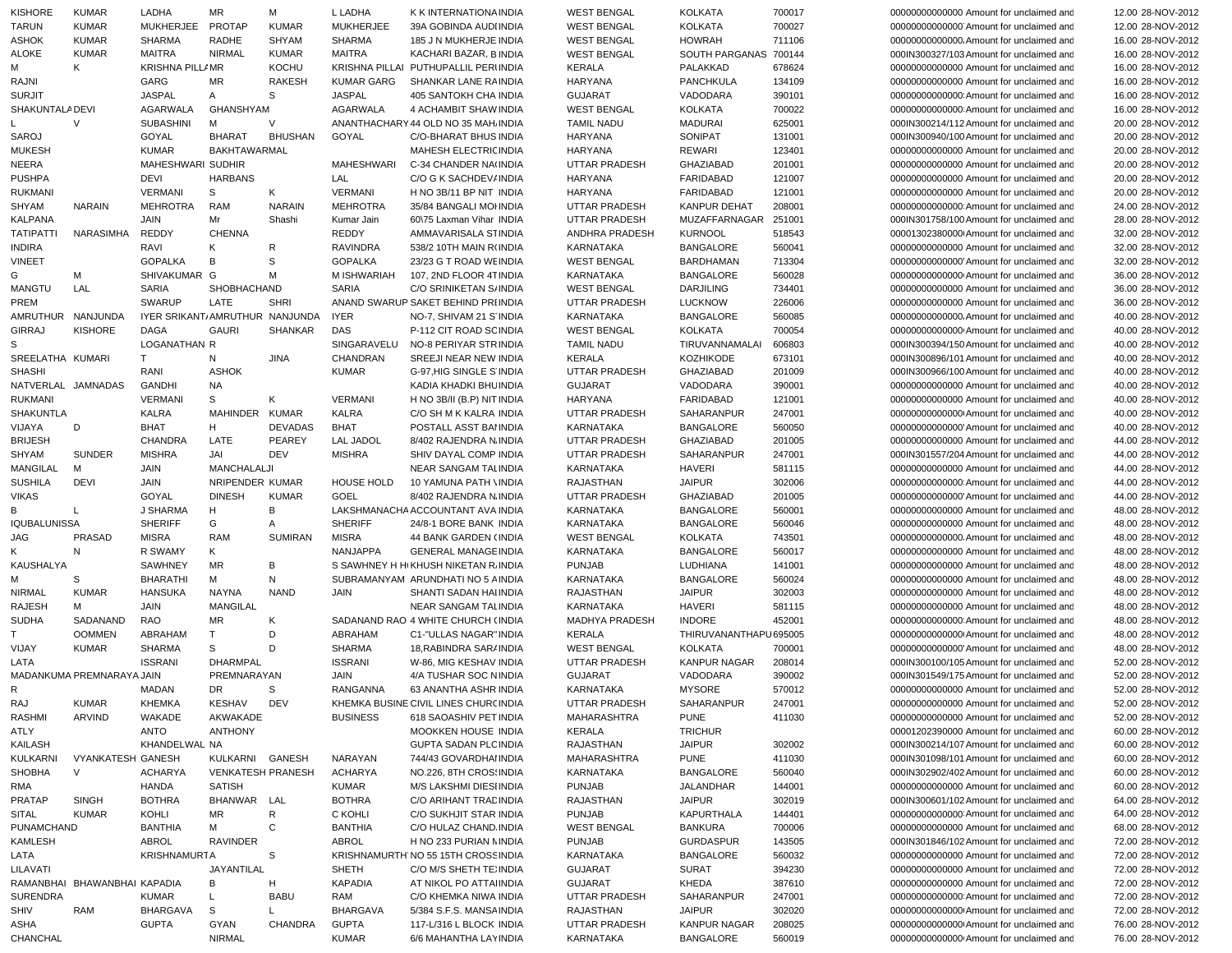| KISHORE             | <b>KUMAR</b>                 | LADHA                          | ΜR                       | М              | L LADHA                      | K K INTERNATIONA INDIA                           | <b>WEST BENGAL</b>                | <b>KOLKATA</b>                   | 700017           | 00000000000000 Amount for unclaimed and                                             | 12.00 28-NOV-2012 |
|---------------------|------------------------------|--------------------------------|--------------------------|----------------|------------------------------|--------------------------------------------------|-----------------------------------|----------------------------------|------------------|-------------------------------------------------------------------------------------|-------------------|
| <b>TARUN</b>        | <b>KUMAR</b>                 | <b>MUKHERJEE</b>               | <b>PROTAP</b>            | <b>KUMAR</b>   | <b>MUKHERJEE</b>             | 39A GOBINDA AUDI INDIA                           | <b>WEST BENGAL</b>                | <b>KOLKATA</b>                   | 700027           | 000000000000000 Amount for unclaimed and                                            | 12.00 28-NOV-2012 |
| ASHOK               | <b>KUMAR</b>                 | <b>SHARMA</b>                  | RADHE                    | <b>SHYAM</b>   | <b>SHARMA</b>                | 185 J N MUKHERJE INDIA                           | <b>WEST BENGAL</b>                | <b>HOWRAH</b>                    | 711106           | 00000000000000. Amount for unclaimed and                                            | 16.00 28-NOV-2012 |
| <b>ALOKE</b>        | <b>KUMAR</b>                 | <b>MAITRA</b>                  | <b>NIRMAL</b>            | <b>KUMAR</b>   | <b>MAITRA</b>                | KACHARI BAZAR, BINDIA                            | <b>WEST BENGAL</b>                | SOUTH PARGANAS                   | 700144           | 000IN300327/103 Amount for unclaimed and                                            | 16.00 28-NOV-2012 |
| М                   | K                            | <b>KRISHNA PILL/MR</b>         |                          | <b>KOCHU</b>   |                              | KRISHNA PILLAI PUTHUPALLIL PERIINDIA             | <b>KERALA</b>                     | PALAKKAD                         | 678624           | 00000000000000 Amount for unclaimed and                                             | 16.00 28-NOV-2012 |
| RAJNI               |                              | GARG                           | MR                       | <b>RAKESH</b>  | <b>KUMAR GARG</b>            | SHANKAR LANE RAINDIA                             | <b>HARYANA</b>                    | PANCHKULA                        | 134109           | 00000000000000 Amount for unclaimed and                                             | 16.00 28-NOV-2012 |
| <b>SURJIT</b>       |                              | <b>JASPAL</b>                  | Α                        | S              | <b>JASPAL</b>                | <b>405 SANTOKH CHA INDIA</b>                     | <b>GUJARAT</b>                    | VADODARA                         | 390101           | 000000000000000 Amount for unclaimed and                                            | 16.00 28-NOV-2012 |
| SHAKUNTALA DEVI     |                              | <b>AGARWALA</b>                | <b>GHANSHYAM</b>         |                | AGARWALA                     | 4 ACHAMBIT SHAW INDIA                            | <b>WEST BENGAL</b>                | <b>KOLKATA</b>                   | 700022           | 00000000000000 Amount for unclaimed and                                             | 16.00 28-NOV-2012 |
|                     | $\vee$                       | <b>SUBASHINI</b>               | М                        | $\vee$         |                              | ANANTHACHARY 44 OLD NO 35 MAH. INDIA             | <b>TAMIL NADU</b>                 | MADURAI                          | 625001           | 000IN300214/112 Amount for unclaimed and                                            | 20.00 28-NOV-2012 |
| SAROJ               |                              | GOYAL                          | <b>BHARAT</b>            | <b>BHUSHAN</b> | GOYAL                        | C/O-BHARAT BHUS INDIA                            | <b>HARYANA</b>                    | SONIPAT                          | 131001           | 000IN300940/100 Amount for unclaimed and                                            | 20.00 28-NOV-2012 |
| <b>MUKESH</b>       |                              | <b>KUMAR</b>                   | BAKHTAWARMAL             |                |                              | MAHESH ELECTRIC INDIA                            | <b>HARYANA</b>                    | <b>REWARI</b>                    | 123401           | 00000000000000 Amount for unclaimed and                                             | 20.00 28-NOV-2012 |
| <b>NEERA</b>        |                              | MAHESHWARI SUDHIR              |                          |                | MAHESHWARI                   | C-34 CHANDER NA(INDIA                            | UTTAR PRADESH                     | <b>GHAZIABAD</b>                 | 201001           | 00000000000000 Amount for unclaimed and                                             | 20.00 28-NOV-2012 |
| <b>PUSHPA</b>       |                              | DEVI                           | <b>HARBANS</b>           |                | LAL                          | C/O G K SACHDEV/ INDIA                           | <b>HARYANA</b>                    | <b>FARIDABAD</b>                 | 121007           | 00000000000000 Amount for unclaimed and                                             | 20.00 28-NOV-2012 |
| <b>RUKMANI</b>      |                              | <b>VERMANI</b>                 | s                        | Κ              | <b>VERMANI</b>               | H NO 3B/11 BP NIT INDIA                          | <b>HARYANA</b>                    | <b>FARIDABAD</b>                 | 121001           | 00000000000000 Amount for unclaimed and                                             | 20.00 28-NOV-2012 |
| <b>SHYAM</b>        | <b>NARAIN</b>                | <b>MEHROTRA</b>                | <b>RAM</b>               | <b>NARAIN</b>  | <b>MEHROTRA</b>              | 35/84 BANGALI MOHNDIA                            | UTTAR PRADESH                     | <b>KANPUR DEHAT</b>              | 208001           | 000000000000000 Amount for unclaimed and                                            | 24.00 28-NOV-2012 |
| <b>KALPANA</b>      |                              | <b>JAIN</b>                    | Mr                       | Shashi         | Kumar Jain                   | 60\75 Laxman Vihar INDIA                         | UTTAR PRADESH                     | MUZAFFARNAGAR                    | 251001           | 000IN301758/100 Amount for unclaimed and                                            | 28.00 28-NOV-2012 |
| <b>TATIPATTI</b>    | NARASIMHA                    | <b>REDDY</b>                   | <b>CHENNA</b>            |                | REDDY                        | AMMAVARISALA STINDIA                             | ANDHRA PRADESH                    | <b>KURNOOL</b>                   | 518543           | 00001302380000 Amount for unclaimed and                                             | 32.00 28-NOV-2012 |
| <b>INDIRA</b>       |                              | RAVI                           | ĸ                        | R              | <b>RAVINDRA</b>              | 538/2 10TH MAIN R(INDIA                          | <b>KARNATAKA</b>                  | <b>BANGALORE</b>                 | 560041           | 00000000000000 Amount for unclaimed and                                             | 32.00 28-NOV-2012 |
| <b>VINEET</b>       |                              | <b>GOPALKA</b>                 | В                        | S              | <b>GOPALKA</b>               | 23/23 G T ROAD WE INDIA                          | <b>WEST BENGAL</b>                | <b>BARDHAMAN</b>                 | 713304           | 000000000000000 Amount for unclaimed and                                            | 32.00 28-NOV-2012 |
| G                   | м                            | SHIVAKUMAR G                   |                          | M              | M ISHWARIAH                  | 107, 2ND FLOOR 4T INDIA                          | KARNATAKA                         | <b>BANGALORE</b>                 | 560028           | 000000000000000 Amount for unclaimed and                                            | 36.00 28-NOV-2012 |
| <b>MANGTU</b>       | LAL                          | SARIA                          | SHOBHACHAND              |                | SARIA                        | C/O SRINIKETAN S/ INDIA                          | <b>WEST BENGAL</b>                | <b>DARJILING</b>                 | 734401           | 00000000000000 Amount for unclaimed and                                             | 36.00 28-NOV-2012 |
|                     |                              | <b>SWARUP</b>                  | LATE                     | <b>SHRI</b>    |                              | ANAND SWARUP SAKET BEHIND PRI INDIA              | UTTAR PRADESH                     | <b>LUCKNOW</b>                   | 226006           |                                                                                     |                   |
| PREM                |                              | IYER SRIKANT/AMRUTHUR NANJUNDA |                          |                |                              |                                                  |                                   |                                  |                  | 00000000000000 Amount for unclaimed and<br>00000000000000. Amount for unclaimed and | 36.00 28-NOV-2012 |
| AMRUTHUR NANJUNDA   |                              |                                |                          |                | <b>IYER</b>                  | NO-7, SHIVAM 21 S INDIA                          | KARNATAKA                         | <b>BANGALORE</b>                 | 560085           |                                                                                     | 40.00 28-NOV-2012 |
| <b>GIRRAJ</b>       | <b>KISHORE</b>               | <b>DAGA</b>                    | <b>GAURI</b>             | <b>SHANKAR</b> | <b>DAS</b>                   | P-112 CIT ROAD SCINDIA                           | <b>WEST BENGAL</b>                | <b>KOLKATA</b>                   | 700054           | 000000000000000 Amount for unclaimed and                                            | 40.00 28-NOV-2012 |
| S                   |                              | LOGANATHAN R                   |                          |                | SINGARAVELU                  | NO-8 PERIYAR STRINDIA                            | <b>TAMIL NADU</b>                 | TIRUVANNAMALAI                   | 606803           | 000IN300394/150 Amount for unclaimed and                                            | 40.00 28-NOV-2012 |
| SREELATHA KUMARI    |                              | T.                             | Ν                        | <b>JINA</b>    | CHANDRAN                     | SREEJI NEAR NEW INDIA                            | <b>KERALA</b>                     | <b>KOZHIKODE</b>                 | 673101           | 000IN300896/101 Amount for unclaimed and                                            | 40.00 28-NOV-2012 |
| <b>SHASHI</b>       |                              | RANI                           | <b>ASHOK</b>             |                | <b>KUMAR</b>                 | G-97, HIG SINGLE S INDIA                         | <b>UTTAR PRADESH</b>              | GHAZIABAD                        | 201009           | 000IN300966/100 Amount for unclaimed and                                            | 40.00 28-NOV-2012 |
| NATVERLAL JAMNADAS  |                              | <b>GANDHI</b>                  | <b>NA</b>                |                |                              | KADIA KHADKI BHU INDIA                           | <b>GUJARAT</b>                    | VADODARA                         | 390001           | 00000000000000 Amount for unclaimed and                                             | 40.00 28-NOV-2012 |
| <b>RUKMANI</b>      |                              | <b>VERMANI</b>                 | s                        | K              | <b>VERMANI</b>               | H NO 3B/II (B.P) NIT INDIA                       | <b>HARYANA</b>                    | <b>FARIDABAD</b>                 | 121001           | 00000000000000 Amount for unclaimed and                                             | 40.00 28-NOV-2012 |
| SHAKUNTLA           |                              | <b>KALRA</b>                   | MAHINDER KUMAR           |                | <b>KALRA</b>                 | C/O SH M K KALRA INDIA                           | <b>UTTAR PRADESH</b>              | SAHARANPUR                       | 247001           | 00000000000000 Amount for unclaimed and                                             | 40.00 28-NOV-2012 |
| VIJAYA              | D                            | <b>BHAT</b>                    | H                        | <b>DEVADAS</b> | <b>BHAT</b>                  | POSTALL ASST BAHNDIA                             | <b>KARNATAKA</b>                  | <b>BANGALORE</b>                 | 560050           | 00000000000000 Amount for unclaimed and                                             | 40.00 28-NOV-2012 |
| <b>BRIJESH</b>      |                              | <b>CHANDRA</b>                 | LATE                     | PEAREY         | <b>LAL JADOL</b>             | 8/402 RAJENDRA N. INDIA                          | UTTAR PRADESH                     | GHAZIABAD                        | 201005           | 00000000000000 Amount for unclaimed and                                             | 44.00 28-NOV-2012 |
| <b>SHYAM</b>        | <b>SUNDER</b>                | <b>MISHRA</b>                  | JAI                      | DEV            | <b>MISHRA</b>                | SHIV DAYAL COMP INDIA                            | UTTAR PRADESH                     | SAHARANPUR                       | 247001           | 000IN301557/204 Amount for unclaimed and                                            | 44.00 28-NOV-2012 |
| <b>MANGILAL</b>     | м                            | <b>JAIN</b>                    | MANCHALALJI              |                |                              | NEAR SANGAM TALINDIA                             | <b>KARNATAKA</b>                  | <b>HAVERI</b>                    | 581115           | 00000000000000 Amount for unclaimed and                                             | 44.00 28-NOV-2012 |
| <b>SUSHILA</b>      |                              | <b>JAIN</b>                    | NRIPENDER KUMAR          |                |                              |                                                  |                                   |                                  |                  |                                                                                     |                   |
|                     | <b>DEVI</b>                  |                                |                          |                | <b>HOUSE HOLD</b>            | 10 YAMUNA PATH \INDIA                            | RAJASTHAN                         | <b>JAIPUR</b>                    | 302006           | 00000000000000 Amount for unclaimed and                                             | 44.00 28-NOV-2012 |
| <b>VIKAS</b>        |                              | GOYAL                          | <b>DINESH</b>            | <b>KUMAR</b>   | GOEL                         | 8/402 RAJENDRA N. INDIA                          | UTTAR PRADESH                     | GHAZIABAD                        | 201005           | 000000000000000 Amount for unclaimed and                                            | 44.00 28-NOV-2012 |
| в                   |                              | J SHARMA                       | н                        | B              |                              | LAKSHMANACHA ACCOUNTANT AVA INDIA                | <b>KARNATAKA</b>                  | <b>BANGALORE</b>                 | 560001           | 00000000000000 Amount for unclaimed and                                             | 48.00 28-NOV-2012 |
| <b>IQUBALUNISSA</b> |                              | <b>SHERIFF</b>                 | G                        | Α              | <b>SHERIFF</b>               | 24/8-1 BORE BANK INDIA                           | <b>KARNATAKA</b>                  | <b>BANGALORE</b>                 | 560046           | 00000000000000 Amount for unclaimed and                                             | 48.00 28-NOV-2012 |
| <b>JAG</b>          | PRASAD                       | <b>MISRA</b>                   | <b>RAM</b>               | <b>SUMIRAN</b> | <b>MISRA</b>                 | 44 BANK GARDEN (INDIA                            | <b>WEST BENGAL</b>                | <b>KOLKATA</b>                   | 743501           | 000000000000000. Amount for unclaimed and                                           | 48.00 28-NOV-2012 |
| Κ                   | N                            | R SWAMY                        | Κ                        |                | NANJAPPA                     | <b>GENERAL MANAGE INDIA</b>                      | <b>KARNATAKA</b>                  | <b>BANGALORE</b>                 | 560017           | 00000000000000 Amount for unclaimed and                                             | 48.00 28-NOV-2012 |
| KAUSHALYA           |                              | <b>SAWHNEY</b>                 | <b>MR</b>                | B              |                              | S SAWHNEY H H(KHUSH NIKETAN R, INDIA             | <b>PUNJAB</b>                     | LUDHIANA                         | 141001           | 00000000000000 Amount for unclaimed and                                             | 48.00 28-NOV-2012 |
| М                   | S                            | <b>BHARATHI</b>                | м                        | N              |                              | SUBRAMANYAM ARUNDHATI NO 5 AINDIA                | <b>KARNATAKA</b>                  | <b>BANGALORE</b>                 |                  |                                                                                     |                   |
|                     |                              |                                |                          |                |                              |                                                  |                                   |                                  | 560024           | 00000000000000 Amount for unclaimed and                                             | 48.00 28-NOV-2012 |
| <b>NIRMAL</b>       | <b>KUMAR</b>                 | <b>HANSUKA</b>                 | <b>NAYNA</b>             | <b>NAND</b>    | JAIN                         | SHANTI SADAN HAI INDIA                           | RAJASTHAN                         | <b>JAIPUR</b>                    | 302003           | 00000000000000 Amount for unclaimed and                                             | 48.00 28-NOV-2012 |
| <b>RAJESH</b>       | м                            | <b>JAIN</b>                    | <b>MANGILAL</b>          |                |                              | <b>NEAR SANGAM TALINDIA</b>                      | <b>KARNATAKA</b>                  | <b>HAVERI</b>                    | 581115           | 00000000000000 Amount for unclaimed and                                             | 48.00 28-NOV-2012 |
| <b>SUDHA</b>        | SADANAND                     | <b>RAO</b>                     | MR                       | Κ              |                              | SADANAND RAO 4 WHITE CHURCH (INDIA               | <b>MADHYA PRADESH</b>             | <b>INDORE</b>                    | 452001           | 000000000000000 Amount for unclaimed and                                            | 48.00 28-NOV-2012 |
| T.                  | <b>OOMMEN</b>                | ABRAHAM                        | T.                       | D              | ABRAHAM                      | C1-"ULLAS NAGAR" INDIA                           | <b>KERALA</b>                     | THIRUVANANTHAPU 695005           |                  | 000000000000000 Amount for unclaimed and                                            | 48.00 28-NOV-2012 |
| VIJAY               | KUMAR                        | <b>SHARMA</b>                  | S                        | D              | SHARMA                       | 18, RABINDRA SAR/ INDIA                          | <b>WEST BENGAL</b>                | <b>KOLKATA</b>                   | 700001           | 00000000000000 Amount for unclaimed and                                             | 48.00 28-NOV-2012 |
| LATA                |                              | <b>ISSRANI</b>                 | DHARMPAL                 |                | <b>ISSRANI</b>               | W-86, MIG KESHAV INDIA                           | UTTAR PRADESH                     | KANPUR NAGAR                     | 208014           | 000IN300100/105 Amount for unclaimed and                                            | 52.00 28-NOV-2012 |
|                     | MADANKUMA PREMNARAYA JAIN    |                                | PREMNARAYAN              |                | JAIN                         | 4/A TUSHAR SOC NINDIA                            | <b>GUJARAT</b>                    | VADODARA                         | 390002           | 000IN301549/175 Amount for unclaimed and                                            | 52.00 28-NOV-2012 |
| R                   |                              | <b>MADAN</b>                   | <b>DR</b>                | S              | RANGANNA                     | 63 ANANTHA ASHR INDIA                            | <b>KARNATAKA</b>                  | <b>MYSORE</b>                    | 570012           | 00000000000000 Amount for unclaimed and                                             | 52.00 28-NOV-2012 |
| RAJ                 | <b>KUMAR</b>                 | KHEMKA                         | KESHAV                   | DEV            |                              | KHEMKA BUSINE CIVIL LINES CHUR( INDIA            | UTTAR PRADESH                     | SAHARANPUR                       | 247001           | 00000000000000 Amount for unclaimed and                                             | 52.00 28-NOV-2012 |
| RASHMI              | ARVIND                       | WAKADE                         | AKWAKADE                 |                | <b>BUSINESS</b>              | 618 SAOASHIV PET INDIA                           | <b>MAHARASHTRA</b>                | PUNE                             | 411030           | 00000000000000 Amount for unclaimed and                                             | 52.00 28-NOV-2012 |
| ATLY                |                              | ANTO                           | <b>ANTHONY</b>           |                |                              | MOOKKEN HOUSE INDIA                              | <b>KERALA</b>                     | <b>TRICHUR</b>                   |                  | 00001202390000 Amount for unclaimed and                                             | 60.00 28-NOV-2012 |
| KAILASH             |                              | KHANDELWAL NA                  |                          |                |                              | <b>GUPTA SADAN PLC INDIA</b>                     | RAJASTHAN                         | <b>JAIPUR</b>                    | 302002           | 000IN300214/107 Amount for unclaimed and                                            | 60.00 28-NOV-2012 |
| KULKARNI            | VYANKATESH GANESH            |                                | KULKARNI GANESH          |                | NARAYAN                      | 744/43 GOVARDHAI INDIA                           | MAHARASHTRA                       | <b>PUNE</b>                      | 411030           | 000IN301098/101 Amount for unclaimed and                                            | 60.00 28-NOV-2012 |
| SHOBHA              | V                            | <b>ACHARYA</b>                 | <b>VENKATESH PRANESH</b> |                | <b>ACHARYA</b>               | NO.226, 8TH CROS! INDIA                          | KARNATAKA                         | <b>BANGALORE</b>                 | 560040           | 000IN302902/402 Amount for unclaimed and                                            | 60.00 28-NOV-2012 |
| RMA                 |                              | <b>HANDA</b>                   | <b>SATISH</b>            |                | <b>KUMAR</b>                 | M/S LAKSHMI DIESI INDIA                          | <b>PUNJAB</b>                     | JALANDHAR                        | 144001           | 00000000000000 Amount for unclaimed and                                             | 60.00 28-NOV-2012 |
| <b>PRATAP</b>       | <b>SINGH</b>                 | <b>BOTHRA</b>                  | BHANWAR LAL              |                | <b>BOTHRA</b>                | C/O ARIHANT TRAC INDIA                           | RAJASTHAN                         | <b>JAIPUR</b>                    | 302019           | 000IN300601/102 Amount for unclaimed and                                            | 64.00 28-NOV-2012 |
| SITAL               | KUMAR                        | KOHLI                          | ΜR                       | R              | C KOHLI                      | C/O SUKHJIT STAR INDIA                           | <b>PUNJAB</b>                     | <b>KAPURTHALA</b>                | 144401           | 000000000000000 Amount for unclaimed and                                            | 64.00 28-NOV-2012 |
| PUNAMCHAND          |                              | <b>BANTHIA</b>                 | м                        | С              | BANTHIA                      | C/O HULAZ CHAND INDIA                            | <b>WEST BENGAL</b>                | <b>BANKURA</b>                   | 700006           | 00000000000000 Amount for unclaimed and                                             | 68.00 28-NOV-2012 |
| KAMLESH             |                              | ABROL                          | RAVINDER                 |                | ABROL                        | H NO 233 PURIAN NINDIA                           | <b>PUNJAB</b>                     | <b>GURDASPUR</b>                 | 143505           | 000IN301846/102 Amount for unclaimed and                                            | 72.00 28-NOV-2012 |
| LATA                |                              | <b>KRISHNAMURTA</b>            |                          | S              |                              | KRISHNAMURTH' NO 55 15TH CROSS INDIA             | <b>KARNATAKA</b>                  | BANGALORE                        | 560032           | 00000000000000 Amount for unclaimed and                                             | 72.00 28-NOV-2012 |
| LILAVATI            |                              |                                | JAYANTILAL               |                | SHETH                        | C/O M/S SHETH TE INDIA                           | <b>GUJARAT</b>                    | <b>SURAT</b>                     | 394230           | 00000000000000 Amount for unclaimed and                                             | 72.00 28-NOV-2012 |
|                     | RAMANBHAI BHAWANBHAI KAPADIA |                                | в                        | н              | <b>KAPADIA</b>               | AT NIKOL PO ATTAI INDIA                          | <b>GUJARAT</b>                    | <b>KHEDA</b>                     | 387610           | 00000000000000 Amount for unclaimed and                                             | 72.00 28-NOV-2012 |
| <b>SURENDRA</b>     |                              | <b>KUMAR</b>                   |                          | <b>BABU</b>    | RAM                          | C/O KHEMKA NIWA INDIA                            | UTTAR PRADESH                     | SAHARANPUR                       | 247001           | 000000000000000 Amount for unclaimed and                                            | 72.00 28-NOV-2012 |
| SHIV                | <b>RAM</b>                   | BHARGAVA                       | S                        | L              | <b>BHARGAVA</b>              | 5/384 S.F.S. MANSA INDIA                         | RAJASTHAN                         | <b>JAIPUR</b>                    | 302020           | 000000000000000 Amount for unclaimed and                                            | 72.00 28-NOV-2012 |
| ASHA<br>CHANCHAL    |                              | <b>GUPTA</b>                   | GYAN<br><b>NIRMAL</b>    | CHANDRA        | <b>GUPTA</b><br><b>KUMAR</b> | 117-L/316 L BLOCK INDIA<br>6/6 MAHANTHA LAYINDIA | UTTAR PRADESH<br><b>KARNATAKA</b> | KANPUR NAGAR<br><b>BANGALORE</b> | 208025<br>560019 | 000000000000000 Amount for unclaimed and                                            | 76.00 28-NOV-2012 |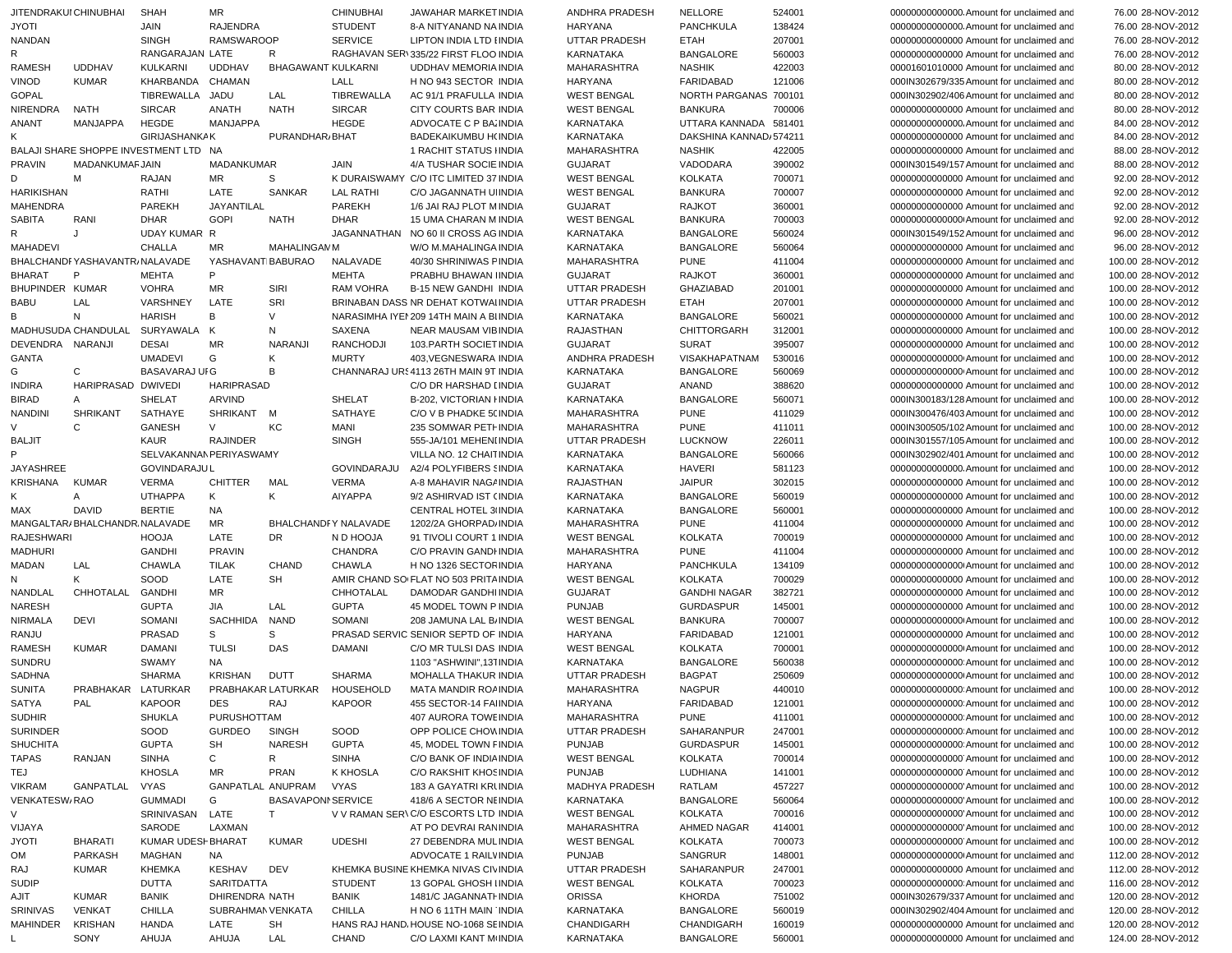| JITENDRAKUI CHINUBHAI |                                | <b>SHAH</b>                           | MR                |                           | <b>CHINUBHAI</b>             | JAWAHAR MARKET INDIA                    | ANDHRA PRADESH       | NELLORE                  | 524001 | 000000000000000. Amount for unclaimed and | 76.00 28-NOV-2012  |
|-----------------------|--------------------------------|---------------------------------------|-------------------|---------------------------|------------------------------|-----------------------------------------|----------------------|--------------------------|--------|-------------------------------------------|--------------------|
| <b>JYOTI</b>          |                                | JAIN                                  | <b>RAJENDRA</b>   |                           | <b>STUDENT</b>               | 8-A NITYANAND NA INDIA                  | HARYANA              | <b>PANCHKULA</b>         | 138424 | 000000000000000. Amount for unclaimed and | 76.00 28-NOV-2012  |
| <b>NANDAN</b>         |                                | <b>SINGH</b>                          | <b>RAMSWAROOP</b> |                           | <b>SERVICE</b>               | LIPTON INDIA LTD I INDIA                | <b>UTTAR PRADESH</b> | <b>ETAH</b>              | 207001 | 00000000000000 Amount for unclaimed and   | 76.00 28-NOV-2012  |
| R                     |                                | RANGARAJAN LATE                       |                   | R                         |                              | RAGHAVAN SER\335/22 FIRST FLOO INDIA    | <b>KARNATAKA</b>     | <b>BANGALORE</b>         | 560003 | 00000000000000 Amount for unclaimed and   | 76.00 28-NOV-2012  |
| <b>RAMESH</b>         | <b>UDDHAV</b>                  | KULKARNI                              | <b>UDDHAV</b>     | BHAGAWANT KULKARNI        |                              | UDDHAV MEMORIA INDIA                    | <b>MAHARASHTRA</b>   | <b>NASHIK</b>            | 422003 | 00001601010000 Amount for unclaimed and   | 80.00 28-NOV-2012  |
| <b>VINOD</b>          | <b>KUMAR</b>                   | KHARBANDA                             | CHAMAN            |                           | LALL                         | H NO 943 SECTOR INDIA                   | HARYANA              | <b>FARIDABAD</b>         | 121006 | 000IN302679/335 Amount for unclaimed and  | 80.00 28-NOV-2012  |
| <b>GOPAL</b>          |                                | TIBREWALLA                            | JADU              | LAL                       | TIBREWALLA                   | AC 91/1 PRAFULLA INDIA                  | <b>WEST BENGAL</b>   | NORTH PARGANAS 700101    |        | 000IN302902/406 Amount for unclaimed and  | 80.00 28-NOV-2012  |
| NIRENDRA              | NATH                           | <b>SIRCAR</b>                         | <b>ANATH</b>      | <b>NATH</b>               | <b>SIRCAR</b>                | CITY COURTS BAR INDIA                   | <b>WEST BENGAL</b>   | <b>BANKURA</b>           | 700006 | 00000000000000 Amount for unclaimed and   | 80.00 28-NOV-2012  |
| <b>ANANT</b>          | MANJAPPA                       | HEGDE                                 | <b>MANJAPPA</b>   |                           | <b>HEGDE</b>                 | ADVOCATE C P BA INDIA                   | <b>KARNATAKA</b>     | UTTARA KANNADA 581401    |        | 00000000000000. Amount for unclaimed and  | 84.00 28-NOV-2012  |
|                       |                                | <b>GIRIJASHANKAK</b>                  |                   | PURANDHAR/BHAT            |                              | BADEKAIKUMBU H(INDIA                    | <b>KARNATAKA</b>     | DAKSHINA KANNAD / 574211 |        | 00000000000000 Amount for unclaimed and   | 84.00 28-NOV-2012  |
|                       |                                | BALAJI SHARE SHOPPE INVESTMENT LTD NA |                   |                           |                              | 1 RACHIT STATUS HNDIA                   | MAHARASHTRA          | <b>NASHIK</b>            | 422005 | 00000000000000 Amount for unclaimed and   | 88.00 28-NOV-2012  |
| <b>PRAVIN</b>         | MADANKUMAFJAIN                 |                                       | <b>MADANKUMAR</b> |                           | JAIN                         | 4/A TUSHAR SOCIE INDIA                  | <b>GUJARAT</b>       | VADODARA                 | 390002 | 000IN301549/157 Amount for unclaimed and  | 88.00 28-NOV-2012  |
| D                     | м                              | RAJAN                                 | MR                | S                         |                              | K DURAISWAMY C/O ITC LIMITED 37 INDIA   | <b>WEST BENGAL</b>   | <b>KOLKATA</b>           | 700071 | 00000000000000 Amount for unclaimed and   | 92.00 28-NOV-2012  |
| <b>HARIKISHAN</b>     |                                | RATHI                                 | LATE              | <b>SANKAR</b>             | <b>LAL RATHI</b>             | C/O JAGANNATH UIINDIA                   | <b>WEST BENGAL</b>   | <b>BANKURA</b>           | 700007 | 00000000000000 Amount for unclaimed and   | 92.00 28-NOV-2012  |
| <b>MAHENDRA</b>       |                                | PAREKH                                | JAYANTILAL        |                           | PAREKH                       | 1/6 JAI RAJ PLOT MINDIA                 | <b>GUJARAT</b>       | RAJKOT                   | 360001 | 00000000000000 Amount for unclaimed and   | 92.00 28-NOV-2012  |
| <b>SABITA</b>         | RANI                           | <b>DHAR</b>                           | GOPI              | <b>NATH</b>               | DHAR                         | 15 UMA CHARAN M INDIA                   | <b>WEST BENGAL</b>   | <b>BANKURA</b>           | 700003 | 00000000000000 Amount for unclaimed and   | 92.00 28-NOV-2012  |
|                       | J                              |                                       |                   |                           |                              |                                         | <b>KARNATAKA</b>     | <b>BANGALORE</b>         |        |                                           | 96.00 28-NOV-2012  |
| R                     |                                | UDAY KUMAR R                          |                   |                           |                              | JAGANNATHAN NO 60 II CROSS AG INDIA     |                      |                          | 560024 | 000IN301549/152 Amount for unclaimed and  |                    |
| <b>MAHADEVI</b>       |                                | <b>CHALLA</b>                         | MR                | <b>MAHALINGANM</b>        |                              | W/O M.MAHALINGA INDIA                   | <b>KARNATAKA</b>     | <b>BANGALORE</b>         | 560064 | 00000000000000 Amount for unclaimed and   | 96.00 28-NOV-2012  |
|                       | BHALCHANDFYASHAVANTR/NALAVADE  |                                       | YASHAVANTIBABURAO |                           | NALAVADE                     | 40/30 SHRINIWAS FINDIA                  | MAHARASHTRA          | <b>PUNE</b>              | 411004 | 00000000000000 Amount for unclaimed and   | 100.00 28-NOV-2012 |
| BHARAT                | P                              | <b>MEHTA</b>                          | P                 |                           | <b>MEHTA</b>                 | PRABHU BHAWAN INDIA                     | <b>GUJARAT</b>       | <b>RAJKOT</b>            | 360001 | 00000000000000 Amount for unclaimed and   | 100.00 28-NOV-2012 |
| BHUPINDER KUMAR       |                                | <b>VOHRA</b>                          | MR                | SIRI                      | <b>RAM VOHRA</b>             | <b>B-15 NEW GANDHI INDIA</b>            | UTTAR PRADESH        | <b>GHAZIABAD</b>         | 201001 | 00000000000000 Amount for unclaimed and   | 100.00 28-NOV-2012 |
| <b>BABU</b>           | LAL                            | VARSHNEY                              | LATE              | SRI                       |                              | BRINABAN DASS NR DEHAT KOTWAI INDIA     | <b>UTTAR PRADESH</b> | <b>ETAH</b>              | 207001 | 00000000000000 Amount for unclaimed and   | 100.00 28-NOV-2012 |
| B                     | N                              | <b>HARISH</b>                         | В                 | V                         |                              | NARASIMHA IYEI 209 14TH MAIN A BI INDIA | KARNATAKA            | <b>BANGALORE</b>         | 560021 | 00000000000000 Amount for unclaimed and   | 100.00 28-NOV-2012 |
|                       | MADHUSUDA CHANDULAL            | SURYAWALA K                           |                   | N                         | SAXENA                       | <b>NEAR MAUSAM VIBINDIA</b>             | <b>RAJASTHAN</b>     | <b>CHITTORGARH</b>       | 312001 | 00000000000000 Amount for unclaimed and   | 100.00 28-NOV-2012 |
| DEVENDRA NARANJI      |                                | <b>DESAI</b>                          | <b>MR</b>         | <b>NARANJI</b>            | RANCHODJI                    | 103. PARTH SOCIET INDIA                 | <b>GUJARAT</b>       | <b>SURAT</b>             | 395007 | 00000000000000 Amount for unclaimed and   | 100.00 28-NOV-2012 |
| GANTA                 |                                | <b>UMADEVI</b>                        | G                 | Κ                         | <b>MURTY</b>                 | 403, VEGNESWARA INDIA                   | ANDHRA PRADESH       | VISAKHAPATNAM            | 530016 | 000000000000000 Amount for unclaimed and  | 100.00 28-NOV-2012 |
| G                     | C                              | BASAVARAJ UI G                        |                   | B                         |                              | CHANNARAJ URS 4113 26TH MAIN 9T INDIA   | KARNATAKA            | <b>BANGALORE</b>         | 560069 | 00000000000000 Amount for unclaimed and   | 100.00 28-NOV-2012 |
| <b>INDIRA</b>         | HARIPRASAD DWIVEDI             |                                       | HARIPRASAD        |                           |                              | C/O DR HARSHAD LINDIA                   | <b>GUJARAT</b>       | ANAND                    | 388620 | 00000000000000 Amount for unclaimed and   | 100.00 28-NOV-2012 |
| <b>BIRAD</b>          | A                              | SHELAT                                | ARVIND            |                           | SHELAT                       | B-202, VICTORIAN HNDIA                  | KARNATAKA            | <b>BANGALORE</b>         | 560071 | 000IN300183/128 Amount for unclaimed and  | 100.00 28-NOV-2012 |
| <b>NANDINI</b>        | SHRIKANT                       | SATHAYE                               | SHRIKANT M        |                           | SATHAYE                      | C/O V B PHADKE 5( INDIA                 | MAHARASHTRA          | <b>PUNE</b>              | 411029 | 000IN300476/403 Amount for unclaimed and  | 100.00 28-NOV-2012 |
|                       | C                              | GANESH                                | V                 | KC                        | MANI                         | 235 SOMWAR PETHINDIA                    | MAHARASHTRA          | <b>PUNE</b>              | 411011 | 000IN300505/102 Amount for unclaimed and  | 100.00 28-NOV-2012 |
| <b>BALJIT</b>         |                                | KAUR                                  | <b>RAJINDER</b>   |                           | <b>SINGH</b>                 | 555-JA/101 MEHENI INDIA                 | <b>UTTAR PRADESH</b> | <b>LUCKNOW</b>           | 226011 | 000IN301557/105 Amount for unclaimed and  | 100.00 28-NOV-2012 |
|                       |                                | SELVAKANNAN PERIYASWAMY               |                   |                           |                              | VILLA NO. 12 CHAITINDIA                 | <b>KARNATAKA</b>     | <b>BANGALORE</b>         | 560066 | 000IN302902/401 Amount for unclaimed and  | 100.00 28-NOV-2012 |
| <b>JAYASHREE</b>      |                                | <b>GOVINDARAJUL</b>                   |                   |                           | GOVINDARAJU                  | A2/4 POLYFIBERS SINDIA                  | <b>KARNATAKA</b>     | <b>HAVERI</b>            | 581123 | 00000000000000. Amount for unclaimed and  | 100.00 28-NOV-2012 |
| KRISHANA              | <b>KUMAR</b>                   | <b>VERMA</b>                          | <b>CHITTER</b>    | MAL                       | <b>VERMA</b>                 | A-8 MAHAVIR NAGA INDIA                  | <b>RAJASTHAN</b>     | <b>JAIPUR</b>            | 302015 | 00000000000000 Amount for unclaimed and   | 100.00 28-NOV-2012 |
| K                     | Α                              | <b>UTHAPPA</b>                        | K                 | Κ                         | <b>AIYAPPA</b>               | 9/2 ASHIRVAD IST (INDIA                 | KARNATAKA            | <b>BANGALORE</b>         | 560019 | 00000000000000 Amount for unclaimed and   | 100.00 28-NOV-2012 |
| MAX                   | DAVID                          | <b>BERTIE</b>                         | <b>NA</b>         |                           |                              | <b>CENTRAL HOTEL 3/INDIA</b>            | KARNATAKA            | <b>BANGALORE</b>         | 560001 | 00000000000000 Amount for unclaimed and   | 100.00 28-NOV-2012 |
|                       |                                |                                       |                   |                           |                              |                                         |                      |                          |        |                                           |                    |
|                       | MANGALTAR/BHALCHANDR. NALAVADE |                                       | <b>MR</b>         |                           | BHALCHANDFY NALAVADE         | 1202/2A GHORPAD/ INDIA                  | <b>MAHARASHTRA</b>   | <b>PUNE</b>              | 411004 | 00000000000000 Amount for unclaimed and   | 100.00 28-NOV-2012 |
| <b>RAJESHWARI</b>     |                                | <b>HOOJA</b>                          | LATE              | DR                        | N D HOOJA                    | 91 TIVOLI COURT 1 INDIA                 | <b>WEST BENGAL</b>   | <b>KOLKATA</b>           | 700019 | 00000000000000 Amount for unclaimed and   | 100.00 28-NOV-2012 |
| <b>MADHURI</b>        |                                | <b>GANDHI</b>                         | <b>PRAVIN</b>     |                           | <b>CHANDRA</b>               | C/O PRAVIN GANDI INDIA                  | <b>MAHARASHTRA</b>   | <b>PUNE</b>              | 411004 | 00000000000000 Amount for unclaimed and   | 100.00 28-NOV-2012 |
| MADAN                 | LAL                            | <b>CHAWLA</b>                         | <b>TILAK</b>      | <b>CHAND</b>              | <b>CHAWLA</b>                | H NO 1326 SECTOR INDIA                  | <b>HARYANA</b>       | <b>PANCHKULA</b>         | 134109 | 00000000000000 Amount for unclaimed and   | 100.00 28-NOV-2012 |
| N                     | Κ                              | SOOD                                  | LATE              | SH                        |                              | AMIR CHAND SOIFLAT NO 503 PRITA INDIA   | <b>WEST BENGAL</b>   | <b>KOLKATA</b>           | 700029 | 00000000000000 Amount for unclaimed and   | 100.00 28-NOV-2012 |
| NANDLAL               | CHHOTALAL                      | GANDHI                                | MR                |                           | CHHOTALAL                    | DAMODAR GANDHI INDIA                    | <b>GUJARAT</b>       | <b>GANDHI NAGAR</b>      | 382721 | 00000000000000 Amount for unclaimed and   | 100.00 28-NOV-2012 |
| <b>NARESH</b>         |                                | <b>GUPTA</b>                          | <b>JIA</b>        | LAL                       | <b>GUPTA</b>                 | 45 MODEL TOWN P INDIA                   | <b>PUNJAB</b>        | <b>GURDASPUR</b>         | 145001 | 00000000000000 Amount for unclaimed and   | 100.00 28-NOV-2012 |
| <b>NIRMALA</b>        | DEVI                           | SOMANI                                | SACHHIDA          | <b>NAND</b>               | SOMANI                       | 208 JAMUNA LAL B/ INDIA                 | <b>WEST BENGAL</b>   | <b>BANKURA</b>           | 700007 | 000000000000000 Amount for unclaimed and  | 100.00 28-NOV-2012 |
| RANJU                 |                                | <b>PRASAD</b>                         | S                 | S                         |                              | PRASAD SERVIC SENIOR SEPTD OF INDIA     | HARYANA              | <b>FARIDABAD</b>         | 121001 | 00000000000000 Amount for unclaimed and   | 100.00 28-NOV-2012 |
| RAMESH                | <b>KUMAR</b>                   | <b>DAMANI</b>                         | <b>TULSI</b>      | DAS                       | <b>DAMANI</b>                | C/O MR TULSI DAS INDIA                  | <b>WEST BENGAL</b>   | <b>KOLKATA</b>           | 700001 | 000000000000000 Amount for unclaimed and  | 100.00 28-NOV-2012 |
| SUNDRU                |                                | <b>SWAMY</b>                          | <b>NA</b>         |                           |                              | 1103 "ASHWINI",131INDIA                 | KARNATAKA            | <b>BANGALORE</b>         | 560038 | 000000000000000 Amount for unclaimed and  | 100.00 28-NOV-2012 |
| <b>SADHNA</b>         |                                | <b>SHARMA</b>                         | KRISHAN           | <b>DUTT</b>               | <b>SHARMA</b>                | MOHALLA THAKUR INDIA                    | <b>UTTAR PRADESH</b> | <b>BAGPAT</b>            | 250609 | 000000000000000 Amount for unclaimed and  | 100.00 28-NOV-2012 |
| <b>SUNITA</b>         | PRABHAKAR LATURKAR             |                                       |                   |                           | PRABHAKAR LATURKAR HOUSEHOLD | MATA MANDIR ROAINDIA                    | <b>MAHARASHTRA</b>   | <b>NAGPUR</b>            | 440010 | 000000000000000 Amount for unclaimed and  | 100.00 28-NOV-2012 |
| <b>SATYA</b>          | PAL                            | KAPOOR                                | <b>DES</b>        | RAJ                       | <b>KAPOOR</b>                | 455 SECTOR-14 FAIINDIA                  | HARYANA              | FARIDABAD                | 121001 | 000000000000000 Amount for unclaimed and  | 100.00 28-NOV-2012 |
| <b>SUDHIR</b>         |                                | <b>SHUKLA</b>                         | PURUSHOTTAM       |                           |                              | <b>407 AURORA TOWE INDIA</b>            | <b>MAHARASHTRA</b>   | <b>PUNE</b>              | 411001 | 000000000000000 Amount for unclaimed and  | 100.00 28-NOV-2012 |
| <b>SURINDER</b>       |                                | SOOD                                  | GURDEO            | <b>SINGH</b>              | SOOD                         | OPP POLICE CHOW INDIA                   | UTTAR PRADESH        | SAHARANPUR               | 247001 | 000000000000000 Amount for unclaimed and  | 100.00 28-NOV-2012 |
| <b>SHUCHITA</b>       |                                | <b>GUPTA</b>                          | SH                | <b>NARESH</b>             | <b>GUPTA</b>                 | 45, MODEL TOWN FINDIA                   | <b>PUNJAB</b>        | <b>GURDASPUR</b>         | 145001 | 000000000000000 Amount for unclaimed and  | 100.00 28-NOV-2012 |
| <b>TAPAS</b>          | RANJAN                         | <b>SINHA</b>                          | C                 | R                         | <b>SINHA</b>                 | C/O BANK OF INDIA INDIA                 | <b>WEST BENGAL</b>   | <b>KOLKATA</b>           | 700014 | 00000000000000 Amount for unclaimed and   | 100.00 28-NOV-2012 |
| TEJ                   |                                | <b>KHOSLA</b>                         | MR                | <b>PRAN</b>               | K KHOSLA                     | C/O RAKSHIT KHOS INDIA                  | <b>PUNJAB</b>        | LUDHIANA                 | 141001 | 00000000000000 Amount for unclaimed and   | 100.00 28-NOV-2012 |
| <b>VIKRAM</b>         | GANPATLAL                      | VYAS                                  | GANPATLAL ANUPRAM |                           | <b>VYAS</b>                  | 183 A GAYATRI KRUNDIA                   | MADHYA PRADESH       | RATLAM                   | 457227 | 00000000000000 Amount for unclaimed and   | 100.00 28-NOV-2012 |
| VENKATESW/RAO         |                                | GUMMADI                               | G                 | <b>BASAVAPONI SERVICE</b> |                              | 418/6 A SECTOR NEINDIA                  | KARNATAKA            | <b>BANGALORE</b>         | 560064 | 00000000000000 Amount for unclaimed and   | 100.00 28-NOV-2012 |
| V                     |                                |                                       |                   |                           |                              | V V RAMAN SER\C/O ESCORTS LTD INDIA     |                      |                          |        |                                           |                    |
|                       |                                | SRINIVASAN                            | LATE              | T.                        |                              |                                         | <b>WEST BENGAL</b>   | <b>KOLKATA</b>           | 700016 | 00000000000000 Amount for unclaimed and   | 100.00 28-NOV-2012 |
| VIJAYA                |                                | SARODE                                | LAXMAN            |                           |                              | AT PO DEVRAI RAN INDIA                  | MAHARASHTRA          | AHMED NAGAR              | 414001 | 000000000000000 Amount for unclaimed and  | 100.00 28-NOV-2012 |
| JYOTI                 | <b>BHARATI</b>                 | KUMAR UDESI-BHARAT                    |                   | <b>KUMAR</b>              | <b>UDESHI</b>                | 27 DEBENDRA MUL INDIA                   | <b>WEST BENGAL</b>   | <b>KOLKATA</b>           | 700073 | 00000000000000 Amount for unclaimed and   | 100.00 28-NOV-2012 |
| OM                    | <b>PARKASH</b>                 | MAGHAN                                | NA.               |                           |                              | ADVOCATE 1 RAILVINDIA                   | <b>PUNJAB</b>        | SANGRUR                  | 148001 | 000000000000000 Amount for unclaimed and  | 112.00 28-NOV-2012 |
| RAJ                   | KUMAR                          | <b>KHEMKA</b>                         | KESHAV            | DEV                       |                              | KHEMKA BUSINE KHEMKA NIVAS CIVINDIA     | <b>UTTAR PRADESH</b> | SAHARANPUR               | 247001 | 00000000000000 Amount for unclaimed and   | 112.00 28-NOV-2012 |
| <b>SUDIP</b>          |                                | DUTTA                                 | SARITDATTA        |                           | <b>STUDENT</b>               | 13 GOPAL GHOSH I INDIA                  | <b>WEST BENGAL</b>   | <b>KOLKATA</b>           | 700023 | 000000000000000 Amount for unclaimed and  | 116.00 28-NOV-2012 |
| AJIT                  | KUMAR                          | BANIK                                 | DHIRENDRA NATH    |                           | <b>BANIK</b>                 | 1481/C JAGANNATI INDIA                  | <b>ORISSA</b>        | KHORDA                   | 751002 | 000IN302679/337 Amount for unclaimed and  | 120.00 28-NOV-2012 |
| SRINIVAS              | <b>VENKAT</b>                  | <b>CHILLA</b>                         | SUBRAHMAN VENKATA |                           | CHILLA                       | H NO 6 11TH MAIN INDIA                  | KARNATAKA            | <b>BANGALORE</b>         | 560019 | 000IN302902/404 Amount for unclaimed and  | 120.00 28-NOV-2012 |
| MAHINDER              | KRISHAN                        | <b>HANDA</b>                          | LATE              | SH                        |                              | HANS RAJ HAND HOUSE NO-1068 SEINDIA     | CHANDIGARH           | CHANDIGARH               | 160019 | 00000000000000 Amount for unclaimed and   | 120.00 28-NOV-2012 |
|                       | SONY                           | AHUJA                                 | AHUJA             | LAL                       | <b>CHAND</b>                 | C/O LAXMI KANT M INDIA                  | KARNATAKA            | <b>BANGALORE</b>         | 560001 | 00000000000000 Amount for unclaimed and   | 124.00 28-NOV-2012 |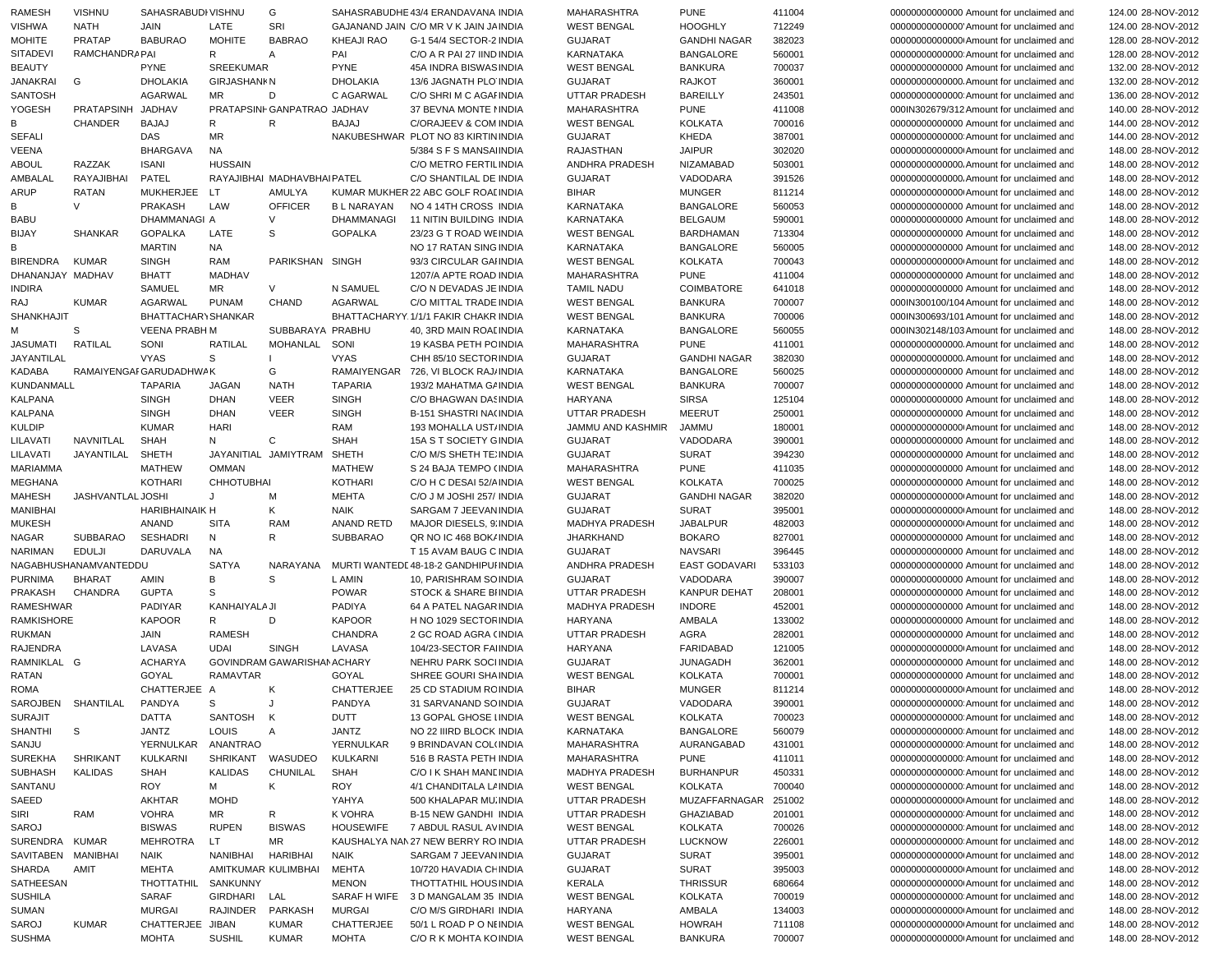| RAMESH             | <b>VISHNU</b>         | SAHASRABUDI VISHNU      |                     | G                           |                   | SAHASRABUDHE 43/4 ERANDAVANA INDIA    | <b>MAHARASHTRA</b>    | <b>PUNE</b>          | 411004 | 00000000000000 Amount for unclaimed and   | 124.00 28-NOV-2012 |
|--------------------|-----------------------|-------------------------|---------------------|-----------------------------|-------------------|---------------------------------------|-----------------------|----------------------|--------|-------------------------------------------|--------------------|
| <b>VISHWA</b>      | <b>NATH</b>           | JAIN                    | LATE                | SRI                         |                   | GAJANAND JAIN C/O MR V K JAIN JAINDIA | <b>WEST BENGAL</b>    | <b>HOOGHLY</b>       | 712249 | 00000000000000 Amount for unclaimed and   | 124.00 28-NOV-2012 |
| <b>MOHITE</b>      | <b>PRATAP</b>         | <b>BABURAO</b>          | <b>MOHITE</b>       | <b>BABRAO</b>               | <b>KHEAJI RAO</b> | G-1 54/4 SECTOR-2 INDIA               | <b>GUJARAT</b>        | <b>GANDHI NAGAR</b>  | 382023 | 000000000000000 Amount for unclaimed and  | 128.00 28-NOV-2012 |
| <b>SITADEVI</b>    | <b>RAMCHANDRAPAI</b>  |                         | R                   | Α                           | PAI               | C/O A R PAI 27 IIND INDIA             | <b>KARNATAKA</b>      | <b>BANGALORE</b>     | 560001 | 000000000000000 Amount for unclaimed and  | 128.00 28-NOV-2012 |
| <b>BEAUTY</b>      |                       | <b>PYNE</b>             | SREEKUMAR           |                             | <b>PYNE</b>       | 45A INDRA BISWAS INDIA                | <b>WEST BENGAL</b>    | <b>BANKURA</b>       | 700037 | 00000000000000 Amount for unclaimed and   | 132.00 28-NOV-2012 |
| JANAKRAI           | G                     | <b>DHOLAKIA</b>         | <b>GIRJASHANKN</b>  |                             | <b>DHOLAKIA</b>   | 13/6 JAGNATH PLO INDIA                | <b>GUJARAT</b>        | RAJKOT               | 360001 | 00000000000000. Amount for unclaimed and  | 132.00 28-NOV-2012 |
| <b>SANTOSH</b>     |                       | <b>AGARWAL</b>          | MR                  | D                           | C AGARWAL         | C/O SHRI M C AGAI INDIA               | <b>UTTAR PRADESH</b>  | <b>BAREILLY</b>      | 243501 | 000000000000000 Amount for unclaimed and  | 136.00 28-NOV-2012 |
| YOGESH             | PRATAPSINH JADHAV     |                         |                     | PRATAPSINF GANPATRAO JADHAV |                   | 37 BEVNA MONTE I INDIA                | MAHARASHTRA           | <b>PUNE</b>          | 411008 | 000IN302679/312 Amount for unclaimed and  | 140.00 28-NOV-2012 |
| B                  | CHANDER               | <b>BAJAJ</b>            | R                   | R                           | <b>BAJAJ</b>      | C/ORAJEEV & COM INDIA                 | <b>WEST BENGAL</b>    | <b>KOLKATA</b>       | 700016 | 00000000000000 Amount for unclaimed and   | 144.00 28-NOV-2012 |
| SEFALI             |                       | DAS                     | MR                  |                             |                   | NAKUBESHWAR PLOT NO 83 KIRTIN INDIA   | <b>GUJARAT</b>        | KHEDA                | 387001 | 000000000000000 Amount for unclaimed and  | 144.00 28-NOV-2012 |
| VEENA              |                       | BHARGAVA                | NA                  |                             |                   | 5/384 S F S MANSA INDIA               | RAJASTHAN             | <b>JAIPUR</b>        | 302020 | 000000000000000 Amount for unclaimed and  | 148.00 28-NOV-2012 |
| <b>ABOUL</b>       | RAZZAK                | <b>ISANI</b>            | <b>HUSSAIN</b>      |                             |                   | C/O METRO FERTIL INDIA                | ANDHRA PRADESH        | NIZAMABAD            | 503001 | 00000000000000. Amount for unclaimed and  | 148.00 28-NOV-2012 |
| AMBALAL            | RAYAJIBHAI            | PATEL                   |                     | RAYAJIBHAI MADHAVBHAIPATEL  |                   | C/O SHANTILAL DE INDIA                | <b>GUJARAT</b>        | VADODARA             | 391526 | 00000000000000. Amount for unclaimed and  | 148.00 28-NOV-2012 |
| ARUP               | <b>RATAN</b>          | <b>MUKHERJEE</b>        | <b>LT</b>           | AMULYA                      |                   | KUMAR MUKHER 22 ABC GOLF ROAI INDIA   | <b>BIHAR</b>          | <b>MUNGER</b>        | 811214 | 000000000000000 Amount for unclaimed and  | 148.00 28-NOV-2012 |
| B                  | V                     | <b>PRAKASH</b>          | LAW                 | <b>OFFICER</b>              | <b>BL NARAYAN</b> | NO 4 14TH CROSS INDIA                 | <b>KARNATAKA</b>      | <b>BANGALORE</b>     | 560053 | 00000000000000 Amount for unclaimed and   | 148.00 28-NOV-2012 |
| <b>BABU</b>        |                       | DHAMMANAGI A            |                     | $\vee$                      | <b>DHAMMANAGI</b> | 11 NITIN BUILDING INDIA               | <b>KARNATAKA</b>      | <b>BELGAUM</b>       | 590001 | 00000000000000 Amount for unclaimed and   | 148.00 28-NOV-2012 |
| <b>BIJAY</b>       | <b>SHANKAR</b>        | <b>GOPALKA</b>          | LATE                | S                           | <b>GOPALKA</b>    | 23/23 G T ROAD WE INDIA               | <b>WEST BENGAL</b>    | <b>BARDHAMAN</b>     | 713304 | 00000000000000 Amount for unclaimed and   | 148.00 28-NOV-2012 |
| B                  |                       | <b>MARTIN</b>           | NA                  |                             |                   | NO 17 RATAN SING INDIA                |                       | <b>BANGALORE</b>     | 560005 | 00000000000000 Amount for unclaimed and   | 148.00 28-NOV-2012 |
|                    |                       |                         |                     |                             |                   |                                       | KARNATAKA             |                      |        |                                           |                    |
| <b>BIRENDRA</b>    | <b>KUMAR</b>          | <b>SINGH</b>            | RAM                 | PARIKSHAN SINGH             |                   | 93/3 CIRCULAR GAIINDIA                | <b>WEST BENGAL</b>    | <b>KOLKATA</b>       | 700043 | 000000000000000 Amount for unclaimed and  | 148.00 28-NOV-2012 |
| DHANANJAY MADHAV   |                       | <b>BHATT</b>            | <b>MADHAV</b>       |                             |                   | 1207/A APTE ROAD INDIA                | MAHARASHTRA           | <b>PUNE</b>          | 411004 | 00000000000000 Amount for unclaimed and   | 148.00 28-NOV-2012 |
| INDIRA             |                       | SAMUEL                  | MR                  | V                           | N SAMUEL          | C/O N DEVADAS JE INDIA                | TAMIL NADU            | COIMBATORE           | 641018 | 00000000000000 Amount for unclaimed and   | 148.00 28-NOV-2012 |
| RAJ                | <b>KUMAR</b>          | AGARWAL                 | <b>PUNAM</b>        | <b>CHAND</b>                | <b>AGARWAL</b>    | C/O MITTAL TRADE INDIA                | <b>WEST BENGAL</b>    | <b>BANKURA</b>       | 700007 | 000IN300100/104 Amount for unclaimed and  | 148.00 28-NOV-2012 |
| SHANKHAJIT         |                       | BHATTACHAR\SHANKAR      |                     |                             |                   | BHATTACHARYY 1/1/1 FAKIR CHAKR INDIA  | <b>WEST BENGAL</b>    | <b>BANKURA</b>       | 700006 | 000IN300693/101 Amount for unclaimed and  | 148.00 28-NOV-2012 |
| M                  | S                     | <b>VEENA PRABH M</b>    |                     | SUBBARAYA PRABHU            |                   | 40, 3RD MAIN ROAI INDIA               | <b>KARNATAKA</b>      | <b>BANGALORE</b>     | 560055 | 000IN302148/103 Amount for unclaimed and  | 148.00 28-NOV-2012 |
| JASUMATI           | RATILAL               | SONI                    | RATILAL             | MOHANLAL SONI               |                   | 19 KASBA PETH PC INDIA                | <b>MAHARASHTRA</b>    | <b>PUNE</b>          | 411001 | 000000000000000. Amount for unclaimed and | 148.00 28-NOV-2012 |
| JAYANTILAL         |                       | <b>VYAS</b>             | S                   |                             | <b>VYAS</b>       | CHH 85/10 SECTOR INDIA                | <b>GUJARAT</b>        | <b>GANDHI NAGAR</b>  | 382030 | 000000000000000. Amount for unclaimed and | 148.00 28-NOV-2012 |
| <b>KADABA</b>      |                       | RAMAIYENGAI GARUDADHWAK |                     | G                           |                   | RAMAIYENGAR 726, VI BLOCK RAJ/INDIA   | KARNATAKA             | <b>BANGALORE</b>     | 560025 | 00000000000000 Amount for unclaimed and   | 148.00 28-NOV-2012 |
| KUNDANMALL         |                       | <b>TAPARIA</b>          | <b>JAGAN</b>        | NATH                        | <b>TAPARIA</b>    | 193/2 MAHATMA G/ INDIA                | <b>WEST BENGAL</b>    | <b>BANKURA</b>       | 700007 | 00000000000000 Amount for unclaimed and   | 148.00 28-NOV-2012 |
| <b>KALPANA</b>     |                       | <b>SINGH</b>            | <b>DHAN</b>         | <b>VEER</b>                 | <b>SINGH</b>      | C/O BHAGWAN DASINDIA                  | HARYANA               | <b>SIRSA</b>         | 125104 | 00000000000000 Amount for unclaimed and   | 148.00 28-NOV-2012 |
| <b>KALPANA</b>     |                       | <b>SINGH</b>            | <b>DHAN</b>         | <b>VEER</b>                 | <b>SINGH</b>      | B-151 SHASTRI NA(INDIA                | <b>UTTAR PRADESH</b>  | <b>MEERUT</b>        | 250001 | 00000000000000 Amount for unclaimed and   | 148.00 28-NOV-2012 |
| <b>KULDIP</b>      |                       | <b>KUMAR</b>            | <b>HARI</b>         |                             | RAM               | 193 MOHALLA UST/INDIA                 | JAMMU AND KASHMIR     | JAMMU                | 180001 | 000000000000000 Amount for unclaimed and  | 148.00 28-NOV-2012 |
| LILAVATI           | NAVNITLAL             | <b>SHAH</b>             | N                   | C                           | <b>SHAH</b>       | 15A S T SOCIETY GINDIA                | <b>GUJARAT</b>        | VADODARA             | 390001 | 00000000000000 Amount for unclaimed and   | 148.00 28-NOV-2012 |
| LILAVATI           | JAYANTILAL            | <b>SHETH</b>            |                     | JAYANITIAL JAMIYTRAM        | SHETH             | C/O M/S SHETH TE: INDIA               | <b>GUJARAT</b>        | <b>SURAT</b>         | 394230 | 00000000000000 Amount for unclaimed and   | 148.00 28-NOV-2012 |
| MARIAMMA           |                       | <b>MATHEW</b>           | <b>OMMAN</b>        |                             | <b>MATHEW</b>     | S 24 BAJA TEMPO (INDIA                | MAHARASHTRA           | <b>PUNE</b>          | 411035 | 00000000000000 Amount for unclaimed and   | 148.00 28-NOV-2012 |
| <b>MEGHANA</b>     |                       | <b>KOTHARI</b>          | <b>CHHOTUBHAI</b>   |                             | <b>KOTHARI</b>    | C/O H C DESAI 52/A INDIA              | <b>WEST BENGAL</b>    | <b>KOLKATA</b>       | 700025 | 00000000000000 Amount for unclaimed and   | 148.00 28-NOV-2012 |
|                    |                       |                         | J                   |                             |                   |                                       |                       |                      |        |                                           |                    |
| MAHESH             | JASHVANTLAL JOSHI     |                         |                     | м                           | <b>MEHTA</b>      | C/O J M JOSHI 257/ INDIA              | <b>GUJARAT</b>        | <b>GANDHI NAGAR</b>  | 382020 | 000000000000000 Amount for unclaimed and  | 148.00 28-NOV-2012 |
| MANIBHAI           |                       | <b>HARIBHAINAIK H</b>   |                     | Κ                           | <b>NAIK</b>       | SARGAM 7 JEEVAN INDIA                 | <b>GUJARAT</b>        | <b>SURAT</b>         | 395001 | 00000000000000 Amount for unclaimed and   | 148.00 28-NOV-2012 |
| <b>MUKESH</b>      |                       | ANAND                   | SITA                | RAM                         | <b>ANAND RETD</b> | MAJOR DIESELS, 9: INDIA               | <b>MADHYA PRADESH</b> | <b>JABALPUR</b>      | 482003 | 000000000000000 Amount for unclaimed and  | 148.00 28-NOV-2012 |
| <b>NAGAR</b>       | SUBBARAO              | <b>SESHADRI</b>         | N                   | $\mathsf{R}$                | <b>SUBBARAO</b>   | QR NO IC 468 BOK/ INDIA               | <b>JHARKHAND</b>      | <b>BOKARO</b>        | 827001 | 00000000000000 Amount for unclaimed and   | 148.00 28-NOV-2012 |
| <b>NARIMAN</b>     | <b>EDULJI</b>         | DARUVALA                | NA                  |                             |                   | T 15 AVAM BAUG C INDIA                | <b>GUJARAT</b>        | <b>NAVSARI</b>       | 396445 | 00000000000000 Amount for unclaimed and   | 148.00 28-NOV-2012 |
|                    | NAGABHUSHANAMVANTEDDU |                         | <b>SATYA</b>        | NARAYANA                    |                   | MURTI WANTEDE 48-18-2 GANDHIPUI INDIA | ANDHRA PRADESH        | <b>EAST GODAVARI</b> | 533103 | 00000000000000 Amount for unclaimed and   | 148.00 28-NOV-2012 |
| <b>PURNIMA</b>     | <b>BHARAT</b>         | AMIN                    | В                   | S                           | L AMIN            | 10, PARISHRAM SOINDIA                 | <b>GUJARAT</b>        | VADODARA             | 390007 | 00000000000000 Amount for unclaimed and   | 148.00 28-NOV-2012 |
| PRAKASH            | <b>CHANDRA</b>        | <b>GUPTA</b>            | S                   |                             | <b>POWAR</b>      | <b>STOCK &amp; SHARE BIINDIA</b>      | <b>UTTAR PRADESH</b>  | KANPUR DEHAT         | 208001 | 00000000000000 Amount for unclaimed and   | 148.00 28-NOV-2012 |
| <b>RAMESHWAR</b>   |                       | PADIYAR                 | KANHAIYALA JI       |                             | PADIYA            | 64 A PATEL NAGAR INDIA                | <b>MADHYA PRADESH</b> | <b>INDORE</b>        | 452001 | 00000000000000 Amount for unclaimed and   | 148.00 28-NOV-2012 |
| <b>RAMKISHORE</b>  |                       | <b>KAPOOR</b>           | R                   | D                           | <b>KAPOOR</b>     | H NO 1029 SECTOR INDIA                | HARYANA               | AMBALA               | 133002 | 00000000000000 Amount for unclaimed and   | 148.00 28-NOV-2012 |
| <b>RUKMAN</b>      |                       | JAIN                    | RAMESH              |                             | <b>CHANDRA</b>    | 2 GC ROAD AGRA (INDIA                 | <b>UTTAR PRADESH</b>  | AGRA                 | 282001 | 00000000000000 Amount for unclaimed and   | 148.00 28-NOV-2012 |
| <b>RAJENDRA</b>    |                       | LAVASA                  | <b>UDAI</b>         | <b>SINGH</b>                | LAVASA            | 104/23-SECTOR FAIINDIA                | <b>HARYANA</b>        | FARIDABAD            | 121005 | 000000000000000 Amount for unclaimed and  | 148.00 28-NOV-2012 |
| RAMNIKLAL G        |                       | <b>ACHARYA</b>          |                     | GOVINDRAM GAWARISHAN ACHARY |                   | NEHRU PARK SOCI INDIA                 | <b>GUJARAT</b>        | <b>JUNAGADH</b>      | 362001 | 00000000000000 Amount for unclaimed and   | 148.00 28-NOV-2012 |
| RATAN              |                       |                         |                     |                             |                   |                                       |                       |                      |        |                                           |                    |
|                    |                       | GOYAL                   | <b>RAMAVTAR</b>     |                             | GOYAL             | SHREE GOURI SHAINDIA                  | <b>WEST BENGAL</b>    | <b>KOLKATA</b>       | 700001 |                                           | 148.00 28-NOV-2012 |
|                    |                       |                         |                     |                             |                   |                                       | <b>BIHAR</b>          |                      |        | 00000000000000 Amount for unclaimed and   |                    |
| ROMA               |                       | CHATTERJEE A            |                     | Κ                           | CHATTERJEE        | 25 CD STADIUM RC INDIA                |                       | <b>MUNGER</b>        | 811214 | 00000000000000 Amount for unclaimed and   | 148.00 28-NOV-2012 |
| SAROJBEN SHANTILAL |                       | PANDYA                  | S.                  | J                           | PANDYA            | 31 SARVANAND SOINDIA                  | <b>GUJARAT</b>        | VADODARA             | 390001 | 000000000000000 Amount for unclaimed and  | 148.00 28-NOV-2012 |
| SURAJIT            |                       | DATTA                   | SANTOSH K           |                             | DUTT              | 13 GOPAL GHOSE LINDIA                 | <b>WEST BENGAL</b>    | KOLKATA              | 700023 | 000000000000000 Amount for unclaimed and  | 148.00 28-NOV-2012 |
| SHANTHI            | S                     | JANTZ                   | LOUIS               | Α                           | JANTZ             | NO 22 IIIRD BLOCK INDIA               | KARNATAKA             | <b>BANGALORE</b>     | 560079 | 000000000000000 Amount for unclaimed and  | 148.00 28-NOV-2012 |
| SANJU              |                       | YERNULKAR               | ANANTRAO            |                             | YERNULKAR         | 9 BRINDAVAN COL(INDIA                 | MAHARASHTRA           | AURANGABAD           | 431001 | 000000000000000 Amount for unclaimed and  | 148.00 28-NOV-2012 |
| <b>SUREKHA</b>     | <b>SHRIKANT</b>       | KULKARNI                | SHRIKANT            | WASUDEO                     | KULKARNI          | 516 B RASTA PETH INDIA                | MAHARASHTRA           | <b>PUNE</b>          | 411011 | 000000000000000 Amount for unclaimed and  | 148.00 28-NOV-2012 |
| <b>SUBHASH</b>     | <b>KALIDAS</b>        | SHAH                    | KALIDAS             | CHUNILAL                    | SHAH              | C/O I K SHAH MANE INDIA               | MADHYA PRADESH        | <b>BURHANPUR</b>     | 450331 | 00000000000000 Amount for unclaimed and   | 148.00 28-NOV-2012 |
| SANTANU            |                       | <b>ROY</b>              | м                   | Κ                           | ROY               | 4/1 CHANDITALA L/ INDIA               | <b>WEST BENGAL</b>    | <b>KOLKATA</b>       | 700040 | 000000000000000 Amount for unclaimed and  | 148.00 28-NOV-2012 |
| SAEED              |                       | AKHTAR                  | MOHD                |                             | YAHYA             | 500 KHALAPAR MU INDIA                 | UTTAR PRADESH         | MUZAFFARNAGAR 251002 |        | 00000000000000 Amount for unclaimed and   | 148.00 28-NOV-2012 |
| SIRI               | RAM                   | VOHRA                   | MR                  | R                           | K VOHRA           | <b>B-15 NEW GANDHI INDIA</b>          | UTTAR PRADESH         | GHAZIABAD            | 201001 | 000000000000000 Amount for unclaimed and  | 148.00 28-NOV-2012 |
| SAROJ              |                       | <b>BISWAS</b>           | <b>RUPEN</b>        | <b>BISWAS</b>               | <b>HOUSEWIFE</b>  | 7 ABDUL RASUL AVINDIA                 | <b>WEST BENGAL</b>    | <b>KOLKATA</b>       | 700026 | 000000000000000 Amount for unclaimed and  | 148.00 28-NOV-2012 |
| SURENDRA KUMAR     |                       | MEHROTRA                | LT.                 | MR                          |                   | KAUSHALYA NAN 27 NEW BERRY RO INDIA   | UTTAR PRADESH         | <b>LUCKNOW</b>       | 226001 | 000000000000000 Amount for unclaimed and  | 148.00 28-NOV-2012 |
| SAVITABEN MANIBHAI |                       | NAIK                    | NANIBHAI            | HARIBHAI                    | NAIK              | SARGAM 7 JEEVAN INDIA                 | <b>GUJARAT</b>        | SURAT                | 395001 | 000000000000000 Amount for unclaimed and  | 148.00 28-NOV-2012 |
| SHARDA             | AMIT                  | <b>MEHTA</b>            | AMITKUMAR KULIMBHAI |                             | MEHTA             | 10/720 HAVADIA CHINDIA                | <b>GUJARAT</b>        | SURAT                | 395003 | 00000000000000 Amount for unclaimed and   | 148.00 28-NOV-2012 |
| SATHEESAN          |                       | <b>THOTTATHIL</b>       | SANKUNNY            |                             | <b>MENON</b>      | THOTTATHIL HOUS INDIA                 | KERALA                | <b>THRISSUR</b>      | 680664 | 00000000000000 Amount for unclaimed and   | 148.00 28-NOV-2012 |
| <b>SUSHILA</b>     |                       | SARAF                   | GIRDHARI LAL        |                             |                   | SARAF H WIFE 3 D MANGALAM 35 INDIA    | <b>WEST BENGAL</b>    | <b>KOLKATA</b>       | 700019 | 000000000000000 Amount for unclaimed and  | 148.00 28-NOV-2012 |
| SUMAN              |                       | <b>MURGAI</b>           | RAJINDER            | PARKASH                     | MURGAI            | C/O M/S GIRDHARI INDIA                | HARYANA               | AMBALA               | 134003 | 000000000000000 Amount for unclaimed and  | 148.00 28-NOV-2012 |
| SAROJ              | <b>KUMAR</b>          | CHATTERJEE JIBAN        |                     | <b>KUMAR</b>                | CHATTERJEE        | 50/1 L ROAD P O NI INDIA              | <b>WEST BENGAL</b>    | <b>HOWRAH</b>        | 711108 | 00000000000000 Amount for unclaimed and   | 148.00 28-NOV-2012 |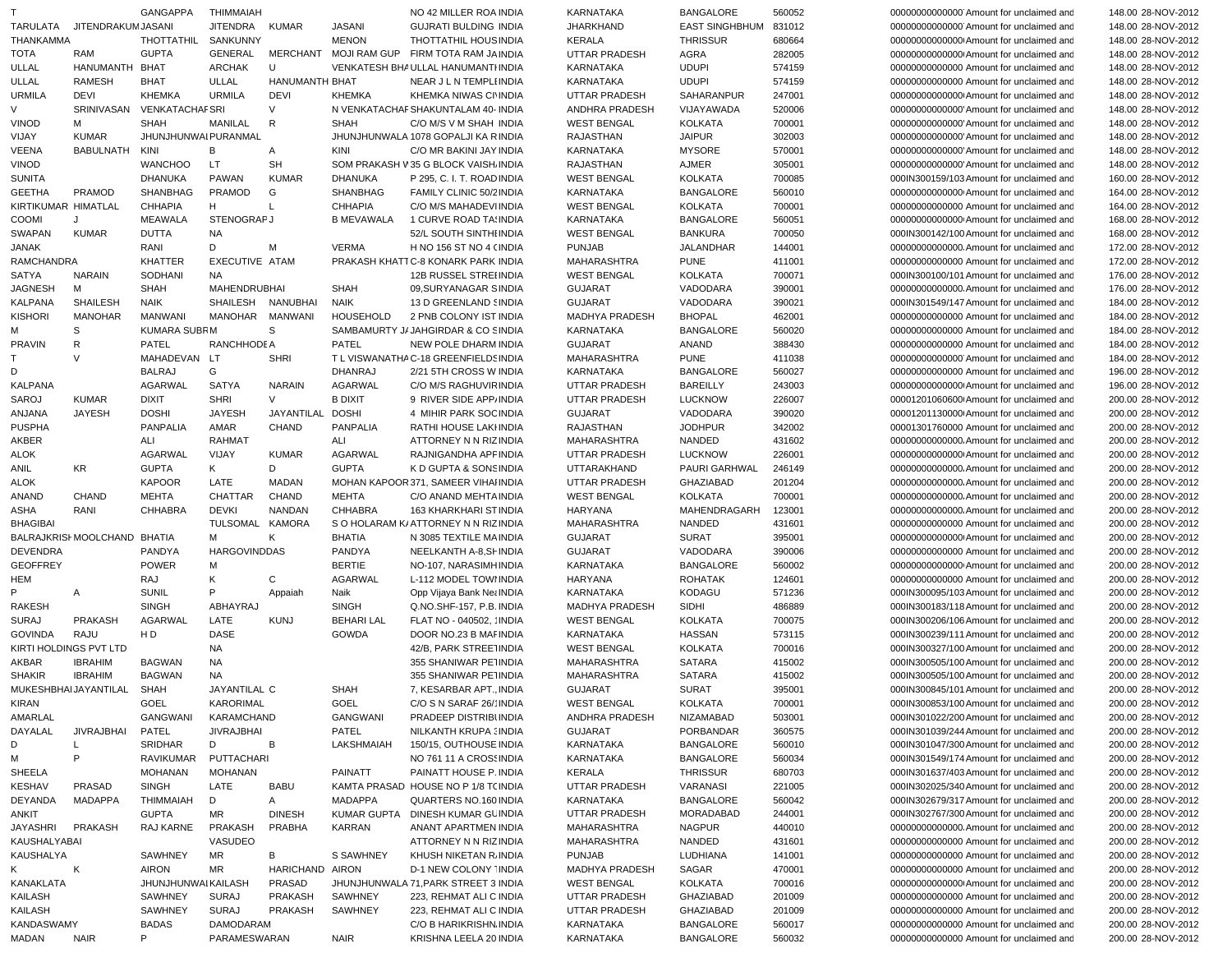| T                      |                              | <b>GANGAPPA</b>           | THIMMAIAH           |                 |                   | NO 42 MILLER ROA INDIA                       | KARNATAKA            | <b>BANGALORE</b>      | 560052 | 000000000000000 Amount for unclaimed and | 148.00 28-NOV-2012 |
|------------------------|------------------------------|---------------------------|---------------------|-----------------|-------------------|----------------------------------------------|----------------------|-----------------------|--------|------------------------------------------|--------------------|
| TARULATA               | <b>JITENDRAKUM JASANI</b>    |                           | JITENDRA            | <b>KUMAR</b>    | <b>JASANI</b>     | <b>GUJRATI BULDING INDIA</b>                 | <b>JHARKHAND</b>     | EAST SINGHBHUM 831012 |        | 00000000000000 Amount for unclaimed and  | 148.00 28-NOV-2012 |
| THANKAMMA              |                              | THOTTATHIL                | SANKUNNY            |                 | <b>MENON</b>      | THOTTATHIL HOUS INDIA                        | <b>KERALA</b>        | <b>THRISSUR</b>       | 680664 | 00000000000000 Amount for unclaimed and  | 148.00 28-NOV-2012 |
| <b>TOTA</b>            | RAM                          | <b>GUPTA</b>              | GENERAL             |                 |                   | MERCHANT MOJI RAM GUP FIRM TOTA RAM JA INDIA | <b>UTTAR PRADESH</b> | AGRA                  | 282005 | 00000000000000 Amount for unclaimed and  | 148.00 28-NOV-2012 |
|                        |                              |                           |                     |                 |                   |                                              |                      |                       |        |                                          |                    |
| ULLAL                  | HANUMANTH BHAT               |                           | <b>ARCHAK</b>       | U               |                   | VENKATESH BHAULLAL HANUMANTI INDIA           | <b>KARNATAKA</b>     | <b>UDUPI</b>          | 574159 | 00000000000000 Amount for unclaimed and  | 148.00 28-NOV-2012 |
| ULLAL                  | <b>RAMESH</b>                | <b>BHAT</b>               | ULLAL               | HANUMANTH BHAT  |                   | NEAR J L N TEMPLI INDIA                      | <b>KARNATAKA</b>     | <b>UDUPI</b>          | 574159 | 00000000000000 Amount for unclaimed and  | 148.00 28-NOV-2012 |
| <b>URMILA</b>          | DEVI                         | <b>KHEMKA</b>             | <b>URMILA</b>       | <b>DEVI</b>     | <b>KHEMKA</b>     | KHEMKA NIWAS CI'INDIA                        | <b>UTTAR PRADESH</b> | SAHARANPUR            | 247001 | 00000000000000 Amount for unclaimed and  | 148.00 28-NOV-2012 |
| V                      |                              | SRINIVASAN VENKATACHAFSRI |                     | $\vee$          |                   | N VENKATACHAF SHAKUNTALAM 40- INDIA          | ANDHRA PRADESH       | VIJAYAWADA            | 520006 | 00000000000000 Amount for unclaimed and  | 148.00 28-NOV-2012 |
| <b>VINOD</b>           | м                            | <b>SHAH</b>               | MANILAL             | R               | <b>SHAH</b>       | C/O M/S V M SHAH INDIA                       | <b>WEST BENGAL</b>   | KOLKATA               | 700001 | 00000000000000 Amount for unclaimed and  | 148.00 28-NOV-2012 |
| VIJAY                  | <b>KUMAR</b>                 | JHUNJHUNWAI PURANMAL      |                     |                 |                   | JHUNJHUNWALA 1078 GOPALJI KA RINDIA          | RAJASTHAN            | <b>JAIPUR</b>         | 302003 | 00000000000000 Amount for unclaimed and  | 148.00 28-NOV-2012 |
| VEENA                  | BABULNATH KINI               |                           | В                   |                 | KINI              |                                              |                      |                       |        |                                          |                    |
|                        |                              |                           |                     | Α               |                   | C/O MR BAKINI JAY INDIA                      | KARNATAKA            | <b>MYSORE</b>         | 570001 | 00000000000000 Amount for unclaimed and  | 148.00 28-NOV-2012 |
| <b>VINOD</b>           |                              | <b>WANCHOO</b>            | LT.                 | <b>SH</b>       |                   | SOM PRAKASH V35 G BLOCK VAISH. INDIA         | RAJASTHAN            | AJMER                 | 305001 | 00000000000000 Amount for unclaimed and  | 148.00 28-NOV-2012 |
| <b>SUNITA</b>          |                              | <b>DHANUKA</b>            | <b>PAWAN</b>        | <b>KUMAR</b>    | <b>DHANUKA</b>    | P 295, C. I. T. ROAD INDIA                   | <b>WEST BENGAL</b>   | <b>KOLKATA</b>        | 700085 | 000IN300159/103 Amount for unclaimed and | 160.00 28-NOV-2012 |
| <b>GEETHA</b>          | PRAMOD                       | SHANBHAG                  | PRAMOD              | G               | <b>SHANBHAG</b>   | FAMILY CLINIC 50/2 INDIA                     | KARNATAKA            | <b>BANGALORE</b>      | 560010 | 00000000000000 Amount for unclaimed and  | 164.00 28-NOV-2012 |
| KIRTIKUMAR HIMATLAL    |                              | <b>CHHAPIA</b>            | H                   | L               | <b>CHHAPIA</b>    | C/O M/S MAHADEVIINDIA                        | <b>WEST BENGAL</b>   | <b>KOLKATA</b>        | 700001 | 00000000000000 Amount for unclaimed and  | 164.00 28-NOV-2012 |
| <b>COOMI</b>           | J                            | <b>MEAWALA</b>            | <b>STENOGRAPJ</b>   |                 | <b>B MEVAWALA</b> | 1 CURVE ROAD TAINDIA                         | KARNATAKA            | <b>BANGALORE</b>      | 560051 | 00000000000000 Amount for unclaimed and  | 168.00 28-NOV-2012 |
| SWAPAN                 | <b>KUMAR</b>                 | <b>DUTTA</b>              | <b>NA</b>           |                 |                   | 52/L SOUTH SINTHI INDIA                      | <b>WEST BENGAL</b>   | <b>BANKURA</b>        | 700050 | 000IN300142/100 Amount for unclaimed and | 168.00 28-NOV-2012 |
|                        |                              |                           |                     |                 |                   |                                              |                      |                       |        |                                          |                    |
| <b>JANAK</b>           |                              | RANI                      | D                   | М               | <b>VERMA</b>      | H NO 156 ST NO 4 (INDIA                      | <b>PUNJAB</b>        | JALANDHAR             | 144001 | 00000000000000. Amount for unclaimed and | 172.00 28-NOV-2012 |
| <b>RAMCHANDRA</b>      |                              | <b>KHATTER</b>            | EXECUTIVE ATAM      |                 |                   | PRAKASH KHATT C-8 KONARK PARK INDIA          | MAHARASHTRA          | <b>PUNE</b>           | 411001 | 00000000000000 Amount for unclaimed and  | 172.00 28-NOV-2012 |
| SATYA                  | <b>NARAIN</b>                | SODHANI                   | <b>NA</b>           |                 |                   | <b>12B RUSSEL STREHNDIA</b>                  | <b>WEST BENGAL</b>   | KOLKATA               | 700071 | 000IN300100/101 Amount for unclaimed and | 176.00 28-NOV-2012 |
| <b>JAGNESH</b>         | м                            | <b>SHAH</b>               | <b>MAHENDRUBHAI</b> |                 | <b>SHAH</b>       | 09, SURYANAGAR SINDIA                        | <b>GUJARAT</b>       | VADODARA              | 390001 | 00000000000000. Amount for unclaimed and | 176.00 28-NOV-2012 |
| <b>KALPANA</b>         | <b>SHAILESH</b>              | <b>NAIK</b>               | SHAILESH            | NANUBHAI        | NAIK              | 13 D GREENLAND SINDIA                        | <b>GUJARAT</b>       | VADODARA              | 390021 | 000IN301549/147 Amount for unclaimed and | 184.00 28-NOV-2012 |
| <b>KISHORI</b>         | <b>MANOHAR</b>               | <b>MANWANI</b>            | MANOHAR MANWANI     |                 | <b>HOUSEHOLD</b>  | 2 PNB COLONY IST INDIA                       | MADHYA PRADESH       | <b>BHOPAL</b>         | 462001 | 00000000000000 Amount for unclaimed and  | 184.00 28-NOV-2012 |
|                        |                              | <b>KUMARA SUBRM</b>       |                     |                 |                   |                                              |                      |                       |        |                                          |                    |
| м                      | S                            |                           |                     | S               |                   | SAMBAMURTY J/ JAHGIRDAR & CO SINDIA          | KARNATAKA            | <b>BANGALORE</b>      | 560020 | 00000000000000 Amount for unclaimed and  | 184.00 28-NOV-2012 |
| <b>PRAVIN</b>          | R                            | PATEL                     | RANCHHODE A         |                 | PATEL             | <b>NEW POLE DHARM INDIA</b>                  | <b>GUJARAT</b>       | <b>ANAND</b>          | 388430 | 00000000000000 Amount for unclaimed and  | 184.00 28-NOV-2012 |
| T.                     | $\vee$                       | MAHADEVAN LT              |                     | <b>SHRI</b>     |                   | T L VISWANATHA C-18 GREENFIELDS INDIA        | MAHARASHTRA          | <b>PUNE</b>           | 411038 | 000000000000000 Amount for unclaimed and | 184.00 28-NOV-2012 |
| D                      |                              | <b>BALRAJ</b>             | G                   |                 | DHANRAJ           | 2/21 5TH CROSS W INDIA                       | KARNATAKA            | <b>BANGALORE</b>      | 560027 | 00000000000000 Amount for unclaimed and  | 196.00 28-NOV-2012 |
| <b>KALPANA</b>         |                              | AGARWAL                   | <b>SATYA</b>        | <b>NARAIN</b>   | AGARWAL           | C/O M/S RAGHUVIR INDIA                       | <b>UTTAR PRADESH</b> | <b>BAREILLY</b>       | 243003 | 00000000000000 Amount for unclaimed and  | 196.00 28-NOV-2012 |
| SAROJ                  | <b>KUMAR</b>                 | <b>DIXIT</b>              | <b>SHRI</b>         | V               | <b>B DIXIT</b>    | 9 RIVER SIDE APP/INDIA                       | <b>UTTAR PRADESH</b> | <b>LUCKNOW</b>        | 226007 | 00001201060600 Amount for unclaimed and  | 200.00 28-NOV-2012 |
|                        | <b>JAYESH</b>                | <b>DOSHI</b>              | <b>JAYESH</b>       | JAYANTILAL      | <b>DOSHI</b>      |                                              |                      | VADODARA              | 390020 | 00001201130000 Amount for unclaimed and  |                    |
| ANJANA                 |                              |                           |                     |                 |                   | 4 MIHIR PARK SOC INDIA                       | GUJARAT              |                       |        |                                          | 200.00 28-NOV-2012 |
| <b>PUSPHA</b>          |                              | <b>PANPALIA</b>           | AMAR                | CHAND           | <b>PANPALIA</b>   | RATHI HOUSE LAKHNDIA                         | RAJASTHAN            | <b>JODHPUR</b>        | 342002 | 00001301760000 Amount for unclaimed and  | 200.00 28-NOV-2012 |
| AKBER                  |                              | ALI                       | <b>RAHMAT</b>       |                 | ALI               | ATTORNEY N N RIZ INDIA                       | <b>MAHARASHTRA</b>   | NANDED                | 431602 | 00000000000000. Amount for unclaimed and | 200.00 28-NOV-2012 |
| <b>ALOK</b>            |                              | AGARWAL                   | VIJAY               | <b>KUMAR</b>    | AGARWAL           | RAJNIGANDHA APF INDIA                        | <b>UTTAR PRADESH</b> | <b>LUCKNOW</b>        | 226001 | 000000000000000 Amount for unclaimed and | 200.00 28-NOV-2012 |
| ANIL                   | KR.                          | <b>GUPTA</b>              | K                   | D               | <b>GUPTA</b>      | K D GUPTA & SONS INDIA                       | UTTARAKHAND          | PAURI GARHWAL         | 246149 | 00000000000000. Amount for unclaimed and | 200.00 28-NOV-2012 |
| <b>ALOK</b>            |                              | <b>KAPOOR</b>             | LATE                | MADAN           |                   | MOHAN KAPOOR 371, SAMEER VIHAI INDIA         | <b>UTTAR PRADESH</b> | <b>GHAZIABAD</b>      | 201204 | 00000000000000. Amount for unclaimed and | 200.00 28-NOV-2012 |
| ANAND                  | <b>CHAND</b>                 | <b>MEHTA</b>              | CHATTAR             | CHAND           | <b>MEHTA</b>      | C/O ANAND MEHTA INDIA                        | <b>WEST BENGAL</b>   | KOLKATA               | 700001 | 00000000000000. Amount for unclaimed and | 200.00 28-NOV-2012 |
|                        |                              |                           |                     |                 |                   |                                              |                      |                       |        |                                          |                    |
| ASHA                   | RANI                         | <b>CHHABRA</b>            | <b>DEVKI</b>        | NANDAN          | <b>CHHABRA</b>    | 163 KHARKHARI STINDIA                        | HARYANA              | MAHENDRAGARH          | 123001 | 00000000000000. Amount for unclaimed and | 200.00 28-NOV-2012 |
| <b>BHAGIBAI</b>        |                              |                           | TULSOMAL KAMORA     |                 |                   | S O HOLARAM K/ATTORNEY N N RIZ INDIA         | MAHARASHTRA          | NANDED                | 431601 | 00000000000000 Amount for unclaimed and  | 200.00 28-NOV-2012 |
|                        | BALRAJKRISI MOOLCHAND BHATIA |                           | М                   | Κ               | <b>BHATIA</b>     | N 3085 TEXTILE MAINDIA                       | <b>GUJARAT</b>       | <b>SURAT</b>          | 395001 | 00000000000000 Amount for unclaimed and  | 200.00 28-NOV-2012 |
| <b>DEVENDRA</b>        |                              | PANDYA                    | <b>HARGOVINDDAS</b> |                 | PANDYA            | NEELKANTH A-8,SI- INDIA                      | <b>GUJARAT</b>       | VADODARA              | 390006 | 00000000000000 Amount for unclaimed and  | 200.00 28-NOV-2012 |
| <b>GEOFFREY</b>        |                              | <b>POWER</b>              | м                   |                 | <b>BERTIE</b>     | NO-107, NARASIMHINDIA                        | KARNATAKA            | <b>BANGALORE</b>      | 560002 | 00000000000000 Amount for unclaimed and  | 200.00 28-NOV-2012 |
| HEM                    |                              | RAJ                       | Κ                   | C               | AGARWAL           | L-112 MODEL TOWI INDIA                       | HARYANA              | <b>ROHATAK</b>        | 124601 | 00000000000000 Amount for unclaimed and  | 200.00 28-NOV-2012 |
|                        |                              |                           | P                   |                 |                   |                                              |                      |                       |        |                                          |                    |
|                        | Α                            | <b>SUNIL</b>              |                     | Appaiah         | Naik              | Opp Vijaya Bank Net INDIA                    | KARNATAKA            | <b>KODAGU</b>         | 571236 | 000IN300095/103 Amount for unclaimed and | 200.00 28-NOV-2012 |
| <b>RAKESH</b>          |                              | <b>SINGH</b>              | ABHAYRAJ            |                 | <b>SINGH</b>      | Q.NO.SHF-157, P.B. INDIA                     | MADHYA PRADESH       | SIDHI                 | 486889 | 000IN300183/118 Amount for unclaimed and | 200.00 28-NOV-2012 |
| <b>SURAJ</b>           | <b>PRAKASH</b>               | AGARWAL                   | LATE                | <b>KUNJ</b>     | <b>BEHARI LAL</b> | FLAT NO - 040502, 'INDIA                     | <b>WEST BENGAL</b>   | <b>KOLKATA</b>        | 700075 | 000IN300206/106 Amount for unclaimed and | 200.00 28-NOV-2012 |
| GOVINDA                | RAJU                         | H D                       | <b>DASE</b>         |                 | GOWDA             | DOOR NO.23 B MAF INDIA                       | KARNATAKA            | <b>HASSAN</b>         | 573115 | 000IN300239/111 Amount for unclaimed and | 200.00 28-NOV-2012 |
| KIRTI HOLDINGS PVT LTD |                              |                           | <b>NA</b>           |                 |                   | 42/B, PARK STREE1INDIA                       | <b>WEST BENGAL</b>   | KOLKATA               | 700016 | 000IN300327/100 Amount for unclaimed and | 200.00 28-NOV-2012 |
| AKBAR                  | <b>IBRAHIM</b>               | <b>BAGWAN</b>             | <b>NA</b>           |                 |                   | 355 SHANIWAR PETINDIA                        | MAHARASHTRA          | <b>SATARA</b>         | 415002 | 000IN300505/100 Amount for unclaimed and | 200.00 28-NOV-2012 |
| <b>SHAKIR</b>          | <b>IBRAHIM</b>               | <b>BAGWAN</b>             | <b>NA</b>           |                 |                   | 355 SHANIWAR PE1INDIA                        | MAHARASHTRA          | <b>SATARA</b>         | 415002 | 000IN300505/100 Amount for unclaimed and |                    |
|                        |                              |                           |                     |                 |                   |                                              |                      |                       |        |                                          | 200.00 28-NOV-2012 |
|                        | MUKESHBHAIJAYANTILAL SHAH    |                           | JAYANTILAL C        |                 | <b>SHAH</b>       | 7, KESARBAR APT., INDIA                      | GUJARAT              | <b>SURAT</b>          | 395001 | 000IN300845/101 Amount for unclaimed and | 200.00 28-NOV-2012 |
| KIRAN                  |                              | <b>GOEL</b>               | <b>KARORIMAL</b>    |                 | GOEL              | C/O S N SARAF 26/ INDIA                      | <b>WEST BENGAL</b>   | <b>KOLKATA</b>        | 700001 | 000IN300853/100 Amount for unclaimed and | 200.00 28-NOV-2012 |
| AMARLAL                |                              | GANGWANI                  | KARAMCHAND          |                 | GANGWANI          | PRADEEP DISTRIBUNDIA                         | ANDHRA PRADESH       | NIZAMABAD             | 503001 | 000IN301022/200 Amount for unclaimed and | 200.00 28-NOV-2012 |
| DAYALAL                | JIVRAJBHAI                   | PATEL                     | <b>JIVRAJBHAI</b>   |                 | PATEL             | NILKANTH KRUPA (INDIA                        | GUJARAT              | PORBANDAR             | 360575 | 000IN301039/244 Amount for unclaimed and | 200.00 28-NOV-2012 |
| D                      | L                            | <b>SRIDHAR</b>            | D                   | В               | LAKSHMAIAH        | 150/15, OUTHOUSE INDIA                       | KARNATAKA            | <b>BANGALORE</b>      | 560010 | 000IN301047/300 Amount for unclaimed and | 200.00 28-NOV-2012 |
|                        | P                            |                           | PUTTACHARI          |                 |                   |                                              |                      | <b>BANGALORE</b>      |        | 000IN301549/174 Amount for unclaimed and | 200.00 28-NOV-2012 |
| м                      |                              | RAVIKUMAR                 |                     |                 |                   | NO 761 11 A CROSSINDIA                       | KARNATAKA            |                       | 560034 |                                          |                    |
| SHEELA                 |                              | <b>MOHANAN</b>            | MOHANAN             |                 | PAINATT           | PAINATT HOUSE P. INDIA                       | KERALA               | <b>THRISSUR</b>       | 680703 | 000IN301637/403 Amount for unclaimed and | 200.00 28-NOV-2012 |
| KESHAV                 | <b>PRASAD</b>                | <b>SINGH</b>              | LATE                | BABU            |                   | KAMTA PRASAD HOUSE NO P 1/8 T(INDIA          | <b>UTTAR PRADESH</b> | VARANASI              | 221005 | 000IN302025/340 Amount for unclaimed and | 200.00 28-NOV-2012 |
| DEYANDA                | MADAPPA                      | THIMMAIAH                 | D                   | A               | MADAPPA           | QUARTERS NO.160 INDIA                        | KARNATAKA            | <b>BANGALORE</b>      | 560042 | 000IN302679/317 Amount for unclaimed and | 200.00 28-NOV-2012 |
| ANKIT                  |                              | <b>GUPTA</b>              | MR                  | <b>DINESH</b>   |                   | KUMAR GUPTA DINESH KUMAR GLINDIA             | UTTAR PRADESH        | MORADABAD             | 244001 | 000IN302767/300 Amount for unclaimed and | 200.00 28-NOV-2012 |
| JAYASHRI               | PRAKASH                      | RAJ KARNE                 | <b>PRAKASH</b>      | PRABHA          | KARRAN            | ANANT APARTMEN INDIA                         | MAHARASHTRA          | <b>NAGPUR</b>         | 440010 | 00000000000000. Amount for unclaimed and | 200.00 28-NOV-2012 |
| KAUSHALYABAI           |                              |                           | VASUDEO             |                 |                   | ATTORNEY N N RIZ INDIA                       | MAHARASHTRA          | NANDED                | 431601 | 00000000000000 Amount for unclaimed and  | 200.00 28-NOV-2012 |
|                        |                              |                           |                     |                 |                   |                                              |                      |                       |        |                                          |                    |
| KAUSHALYA              |                              | SAWHNEY                   | MR                  | B               | S SAWHNEY         | KHUSH NIKETAN R. INDIA                       | <b>PUNJAB</b>        | LUDHIANA              | 141001 | 00000000000000 Amount for unclaimed and  | 200.00 28-NOV-2012 |
| K                      | К                            | <b>AIRON</b>              | MR                  | HARICHAND AIRON |                   | D-1 NEW COLONY "INDIA                        | MADHYA PRADESH       | SAGAR                 | 470001 | 00000000000000 Amount for unclaimed and  | 200.00 28-NOV-2012 |
| KANAKLATA              |                              | JHUNJHUNWAI KAILASH       |                     | PRASAD          |                   | JHUNJHUNWALA 71, PARK STREET 3 INDIA         | <b>WEST BENGAL</b>   | <b>KOLKATA</b>        | 700016 | 000000000000000 Amount for unclaimed and | 200.00 28-NOV-2012 |
| KAILASH                |                              | SAWHNEY                   | <b>SURAJ</b>        | PRAKASH         | SAWHNEY           | 223, REHMAT ALI C INDIA                      | <b>UTTAR PRADESH</b> | <b>GHAZIABAD</b>      | 201009 | 00000000000000 Amount for unclaimed and  | 200.00 28-NOV-2012 |
| KAILASH                |                              | SAWHNEY                   | <b>SURAJ</b>        | PRAKASH         | SAWHNEY           | 223, REHMAT ALI C INDIA                      | UTTAR PRADESH        | GHAZIABAD             | 201009 | 00000000000000 Amount for unclaimed and  | 200.00 28-NOV-2012 |
| KANDASWAMY             |                              | <b>BADAS</b>              | DAMODARAM           |                 |                   | C/O B HARIKRISHN INDIA                       | KARNATAKA            | <b>BANGALORE</b>      | 560017 | 00000000000000 Amount for unclaimed and  | 200.00 28-NOV-2012 |
|                        |                              |                           |                     |                 |                   |                                              | KARNATAKA            | <b>BANGALORE</b>      | 560032 | 00000000000000 Amount for unclaimed and  | 200.00 28-NOV-2012 |
| MADAN                  | NAIR                         | P                         | PARAMESWARAN        |                 | NAIR              | KRISHNA LEELA 20 INDIA                       |                      |                       |        |                                          |                    |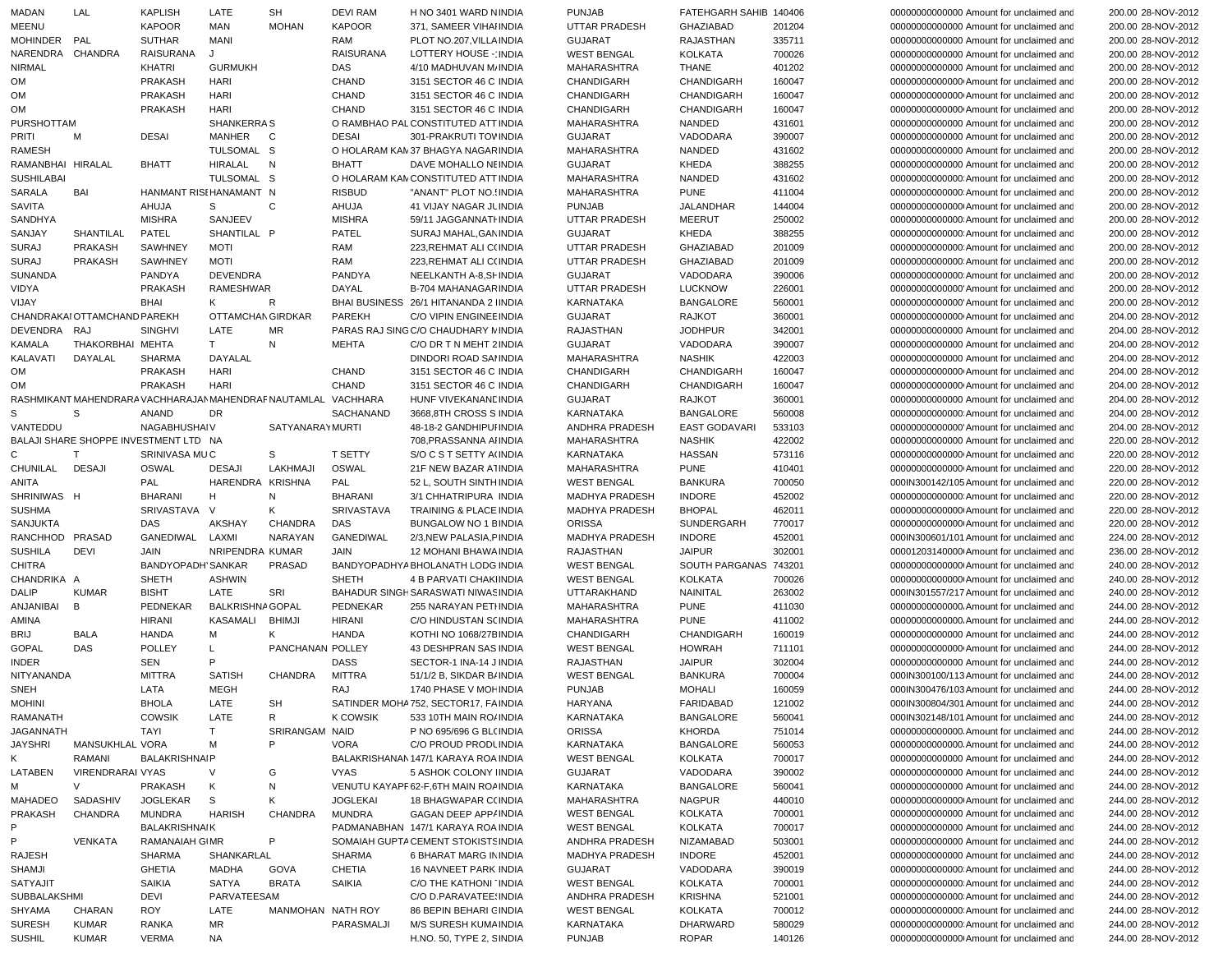| MADAN             | LAL                          | KAPLISH                                                        | LATE                    | SH                     | <b>DEVI RAM</b>   | H NO 3401 WARD NINDIA                 | <b>PUNJAB</b>         | FATEHGARH SAHIB 140406 |        | 00000000000000 Amount for unclaimed and   | 200.00 28-NOV-2012 |
|-------------------|------------------------------|----------------------------------------------------------------|-------------------------|------------------------|-------------------|---------------------------------------|-----------------------|------------------------|--------|-------------------------------------------|--------------------|
| MEENU             |                              | KAPOOR                                                         | <b>MAN</b>              | <b>MOHAN</b>           | <b>KAPOOR</b>     | 371, SAMEER VIHAI INDIA               | UTTAR PRADESH         | GHAZIABAD              | 201204 | 00000000000000 Amount for unclaimed and   | 200.00 28-NOV-2012 |
| MOHINDER PAL      |                              | <b>SUTHAR</b>                                                  | MANI                    |                        | RAM               | PLOT NO.207, VILLA INDIA              | <b>GUJARAT</b>        | RAJASTHAN              | 335711 | 00000000000000 Amount for unclaimed and   | 200.00 28-NOV-2012 |
| NARENDRA CHANDRA  |                              |                                                                |                         |                        |                   |                                       |                       |                        |        |                                           |                    |
|                   |                              | RAISURANA                                                      | J                       |                        | <b>RAISURANA</b>  | LOTTERY HOUSE - INDIA                 | <b>WEST BENGAL</b>    | <b>KOLKATA</b>         | 700026 | 00000000000000 Amount for unclaimed and   | 200.00 28-NOV-2012 |
| <b>NIRMAL</b>     |                              | KHATRI                                                         | <b>GURMUKH</b>          |                        | DAS               | 4/10 MADHUVAN M/ INDIA                | MAHARASHTRA           | <b>THANE</b>           | 401202 | 00000000000000 Amount for unclaimed and   | 200.00 28-NOV-2012 |
| OM                |                              | <b>PRAKASH</b>                                                 | <b>HARI</b>             |                        | CHAND             | 3151 SECTOR 46 C INDIA                | CHANDIGARH            | CHANDIGARH             | 160047 | 000000000000000 Amount for unclaimed and  | 200.00 28-NOV-2012 |
| OM                |                              | <b>PRAKASH</b>                                                 | <b>HARI</b>             |                        | CHAND             | 3151 SECTOR 46 C INDIA                | CHANDIGARH            | CHANDIGARH             | 160047 | 00000000000000 Amount for unclaimed and   | 200.00 28-NOV-2012 |
| OM                |                              | <b>PRAKASH</b>                                                 | HARI                    |                        | <b>CHAND</b>      | 3151 SECTOR 46 C INDIA                | <b>CHANDIGARH</b>     | CHANDIGARH             | 160047 | 000000000000000 Amount for unclaimed and  | 200.00 28-NOV-2012 |
| PURSHOTTAM        |                              |                                                                | SHANKERRA S             |                        |                   | O RAMBHAO PAL CONSTITUTED ATT INDIA   | MAHARASHTRA           | NANDED                 | 431601 | 00000000000000 Amount for unclaimed and   | 200.00 28-NOV-2012 |
| PRITI             | M                            | <b>DESAI</b>                                                   | MANHER                  | C                      | <b>DESAI</b>      | 301-PRAKRUTI TOV INDIA                | <b>GUJARAT</b>        | VADODARA               | 390007 | 00000000000000 Amount for unclaimed and   | 200.00 28-NOV-2012 |
| <b>RAMESH</b>     |                              |                                                                | TULSOMAL S              |                        |                   | O HOLARAM KAN 37 BHAGYA NAGARINDIA    | MAHARASHTRA           | NANDED                 | 431602 | 00000000000000 Amount for unclaimed and   | 200.00 28-NOV-2012 |
|                   |                              |                                                                |                         |                        |                   |                                       |                       |                        |        |                                           |                    |
| RAMANBHAI HIRALAL |                              | <b>BHATT</b>                                                   | HIRALAL                 | N                      | <b>BHATT</b>      | DAVE MOHALLO NEINDIA                  | <b>GUJARAT</b>        | KHEDA                  | 388255 | 00000000000000 Amount for unclaimed and   | 200.00 28-NOV-2012 |
| <b>SUSHILABAI</b> |                              |                                                                | TULSOMAL S              |                        |                   | O HOLARAM KAN CONSTITUTED ATT INDIA   | <b>MAHARASHTRA</b>    | NANDED                 | 431602 | 000000000000000 Amount for unclaimed and  | 200.00 28-NOV-2012 |
| SARALA            | BAI                          | HANMANT RISEHANAMANT N                                         |                         |                        | <b>RISBUD</b>     | "ANANT" PLOT NO.: INDIA               | MAHARASHTRA           | <b>PUNE</b>            | 411004 | 000000000000000 Amount for unclaimed and  | 200.00 28-NOV-2012 |
| <b>SAVITA</b>     |                              | AHUJA                                                          | S                       | C                      | AHUJA             | 41 VIJAY NAGAR JL INDIA               | <b>PUNJAB</b>         | JALANDHAR              | 144004 | 000000000000000 Amount for unclaimed and  | 200.00 28-NOV-2012 |
| SANDHYA           |                              | <b>MISHRA</b>                                                  | SANJEEV                 |                        | <b>MISHRA</b>     | 59/11 JAGGANNATHNDIA                  | UTTAR PRADESH         | <b>MEERUT</b>          | 250002 | 000000000000000 Amount for unclaimed and  | 200.00 28-NOV-2012 |
| SANJAY            | SHANTILAL                    | PATEL                                                          | SHANTILAL P             |                        | PATEL             | SURAJ MAHAL, GAN INDIA                | <b>GUJARAT</b>        | KHEDA                  | 388255 | 000000000000000 Amount for unclaimed and  | 200.00 28-NOV-2012 |
|                   |                              | SAWHNEY                                                        | <b>MOTI</b>             |                        | RAM               |                                       |                       |                        |        |                                           |                    |
| <b>SURAJ</b>      | PRAKASH                      |                                                                |                         |                        |                   | 223, REHMAT ALI C(INDIA               | UTTAR PRADESH         | GHAZIABAD              | 201009 | 000000000000000 Amount for unclaimed and  | 200.00 28-NOV-2012 |
| <b>SURAJ</b>      | PRAKASH                      | SAWHNEY                                                        | <b>MOTI</b>             |                        | RAM               | 223, REHMAT ALI C(INDIA               | UTTAR PRADESH         | <b>GHAZIABAD</b>       | 201009 | 000000000000000 Amount for unclaimed and  | 200.00 28-NOV-2012 |
| <b>SUNANDA</b>    |                              | PANDYA                                                         | <b>DEVENDRA</b>         |                        | <b>PANDYA</b>     | NEELKANTH A-8, SHINDIA                | <b>GUJARAT</b>        | VADODARA               | 390006 | 000000000000000 Amount for unclaimed and  | 200.00 28-NOV-2012 |
| VIDYA             |                              | <b>PRAKASH</b>                                                 | RAMESHWAR               |                        | DAYAL             | B-704 MAHANAGAR INDIA                 | UTTAR PRADESH         | <b>LUCKNOW</b>         | 226001 | 00000000000000 Amount for unclaimed and   | 200.00 28-NOV-2012 |
| VIJAY             |                              | BHAI                                                           | K                       | R                      |                   | BHAI BUSINESS 26/1 HITANANDA 2 IINDIA | KARNATAKA             | <b>BANGALORE</b>       | 560001 | 00000000000000 Amount for unclaimed and   | 200.00 28-NOV-2012 |
|                   | CHANDRAKAI OTTAMCHAND PAREKH |                                                                | OTTAMCHAN GIRDKAR       |                        | <b>PAREKH</b>     | <b>C/O VIPIN ENGINEE INDIA</b>        | <b>GUJARAT</b>        | RAJKOT                 | 360001 | 00000000000000 Amount for unclaimed and   | 204.00 28-NOV-2012 |
| DEVENDRA RAJ      |                              | <b>SINGHVI</b>                                                 | LATE                    | MR                     |                   | PARAS RAJ SING C/O CHAUDHARY MINDIA   | <b>RAJASTHAN</b>      | <b>JODHPUR</b>         | 342001 | 00000000000000 Amount for unclaimed and   | 204.00 28-NOV-2012 |
|                   |                              |                                                                |                         |                        |                   |                                       |                       |                        |        |                                           |                    |
| <b>KAMALA</b>     | THAKORBHAI MEHTA             |                                                                | T                       | N                      | <b>MEHTA</b>      | C/O DR T N MEHT 2 INDIA               | <b>GUJARAT</b>        | <b>VADODARA</b>        | 390007 | 00000000000000 Amount for unclaimed and   | 204.00 28-NOV-2012 |
| KALAVATI          | DAYALAL                      | <b>SHARMA</b>                                                  | DAYALAL                 |                        |                   | DINDORI ROAD SAI INDIA                | <b>MAHARASHTRA</b>    | <b>NASHIK</b>          | 422003 | 00000000000000 Amount for unclaimed and   | 204.00 28-NOV-2012 |
| OM                |                              | PRAKASH                                                        | <b>HARI</b>             |                        | CHAND             | 3151 SECTOR 46 C INDIA                | CHANDIGARH            | CHANDIGARH             | 160047 | 000000000000000 Amount for unclaimed and  | 204.00 28-NOV-2012 |
| OM                |                              | PRAKASH                                                        | <b>HARI</b>             |                        | <b>CHAND</b>      | 3151 SECTOR 46 C INDIA                | CHANDIGARH            | CHANDIGARH             | 160047 | 00000000000000 Amount for unclaimed and   | 204.00 28-NOV-2012 |
|                   |                              | RASHMIKANT MAHENDRARA VACHHARAJAN MAHENDRAF NAUTAMLAL VACHHARA |                         |                        |                   | HUNF VIVEKANANE INDIA                 | <b>GUJARAT</b>        | RAJKOT                 | 360001 | 00000000000000 Amount for unclaimed and   | 204.00 28-NOV-2012 |
| S                 | S                            | ANAND                                                          | <b>DR</b>               |                        | SACHANAND         | 3668,8TH CROSS S INDIA                | KARNATAKA             | <b>BANGALORE</b>       | 560008 | 000000000000000 Amount for unclaimed and  | 204.00 28-NOV-2012 |
|                   |                              |                                                                |                         |                        |                   |                                       |                       |                        |        |                                           |                    |
| VANTEDDU          |                              | <b>NAGABHUSHAIV</b>                                            |                         | <b>SATYANARAYMURTI</b> |                   | 48-18-2 GANDHIPUI INDIA               | ANDHRA PRADESH        | EAST GODAVARI          | 533103 | 00000000000000 Amount for unclaimed and   | 204.00 28-NOV-2012 |
|                   |                              | BALAJI SHARE SHOPPE INVESTMENT LTD NA                          |                         |                        |                   | 708, PRASSANNA AIINDIA                | <b>MAHARASHTRA</b>    | <b>NASHIK</b>          | 422002 | 00000000000000 Amount for unclaimed and   | 220.00 28-NOV-2012 |
| C                 | $\mathsf{T}$                 | SRINIVASA MUC                                                  |                         | S                      | <b>T SETTY</b>    | S/O C S T SETTY AUNDIA                | KARNATAKA             | <b>HASSAN</b>          | 573116 | 00000000000000 Amount for unclaimed and   | 220.00 28-NOV-2012 |
| CHUNILAL          | <b>DESAJI</b>                | <b>OSWAL</b>                                                   | <b>DESAJI</b>           | LAKHMAJI               | OSWAL             | 21F NEW BAZAR ATINDIA                 | MAHARASHTRA           | <b>PUNE</b>            | 410401 | 00000000000000 Amount for unclaimed and   | 220.00 28-NOV-2012 |
| ANITA             |                              | PAL                                                            | HARENDRA KRISHNA        |                        | PAL               | 52 L, SOUTH SINTH INDIA               | <b>WEST BENGAL</b>    | <b>BANKURA</b>         | 700050 | 000IN300142/105 Amount for unclaimed and  | 220.00 28-NOV-2012 |
| SHRINIWAS H       |                              | <b>BHARANI</b>                                                 | H                       | N                      | <b>BHARANI</b>    | 3/1 CHHATRIPURA INDIA                 | <b>MADHYA PRADESH</b> | <b>INDORE</b>          | 452002 | 0000000000000000 Amount for unclaimed and | 220.00 28-NOV-2012 |
| <b>SUSHMA</b>     |                              | SRIVASTAVA V                                                   |                         | K                      | <b>SRIVASTAVA</b> | TRAINING & PLACE INDIA                | <b>MADHYA PRADESH</b> | <b>BHOPAL</b>          | 462011 | 00000000000000 Amount for unclaimed and   | 220.00 28-NOV-2012 |
|                   |                              |                                                                |                         |                        |                   |                                       |                       |                        |        |                                           |                    |
| SANJUKTA          |                              | DAS                                                            | <b>AKSHAY</b>           | CHANDRA                | DAS               | BUNGALOW NO 1 EINDIA                  | <b>ORISSA</b>         | SUNDERGARH             | 770017 | 000000000000000 Amount for unclaimed and  | 220.00 28-NOV-2012 |
| RANCHHOD          | PRASAD                       | GANEDIWAL                                                      | LAXMI                   | NARAYAN                | GANEDIWAL         | 2/3, NEW PALASIA, FINDIA              | MADHYA PRADESH        | <b>INDORE</b>          | 452001 | 000IN300601/101 Amount for unclaimed and  | 224.00 28-NOV-2012 |
| <b>SUSHILA</b>    | <b>DEVI</b>                  | JAIN                                                           | NRIPENDRA KUMAR         |                        | JAIN              | 12 MOHANI BHAWA INDIA                 | RAJASTHAN             | <b>JAIPUR</b>          | 302001 | 00001203140000 Amount for unclaimed and   | 236.00 28-NOV-2012 |
| <b>CHITRA</b>     |                              | BANDYOPADH'SANKAR                                              |                         | PRASAD                 |                   | BANDYOPADHYA BHOLANATH LODG INDIA     | <b>WEST BENGAL</b>    | SOUTH PARGANAS 743201  |        | 00000000000000 Amount for unclaimed and   | 240.00 28-NOV-2012 |
| CHANDRIKA A       |                              | <b>SHETH</b>                                                   | <b>ASHWIN</b>           |                        | SHETH             | 4 B PARVATI CHAK INDIA                | <b>WEST BENGAL</b>    | <b>KOLKATA</b>         | 700026 | 000000000000000 Amount for unclaimed and  | 240.00 28-NOV-2012 |
| <b>DALIP</b>      | <b>KUMAR</b>                 | <b>BISHT</b>                                                   | LATE                    | SRI                    |                   | BAHADUR SINGH SARASWATI NIWAS INDIA   | UTTARAKHAND           | NAINITAL               | 263002 | 000IN301557/217 Amount for unclaimed and  | 240.00 28-NOV-2012 |
|                   |                              |                                                                |                         |                        |                   |                                       |                       |                        |        |                                           |                    |
| ANJANIBAI         | B                            | PEDNEKAR                                                       | <b>BALKRISHNA GOPAL</b> |                        | PEDNEKAR          | 255 NARAYAN PETHNDIA                  | <b>MAHARASHTRA</b>    | <b>PUNE</b>            | 411030 | 00000000000000. Amount for unclaimed and  | 244.00 28-NOV-2012 |
| AMINA             |                              | <b>HIRANI</b>                                                  | KASAMALI                | <b>BHIMJI</b>          | HIRANI            | C/O HINDUSTAN SCINDIA                 | <b>MAHARASHTRA</b>    | <b>PUNE</b>            | 411002 | 00000000000000. Amount for unclaimed and  | 244.00 28-NOV-2012 |
| BRIJ              | BALA                         | <b>HANDA</b>                                                   | м                       | K                      | <b>HANDA</b>      | KOTHI NO 1068/27E INDIA               | CHANDIGARH            | CHANDIGARH             | 160019 | 00000000000000 Amount for unclaimed and   | 244.00 28-NOV-2012 |
| <b>GOPAL</b>      | DAS                          | <b>POLLEY</b>                                                  | $\mathsf{L}$            | PANCHANAN POLLEY       |                   | 43 DESHPRAN SAS INDIA                 | <b>WEST BENGAL</b>    | <b>HOWRAH</b>          | 711101 | 00000000000000 Amount for unclaimed and   | 244.00 28-NOV-2012 |
| <b>INDER</b>      |                              | SEN                                                            | P                       |                        | <b>DASS</b>       | SECTOR-1 INA-14 J INDIA               | RAJASTHAN             | <b>JAIPUR</b>          | 302004 | 00000000000000 Amount for unclaimed and   | 244.00 28-NOV-2012 |
| NITYANANDA        |                              | <b>MITTRA</b>                                                  | <b>SATISH</b>           | CHANDRA                | <b>MITTRA</b>     | 51/1/2 B, SIKDAR B/INDIA              | <b>WEST BENGAL</b>    | <b>BANKURA</b>         | 700004 | 000IN300100/113 Amount for unclaimed and  | 244.00 28-NOV-2012 |
|                   |                              |                                                                |                         |                        |                   |                                       |                       |                        |        |                                           |                    |
| SNEH              |                              | LATA                                                           | <b>MEGH</b>             |                        | RAJ               | 1740 PHASE V MOHINDIA                 | <b>PUNJAB</b>         | <b>MOHALI</b>          | 160059 | 000IN300476/103 Amount for unclaimed and  | 244.00 28-NOV-2012 |
| <b>MOHINI</b>     |                              | <b>BHOLA</b>                                                   | LATE                    | <b>SH</b>              |                   | SATINDER MOHA 752, SECTOR17, FAINDIA  | <b>HARYANA</b>        | <b>FARIDABAD</b>       | 121002 | 000IN300804/301 Amount for unclaimed and  | 244.00 28-NOV-2012 |
| RAMANATH          |                              | <b>COWSIK</b>                                                  | LATE                    | R                      | <b>K COWSIK</b>   | 533 10TH MAIN RO/ INDIA               | KARNATAKA             | <b>BANGALORE</b>       | 560041 | 000IN302148/101 Amount for unclaimed and  | 244.00 28-NOV-2012 |
| <b>JAGANNATH</b>  |                              | TAYI                                                           | T                       | SRIRANGAM NAID         |                   | P NO 695/696 G BL(INDIA               | <b>ORISSA</b>         | KHORDA                 | 751014 | 00000000000000. Amount for unclaimed and  | 244.00 28-NOV-2012 |
| JAYSHRI           | MANSUKHLAL VORA              |                                                                | М                       | P                      | <b>VORA</b>       | C/O PROUD PRODUNDIA                   | KARNATAKA             | <b>BANGALORE</b>       | 560053 | 00000000000000. Amount for unclaimed and  | 244.00 28-NOV-2012 |
| Κ                 | RAMANI                       | BALAKRISHNAIP                                                  |                         |                        |                   | BALAKRISHANAN 147/1 KARAYA ROA INDIA  | <b>WEST BENGAL</b>    | <b>KOLKATA</b>         | 700017 | 00000000000000 Amount for unclaimed and   | 244.00 28-NOV-2012 |
|                   | VIRENDRARAI VYAS             |                                                                |                         |                        | <b>VYAS</b>       |                                       |                       |                        |        |                                           |                    |
| LATABEN           |                              |                                                                | V                       | G                      |                   | 5 ASHOK COLONY IINDIA                 | <b>GUJARAT</b>        | VADODARA               | 390002 | 00000000000000 Amount for unclaimed and   | 244.00 28-NOV-2012 |
| М                 | V                            | PRAKASH                                                        | Κ                       | Ν                      |                   | VENUTU KAYAPF 62-F, 6TH MAIN ROAINDIA | KARNATAKA             | <b>BANGALORE</b>       | 560041 | 00000000000000 Amount for unclaimed and   | 244.00 28-NOV-2012 |
| MAHADEO           | SADASHIV                     | <b>JOGLEKAR</b>                                                | S.                      | K                      | <b>JOGLEKAI</b>   | 18 BHAGWAPAR C(INDIA                  | MAHARASHTRA           | NAGPUR                 | 440010 | 000000000000000 Amount for unclaimed and  | 244.00 28-NOV-2012 |
| <b>PRAKASH</b>    | CHANDRA                      | <b>MUNDRA</b>                                                  | <b>HARISH</b>           | CHANDRA                | <b>MUNDRA</b>     | GAGAN DEEP APP/INDIA                  | <b>WEST BENGAL</b>    | <b>KOLKATA</b>         | 700001 | 00000000000000 Amount for unclaimed and   | 244.00 28-NOV-2012 |
| P                 |                              | BALAKRISHNAIK                                                  |                         |                        |                   | PADMANABHAN 147/1 KARAYA ROA INDIA    | <b>WEST BENGAL</b>    | <b>KOLKATA</b>         | 700017 | 00000000000000 Amount for unclaimed and   | 244.00 28-NOV-2012 |
| P                 | VENKATA                      | RAMANAIAH GIMR                                                 |                         | P                      |                   | SOMAIAH GUPTA CEMENT STOKISTS INDIA   | ANDHRA PRADESH        | NIZAMABAD              | 503001 | 00000000000000 Amount for unclaimed and   | 244.00 28-NOV-2012 |
|                   |                              |                                                                |                         |                        |                   |                                       |                       |                        |        |                                           |                    |
| <b>RAJESH</b>     |                              | SHARMA                                                         | SHANKARLAL              |                        | SHARMA            | 6 BHARAT MARG IN INDIA                | MADHYA PRADESH        | <b>INDORE</b>          | 452001 | 00000000000000 Amount for unclaimed and   | 244.00 28-NOV-2012 |
| SHAMJI            |                              | <b>GHETIA</b>                                                  | MADHA                   | GOVA                   | CHETIA            | 16 NAVNEET PARK INDIA                 | <b>GUJARAT</b>        | VADODARA               | 390019 | 000000000000000 Amount for unclaimed and  | 244.00 28-NOV-2012 |
| SATYAJIT          |                              | <b>SAIKIA</b>                                                  | SATYA                   | <b>BRATA</b>           | <b>SAIKIA</b>     | C/O THE KATHONI INDIA                 | <b>WEST BENGAL</b>    | <b>KOLKATA</b>         | 700001 | 000000000000000 Amount for unclaimed and  | 244.00 28-NOV-2012 |
| SUBBALAKSHMI      |                              | DEVI                                                           | PARVATEESAM             |                        |                   | C/O D.PARAVATEE: INDIA                | ANDHRA PRADESH        | <b>KRISHNA</b>         | 521001 | 000000000000000 Amount for unclaimed and  | 244.00 28-NOV-2012 |
| SHYAMA            | CHARAN                       | <b>ROY</b>                                                     | LATE                    | MANMOHAN NATH ROY      |                   | 86 BEPIN BEHARI CINDIA                | <b>WEST BENGAL</b>    | <b>KOLKATA</b>         | 700012 | 000000000000000 Amount for unclaimed and  | 244.00 28-NOV-2012 |
| <b>SURESH</b>     | KUMAR                        | RANKA                                                          | ΜR                      |                        | PARASMALJI        | M/S SURESH KUMA INDIA                 | KARNATAKA             | DHARWARD               | 580029 | 000000000000000 Amount for unclaimed and  | 244.00 28-NOV-2012 |
|                   |                              |                                                                |                         |                        |                   |                                       |                       |                        |        |                                           |                    |
| <b>SUSHIL</b>     | <b>KUMAR</b>                 | <b>VERMA</b>                                                   | NA                      |                        |                   | H.NO. 50, TYPE 2, SINDIA              | <b>PUNJAB</b>         | <b>ROPAR</b>           | 140126 | 000000000000000 Amount for unclaimed and  | 244.00 28-NOV-2012 |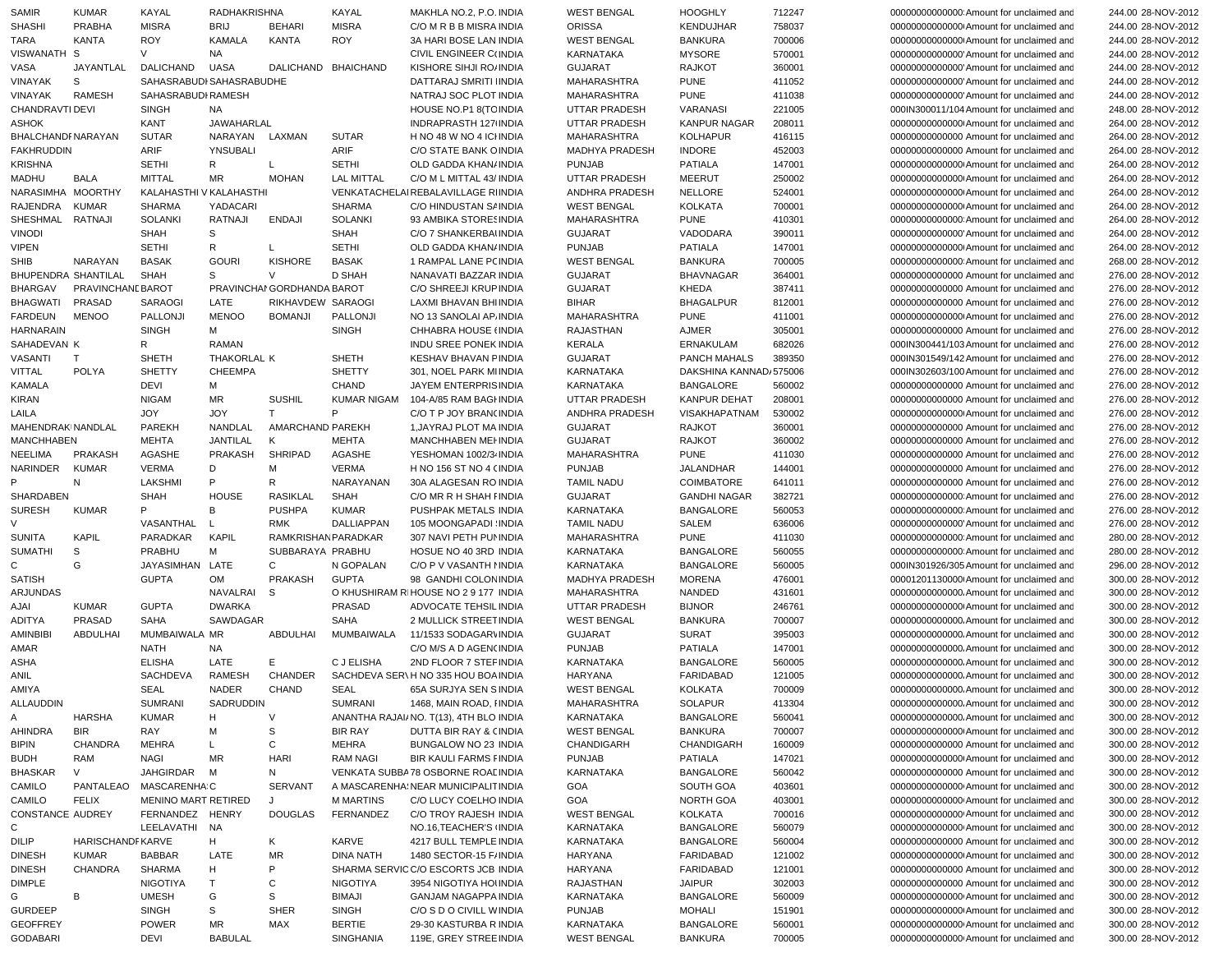| SAMIR               | <b>KUMAR</b>      | KAYAL                    | <b>RADHAKRISHNA</b> |                            | KAYAL               | MAKHLA NO.2, P.O. INDIA                                           | <b>WEST BENGAL</b>    | <b>HOOGHLY</b>         | 712247 | 000000000000000 Amount for unclaimed and | 244.00 28-NOV-2012 |
|---------------------|-------------------|--------------------------|---------------------|----------------------------|---------------------|-------------------------------------------------------------------|-----------------------|------------------------|--------|------------------------------------------|--------------------|
| <b>SHASHI</b>       | <b>PRABHA</b>     | <b>MISRA</b>             | <b>BRIJ</b>         | <b>BEHARI</b>              | <b>MISRA</b>        | C/O M R B B MISRA INDIA                                           | <b>ORISSA</b>         | <b>KENDUJHAR</b>       | 758037 | 000000000000000 Amount for unclaimed and | 244.00 28-NOV-2012 |
| TARA                | <b>KANTA</b>      | <b>ROY</b>               | KAMALA              | <b>KANTA</b>               | <b>ROY</b>          | 3A HARI BOSE LAN INDIA                                            | <b>WEST BENGAL</b>    | <b>BANKURA</b>         | 700006 | 000000000000000 Amount for unclaimed and | 244.00 28-NOV-2012 |
| VISWANATH S         |                   | V                        | NA                  |                            |                     | CIVIL ENGINEER C(INDIA                                            | KARNATAKA             | <b>MYSORE</b>          | 570001 | 00000000000000 Amount for unclaimed and  | 244.00 28-NOV-2012 |
| VASA                | JAYANTLAL         | DALICHAND                | <b>UASA</b>         |                            | DALICHAND BHAICHAND | KISHORE SIHJI ROJINDIA                                            | <b>GUJARAT</b>        | <b>RAJKOT</b>          | 360001 | 00000000000000 Amount for unclaimed and  | 244.00 28-NOV-2012 |
| <b>VINAYAK</b>      | S                 | SAHASRABUDI SAHASRABUDHE |                     |                            |                     | DATTARAJ SMRITI IINDIA                                            | MAHARASHTRA           | <b>PUNE</b>            | 411052 | 00000000000000 Amount for unclaimed and  | 244.00 28-NOV-2012 |
| <b>VINAYAK</b>      | <b>RAMESH</b>     | SAHASRABUDI RAMESH       |                     |                            |                     | NATRAJ SOC PLOT INDIA                                             | MAHARASHTRA           | <b>PUNE</b>            | 411038 | 00000000000000 Amount for unclaimed and  | 244.00 28-NOV-2012 |
| CHANDRAVTI DEVI     |                   | <b>SINGH</b>             | NA                  |                            |                     | HOUSE NO.P1 8 (TC INDIA                                           | UTTAR PRADESH         | VARANASI               | 221005 | 000IN300011/104 Amount for unclaimed and | 248.00 28-NOV-2012 |
| <b>ASHOK</b>        |                   | KANT                     | JAWAHARLAL          |                            |                     | INDRAPRASTH 127 INDIA                                             | UTTAR PRADESH         | KANPUR NAGAR           | 208011 | 000000000000000 Amount for unclaimed and | 264.00 28-NOV-2012 |
| BHALCHANDF NARAYAN  |                   | <b>SUTAR</b>             | NARAYAN             | LAXMAN                     | <b>SUTAR</b>        | H NO 48 W NO 4 ICHNDIA                                            | MAHARASHTRA           | <b>KOLHAPUR</b>        | 416115 | 00000000000000 Amount for unclaimed and  | 264.00 28-NOV-2012 |
| <b>FAKHRUDDIN</b>   |                   | ARIF                     | YNSUBALI            |                            | ARIF                | C/O STATE BANK OINDIA                                             | <b>MADHYA PRADESH</b> | <b>INDORE</b>          | 452003 | 00000000000000 Amount for unclaimed and  | 264.00 28-NOV-2012 |
| <b>KRISHNA</b>      |                   | <b>SETHI</b>             | R                   | L                          | <b>SETHI</b>        | OLD GADDA KHAN/INDIA                                              | <b>PUNJAB</b>         | <b>PATIALA</b>         | 147001 | 00000000000000 Amount for unclaimed and  | 264.00 28-NOV-2012 |
| <b>MADHU</b>        | <b>BALA</b>       | <b>MITTAL</b>            | MR                  | <b>MOHAN</b>               | <b>LAL MITTAL</b>   | C/O M L MITTAL 43/ INDIA                                          | UTTAR PRADESH         | <b>MEERUT</b>          | 250002 | 000000000000000 Amount for unclaimed and | 264.00 28-NOV-2012 |
| NARASIMHA           | <b>MOORTHY</b>    | KALAHASTHI V KALAHASTHI  |                     |                            |                     | VENKATACHELAI REBALAVILLAGE RIINDIA                               | ANDHRA PRADESH        | <b>NELLORE</b>         | 524001 | 000000000000000 Amount for unclaimed and | 264.00 28-NOV-2012 |
|                     |                   |                          |                     |                            |                     |                                                                   |                       |                        |        |                                          |                    |
| RAJENDRA            | <b>KUMAR</b>      | <b>SHARMA</b>            | YADACARI            |                            | <b>SHARMA</b>       | C/O HINDUSTAN S/ INDIA                                            | <b>WEST BENGAL</b>    | KOLKATA                | 700001 | 000000000000000 Amount for unclaimed and | 264.00 28-NOV-2012 |
| SHESHMAL            | <b>RATNAJI</b>    | <b>SOLANKI</b>           | <b>RATNAJI</b>      | <b>ENDAJI</b>              | <b>SOLANKI</b>      | 93 AMBIKA STORESINDIA                                             | <b>MAHARASHTRA</b>    | <b>PUNE</b>            | 410301 | 00000000000000 Amount for unclaimed and  | 264.00 28-NOV-2012 |
| <b>VINODI</b>       |                   | <b>SHAH</b>              | S                   |                            | <b>SHAH</b>         | C/O 7 SHANKERBAI INDIA                                            | <b>GUJARAT</b>        | VADODARA               | 390011 | 000000000000000 Amount for unclaimed and | 264.00 28-NOV-2012 |
| <b>VIPEN</b>        |                   | <b>SETHI</b>             | R                   | L                          | <b>SETHI</b>        | OLD GADDA KHAN/ INDIA                                             | <b>PUNJAB</b>         | PATIALA                | 147001 | 00000000000000 Amount for unclaimed and  | 264.00 28-NOV-2012 |
| <b>SHIB</b>         | NARAYAN           | <b>BASAK</b>             | <b>GOURI</b>        | <b>KISHORE</b>             | <b>BASAK</b>        | 1 RAMPAL LANE PC INDIA                                            | <b>WEST BENGAL</b>    | <b>BANKURA</b>         | 700005 | 000000000000000 Amount for unclaimed and | 268.00 28-NOV-2012 |
| BHUPENDRA SHANTILAL |                   | <b>SHAH</b>              | S                   | V                          | <b>D SHAH</b>       | NANAVATI BAZZAR INDIA                                             | <b>GUJARAT</b>        | <b>BHAVNAGAR</b>       | 364001 | 00000000000000 Amount for unclaimed and  | 276.00 28-NOV-2012 |
| <b>BHARGAV</b>      | PRAVINCHANE BAROT |                          |                     | PRAVINCHAI GORDHANDA BAROT |                     | C/O SHREEJI KRUP INDIA                                            | <b>GUJARAT</b>        | <b>KHEDA</b>           | 387411 | 00000000000000 Amount for unclaimed and  | 276.00 28-NOV-2012 |
| <b>BHAGWATI</b>     | PRASAD            | SARAOGI                  | LATE                | RIKHAVDEW SARAOGI          |                     | LAXMI BHAVAN BHIINDIA                                             | <b>BIHAR</b>          | <b>BHAGALPUR</b>       | 812001 | 00000000000000 Amount for unclaimed and  | 276.00 28-NOV-2012 |
| FARDEUN             | <b>MENOO</b>      | PALLONJI                 | <b>MENOO</b>        | <b>BOMANJI</b>             | PALLONJI            | NO 13 SANOLAI AP. INDIA                                           | <b>MAHARASHTRA</b>    | PUNE                   | 411001 | 000000000000000 Amount for unclaimed and | 276.00 28-NOV-2012 |
| <b>HARNARAIN</b>    |                   | <b>SINGH</b>             | м                   |                            | <b>SINGH</b>        | CHHABRA HOUSE (INDIA                                              | RAJASTHAN             | <b>AJMER</b>           | 305001 | 00000000000000 Amount for unclaimed and  | 276.00 28-NOV-2012 |
| SAHADEVAN K         |                   | R                        | RAMAN               |                            |                     | <b>INDU SREE PONEK INDIA</b>                                      | KERALA                | <b>ERNAKULAM</b>       | 682026 | 000IN300441/103 Amount for unclaimed and | 276.00 28-NOV-2012 |
| <b>VASANTI</b>      | $\mathsf{T}$      | SHETH                    | THAKORLAL K         |                            | <b>SHETH</b>        | KESHAV BHAVAN FINDIA                                              | <b>GUJARAT</b>        | PANCH MAHALS           | 389350 | 000IN301549/142 Amount for unclaimed and | 276.00 28-NOV-2012 |
| VITTAL              | <b>POLYA</b>      | <b>SHETTY</b>            | <b>CHEEMPA</b>      |                            | <b>SHETTY</b>       | 301, NOEL PARK MIINDIA                                            | KARNATAKA             | DAKSHINA KANNAD/575006 |        | 000IN302603/100 Amount for unclaimed and | 276.00 28-NOV-2012 |
| <b>KAMALA</b>       |                   | <b>DEVI</b>              | м                   |                            | <b>CHAND</b>        | JAYEM ENTERPRISINDIA                                              | <b>KARNATAKA</b>      | <b>BANGALORE</b>       | 560002 | 00000000000000 Amount for unclaimed and  | 276.00 28-NOV-2012 |
| KIRAN               |                   | <b>NIGAM</b>             | MR                  | <b>SUSHIL</b>              | <b>KUMAR NIGAM</b>  | 104-A/85 RAM BAGI INDIA                                           | <b>UTTAR PRADESH</b>  | <b>KANPUR DEHAT</b>    | 208001 | 00000000000000 Amount for unclaimed and  | 276.00 28-NOV-2012 |
| LAILA               |                   | <b>JOY</b>               | <b>JOY</b>          | T                          | P                   | C/O T P JOY BRAN(INDIA                                            | ANDHRA PRADESH        | VISAKHAPATNAM          | 530002 | 000000000000000 Amount for unclaimed and | 276.00 28-NOV-2012 |
| MAHENDRAKINANDLAL   |                   | <b>PAREKH</b>            | NANDLAL             | AMARCHAND PAREKH           |                     | 1. JAYRAJ PLOT MA INDIA                                           | <b>GUJARAT</b>        | <b>RAJKOT</b>          | 360001 | 00000000000000 Amount for unclaimed and  | 276.00 28-NOV-2012 |
|                     |                   |                          |                     |                            |                     | <b>MANCHHABEN MEI INDIA</b>                                       |                       |                        |        |                                          |                    |
| <b>MANCHHABEN</b>   |                   | <b>MEHTA</b>             | JANTILAL            | К                          | <b>MEHTA</b>        |                                                                   | <b>GUJARAT</b>        | <b>RAJKOT</b>          | 360002 | 00000000000000 Amount for unclaimed and  | 276.00 28-NOV-2012 |
| <b>NEELIMA</b>      | <b>PRAKASH</b>    | AGASHE                   | PRAKASH             | <b>SHRIPAD</b>             | <b>AGASHE</b>       | YESHOMAN 1002/3- INDIA                                            | MAHARASHTRA           | <b>PUNE</b>            | 411030 | 00000000000000 Amount for unclaimed and  | 276.00 28-NOV-2012 |
| NARINDER            | <b>KUMAR</b>      | <b>VERMA</b>             | D                   | M                          | <b>VERMA</b>        | H NO 156 ST NO 4 (INDIA                                           | <b>PUNJAB</b>         | JALANDHAR              | 144001 | 00000000000000 Amount for unclaimed and  | 276.00 28-NOV-2012 |
|                     | N                 | <b>LAKSHMI</b>           | P                   | R                          | NARAYANAN           | 30A ALAGESAN RO INDIA                                             | <b>TAMIL NADU</b>     | COIMBATORE             | 641011 | 00000000000000 Amount for unclaimed and  | 276.00 28-NOV-2012 |
| SHARDABEN           |                   | <b>SHAH</b>              | <b>HOUSE</b>        | <b>RASIKLAL</b>            | <b>SHAH</b>         | C/O MR R H SHAH FINDIA                                            | <b>GUJARAT</b>        | <b>GANDHI NAGAR</b>    | 382721 | 000000000000000 Amount for unclaimed and | 276.00 28-NOV-2012 |
| <b>SURESH</b>       | <b>KUMAR</b>      | P                        | B                   | <b>PUSHPA</b>              | <b>KUMAR</b>        | PUSHPAK METALS INDIA                                              | KARNATAKA             | <b>BANGALORE</b>       | 560053 | 000000000000000 Amount for unclaimed and | 276.00 28-NOV-2012 |
|                     |                   | VASANTHAL                |                     | <b>RMK</b>                 | DALLIAPPAN          | 105 MOONGAPADI INDIA                                              | <b>TAMIL NADU</b>     | SALEM                  | 636006 | 00000000000000 Amount for unclaimed and  | 276.00 28-NOV-2012 |
| <b>SUNITA</b>       | KAPIL             | PARADKAR                 | <b>KAPIL</b>        | RAMKRISHANPARADKAR         |                     | 307 NAVI PETH PUNINDIA                                            | MAHARASHTRA           | <b>PUNE</b>            | 411030 | 000000000000000 Amount for unclaimed and | 280.00 28-NOV-2012 |
| <b>SUMATHI</b>      | S                 | PRABHU                   | м                   | SUBBARAYA PRABHU           |                     | HOSUE NO 40 3RD INDIA                                             | KARNATAKA             | <b>BANGALORE</b>       | 560055 | 000000000000000 Amount for unclaimed and | 280.00 28-NOV-2012 |
| $\mathsf{C}$        | G                 | JAYASIMHAN               | LATE                | $\mathsf{C}$               | N GOPALAN           | C/O P V VASANTH I INDIA                                           | KARNATAKA             | <b>BANGALORE</b>       | 560005 | 000IN301926/305 Amount for unclaimed and | 296.00 28-NOV-2012 |
| <b>SATISH</b>       |                   | <b>GUPTA</b>             | OM                  | PRAKASH                    | <b>GUPTA</b>        | 98 GANDHI COLON INDIA                                             | MADHYA PRADESH        | <b>MORENA</b>          | 476001 | 00001201130000 Amount for unclaimed and  | 300.00 28-NOV-2012 |
| <b>ARJUNDAS</b>     |                   |                          | NAVALRAI            | S                          |                     | O KHUSHIRAM RIHOUSE NO 2 9 177 INDIA                              | MAHARASHTRA           | NANDED                 | 431601 | 00000000000000. Amount for unclaimed and | 300.00 28-NOV-2012 |
| AJAI                | <b>KUMAR</b>      | <b>GUPTA</b>             | <b>DWARKA</b>       |                            | <b>PRASAD</b>       | ADVOCATE TEHSIL INDIA                                             | <b>UTTAR PRADESH</b>  | <b>BIJNOR</b>          | 246761 | 000000000000000 Amount for unclaimed and | 300.00 28-NOV-2012 |
| ADITYA              | PRASAD            | SAHA                     | SAWDAGAR            |                            | <b>SAHA</b>         | 2 MULLICK STREET INDIA                                            | <b>WEST BENGAL</b>    | <b>BANKURA</b>         | 700007 | 00000000000000. Amount for unclaimed and | 300.00 28-NOV-2012 |
| <b>AMINBIBI</b>     | ABDULHAI          | MUMBAIWALA MR            |                     | ABDULHAI                   | MUMBAIWALA          | 11/1533 SODAGAR\INDIA                                             | <b>GUJARAT</b>        | <b>SURAT</b>           | 395003 | 00000000000000. Amount for unclaimed and | 300.00 28-NOV-2012 |
| AMAR                |                   | NATH                     | NA                  |                            |                     | C/O M/S A D AGEN(INDIA                                            | <b>PUNJAB</b>         | PATIALA                | 147001 | 00000000000000. Amount for unclaimed and | 300.00 28-NOV-2012 |
| ASHA                |                   | <b>ELISHA</b>            | LATE                | Е                          | C J ELISHA          | 2ND FLOOR 7 STEF INDIA                                            | <b>KARNATAKA</b>      | <b>BANGALORE</b>       | 560005 | 00000000000000. Amount for unclaimed and | 300.00 28-NOV-2012 |
| ANIL                |                   | <b>SACHDEVA</b>          | <b>RAMESH</b>       | <b>CHANDER</b>             |                     | SACHDEVA SER\H NO 335 HOU BOA INDIA                               | HARYANA               | <b>FARIDABAD</b>       | 121005 | 00000000000000. Amount for unclaimed and | 300.00 28-NOV-2012 |
| AMIYA               |                   | <b>SEAL</b>              | <b>NADER</b>        | <b>CHAND</b>               | <b>SEAL</b>         | 65A SURJYA SEN SINDIA                                             | <b>WEST BENGAL</b>    | KOLKATA                | 700009 | 00000000000000. Amount for unclaimed and | 300.00 28-NOV-2012 |
| ALLAUDDIN           |                   | SUMRANI                  | SADRUDDIN           |                            | SUMRANI             |                                                                   | MAHARASHTRA           | <b>SOLAPUR</b>         | 413304 | 00000000000000. Amount for unclaimed and | 300.00 28-NOV-2012 |
| A                   | <b>HARSHA</b>     |                          | н                   | V                          |                     | 1468, MAIN ROAD, HNDIA<br>ANANTHA RAJAI/ NO. T(13), 4TH BLO INDIA | KARNATAKA             | <b>BANGALORE</b>       | 560041 |                                          |                    |
|                     |                   | KUMAR                    |                     |                            |                     |                                                                   |                       |                        |        | 00000000000000. Amount for unclaimed and | 300.00 28-NOV-2012 |
| AHINDRA             | <b>BIR</b>        | RAY                      | м                   | S                          | <b>BIR RAY</b>      | DUTTA BIR RAY & CINDIA                                            | <b>WEST BENGAL</b>    | <b>BANKURA</b>         | 700007 | 000000000000000 Amount for unclaimed and | 300.00 28-NOV-2012 |
| <b>BIPIN</b>        | <b>CHANDRA</b>    | MEHRA                    | L.                  | С                          | <b>MEHRA</b>        | BUNGALOW NO 23 INDIA                                              | CHANDIGARH            | CHANDIGARH             | 160009 | 00000000000000 Amount for unclaimed and  | 300.00 28-NOV-2012 |
| <b>BUDH</b>         | RAM               | NAGI                     | <b>MR</b>           | <b>HARI</b>                | <b>RAM NAGI</b>     | BIR KAULI FARMS FINDIA                                            | <b>PUNJAB</b>         | PATIALA                | 147021 | 00000000000000 Amount for unclaimed and  | 300.00 28-NOV-2012 |
| <b>BHASKAR</b>      | V                 | JAHGIRDAR                | м                   | N                          |                     | VENKATA SUBBA78 OSBORNE ROALINDIA                                 | KARNATAKA             | <b>BANGALORE</b>       | 560042 | 00000000000000 Amount for unclaimed and  | 300.00 28-NOV-2012 |
| CAMILO              | PANTALEAO         | MASCARENHA C             |                     | <b>SERVANT</b>             |                     | A MASCARENHA! NEAR MUNICIPALIT INDIA                              | GOA                   | SOUTH GOA              | 403601 | 00000000000000 Amount for unclaimed and  | 300.00 28-NOV-2012 |
| CAMILO              | <b>FELIX</b>      | MENINO MART RETIRED      |                     | J                          | <b>M MARTINS</b>    | C/O LUCY COELHO INDIA                                             | GOA                   | <b>NORTH GOA</b>       | 403001 | 00000000000000 Amount for unclaimed and  | 300.00 28-NOV-2012 |
| CONSTANCE AUDREY    |                   | FERNANDEZ HENRY          |                     | <b>DOUGLAS</b>             | FERNANDEZ           | C/O TROY RAJESH INDIA                                             | <b>WEST BENGAL</b>    | <b>KOLKATA</b>         | 700016 | 00000000000000 Amount for unclaimed and  | 300.00 28-NOV-2012 |
| C                   |                   | LEELAVATHI NA            |                     |                            |                     | NO.16, TEACHER'S INDIA                                            | KARNATAKA             | <b>BANGALORE</b>       | 560079 | 00000000000000 Amount for unclaimed and  | 300.00 28-NOV-2012 |
| DILIP               | HARISCHANDF KARVE |                          | H                   | Κ                          | KARVE               | 4217 BULL TEMPLE INDIA                                            | KARNATAKA             | BANGALORE              | 560004 | 00000000000000 Amount for unclaimed and  | 300.00 28-NOV-2012 |
| <b>DINESH</b>       | <b>KUMAR</b>      | BABBAR                   | LATE                | MR                         | DINA NATH           | 1480 SECTOR-15 F/INDIA                                            | HARYANA               | FARIDABAD              | 121002 | 000000000000000 Amount for unclaimed and | 300.00 28-NOV-2012 |
| <b>DINESH</b>       | <b>CHANDRA</b>    | <b>SHARMA</b>            | н                   | P                          |                     | SHARMA SERVIC C/O ESCORTS JCB INDIA                               | HARYANA               | FARIDABAD              | 121001 | 00000000000000 Amount for unclaimed and  | 300.00 28-NOV-2012 |
| <b>DIMPLE</b>       |                   | <b>NIGOTIYA</b>          | T                   | C                          | <b>NIGOTIYA</b>     | 3954 NIGOTIYA HOUNDIA                                             | RAJASTHAN             | <b>JAIPUR</b>          | 302003 | 00000000000000 Amount for unclaimed and  | 300.00 28-NOV-2012 |
| G                   | B                 | <b>UMESH</b>             | G                   | S                          | <b>BIMAJI</b>       | <b>GANJAM NAGAPPA INDIA</b>                                       | KARNATAKA             | <b>BANGALORE</b>       | 560009 | 00000000000000 Amount for unclaimed and  | 300.00 28-NOV-2012 |
| <b>GURDEEP</b>      |                   | <b>SINGH</b>             | S                   | <b>SHER</b>                | SINGH               | C/O S D O CIVILL WINDIA                                           | <b>PUNJAB</b>         | <b>MOHALI</b>          | 151901 | 000000000000000 Amount for unclaimed and | 300.00 28-NOV-2012 |
| <b>GEOFFREY</b>     |                   | <b>POWER</b>             | MR                  | MAX                        | <b>BERTIE</b>       | 29-30 KASTURBA R INDIA                                            | KARNATAKA             | <b>BANGALORE</b>       | 560001 | 00000000000000 Amount for unclaimed and  | 300.00 28-NOV-2012 |
| <b>GODABARI</b>     |                   | <b>DEVI</b>              | <b>BABULAL</b>      |                            | SINGHANIA           | 119E, GREY STREE INDIA                                            | <b>WEST BENGAL</b>    | <b>BANKURA</b>         | 700005 | 00000000000000 Amount for unclaimed and  | 300.00 28-NOV-2012 |
|                     |                   |                          |                     |                            |                     |                                                                   |                       |                        |        |                                          |                    |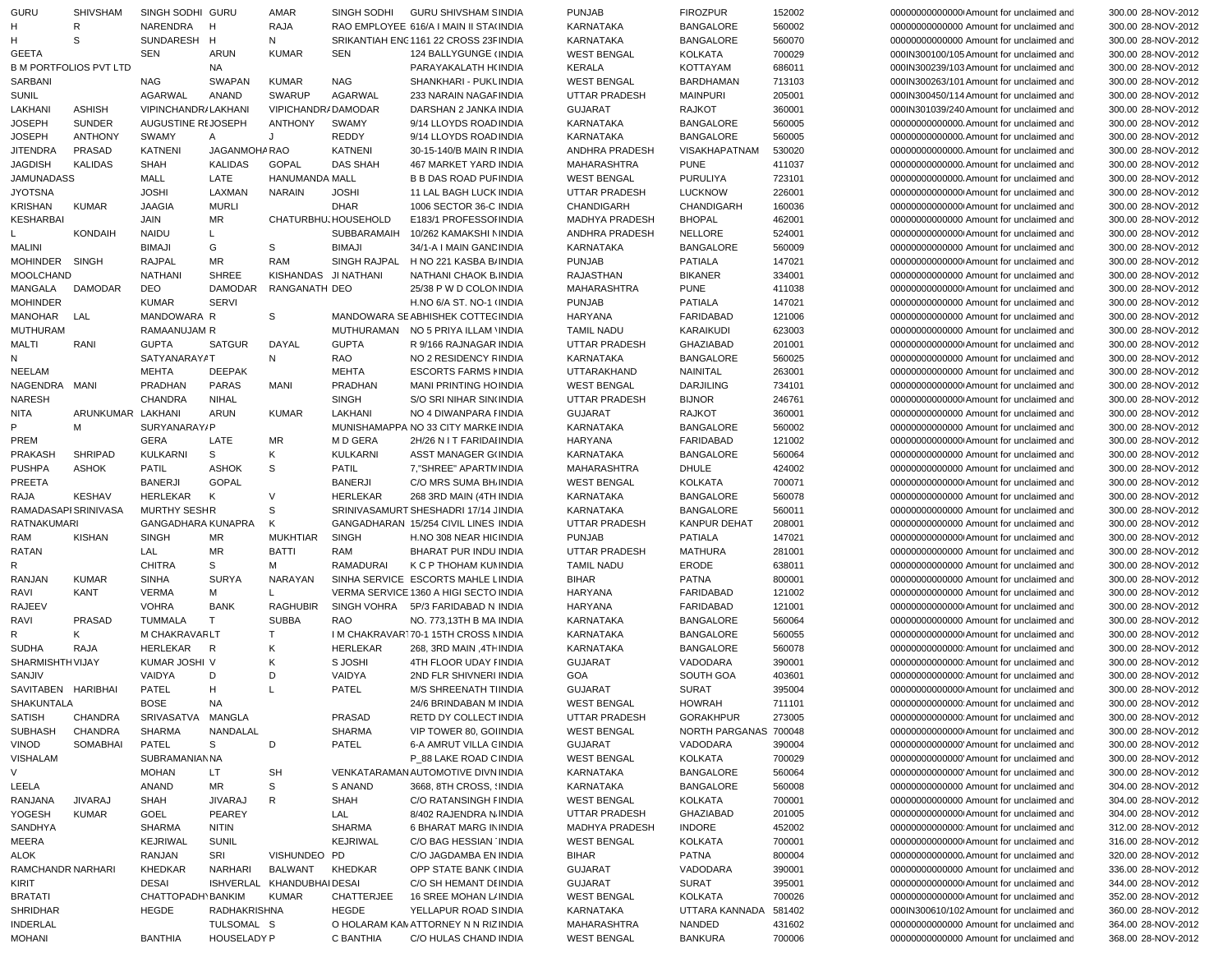| <b>GURU</b>                      | <b>SHIVSHAM</b>               | SINGH SODHI GURU    |                                  | AMAR                       | SINGH SODHI          | GURU SHIVSHAM SINDIA                                          | <b>PUNJAB</b>                     | <b>FIROZPUR</b>          | 152002           | 000000000000000 Amount for unclaimed and                                           | 300.00 28-NOV-2012                       |
|----------------------------------|-------------------------------|---------------------|----------------------------------|----------------------------|----------------------|---------------------------------------------------------------|-----------------------------------|--------------------------|------------------|------------------------------------------------------------------------------------|------------------------------------------|
| Н                                | R                             | NARENDRA            | н                                | RAJA                       |                      | RAO EMPLOYEE 616/A I MAIN II STA(INDIA                        | <b>KARNATAKA</b>                  | <b>BANGALORE</b>         | 560002           | 00000000000000 Amount for unclaimed and                                            | 300.00 28-NOV-2012                       |
| н                                | S                             | SUNDARESH H         |                                  | N                          |                      | SRIKANTIAH ENG 1161 22 CROSS 23F INDIA                        | <b>KARNATAKA</b>                  | <b>BANGALORE</b>         | 560070           | 00000000000000 Amount for unclaimed and                                            | 300.00 28-NOV-2012                       |
|                                  |                               |                     |                                  |                            |                      |                                                               |                                   |                          |                  |                                                                                    |                                          |
| <b>GEETA</b>                     |                               | SEN                 | ARUN                             | <b>KUMAR</b>               | <b>SEN</b>           | 124 BALLYGUNGE (INDIA                                         | <b>WEST BENGAL</b>                | <b>KOLKATA</b>           | 700029           | 000IN300100/105 Amount for unclaimed and                                           | 300.00 28-NOV-2012                       |
|                                  | <b>B M PORTFOLIOS PVT LTD</b> |                     | <b>NA</b>                        |                            |                      | PARAYAKALATH H(INDIA                                          | <b>KERALA</b>                     | KOTTAYAM                 | 686011           | 000IN300239/103 Amount for unclaimed and                                           | 300.00 28-NOV-2012                       |
| SARBANI                          |                               | <b>NAG</b>          | <b>SWAPAN</b>                    | <b>KUMAR</b>               | <b>NAG</b>           | SHANKHARI - PUKLINDIA                                         | <b>WEST BENGAL</b>                | <b>BARDHAMAN</b>         | 713103           | 000IN300263/101 Amount for unclaimed and                                           | 300.00 28-NOV-2012                       |
|                                  |                               |                     |                                  |                            |                      |                                                               |                                   |                          |                  |                                                                                    |                                          |
| SUNIL                            |                               | AGARWAL             | ANAND                            | <b>SWARUP</b>              | <b>AGARWAL</b>       | 233 NARAIN NAGAF INDIA                                        | <b>UTTAR PRADESH</b>              | <b>MAINPURI</b>          | 205001           | 000IN300450/114 Amount for unclaimed and                                           | 300.00 28-NOV-2012                       |
| LAKHANI                          | <b>ASHISH</b>                 | VIPINCHANDR/LAKHANI |                                  | VIPICHANDR/DAMODAR         |                      | DARSHAN 2 JANKA INDIA                                         | <b>GUJARAT</b>                    | <b>RAJKOT</b>            | 360001           | 000IN301039/240 Amount for unclaimed and                                           | 300.00 28-NOV-2012                       |
| <b>JOSEPH</b>                    | <b>SUNDER</b>                 | AUGUSTINE REJOSEPH  |                                  | <b>ANTHONY</b>             | <b>SWAMY</b>         | 9/14 LLOYDS ROAD INDIA                                        | KARNATAKA                         | <b>BANGALORE</b>         | 560005           | 000000000000000. Amount for unclaimed and                                          | 300.00 28-NOV-2012                       |
|                                  |                               |                     |                                  |                            |                      |                                                               |                                   |                          |                  |                                                                                    |                                          |
| <b>JOSEPH</b>                    | <b>ANTHONY</b>                | <b>SWAMY</b>        | Α                                | J                          | REDDY                | 9/14 LLOYDS ROAD INDIA                                        | KARNATAKA                         | <b>BANGALORE</b>         | 560005           | 00000000000000. Amount for unclaimed and                                           | 300.00 28-NOV-2012                       |
| <b>JITENDRA</b>                  | <b>PRASAD</b>                 | <b>KATNENI</b>      | JAGANMOHA RAO                    |                            | <b>KATNENI</b>       | 30-15-140/B MAIN R INDIA                                      | ANDHRA PRADESH                    | VISAKHAPATNAM            | 530020           | 000000000000000. Amount for unclaimed and                                          | 300.00 28-NOV-2012                       |
| <b>JAGDISH</b>                   | <b>KALIDAS</b>                | <b>SHAH</b>         | <b>KALIDAS</b>                   | <b>GOPAL</b>               | <b>DAS SHAH</b>      | 467 MARKET YARD INDIA                                         | <b>MAHARASHTRA</b>                | <b>PUNE</b>              | 411037           | 000000000000000. Amount for unclaimed and                                          | 300.00 28-NOV-2012                       |
| <b>JAMUNADASS</b>                |                               | MALL                | LATE                             | <b>HANUMANDA MALL</b>      |                      | <b>B B DAS ROAD PUF INDIA</b>                                 | <b>WEST BENGAL</b>                | <b>PURULIYA</b>          | 723101           | 000000000000000. Amount for unclaimed and                                          | 300.00 28-NOV-2012                       |
|                                  |                               |                     |                                  |                            |                      |                                                               |                                   |                          |                  |                                                                                    |                                          |
| <b>JYOTSNA</b>                   |                               | <b>JOSHI</b>        | LAXMAN                           | <b>NARAIN</b>              | <b>JOSHI</b>         | 11 LAL BAGH LUCK INDIA                                        | <b>UTTAR PRADESH</b>              | <b>LUCKNOW</b>           | 226001           | 000000000000000 Amount for unclaimed and                                           | 300.00 28-NOV-2012                       |
| <b>KRISHAN</b>                   | <b>KUMAR</b>                  | <b>JAAGIA</b>       | <b>MURLI</b>                     |                            | <b>DHAR</b>          | 1006 SECTOR 36-C INDIA                                        | CHANDIGARH                        | CHANDIGARH               | 160036           | 000000000000000 Amount for unclaimed and                                           | 300.00 28-NOV-2012                       |
| <b>KESHARBAI</b>                 |                               | JAIN                | MR                               |                            | CHATURBHU, HOUSEHOLD | E183/1 PROFESSOI INDIA                                        | <b>MADHYA PRADESH</b>             | <b>BHOPAL</b>            | 462001           | 00000000000000 Amount for unclaimed and                                            | 300.00 28-NOV-2012                       |
|                                  |                               |                     |                                  |                            |                      |                                                               |                                   |                          |                  |                                                                                    |                                          |
| L                                | <b>KONDAIH</b>                | <b>NAIDU</b>        | L                                |                            | SUBBARAMAIH          | 10/262 KAMAKSHI NINDIA                                        | ANDHRA PRADESH                    | <b>NELLORE</b>           | 524001           | 000000000000000 Amount for unclaimed and                                           | 300.00 28-NOV-2012                       |
| <b>MALINI</b>                    |                               | <b>BIMAJI</b>       | G                                | S                          | <b>BIMAJI</b>        | 34/1-A I MAIN GANE INDIA                                      | <b>KARNATAKA</b>                  | <b>BANGALORE</b>         | 560009           | 00000000000000 Amount for unclaimed and                                            | 300.00 28-NOV-2012                       |
| <b>MOHINDER</b>                  | <b>SINGH</b>                  | <b>RAJPAL</b>       | MR                               | <b>RAM</b>                 | SINGH RAJPAL         | H NO 221 KASBA B/ INDIA                                       | <b>PUNJAB</b>                     | <b>PATIALA</b>           | 147021           | 00000000000000 Amount for unclaimed and                                            | 300.00 28-NOV-2012                       |
| <b>MOOLCHAND</b>                 |                               | <b>NATHANI</b>      | <b>SHREE</b>                     | KISHANDAS JI NATHANI       |                      |                                                               |                                   | <b>BIKANER</b>           |                  |                                                                                    |                                          |
|                                  |                               |                     |                                  |                            |                      | NATHANI CHAOK B INDIA                                         | RAJASTHAN                         |                          | 334001           | 00000000000000 Amount for unclaimed and                                            | 300.00 28-NOV-2012                       |
| MANGALA                          | <b>DAMODAR</b>                | <b>DEO</b>          | DAMODAR                          | RANGANATH DEO              |                      | 25/38 P W D COLON INDIA                                       | <b>MAHARASHTRA</b>                | <b>PUNE</b>              | 411038           | 000000000000000 Amount for unclaimed and                                           | 300.00 28-NOV-2012                       |
| <b>MOHINDER</b>                  |                               | <b>KUMAR</b>        | <b>SERVI</b>                     |                            |                      | H.NO 6/A ST. NO-1 (INDIA                                      | <b>PUNJAB</b>                     | PATIALA                  | 147021           | 00000000000000 Amount for unclaimed and                                            | 300.00 28-NOV-2012                       |
| MANOHAR                          | LAL                           | MANDOWARA R         |                                  | S                          |                      | MANDOWARA SE ABHISHEK COTTEC INDIA                            | HARYANA                           | FARIDABAD                | 121006           | 00000000000000 Amount for unclaimed and                                            | 300.00 28-NOV-2012                       |
|                                  |                               |                     |                                  |                            |                      |                                                               |                                   |                          |                  |                                                                                    |                                          |
| <b>MUTHURAM</b>                  |                               | RAMAANUJAM R        |                                  |                            |                      | MUTHURAMAN NO 5 PRIYA ILLAM 'INDIA                            | <b>TAMIL NADU</b>                 | <b>KARAIKUDI</b>         | 623003           | 00000000000000 Amount for unclaimed and                                            | 300.00 28-NOV-2012                       |
| MALTI                            | RANI                          | <b>GUPTA</b>        | <b>SATGUR</b>                    | DAYAL                      | <b>GUPTA</b>         | R 9/166 RAJNAGAR INDIA                                        | UTTAR PRADESH                     | <b>GHAZIABAD</b>         | 201001           | 000000000000000 Amount for unclaimed and                                           | 300.00 28-NOV-2012                       |
| N                                |                               | SATYANARAYAT        |                                  | N                          | RAO                  | NO 2 RESIDENCY FINDIA                                         | KARNATAKA                         | <b>BANGALORE</b>         | 560025           | 00000000000000 Amount for unclaimed and                                            | 300.00 28-NOV-2012                       |
|                                  |                               |                     |                                  |                            |                      |                                                               |                                   |                          |                  |                                                                                    |                                          |
| <b>NEELAM</b>                    |                               | <b>MEHTA</b>        | <b>DEEPAK</b>                    |                            | <b>MEHTA</b>         | <b>ESCORTS FARMS FINDIA</b>                                   | <b>UTTARAKHAND</b>                | NAINITAL                 | 263001           | 000000000000000 Amount for unclaimed and                                           | 300.00 28-NOV-2012                       |
| NAGENDRA                         | MANI                          | PRADHAN             | <b>PARAS</b>                     | <b>MANI</b>                | PRADHAN              | <b>MANI PRINTING HOINDIA</b>                                  | <b>WEST BENGAL</b>                | <b>DARJILING</b>         | 734101           | 000000000000000 Amount for unclaimed and                                           | 300.00 28-NOV-2012                       |
| <b>NARESH</b>                    |                               | CHANDRA             | <b>NIHAL</b>                     |                            | <b>SINGH</b>         | S/O SRI NIHAR SIN(INDIA                                       | <b>UTTAR PRADESH</b>              | <b>BIJNOR</b>            | 246761           | 000000000000000 Amount for unclaimed and                                           | 300.00 28-NOV-2012                       |
|                                  |                               |                     |                                  |                            |                      | NO 4 DIWANPARA FINDIA                                         |                                   |                          |                  |                                                                                    |                                          |
| <b>NITA</b>                      | ARUNKUMAR                     | LAKHANI             | ARUN                             | <b>KUMAR</b>               | LAKHANI              |                                                               | <b>GUJARAT</b>                    | <b>RAJKOT</b>            | 360001           | 00000000000000 Amount for unclaimed and                                            | 300.00 28-NOV-2012                       |
| P                                | M                             | SURYANARAY/P        |                                  |                            |                      | MUNISHAMAPPA NO 33 CITY MARKE INDIA                           | <b>KARNATAKA</b>                  | <b>BANGALORE</b>         | 560002           | 00000000000000 Amount for unclaimed and                                            | 300.00 28-NOV-2012                       |
| PREM                             |                               | <b>GERA</b>         | LATE                             | <b>MR</b>                  | M D GERA             | 2H/26 N I T FARIDAI INDIA                                     | <b>HARYANA</b>                    | <b>FARIDABAD</b>         | 121002           | 00000000000000 Amount for unclaimed and                                            | 300.00 28-NOV-2012                       |
| PRAKASH                          | <b>SHRIPAD</b>                | KULKARNI            | S                                | Κ                          | KULKARNI             | ASST MANAGER G(INDIA                                          | KARNATAKA                         | <b>BANGALORE</b>         | 560064           | 00000000000000 Amount for unclaimed and                                            | 300.00 28-NOV-2012                       |
|                                  |                               |                     |                                  |                            |                      |                                                               |                                   |                          |                  |                                                                                    |                                          |
| <b>PUSHPA</b>                    | <b>ASHOK</b>                  | PATIL               | <b>ASHOK</b>                     | S                          | <b>PATIL</b>         | 7, "SHREE" APARTN INDIA                                       | MAHARASHTRA                       | <b>DHULE</b>             | 424002           | 00000000000000 Amount for unclaimed and                                            | 300.00 28-NOV-2012                       |
| PREETA                           |                               | <b>BANERJI</b>      | <b>GOPAL</b>                     |                            | <b>BANERJI</b>       | C/O MRS SUMA BH. INDIA                                        | <b>WEST BENGAL</b>                | <b>KOLKATA</b>           | 700071           | 000000000000000 Amount for unclaimed and                                           | 300.00 28-NOV-2012                       |
|                                  |                               |                     |                                  |                            |                      |                                                               |                                   |                          |                  |                                                                                    |                                          |
|                                  |                               |                     |                                  |                            |                      |                                                               |                                   |                          |                  |                                                                                    |                                          |
| RAJA                             | <b>KESHAV</b>                 | <b>HERLEKAR</b>     | K                                | $\vee$                     | <b>HERLEKAR</b>      | 268 3RD MAIN (4TH INDIA                                       | <b>KARNATAKA</b>                  | <b>BANGALORE</b>         | 560078           | 00000000000000 Amount for unclaimed and                                            | 300.00 28-NOV-2012                       |
|                                  | RAMADASAPI SRINIVASA          | <b>MURTHY SESHR</b> |                                  | S                          |                      | SRINIVASAMURT SHESHADRI 17/14 JINDIA                          | KARNATAKA                         | <b>BANGALORE</b>         | 560011           | 00000000000000 Amount for unclaimed and                                            | 300.00 28-NOV-2012                       |
| <b>RATNAKUMARI</b>               |                               | GANGADHARA KUNAPRA  |                                  | Κ                          |                      | GANGADHARAN 15/254 CIVIL LINES INDIA                          | UTTAR PRADESH                     | <b>KANPUR DEHAT</b>      | 208001           | 00000000000000 Amount for unclaimed and                                            | 300.00 28-NOV-2012                       |
|                                  |                               |                     |                                  |                            |                      |                                                               |                                   |                          |                  |                                                                                    |                                          |
| RAM                              | <b>KISHAN</b>                 | <b>SINGH</b>        | MR                               | <b>MUKHTIAR</b>            | <b>SINGH</b>         | H.NO 308 NEAR HICINDIA                                        | <b>PUNJAB</b>                     | <b>PATIALA</b>           | 147021           | 000000000000000 Amount for unclaimed and                                           | 300.00 28-NOV-2012                       |
| <b>RATAN</b>                     |                               | LAL                 | MR                               | <b>BATTI</b>               | RAM                  | BHARAT PUR INDU INDIA                                         | <b>UTTAR PRADESH</b>              | <b>MATHURA</b>           | 281001           | 00000000000000 Amount for unclaimed and                                            | 300.00 28-NOV-2012                       |
| R                                |                               | <b>CHITRA</b>       | S                                | М                          | <b>RAMADURAI</b>     | K C P THOHAM KUMNDIA                                          | <b>TAMIL NADU</b>                 | <b>ERODE</b>             | 638011           | 00000000000000 Amount for unclaimed and                                            | 300.00 28-NOV-2012                       |
|                                  |                               |                     |                                  |                            |                      |                                                               |                                   |                          |                  |                                                                                    |                                          |
| RANJAN                           | <b>KUMAR</b>                  | <b>SINHA</b>        | <b>SURYA</b>                     | NARAYAN                    |                      | SINHA SERVICE ESCORTS MAHLE LINDIA                            | <b>BIHAR</b>                      | <b>PATNA</b>             | 800001           | 00000000000000 Amount for unclaimed and                                            | 300.00 28-NOV-2012                       |
| RAVI                             | <b>KANT</b>                   | <b>VERMA</b>        | М                                |                            |                      | VERMA SERVICE 1360 A HIGI SECTO INDIA                         | HARYANA                           | <b>FARIDABAD</b>         | 121002           | 00000000000000 Amount for unclaimed and                                            | 300.00 28-NOV-2012                       |
| <b>RAJEEV</b>                    |                               | <b>VOHRA</b>        | <b>BANK</b>                      | <b>RAGHUBIR</b>            |                      | SINGH VOHRA 5P/3 FARIDABAD N INDIA                            | <b>HARYANA</b>                    | <b>FARIDABAD</b>         | 121001           | 000000000000000 Amount for unclaimed and                                           | 300.00 28-NOV-2012                       |
| RAVI                             | <b>PRASAD</b>                 | <b>TUMMALA</b>      | T.                               | <b>SUBBA</b>               | RAO                  | NO. 773,13TH B MA INDIA                                       | KARNATAKA                         | <b>BANGALORE</b>         | 560064           | 00000000000000 Amount for unclaimed and                                            | 300.00 28-NOV-2012                       |
|                                  |                               |                     |                                  |                            |                      |                                                               |                                   |                          |                  |                                                                                    |                                          |
| R                                | K                             | M CHAKRAVARLT       |                                  | T                          |                      | I M CHAKRAVAR170-1 15TH CROSS MNDIA                           | KARNATAKA                         | <b>BANGALORE</b>         | 560055           | 00000000000000 Amount for unclaimed and                                            | 300.00 28-NOV-2012                       |
| <b>SUDHA</b>                     | RAJA                          | HERLEKAR            | R                                | Κ                          | <b>HERLEKAR</b>      | 268, 3RD MAIN, 4TH INDIA                                      | <b>KARNATAKA</b>                  | <b>BANGALORE</b>         | 560078           | 00000000000000 Amount for unclaimed and                                            | 300.00 28-NOV-2012                       |
| <b>SHARMISHTH VIJAY</b>          |                               | KUMAR JOSHI V       |                                  | Κ                          | S JOSHI              | 4TH FLOOR UDAY FINDIA                                         | <b>GUJARAT</b>                    | VADODARA                 | 390001           | 00000000000000 Amount for unclaimed and                                            | 300.00 28-NOV-2012                       |
| SANJIV                           |                               | VAIDYA              | D                                | D                          | VAIDYA               | 2ND FLR SHIVNERI INDIA                                        | <b>GOA</b>                        | SOUTH GOA                | 403601           | 00000000000000 Amount for unclaimed and                                            | 300.00 28-NOV-2012                       |
|                                  |                               |                     |                                  |                            |                      |                                                               |                                   |                          |                  |                                                                                    |                                          |
| SAVITABEN HARIBHAI               |                               | <b>PATEL</b>        | H                                | L                          | <b>PATEL</b>         | M/S SHREENATH TIINDIA                                         | <b>GUJARAT</b>                    | <b>SURAT</b>             | 395004           | 000000000000000 Amount for unclaimed and                                           | 300.00 28-NOV-2012                       |
| SHAKUNTALA                       |                               | <b>BOSE</b>         | NA                               |                            |                      | 24/6 BRINDABAN M INDIA                                        | <b>WEST BENGAL</b>                | <b>HOWRAH</b>            | 711101           | 00000000000000 Amount for unclaimed and                                            | 300.00 28-NOV-2012                       |
| SATISH                           | CHANDRA                       | SRIVASATVA MANGLA   |                                  |                            | PRASAD               | RETD DY COLLECT INDIA                                         | UTTAR PRADESH                     | <b>GORAKHPUR</b>         | 273005           | 00000000000000 Amount for unclaimed and                                            | 300.00 28-NOV-2012                       |
|                                  |                               |                     |                                  |                            |                      |                                                               |                                   |                          |                  |                                                                                    |                                          |
| <b>SUBHASH</b>                   | CHANDRA                       | <b>SHARMA</b>       | NANDALAL                         |                            | <b>SHARMA</b>        | VIP TOWER 80, GOI INDIA                                       | <b>WEST BENGAL</b>                | NORTH PARGANAS 700048    |                  | 000000000000000 Amount for unclaimed and                                           | 300.00 28-NOV-2012                       |
| VINOD                            | <b>SOMABHAI</b>               | <b>PATEL</b>        | $\mathbf S$                      | D                          | PATEL                | 6-A AMRUT VILLA CINDIA                                        | <b>GUJARAT</b>                    | VADODARA                 | 390004           | 00000000000000 Amount for unclaimed and                                            | 300.00 28-NOV-2012                       |
| <b>VISHALAM</b>                  |                               | SUBRAMANIAN NA      |                                  |                            |                      | P_88 LAKE ROAD CINDIA                                         | <b>WEST BENGAL</b>                | <b>KOLKATA</b>           | 700029           | 00000000000000 Amount for unclaimed and                                            | 300.00 28-NOV-2012                       |
| V                                |                               | <b>MOHAN</b>        |                                  |                            |                      |                                                               |                                   |                          |                  |                                                                                    | 300.00 28-NOV-2012                       |
|                                  |                               |                     | LT.                              | <b>SH</b>                  |                      | VENKATARAMAN AUTOMOTIVE DIVN INDIA                            | <b>KARNATAKA</b>                  | <b>BANGALORE</b>         | 560064           | 00000000000000 Amount for unclaimed and                                            |                                          |
| LEELA                            |                               | <b>ANAND</b>        | MR                               | S                          | S ANAND              | 3668, 8TH CROSS, INDIA                                        | <b>KARNATAKA</b>                  | <b>BANGALORE</b>         | 560008           | 00000000000000 Amount for unclaimed and                                            | 304.00 28-NOV-2012                       |
| RANJANA                          | <b>JIVARAJ</b>                | <b>SHAH</b>         | JIVARAJ                          | R                          | SHAH                 | C/O RATANSINGH FINDIA                                         | <b>WEST BENGAL</b>                | <b>KOLKATA</b>           | 700001           | 00000000000000 Amount for unclaimed and                                            | 304.00 28-NOV-2012                       |
| YOGESH                           | <b>KUMAR</b>                  | GOEL                | PEAREY                           |                            | LAL                  | 8/402 RAJENDRA N. INDIA                                       | UTTAR PRADESH                     | <b>GHAZIABAD</b>         | 201005           | 00000000000000 Amount for unclaimed and                                            | 304.00 28-NOV-2012                       |
|                                  |                               |                     |                                  |                            |                      |                                                               |                                   |                          |                  |                                                                                    |                                          |
| SANDHYA                          |                               | <b>SHARMA</b>       | <b>NITIN</b>                     |                            | SHARMA               | 6 BHARAT MARG IN INDIA                                        | MADHYA PRADESH                    | <b>INDORE</b>            | 452002           | 00000000000000 Amount for unclaimed and                                            | 312.00 28-NOV-2012                       |
| MEERA                            |                               | <b>KEJRIWAL</b>     | <b>SUNIL</b>                     |                            | <b>KEJRIWAL</b>      | C/O BAG HESSIAN INDIA                                         | <b>WEST BENGAL</b>                | <b>KOLKATA</b>           | 700001           | 00000000000000 Amount for unclaimed and                                            | 316.00 28-NOV-2012                       |
| ALOK                             |                               | RANJAN              | SRI                              | VISHUNDEO PD               |                      | C/O JAGDAMBA EN INDIA                                         | BIHAR                             | <b>PATNA</b>             | 800004           | 00000000000000. Amount for unclaimed and                                           | 320.00 28-NOV-2012                       |
|                                  |                               |                     |                                  |                            |                      |                                                               |                                   |                          |                  |                                                                                    |                                          |
| RAMCHANDR NARHARI                |                               | <b>KHEDKAR</b>      | NARHARI                          | <b>BALWANT</b>             | KHEDKAR              | OPP STATE BANK (INDIA                                         | <b>GUJARAT</b>                    | VADODARA                 | 390001           | 00000000000000 Amount for unclaimed and                                            | 336.00 28-NOV-2012                       |
| KIRIT                            |                               | <b>DESAI</b>        |                                  | ISHVERLAL KHANDUBHAI DESAI |                      | C/O SH HEMANT DI INDIA                                        | <b>GUJARAT</b>                    | <b>SURAT</b>             | 395001           | 00000000000000 Amount for unclaimed and                                            | 344.00 28-NOV-2012                       |
| <b>BRATATI</b>                   |                               | CHATTOPADH\BANKIM   |                                  | <b>KUMAR</b>               | CHATTERJEE           | 16 SREE MOHAN L/INDIA                                         | <b>WEST BENGAL</b>                | <b>KOLKATA</b>           | 700026           | 00000000000000 Amount for unclaimed and                                            | 352.00 28-NOV-2012                       |
| <b>SHRIDHAR</b>                  |                               | <b>HEGDE</b>        | RADHAKRISHNA                     |                            | HEGDE                | YELLAPUR ROAD SINDIA                                          | <b>KARNATAKA</b>                  | UTTARA KANNADA           | 581402           | 000IN300610/102 Amount for unclaimed and                                           | 360.00 28-NOV-2012                       |
|                                  |                               |                     |                                  |                            |                      |                                                               |                                   |                          |                  |                                                                                    |                                          |
| <b>INDERLAL</b><br><b>MOHANI</b> |                               | <b>BANTHIA</b>      | TULSOMAL S<br><b>HOUSELADY P</b> |                            | C BANTHIA            | O HOLARAM KAN ATTORNEY N N RIZ INDIA<br>C/O HULAS CHAND INDIA | MAHARASHTRA<br><b>WEST BENGAL</b> | NANDED<br><b>BANKURA</b> | 431602<br>700006 | 00000000000000 Amount for unclaimed and<br>00000000000000 Amount for unclaimed and | 364.00 28-NOV-2012<br>368.00 28-NOV-2012 |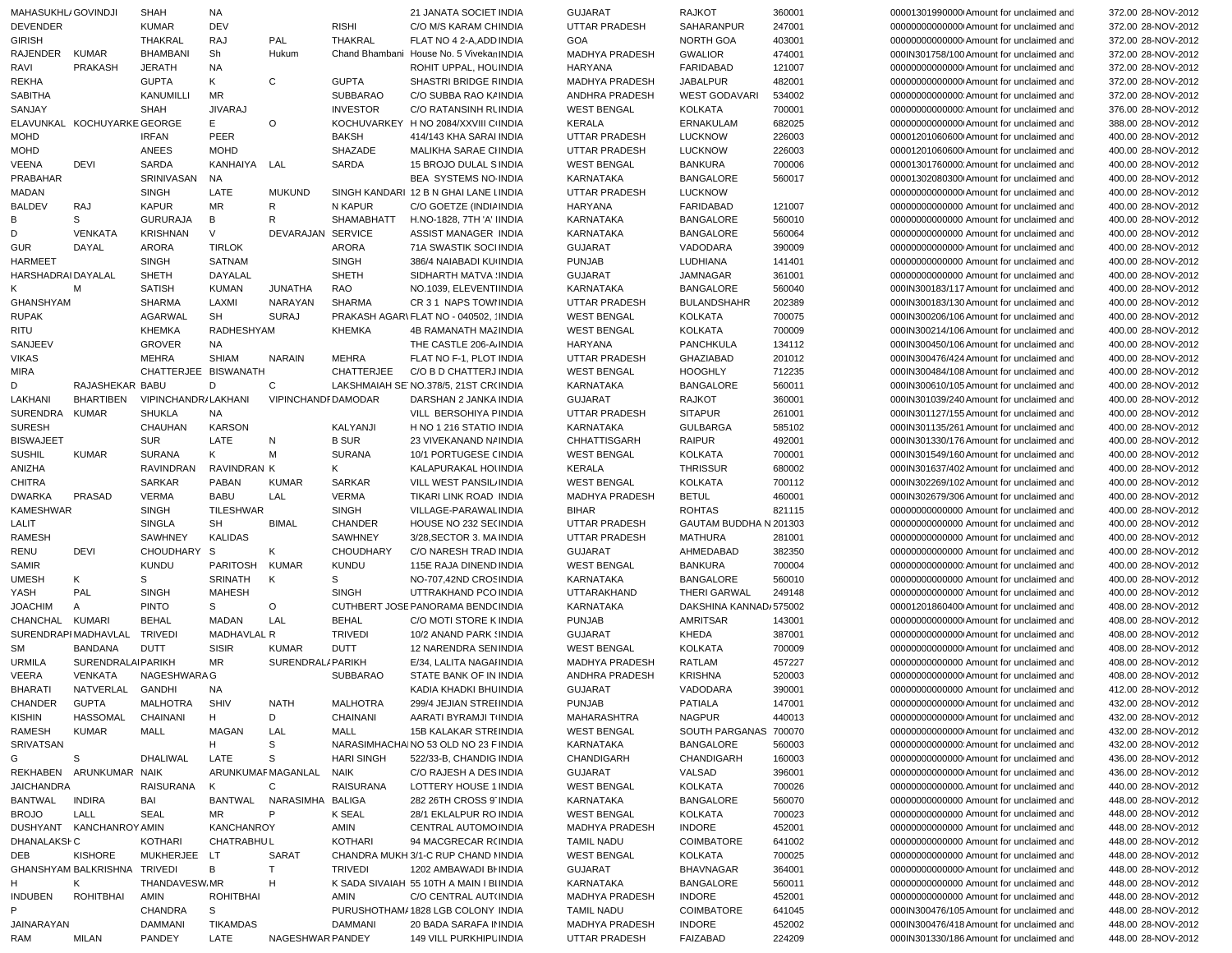| MAHASUKHL/ GOVINDJI |                              | <b>SHAH</b>          | NA.                |                          |                   | 21 JANATA SOCIET INDIA                   | <b>GUJARAT</b>        | <b>RAJKOT</b>          | 360001 | 00001301990000 Amount for unclaimed and  | 372.00 28-NOV-2012                       |
|---------------------|------------------------------|----------------------|--------------------|--------------------------|-------------------|------------------------------------------|-----------------------|------------------------|--------|------------------------------------------|------------------------------------------|
| <b>DEVENDER</b>     |                              | <b>KUMAR</b>         | DEV                |                          | <b>RISHI</b>      | C/O M/S KARAM CHINDIA                    | UTTAR PRADESH         | SAHARANPUR             | 247001 | 000000000000000 Amount for unclaimed and | 372.00 28-NOV-2012                       |
| <b>GIRISH</b>       |                              | <b>THAKRAL</b>       | RAJ                | PAL                      | <b>THAKRAL</b>    | FLAT NO 4 2-A, ADD INDIA                 | GOA                   | NORTH GOA              | 403001 | 00000000000000 Amount for unclaimed and  | 372.00 28-NOV-2012                       |
| RAJENDER            | <b>KUMAR</b>                 | <b>BHAMBANI</b>      | Sh                 | Hukum                    |                   | Chand Bhambani House No. 5 Vivekar INDIA | <b>MADHYA PRADESH</b> | <b>GWALIOR</b>         | 474001 | 000IN301758/100 Amount for unclaimed and | 372.00 28-NOV-2012                       |
| RAVI                | <b>PRAKASH</b>               | <b>JERATH</b>        | NA                 |                          |                   | ROHIT UPPAL, HOL INDIA                   | HARYANA               | <b>FARIDABAD</b>       | 121007 | 000000000000000 Amount for unclaimed and | 372.00 28-NOV-2012                       |
| REKHA               |                              | <b>GUPTA</b>         | Κ                  | C                        | <b>GUPTA</b>      | SHASTRI BRIDGE FINDIA                    | <b>MADHYA PRADESH</b> | <b>JABALPUR</b>        | 482001 | 000000000000000 Amount for unclaimed and | 372.00 28-NOV-2012                       |
| <b>SABITHA</b>      |                              | KANUMILLI            | MR                 |                          | <b>SUBBARAO</b>   | C/O SUBBA RAO K/ INDIA                   | ANDHRA PRADESH        | <b>WEST GODAVARI</b>   | 534002 | 000000000000000 Amount for unclaimed and | 372.00 28-NOV-2012                       |
| SANJAY              |                              | <b>SHAH</b>          | <b>JIVARAJ</b>     |                          | <b>INVESTOR</b>   | <b>C/O RATANSINH RUNDIA</b>              | <b>WEST BENGAL</b>    | <b>KOLKATA</b>         | 700001 | 000000000000000 Amount for unclaimed and | 376.00 28-NOV-2012                       |
|                     | ELAVUNKAL KOCHUYARKE GEORGE  |                      | E.                 | $\circ$                  |                   | KOCHUVARKEY H NO 2084/XXVIII C INDIA     | <b>KERALA</b>         | ERNAKULAM              | 682025 | 000000000000000 Amount for unclaimed and | 388.00 28-NOV-2012                       |
| <b>MOHD</b>         |                              | <b>IRFAN</b>         | PEER               |                          | <b>BAKSH</b>      | 414/143 KHA SARAI INDIA                  | <b>UTTAR PRADESH</b>  | <b>LUCKNOW</b>         | 226003 | 00001201060600 Amount for unclaimed and  | 400.00 28-NOV-2012                       |
| <b>MOHD</b>         |                              | ANEES                | <b>MOHD</b>        |                          | SHAZADE           | MALIKHA SARAE CIINDIA                    | UTTAR PRADESH         | <b>LUCKNOW</b>         | 226003 | 00001201060600 Amount for unclaimed and  | 400.00 28-NOV-2012                       |
| <b>VEENA</b>        | DEVI                         | SARDA                | KANHAIYA LAL       |                          | SARDA             | 15 BROJO DULAL SINDIA                    | <b>WEST BENGAL</b>    | <b>BANKURA</b>         | 700006 | 00001301760000 Amount for unclaimed and  | 400.00 28-NOV-2012                       |
| PRABAHAR            |                              | SRINIVASAN           | <b>NA</b>          |                          |                   | <b>BEA SYSTEMS NO INDIA</b>              | <b>KARNATAKA</b>      | <b>BANGALORE</b>       | 560017 | 00001302080300 Amount for unclaimed and  | 400.00 28-NOV-2012                       |
| MADAN               |                              | <b>SINGH</b>         | LATE               | <b>MUKUND</b>            |                   | SINGH KANDARI 12 B N GHAI LANE LINDIA    | UTTAR PRADESH         | <b>LUCKNOW</b>         |        | 000000000000000 Amount for unclaimed and | 400.00 28-NOV-2012                       |
| <b>BALDEV</b>       | RAJ                          | <b>KAPUR</b>         | MR                 | R                        | N KAPUR           | C/O GOETZE (INDIA INDIA                  | <b>HARYANA</b>        | FARIDABAD              | 121007 | 00000000000000 Amount for unclaimed and  | 400.00 28-NOV-2012                       |
| В                   | S                            | <b>GURURAJA</b>      | В                  | R                        | SHAMABHATT        | H.NO-1828, 7TH 'A' IINDIA                | <b>KARNATAKA</b>      | <b>BANGALORE</b>       | 560010 | 00000000000000 Amount for unclaimed and  | 400.00 28-NOV-2012                       |
| D                   | <b>VENKATA</b>               | <b>KRISHNAN</b>      | V                  | DEVARAJAN SERVICE        |                   | ASSIST MANAGER INDIA                     | KARNATAKA             | <b>BANGALORE</b>       | 560064 | 00000000000000 Amount for unclaimed and  | 400.00 28-NOV-2012                       |
| <b>GUR</b>          | DAYAL                        | <b>ARORA</b>         | <b>TIRLOK</b>      |                          | <b>ARORA</b>      | 71A SWASTIK SOCI INDIA                   | <b>GUJARAT</b>        | VADODARA               | 390009 | 00000000000000 Amount for unclaimed and  | 400.00 28-NOV-2012                       |
| <b>HARMEET</b>      |                              | <b>SINGH</b>         | SATNAM             |                          | <b>SINGH</b>      | 386/4 NAIABADI KU INDIA                  | <b>PUNJAB</b>         | LUDHIANA               | 141401 | 00000000000000 Amount for unclaimed and  | 400.00 28-NOV-2012                       |
| HARSHADRAI DAYALAL  |                              | <b>SHETH</b>         | DAYALAL            |                          | <b>SHETH</b>      | SIDHARTH MATVA INDIA                     | <b>GUJARAT</b>        | <b>JAMNAGAR</b>        | 361001 | 00000000000000 Amount for unclaimed and  | 400.00 28-NOV-2012                       |
|                     | M                            | <b>SATISH</b>        | <b>KUMAN</b>       | <b>JUNATHA</b>           | RAO               | NO.1039, ELEVENTINDIA                    | <b>KARNATAKA</b>      | <b>BANGALORE</b>       | 560040 | 000IN300183/117 Amount for unclaimed and | 400.00 28-NOV-2012                       |
| GHANSHYAM           |                              | <b>SHARMA</b>        | LAXMI              | NARAYAN                  | <b>SHARMA</b>     | CR 3 1 NAPS TOWHNDIA                     | UTTAR PRADESH         | <b>BULANDSHAHR</b>     | 202389 | 000IN300183/130 Amount for unclaimed and | 400.00 28-NOV-2012                       |
| <b>RUPAK</b>        |                              | AGARWAL              | SH                 | <b>SURAJ</b>             |                   | PRAKASH AGAR\ FLAT NO - 040502, 'INDIA   | <b>WEST BENGAL</b>    | <b>KOLKATA</b>         | 700075 | 000IN300206/106 Amount for unclaimed and | 400.00 28-NOV-2012                       |
| RITU                |                              | <b>KHEMKA</b>        | RADHESHYAM         |                          | <b>KHEMKA</b>     | 4B RAMANATH MAZ INDIA                    | <b>WEST BENGAL</b>    | <b>KOLKATA</b>         | 700009 | 000IN300214/106 Amount for unclaimed and | 400.00 28-NOV-2012                       |
| SANJEEV             |                              | <b>GROVER</b>        | <b>NA</b>          |                          |                   | THE CASTLE 206-A INDIA                   | HARYANA               | PANCHKULA              | 134112 | 000IN300450/106 Amount for unclaimed and | 400.00 28-NOV-2012                       |
| <b>VIKAS</b>        |                              | <b>MEHRA</b>         | <b>SHIAM</b>       | <b>NARAIN</b>            | <b>MEHRA</b>      | FLAT NO F-1, PLOT INDIA                  | UTTAR PRADESH         | GHAZIABAD              | 201012 | 000IN300476/424 Amount for unclaimed and | 400.00 28-NOV-2012                       |
| MIRA                |                              | CHATTERJEE BISWANATH |                    |                          | <b>CHATTERJEE</b> | C/O B D CHATTERJ INDIA                   | <b>WEST BENGAL</b>    | <b>HOOGHLY</b>         | 712235 | 000IN300484/108 Amount for unclaimed and | 400.00 28-NOV-2012                       |
| D                   | RAJASHEKAR BABU              |                      | D                  | C                        |                   | LAKSHMAIAH SE NO.378/5, 21ST CR(INDIA    | KARNATAKA             | <b>BANGALORE</b>       | 560011 | 000IN300610/105 Amount for unclaimed and | 400.00 28-NOV-2012                       |
| LAKHANI             | BHARTIBEN                    | VIPINCHANDR/LAKHANI  |                    | VIPINCHANDFDAMODAR       |                   | DARSHAN 2 JANKA INDIA                    | <b>GUJARAT</b>        | <b>RAJKOT</b>          | 360001 | 000IN301039/240 Amount for unclaimed and | 400.00 28-NOV-2012                       |
| <b>SURENDRA</b>     | KUMAR                        | <b>SHUKLA</b>        | NA                 |                          |                   | VILL BERSOHIYA FINDIA                    | UTTAR PRADESH         | <b>SITAPUR</b>         | 261001 | 000IN301127/155 Amount for unclaimed and | 400.00 28-NOV-2012                       |
| <b>SURESH</b>       |                              | CHAUHAN              | <b>KARSON</b>      |                          | KALYANJI          | H NO 1 216 STATIO INDIA                  | KARNATAKA             | <b>GULBARGA</b>        | 585102 | 000IN301135/261 Amount for unclaimed and | 400.00 28-NOV-2012                       |
| <b>BISWAJEET</b>    |                              | <b>SUR</b>           | LATE               | N                        | <b>B SUR</b>      | 23 VIVEKANAND N/ INDIA                   | CHHATTISGARH          | <b>RAIPUR</b>          | 492001 | 000IN301330/176 Amount for unclaimed and | 400.00 28-NOV-2012                       |
| <b>SUSHIL</b>       | <b>KUMAR</b>                 | <b>SURANA</b>        | K                  | М                        | <b>SURANA</b>     | 10/1 PORTUGESE CINDIA                    | <b>WEST BENGAL</b>    | <b>KOLKATA</b>         | 700001 | 000IN301549/160 Amount for unclaimed and | 400.00 28-NOV-2012                       |
| ANIZHA              |                              | RAVINDRAN            | RAVINDRAN K        |                          | Κ                 | KALAPURAKAL HOUNDIA                      | <b>KERALA</b>         | <b>THRISSUR</b>        | 680002 | 000IN301637/402 Amount for unclaimed and | 400.00 28-NOV-2012                       |
| <b>CHITRA</b>       |                              | <b>SARKAR</b>        | <b>PABAN</b>       | <b>KUMAR</b>             | <b>SARKAR</b>     | VILL WEST PANSIL INDIA                   | <b>WEST BENGAL</b>    | <b>KOLKATA</b>         | 700112 | 000IN302269/102 Amount for unclaimed and | 400.00 28-NOV-2012                       |
| <b>DWARKA</b>       | PRASAD                       | <b>VERMA</b>         | <b>BABU</b>        | LAL                      | <b>VERMA</b>      | TIKARI LINK ROAD INDIA                   | <b>MADHYA PRADESH</b> | <b>BETUL</b>           | 460001 | 000IN302679/306 Amount for unclaimed and | 400.00 28-NOV-2012                       |
| <b>KAMESHWAR</b>    |                              | <b>SINGH</b>         | <b>TILESHWAR</b>   |                          | <b>SINGH</b>      | VILLAGE-PARAWAL INDIA                    | <b>BIHAR</b>          | <b>ROHTAS</b>          | 821115 | 00000000000000 Amount for unclaimed and  | 400.00 28-NOV-2012                       |
| LALIT               |                              | <b>SINGLA</b>        | <b>SH</b>          | <b>BIMAL</b>             | <b>CHANDER</b>    | HOUSE NO 232 SE(INDIA                    | UTTAR PRADESH         | GAUTAM BUDDHA N 201303 |        | 00000000000000 Amount for unclaimed and  | 400.00 28-NOV-2012                       |
| <b>RAMESH</b>       |                              | SAWHNEY              | <b>KALIDAS</b>     |                          | <b>SAWHNEY</b>    | 3/28, SECTOR 3. MAINDIA                  | UTTAR PRADESH         | MATHURA                | 281001 | 00000000000000 Amount for unclaimed and  | 400.00 28-NOV-2012                       |
| RENU                | <b>DEVI</b>                  | CHOUDHARY S          |                    | Κ                        | <b>CHOUDHARY</b>  | C/O NARESH TRAD INDIA                    | <b>GUJARAT</b>        | AHMEDABAD              | 382350 | 00000000000000 Amount for unclaimed and  | 400.00 28-NOV-2012                       |
| SAMIR               |                              | <b>KUNDU</b>         | PARITOSH           | KUMAR                    | <b>KUNDU</b>      | 115E RAJA DINEND INDIA                   | <b>WEST BENGAL</b>    | <b>BANKURA</b>         | 700004 | 000000000000000 Amount for unclaimed and | 400.00 28-NOV-2012                       |
| <b>UMESH</b>        | K                            | S                    | SRINATH            | K                        | S                 | NO-707,42ND CROSINDIA                    | KARNATAKA             | <b>BANGALORE</b>       | 560010 | 00000000000000 Amount for unclaimed and  | 400.00 28-NOV-2012                       |
| YASH                | PAL                          |                      | <b>MAHESH</b>      |                          | <b>SINGH</b>      | UTTRAKHAND PCO INDIA                     | UTTARAKHAND           | <b>THERI GARWAL</b>    | 249148 | 00000000000000 Amount for unclaimed and  | 400.00 28-NOV-2012                       |
|                     |                              | <b>SINGH</b>         |                    |                          |                   | CUTHBERT JOSE PANORAMA BENDCINDIA        |                       | DAKSHINA KANNAD 575002 |        | 00001201860400 Amount for unclaimed and  |                                          |
| <b>JOACHIM</b>      | $\mathsf{A}$                 | <b>PINTO</b>         | S                  | O                        |                   | C/O MOTI STORE K INDIA                   | KARNATAKA             |                        |        |                                          | 408.00 28-NOV-2012<br>408.00 28-NOV-2012 |
| CHANCHAL            | KUMARI                       | <b>BEHAL</b>         | MADAN              | LAL                      | <b>BEHAL</b>      |                                          | <b>PUNJAB</b>         | AMRITSAR               | 143001 | 000000000000000 Amount for unclaimed and |                                          |
|                     | SURENDRAPIMADHAVLAL          | <b>TRIVEDI</b>       | <b>MADHAVLAL R</b> |                          | <b>TRIVEDI</b>    | 10/2 ANAND PARK (INDIA                   | <b>GUJARAT</b>        | KHEDA                  | 387001 | 000000000000000 Amount for unclaimed and | 408.00 28-NOV-2012                       |
| <b>SM</b>           | <b>BANDANA</b>               | <b>DUTT</b>          | <b>SISIR</b>       | <b>KUMAR</b>             | <b>DUTT</b>       | 12 NARENDRA SENINDIA                     | <b>WEST BENGAL</b>    | <b>KOLKATA</b>         | 700009 | 000000000000000 Amount for unclaimed and | 408.00 28-NOV-2012                       |
| <b>URMILA</b>       | <b>SURENDRALAIPARIKH</b>     |                      | <b>MR</b>          | SURENDRAL/PARIKH         |                   | E/34, LALITA NAGAI INDIA                 | <b>MADHYA PRADESH</b> | RATLAM                 | 457227 | 00000000000000 Amount for unclaimed and  | 408.00 28-NOV-2012                       |
| <b>VEERA</b>        | <b>VENKATA</b>               | <b>NAGESHWARAG</b>   |                    |                          | <b>SUBBARAO</b>   | STATE BANK OF IN INDIA                   | ANDHRA PRADESH        | <b>KRISHNA</b>         | 520003 | 000000000000000 Amount for unclaimed and | 408.00 28-NOV-2012                       |
| <b>BHARATI</b>      | NATVERLAL GANDHI             |                      | NA.                |                          |                   | KADIA KHADKI BHU INDIA                   | <b>GUJARAT</b>        | VADODARA               | 390001 | 00000000000000 Amount for unclaimed and  | 412.00 28-NOV-2012                       |
| CHANDER             | <b>GUPTA</b>                 | MALHOTRA             | SHIV               | <b>NATH</b>              | MALHOTRA          | 299/4 JEJIAN STREIINDIA                  | <b>PUNJAB</b>         | PATIALA                | 147001 | 000000000000000 Amount for unclaimed and | 432.00 28-NOV-2012                       |
| <b>KISHIN</b>       | HASSOMAL                     | CHAINANI             | H                  | D                        | CHAINANI          | AARATI BYRAMJI TINDIA                    | MAHARASHTRA           | NAGPUR                 | 440013 | 000000000000000 Amount for unclaimed and | 432.00 28-NOV-2012                       |
| RAMESH              | KUMAR                        | MALL                 | MAGAN              | LAL                      | MALL              | 15B KALAKAR STRI INDIA                   | <b>WEST BENGAL</b>    | SOUTH PARGANAS 700070  |        | 000000000000000 Amount for unclaimed and | 432.00 28-NOV-2012                       |
| SRIVATSAN           |                              |                      | H                  | S                        |                   | NARASIMHACHAINO 53 OLD NO 23 F INDIA     | KARNATAKA             | <b>BANGALORE</b>       | 560003 | 000000000000000 Amount for unclaimed and | 432.00 28-NOV-2012                       |
| G                   | S                            | DHALIWAL             | LATE               | S                        | <b>HARI SINGH</b> | 522/33-B, CHANDIG INDIA                  | CHANDIGARH            | CHANDIGARH             | 160003 | 00000000000000 Amount for unclaimed and  | 436.00 28-NOV-2012                       |
|                     | REKHABEN ARUNKUMAR NAIK      |                      |                    | ARUNKUMAF MAGANLAL NAIK  |                   | C/O RAJESH A DES INDIA                   | <b>GUJARAT</b>        | VALSAD                 | 396001 | 000000000000000 Amount for unclaimed and | 436.00 28-NOV-2012                       |
| <b>JAICHANDRA</b>   |                              | RAISURANA            | K                  | C                        | RAISURANA         | LOTTERY HOUSE 1 INDIA                    | <b>WEST BENGAL</b>    | <b>KOLKATA</b>         | 700026 |                                          | 440.00 28-NOV-2012                       |
| BANTWAL             | <b>INDIRA</b>                | BAI                  |                    | BANTWAL NARASIMHA BALIGA |                   | 282 26TH CROSS 9 INDIA                   | KARNATAKA             | <b>BANGALORE</b>       | 560070 | 00000000000000 Amount for unclaimed and  | 448.00 28-NOV-2012                       |
| <b>BROJO</b>        | LALL                         | <b>SEAL</b>          | MR.                | P                        | <b>K SEAL</b>     | 28/1 EKLALPUR RO INDIA                   | <b>WEST BENGAL</b>    | <b>KOLKATA</b>         | 700023 | 00000000000000 Amount for unclaimed and  | 448.00 28-NOV-2012                       |
|                     | DUSHYANT KANCHANROY AMIN     |                      | KANCHANROY         |                          | AMIN              | CENTRAL AUTOMO INDIA                     | <b>MADHYA PRADESH</b> | <b>INDORE</b>          | 452001 | 00000000000000 Amount for unclaimed and  | 448.00 28-NOV-2012                       |
| DHANALAKSI-C        |                              | <b>KOTHARI</b>       | <b>CHATRABHUL</b>  |                          | KOTHARI           | 94 MACGRECAR R(INDIA                     | <b>TAMIL NADU</b>     | COIMBATORE             | 641002 | 00000000000000 Amount for unclaimed and  | 448.00 28-NOV-2012                       |
| DEB                 | KISHORE                      | MUKHERJEE LT         |                    | SARAT                    |                   | CHANDRA MUKH 3/1-C RUP CHAND I INDIA     | <b>WEST BENGAL</b>    | <b>KOLKATA</b>         | 700025 | 00000000000000 Amount for unclaimed and  | 448.00 28-NOV-2012                       |
|                     | GHANSHYAM BALKRISHNA TRIVEDI |                      | В                  | T                        | <b>TRIVEDI</b>    | 1202 AMBAWADI BI INDIA                   | <b>GUJARAT</b>        | <b>BHAVNAGAR</b>       | 364001 | 00000000000000 Amount for unclaimed and  | 448.00 28-NOV-2012                       |
| H.                  | K                            | THANDAVESW.MR        |                    | н                        |                   | K SADA SIVAIAH 55 10TH A MAIN I BIINDIA  | KARNATAKA             | <b>BANGALORE</b>       | 560011 | 00000000000000 Amount for unclaimed and  | 448.00 28-NOV-2012                       |
| <b>INDUBEN</b>      | ROHITBHAI                    | AMIN                 | <b>ROHITBHAI</b>   |                          | AMIN              | C/O CENTRAL AUT(INDIA                    | MADHYA PRADESH        | <b>INDORE</b>          | 452001 | 00000000000000 Amount for unclaimed and  | 448.00 28-NOV-2012                       |
|                     |                              | CHANDRA              | S                  |                          |                   | PURUSHOTHAM/ 1828 LGB COLONY INDIA       | <b>TAMIL NADU</b>     | COIMBATORE             | 641045 | 000IN300476/105 Amount for unclaimed and | 448.00 28-NOV-2012                       |
| JAINARAYAN          |                              | DAMMANI              | TIKAMDAS           |                          | <b>DAMMANI</b>    | 20 BADA SARAFA IN INDIA                  | MADHYA PRADESH        | <b>INDORE</b>          | 452002 | 000IN300476/418 Amount for unclaimed and | 448.00 28-NOV-2012                       |
| RAM                 | <b>MILAN</b>                 | PANDEY               | LATE               | NAGESHWAR PANDEY         |                   | 149 VILL PURKHIPL INDIA                  | UTTAR PRADESH         | FAIZABAD               | 224209 | 000IN301330/186 Amount for unclaimed and | 448.00 28-NOV-2012                       |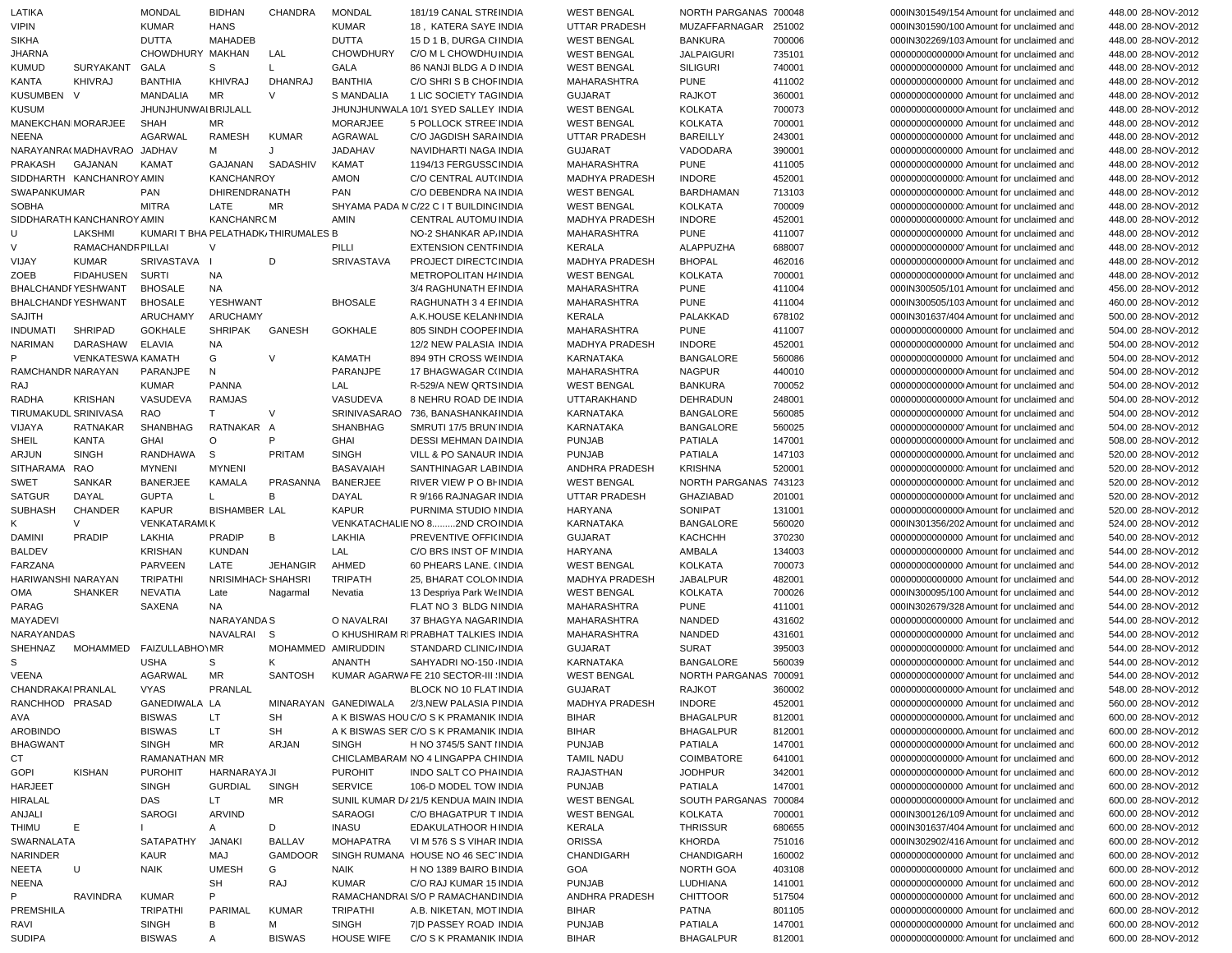| LATIKA                      |                            | <b>MONDAL</b>                       | <b>BIDHAN</b>         | <b>CHANDRA</b>     | <b>MONDAL</b>     | 181/19 CANAL STRI INDIA                                        | <b>WEST BENGAL</b>                   | NORTH PARGANAS 700048              |                  | 000IN301549/154 Amount for unclaimed and                                             | 448.00 28-NOV-2012                       |
|-----------------------------|----------------------------|-------------------------------------|-----------------------|--------------------|-------------------|----------------------------------------------------------------|--------------------------------------|------------------------------------|------------------|--------------------------------------------------------------------------------------|------------------------------------------|
| <b>VIPIN</b>                |                            | <b>KUMAR</b>                        | <b>HANS</b>           |                    | <b>KUMAR</b>      | 18, KATERA SAYE INDIA                                          | <b>UTTAR PRADESH</b>                 | MUZAFFARNAGAR 251002               |                  | 000IN301590/100 Amount for unclaimed and                                             | 448.00 28-NOV-2012                       |
| <b>SIKHA</b>                |                            | <b>DUTTA</b>                        | <b>MAHADEB</b>        |                    | <b>DUTTA</b>      | 15 D 1 B, DURGA CHNDIA                                         | <b>WEST BENGAL</b>                   | <b>BANKURA</b>                     | 700006           | 000IN302269/103 Amount for unclaimed and                                             | 448.00 28-NOV-2012                       |
| <b>JHARNA</b>               |                            | CHOWDHURY MAKHAN                    |                       | LAL                | <b>CHOWDHURY</b>  | C/O M L CHOWDHU INDIA                                          | <b>WEST BENGAL</b>                   | <b>JALPAIGURI</b>                  | 735101           | 000000000000000 Amount for unclaimed and                                             | 448.00 28-NOV-2012                       |
| <b>KUMUD</b>                | SURYAKANT                  | GALA                                | S                     | L                  | GALA              | 86 NANJI BLDG A D INDIA                                        | <b>WEST BENGAL</b>                   | <b>SILIGURI</b>                    | 740001           | 00000000000000 Amount for unclaimed and                                              | 448.00 28-NOV-2012                       |
| KANTA                       | <b>KHIVRAJ</b>             | <b>BANTHIA</b>                      | KHIVRAJ               | DHANRAJ            | <b>BANTHIA</b>    | C/O SHRIS B CHOF INDIA                                         | MAHARASHTRA                          | <b>PUNE</b>                        | 411002           | 00000000000000 Amount for unclaimed and                                              | 448.00 28-NOV-2012                       |
| <b>KUSUMBEN</b>             | - V                        | <b>MANDALIA</b>                     | <b>MR</b>             | $\vee$             | S MANDALIA        | 1 LIC SOCIETY TAGINDIA                                         | <b>GUJARAT</b>                       | <b>RAJKOT</b>                      | 360001           | 00000000000000 Amount for unclaimed and                                              | 448.00 28-NOV-2012                       |
| <b>KUSUM</b>                |                            | JHUNJHUNWAI BRIJLALL                |                       |                    |                   | JHUNJHUNWALA 10/1 SYED SALLEY INDIA                            | <b>WEST BENGAL</b>                   | <b>KOLKATA</b>                     | 700073           | 000000000000000 Amount for unclaimed and                                             | 448.00 28-NOV-2012                       |
|                             | MANEKCHANIMORARJEE         | <b>SHAH</b>                         | MR                    |                    | <b>MORARJEE</b>   | 5 POLLOCK STREE INDIA                                          | <b>WEST BENGAL</b>                   | <b>KOLKATA</b>                     | 700001           | 00000000000000 Amount for unclaimed and                                              | 448.00 28-NOV-2012                       |
| NEENA                       |                            | <b>AGARWAL</b>                      | RAMESH                | <b>KUMAR</b>       | <b>AGRAWAL</b>    | C/O JAGDISH SARA INDIA                                         | <b>UTTAR PRADESH</b>                 | <b>BAREILLY</b>                    | 243001           | 00000000000000 Amount for unclaimed and                                              | 448.00 28-NOV-2012                       |
|                             | NARAYANRA(MADHAVRAO JADHAV |                                     | М                     | J                  | <b>JADAHAV</b>    | NAVIDHARTI NAGA INDIA                                          | <b>GUJARAT</b>                       | VADODARA                           | 390001           | 00000000000000 Amount for unclaimed and                                              | 448.00 28-NOV-2012                       |
| PRAKASH                     | GAJANAN                    | <b>KAMAT</b>                        | GAJANAN               | SADASHIV           | <b>KAMAT</b>      | 1194/13 FERGUSSCINDIA<br>C/O CENTRAL AUT(INDIA                 | MAHARASHTRA                          | <b>PUNE</b>                        | 411005           | 00000000000000 Amount for unclaimed and                                              | 448.00 28-NOV-2012                       |
|                             | SIDDHARTH KANCHANROY AMIN  |                                     | <b>KANCHANROY</b>     |                    | <b>AMON</b>       |                                                                | MADHYA PRADESH                       | <b>INDORE</b>                      | 452001           | 000000000000000 Amount for unclaimed and                                             | 448.00 28-NOV-2012                       |
| SWAPANKUMAR<br><b>SOBHA</b> |                            | PAN<br><b>MITRA</b>                 | DHIRENDRANATH<br>LATE |                    | PAN               | C/O DEBENDRA NA INDIA<br>SHYAMA PADA MC/22 C I T BUILDINCINDIA | <b>WEST BENGAL</b>                   | <b>BARDHAMAN</b><br><b>KOLKATA</b> | 713103<br>700009 | 000000000000000 Amount for unclaimed and                                             | 448.00 28-NOV-2012                       |
|                             | SIDDHARATH KANCHANROY AMIN |                                     | <b>KANCHANRCM</b>     | MR                 | AMIN              | <b>CENTRAL AUTOMU INDIA</b>                                    | <b>WEST BENGAL</b><br>MADHYA PRADESH | <b>INDORE</b>                      | 452001           | 000000000000000 Amount for unclaimed and<br>000000000000000 Amount for unclaimed and | 448.00 28-NOV-2012<br>448.00 28-NOV-2012 |
| U                           | LAKSHMI                    | KUMARI T BHA PELATHADK/THIRUMALES B |                       |                    |                   | NO-2 SHANKAR AP INDIA                                          | <b>MAHARASHTRA</b>                   | <b>PUNE</b>                        | 411007           | 00000000000000 Amount for unclaimed and                                              | 448.00 28-NOV-2012                       |
| V                           | RAMACHANDR PILLAI          |                                     | $\vee$                |                    | PILLI             | <b>EXTENSION CENTFINDIA</b>                                    | <b>KERALA</b>                        | ALAPPUZHA                          | 688007           | 00000000000000 Amount for unclaimed and                                              | 448.00 28-NOV-2012                       |
| VIJAY                       | <b>KUMAR</b>               | SRIVASTAVA I                        |                       | D                  | <b>SRIVASTAVA</b> | PROJECT DIRECTC INDIA                                          | <b>MADHYA PRADESH</b>                | <b>BHOPAL</b>                      | 462016           | 000000000000000 Amount for unclaimed and                                             | 448.00 28-NOV-2012                       |
| ZOEB                        | <b>FIDAHUSEN</b>           | <b>SURTI</b>                        | <b>NA</b>             |                    |                   | METROPOLITAN H/ INDIA                                          | <b>WEST BENGAL</b>                   | <b>KOLKATA</b>                     | 700001           | 000000000000000 Amount for unclaimed and                                             | 448.00 28-NOV-2012                       |
| BHALCHANDFYESHWANT          |                            | <b>BHOSALE</b>                      | NA                    |                    |                   | 3/4 RAGHUNATH EI INDIA                                         | <b>MAHARASHTRA</b>                   | <b>PUNE</b>                        | 411004           | 000IN300505/101 Amount for unclaimed and                                             | 456.00 28-NOV-2012                       |
|                             | BHALCHANDFYESHWANT         | <b>BHOSALE</b>                      | YESHWANT              |                    | <b>BHOSALE</b>    | RAGHUNATH 3 4 EI INDIA                                         | MAHARASHTRA                          | <b>PUNE</b>                        | 411004           | 000IN300505/103 Amount for unclaimed and                                             | 460.00 28-NOV-2012                       |
| <b>SAJITH</b>               |                            | <b>ARUCHAMY</b>                     | <b>ARUCHAMY</b>       |                    |                   | A.K.HOUSE KELANI INDIA                                         | <b>KERALA</b>                        | PALAKKAD                           | 678102           | 000IN301637/404 Amount for unclaimed and                                             | 500.00 28-NOV-2012                       |
| <b>INDUMATI</b>             | SHRIPAD                    | <b>GOKHALE</b>                      | SHRIPAK               | GANESH             | <b>GOKHALE</b>    | 805 SINDH COOPEI INDIA                                         | <b>MAHARASHTRA</b>                   | <b>PUNE</b>                        | 411007           | 00000000000000 Amount for unclaimed and                                              | 504.00 28-NOV-2012                       |
| <b>NARIMAN</b>              | DARASHAW                   | <b>ELAVIA</b>                       | NA                    |                    |                   | 12/2 NEW PALASIA INDIA                                         | MADHYA PRADESH                       | <b>INDORE</b>                      | 452001           | 00000000000000 Amount for unclaimed and                                              | 504.00 28-NOV-2012                       |
| P                           | <b>VENKATESWA KAMATH</b>   |                                     | G                     | $\vee$             | <b>KAMATH</b>     | 894 9TH CROSS WEINDIA                                          | <b>KARNATAKA</b>                     | <b>BANGALORE</b>                   | 560086           | 00000000000000 Amount for unclaimed and                                              | 504.00 28-NOV-2012                       |
| RAMCHANDR NARAYAN           |                            | PARANJPE                            | N                     |                    | PARANJPE          | 17 BHAGWAGAR C(INDIA                                           | MAHARASHTRA                          | <b>NAGPUR</b>                      | 440010           | 000000000000000 Amount for unclaimed and                                             | 504.00 28-NOV-2012                       |
| RAJ                         |                            | <b>KUMAR</b>                        | <b>PANNA</b>          |                    | LAL               | R-529/A NEW QRTS INDIA                                         | <b>WEST BENGAL</b>                   | <b>BANKURA</b>                     | 700052           | 000000000000000 Amount for unclaimed and                                             | 504.00 28-NOV-2012                       |
| RADHA                       | <b>KRISHAN</b>             | VASUDEVA                            | <b>RAMJAS</b>         |                    | VASUDEVA          | 8 NEHRU ROAD DE INDIA                                          | UTTARAKHAND                          | DEHRADUN                           | 248001           | 00000000000000 Amount for unclaimed and                                              | 504.00 28-NOV-2012                       |
| TIRUMAKUDL SRINIVASA        |                            | RAO                                 | T                     | $\vee$             |                   | SRINIVASARAO 736, BANASHANKAI INDIA                            | <b>KARNATAKA</b>                     | <b>BANGALORE</b>                   | 560085           | 000000000000000 Amount for unclaimed and                                             | 504.00 28-NOV-2012                       |
| VIJAYA                      | RATNAKAR                   | <b>SHANBHAG</b>                     | RATNAKAR A            |                    | <b>SHANBHAG</b>   | SMRUTI 17/5 BRUN INDIA                                         | KARNATAKA                            | <b>BANGALORE</b>                   | 560025           | 00000000000000 Amount for unclaimed and                                              | 504.00 28-NOV-2012                       |
| SHEIL                       | KANTA                      | <b>GHAI</b>                         | $\circ$               | P                  | GHAI              | DESSI MEHMAN DA INDIA                                          | <b>PUNJAB</b>                        | <b>PATIALA</b>                     | 147001           | 000000000000000 Amount for unclaimed and                                             | 508.00 28-NOV-2012                       |
| ARJUN                       | <b>SINGH</b>               | <b>RANDHAWA</b>                     | S                     | PRITAM             | <b>SINGH</b>      | VILL & PO SANAUR INDIA                                         | <b>PUNJAB</b>                        | <b>PATIALA</b>                     | 147103           | 00000000000000. Amount for unclaimed and                                             | 520.00 28-NOV-2012                       |
| SITHARAMA RAO               |                            | <b>MYNENI</b>                       | <b>MYNENI</b>         |                    | <b>BASAVAIAH</b>  | SANTHINAGAR LABINDIA                                           | ANDHRA PRADESH                       | <b>KRISHNA</b>                     | 520001           | 000000000000000 Amount for unclaimed and                                             | 520.00 28-NOV-2012                       |
| SWET                        | <b>SANKAR</b>              | <b>BANERJEE</b>                     | <b>KAMALA</b>         | PRASANNA           | <b>BANERJEE</b>   | RIVER VIEW PO BHNDIA                                           | <b>WEST BENGAL</b>                   | NORTH PARGANAS 743123              |                  | 000000000000000 Amount for unclaimed and                                             | 520.00 28-NOV-2012                       |
| <b>SATGUR</b>               | DAYAL                      | <b>GUPTA</b>                        | L.                    | B                  | DAYAL             | R 9/166 RAJNAGAR INDIA                                         | <b>UTTAR PRADESH</b>                 | <b>GHAZIABAD</b>                   | 201001           | 000000000000000 Amount for unclaimed and                                             | 520.00 28-NOV-2012                       |
| <b>SUBHASH</b>              | CHANDER                    | <b>KAPUR</b>                        | <b>BISHAMBER LAL</b>  |                    | <b>KAPUR</b>      | PURNIMA STUDIO I INDIA                                         | <b>HARYANA</b>                       | SONIPAT                            | 131001           | 000000000000000 Amount for unclaimed and                                             | 520.00 28-NOV-2012                       |
| Κ                           | V                          | VENKATARAMIK                        |                       |                    |                   | VENKATACHALIE NO 82ND CROINDIA                                 | <b>KARNATAKA</b>                     | <b>BANGALORE</b>                   | 560020           | 000IN301356/202 Amount for unclaimed and                                             | 524.00 28-NOV-2012                       |
| <b>DAMINI</b>               | <b>PRADIP</b>              | LAKHIA                              | <b>PRADIP</b>         | B                  | LAKHIA            | PREVENTIVE OFFICINDIA                                          | <b>GUJARAT</b>                       | <b>KACHCHH</b>                     | 370230           | 00000000000000 Amount for unclaimed and                                              | 540.00 28-NOV-2012                       |
| <b>BALDEV</b>               |                            | <b>KRISHAN</b>                      | <b>KUNDAN</b>         |                    | LAL               | C/O BRS INST OF MINDIA                                         | HARYANA                              | AMBALA                             | 134003           | 00000000000000 Amount for unclaimed and                                              | 544.00 28-NOV-2012                       |
| <b>FARZANA</b>              |                            | PARVEEN                             | LATE                  | <b>JEHANGIR</b>    | AHMED             | 60 PHEARS LANE. (INDIA                                         | <b>WEST BENGAL</b>                   | <b>KOLKATA</b>                     | 700073           | 00000000000000 Amount for unclaimed and                                              | 544.00 28-NOV-2012                       |
| HARIWANSHI NARAYAN          |                            | <b>TRIPATHI</b>                     | NRISIMHACH SHAHSRI    |                    | <b>TRIPATH</b>    | 25, BHARAT COLON INDIA                                         | <b>MADHYA PRADESH</b>                | <b>JABALPUR</b>                    | 482001           | 00000000000000 Amount for unclaimed and                                              | 544.00 28-NOV-2012                       |
| OMA                         | <b>SHANKER</b>             | <b>NEVATIA</b>                      | Late                  | Nagarmal           | Nevatia           | 13 Despriya Park We INDIA                                      | <b>WEST BENGAL</b>                   | <b>KOLKATA</b>                     | 700026           | 000IN300095/100 Amount for unclaimed and                                             | 544.00 28-NOV-2012                       |
| PARAG                       |                            | SAXENA                              | NA                    |                    |                   | FLAT NO 3 BLDG NINDIA                                          | MAHARASHTRA                          | <b>PUNE</b>                        | 411001           | 000IN302679/328 Amount for unclaimed and                                             | 544.00 28-NOV-2012                       |
| <b>MAYADEVI</b>             |                            |                                     | NARAYANDA S           |                    | O NAVALRAI        | 37 BHAGYA NAGAR INDIA                                          | MAHARASHTRA                          | NANDED                             | 431602           | 00000000000000 Amount for unclaimed and                                              | 544.00 28-NOV-2012                       |
| NARAYANDAS                  |                            |                                     | NAVALRAI              | S                  |                   | O KHUSHIRAM RIPRABHAT TALKIES INDIA                            | MAHARASHTRA                          | NANDED                             | 431601           | 00000000000000 Amount for unclaimed and                                              | 544.00 28-NOV-2012                       |
| SHEHNAZ                     | MOHAMMED                   | FAIZULLABHO\MR                      |                       | MOHAMMED AMIRUDDIN |                   | STANDARD CLINIC/ INDIA                                         | <b>GUJARAT</b>                       | <b>SURAT</b>                       | 395003           | 000000000000000 Amount for unclaimed and                                             | 544.00 28-NOV-2012                       |
| S                           |                            | <b>USHA</b>                         | S                     | К                  | <b>ANANTH</b>     | SAHYADRI NO-150 INDIA                                          | KARNATAKA                            | <b>BANGALORE</b>                   | 560039           | 000000000000000 Amount for unclaimed and                                             | 544.00 28-NOV-2012                       |
| <b>VEENA</b>                |                            | AGARWAL                             | MR                    | SANTOSH            |                   | KUMAR AGARWA FE 210 SECTOR-III INDIA                           | <b>WEST BENGAL</b>                   | NORTH PARGANAS 700091              |                  | 00000000000000 Amount for unclaimed and                                              | 544.00 28-NOV-2012                       |
| CHANDRAKAI PRANLAL          |                            | <b>VYAS</b>                         | PRANLAL               |                    |                   | BLOCK NO 10 FLAT INDIA                                         | <b>GUJARAT</b>                       | <b>RAJKOT</b>                      | 360002           | 00000000000000 Amount for unclaimed and                                              | 548.00 28-NOV-2012                       |
| RANCHHOD PRASAD             |                            | GANEDIWALA LA                       |                       |                    |                   | MINARAYAN GANEDIWALA 2/3, NEW PALASIA FINDIA                   | MADHYA PRADESH                       | <b>INDORE</b>                      | 452001           | 00000000000000 Amount for unclaimed and                                              | 560.00 28-NOV-2012                       |
| AVA                         |                            | <b>BISWAS</b>                       | LT.                   | SH                 |                   | A K BISWAS HOUC/O S K PRAMANIK INDIA                           | <b>BIHAR</b>                         | <b>BHAGALPUR</b>                   | 812001           | 00000000000000. Amount for unclaimed and                                             | 600.00 28-NOV-2012                       |
| AROBINDO                    |                            | <b>BISWAS</b>                       | LT.                   | SH                 |                   | A K BISWAS SER C/O S K PRAMANIK INDIA                          | <b>BIHAR</b>                         | <b>BHAGALPUR</b>                   | 812001           | 00000000000000. Amount for unclaimed and                                             | 600.00 28-NOV-2012                       |
| <b>BHAGWANT</b><br>CT       |                            | <b>SINGH</b><br>RAMANATHAN MR       | MR                    | ARJAN              | <b>SINGH</b>      | H NO 3745/5 SANT I INDIA<br>CHICLAMBARAM NO 4 LINGAPPA CHINDIA | <b>PUNJAB</b><br><b>TAMIL NADU</b>   | PATIALA<br><b>COIMBATORE</b>       | 147001<br>641001 | 000000000000000 Amount for unclaimed and<br>00000000000000 Amount for unclaimed and  | 600.00 28-NOV-2012<br>600.00 28-NOV-2012 |
| <b>GOPI</b>                 | <b>KISHAN</b>              | <b>PUROHIT</b>                      | HARNARAYA JI          |                    | <b>PUROHIT</b>    | INDO SALT CO PHA INDIA                                         | RAJASTHAN                            | <b>JODHPUR</b>                     | 342001           | 00000000000000 Amount for unclaimed and                                              | 600.00 28-NOV-2012                       |
| <b>HARJEET</b>              |                            | <b>SINGH</b>                        | GURDIAL               | SINGH              | <b>SERVICE</b>    | 106-D MODEL TOW INDIA                                          | <b>PUNJAB</b>                        | <b>PATIALA</b>                     | 147001           | 00000000000000 Amount for unclaimed and                                              | 600.00 28-NOV-2012                       |
| HIRALAL                     |                            | DAS                                 | LT.                   | MR                 |                   | SUNIL KUMAR D/ 21/5 KENDUA MAIN INDIA                          | <b>WEST BENGAL</b>                   | SOUTH PARGANAS 700084              |                  | 000000000000000 Amount for unclaimed and                                             | 600.00 28-NOV-2012                       |
| ANJALI                      |                            | SAROGI                              | ARVIND                |                    | SARAOGI           | C/O BHAGATPUR T INDIA                                          | <b>WEST BENGAL</b>                   | <b>KOLKATA</b>                     | 700001           | 000IN300126/109 Amount for unclaimed and                                             | 600.00 28-NOV-2012                       |
| THIMU                       | Е                          |                                     | A                     | D                  | <b>INASU</b>      | EDAKULATHOOR HINDIA                                            | <b>KERALA</b>                        | <b>THRISSUR</b>                    | 680655           | 000IN301637/404 Amount for unclaimed and                                             | 600.00 28-NOV-2012                       |
| SWARNALATA                  |                            | SATAPATHY                           | JANAKI                | BALLAV             | <b>MOHAPATRA</b>  | VI M 576 S S VIHAR INDIA                                       | <b>ORISSA</b>                        | <b>KHORDA</b>                      | 751016           | 000IN302902/416 Amount for unclaimed and                                             | 600.00 28-NOV-2012                       |
| NARINDER                    |                            | <b>KAUR</b>                         | MAJ                   | GAMDOOR            |                   | SINGH RUMANA HOUSE NO 46 SEC INDIA                             | CHANDIGARH                           | CHANDIGARH                         | 160002           | 00000000000000 Amount for unclaimed and                                              | 600.00 28-NOV-2012                       |
| <b>NEETA</b>                | U                          | <b>NAIK</b>                         | <b>UMESH</b>          | G                  | <b>NAIK</b>       | H NO 1389 BAIRO BINDIA                                         | GOA                                  | NORTH GOA                          | 403108           | 00000000000000 Amount for unclaimed and                                              | 600.00 28-NOV-2012                       |
| <b>NEENA</b>                |                            |                                     | SH                    | RAJ                | <b>KUMAR</b>      | C/O RAJ KUMAR 15 INDIA                                         | <b>PUNJAB</b>                        | LUDHIANA                           | 141001           | 00000000000000 Amount for unclaimed and                                              | 600.00 28-NOV-2012                       |
| P                           | RAVINDRA                   | KUMAR                               | P                     |                    |                   | RAMACHANDRAI. S/O P RAMACHAND INDIA                            | ANDHRA PRADESH                       | <b>CHITTOOR</b>                    | 517504           | 00000000000000 Amount for unclaimed and                                              | 600.00 28-NOV-2012                       |
| PREMSHILA                   |                            | <b>TRIPATHI</b>                     | PARIMAL               | <b>KUMAR</b>       | <b>TRIPATHI</b>   | A.B. NIKETAN, MOT INDIA                                        | <b>BIHAR</b>                         | <b>PATNA</b>                       | 801105           | 00000000000000 Amount for unclaimed and                                              | 600.00 28-NOV-2012                       |
| RAVI                        |                            | <b>SINGH</b>                        | В                     | M                  | <b>SINGH</b>      | 7 D PASSEY ROAD INDIA                                          | <b>PUNJAB</b>                        | PATIALA                            | 147001           | 00000000000000 Amount for unclaimed and                                              | 600.00 28-NOV-2012                       |
| <b>SUDIPA</b>               |                            | <b>BISWAS</b>                       | A                     | <b>BISWAS</b>      | <b>HOUSE WIFE</b> | C/O S K PRAMANIK INDIA                                         | <b>BIHAR</b>                         | <b>BHAGALPUR</b>                   | 812001           | 00000000000000 Amount for unclaimed and                                              | 600.00 28-NOV-2012                       |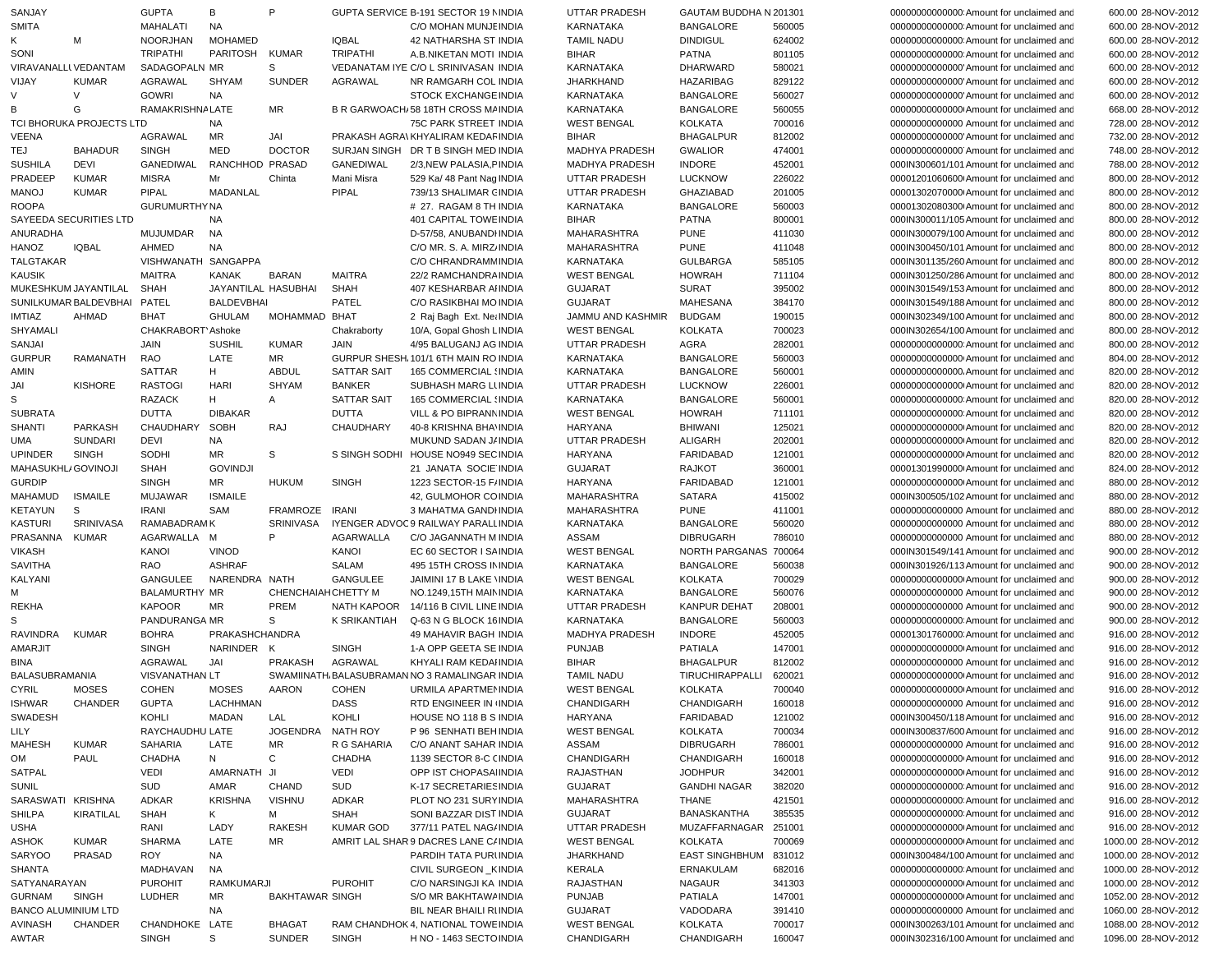| SANJAY                                       |                          | <b>GUPTA</b>          | В                 | P                      |                    | GUPTA SERVICE B-191 SECTOR 19 NINDIA                          | <b>UTTAR PRADESH</b>                 | GAUTAM BUDDHA N 201301     |                  | 000000000000000 Amount for unclaimed and                                             | 600.00 28-NOV-2012                         |
|----------------------------------------------|--------------------------|-----------------------|-------------------|------------------------|--------------------|---------------------------------------------------------------|--------------------------------------|----------------------------|------------------|--------------------------------------------------------------------------------------|--------------------------------------------|
| <b>SMITA</b>                                 |                          | <b>MAHALATI</b>       | <b>NA</b>         |                        |                    | C/O MOHAN MUNJE INDIA                                         | KARNATAKA                            | <b>BANGALORE</b>           | 560005           | 000000000000000 Amount for unclaimed and                                             | 600.00 28-NOV-2012                         |
| Κ                                            | M                        | <b>NOORJHAN</b>       | <b>MOHAMED</b>    |                        | <b>IQBAL</b>       | 42 NATHARSHA ST INDIA                                         | <b>TAMIL NADU</b>                    | <b>DINDIGUL</b>            | 624002           | 000000000000000 Amount for unclaimed and                                             | 600.00 28-NOV-2012                         |
|                                              |                          |                       |                   |                        |                    |                                                               |                                      |                            |                  |                                                                                      |                                            |
| SONI                                         |                          | <b>TRIPATHI</b>       | <b>PARITOSH</b>   | <b>KUMAR</b>           | <b>TRIPATHI</b>    | A.B.NIKETAN MOTI INDIA                                        | <b>BIHAR</b>                         | <b>PATNA</b>               | 801105           | 000000000000000 Amount for unclaimed and                                             | 600.00 28-NOV-2012                         |
| VIRAVANALLI VEDANTAM                         |                          | SADAGOPALN MR         |                   | S                      |                    | VEDANATAM IYE C/O L SRINIVASAN INDIA                          | KARNATAKA                            | DHARWARD                   | 580021           | 00000000000000 Amount for unclaimed and                                              | 600.00 28-NOV-2012                         |
| VIJAY                                        | <b>KUMAR</b>             | <b>AGRAWAL</b>        | SHYAM             | <b>SUNDER</b>          | <b>AGRAWAL</b>     | NR RAMGARH COL INDIA                                          | <b>JHARKHAND</b>                     | <b>HAZARIBAG</b>           | 829122           | 00000000000000 Amount for unclaimed and                                              | 600.00 28-NOV-2012                         |
| V                                            | V                        | <b>GOWRI</b>          | <b>NA</b>         |                        |                    | <b>STOCK EXCHANGE INDIA</b>                                   | <b>KARNATAKA</b>                     | <b>BANGALORE</b>           | 560027           | 00000000000000 Amount for unclaimed and                                              | 600.00 28-NOV-2012                         |
| B                                            | G                        | RAMAKRISHNA LATE      |                   | <b>MR</b>              |                    | B R GARWOACH/58 18TH CROSS MAINDIA                            | <b>KARNATAKA</b>                     | <b>BANGALORE</b>           | 560055           | 000000000000000 Amount for unclaimed and                                             | 668.00 28-NOV-2012                         |
|                                              | TCI BHORUKA PROJECTS LTD |                       | <b>NA</b>         |                        |                    | 75C PARK STREET INDIA                                         | <b>WEST BENGAL</b>                   | KOLKATA                    | 700016           | 00000000000000 Amount for unclaimed and                                              | 728.00 28-NOV-2012                         |
| <b>VEENA</b>                                 |                          | AGRAWAL               | MR                | JAI                    |                    | PRAKASH AGRA\ KHYALIRAM KEDAF INDIA                           | <b>BIHAR</b>                         | <b>BHAGALPUR</b>           | 812002           | 00000000000000 Amount for unclaimed and                                              | 732.00 28-NOV-2012                         |
| TEJ                                          | <b>BAHADUR</b>           | <b>SINGH</b>          | <b>MED</b>        | <b>DOCTOR</b>          |                    | SURJAN SINGH DR T B SINGH MED INDIA                           | <b>MADHYA PRADESH</b>                | <b>GWALIOR</b>             | 474001           | 00000000000000 Amount for unclaimed and                                              | 748.00 28-NOV-2012                         |
| <b>SUSHILA</b>                               | <b>DEVI</b>              | GANEDIWAL             | RANCHHOD PRASAD   |                        | GANEDIWAL          | 2/3.NEW PALASIA.FINDIA                                        | <b>MADHYA PRADESH</b>                | <b>INDORE</b>              | 452001           | 000IN300601/101 Amount for unclaimed and                                             | 788.00 28-NOV-2012                         |
| PRADEEP                                      | <b>KUMAR</b>             | <b>MISRA</b>          | Mr                | Chinta                 | Mani Misra         | 529 Ka/ 48 Pant Nag INDIA                                     | UTTAR PRADESH                        | <b>LUCKNOW</b>             | 226022           | 00001201060600 Amount for unclaimed and                                              | 800.00 28-NOV-2012                         |
| <b>MANOJ</b>                                 | <b>KUMAR</b>             | PIPAL                 | MADANLAL          |                        | PIPAL              | 739/13 SHALIMAR CINDIA                                        | <b>UTTAR PRADESH</b>                 | <b>GHAZIABAD</b>           | 201005           | 00001302070000 Amount for unclaimed and                                              | 800.00 28-NOV-2012                         |
| <b>ROOPA</b>                                 |                          | <b>GURUMURTHY NA</b>  |                   |                        |                    | # 27. RAGAM 8 TH INDIA                                        | <b>KARNATAKA</b>                     | <b>BANGALORE</b>           | 560003           | 00001302080300 Amount for unclaimed and                                              | 800.00 28-NOV-2012                         |
|                                              | SAYEEDA SECURITIES LTD   |                       | <b>NA</b>         |                        |                    | 401 CAPITAL TOWE INDIA                                        | <b>BIHAR</b>                         | <b>PATNA</b>               | 800001           | 000IN300011/105 Amount for unclaimed and                                             | 800.00 28-NOV-2012                         |
| ANURADHA                                     |                          | <b>MUJUMDAR</b>       | NA                |                        |                    | D-57/58, ANUBANDI INDIA                                       | MAHARASHTRA                          | <b>PUNE</b>                | 411030           | 000IN300079/100 Amount for unclaimed and                                             | 800.00 28-NOV-2012                         |
|                                              | <b>IQBAL</b>             | AHMED                 | <b>NA</b>         |                        |                    |                                                               |                                      | <b>PUNE</b>                | 411048           |                                                                                      |                                            |
| HANOZ                                        |                          |                       |                   |                        |                    | C/O MR. S. A. MIRZ INDIA                                      | MAHARASHTRA                          |                            |                  | 000IN300450/101 Amount for unclaimed and                                             | 800.00 28-NOV-2012                         |
| <b>TALGTAKAR</b>                             |                          | VISHWANATH            | SANGAPPA          |                        |                    | C/O CHRANDRAMM INDIA                                          | KARNATAKA                            | <b>GULBARGA</b>            | 585105           | 000IN301135/260 Amount for unclaimed and                                             | 800.00 28-NOV-2012                         |
| <b>KAUSIK</b>                                |                          | <b>MAITRA</b>         | <b>KANAK</b>      | <b>BARAN</b>           | <b>MAITRA</b>      | 22/2 RAMCHANDRA INDIA                                         | <b>WEST BENGAL</b>                   | <b>HOWRAH</b>              | 711104           | 000IN301250/286 Amount for unclaimed and                                             | 800.00 28-NOV-2012                         |
|                                              | MUKESHKUM JAYANTILAL     | <b>SHAH</b>           |                   | JAYANTILAL HASUBHAI    | <b>SHAH</b>        | 407 KESHARBAR AHNDIA                                          | <b>GUJARAT</b>                       | <b>SURAT</b>               | 395002           | 000IN301549/153 Amount for unclaimed and                                             | 800.00 28-NOV-2012                         |
|                                              | SUNILKUMAR BALDEVBHAI    | PATEL                 | <b>BALDEVBHAI</b> |                        | PATEL              | C/O RASIKBHAI MO INDIA                                        | <b>GUJARAT</b>                       | MAHESANA                   | 384170           | 000IN301549/188 Amount for unclaimed and                                             | 800.00 28-NOV-2012                         |
| <b>IMTIAZ</b>                                | AHMAD                    | <b>BHAT</b>           | <b>GHULAM</b>     | MOHAMMAD BHAT          |                    | 2 Raj Bagh Ext. Net INDIA                                     | JAMMU AND KASHMIR                    | <b>BUDGAM</b>              | 190015           | 000IN302349/100 Amount for unclaimed and                                             | 800.00 28-NOV-2012                         |
| SHYAMALI                                     |                          | CHAKRABORT' Ashoke    |                   |                        | Chakraborty        | 10/A, Gopal Ghosh L INDIA                                     | <b>WEST BENGAL</b>                   | <b>KOLKATA</b>             | 700023           | 000IN302654/100 Amount for unclaimed and                                             | 800.00 28-NOV-2012                         |
| SANJAI                                       |                          | <b>JAIN</b>           | <b>SUSHIL</b>     | <b>KUMAR</b>           | JAIN               | 4/95 BALUGANJ AG INDIA                                        | UTTAR PRADESH                        | AGRA                       | 282001           | 000000000000000 Amount for unclaimed and                                             | 800.00 28-NOV-2012                         |
| <b>GURPUR</b>                                | <b>RAMANATH</b>          | <b>RAO</b>            | LATE              | <b>MR</b>              |                    | GURPUR SHESH, 101/1 6TH MAIN RO INDIA                         | KARNATAKA                            | <b>BANGALORE</b>           | 560003           | 000000000000000 Amount for unclaimed and                                             | 804.00 28-NOV-2012                         |
| AMIN                                         |                          | <b>SATTAR</b>         | H                 | <b>ABDUL</b>           | <b>SATTAR SAIT</b> | 165 COMMERCIAL (INDIA                                         | KARNATAKA                            | <b>BANGALORE</b>           | 560001           | 00000000000000. Amount for unclaimed and                                             | 820.00 28-NOV-2012                         |
| JAI                                          | <b>KISHORE</b>           | <b>RASTOGI</b>        | <b>HARI</b>       | <b>SHYAM</b>           | <b>BANKER</b>      | SUBHASH MARG LUNDIA                                           | <b>UTTAR PRADESH</b>                 | <b>LUCKNOW</b>             | 226001           | 000000000000000 Amount for unclaimed and                                             | 820.00 28-NOV-2012                         |
| S                                            |                          | <b>RAZACK</b>         | H                 | A                      | <b>SATTAR SAIT</b> | 165 COMMERCIAL (INDIA                                         | <b>KARNATAKA</b>                     | <b>BANGALORE</b>           | 560001           | 000000000000000 Amount for unclaimed and                                             | 820.00 28-NOV-2012                         |
| <b>SUBRATA</b>                               |                          | <b>DUTTA</b>          | <b>DIBAKAR</b>    |                        | <b>DUTTA</b>       | VILL & PO BIPRANN INDIA                                       | <b>WEST BENGAL</b>                   | <b>HOWRAH</b>              | 711101           | 000000000000000 Amount for unclaimed and                                             | 820.00 28-NOV-2012                         |
|                                              |                          |                       |                   |                        |                    | 40-8 KRISHNA BHA' INDIA                                       |                                      |                            |                  |                                                                                      |                                            |
| <b>SHANTI</b>                                | <b>PARKASH</b>           | CHAUDHARY             | SOBH              | <b>RAJ</b>             | CHAUDHARY          |                                                               | <b>HARYANA</b>                       | BHIWANI                    | 125021           | 00000000000000 Amount for unclaimed and                                              | 820.00 28-NOV-2012                         |
| UMA                                          | <b>SUNDARI</b>           | <b>DEVI</b>           | <b>NA</b>         |                        |                    | MUKUND SADAN J/ INDIA                                         | <b>UTTAR PRADESH</b>                 | <b>ALIGARH</b>             | 202001           | 00000000000000 Amount for unclaimed and                                              | 820.00 28-NOV-2012                         |
| <b>UPINDER</b>                               | <b>SINGH</b>             | SODHI                 | MR                | S                      |                    | S SINGH SODHI HOUSE NO949 SECINDIA                            | <b>HARYANA</b>                       | <b>FARIDABAD</b>           | 121001           | 000000000000000 Amount for unclaimed and                                             | 820.00 28-NOV-2012                         |
| MAHASUKHL/GOVINOJI                           |                          | <b>SHAH</b>           | <b>GOVINDJI</b>   |                        |                    | 21 JANATA SOCIE INDIA                                         | <b>GUJARAT</b>                       | <b>RAJKOT</b>              | 360001           | 00001301990000 Amount for unclaimed and                                              | 824.00 28-NOV-2012                         |
|                                              |                          |                       |                   |                        |                    |                                                               |                                      |                            |                  |                                                                                      |                                            |
| <b>GURDIP</b>                                |                          | <b>SINGH</b>          | MR                | <b>HUKUM</b>           | <b>SINGH</b>       | 1223 SECTOR-15 F/INDIA                                        | HARYANA                              | <b>FARIDABAD</b>           | 121001           | 00000000000000 Amount for unclaimed and                                              | 880.00 28-NOV-2012                         |
| <b>MAHAMUD</b>                               | <b>ISMAILE</b>           | <b>MUJAWAR</b>        | <b>ISMAILE</b>    |                        |                    | 42, GULMOHOR COINDIA                                          | MAHARASHTRA                          | <b>SATARA</b>              | 415002           | 000IN300505/102 Amount for unclaimed and                                             | 880.00 28-NOV-2012                         |
| KETAYUN                                      | S                        | <b>IRANI</b>          | SAM               | FRAMROZE IRANI         |                    | 3 MAHATMA GANDI INDIA                                         | MAHARASHTRA                          | <b>PUNE</b>                | 411001           | 00000000000000 Amount for unclaimed and                                              | 880.00 28-NOV-2012                         |
| <b>KASTURI</b>                               | <b>SRINIVASA</b>         | RAMABADRAM K          |                   | SRINIVASA              |                    | IYENGER ADVOC9 RAILWAY PARALL INDIA                           | <b>KARNATAKA</b>                     | <b>BANGALORE</b>           | 560020           | 00000000000000 Amount for unclaimed and                                              | 880.00 28-NOV-2012                         |
| PRASANNA                                     | KUMAR                    | AGARWALLA             | M                 | P                      | AGARWALLA          | C/O JAGANNATH M INDIA                                         | ASSAM                                | <b>DIBRUGARH</b>           | 786010           | 00000000000000 Amount for unclaimed and                                              | 880.00 28-NOV-2012                         |
|                                              |                          |                       |                   |                        |                    |                                                               |                                      |                            |                  |                                                                                      |                                            |
| <b>VIKASH</b>                                |                          | KANOI                 | <b>VINOD</b>      |                        | KANOI              | EC 60 SECTOR I SAINDIA                                        | <b>WEST BENGAL</b>                   | NORTH PARGANAS 700064      |                  | 000IN301549/141 Amount for unclaimed and                                             | 900.00 28-NOV-2012                         |
| <b>SAVITHA</b>                               |                          | <b>RAO</b>            | <b>ASHRAF</b>     |                        | <b>SALAM</b>       | 495 15TH CROSS IN INDIA                                       | <b>KARNATAKA</b>                     | <b>BANGALORE</b>           | 560038           | 000IN301926/113 Amount for unclaimed and                                             | 900.00 28-NOV-2012                         |
| KALYANI                                      |                          | GANGULEE              | NARENDRA NATH     |                        | GANGULEE           | JAIMINI 17 B LAKE VINDIA                                      | <b>WEST BENGAL</b>                   | KOLKATA                    | 700029           | 000000000000000 Amount for unclaimed and                                             | 900.00 28-NOV-2012                         |
| м                                            |                          | <b>BALAMURTHY MR</b>  |                   | CHENCHAIAHCHETTY M     |                    | NO.1249,15TH MAIN INDIA                                       | KARNATAKA                            | <b>BANGALORE</b>           | 560076           | 00000000000000 Amount for unclaimed and                                              | 900.00 28-NOV-2012                         |
| <b>REKHA</b>                                 |                          | <b>KAPOOR</b>         | MR                | PREM                   | NATH KAPOOR        | 14/116 B CIVIL LINE INDIA                                     | <b>UTTAR PRADESH</b>                 | KANPUR DEHAT               | 208001           | 00000000000000 Amount for unclaimed and                                              | 900.00 28-NOV-2012                         |
| S                                            |                          | PANDURANGA MR         |                   | S                      | K SRIKANTIAH       | Q-63 N G BLOCK 16 INDIA                                       | KARNATAKA                            | <b>BANGALORE</b>           | 560003           | 000000000000000 Amount for unclaimed and                                             | 900.00 28-NOV-2012                         |
| RAVINDRA                                     | <b>KUMAR</b>             | <b>BOHRA</b>          | PRAKASHCHANDRA    |                        |                    | 49 MAHAVIR BAGH INDIA                                         | <b>MADHYA PRADESH</b>                | <b>INDORE</b>              | 452005           | 00001301760000 Amount for unclaimed and                                              | 916.00 28-NOV-2012                         |
| AMARJIT                                      |                          | <b>SINGH</b>          | NARINDER K        |                        | <b>SINGH</b>       | 1-A OPP GEETA SE INDIA                                        | <b>PUNJAB</b>                        | <b>PATIALA</b>             | 147001           | 000000000000000 Amount for unclaimed and                                             | 916.00 28-NOV-2012                         |
| <b>BINA</b>                                  |                          | AGRAWAL               | JAI               | <b>PRAKASH</b>         | AGRAWAL            | KHYALI RAM KEDAI INDIA                                        | <b>BIHAR</b>                         | <b>BHAGALPUR</b>           | 812002           | 00000000000000 Amount for unclaimed and                                              | 916.00 28-NOV-2012                         |
| BALASUBRAMANIA                               |                          | <b>VISVANATHAN LT</b> |                   |                        |                    | SWAMIINATH BALASUBRAMAN NO 3 RAMALINGAR INDIA                 | <b>TAMIL NADU</b>                    | TIRUCHIRAPPALLI            | 620021           | 000000000000000 Amount for unclaimed and                                             | 916.00 28-NOV-2012                         |
| <b>CYRIL</b>                                 | <b>MOSES</b>             | <b>COHEN</b>          | <b>MOSES</b>      | <b>AARON</b>           | <b>COHEN</b>       | URMILA APARTMENINDIA                                          | <b>WEST BENGAL</b>                   | <b>KOLKATA</b>             | 700040           | 000000000000000 Amount for unclaimed and                                             | 916.00 28-NOV-2012                         |
| <b>ISHWAR</b>                                | CHANDER                  | <b>GUPTA</b>          | LACHHMAN          |                        | DASS               | RTD ENGINEER IN INDIA                                         | CHANDIGARH                           | CHANDIGARH                 | 160018           | 00000000000000 Amount for unclaimed and                                              | 916.00 28-NOV-2012                         |
|                                              |                          | KOHLI                 | MADAN             |                        |                    |                                                               |                                      |                            |                  |                                                                                      |                                            |
| SWADESH                                      |                          |                       |                   | LAL                    | KOHLI              | HOUSE NO 118 B S INDIA                                        | <b>HARYANA</b>                       | FARIDABAD                  | 121002           | 000IN300450/118 Amount for unclaimed and<br>000IN300837/600 Amount for unclaimed and | 916.00 28-NOV-2012                         |
| LILY                                         |                          | RAYCHAUDHU LATE       |                   | JOGENDRA               | NATH ROY           | P 96 SENHATI BEH INDIA                                        | <b>WEST BENGAL</b>                   | KOLKATA                    | 700034           |                                                                                      | 916.00 28-NOV-2012                         |
| <b>MAHESH</b>                                | <b>KUMAR</b>             | <b>SAHARIA</b>        | LATE              | MR                     | R G SAHARIA        | C/O ANANT SAHAR INDIA                                         | ASSAM                                | <b>DIBRUGARH</b>           | 786001           | 00000000000000 Amount for unclaimed and                                              | 916.00 28-NOV-2012                         |
| OM                                           | PAUL                     | <b>CHADHA</b>         | N                 | $\mathbf{C}$           | <b>CHADHA</b>      | 1139 SECTOR 8-C (INDIA                                        | CHANDIGARH                           | CHANDIGARH                 | 160018           | 00000000000000 Amount for unclaimed and                                              | 916.00 28-NOV-2012                         |
| SATPAL                                       |                          | <b>VEDI</b>           | AMARNATH JI       |                        | <b>VEDI</b>        | OPP IST CHOPASAIINDIA                                         | RAJASTHAN                            | <b>JODHPUR</b>             | 342001           | 00000000000000 Amount for unclaimed and                                              | 916.00 28-NOV-2012                         |
| <b>SUNIL</b>                                 |                          | SUD                   | AMAR              | <b>CHAND</b>           | SUD                | K-17 SECRETARIES INDIA                                        | <b>GUJARAT</b>                       | <b>GANDHI NAGAR</b>        | 382020           | 000000000000000 Amount for unclaimed and                                             | 916.00 28-NOV-2012                         |
| SARASWATI KRISHNA                            |                          | ADKAR                 | <b>KRISHNA</b>    | <b>VISHNU</b>          | <b>ADKAR</b>       | PLOT NO 231 SURY INDIA                                        | MAHARASHTRA                          | THANE                      | 421501           | 000000000000000 Amount for unclaimed and                                             | 916.00 28-NOV-2012                         |
| SHILPA                                       | KIRATILAL                | <b>SHAH</b>           | K                 | м                      | <b>SHAH</b>        | SONI BAZZAR DIST INDIA                                        | GUJARAT                              | BANASKANTHA                | 385535           | 000000000000000 Amount for unclaimed and                                             | 916.00 28-NOV-2012                         |
| USHA                                         |                          | RANI                  | LADY              | <b>RAKESH</b>          | <b>KUMAR GOD</b>   | 377/11 PATEL NAG/ INDIA                                       | UTTAR PRADESH                        | MUZAFFARNAGAR 251001       |                  | 00000000000000 Amount for unclaimed and                                              | 916.00 28-NOV-2012                         |
| ASHOK                                        | <b>KUMAR</b>             | SHARMA                | LATE              | MR                     |                    | AMRIT LAL SHAR 9 DACRES LANE C/INDIA                          | <b>WEST BENGAL</b>                   | KOLKATA                    | 700069           | 000000000000000 Amount for unclaimed and                                             | 1000.00 28-NOV-2012                        |
| <b>SARYOO</b>                                | PRASAD                   | ROY                   | <b>NA</b>         |                        |                    | PARDIH TATA PURLINDIA                                         | <b>JHARKHAND</b>                     | <b>EAST SINGHBHUM</b>      | 831012           | 000IN300484/100 Amount for unclaimed and                                             | 1000.00 28-NOV-2012                        |
| <b>SHANTA</b>                                |                          | MADHAVAN              | NA                |                        |                    | CIVIL SURGEON KINDIA                                          | KERALA                               | ERNAKULAM                  | 682016           | 000000000000000 Amount for unclaimed and                                             | 1000.00 28-NOV-2012                        |
| SATYANARAYAN                                 |                          | <b>PUROHIT</b>        | <b>RAMKUMARJI</b> |                        | <b>PUROHIT</b>     | C/O NARSINGJI KA INDIA                                        | RAJASTHAN                            | <b>NAGAUR</b>              | 341303           | 000000000000000 Amount for unclaimed and                                             | 1000.00 28-NOV-2012                        |
|                                              |                          | <b>LUDHER</b>         | MR                |                        |                    | S/O MR BAKHTAWA INDIA                                         |                                      |                            |                  |                                                                                      |                                            |
| GURNAM                                       | SINGH                    |                       |                   | <b>BAKHTAWAR SINGH</b> |                    |                                                               | <b>PUNJAB</b>                        | <b>PATIALA</b>             | 147001           | 000000000000000 Amount for unclaimed and                                             | 1052.00 28-NOV-2012                        |
| <b>BANCO ALUMINIUM LTD</b><br><b>AVINASH</b> | CHANDER                  | CHANDHOKE LATE        | NA                | <b>BHAGAT</b>          |                    | BIL NEAR BHAILI RUNDIA<br>RAM CHANDHOK 4, NATIONAL TOWE INDIA | <b>GUJARAT</b><br><b>WEST BENGAL</b> | VADODARA<br><b>KOLKATA</b> | 391410<br>700017 | 00000000000000 Amount for unclaimed and<br>000IN300263/101 Amount for unclaimed and  | 1060.00 28-NOV-2012<br>1088.00 28-NOV-2012 |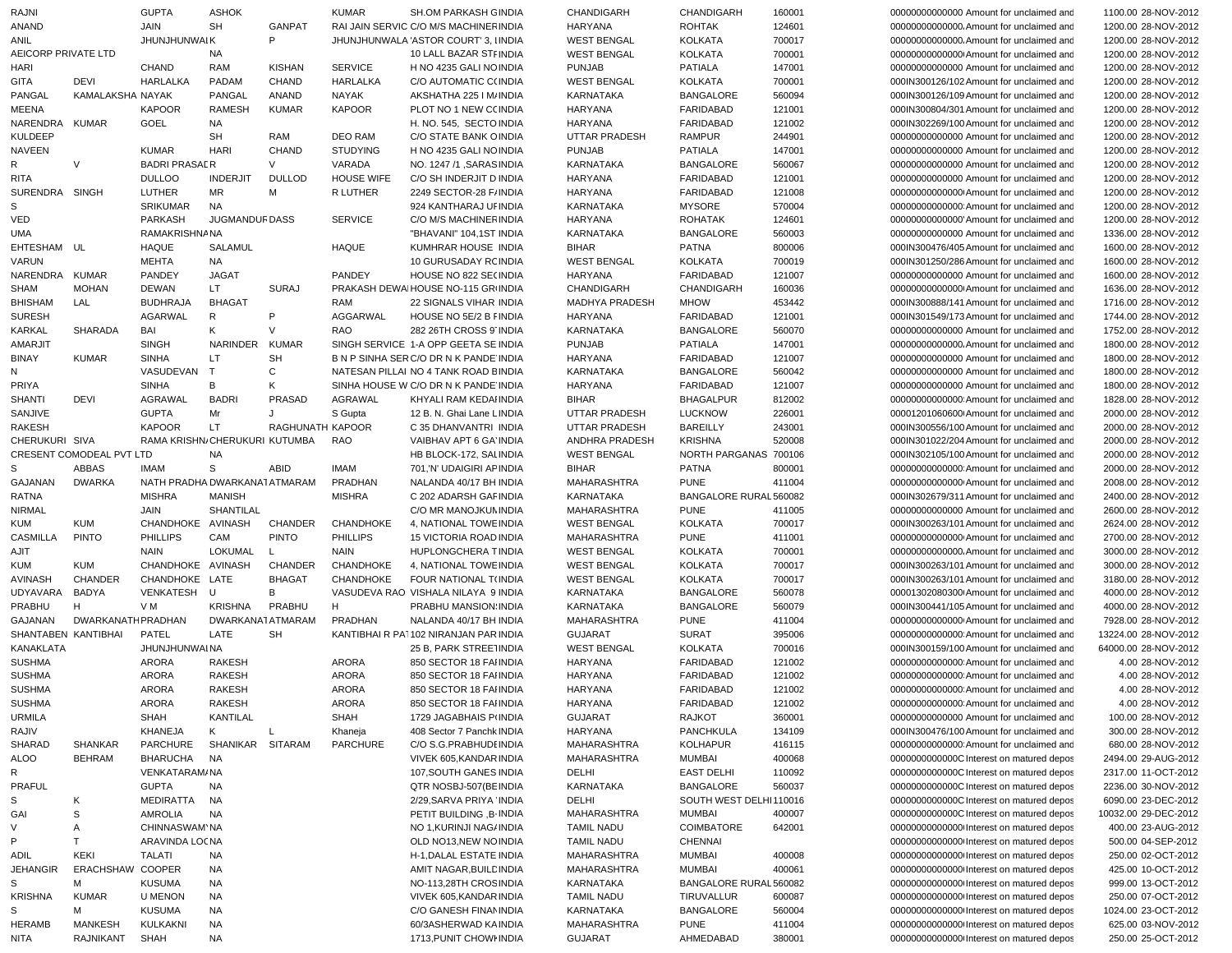| RAJNI               |                           | <b>GUPTA</b>                  | <b>ASHOK</b>          |                  | <b>KUMAR</b>      | SH.OM PARKASH GINDIA                   | <b>CHANDIGARH</b>    | CHANDIGARH             | 160001 | 00000000000000 Amount for unclaimed and  | 1100.00 28-NOV-2012  |
|---------------------|---------------------------|-------------------------------|-----------------------|------------------|-------------------|----------------------------------------|----------------------|------------------------|--------|------------------------------------------|----------------------|
| ANAND               |                           | JAIN                          | <b>SH</b>             | <b>GANPAT</b>    |                   | RAI JAIN SERVIC C/O M/S MACHINER INDIA | HARYANA              | <b>ROHTAK</b>          | 124601 | 00000000000000. Amount for unclaimed and | 1200.00 28-NOV-2012  |
| ANIL                |                           | <b>JHUNJHUNWAIK</b>           |                       | P                |                   | JHUNJHUNWALA 'ASTOR COURT' 3, IINDIA   | <b>WEST BENGAL</b>   | <b>KOLKATA</b>         | 700017 | 00000000000000. Amount for unclaimed and | 1200.00 28-NOV-2012  |
| AEICORP PRIVATE LTD |                           |                               | NA                    |                  |                   | 10 LALL BAZAR STF INDIA                | <b>WEST BENGAL</b>   | <b>KOLKATA</b>         | 700001 | 00000000000000 Amount for unclaimed and  | 1200.00 28-NOV-2012  |
| HARI                |                           | <b>CHAND</b>                  | <b>RAM</b>            | <b>KISHAN</b>    | <b>SERVICE</b>    | H NO 4235 GALI NO INDIA                | <b>PUNJAB</b>        | PATIALA                | 147001 | 00000000000000 Amount for unclaimed and  | 1200.00 28-NOV-2012  |
| GITA                | <b>DEVI</b>               | <b>HARLALKA</b>               | PADAM                 | CHAND            | <b>HARLALKA</b>   | C/O AUTOMATIC C(INDIA                  | <b>WEST BENGAL</b>   | <b>KOLKATA</b>         | 700001 | 000IN300126/102 Amount for unclaimed and | 1200.00 28-NOV-2012  |
| PANGAL              | KAMALAKSHA NAYAK          |                               | PANGAL                | ANAND            | <b>NAYAK</b>      | AKSHATHA 225 I M/INDIA                 | <b>KARNATAKA</b>     | <b>BANGALORE</b>       | 560094 | 000IN300126/109 Amount for unclaimed and | 1200.00 28-NOV-2012  |
|                     |                           |                               |                       |                  |                   |                                        |                      |                        |        |                                          |                      |
| <b>MEENA</b>        |                           | <b>KAPOOR</b>                 | <b>RAMESH</b>         | <b>KUMAR</b>     | <b>KAPOOR</b>     | PLOT NO 1 NEW C(INDIA                  | <b>HARYANA</b>       | FARIDABAD              | 121001 | 000IN300804/301 Amount for unclaimed and | 1200.00 28-NOV-2012  |
| NARENDRA            | <b>KUMAR</b>              | GOEL                          | NA                    |                  |                   | H. NO. 545, SECTO INDIA                | <b>HARYANA</b>       | FARIDABAD              | 121002 | 000IN302269/100 Amount for unclaimed and | 1200.00 28-NOV-2012  |
| <b>KULDEEP</b>      |                           |                               | <b>SH</b>             | RAM              | <b>DEO RAM</b>    | C/O STATE BANK OINDIA                  | UTTAR PRADESH        | <b>RAMPUR</b>          | 244901 | 00000000000000 Amount for unclaimed and  | 1200.00 28-NOV-2012  |
| <b>NAVEEN</b>       |                           | <b>KUMAR</b>                  | <b>HARI</b>           | CHAND            | <b>STUDYING</b>   | H NO 4235 GALI NO INDIA                | <b>PUNJAB</b>        | <b>PATIALA</b>         | 147001 | 00000000000000 Amount for unclaimed and  | 1200.00 28-NOV-2012  |
| R                   | $\vee$                    | <b>BADRI PRASALR</b>          |                       | $\vee$           | VARADA            | NO. 1247 /1, SARAS INDIA               | <b>KARNATAKA</b>     | <b>BANGALORE</b>       | 560067 | 00000000000000 Amount for unclaimed and  | 1200.00 28-NOV-2012  |
| <b>RITA</b>         |                           | <b>DULLOO</b>                 | <b>INDERJIT</b>       | <b>DULLOD</b>    | <b>HOUSE WIFE</b> | C/O SH INDERJIT D INDIA                | <b>HARYANA</b>       | FARIDABAD              | 121001 | 00000000000000 Amount for unclaimed and  | 1200.00 28-NOV-2012  |
| <b>SURENDRA</b>     | SINGH                     | LUTHER                        | MR                    | М                | R LUTHER          | 2249 SECTOR-28 F/INDIA                 | <b>HARYANA</b>       | FARIDABAD              | 121008 | 00000000000000 Amount for unclaimed and  | 1200.00 28-NOV-2012  |
| S                   |                           | <b>SRIKUMAR</b>               | <b>NA</b>             |                  |                   | 924 KANTHARAJ UFINDIA                  | <b>KARNATAKA</b>     | <b>MYSORE</b>          | 570004 | 00000000000000 Amount for unclaimed and  | 1200.00 28-NOV-2012  |
| VED                 |                           | <b>PARKASH</b>                | <b>JUGMANDUR DASS</b> |                  | <b>SERVICE</b>    | C/O M/S MACHINER INDIA                 | <b>HARYANA</b>       | <b>ROHATAK</b>         |        | 00000000000000 Amount for unclaimed and  |                      |
|                     |                           |                               |                       |                  |                   |                                        |                      |                        | 124601 |                                          | 1200.00 28-NOV-2012  |
| <b>UMA</b>          |                           | RAMAKRISHNA NA                |                       |                  |                   | "BHAVANI" 104,1ST INDIA                | <b>KARNATAKA</b>     | <b>BANGALORE</b>       | 560003 | 00000000000000 Amount for unclaimed and  | 1336.00 28-NOV-2012  |
| EHTESHAM UL         |                           | <b>HAQUE</b>                  | SALAMUL               |                  | <b>HAQUE</b>      | KUMHRAR HOUSE INDIA                    | <b>BIHAR</b>         | <b>PATNA</b>           | 800006 | 000IN300476/405 Amount for unclaimed and | 1600.00 28-NOV-2012  |
| VARUN               |                           | <b>MEHTA</b>                  | NA                    |                  |                   | 10 GURUSADAY RC INDIA                  | <b>WEST BENGAL</b>   | <b>KOLKATA</b>         | 700019 | 000IN301250/286 Amount for unclaimed and | 1600.00 28-NOV-2012  |
| NARENDRA            | KUMAR                     | PANDEY                        | <b>JAGAT</b>          |                  | PANDEY            | HOUSE NO 822 SE(INDIA                  | HARYANA              | FARIDABAD              | 121007 | 00000000000000 Amount for unclaimed and  | 1600.00 28-NOV-2012  |
| SHAM                | <b>MOHAN</b>              | <b>DEWAN</b>                  | LT.                   | <b>SURAJ</b>     |                   | PRAKASH DEWAIHOUSE NO-115 GRINDIA      | CHANDIGARH           | CHANDIGARH             | 160036 | 000000000000000 Amount for unclaimed and | 1636.00 28-NOV-2012  |
| <b>BHISHAM</b>      | LAL                       | <b>BUDHRAJA</b>               | <b>BHAGAT</b>         |                  | RAM               | 22 SIGNALS VIHAR INDIA                 | MADHYA PRADESH       | <b>MHOW</b>            | 453442 | 000IN300888/141 Amount for unclaimed and | 1716.00 28-NOV-2012  |
| <b>SURESH</b>       |                           | AGARWAL                       | R                     | P                | AGGARWAL          | HOUSE NO 5E/2 B FINDIA                 | <b>HARYANA</b>       | FARIDABAD              | 121001 | 000IN301549/173 Amount for unclaimed and | 1744.00 28-NOV-2012  |
| <b>KARKAL</b>       | SHARADA                   | BAI                           | K                     | $\vee$           | <b>RAO</b>        | 282 26TH CROSS 9 INDIA                 | <b>KARNATAKA</b>     | <b>BANGALORE</b>       | 560070 | 00000000000000 Amount for unclaimed and  | 1752.00 28-NOV-2012  |
|                     |                           |                               |                       |                  |                   |                                        |                      |                        |        |                                          |                      |
| AMARJIT             |                           | <b>SINGH</b>                  | NARINDER              | KUMAR            |                   | SINGH SERVICE 1-A OPP GEETA SE INDIA   | <b>PUNJAB</b>        | <b>PATIALA</b>         | 147001 | 00000000000000. Amount for unclaimed and | 1800.00 28-NOV-2012  |
| BINAY               | <b>KUMAR</b>              | <b>SINHA</b>                  | LT                    | <b>SH</b>        |                   | B N P SINHA SER C/O DR N K PANDE INDIA | <b>HARYANA</b>       | FARIDABAD              | 121007 | 00000000000000 Amount for unclaimed and  | 1800.00 28-NOV-2012  |
| N                   |                           | VASUDEVAN                     | $\top$                | C                |                   | NATESAN PILLAI NO 4 TANK ROAD EINDIA   | KARNATAKA            | <b>BANGALORE</b>       | 560042 | 00000000000000 Amount for unclaimed and  | 1800.00 28-NOV-2012  |
| PRIYA               |                           | <b>SINHA</b>                  | В                     | Κ                |                   | SINHA HOUSE W C/O DR N K PANDE INDIA   | HARYANA              | FARIDABAD              | 121007 | 00000000000000 Amount for unclaimed and  | 1800.00 28-NOV-2012  |
| <b>SHANTI</b>       | DEVI                      | <b>AGRAWAL</b>                | <b>BADRI</b>          | PRASAD           | AGRAWAL           | KHYALI RAM KEDAI INDIA                 | <b>BIHAR</b>         | <b>BHAGALPUR</b>       | 812002 | 00000000000000 Amount for unclaimed and  | 1828.00 28-NOV-2012  |
| SANJIVE             |                           | <b>GUPTA</b>                  | Mr                    | J                | S Gupta           | 12 B. N. Ghai Lane L INDIA             | <b>UTTAR PRADESH</b> | <b>LUCKNOW</b>         | 226001 | 00001201060600 Amount for unclaimed and  | 2000.00 28-NOV-2012  |
| <b>RAKESH</b>       |                           | <b>KAPOOR</b>                 | LT.                   | RAGHUNATH KAPOOR |                   | C 35 DHANVANTRI INDIA                  | <b>UTTAR PRADESH</b> | <b>BAREILLY</b>        | 243001 | 000IN300556/100 Amount for unclaimed and | 2000.00 28-NOV-2012  |
| CHERUKURI SIVA      |                           | RAMA KRISHN/CHERUKURI KUTUMBA |                       |                  | <b>RAO</b>        | VAIBHAV APT 6 GA' INDIA                | ANDHRA PRADESH       | <b>KRISHNA</b>         | 520008 | 000IN301022/204 Amount for unclaimed and | 2000.00 28-NOV-2012  |
|                     | CRESENT COMODEAL PVT LTD  |                               | <b>NA</b>             |                  |                   | HB BLOCK-172, SALINDIA                 | <b>WEST BENGAL</b>   | NORTH PARGANAS 700106  |        | 000IN302105/100 Amount for unclaimed and | 2000.00 28-NOV-2012  |
|                     | ABBAS                     | <b>IMAM</b>                   | S                     | ABID             | <b>IMAM</b>       |                                        |                      | <b>PATNA</b>           | 800001 | 00000000000000 Amount for unclaimed and  |                      |
| S                   |                           |                               |                       |                  |                   | 701,'N' UDAIGIRI AF INDIA              | <b>BIHAR</b>         |                        |        |                                          | 2000.00 28-NOV-2012  |
| <b>GAJANAN</b>      | <b>DWARKA</b>             | NATH PRADHA DWARKANAT ATMARAM |                       |                  | <b>PRADHAN</b>    | NALANDA 40/17 BH INDIA                 | MAHARASHTRA          | <b>PUNE</b>            | 411004 | 00000000000000 Amount for unclaimed and  | 2008.00 28-NOV-2012  |
| RATNA               |                           | <b>MISHRA</b>                 | <b>MANISH</b>         |                  | <b>MISHRA</b>     | C 202 ADARSH GAF INDIA                 | KARNATAKA            | BANGALORE RURAL 560082 |        | 000IN302679/311 Amount for unclaimed and | 2400.00 28-NOV-2012  |
| <b>NIRMAL</b>       |                           | JAIN                          | SHANTILAL             |                  |                   | C/O MR MANOJKUM INDIA                  | <b>MAHARASHTRA</b>   | <b>PUNE</b>            | 411005 | 00000000000000 Amount for unclaimed and  | 2600.00 28-NOV-2012  |
| KUM                 | KUM                       | CHANDHOKE                     | AVINASH               | CHANDER          | CHANDHOKE         | 4, NATIONAL TOWE INDIA                 | <b>WEST BENGAL</b>   | <b>KOLKATA</b>         | 700017 | 000IN300263/101 Amount for unclaimed and | 2624.00 28-NOV-2012  |
| CASMILLA            | <b>PINTO</b>              | <b>PHILLIPS</b>               | CAM                   | <b>PINTO</b>     | <b>PHILLIPS</b>   | 15 VICTORIA ROAD INDIA                 | MAHARASHTRA          | <b>PUNE</b>            | 411001 | 000000000000000 Amount for unclaimed and | 2700.00 28-NOV-2012  |
| AJIT                |                           | <b>NAIN</b>                   | <b>LOKUMAL</b>        | $\mathsf{L}$     | <b>NAIN</b>       | HUPLONGCHERA TINDIA                    | <b>WEST BENGAL</b>   | <b>KOLKATA</b>         | 700001 | 00000000000000. Amount for unclaimed and | 3000.00 28-NOV-2012  |
| KUM                 | KUM                       | CHANDHOKE                     | AVINASH               | <b>CHANDER</b>   | CHANDHOKE         | 4, NATIONAL TOWE INDIA                 | <b>WEST BENGAL</b>   | <b>KOLKATA</b>         | 700017 | 000IN300263/101 Amount for unclaimed and | 3000.00 28-NOV-2012  |
| <b>AVINASH</b>      | CHANDER                   | CHANDHOKE LATE                |                       | <b>BHAGAT</b>    | CHANDHOKE         | FOUR NATIONAL T(INDIA                  | <b>WEST BENGAL</b>   | <b>KOLKATA</b>         | 700017 | 000IN300263/101 Amount for unclaimed and | 3180.00 28-NOV-2012  |
|                     | <b>BADYA</b>              | VENKATESH U                   |                       | B                |                   | VASUDEVA RAO VISHALA NILAYA 9 INDIA    |                      | <b>BANGALORE</b>       |        |                                          |                      |
| <b>UDYAVARA</b>     |                           |                               |                       |                  |                   |                                        | KARNATAKA            |                        | 560078 | 00001302080300 Amount for unclaimed and  | 4000.00 28-NOV-2012  |
| PRABHU              | H                         | V M                           | <b>KRISHNA</b>        | PRABHU           | H                 | PRABHU MANSION INDIA                   | <b>KARNATAKA</b>     | <b>BANGALORE</b>       | 560079 | 000IN300441/105 Amount for unclaimed and | 4000.00 28-NOV-2012  |
| GAJANAN             | <b>DWARKANATH PRADHAN</b> |                               | DWARKANAT ATMARAM     |                  | PRADHAN           | NALANDA 40/17 BH INDIA                 | MAHARASHTRA          | <b>PUNE</b>            | 411004 | 00000000000000 Amount for unclaimed and  | 7928.00 28-NOV-2012  |
| SHANTABEN KANTIBHAI |                           | PATEL                         | LATE                  | <b>SH</b>        |                   | KANTIBHAI R PA1102 NIRANJAN PAR INDIA  | <b>GUJARAT</b>       | <b>SURAT</b>           | 395006 | 000000000000000 Amount for unclaimed and | 13224.00 28-NOV-2012 |
| KANAKLATA           |                           | <b>JHUNJHUNWAINA</b>          |                       |                  |                   | 25 B, PARK STREE1INDIA                 | <b>WEST BENGAL</b>   | <b>KOLKATA</b>         | 700016 | 000IN300159/100 Amount for unclaimed and | 64000.00 28-NOV-2012 |
| <b>SUSHMA</b>       |                           | ARORA                         | <b>RAKESH</b>         |                  | ARORA             | 850 SECTOR 18 FAIINDIA                 | HARYANA              | FARIDABAD              | 121002 | 00000000000000 Amount for unclaimed and  | 4.00 28-NOV-2012     |
| <b>SUSHMA</b>       |                           | ARORA                         | <b>RAKESH</b>         |                  | <b>ARORA</b>      | 850 SECTOR 18 FAIINDIA                 | <b>HARYANA</b>       | <b>FARIDABAD</b>       | 121002 | 00000000000000 Amount for unclaimed and  | 4.00 28-NOV-2012     |
| <b>SUSHMA</b>       |                           | ARORA                         | <b>RAKESH</b>         |                  | ARORA             | 850 SECTOR 18 FAIINDIA                 | <b>HARYANA</b>       | <b>FARIDABAD</b>       | 121002 | 000000000000000 Amount for unclaimed and | 4.00 28-NOV-2012     |
| <b>SUSHMA</b>       |                           | <b>ARORA</b>                  | <b>RAKESH</b>         |                  | <b>ARORA</b>      | 850 SECTOR 18 FAIINDIA                 | <b>HARYANA</b>       | FARIDABAD              | 121002 | 00000000000000 Amount for unclaimed and  | 4.00 28-NOV-2012     |
| URMILA              |                           | <b>SHAH</b>                   | KANTILAL              |                  | <b>SHAH</b>       | 1729 JAGABHAIS PUNDIA                  | <b>GUJARAT</b>       | RAJKOT                 | 360001 | 00000000000000 Amount for unclaimed and  | 100.00 28-NOV-2012   |
|                     |                           |                               |                       |                  |                   |                                        |                      |                        |        |                                          |                      |
| RAJIV               |                           | KHANEJA                       | K                     | $\mathsf{L}$     | Khaneja           | 408 Sector 7 Panchk INDIA              | <b>HARYANA</b>       | <b>PANCHKULA</b>       | 134109 | 000IN300476/100 Amount for unclaimed and | 300.00 28-NOV-2012   |
| SHARAD              | SHANKAR                   | PARCHURE                      | SHANIKAR SITARAM      |                  | PARCHURE          | C/O S.G.PRABHUDI INDIA                 | MAHARASHTRA          | <b>KOLHAPUR</b>        | 416115 | 00000000000000 Amount for unclaimed and  | 680.00 28-NOV-2012   |
| <b>ALOO</b>         | <b>BEHRAM</b>             | <b>BHARUCHA</b>               | NA.                   |                  |                   | VIVEK 605, KANDAR INDIA                | MAHARASHTRA          | <b>MUMBAI</b>          | 400068 | 0000000000000C Interest on matured depos | 2494.00 29-AUG-2012  |
| R                   |                           | VENKATARAM/NA                 |                       |                  |                   | 107, SOUTH GANES INDIA                 | DELHI                | <b>EAST DELHI</b>      | 110092 | 0000000000000C Interest on matured depos | 2317.00 11-OCT-2012  |
| PRAFUL              |                           | <b>GUPTA</b>                  | NA                    |                  |                   | QTR NOSBJ-507(BE INDIA                 | KARNATAKA            | <b>BANGALORE</b>       | 560037 | 0000000000000C Interest on matured depos | 2236.00 30-NOV-2012  |
| S                   | Κ                         | MEDIRATTA                     | NA                    |                  |                   | 2/29, SARVA PRIYA INDIA                | DELHI                | SOUTH WEST DELHI110016 |        | 0000000000000C Interest on matured depos | 6090.00 23-DEC-2012  |
| GAI                 | S                         | AMROLIA                       | NA                    |                  |                   | PETIT BUILDING ,B- INDIA               | MAHARASHTRA          | MUMBAI                 | 400007 | 0000000000000C Interest on matured depos | 10032.00 29-DEC-2012 |
| V                   | A                         | CHINNASWAM'NA                 |                       |                  |                   | NO 1, KURINJI NAG/ INDIA               | <b>TAMIL NADU</b>    | COIMBATORE             | 642001 | 00000000000000 Interest on matured depos | 400.00 23-AUG-2012   |
| P                   | T.                        | ARAVINDA LOCNA                |                       |                  |                   | OLD NO13, NEW NO INDIA                 | <b>TAMIL NADU</b>    | CHENNAI                |        | 00000000000000 Interest on matured depos | 500.00 04-SEP-2012   |
|                     |                           |                               |                       |                  |                   |                                        |                      |                        |        |                                          |                      |
| <b>ADIL</b>         | KEKI                      | <b>TALATI</b>                 | NA                    |                  |                   | H-1, DALAL ESTATE INDIA                | MAHARASHTRA          | <b>MUMBAI</b>          | 400008 | 00000000000000 Interest on matured depos | 250.00 02-OCT-2012   |
| JEHANGIR            | ERACHSHAW COOPER          |                               | NA                    |                  |                   | AMIT NAGAR, BUILE INDIA                | MAHARASHTRA          | <b>MUMBAI</b>          | 400061 | 00000000000000 Interest on matured depos | 425.00 10-OCT-2012   |
| S                   | м                         | <b>KUSUMA</b>                 | NA                    |                  |                   | NO-113,28TH CROSINDIA                  | KARNATAKA            | BANGALORE RURAL 560082 |        | 00000000000000 Interest on matured depos | 999.00 13-OCT-2012   |
| <b>KRISHNA</b>      | <b>KUMAR</b>              | U MENON                       | NA                    |                  |                   | VIVEK 605, KANDAR INDIA                | <b>TAMIL NADU</b>    | TIRUVALLUR             | 600087 | 00000000000000 Interest on matured depos | 250.00 07-OCT-2012   |
| S                   | м                         | <b>KUSUMA</b>                 | NA                    |                  |                   | C/O GANESH FINAN INDIA                 | KARNATAKA            | <b>BANGALORE</b>       | 560004 | 00000000000000 Interest on matured depos | 1024.00 23-OCT-2012  |
| <b>HERAMB</b>       | MANKESH                   | KULKAKNI                      | NA                    |                  |                   | 60/3ASHERWAD KAINDIA                   | MAHARASHTRA          | <b>PUNE</b>            | 411004 | 00000000000000 Interest on matured depos | 625.00 03-NOV-2012   |
| NITA                | RAJNIKANT                 | SHAH                          | <b>NA</b>             |                  |                   | 1713, PUNIT CHOWI INDIA                | <b>GUJARAT</b>       | AHMEDABAD              | 380001 | 00000000000000 Interest on matured depos | 250.00 25-OCT-2012   |
|                     |                           |                               |                       |                  |                   |                                        |                      |                        |        |                                          |                      |